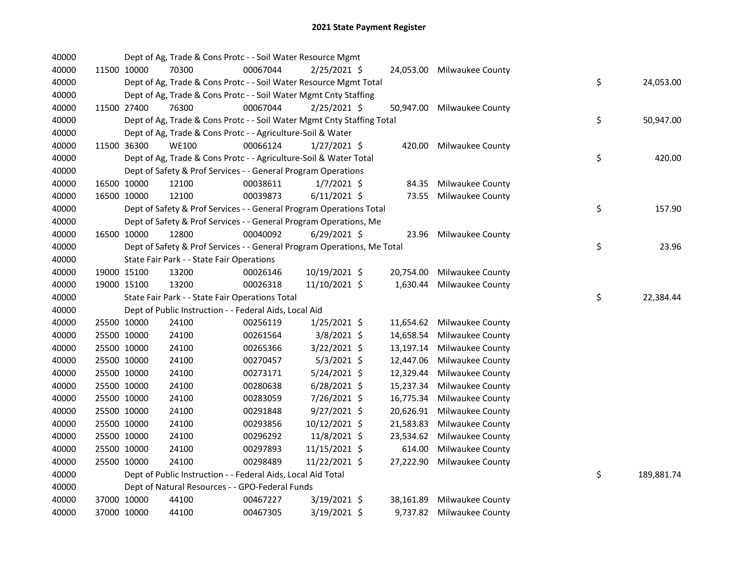| 40000 |             | Dept of Ag, Trade & Cons Protc - - Soil Water Resource Mgmt             |          |                |           |                            |    |            |
|-------|-------------|-------------------------------------------------------------------------|----------|----------------|-----------|----------------------------|----|------------|
| 40000 | 11500 10000 | 70300                                                                   | 00067044 | $2/25/2021$ \$ |           | 24,053.00 Milwaukee County |    |            |
| 40000 |             | Dept of Ag, Trade & Cons Protc - - Soil Water Resource Mgmt Total       |          |                |           |                            | \$ | 24,053.00  |
| 40000 |             | Dept of Ag, Trade & Cons Protc - - Soil Water Mgmt Cnty Staffing        |          |                |           |                            |    |            |
| 40000 | 11500 27400 | 76300                                                                   | 00067044 | $2/25/2021$ \$ | 50,947.00 | Milwaukee County           |    |            |
| 40000 |             | Dept of Ag, Trade & Cons Protc - - Soil Water Mgmt Cnty Staffing Total  |          |                |           |                            | \$ | 50,947.00  |
| 40000 |             | Dept of Ag, Trade & Cons Protc - - Agriculture-Soil & Water             |          |                |           |                            |    |            |
| 40000 | 11500 36300 | <b>WE100</b>                                                            | 00066124 | $1/27/2021$ \$ | 420.00    | Milwaukee County           |    |            |
| 40000 |             | Dept of Ag, Trade & Cons Protc - - Agriculture-Soil & Water Total       |          |                |           |                            | \$ | 420.00     |
| 40000 |             | Dept of Safety & Prof Services - - General Program Operations           |          |                |           |                            |    |            |
| 40000 | 16500 10000 | 12100                                                                   | 00038611 | $1/7/2021$ \$  | 84.35     | Milwaukee County           |    |            |
| 40000 | 16500 10000 | 12100                                                                   | 00039873 | $6/11/2021$ \$ | 73.55     | Milwaukee County           |    |            |
| 40000 |             | Dept of Safety & Prof Services - - General Program Operations Total     |          |                |           |                            | \$ | 157.90     |
| 40000 |             | Dept of Safety & Prof Services - - General Program Operations, Me       |          |                |           |                            |    |            |
| 40000 | 16500 10000 | 12800                                                                   | 00040092 | $6/29/2021$ \$ | 23.96     | Milwaukee County           |    |            |
| 40000 |             | Dept of Safety & Prof Services - - General Program Operations, Me Total |          |                |           |                            | \$ | 23.96      |
| 40000 |             | State Fair Park - - State Fair Operations                               |          |                |           |                            |    |            |
| 40000 | 19000 15100 | 13200                                                                   | 00026146 | 10/19/2021 \$  | 20,754.00 | <b>Milwaukee County</b>    |    |            |
| 40000 | 19000 15100 | 13200                                                                   | 00026318 | 11/10/2021 \$  | 1,630.44  | <b>Milwaukee County</b>    |    |            |
| 40000 |             | State Fair Park - - State Fair Operations Total                         |          |                |           |                            | \$ | 22,384.44  |
| 40000 |             | Dept of Public Instruction - - Federal Aids, Local Aid                  |          |                |           |                            |    |            |
| 40000 | 25500 10000 | 24100                                                                   | 00256119 | $1/25/2021$ \$ | 11,654.62 | Milwaukee County           |    |            |
| 40000 | 25500 10000 | 24100                                                                   | 00261564 | 3/8/2021 \$    | 14,658.54 | Milwaukee County           |    |            |
| 40000 | 25500 10000 | 24100                                                                   | 00265366 | 3/22/2021 \$   | 13,197.14 | Milwaukee County           |    |            |
| 40000 | 25500 10000 | 24100                                                                   | 00270457 | $5/3/2021$ \$  | 12,447.06 | Milwaukee County           |    |            |
| 40000 | 25500 10000 | 24100                                                                   | 00273171 | 5/24/2021 \$   | 12,329.44 | Milwaukee County           |    |            |
| 40000 | 25500 10000 | 24100                                                                   | 00280638 | $6/28/2021$ \$ | 15,237.34 | Milwaukee County           |    |            |
| 40000 | 25500 10000 | 24100                                                                   | 00283059 | 7/26/2021 \$   | 16,775.34 | Milwaukee County           |    |            |
| 40000 | 25500 10000 | 24100                                                                   | 00291848 | $9/27/2021$ \$ | 20,626.91 | <b>Milwaukee County</b>    |    |            |
| 40000 | 25500 10000 | 24100                                                                   | 00293856 | 10/12/2021 \$  | 21,583.83 | Milwaukee County           |    |            |
| 40000 | 25500 10000 | 24100                                                                   | 00296292 | 11/8/2021 \$   | 23,534.62 | Milwaukee County           |    |            |
| 40000 | 25500 10000 | 24100                                                                   | 00297893 | 11/15/2021 \$  | 614.00    | Milwaukee County           |    |            |
| 40000 | 25500 10000 | 24100                                                                   | 00298489 | 11/22/2021 \$  | 27,222.90 | Milwaukee County           |    |            |
| 40000 |             | Dept of Public Instruction - - Federal Aids, Local Aid Total            |          |                |           |                            | \$ | 189,881.74 |
| 40000 |             | Dept of Natural Resources - - GPO-Federal Funds                         |          |                |           |                            |    |            |
| 40000 | 37000 10000 | 44100                                                                   | 00467227 | $3/19/2021$ \$ | 38,161.89 | Milwaukee County           |    |            |
| 40000 | 37000 10000 | 44100                                                                   | 00467305 | 3/19/2021 \$   |           | 9,737.82 Milwaukee County  |    |            |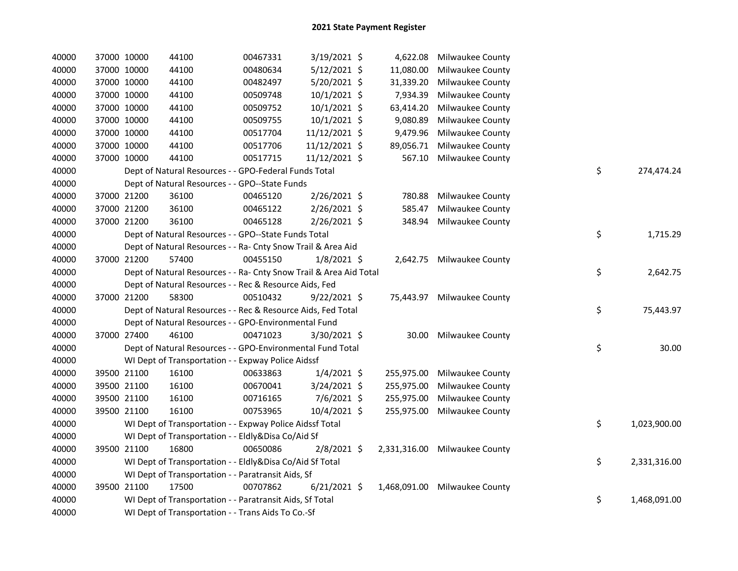| 40000 | 37000 10000 | 44100                                                              | 00467331 | $3/19/2021$ \$ |            | 4,622.08 Milwaukee County     |    |              |
|-------|-------------|--------------------------------------------------------------------|----------|----------------|------------|-------------------------------|----|--------------|
| 40000 | 37000 10000 | 44100                                                              | 00480634 | 5/12/2021 \$   | 11,080.00  | Milwaukee County              |    |              |
| 40000 | 37000 10000 | 44100                                                              | 00482497 | 5/20/2021 \$   | 31,339.20  | Milwaukee County              |    |              |
| 40000 | 37000 10000 | 44100                                                              | 00509748 | 10/1/2021 \$   | 7,934.39   | Milwaukee County              |    |              |
| 40000 | 37000 10000 | 44100                                                              | 00509752 | 10/1/2021 \$   | 63,414.20  | Milwaukee County              |    |              |
| 40000 | 37000 10000 | 44100                                                              | 00509755 | 10/1/2021 \$   | 9,080.89   | Milwaukee County              |    |              |
| 40000 | 37000 10000 | 44100                                                              | 00517704 | 11/12/2021 \$  | 9,479.96   | Milwaukee County              |    |              |
| 40000 | 37000 10000 | 44100                                                              | 00517706 | 11/12/2021 \$  | 89,056.71  | Milwaukee County              |    |              |
| 40000 | 37000 10000 | 44100                                                              | 00517715 | 11/12/2021 \$  | 567.10     | Milwaukee County              |    |              |
| 40000 |             | Dept of Natural Resources - - GPO-Federal Funds Total              |          |                |            |                               | \$ | 274,474.24   |
| 40000 |             | Dept of Natural Resources - - GPO--State Funds                     |          |                |            |                               |    |              |
| 40000 | 37000 21200 | 36100                                                              | 00465120 | 2/26/2021 \$   | 780.88     | Milwaukee County              |    |              |
| 40000 | 37000 21200 | 36100                                                              | 00465122 | 2/26/2021 \$   | 585.47     | <b>Milwaukee County</b>       |    |              |
| 40000 | 37000 21200 | 36100                                                              | 00465128 | 2/26/2021 \$   | 348.94     | Milwaukee County              |    |              |
| 40000 |             | Dept of Natural Resources - - GPO--State Funds Total               |          |                |            |                               | \$ | 1,715.29     |
| 40000 |             | Dept of Natural Resources - - Ra- Cnty Snow Trail & Area Aid       |          |                |            |                               |    |              |
| 40000 | 37000 21200 | 57400                                                              | 00455150 | 1/8/2021 \$    |            | 2,642.75 Milwaukee County     |    |              |
| 40000 |             | Dept of Natural Resources - - Ra- Cnty Snow Trail & Area Aid Total |          |                |            |                               | \$ | 2,642.75     |
| 40000 |             | Dept of Natural Resources - - Rec & Resource Aids, Fed             |          |                |            |                               |    |              |
| 40000 | 37000 21200 | 58300                                                              | 00510432 | $9/22/2021$ \$ |            | 75,443.97 Milwaukee County    |    |              |
| 40000 |             | Dept of Natural Resources - - Rec & Resource Aids, Fed Total       |          |                |            |                               | \$ | 75,443.97    |
| 40000 |             | Dept of Natural Resources - - GPO-Environmental Fund               |          |                |            |                               |    |              |
| 40000 | 37000 27400 | 46100                                                              | 00471023 | 3/30/2021 \$   | 30.00      | Milwaukee County              |    |              |
| 40000 |             | Dept of Natural Resources - - GPO-Environmental Fund Total         |          |                |            |                               | \$ | 30.00        |
| 40000 |             | WI Dept of Transportation - - Expway Police Aidssf                 |          |                |            |                               |    |              |
| 40000 | 39500 21100 | 16100                                                              | 00633863 | $1/4/2021$ \$  | 255,975.00 | <b>Milwaukee County</b>       |    |              |
| 40000 | 39500 21100 | 16100                                                              | 00670041 | 3/24/2021 \$   | 255,975.00 | Milwaukee County              |    |              |
| 40000 | 39500 21100 | 16100                                                              | 00716165 | 7/6/2021 \$    | 255,975.00 | Milwaukee County              |    |              |
| 40000 | 39500 21100 | 16100                                                              | 00753965 | 10/4/2021 \$   | 255,975.00 | Milwaukee County              |    |              |
| 40000 |             | WI Dept of Transportation - - Expway Police Aidssf Total           |          |                |            |                               | \$ | 1,023,900.00 |
| 40000 |             | WI Dept of Transportation - - Eldly&Disa Co/Aid Sf                 |          |                |            |                               |    |              |
| 40000 | 39500 21100 | 16800                                                              | 00650086 | $2/8/2021$ \$  |            | 2,331,316.00 Milwaukee County |    |              |
| 40000 |             | WI Dept of Transportation - - Eldly&Disa Co/Aid Sf Total           |          |                |            |                               | \$ | 2,331,316.00 |
| 40000 |             | WI Dept of Transportation - - Paratransit Aids, Sf                 |          |                |            |                               |    |              |
| 40000 | 39500 21100 | 17500                                                              | 00707862 | $6/21/2021$ \$ |            | 1,468,091.00 Milwaukee County |    |              |
| 40000 |             | WI Dept of Transportation - - Paratransit Aids, Sf Total           |          |                |            |                               | \$ | 1,468,091.00 |
| 40000 |             | WI Dept of Transportation - - Trans Aids To Co.-Sf                 |          |                |            |                               |    |              |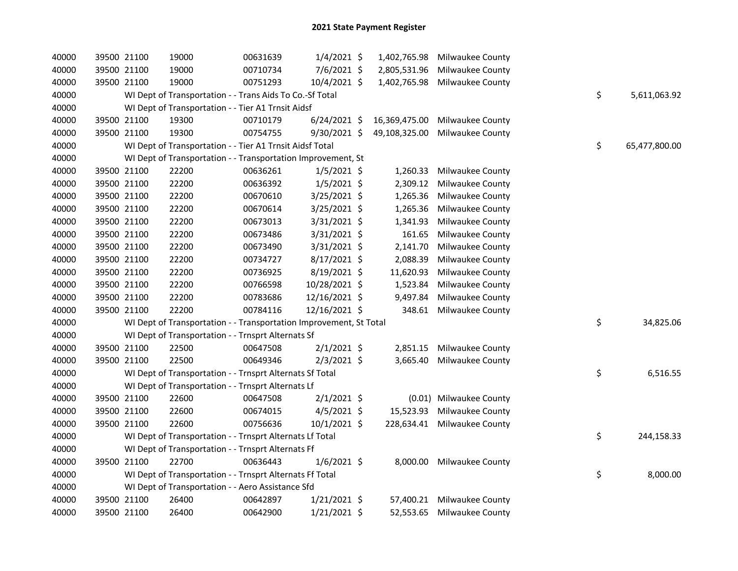| 40000 | 39500 21100 | 19000                                                              | 00631639 | $1/4/2021$ \$  | 1,402,765.98  | Milwaukee County           |    |               |
|-------|-------------|--------------------------------------------------------------------|----------|----------------|---------------|----------------------------|----|---------------|
| 40000 | 39500 21100 | 19000                                                              | 00710734 | 7/6/2021 \$    | 2,805,531.96  | Milwaukee County           |    |               |
| 40000 | 39500 21100 | 19000                                                              | 00751293 | 10/4/2021 \$   | 1,402,765.98  | Milwaukee County           |    |               |
| 40000 |             | WI Dept of Transportation - - Trans Aids To Co.-Sf Total           |          |                |               |                            | \$ | 5,611,063.92  |
| 40000 |             | WI Dept of Transportation - - Tier A1 Trnsit Aidsf                 |          |                |               |                            |    |               |
| 40000 | 39500 21100 | 19300                                                              | 00710179 | $6/24/2021$ \$ | 16,369,475.00 | Milwaukee County           |    |               |
| 40000 | 39500 21100 | 19300                                                              | 00754755 | $9/30/2021$ \$ | 49,108,325.00 | Milwaukee County           |    |               |
| 40000 |             | WI Dept of Transportation - - Tier A1 Trnsit Aidsf Total           |          |                |               |                            | \$ | 65,477,800.00 |
| 40000 |             | WI Dept of Transportation - - Transportation Improvement, St       |          |                |               |                            |    |               |
| 40000 | 39500 21100 | 22200                                                              | 00636261 | $1/5/2021$ \$  | 1,260.33      | Milwaukee County           |    |               |
| 40000 | 39500 21100 | 22200                                                              | 00636392 | $1/5/2021$ \$  | 2,309.12      | Milwaukee County           |    |               |
| 40000 | 39500 21100 | 22200                                                              | 00670610 | 3/25/2021 \$   | 1,265.36      | Milwaukee County           |    |               |
| 40000 | 39500 21100 | 22200                                                              | 00670614 | 3/25/2021 \$   | 1,265.36      | Milwaukee County           |    |               |
| 40000 | 39500 21100 | 22200                                                              | 00673013 | 3/31/2021 \$   | 1,341.93      | Milwaukee County           |    |               |
| 40000 | 39500 21100 | 22200                                                              | 00673486 | 3/31/2021 \$   | 161.65        | Milwaukee County           |    |               |
| 40000 | 39500 21100 | 22200                                                              | 00673490 | 3/31/2021 \$   | 2,141.70      | Milwaukee County           |    |               |
| 40000 | 39500 21100 | 22200                                                              | 00734727 | $8/17/2021$ \$ | 2,088.39      | Milwaukee County           |    |               |
| 40000 | 39500 21100 | 22200                                                              | 00736925 | 8/19/2021 \$   | 11,620.93     | Milwaukee County           |    |               |
| 40000 | 39500 21100 | 22200                                                              | 00766598 | 10/28/2021 \$  | 1,523.84      | Milwaukee County           |    |               |
| 40000 | 39500 21100 | 22200                                                              | 00783686 | 12/16/2021 \$  | 9,497.84      | Milwaukee County           |    |               |
| 40000 | 39500 21100 | 22200                                                              | 00784116 | 12/16/2021 \$  | 348.61        | Milwaukee County           |    |               |
| 40000 |             | WI Dept of Transportation - - Transportation Improvement, St Total |          |                |               |                            | \$ | 34,825.06     |
| 40000 |             | WI Dept of Transportation - - Trnsprt Alternats Sf                 |          |                |               |                            |    |               |
| 40000 | 39500 21100 | 22500                                                              | 00647508 | $2/1/2021$ \$  | 2,851.15      | Milwaukee County           |    |               |
| 40000 | 39500 21100 | 22500                                                              | 00649346 | $2/3/2021$ \$  | 3,665.40      | Milwaukee County           |    |               |
| 40000 |             | WI Dept of Transportation - - Trnsprt Alternats Sf Total           |          |                |               |                            | \$ | 6,516.55      |
| 40000 |             | WI Dept of Transportation - - Trnsprt Alternats Lf                 |          |                |               |                            |    |               |
| 40000 | 39500 21100 | 22600                                                              | 00647508 | $2/1/2021$ \$  |               | (0.01) Milwaukee County    |    |               |
| 40000 | 39500 21100 | 22600                                                              | 00674015 | $4/5/2021$ \$  | 15,523.93     | Milwaukee County           |    |               |
| 40000 | 39500 21100 | 22600                                                              | 00756636 | $10/1/2021$ \$ | 228,634.41    | Milwaukee County           |    |               |
| 40000 |             | WI Dept of Transportation - - Trnsprt Alternats Lf Total           |          |                |               |                            | \$ | 244,158.33    |
| 40000 |             | WI Dept of Transportation - - Trnsprt Alternats Ff                 |          |                |               |                            |    |               |
| 40000 | 39500 21100 | 22700                                                              | 00636443 | $1/6/2021$ \$  |               | 8,000.00 Milwaukee County  |    |               |
| 40000 |             | WI Dept of Transportation - - Trnsprt Alternats Ff Total           |          |                |               |                            | \$ | 8,000.00      |
| 40000 |             | WI Dept of Transportation - - Aero Assistance Sfd                  |          |                |               |                            |    |               |
| 40000 | 39500 21100 | 26400                                                              | 00642897 | $1/21/2021$ \$ |               | 57,400.21 Milwaukee County |    |               |
| 40000 | 39500 21100 | 26400                                                              | 00642900 | 1/21/2021 \$   | 52,553.65     | Milwaukee County           |    |               |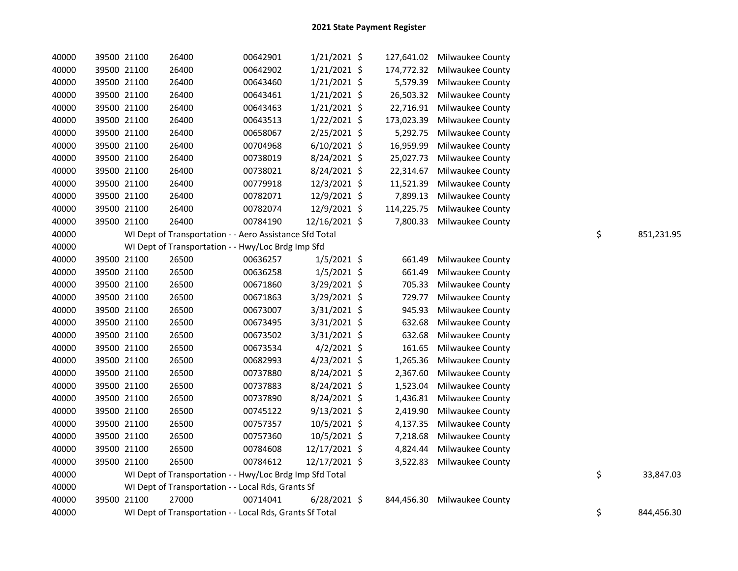| 40000 | 39500 21100 | 26400                                                    | 00642901 | $1/21/2021$ \$ | 127,641.02 | Milwaukee County        |    |            |
|-------|-------------|----------------------------------------------------------|----------|----------------|------------|-------------------------|----|------------|
| 40000 | 39500 21100 | 26400                                                    | 00642902 | $1/21/2021$ \$ | 174,772.32 | <b>Milwaukee County</b> |    |            |
| 40000 | 39500 21100 | 26400                                                    | 00643460 | $1/21/2021$ \$ | 5,579.39   | Milwaukee County        |    |            |
| 40000 | 39500 21100 | 26400                                                    | 00643461 | $1/21/2021$ \$ | 26,503.32  | Milwaukee County        |    |            |
| 40000 | 39500 21100 | 26400                                                    | 00643463 | $1/21/2021$ \$ | 22,716.91  | <b>Milwaukee County</b> |    |            |
| 40000 | 39500 21100 | 26400                                                    | 00643513 | $1/22/2021$ \$ | 173,023.39 | Milwaukee County        |    |            |
| 40000 | 39500 21100 | 26400                                                    | 00658067 | $2/25/2021$ \$ | 5,292.75   | Milwaukee County        |    |            |
| 40000 | 39500 21100 | 26400                                                    | 00704968 | $6/10/2021$ \$ | 16,959.99  | Milwaukee County        |    |            |
| 40000 | 39500 21100 | 26400                                                    | 00738019 | 8/24/2021 \$   | 25,027.73  | Milwaukee County        |    |            |
| 40000 | 39500 21100 | 26400                                                    | 00738021 | 8/24/2021 \$   | 22,314.67  | Milwaukee County        |    |            |
| 40000 | 39500 21100 | 26400                                                    | 00779918 | 12/3/2021 \$   | 11,521.39  | <b>Milwaukee County</b> |    |            |
| 40000 | 39500 21100 | 26400                                                    | 00782071 | 12/9/2021 \$   | 7,899.13   | Milwaukee County        |    |            |
| 40000 | 39500 21100 | 26400                                                    | 00782074 | 12/9/2021 \$   | 114,225.75 | Milwaukee County        |    |            |
| 40000 | 39500 21100 | 26400                                                    | 00784190 | 12/16/2021 \$  | 7,800.33   | Milwaukee County        |    |            |
| 40000 |             | WI Dept of Transportation - - Aero Assistance Sfd Total  |          |                |            |                         | \$ | 851,231.95 |
| 40000 |             | WI Dept of Transportation - - Hwy/Loc Brdg Imp Sfd       |          |                |            |                         |    |            |
| 40000 | 39500 21100 | 26500                                                    | 00636257 | $1/5/2021$ \$  | 661.49     | Milwaukee County        |    |            |
| 40000 | 39500 21100 | 26500                                                    | 00636258 | $1/5/2021$ \$  | 661.49     | Milwaukee County        |    |            |
| 40000 | 39500 21100 | 26500                                                    | 00671860 | 3/29/2021 \$   | 705.33     | Milwaukee County        |    |            |
| 40000 | 39500 21100 | 26500                                                    | 00671863 | 3/29/2021 \$   | 729.77     | Milwaukee County        |    |            |
| 40000 | 39500 21100 | 26500                                                    | 00673007 | 3/31/2021 \$   | 945.93     | Milwaukee County        |    |            |
| 40000 | 39500 21100 | 26500                                                    | 00673495 | 3/31/2021 \$   | 632.68     | Milwaukee County        |    |            |
| 40000 | 39500 21100 | 26500                                                    | 00673502 | 3/31/2021 \$   | 632.68     | Milwaukee County        |    |            |
| 40000 | 39500 21100 | 26500                                                    | 00673534 | $4/2/2021$ \$  | 161.65     | Milwaukee County        |    |            |
| 40000 | 39500 21100 | 26500                                                    | 00682993 | 4/23/2021 \$   | 1,265.36   | <b>Milwaukee County</b> |    |            |
| 40000 | 39500 21100 | 26500                                                    | 00737880 | 8/24/2021 \$   | 2,367.60   | <b>Milwaukee County</b> |    |            |
| 40000 | 39500 21100 | 26500                                                    | 00737883 | 8/24/2021 \$   | 1,523.04   | <b>Milwaukee County</b> |    |            |
| 40000 | 39500 21100 | 26500                                                    | 00737890 | 8/24/2021 \$   | 1,436.81   | Milwaukee County        |    |            |
| 40000 | 39500 21100 | 26500                                                    | 00745122 | 9/13/2021 \$   | 2,419.90   | Milwaukee County        |    |            |
| 40000 | 39500 21100 | 26500                                                    | 00757357 | 10/5/2021 \$   | 4,137.35   | <b>Milwaukee County</b> |    |            |
| 40000 | 39500 21100 | 26500                                                    | 00757360 | 10/5/2021 \$   | 7,218.68   | <b>Milwaukee County</b> |    |            |
| 40000 | 39500 21100 | 26500                                                    | 00784608 | 12/17/2021 \$  | 4,824.44   | Milwaukee County        |    |            |
| 40000 | 39500 21100 | 26500                                                    | 00784612 | 12/17/2021 \$  | 3,522.83   | <b>Milwaukee County</b> |    |            |
| 40000 |             | WI Dept of Transportation - - Hwy/Loc Brdg Imp Sfd Total |          |                |            |                         | \$ | 33,847.03  |
| 40000 |             | WI Dept of Transportation - - Local Rds, Grants Sf       |          |                |            |                         |    |            |
| 40000 | 39500 21100 | 27000                                                    | 00714041 | $6/28/2021$ \$ | 844,456.30 | Milwaukee County        |    |            |
| 40000 |             | WI Dept of Transportation - - Local Rds, Grants Sf Total |          |                |            |                         | \$ | 844,456.30 |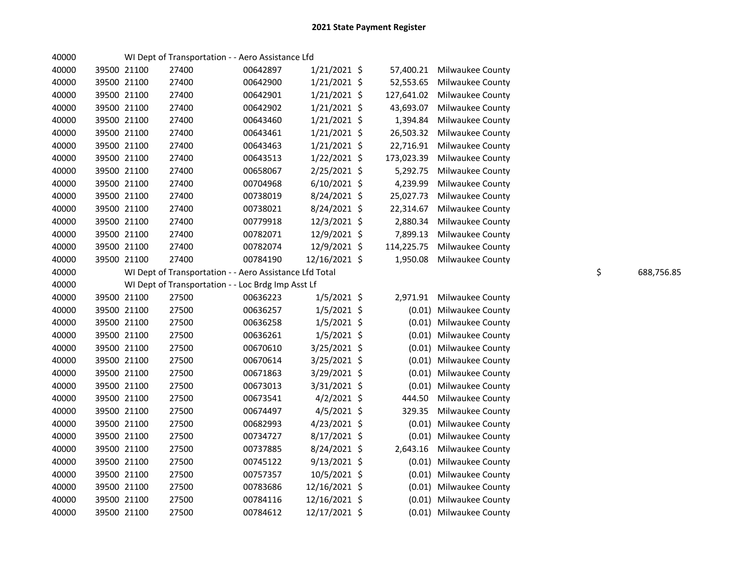| 40000 |             |             | WI Dept of Transportation - - Aero Assistance Lfd       |          |                |            |                         |                  |
|-------|-------------|-------------|---------------------------------------------------------|----------|----------------|------------|-------------------------|------------------|
| 40000 |             | 39500 21100 | 27400                                                   | 00642897 | $1/21/2021$ \$ | 57,400.21  | Milwaukee County        |                  |
| 40000 |             | 39500 21100 | 27400                                                   | 00642900 | $1/21/2021$ \$ | 52,553.65  | <b>Milwaukee County</b> |                  |
| 40000 |             | 39500 21100 | 27400                                                   | 00642901 | $1/21/2021$ \$ | 127,641.02 | Milwaukee County        |                  |
| 40000 |             | 39500 21100 | 27400                                                   | 00642902 | $1/21/2021$ \$ | 43,693.07  | Milwaukee County        |                  |
| 40000 |             | 39500 21100 | 27400                                                   | 00643460 | 1/21/2021 \$   | 1,394.84   | Milwaukee County        |                  |
| 40000 |             | 39500 21100 | 27400                                                   | 00643461 | $1/21/2021$ \$ | 26,503.32  | <b>Milwaukee County</b> |                  |
| 40000 |             | 39500 21100 | 27400                                                   | 00643463 | $1/21/2021$ \$ | 22,716.91  | Milwaukee County        |                  |
| 40000 |             | 39500 21100 | 27400                                                   | 00643513 | $1/22/2021$ \$ | 173,023.39 | Milwaukee County        |                  |
| 40000 |             | 39500 21100 | 27400                                                   | 00658067 | $2/25/2021$ \$ | 5,292.75   | Milwaukee County        |                  |
| 40000 | 39500 21100 |             | 27400                                                   | 00704968 | $6/10/2021$ \$ | 4,239.99   | Milwaukee County        |                  |
| 40000 | 39500 21100 |             | 27400                                                   | 00738019 | 8/24/2021 \$   | 25,027.73  | Milwaukee County        |                  |
| 40000 | 39500 21100 |             | 27400                                                   | 00738021 | 8/24/2021 \$   | 22,314.67  | Milwaukee County        |                  |
| 40000 | 39500 21100 |             | 27400                                                   | 00779918 | 12/3/2021 \$   | 2,880.34   | Milwaukee County        |                  |
| 40000 | 39500 21100 |             | 27400                                                   | 00782071 | 12/9/2021 \$   | 7,899.13   | Milwaukee County        |                  |
| 40000 | 39500 21100 |             | 27400                                                   | 00782074 | 12/9/2021 \$   | 114,225.75 | Milwaukee County        |                  |
| 40000 | 39500 21100 |             | 27400                                                   | 00784190 | 12/16/2021 \$  | 1,950.08   | Milwaukee County        |                  |
| 40000 |             |             | WI Dept of Transportation - - Aero Assistance Lfd Total |          |                |            |                         | \$<br>688,756.85 |
| 40000 |             |             | WI Dept of Transportation - - Loc Brdg Imp Asst Lf      |          |                |            |                         |                  |
| 40000 |             | 39500 21100 | 27500                                                   | 00636223 | $1/5/2021$ \$  | 2,971.91   | Milwaukee County        |                  |
| 40000 | 39500 21100 |             | 27500                                                   | 00636257 | $1/5/2021$ \$  | (0.01)     | Milwaukee County        |                  |
| 40000 | 39500 21100 |             | 27500                                                   | 00636258 | $1/5/2021$ \$  |            | (0.01) Milwaukee County |                  |
| 40000 | 39500 21100 |             | 27500                                                   | 00636261 | $1/5/2021$ \$  |            | (0.01) Milwaukee County |                  |
| 40000 | 39500 21100 |             | 27500                                                   | 00670610 | 3/25/2021 \$   |            | (0.01) Milwaukee County |                  |
| 40000 | 39500 21100 |             | 27500                                                   | 00670614 | 3/25/2021 \$   |            | (0.01) Milwaukee County |                  |
| 40000 | 39500 21100 |             | 27500                                                   | 00671863 | 3/29/2021 \$   |            | (0.01) Milwaukee County |                  |
| 40000 |             | 39500 21100 | 27500                                                   | 00673013 | 3/31/2021 \$   | (0.01)     | Milwaukee County        |                  |
| 40000 |             | 39500 21100 | 27500                                                   | 00673541 | $4/2/2021$ \$  | 444.50     | <b>Milwaukee County</b> |                  |
| 40000 | 39500 21100 |             | 27500                                                   | 00674497 | $4/5/2021$ \$  | 329.35     | <b>Milwaukee County</b> |                  |
| 40000 |             | 39500 21100 | 27500                                                   | 00682993 | $4/23/2021$ \$ | (0.01)     | Milwaukee County        |                  |
| 40000 | 39500 21100 |             | 27500                                                   | 00734727 | $8/17/2021$ \$ | (0.01)     | Milwaukee County        |                  |
| 40000 | 39500 21100 |             | 27500                                                   | 00737885 | 8/24/2021 \$   | 2,643.16   | Milwaukee County        |                  |
| 40000 |             | 39500 21100 | 27500                                                   | 00745122 | $9/13/2021$ \$ |            | (0.01) Milwaukee County |                  |
| 40000 |             | 39500 21100 | 27500                                                   | 00757357 | 10/5/2021 \$   |            | (0.01) Milwaukee County |                  |
| 40000 |             | 39500 21100 | 27500                                                   | 00783686 | 12/16/2021 \$  |            | (0.01) Milwaukee County |                  |
| 40000 |             | 39500 21100 | 27500                                                   | 00784116 | 12/16/2021 \$  |            | (0.01) Milwaukee County |                  |
| 40000 |             | 39500 21100 | 27500                                                   | 00784612 | 12/17/2021 \$  |            | (0.01) Milwaukee County |                  |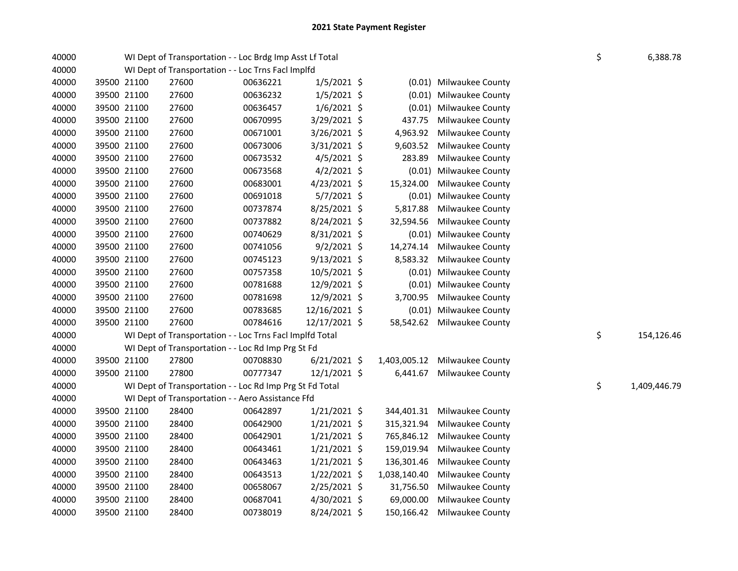| 40000 |             | WI Dept of Transportation - - Loc Brdg Imp Asst Lf Total |          |                |              |                            | \$ | 6,388.78     |
|-------|-------------|----------------------------------------------------------|----------|----------------|--------------|----------------------------|----|--------------|
| 40000 |             | WI Dept of Transportation - - Loc Trns Facl Implfd       |          |                |              |                            |    |              |
| 40000 | 39500 21100 | 27600                                                    | 00636221 | $1/5/2021$ \$  |              | (0.01) Milwaukee County    |    |              |
| 40000 | 39500 21100 | 27600                                                    | 00636232 | $1/5/2021$ \$  |              | (0.01) Milwaukee County    |    |              |
| 40000 | 39500 21100 | 27600                                                    | 00636457 | $1/6/2021$ \$  |              | (0.01) Milwaukee County    |    |              |
| 40000 | 39500 21100 | 27600                                                    | 00670995 | 3/29/2021 \$   | 437.75       | Milwaukee County           |    |              |
| 40000 | 39500 21100 | 27600                                                    | 00671001 | $3/26/2021$ \$ | 4,963.92     | Milwaukee County           |    |              |
| 40000 | 39500 21100 | 27600                                                    | 00673006 | $3/31/2021$ \$ | 9,603.52     | Milwaukee County           |    |              |
| 40000 | 39500 21100 | 27600                                                    | 00673532 | $4/5/2021$ \$  | 283.89       | Milwaukee County           |    |              |
| 40000 | 39500 21100 | 27600                                                    | 00673568 | $4/2/2021$ \$  |              | (0.01) Milwaukee County    |    |              |
| 40000 | 39500 21100 | 27600                                                    | 00683001 | $4/23/2021$ \$ | 15,324.00    | Milwaukee County           |    |              |
| 40000 | 39500 21100 | 27600                                                    | 00691018 | $5/7/2021$ \$  |              | (0.01) Milwaukee County    |    |              |
| 40000 | 39500 21100 | 27600                                                    | 00737874 | 8/25/2021 \$   | 5,817.88     | Milwaukee County           |    |              |
| 40000 | 39500 21100 | 27600                                                    | 00737882 | 8/24/2021 \$   | 32,594.56    | Milwaukee County           |    |              |
| 40000 | 39500 21100 | 27600                                                    | 00740629 | 8/31/2021 \$   |              | (0.01) Milwaukee County    |    |              |
| 40000 | 39500 21100 | 27600                                                    | 00741056 | $9/2/2021$ \$  | 14,274.14    | Milwaukee County           |    |              |
| 40000 | 39500 21100 | 27600                                                    | 00745123 | $9/13/2021$ \$ | 8,583.32     | Milwaukee County           |    |              |
| 40000 | 39500 21100 | 27600                                                    | 00757358 | 10/5/2021 \$   |              | (0.01) Milwaukee County    |    |              |
| 40000 | 39500 21100 | 27600                                                    | 00781688 | 12/9/2021 \$   |              | (0.01) Milwaukee County    |    |              |
| 40000 | 39500 21100 | 27600                                                    | 00781698 | 12/9/2021 \$   | 3,700.95     | Milwaukee County           |    |              |
| 40000 | 39500 21100 | 27600                                                    | 00783685 | 12/16/2021 \$  |              | (0.01) Milwaukee County    |    |              |
| 40000 | 39500 21100 | 27600                                                    | 00784616 | 12/17/2021 \$  |              | 58,542.62 Milwaukee County |    |              |
| 40000 |             | WI Dept of Transportation - - Loc Trns Facl Implfd Total |          |                |              |                            | \$ | 154,126.46   |
| 40000 |             | WI Dept of Transportation - - Loc Rd Imp Prg St Fd       |          |                |              |                            |    |              |
| 40000 | 39500 21100 | 27800                                                    | 00708830 | $6/21/2021$ \$ | 1,403,005.12 | Milwaukee County           |    |              |
| 40000 | 39500 21100 | 27800                                                    | 00777347 | 12/1/2021 \$   | 6,441.67     | Milwaukee County           |    |              |
| 40000 |             | WI Dept of Transportation - - Loc Rd Imp Prg St Fd Total |          |                |              |                            | \$ | 1,409,446.79 |
| 40000 |             | WI Dept of Transportation - - Aero Assistance Ffd        |          |                |              |                            |    |              |
| 40000 | 39500 21100 | 28400                                                    | 00642897 | $1/21/2021$ \$ | 344,401.31   | Milwaukee County           |    |              |
| 40000 | 39500 21100 | 28400                                                    | 00642900 | $1/21/2021$ \$ | 315,321.94   | Milwaukee County           |    |              |
| 40000 | 39500 21100 | 28400                                                    | 00642901 | $1/21/2021$ \$ | 765,846.12   | Milwaukee County           |    |              |
| 40000 | 39500 21100 | 28400                                                    | 00643461 | $1/21/2021$ \$ | 159,019.94   | Milwaukee County           |    |              |
| 40000 | 39500 21100 | 28400                                                    | 00643463 | $1/21/2021$ \$ | 136,301.46   | Milwaukee County           |    |              |
| 40000 | 39500 21100 | 28400                                                    | 00643513 | $1/22/2021$ \$ | 1,038,140.40 | Milwaukee County           |    |              |
| 40000 | 39500 21100 | 28400                                                    | 00658067 | 2/25/2021 \$   | 31,756.50    | Milwaukee County           |    |              |
| 40000 | 39500 21100 | 28400                                                    | 00687041 | 4/30/2021 \$   | 69,000.00    | Milwaukee County           |    |              |
| 40000 | 39500 21100 | 28400                                                    | 00738019 | 8/24/2021 \$   | 150,166.42   | Milwaukee County           |    |              |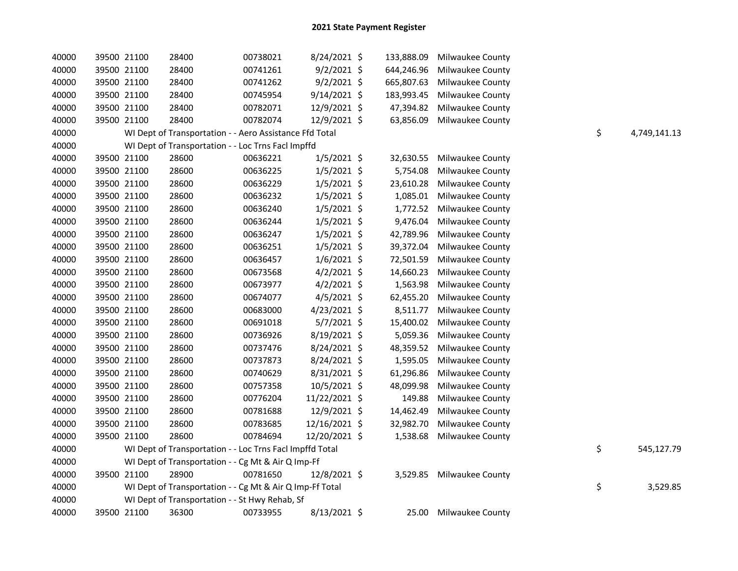| 40000 | 39500 21100 | 28400                                                    | 00738021 | 8/24/2021 \$   | 133,888.09 | <b>Milwaukee County</b>   |    |              |
|-------|-------------|----------------------------------------------------------|----------|----------------|------------|---------------------------|----|--------------|
| 40000 | 39500 21100 | 28400                                                    | 00741261 | $9/2/2021$ \$  | 644,246.96 | Milwaukee County          |    |              |
| 40000 | 39500 21100 | 28400                                                    | 00741262 | $9/2/2021$ \$  | 665,807.63 | Milwaukee County          |    |              |
| 40000 | 39500 21100 | 28400                                                    | 00745954 | $9/14/2021$ \$ | 183,993.45 | Milwaukee County          |    |              |
| 40000 | 39500 21100 | 28400                                                    | 00782071 | 12/9/2021 \$   | 47,394.82  | Milwaukee County          |    |              |
| 40000 | 39500 21100 | 28400                                                    | 00782074 | 12/9/2021 \$   | 63,856.09  | Milwaukee County          |    |              |
| 40000 |             | WI Dept of Transportation - - Aero Assistance Ffd Total  |          |                |            |                           | \$ | 4,749,141.13 |
| 40000 |             | WI Dept of Transportation - - Loc Trns Facl Impffd       |          |                |            |                           |    |              |
| 40000 | 39500 21100 | 28600                                                    | 00636221 | $1/5/2021$ \$  | 32,630.55  | Milwaukee County          |    |              |
| 40000 | 39500 21100 | 28600                                                    | 00636225 | $1/5/2021$ \$  | 5,754.08   | Milwaukee County          |    |              |
| 40000 | 39500 21100 | 28600                                                    | 00636229 | $1/5/2021$ \$  | 23,610.28  | Milwaukee County          |    |              |
| 40000 | 39500 21100 | 28600                                                    | 00636232 | $1/5/2021$ \$  | 1,085.01   | Milwaukee County          |    |              |
| 40000 | 39500 21100 | 28600                                                    | 00636240 | $1/5/2021$ \$  | 1,772.52   | Milwaukee County          |    |              |
| 40000 | 39500 21100 | 28600                                                    | 00636244 | $1/5/2021$ \$  | 9,476.04   | Milwaukee County          |    |              |
| 40000 | 39500 21100 | 28600                                                    | 00636247 | $1/5/2021$ \$  | 42,789.96  | Milwaukee County          |    |              |
| 40000 | 39500 21100 | 28600                                                    | 00636251 | $1/5/2021$ \$  | 39,372.04  | <b>Milwaukee County</b>   |    |              |
| 40000 | 39500 21100 | 28600                                                    | 00636457 | $1/6/2021$ \$  | 72,501.59  | Milwaukee County          |    |              |
| 40000 | 39500 21100 | 28600                                                    | 00673568 | $4/2/2021$ \$  | 14,660.23  | Milwaukee County          |    |              |
| 40000 | 39500 21100 | 28600                                                    | 00673977 | $4/2/2021$ \$  | 1,563.98   | <b>Milwaukee County</b>   |    |              |
| 40000 | 39500 21100 | 28600                                                    | 00674077 | $4/5/2021$ \$  | 62,455.20  | Milwaukee County          |    |              |
| 40000 | 39500 21100 | 28600                                                    | 00683000 | $4/23/2021$ \$ | 8,511.77   | Milwaukee County          |    |              |
| 40000 | 39500 21100 | 28600                                                    | 00691018 | 5/7/2021 \$    | 15,400.02  | Milwaukee County          |    |              |
| 40000 | 39500 21100 | 28600                                                    | 00736926 | 8/19/2021 \$   | 5,059.36   | Milwaukee County          |    |              |
| 40000 | 39500 21100 | 28600                                                    | 00737476 | 8/24/2021 \$   | 48,359.52  | <b>Milwaukee County</b>   |    |              |
| 40000 | 39500 21100 | 28600                                                    | 00737873 | 8/24/2021 \$   | 1,595.05   | Milwaukee County          |    |              |
| 40000 | 39500 21100 | 28600                                                    | 00740629 | 8/31/2021 \$   | 61,296.86  | Milwaukee County          |    |              |
| 40000 | 39500 21100 | 28600                                                    | 00757358 | 10/5/2021 \$   | 48,099.98  | Milwaukee County          |    |              |
| 40000 | 39500 21100 | 28600                                                    | 00776204 | 11/22/2021 \$  | 149.88     | <b>Milwaukee County</b>   |    |              |
| 40000 | 39500 21100 | 28600                                                    | 00781688 | 12/9/2021 \$   | 14,462.49  | Milwaukee County          |    |              |
| 40000 | 39500 21100 | 28600                                                    | 00783685 | 12/16/2021 \$  | 32,982.70  | Milwaukee County          |    |              |
| 40000 | 39500 21100 | 28600                                                    | 00784694 | 12/20/2021 \$  | 1,538.68   | <b>Milwaukee County</b>   |    |              |
| 40000 |             | WI Dept of Transportation - - Loc Trns Facl Impffd Total |          |                |            |                           | \$ | 545,127.79   |
| 40000 |             | WI Dept of Transportation - - Cg Mt & Air Q Imp-Ff       |          |                |            |                           |    |              |
| 40000 | 39500 21100 | 28900                                                    | 00781650 | 12/8/2021 \$   |            | 3,529.85 Milwaukee County |    |              |
| 40000 |             | WI Dept of Transportation - - Cg Mt & Air Q Imp-Ff Total |          |                |            |                           | \$ | 3,529.85     |
| 40000 |             | WI Dept of Transportation - - St Hwy Rehab, Sf           |          |                |            |                           |    |              |
| 40000 | 39500 21100 | 36300                                                    | 00733955 | $8/13/2021$ \$ | 25.00      | Milwaukee County          |    |              |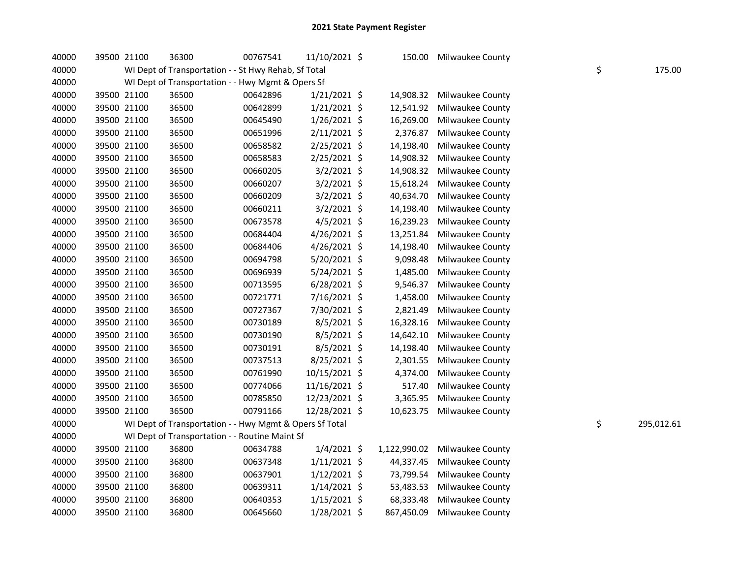| 40000 | 39500 21100 | 36300                                                   | 00767541 | 11/10/2021 \$  | 150.00       | Milwaukee County        |    |            |
|-------|-------------|---------------------------------------------------------|----------|----------------|--------------|-------------------------|----|------------|
| 40000 |             | WI Dept of Transportation - - St Hwy Rehab, Sf Total    |          |                |              |                         | \$ | 175.00     |
| 40000 |             | WI Dept of Transportation - - Hwy Mgmt & Opers Sf       |          |                |              |                         |    |            |
| 40000 | 39500 21100 | 36500                                                   | 00642896 | $1/21/2021$ \$ | 14,908.32    | Milwaukee County        |    |            |
| 40000 | 39500 21100 | 36500                                                   | 00642899 | $1/21/2021$ \$ | 12,541.92    | Milwaukee County        |    |            |
| 40000 | 39500 21100 | 36500                                                   | 00645490 | $1/26/2021$ \$ | 16,269.00    | Milwaukee County        |    |            |
| 40000 | 39500 21100 | 36500                                                   | 00651996 | $2/11/2021$ \$ | 2,376.87     | Milwaukee County        |    |            |
| 40000 | 39500 21100 | 36500                                                   | 00658582 | $2/25/2021$ \$ | 14,198.40    | Milwaukee County        |    |            |
| 40000 | 39500 21100 | 36500                                                   | 00658583 | 2/25/2021 \$   | 14,908.32    | Milwaukee County        |    |            |
| 40000 | 39500 21100 | 36500                                                   | 00660205 | 3/2/2021 \$    | 14,908.32    | Milwaukee County        |    |            |
| 40000 | 39500 21100 | 36500                                                   | 00660207 | $3/2/2021$ \$  | 15,618.24    | Milwaukee County        |    |            |
| 40000 | 39500 21100 | 36500                                                   | 00660209 | $3/2/2021$ \$  | 40,634.70    | Milwaukee County        |    |            |
| 40000 | 39500 21100 | 36500                                                   | 00660211 | 3/2/2021 \$    | 14,198.40    | Milwaukee County        |    |            |
| 40000 | 39500 21100 | 36500                                                   | 00673578 | $4/5/2021$ \$  | 16,239.23    | Milwaukee County        |    |            |
| 40000 | 39500 21100 | 36500                                                   | 00684404 | $4/26/2021$ \$ | 13,251.84    | Milwaukee County        |    |            |
| 40000 | 39500 21100 | 36500                                                   | 00684406 | 4/26/2021 \$   | 14,198.40    | Milwaukee County        |    |            |
| 40000 | 39500 21100 | 36500                                                   | 00694798 | 5/20/2021 \$   | 9,098.48     | Milwaukee County        |    |            |
| 40000 | 39500 21100 | 36500                                                   | 00696939 | 5/24/2021 \$   | 1,485.00     | Milwaukee County        |    |            |
| 40000 | 39500 21100 | 36500                                                   | 00713595 | $6/28/2021$ \$ | 9,546.37     | Milwaukee County        |    |            |
| 40000 | 39500 21100 | 36500                                                   | 00721771 | 7/16/2021 \$   | 1,458.00     | Milwaukee County        |    |            |
| 40000 | 39500 21100 | 36500                                                   | 00727367 | 7/30/2021 \$   | 2,821.49     | Milwaukee County        |    |            |
| 40000 | 39500 21100 | 36500                                                   | 00730189 | 8/5/2021 \$    | 16,328.16    | Milwaukee County        |    |            |
| 40000 | 39500 21100 | 36500                                                   | 00730190 | 8/5/2021 \$    | 14,642.10    | Milwaukee County        |    |            |
| 40000 | 39500 21100 | 36500                                                   | 00730191 | 8/5/2021 \$    | 14,198.40    | Milwaukee County        |    |            |
| 40000 | 39500 21100 | 36500                                                   | 00737513 | 8/25/2021 \$   | 2,301.55     | Milwaukee County        |    |            |
| 40000 | 39500 21100 | 36500                                                   | 00761990 | 10/15/2021 \$  | 4,374.00     | Milwaukee County        |    |            |
| 40000 | 39500 21100 | 36500                                                   | 00774066 | 11/16/2021 \$  | 517.40       | Milwaukee County        |    |            |
| 40000 | 39500 21100 | 36500                                                   | 00785850 | 12/23/2021 \$  | 3,365.95     | Milwaukee County        |    |            |
| 40000 | 39500 21100 | 36500                                                   | 00791166 | 12/28/2021 \$  | 10,623.75    | <b>Milwaukee County</b> |    |            |
| 40000 |             | WI Dept of Transportation - - Hwy Mgmt & Opers Sf Total |          |                |              |                         | \$ | 295,012.61 |
| 40000 |             | WI Dept of Transportation - - Routine Maint Sf          |          |                |              |                         |    |            |
| 40000 | 39500 21100 | 36800                                                   | 00634788 | $1/4/2021$ \$  | 1,122,990.02 | Milwaukee County        |    |            |
| 40000 | 39500 21100 | 36800                                                   | 00637348 | $1/11/2021$ \$ | 44,337.45    | Milwaukee County        |    |            |
| 40000 | 39500 21100 | 36800                                                   | 00637901 | $1/12/2021$ \$ | 73,799.54    | Milwaukee County        |    |            |
| 40000 | 39500 21100 | 36800                                                   | 00639311 | $1/14/2021$ \$ | 53,483.53    | Milwaukee County        |    |            |
| 40000 | 39500 21100 | 36800                                                   | 00640353 | $1/15/2021$ \$ | 68,333.48    | Milwaukee County        |    |            |
| 40000 | 39500 21100 | 36800                                                   | 00645660 | 1/28/2021 \$   | 867,450.09   | Milwaukee County        |    |            |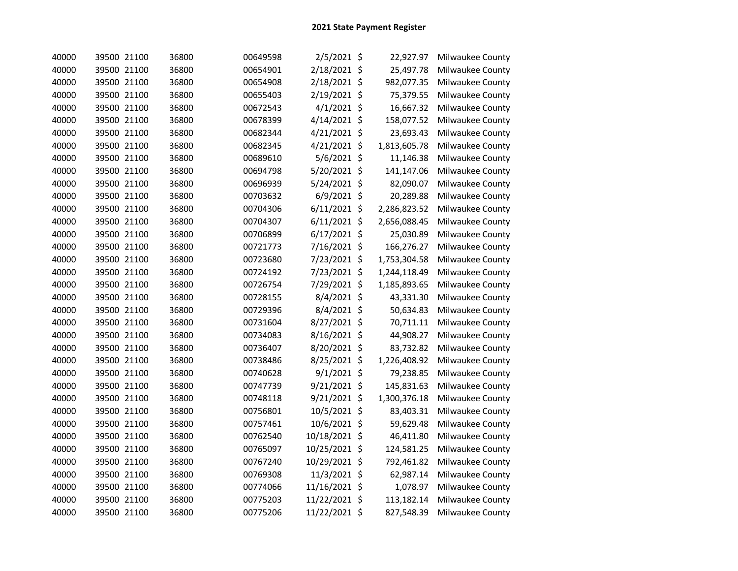| 40000 | 39500 21100 | 36800 | 00649598 | $2/5/2021$ \$  | 22,927.97    | Milwaukee County |
|-------|-------------|-------|----------|----------------|--------------|------------------|
| 40000 | 39500 21100 | 36800 | 00654901 | 2/18/2021 \$   | 25,497.78    | Milwaukee County |
| 40000 | 39500 21100 | 36800 | 00654908 | 2/18/2021 \$   | 982,077.35   | Milwaukee County |
| 40000 | 39500 21100 | 36800 | 00655403 | 2/19/2021 \$   | 75,379.55    | Milwaukee County |
| 40000 | 39500 21100 | 36800 | 00672543 | $4/1/2021$ \$  | 16,667.32    | Milwaukee County |
| 40000 | 39500 21100 | 36800 | 00678399 | 4/14/2021 \$   | 158,077.52   | Milwaukee County |
| 40000 | 39500 21100 | 36800 | 00682344 | 4/21/2021 \$   | 23,693.43    | Milwaukee County |
| 40000 | 39500 21100 | 36800 | 00682345 | 4/21/2021 \$   | 1,813,605.78 | Milwaukee County |
| 40000 | 39500 21100 | 36800 | 00689610 | 5/6/2021 \$    | 11,146.38    | Milwaukee County |
| 40000 | 39500 21100 | 36800 | 00694798 | 5/20/2021 \$   | 141,147.06   | Milwaukee County |
| 40000 | 39500 21100 | 36800 | 00696939 | 5/24/2021 \$   | 82,090.07    | Milwaukee County |
| 40000 | 39500 21100 | 36800 | 00703632 | 6/9/2021 \$    | 20,289.88    | Milwaukee County |
| 40000 | 39500 21100 | 36800 | 00704306 | $6/11/2021$ \$ | 2,286,823.52 | Milwaukee County |
| 40000 | 39500 21100 | 36800 | 00704307 | $6/11/2021$ \$ | 2,656,088.45 | Milwaukee County |
| 40000 | 39500 21100 | 36800 | 00706899 | $6/17/2021$ \$ | 25,030.89    | Milwaukee County |
| 40000 | 39500 21100 | 36800 | 00721773 | 7/16/2021 \$   | 166,276.27   | Milwaukee County |
| 40000 | 39500 21100 | 36800 | 00723680 | 7/23/2021 \$   | 1,753,304.58 | Milwaukee County |
| 40000 | 39500 21100 | 36800 | 00724192 | 7/23/2021 \$   | 1,244,118.49 | Milwaukee County |
| 40000 | 39500 21100 | 36800 | 00726754 | 7/29/2021 \$   | 1,185,893.65 | Milwaukee County |
| 40000 | 39500 21100 | 36800 | 00728155 | 8/4/2021 \$    | 43,331.30    | Milwaukee County |
| 40000 | 39500 21100 | 36800 | 00729396 | 8/4/2021 \$    | 50,634.83    | Milwaukee County |
| 40000 | 39500 21100 | 36800 | 00731604 | 8/27/2021 \$   | 70,711.11    | Milwaukee County |
| 40000 | 39500 21100 | 36800 | 00734083 | 8/16/2021 \$   | 44,908.27    | Milwaukee County |
| 40000 | 39500 21100 | 36800 | 00736407 | 8/20/2021 \$   | 83,732.82    | Milwaukee County |
| 40000 | 39500 21100 | 36800 | 00738486 | 8/25/2021 \$   | 1,226,408.92 | Milwaukee County |
| 40000 | 39500 21100 | 36800 | 00740628 | $9/1/2021$ \$  | 79,238.85    | Milwaukee County |
| 40000 | 39500 21100 | 36800 | 00747739 | 9/21/2021 \$   | 145,831.63   | Milwaukee County |
| 40000 | 39500 21100 | 36800 | 00748118 | 9/21/2021 \$   | 1,300,376.18 | Milwaukee County |
| 40000 | 39500 21100 | 36800 | 00756801 | 10/5/2021 \$   | 83,403.31    | Milwaukee County |
| 40000 | 39500 21100 | 36800 | 00757461 | 10/6/2021 \$   | 59,629.48    | Milwaukee County |
| 40000 | 39500 21100 | 36800 | 00762540 | 10/18/2021 \$  | 46,411.80    | Milwaukee County |
| 40000 | 39500 21100 | 36800 | 00765097 | 10/25/2021 \$  | 124,581.25   | Milwaukee County |
| 40000 | 39500 21100 | 36800 | 00767240 | 10/29/2021 \$  | 792,461.82   | Milwaukee County |
| 40000 | 39500 21100 | 36800 | 00769308 | 11/3/2021 \$   | 62,987.14    | Milwaukee County |
| 40000 | 39500 21100 | 36800 | 00774066 | 11/16/2021 \$  | 1,078.97     | Milwaukee County |
| 40000 | 39500 21100 | 36800 | 00775203 | 11/22/2021 \$  | 113,182.14   | Milwaukee County |
| 40000 | 39500 21100 | 36800 | 00775206 | 11/22/2021 \$  | 827,548.39   | Milwaukee County |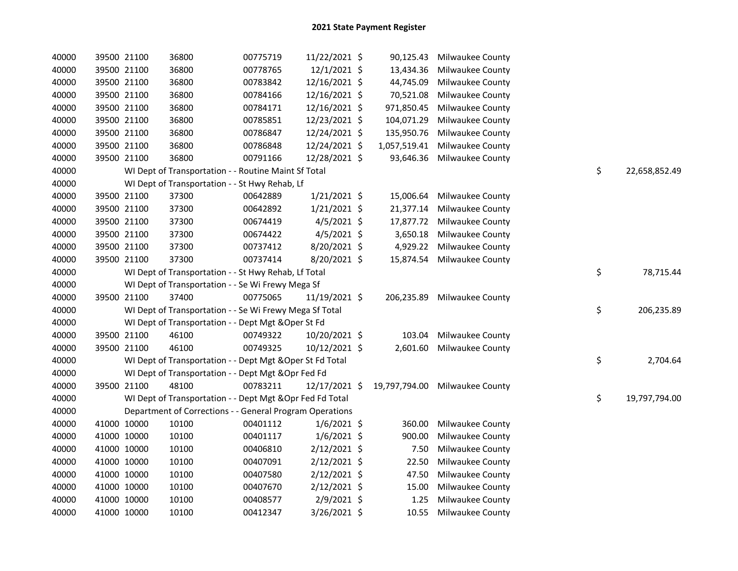| 40000 |             | 39500 21100 | 36800                                                     | 00775719 | 11/22/2021 \$  | 90,125.43    | <b>Milwaukee County</b>        |                     |
|-------|-------------|-------------|-----------------------------------------------------------|----------|----------------|--------------|--------------------------------|---------------------|
| 40000 |             | 39500 21100 | 36800                                                     | 00778765 | 12/1/2021 \$   | 13,434.36    | Milwaukee County               |                     |
| 40000 |             | 39500 21100 | 36800                                                     | 00783842 | 12/16/2021 \$  | 44,745.09    | <b>Milwaukee County</b>        |                     |
| 40000 |             | 39500 21100 | 36800                                                     | 00784166 | 12/16/2021 \$  | 70,521.08    | Milwaukee County               |                     |
| 40000 |             | 39500 21100 | 36800                                                     | 00784171 | 12/16/2021 \$  | 971,850.45   | Milwaukee County               |                     |
| 40000 | 39500 21100 |             | 36800                                                     | 00785851 | 12/23/2021 \$  | 104,071.29   | <b>Milwaukee County</b>        |                     |
| 40000 |             | 39500 21100 | 36800                                                     | 00786847 | 12/24/2021 \$  | 135,950.76   | Milwaukee County               |                     |
| 40000 |             | 39500 21100 | 36800                                                     | 00786848 | 12/24/2021 \$  | 1,057,519.41 | Milwaukee County               |                     |
| 40000 | 39500 21100 |             | 36800                                                     | 00791166 | 12/28/2021 \$  | 93,646.36    | Milwaukee County               |                     |
| 40000 |             |             | WI Dept of Transportation - - Routine Maint Sf Total      |          |                |              |                                | \$<br>22,658,852.49 |
| 40000 |             |             | WI Dept of Transportation - - St Hwy Rehab, Lf            |          |                |              |                                |                     |
| 40000 |             | 39500 21100 | 37300                                                     | 00642889 | $1/21/2021$ \$ | 15,006.64    | Milwaukee County               |                     |
| 40000 |             | 39500 21100 | 37300                                                     | 00642892 | $1/21/2021$ \$ | 21,377.14    | Milwaukee County               |                     |
| 40000 |             | 39500 21100 | 37300                                                     | 00674419 | $4/5/2021$ \$  | 17,877.72    | Milwaukee County               |                     |
| 40000 |             | 39500 21100 | 37300                                                     | 00674422 | $4/5/2021$ \$  | 3,650.18     | <b>Milwaukee County</b>        |                     |
| 40000 |             | 39500 21100 | 37300                                                     | 00737412 | 8/20/2021 \$   | 4,929.22     | Milwaukee County               |                     |
| 40000 | 39500 21100 |             | 37300                                                     | 00737414 | 8/20/2021 \$   | 15,874.54    | Milwaukee County               |                     |
| 40000 |             |             | WI Dept of Transportation - - St Hwy Rehab, Lf Total      |          |                |              |                                | \$<br>78,715.44     |
| 40000 |             |             | WI Dept of Transportation - - Se Wi Frewy Mega Sf         |          |                |              |                                |                     |
| 40000 |             | 39500 21100 | 37400                                                     | 00775065 | 11/19/2021 \$  | 206,235.89   | Milwaukee County               |                     |
| 40000 |             |             | WI Dept of Transportation - - Se Wi Frewy Mega Sf Total   |          |                |              |                                | \$<br>206,235.89    |
| 40000 |             |             | WI Dept of Transportation - - Dept Mgt & Oper St Fd       |          |                |              |                                |                     |
| 40000 |             | 39500 21100 | 46100                                                     | 00749322 | 10/20/2021 \$  | 103.04       | Milwaukee County               |                     |
| 40000 |             | 39500 21100 | 46100                                                     | 00749325 | 10/12/2021 \$  | 2,601.60     | Milwaukee County               |                     |
| 40000 |             |             | WI Dept of Transportation - - Dept Mgt & Oper St Fd Total |          |                |              |                                | \$<br>2,704.64      |
| 40000 |             |             | WI Dept of Transportation - - Dept Mgt & Opr Fed Fd       |          |                |              |                                |                     |
| 40000 |             | 39500 21100 | 48100                                                     | 00783211 | 12/17/2021 \$  |              | 19,797,794.00 Milwaukee County |                     |
| 40000 |             |             | WI Dept of Transportation - - Dept Mgt & Opr Fed Fd Total |          |                |              |                                | \$<br>19,797,794.00 |
| 40000 |             |             | Department of Corrections - - General Program Operations  |          |                |              |                                |                     |
| 40000 | 41000 10000 |             | 10100                                                     | 00401112 | $1/6/2021$ \$  | 360.00       | Milwaukee County               |                     |
| 40000 | 41000 10000 |             | 10100                                                     | 00401117 | $1/6/2021$ \$  | 900.00       | Milwaukee County               |                     |
| 40000 | 41000 10000 |             | 10100                                                     | 00406810 | $2/12/2021$ \$ | 7.50         | Milwaukee County               |                     |
| 40000 | 41000 10000 |             | 10100                                                     | 00407091 | $2/12/2021$ \$ | 22.50        | <b>Milwaukee County</b>        |                     |
| 40000 | 41000 10000 |             | 10100                                                     | 00407580 | $2/12/2021$ \$ | 47.50        | Milwaukee County               |                     |
| 40000 | 41000 10000 |             | 10100                                                     | 00407670 | $2/12/2021$ \$ | 15.00        | Milwaukee County               |                     |
| 40000 | 41000 10000 |             | 10100                                                     | 00408577 | $2/9/2021$ \$  | 1.25         | Milwaukee County               |                     |
| 40000 | 41000 10000 |             | 10100                                                     | 00412347 | 3/26/2021 \$   | 10.55        | Milwaukee County               |                     |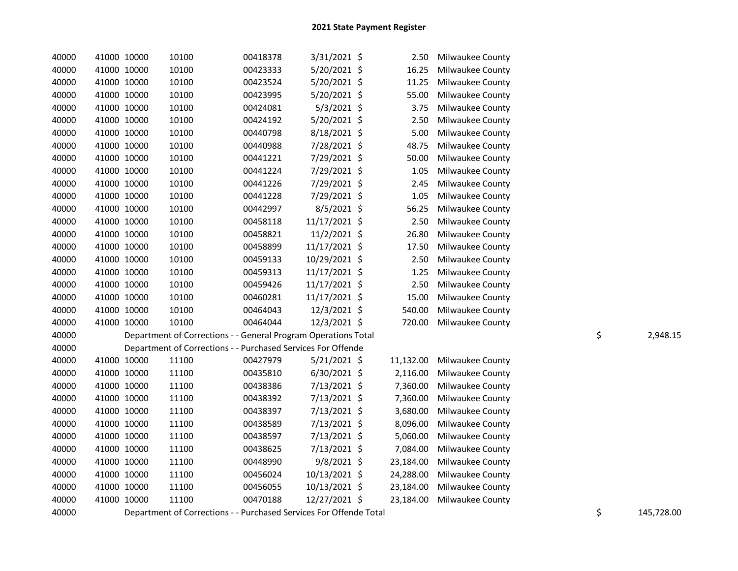| 40000 | 41000 10000 | 10100                                                              | 00418378 | $3/31/2021$ \$ | 2.50      | Milwaukee County |                  |
|-------|-------------|--------------------------------------------------------------------|----------|----------------|-----------|------------------|------------------|
| 40000 | 41000 10000 | 10100                                                              | 00423333 | 5/20/2021 \$   | 16.25     | Milwaukee County |                  |
| 40000 | 41000 10000 | 10100                                                              | 00423524 | 5/20/2021 \$   | 11.25     | Milwaukee County |                  |
| 40000 | 41000 10000 | 10100                                                              | 00423995 | 5/20/2021 \$   | 55.00     | Milwaukee County |                  |
| 40000 | 41000 10000 | 10100                                                              | 00424081 | $5/3/2021$ \$  | 3.75      | Milwaukee County |                  |
| 40000 | 41000 10000 | 10100                                                              | 00424192 | 5/20/2021 \$   | 2.50      | Milwaukee County |                  |
| 40000 | 41000 10000 | 10100                                                              | 00440798 | 8/18/2021 \$   | 5.00      | Milwaukee County |                  |
| 40000 | 41000 10000 | 10100                                                              | 00440988 | 7/28/2021 \$   | 48.75     | Milwaukee County |                  |
| 40000 | 41000 10000 | 10100                                                              | 00441221 | 7/29/2021 \$   | 50.00     | Milwaukee County |                  |
| 40000 | 41000 10000 | 10100                                                              | 00441224 | 7/29/2021 \$   | 1.05      | Milwaukee County |                  |
| 40000 | 41000 10000 | 10100                                                              | 00441226 | 7/29/2021 \$   | 2.45      | Milwaukee County |                  |
| 40000 | 41000 10000 | 10100                                                              | 00441228 | 7/29/2021 \$   | 1.05      | Milwaukee County |                  |
| 40000 | 41000 10000 | 10100                                                              | 00442997 | 8/5/2021 \$    | 56.25     | Milwaukee County |                  |
| 40000 | 41000 10000 | 10100                                                              | 00458118 | 11/17/2021 \$  | 2.50      | Milwaukee County |                  |
| 40000 | 41000 10000 | 10100                                                              | 00458821 | 11/2/2021 \$   | 26.80     | Milwaukee County |                  |
| 40000 | 41000 10000 | 10100                                                              | 00458899 | 11/17/2021 \$  | 17.50     | Milwaukee County |                  |
| 40000 | 41000 10000 | 10100                                                              | 00459133 | 10/29/2021 \$  | 2.50      | Milwaukee County |                  |
| 40000 | 41000 10000 | 10100                                                              | 00459313 | 11/17/2021 \$  | 1.25      | Milwaukee County |                  |
| 40000 | 41000 10000 | 10100                                                              | 00459426 | 11/17/2021 \$  | 2.50      | Milwaukee County |                  |
| 40000 | 41000 10000 | 10100                                                              | 00460281 | 11/17/2021 \$  | 15.00     | Milwaukee County |                  |
| 40000 | 41000 10000 | 10100                                                              | 00464043 | 12/3/2021 \$   | 540.00    | Milwaukee County |                  |
| 40000 | 41000 10000 | 10100                                                              | 00464044 | 12/3/2021 \$   | 720.00    | Milwaukee County |                  |
| 40000 |             | Department of Corrections - - General Program Operations Total     |          |                |           |                  | \$<br>2,948.15   |
| 40000 |             | Department of Corrections - - Purchased Services For Offende       |          |                |           |                  |                  |
| 40000 | 41000 10000 | 11100                                                              | 00427979 | 5/21/2021 \$   | 11,132.00 | Milwaukee County |                  |
| 40000 | 41000 10000 | 11100                                                              | 00435810 | 6/30/2021 \$   | 2,116.00  | Milwaukee County |                  |
| 40000 | 41000 10000 | 11100                                                              | 00438386 | 7/13/2021 \$   | 7,360.00  | Milwaukee County |                  |
| 40000 | 41000 10000 | 11100                                                              | 00438392 | 7/13/2021 \$   | 7,360.00  | Milwaukee County |                  |
| 40000 | 41000 10000 | 11100                                                              | 00438397 | 7/13/2021 \$   | 3,680.00  | Milwaukee County |                  |
| 40000 | 41000 10000 | 11100                                                              | 00438589 | 7/13/2021 \$   | 8,096.00  | Milwaukee County |                  |
| 40000 | 41000 10000 | 11100                                                              | 00438597 | 7/13/2021 \$   | 5,060.00  | Milwaukee County |                  |
| 40000 | 41000 10000 | 11100                                                              | 00438625 | 7/13/2021 \$   | 7,084.00  | Milwaukee County |                  |
| 40000 | 41000 10000 | 11100                                                              | 00448990 | 9/8/2021 \$    | 23,184.00 | Milwaukee County |                  |
| 40000 | 41000 10000 | 11100                                                              | 00456024 | 10/13/2021 \$  | 24,288.00 | Milwaukee County |                  |
| 40000 | 41000 10000 | 11100                                                              | 00456055 | 10/13/2021 \$  | 23,184.00 | Milwaukee County |                  |
| 40000 | 41000 10000 | 11100                                                              | 00470188 | 12/27/2021 \$  | 23,184.00 | Milwaukee County |                  |
| 40000 |             | Department of Corrections - - Purchased Services For Offende Total |          |                |           |                  | \$<br>145,728.00 |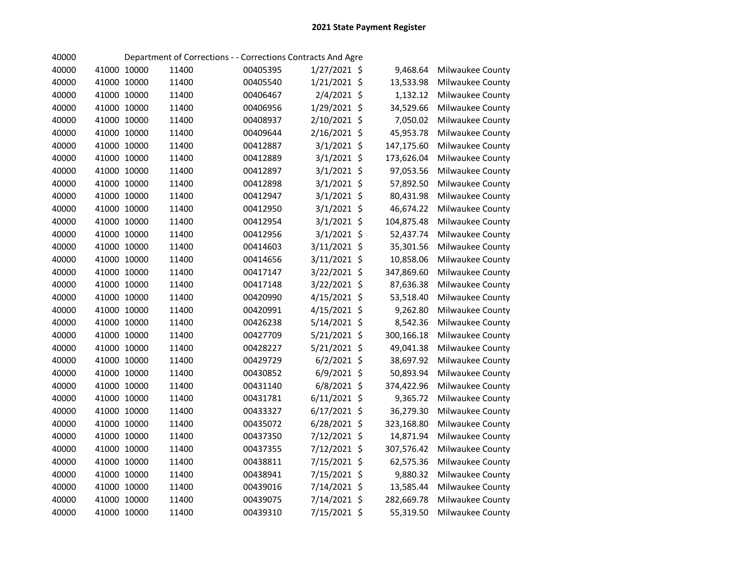| 40000 |             |       | Department of Corrections - - Corrections Contracts And Agre |                |            |                  |
|-------|-------------|-------|--------------------------------------------------------------|----------------|------------|------------------|
| 40000 | 41000 10000 | 11400 | 00405395                                                     | 1/27/2021 \$   | 9,468.64   | Milwaukee County |
| 40000 | 41000 10000 | 11400 | 00405540                                                     | 1/21/2021 \$   | 13,533.98  | Milwaukee County |
| 40000 | 41000 10000 | 11400 | 00406467                                                     | 2/4/2021 \$    | 1,132.12   | Milwaukee County |
| 40000 | 41000 10000 | 11400 | 00406956                                                     | 1/29/2021 \$   | 34,529.66  | Milwaukee County |
| 40000 | 41000 10000 | 11400 | 00408937                                                     | 2/10/2021 \$   | 7,050.02   | Milwaukee County |
| 40000 | 41000 10000 | 11400 | 00409644                                                     | 2/16/2021 \$   | 45,953.78  | Milwaukee County |
| 40000 | 41000 10000 | 11400 | 00412887                                                     | $3/1/2021$ \$  | 147,175.60 | Milwaukee County |
| 40000 | 41000 10000 | 11400 | 00412889                                                     | 3/1/2021 \$    | 173,626.04 | Milwaukee County |
| 40000 | 41000 10000 | 11400 | 00412897                                                     | $3/1/2021$ \$  | 97,053.56  | Milwaukee County |
| 40000 | 41000 10000 | 11400 | 00412898                                                     | $3/1/2021$ \$  | 57,892.50  | Milwaukee County |
| 40000 | 41000 10000 | 11400 | 00412947                                                     | $3/1/2021$ \$  | 80,431.98  | Milwaukee County |
| 40000 | 41000 10000 | 11400 | 00412950                                                     | $3/1/2021$ \$  | 46,674.22  | Milwaukee County |
| 40000 | 41000 10000 | 11400 | 00412954                                                     | $3/1/2021$ \$  | 104,875.48 | Milwaukee County |
| 40000 | 41000 10000 | 11400 | 00412956                                                     | $3/1/2021$ \$  | 52,437.74  | Milwaukee County |
| 40000 | 41000 10000 | 11400 | 00414603                                                     | 3/11/2021 \$   | 35,301.56  | Milwaukee County |
| 40000 | 41000 10000 | 11400 | 00414656                                                     | 3/11/2021 \$   | 10,858.06  | Milwaukee County |
| 40000 | 41000 10000 | 11400 | 00417147                                                     | 3/22/2021 \$   | 347,869.60 | Milwaukee County |
| 40000 | 41000 10000 | 11400 | 00417148                                                     | 3/22/2021 \$   | 87,636.38  | Milwaukee County |
| 40000 | 41000 10000 | 11400 | 00420990                                                     | 4/15/2021 \$   | 53,518.40  | Milwaukee County |
| 40000 | 41000 10000 | 11400 | 00420991                                                     | 4/15/2021 \$   | 9,262.80   | Milwaukee County |
| 40000 | 41000 10000 | 11400 | 00426238                                                     | 5/14/2021 \$   | 8,542.36   | Milwaukee County |
| 40000 | 41000 10000 | 11400 | 00427709                                                     | 5/21/2021 \$   | 300,166.18 | Milwaukee County |
| 40000 | 41000 10000 | 11400 | 00428227                                                     | 5/21/2021 \$   | 49,041.38  | Milwaukee County |
| 40000 | 41000 10000 | 11400 | 00429729                                                     | $6/2/2021$ \$  | 38,697.92  | Milwaukee County |
| 40000 | 41000 10000 | 11400 | 00430852                                                     | $6/9/2021$ \$  | 50,893.94  | Milwaukee County |
| 40000 | 41000 10000 | 11400 | 00431140                                                     | 6/8/2021 \$    | 374,422.96 | Milwaukee County |
| 40000 | 41000 10000 | 11400 | 00431781                                                     | 6/11/2021 \$   | 9,365.72   | Milwaukee County |
| 40000 | 41000 10000 | 11400 | 00433327                                                     | $6/17/2021$ \$ | 36,279.30  | Milwaukee County |
| 40000 | 41000 10000 | 11400 | 00435072                                                     | 6/28/2021 \$   | 323,168.80 | Milwaukee County |
| 40000 | 41000 10000 | 11400 | 00437350                                                     | 7/12/2021 \$   | 14,871.94  | Milwaukee County |
| 40000 | 41000 10000 | 11400 | 00437355                                                     | 7/12/2021 \$   | 307,576.42 | Milwaukee County |
| 40000 | 41000 10000 | 11400 | 00438811                                                     | 7/15/2021 \$   | 62,575.36  | Milwaukee County |
| 40000 | 41000 10000 | 11400 | 00438941                                                     | 7/15/2021 \$   | 9,880.32   | Milwaukee County |
| 40000 | 41000 10000 | 11400 | 00439016                                                     | 7/14/2021 \$   | 13,585.44  | Milwaukee County |
| 40000 | 41000 10000 | 11400 | 00439075                                                     | 7/14/2021 \$   | 282,669.78 | Milwaukee County |
| 40000 | 41000 10000 | 11400 | 00439310                                                     | 7/15/2021 \$   | 55,319.50  | Milwaukee County |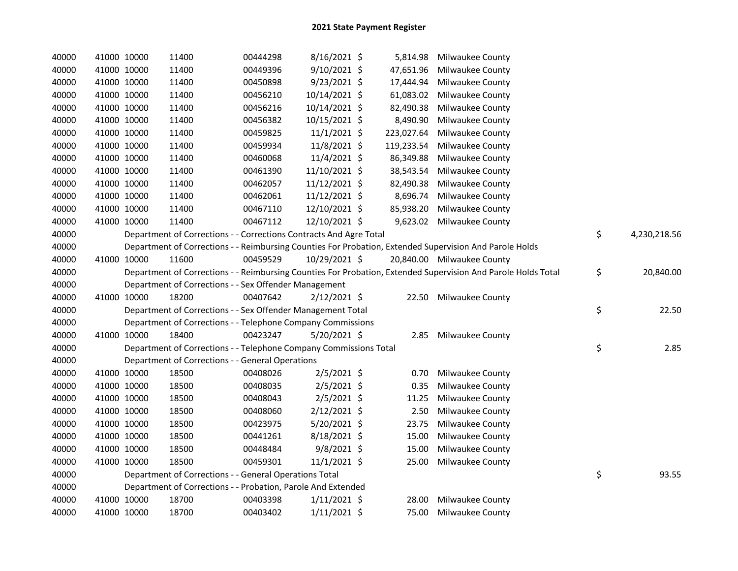| 40000 |             | 41000 10000 | 11400                                                              | 00444298 | 8/16/2021 \$   | 5,814.98   | <b>Milwaukee County</b>                                                                                       |                    |
|-------|-------------|-------------|--------------------------------------------------------------------|----------|----------------|------------|---------------------------------------------------------------------------------------------------------------|--------------------|
| 40000 |             | 41000 10000 | 11400                                                              | 00449396 | 9/10/2021 \$   | 47,651.96  | Milwaukee County                                                                                              |                    |
| 40000 |             | 41000 10000 | 11400                                                              | 00450898 | $9/23/2021$ \$ | 17,444.94  | Milwaukee County                                                                                              |                    |
| 40000 |             | 41000 10000 | 11400                                                              | 00456210 | 10/14/2021 \$  | 61,083.02  | Milwaukee County                                                                                              |                    |
| 40000 |             | 41000 10000 | 11400                                                              | 00456216 | 10/14/2021 \$  | 82,490.38  | Milwaukee County                                                                                              |                    |
| 40000 |             | 41000 10000 | 11400                                                              | 00456382 | 10/15/2021 \$  | 8,490.90   | Milwaukee County                                                                                              |                    |
| 40000 |             | 41000 10000 | 11400                                                              | 00459825 | $11/1/2021$ \$ | 223,027.64 | Milwaukee County                                                                                              |                    |
| 40000 |             | 41000 10000 | 11400                                                              | 00459934 | 11/8/2021 \$   | 119,233.54 | Milwaukee County                                                                                              |                    |
| 40000 |             | 41000 10000 | 11400                                                              | 00460068 | 11/4/2021 \$   | 86,349.88  | Milwaukee County                                                                                              |                    |
| 40000 |             | 41000 10000 | 11400                                                              | 00461390 | 11/10/2021 \$  | 38,543.54  | Milwaukee County                                                                                              |                    |
| 40000 |             | 41000 10000 | 11400                                                              | 00462057 | 11/12/2021 \$  | 82,490.38  | Milwaukee County                                                                                              |                    |
| 40000 |             | 41000 10000 | 11400                                                              | 00462061 | 11/12/2021 \$  | 8,696.74   | Milwaukee County                                                                                              |                    |
| 40000 |             | 41000 10000 | 11400                                                              | 00467110 | 12/10/2021 \$  | 85,938.20  | Milwaukee County                                                                                              |                    |
| 40000 |             | 41000 10000 | 11400                                                              | 00467112 | 12/10/2021 \$  |            | 9,623.02 Milwaukee County                                                                                     |                    |
| 40000 |             |             | Department of Corrections - - Corrections Contracts And Agre Total |          |                |            |                                                                                                               | \$<br>4,230,218.56 |
| 40000 |             |             |                                                                    |          |                |            | Department of Corrections - - Reimbursing Counties For Probation, Extended Supervision And Parole Holds       |                    |
| 40000 |             | 41000 10000 | 11600                                                              | 00459529 | 10/29/2021 \$  |            | 20,840.00 Milwaukee County                                                                                    |                    |
| 40000 |             |             |                                                                    |          |                |            | Department of Corrections - - Reimbursing Counties For Probation, Extended Supervision And Parole Holds Total | \$<br>20,840.00    |
| 40000 |             |             | Department of Corrections - - Sex Offender Management              |          |                |            |                                                                                                               |                    |
| 40000 |             | 41000 10000 | 18200                                                              | 00407642 | $2/12/2021$ \$ |            | 22.50 Milwaukee County                                                                                        |                    |
| 40000 |             |             | Department of Corrections - - Sex Offender Management Total        |          |                |            |                                                                                                               | \$<br>22.50        |
| 40000 |             |             | Department of Corrections - - Telephone Company Commissions        |          |                |            |                                                                                                               |                    |
| 40000 |             | 41000 10000 | 18400                                                              | 00423247 | $5/20/2021$ \$ | 2.85       | Milwaukee County                                                                                              |                    |
| 40000 |             |             | Department of Corrections - - Telephone Company Commissions Total  |          |                |            |                                                                                                               | \$<br>2.85         |
| 40000 |             |             | Department of Corrections - - General Operations                   |          |                |            |                                                                                                               |                    |
| 40000 |             | 41000 10000 | 18500                                                              | 00408026 | $2/5/2021$ \$  | 0.70       | Milwaukee County                                                                                              |                    |
| 40000 |             | 41000 10000 | 18500                                                              | 00408035 | $2/5/2021$ \$  | 0.35       | Milwaukee County                                                                                              |                    |
| 40000 |             | 41000 10000 | 18500                                                              | 00408043 | $2/5/2021$ \$  | 11.25      | Milwaukee County                                                                                              |                    |
| 40000 |             | 41000 10000 | 18500                                                              | 00408060 | $2/12/2021$ \$ | 2.50       | Milwaukee County                                                                                              |                    |
| 40000 |             | 41000 10000 | 18500                                                              | 00423975 | $5/20/2021$ \$ | 23.75      | Milwaukee County                                                                                              |                    |
| 40000 |             | 41000 10000 | 18500                                                              | 00441261 | 8/18/2021 \$   | 15.00      | Milwaukee County                                                                                              |                    |
| 40000 |             | 41000 10000 | 18500                                                              | 00448484 | $9/8/2021$ \$  | 15.00      | Milwaukee County                                                                                              |                    |
| 40000 |             | 41000 10000 | 18500                                                              | 00459301 | $11/1/2021$ \$ | 25.00      | Milwaukee County                                                                                              |                    |
| 40000 |             |             | Department of Corrections - - General Operations Total             |          |                |            |                                                                                                               | \$<br>93.55        |
| 40000 |             |             | Department of Corrections - - Probation, Parole And Extended       |          |                |            |                                                                                                               |                    |
| 40000 |             | 41000 10000 | 18700                                                              | 00403398 | $1/11/2021$ \$ | 28.00      | Milwaukee County                                                                                              |                    |
| 40000 | 41000 10000 |             | 18700                                                              | 00403402 | $1/11/2021$ \$ | 75.00      | Milwaukee County                                                                                              |                    |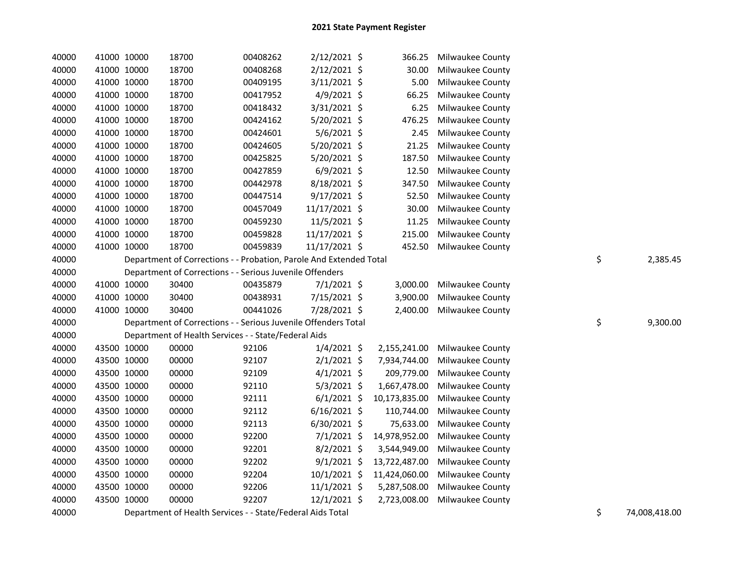| 40000 | 41000 10000 | 18700                                                              | 00408262 | 2/12/2021 \$   | 366.25        | Milwaukee County        |    |          |
|-------|-------------|--------------------------------------------------------------------|----------|----------------|---------------|-------------------------|----|----------|
| 40000 | 41000 10000 | 18700                                                              | 00408268 | $2/12/2021$ \$ | 30.00         | Milwaukee County        |    |          |
| 40000 | 41000 10000 | 18700                                                              | 00409195 | 3/11/2021 \$   | 5.00          | Milwaukee County        |    |          |
| 40000 | 41000 10000 | 18700                                                              | 00417952 | $4/9/2021$ \$  | 66.25         | Milwaukee County        |    |          |
| 40000 | 41000 10000 | 18700                                                              | 00418432 | 3/31/2021 \$   | 6.25          | Milwaukee County        |    |          |
| 40000 | 41000 10000 | 18700                                                              | 00424162 | 5/20/2021 \$   | 476.25        | Milwaukee County        |    |          |
| 40000 | 41000 10000 | 18700                                                              | 00424601 | $5/6/2021$ \$  | 2.45          | Milwaukee County        |    |          |
| 40000 | 41000 10000 | 18700                                                              | 00424605 | 5/20/2021 \$   | 21.25         | Milwaukee County        |    |          |
| 40000 | 41000 10000 | 18700                                                              | 00425825 | 5/20/2021 \$   | 187.50        | Milwaukee County        |    |          |
| 40000 | 41000 10000 | 18700                                                              | 00427859 | $6/9/2021$ \$  | 12.50         | Milwaukee County        |    |          |
| 40000 | 41000 10000 | 18700                                                              | 00442978 | 8/18/2021 \$   | 347.50        | Milwaukee County        |    |          |
| 40000 | 41000 10000 | 18700                                                              | 00447514 | $9/17/2021$ \$ | 52.50         | Milwaukee County        |    |          |
| 40000 | 41000 10000 | 18700                                                              | 00457049 | 11/17/2021 \$  | 30.00         | <b>Milwaukee County</b> |    |          |
| 40000 | 41000 10000 | 18700                                                              | 00459230 | 11/5/2021 \$   | 11.25         | <b>Milwaukee County</b> |    |          |
| 40000 | 41000 10000 | 18700                                                              | 00459828 | 11/17/2021 \$  | 215.00        | Milwaukee County        |    |          |
| 40000 | 41000 10000 | 18700                                                              | 00459839 | 11/17/2021 \$  | 452.50        | Milwaukee County        |    |          |
| 40000 |             | Department of Corrections - - Probation, Parole And Extended Total |          |                |               |                         | \$ | 2,385.45 |
| 40000 |             | Department of Corrections - - Serious Juvenile Offenders           |          |                |               |                         |    |          |
| 40000 | 41000 10000 | 30400                                                              | 00435879 | $7/1/2021$ \$  | 3,000.00      | Milwaukee County        |    |          |
| 40000 | 41000 10000 | 30400                                                              | 00438931 | 7/15/2021 \$   | 3,900.00      | Milwaukee County        |    |          |
| 40000 | 41000 10000 | 30400                                                              | 00441026 | 7/28/2021 \$   | 2,400.00      | Milwaukee County        |    |          |
| 40000 |             | Department of Corrections - - Serious Juvenile Offenders Total     |          |                |               |                         | \$ | 9,300.00 |
| 40000 |             | Department of Health Services - - State/Federal Aids               |          |                |               |                         |    |          |
| 40000 | 43500 10000 | 00000                                                              | 92106    | $1/4/2021$ \$  | 2,155,241.00  | Milwaukee County        |    |          |
| 40000 | 43500 10000 | 00000                                                              | 92107    | $2/1/2021$ \$  | 7,934,744.00  | Milwaukee County        |    |          |
| 40000 | 43500 10000 | 00000                                                              | 92109    | $4/1/2021$ \$  | 209,779.00    | Milwaukee County        |    |          |
| 40000 | 43500 10000 | 00000                                                              | 92110    | $5/3/2021$ \$  | 1,667,478.00  | Milwaukee County        |    |          |
| 40000 | 43500 10000 | 00000                                                              | 92111    | $6/1/2021$ \$  | 10,173,835.00 | Milwaukee County        |    |          |
| 40000 | 43500 10000 | 00000                                                              | 92112    | $6/16/2021$ \$ | 110,744.00    | Milwaukee County        |    |          |
| 40000 | 43500 10000 | 00000                                                              | 92113    | $6/30/2021$ \$ | 75,633.00     | Milwaukee County        |    |          |
| 40000 | 43500 10000 | 00000                                                              | 92200    | $7/1/2021$ \$  | 14,978,952.00 | Milwaukee County        |    |          |
| 40000 | 43500 10000 | 00000                                                              | 92201    | $8/2/2021$ \$  | 3,544,949.00  | Milwaukee County        |    |          |
| 40000 | 43500 10000 | 00000                                                              | 92202    | $9/1/2021$ \$  | 13,722,487.00 | Milwaukee County        |    |          |
| 40000 | 43500 10000 | 00000                                                              | 92204    | 10/1/2021 \$   | 11,424,060.00 | Milwaukee County        |    |          |
| 40000 | 43500 10000 | 00000                                                              | 92206    | $11/1/2021$ \$ | 5,287,508.00  | Milwaukee County        |    |          |
| 40000 | 43500 10000 | 00000                                                              | 92207    | $12/1/2021$ \$ | 2,723,008.00  | Milwaukee County        |    |          |
|       |             |                                                                    |          |                |               |                         |    |          |

40000 Department of Health Services - - State/Federal Aids Total 74,000 Australian 34 Department of Health Services - - State/Federal Aids Total 74,000 Australian 35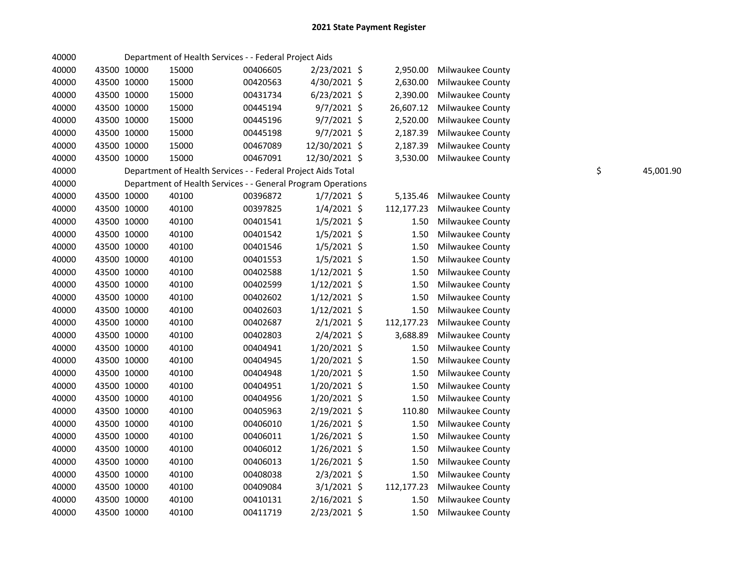| 40000 |             |       | Department of Health Services - - Federal Project Aids       |                |            |                         |    |           |
|-------|-------------|-------|--------------------------------------------------------------|----------------|------------|-------------------------|----|-----------|
| 40000 | 43500 10000 | 15000 | 00406605                                                     | 2/23/2021 \$   | 2,950.00   | Milwaukee County        |    |           |
| 40000 | 43500 10000 | 15000 | 00420563                                                     | 4/30/2021 \$   | 2,630.00   | <b>Milwaukee County</b> |    |           |
| 40000 | 43500 10000 | 15000 | 00431734                                                     | $6/23/2021$ \$ | 2,390.00   | Milwaukee County        |    |           |
| 40000 | 43500 10000 | 15000 | 00445194                                                     | $9/7/2021$ \$  | 26,607.12  | Milwaukee County        |    |           |
| 40000 | 43500 10000 | 15000 | 00445196                                                     | $9/7/2021$ \$  | 2,520.00   | Milwaukee County        |    |           |
| 40000 | 43500 10000 | 15000 | 00445198                                                     | $9/7/2021$ \$  | 2,187.39   | Milwaukee County        |    |           |
| 40000 | 43500 10000 | 15000 | 00467089                                                     | 12/30/2021 \$  | 2,187.39   | Milwaukee County        |    |           |
| 40000 | 43500 10000 | 15000 | 00467091                                                     | 12/30/2021 \$  | 3,530.00   | Milwaukee County        |    |           |
| 40000 |             |       | Department of Health Services - - Federal Project Aids Total |                |            |                         | \$ | 45,001.90 |
| 40000 |             |       | Department of Health Services - - General Program Operations |                |            |                         |    |           |
| 40000 | 43500 10000 | 40100 | 00396872                                                     | $1/7/2021$ \$  | 5,135.46   | Milwaukee County        |    |           |
| 40000 | 43500 10000 | 40100 | 00397825                                                     | $1/4/2021$ \$  | 112,177.23 | Milwaukee County        |    |           |
| 40000 | 43500 10000 | 40100 | 00401541                                                     | $1/5/2021$ \$  | 1.50       | Milwaukee County        |    |           |
| 40000 | 43500 10000 | 40100 | 00401542                                                     | $1/5/2021$ \$  | 1.50       | Milwaukee County        |    |           |
| 40000 | 43500 10000 | 40100 | 00401546                                                     | $1/5/2021$ \$  | 1.50       | Milwaukee County        |    |           |
| 40000 | 43500 10000 | 40100 | 00401553                                                     | $1/5/2021$ \$  | 1.50       | Milwaukee County        |    |           |
| 40000 | 43500 10000 | 40100 | 00402588                                                     | $1/12/2021$ \$ | 1.50       | Milwaukee County        |    |           |
| 40000 | 43500 10000 | 40100 | 00402599                                                     | $1/12/2021$ \$ | 1.50       | Milwaukee County        |    |           |
| 40000 | 43500 10000 | 40100 | 00402602                                                     | $1/12/2021$ \$ | 1.50       | Milwaukee County        |    |           |
| 40000 | 43500 10000 | 40100 | 00402603                                                     | $1/12/2021$ \$ | 1.50       | Milwaukee County        |    |           |
| 40000 | 43500 10000 | 40100 | 00402687                                                     | $2/1/2021$ \$  | 112,177.23 | Milwaukee County        |    |           |
| 40000 | 43500 10000 | 40100 | 00402803                                                     | $2/4/2021$ \$  | 3,688.89   | Milwaukee County        |    |           |
| 40000 | 43500 10000 | 40100 | 00404941                                                     | 1/20/2021 \$   | 1.50       | Milwaukee County        |    |           |
| 40000 | 43500 10000 | 40100 | 00404945                                                     | $1/20/2021$ \$ | 1.50       | Milwaukee County        |    |           |
| 40000 | 43500 10000 | 40100 | 00404948                                                     | 1/20/2021 \$   | 1.50       | Milwaukee County        |    |           |
| 40000 | 43500 10000 | 40100 | 00404951                                                     | 1/20/2021 \$   | 1.50       | Milwaukee County        |    |           |
| 40000 | 43500 10000 | 40100 | 00404956                                                     | $1/20/2021$ \$ | 1.50       | Milwaukee County        |    |           |
| 40000 | 43500 10000 | 40100 | 00405963                                                     | 2/19/2021 \$   | 110.80     | <b>Milwaukee County</b> |    |           |
| 40000 | 43500 10000 | 40100 | 00406010                                                     | $1/26/2021$ \$ | 1.50       | Milwaukee County        |    |           |
| 40000 | 43500 10000 | 40100 | 00406011                                                     | 1/26/2021 \$   | 1.50       | Milwaukee County        |    |           |
| 40000 | 43500 10000 | 40100 | 00406012                                                     | $1/26/2021$ \$ | 1.50       | Milwaukee County        |    |           |
| 40000 | 43500 10000 | 40100 | 00406013                                                     | $1/26/2021$ \$ | 1.50       | Milwaukee County        |    |           |
| 40000 | 43500 10000 | 40100 | 00408038                                                     | $2/3/2021$ \$  | 1.50       | Milwaukee County        |    |           |
| 40000 | 43500 10000 | 40100 | 00409084                                                     | $3/1/2021$ \$  | 112,177.23 | Milwaukee County        |    |           |
| 40000 | 43500 10000 | 40100 | 00410131                                                     | $2/16/2021$ \$ | 1.50       | Milwaukee County        |    |           |
| 40000 | 43500 10000 | 40100 | 00411719                                                     | 2/23/2021 \$   | 1.50       | Milwaukee County        |    |           |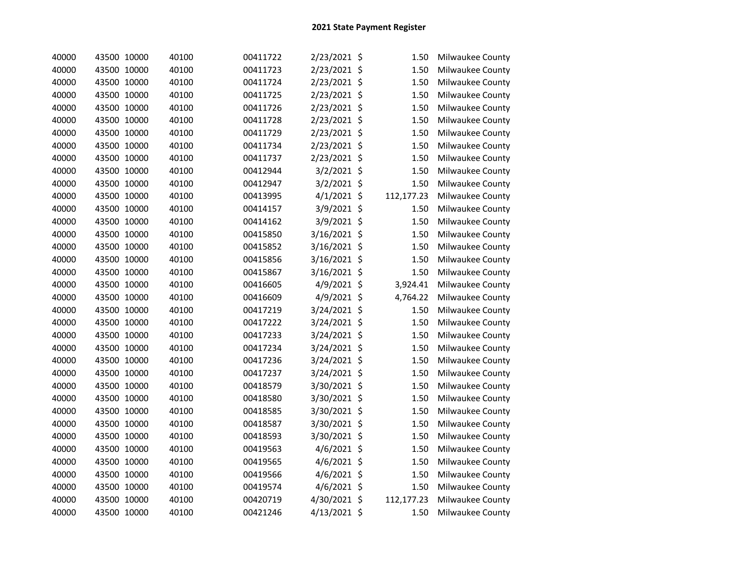| 40000 | 43500 10000 | 40100 | 00411722 | 2/23/2021 \$  | 1.50       | Milwaukee County |
|-------|-------------|-------|----------|---------------|------------|------------------|
| 40000 | 43500 10000 | 40100 | 00411723 | 2/23/2021 \$  | 1.50       | Milwaukee County |
| 40000 | 43500 10000 | 40100 | 00411724 | 2/23/2021 \$  | 1.50       | Milwaukee County |
| 40000 | 43500 10000 | 40100 | 00411725 | 2/23/2021 \$  | 1.50       | Milwaukee County |
| 40000 | 43500 10000 | 40100 | 00411726 | 2/23/2021 \$  | 1.50       | Milwaukee County |
| 40000 | 43500 10000 | 40100 | 00411728 | 2/23/2021 \$  | 1.50       | Milwaukee County |
| 40000 | 43500 10000 | 40100 | 00411729 | 2/23/2021 \$  | 1.50       | Milwaukee County |
| 40000 | 43500 10000 | 40100 | 00411734 | 2/23/2021 \$  | 1.50       | Milwaukee County |
| 40000 | 43500 10000 | 40100 | 00411737 | 2/23/2021 \$  | 1.50       | Milwaukee County |
| 40000 | 43500 10000 | 40100 | 00412944 | 3/2/2021 \$   | 1.50       | Milwaukee County |
| 40000 | 43500 10000 | 40100 | 00412947 | 3/2/2021 \$   | 1.50       | Milwaukee County |
| 40000 | 43500 10000 | 40100 | 00413995 | $4/1/2021$ \$ | 112,177.23 | Milwaukee County |
| 40000 | 43500 10000 | 40100 | 00414157 | 3/9/2021 \$   | 1.50       | Milwaukee County |
| 40000 | 43500 10000 | 40100 | 00414162 | 3/9/2021 \$   | 1.50       | Milwaukee County |
| 40000 | 43500 10000 | 40100 | 00415850 | 3/16/2021 \$  | 1.50       | Milwaukee County |
| 40000 | 43500 10000 | 40100 | 00415852 | 3/16/2021 \$  | 1.50       | Milwaukee County |
| 40000 | 43500 10000 | 40100 | 00415856 | 3/16/2021 \$  | 1.50       | Milwaukee County |
| 40000 | 43500 10000 | 40100 | 00415867 | 3/16/2021 \$  | 1.50       | Milwaukee County |
| 40000 | 43500 10000 | 40100 | 00416605 | 4/9/2021 \$   | 3,924.41   | Milwaukee County |
| 40000 | 43500 10000 | 40100 | 00416609 | 4/9/2021 \$   | 4,764.22   | Milwaukee County |
| 40000 | 43500 10000 | 40100 | 00417219 | 3/24/2021 \$  | 1.50       | Milwaukee County |
| 40000 | 43500 10000 | 40100 | 00417222 | 3/24/2021 \$  | 1.50       | Milwaukee County |
| 40000 | 43500 10000 | 40100 | 00417233 | 3/24/2021 \$  | 1.50       | Milwaukee County |
| 40000 | 43500 10000 | 40100 | 00417234 | 3/24/2021 \$  | 1.50       | Milwaukee County |
| 40000 | 43500 10000 | 40100 | 00417236 | 3/24/2021 \$  | 1.50       | Milwaukee County |
| 40000 | 43500 10000 | 40100 | 00417237 | 3/24/2021 \$  | 1.50       | Milwaukee County |
| 40000 | 43500 10000 | 40100 | 00418579 | 3/30/2021 \$  | 1.50       | Milwaukee County |
| 40000 | 43500 10000 | 40100 | 00418580 | 3/30/2021 \$  | 1.50       | Milwaukee County |
| 40000 | 43500 10000 | 40100 | 00418585 | 3/30/2021 \$  | 1.50       | Milwaukee County |
| 40000 | 43500 10000 | 40100 | 00418587 | 3/30/2021 \$  | 1.50       | Milwaukee County |
| 40000 | 43500 10000 | 40100 | 00418593 | 3/30/2021 \$  | 1.50       | Milwaukee County |
| 40000 | 43500 10000 | 40100 | 00419563 | 4/6/2021 \$   | 1.50       | Milwaukee County |
| 40000 | 43500 10000 | 40100 | 00419565 | 4/6/2021 \$   | 1.50       | Milwaukee County |
| 40000 | 43500 10000 | 40100 | 00419566 | 4/6/2021 \$   | 1.50       | Milwaukee County |
| 40000 | 43500 10000 | 40100 | 00419574 | 4/6/2021 \$   | 1.50       | Milwaukee County |
| 40000 | 43500 10000 | 40100 | 00420719 | 4/30/2021 \$  | 112,177.23 | Milwaukee County |
| 40000 | 43500 10000 | 40100 | 00421246 | 4/13/2021 \$  | 1.50       | Milwaukee County |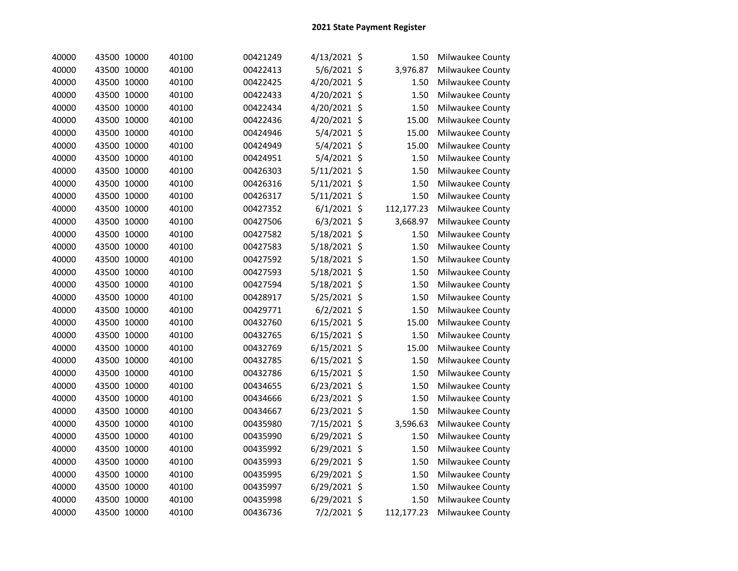| 40000 | 43500 10000 | 40100 | 00421249 | 4/13/2021 \$   | 1.50       | Milwaukee County |
|-------|-------------|-------|----------|----------------|------------|------------------|
| 40000 | 43500 10000 | 40100 | 00422413 | 5/6/2021 \$    | 3,976.87   | Milwaukee County |
| 40000 | 43500 10000 | 40100 | 00422425 | 4/20/2021 \$   | 1.50       | Milwaukee County |
| 40000 | 43500 10000 | 40100 | 00422433 | 4/20/2021 \$   | 1.50       | Milwaukee County |
| 40000 | 43500 10000 | 40100 | 00422434 | 4/20/2021 \$   | 1.50       | Milwaukee County |
| 40000 | 43500 10000 | 40100 | 00422436 | 4/20/2021 \$   | 15.00      | Milwaukee County |
| 40000 | 43500 10000 | 40100 | 00424946 | 5/4/2021 \$    | 15.00      | Milwaukee County |
| 40000 | 43500 10000 | 40100 | 00424949 | 5/4/2021 \$    | 15.00      | Milwaukee County |
| 40000 | 43500 10000 | 40100 | 00424951 | 5/4/2021 \$    | 1.50       | Milwaukee County |
| 40000 | 43500 10000 | 40100 | 00426303 | 5/11/2021 \$   | 1.50       | Milwaukee County |
| 40000 | 43500 10000 | 40100 | 00426316 | 5/11/2021 \$   | 1.50       | Milwaukee County |
| 40000 | 43500 10000 | 40100 | 00426317 | 5/11/2021 \$   | 1.50       | Milwaukee County |
| 40000 | 43500 10000 | 40100 | 00427352 | $6/1/2021$ \$  | 112,177.23 | Milwaukee County |
| 40000 | 43500 10000 | 40100 | 00427506 | $6/3/2021$ \$  | 3,668.97   | Milwaukee County |
| 40000 | 43500 10000 | 40100 | 00427582 | 5/18/2021 \$   | 1.50       | Milwaukee County |
| 40000 | 43500 10000 | 40100 | 00427583 | 5/18/2021 \$   | 1.50       | Milwaukee County |
| 40000 | 43500 10000 | 40100 | 00427592 | 5/18/2021 \$   | 1.50       | Milwaukee County |
| 40000 | 43500 10000 | 40100 | 00427593 | 5/18/2021 \$   | 1.50       | Milwaukee County |
| 40000 | 43500 10000 | 40100 | 00427594 | 5/18/2021 \$   | 1.50       | Milwaukee County |
| 40000 | 43500 10000 | 40100 | 00428917 | 5/25/2021 \$   | 1.50       | Milwaukee County |
| 40000 | 43500 10000 | 40100 | 00429771 | $6/2/2021$ \$  | 1.50       | Milwaukee County |
| 40000 | 43500 10000 | 40100 | 00432760 | $6/15/2021$ \$ | 15.00      | Milwaukee County |
| 40000 | 43500 10000 | 40100 | 00432765 | 6/15/2021 \$   | 1.50       | Milwaukee County |
| 40000 | 43500 10000 | 40100 | 00432769 | $6/15/2021$ \$ | 15.00      | Milwaukee County |
| 40000 | 43500 10000 | 40100 | 00432785 | 6/15/2021 \$   | 1.50       | Milwaukee County |
| 40000 | 43500 10000 | 40100 | 00432786 | 6/15/2021 \$   | 1.50       | Milwaukee County |
| 40000 | 43500 10000 | 40100 | 00434655 | 6/23/2021 \$   | 1.50       | Milwaukee County |
| 40000 | 43500 10000 | 40100 | 00434666 | 6/23/2021 \$   | 1.50       | Milwaukee County |
| 40000 | 43500 10000 | 40100 | 00434667 | 6/23/2021 \$   | 1.50       | Milwaukee County |
| 40000 | 43500 10000 | 40100 | 00435980 | 7/15/2021 \$   | 3,596.63   | Milwaukee County |
| 40000 | 43500 10000 | 40100 | 00435990 | 6/29/2021 \$   | 1.50       | Milwaukee County |
| 40000 | 43500 10000 | 40100 | 00435992 | 6/29/2021 \$   | 1.50       | Milwaukee County |
| 40000 | 43500 10000 | 40100 | 00435993 | 6/29/2021 \$   | 1.50       | Milwaukee County |
| 40000 | 43500 10000 | 40100 | 00435995 | 6/29/2021 \$   | 1.50       | Milwaukee County |
| 40000 | 43500 10000 | 40100 | 00435997 | 6/29/2021 \$   | 1.50       | Milwaukee County |
| 40000 | 43500 10000 | 40100 | 00435998 | $6/29/2021$ \$ | 1.50       | Milwaukee County |
| 40000 | 43500 10000 | 40100 | 00436736 | 7/2/2021 \$    | 112,177.23 | Milwaukee County |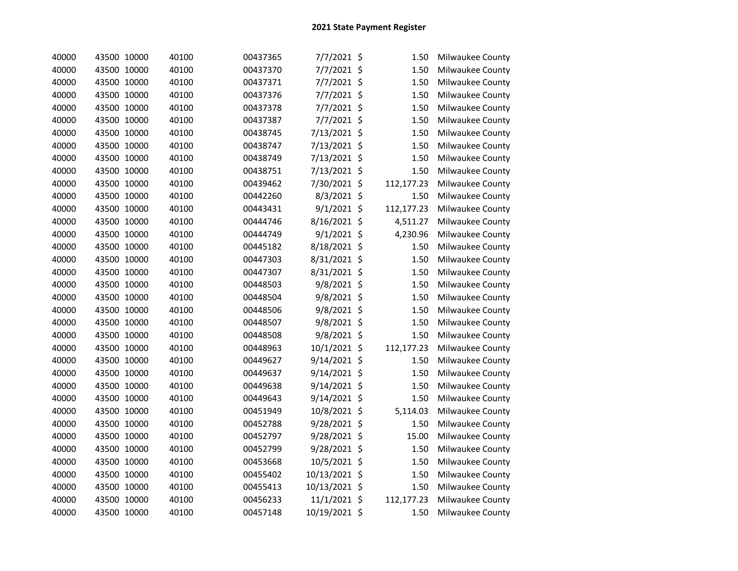| 40000 | 43500 10000 | 40100 | 00437365 | 7/7/2021 \$   | 1.50       | Milwaukee County |
|-------|-------------|-------|----------|---------------|------------|------------------|
| 40000 | 43500 10000 | 40100 | 00437370 | 7/7/2021 \$   | 1.50       | Milwaukee County |
| 40000 | 43500 10000 | 40100 | 00437371 | 7/7/2021 \$   | 1.50       | Milwaukee County |
| 40000 | 43500 10000 | 40100 | 00437376 | 7/7/2021 \$   | 1.50       | Milwaukee County |
| 40000 | 43500 10000 | 40100 | 00437378 | 7/7/2021 \$   | 1.50       | Milwaukee County |
| 40000 | 43500 10000 | 40100 | 00437387 | 7/7/2021 \$   | 1.50       | Milwaukee County |
| 40000 | 43500 10000 | 40100 | 00438745 | 7/13/2021 \$  | 1.50       | Milwaukee County |
| 40000 | 43500 10000 | 40100 | 00438747 | 7/13/2021 \$  | 1.50       | Milwaukee County |
| 40000 | 43500 10000 | 40100 | 00438749 | 7/13/2021 \$  | 1.50       | Milwaukee County |
| 40000 | 43500 10000 | 40100 | 00438751 | 7/13/2021 \$  | 1.50       | Milwaukee County |
| 40000 | 43500 10000 | 40100 | 00439462 | 7/30/2021 \$  | 112,177.23 | Milwaukee County |
| 40000 | 43500 10000 | 40100 | 00442260 | 8/3/2021 \$   | 1.50       | Milwaukee County |
| 40000 | 43500 10000 | 40100 | 00443431 | 9/1/2021 \$   | 112,177.23 | Milwaukee County |
| 40000 | 43500 10000 | 40100 | 00444746 | 8/16/2021 \$  | 4,511.27   | Milwaukee County |
| 40000 | 43500 10000 | 40100 | 00444749 | $9/1/2021$ \$ | 4,230.96   | Milwaukee County |
| 40000 | 43500 10000 | 40100 | 00445182 | 8/18/2021 \$  | 1.50       | Milwaukee County |
| 40000 | 43500 10000 | 40100 | 00447303 | 8/31/2021 \$  | 1.50       | Milwaukee County |
| 40000 | 43500 10000 | 40100 | 00447307 | 8/31/2021 \$  | 1.50       | Milwaukee County |
| 40000 | 43500 10000 | 40100 | 00448503 | 9/8/2021 \$   | 1.50       | Milwaukee County |
| 40000 | 43500 10000 | 40100 | 00448504 | 9/8/2021 \$   | 1.50       | Milwaukee County |
| 40000 | 43500 10000 | 40100 | 00448506 | 9/8/2021 \$   | 1.50       | Milwaukee County |
| 40000 | 43500 10000 | 40100 | 00448507 | 9/8/2021 \$   | 1.50       | Milwaukee County |
| 40000 | 43500 10000 | 40100 | 00448508 | 9/8/2021 \$   | 1.50       | Milwaukee County |
| 40000 | 43500 10000 | 40100 | 00448963 | 10/1/2021 \$  | 112,177.23 | Milwaukee County |
| 40000 | 43500 10000 | 40100 | 00449627 | 9/14/2021 \$  | 1.50       | Milwaukee County |
| 40000 | 43500 10000 | 40100 | 00449637 | 9/14/2021 \$  | 1.50       | Milwaukee County |
| 40000 | 43500 10000 | 40100 | 00449638 | 9/14/2021 \$  | 1.50       | Milwaukee County |
| 40000 | 43500 10000 | 40100 | 00449643 | 9/14/2021 \$  | 1.50       | Milwaukee County |
| 40000 | 43500 10000 | 40100 | 00451949 | 10/8/2021 \$  | 5,114.03   | Milwaukee County |
| 40000 | 43500 10000 | 40100 | 00452788 | 9/28/2021 \$  | 1.50       | Milwaukee County |
| 40000 | 43500 10000 | 40100 | 00452797 | 9/28/2021 \$  | 15.00      | Milwaukee County |
| 40000 | 43500 10000 | 40100 | 00452799 | 9/28/2021 \$  | 1.50       | Milwaukee County |
| 40000 | 43500 10000 | 40100 | 00453668 | 10/5/2021 \$  | 1.50       | Milwaukee County |
| 40000 | 43500 10000 | 40100 | 00455402 | 10/13/2021 \$ | 1.50       | Milwaukee County |
| 40000 | 43500 10000 | 40100 | 00455413 | 10/13/2021 \$ | 1.50       | Milwaukee County |
| 40000 | 43500 10000 | 40100 | 00456233 | 11/1/2021 \$  | 112,177.23 | Milwaukee County |
| 40000 | 43500 10000 | 40100 | 00457148 | 10/19/2021 \$ | 1.50       | Milwaukee County |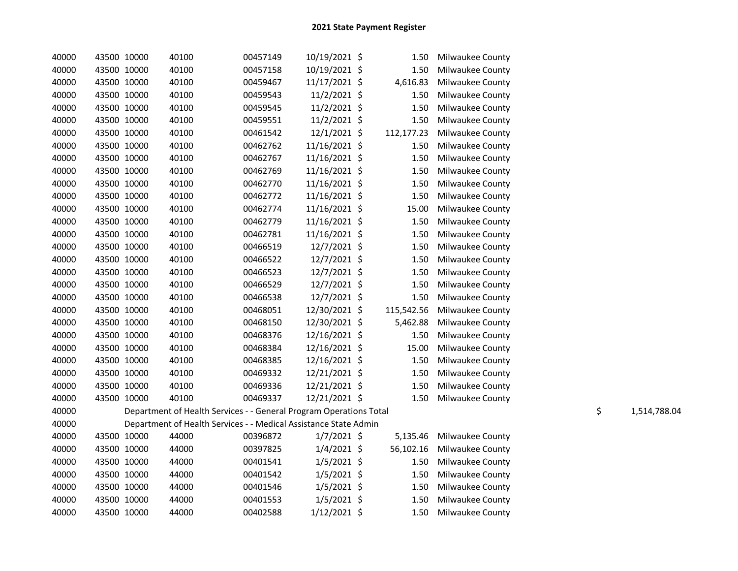| 40000 | 43500 10000 | 40100                                                              | 00457149 | 10/19/2021 \$  | 1.50       | Milwaukee County        |                    |
|-------|-------------|--------------------------------------------------------------------|----------|----------------|------------|-------------------------|--------------------|
| 40000 | 43500 10000 | 40100                                                              | 00457158 | 10/19/2021 \$  | 1.50       | <b>Milwaukee County</b> |                    |
| 40000 | 43500 10000 | 40100                                                              | 00459467 | 11/17/2021 \$  | 4,616.83   | Milwaukee County        |                    |
| 40000 | 43500 10000 | 40100                                                              | 00459543 | $11/2/2021$ \$ | 1.50       | Milwaukee County        |                    |
| 40000 | 43500 10000 | 40100                                                              | 00459545 | $11/2/2021$ \$ | 1.50       | Milwaukee County        |                    |
| 40000 | 43500 10000 | 40100                                                              | 00459551 | 11/2/2021 \$   | 1.50       | Milwaukee County        |                    |
| 40000 | 43500 10000 | 40100                                                              | 00461542 | 12/1/2021 \$   | 112,177.23 | Milwaukee County        |                    |
| 40000 | 43500 10000 | 40100                                                              | 00462762 | 11/16/2021 \$  | 1.50       | Milwaukee County        |                    |
| 40000 | 43500 10000 | 40100                                                              | 00462767 | 11/16/2021 \$  | 1.50       | Milwaukee County        |                    |
| 40000 | 43500 10000 | 40100                                                              | 00462769 | 11/16/2021 \$  | 1.50       | Milwaukee County        |                    |
| 40000 | 43500 10000 | 40100                                                              | 00462770 | 11/16/2021 \$  | 1.50       | Milwaukee County        |                    |
| 40000 | 43500 10000 | 40100                                                              | 00462772 | 11/16/2021 \$  | 1.50       | Milwaukee County        |                    |
| 40000 | 43500 10000 | 40100                                                              | 00462774 | 11/16/2021 \$  | 15.00      | Milwaukee County        |                    |
| 40000 | 43500 10000 | 40100                                                              | 00462779 | 11/16/2021 \$  | 1.50       | Milwaukee County        |                    |
| 40000 | 43500 10000 | 40100                                                              | 00462781 | 11/16/2021 \$  | 1.50       | Milwaukee County        |                    |
| 40000 | 43500 10000 | 40100                                                              | 00466519 | 12/7/2021 \$   | 1.50       | Milwaukee County        |                    |
| 40000 | 43500 10000 | 40100                                                              | 00466522 | 12/7/2021 \$   | 1.50       | Milwaukee County        |                    |
| 40000 | 43500 10000 | 40100                                                              | 00466523 | 12/7/2021 \$   | 1.50       | Milwaukee County        |                    |
| 40000 | 43500 10000 | 40100                                                              | 00466529 | 12/7/2021 \$   | 1.50       | Milwaukee County        |                    |
| 40000 | 43500 10000 | 40100                                                              | 00466538 | 12/7/2021 \$   | 1.50       | Milwaukee County        |                    |
| 40000 | 43500 10000 | 40100                                                              | 00468051 | 12/30/2021 \$  | 115,542.56 | Milwaukee County        |                    |
| 40000 | 43500 10000 | 40100                                                              | 00468150 | 12/30/2021 \$  | 5,462.88   | Milwaukee County        |                    |
| 40000 | 43500 10000 | 40100                                                              | 00468376 | 12/16/2021 \$  | 1.50       | Milwaukee County        |                    |
| 40000 | 43500 10000 | 40100                                                              | 00468384 | 12/16/2021 \$  | 15.00      | Milwaukee County        |                    |
| 40000 | 43500 10000 | 40100                                                              | 00468385 | 12/16/2021 \$  | 1.50       | Milwaukee County        |                    |
| 40000 | 43500 10000 | 40100                                                              | 00469332 | 12/21/2021 \$  | 1.50       | Milwaukee County        |                    |
| 40000 | 43500 10000 | 40100                                                              | 00469336 | 12/21/2021 \$  | 1.50       | Milwaukee County        |                    |
| 40000 | 43500 10000 | 40100                                                              | 00469337 | 12/21/2021 \$  |            | 1.50 Milwaukee County   |                    |
| 40000 |             | Department of Health Services - - General Program Operations Total |          |                |            |                         | \$<br>1,514,788.04 |
| 40000 |             | Department of Health Services - - Medical Assistance State Admin   |          |                |            |                         |                    |
| 40000 | 43500 10000 | 44000                                                              | 00396872 | $1/7/2021$ \$  | 5,135.46   | Milwaukee County        |                    |
| 40000 | 43500 10000 | 44000                                                              | 00397825 | $1/4/2021$ \$  | 56,102.16  | Milwaukee County        |                    |
| 40000 | 43500 10000 | 44000                                                              | 00401541 | $1/5/2021$ \$  | 1.50       | Milwaukee County        |                    |
| 40000 | 43500 10000 | 44000                                                              | 00401542 | $1/5/2021$ \$  | 1.50       | Milwaukee County        |                    |
| 40000 | 43500 10000 | 44000                                                              | 00401546 | $1/5/2021$ \$  | 1.50       | Milwaukee County        |                    |
| 40000 | 43500 10000 | 44000                                                              | 00401553 | $1/5/2021$ \$  | 1.50       | Milwaukee County        |                    |
| 40000 | 43500 10000 | 44000                                                              | 00402588 | $1/12/2021$ \$ |            | 1.50 Milwaukee County   |                    |
|       |             |                                                                    |          |                |            |                         |                    |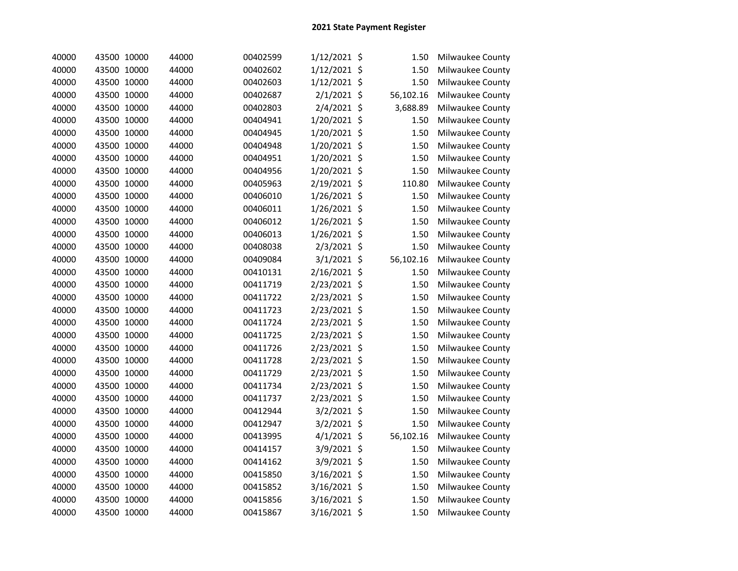| 40000 | 43500 10000 | 44000 | 00402599 | 1/12/2021 \$  | 1.50      | Milwaukee County |
|-------|-------------|-------|----------|---------------|-----------|------------------|
| 40000 | 43500 10000 | 44000 | 00402602 | 1/12/2021 \$  | 1.50      | Milwaukee County |
| 40000 | 43500 10000 | 44000 | 00402603 | 1/12/2021 \$  | 1.50      | Milwaukee County |
| 40000 | 43500 10000 | 44000 | 00402687 | 2/1/2021 \$   | 56,102.16 | Milwaukee County |
| 40000 | 43500 10000 | 44000 | 00402803 | 2/4/2021 \$   | 3,688.89  | Milwaukee County |
| 40000 | 43500 10000 | 44000 | 00404941 | 1/20/2021 \$  | 1.50      | Milwaukee County |
| 40000 | 43500 10000 | 44000 | 00404945 | 1/20/2021 \$  | 1.50      | Milwaukee County |
| 40000 | 43500 10000 | 44000 | 00404948 | 1/20/2021 \$  | 1.50      | Milwaukee County |
| 40000 | 43500 10000 | 44000 | 00404951 | 1/20/2021 \$  | 1.50      | Milwaukee County |
| 40000 | 43500 10000 | 44000 | 00404956 | 1/20/2021 \$  | 1.50      | Milwaukee County |
| 40000 | 43500 10000 | 44000 | 00405963 | 2/19/2021 \$  | 110.80    | Milwaukee County |
| 40000 | 43500 10000 | 44000 | 00406010 | 1/26/2021 \$  | 1.50      | Milwaukee County |
| 40000 | 43500 10000 | 44000 | 00406011 | 1/26/2021 \$  | 1.50      | Milwaukee County |
| 40000 | 43500 10000 | 44000 | 00406012 | 1/26/2021 \$  | 1.50      | Milwaukee County |
| 40000 | 43500 10000 | 44000 | 00406013 | 1/26/2021 \$  | 1.50      | Milwaukee County |
| 40000 | 43500 10000 | 44000 | 00408038 | 2/3/2021 \$   | 1.50      | Milwaukee County |
| 40000 | 43500 10000 | 44000 | 00409084 | 3/1/2021 \$   | 56,102.16 | Milwaukee County |
| 40000 | 43500 10000 | 44000 | 00410131 | 2/16/2021 \$  | 1.50      | Milwaukee County |
| 40000 | 43500 10000 | 44000 | 00411719 | 2/23/2021 \$  | 1.50      | Milwaukee County |
| 40000 | 43500 10000 | 44000 | 00411722 | 2/23/2021 \$  | 1.50      | Milwaukee County |
| 40000 | 43500 10000 | 44000 | 00411723 | 2/23/2021 \$  | 1.50      | Milwaukee County |
| 40000 | 43500 10000 | 44000 | 00411724 | 2/23/2021 \$  | 1.50      | Milwaukee County |
| 40000 | 43500 10000 | 44000 | 00411725 | 2/23/2021 \$  | 1.50      | Milwaukee County |
| 40000 | 43500 10000 | 44000 | 00411726 | 2/23/2021 \$  | 1.50      | Milwaukee County |
| 40000 | 43500 10000 | 44000 | 00411728 | 2/23/2021 \$  | 1.50      | Milwaukee County |
| 40000 | 43500 10000 | 44000 | 00411729 | 2/23/2021 \$  | 1.50      | Milwaukee County |
| 40000 | 43500 10000 | 44000 | 00411734 | 2/23/2021 \$  | 1.50      | Milwaukee County |
| 40000 | 43500 10000 | 44000 | 00411737 | 2/23/2021 \$  | 1.50      | Milwaukee County |
| 40000 | 43500 10000 | 44000 | 00412944 | 3/2/2021 \$   | 1.50      | Milwaukee County |
| 40000 | 43500 10000 | 44000 | 00412947 | 3/2/2021 \$   | 1.50      | Milwaukee County |
| 40000 | 43500 10000 | 44000 | 00413995 | $4/1/2021$ \$ | 56,102.16 | Milwaukee County |
| 40000 | 43500 10000 | 44000 | 00414157 | 3/9/2021 \$   | 1.50      | Milwaukee County |
| 40000 | 43500 10000 | 44000 | 00414162 | 3/9/2021 \$   | 1.50      | Milwaukee County |
| 40000 | 43500 10000 | 44000 | 00415850 | 3/16/2021 \$  | 1.50      | Milwaukee County |
| 40000 | 43500 10000 | 44000 | 00415852 | 3/16/2021 \$  | 1.50      | Milwaukee County |
| 40000 | 43500 10000 | 44000 | 00415856 | 3/16/2021 \$  | 1.50      | Milwaukee County |
| 40000 | 43500 10000 | 44000 | 00415867 | 3/16/2021 \$  | 1.50      | Milwaukee County |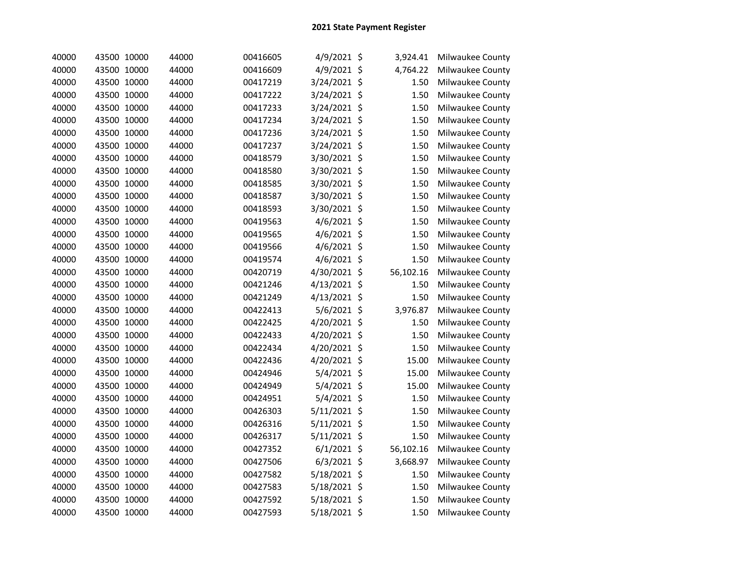| 40000 | 43500 10000 | 44000 | 00416605 | 4/9/2021 \$   | 3,924.41  | Milwaukee County |
|-------|-------------|-------|----------|---------------|-----------|------------------|
| 40000 | 43500 10000 | 44000 | 00416609 | 4/9/2021 \$   | 4,764.22  | Milwaukee County |
| 40000 | 43500 10000 | 44000 | 00417219 | 3/24/2021 \$  | 1.50      | Milwaukee County |
| 40000 | 43500 10000 | 44000 | 00417222 | 3/24/2021 \$  | 1.50      | Milwaukee County |
| 40000 | 43500 10000 | 44000 | 00417233 | 3/24/2021 \$  | 1.50      | Milwaukee County |
| 40000 | 43500 10000 | 44000 | 00417234 | 3/24/2021 \$  | 1.50      | Milwaukee County |
| 40000 | 43500 10000 | 44000 | 00417236 | 3/24/2021 \$  | 1.50      | Milwaukee County |
| 40000 | 43500 10000 | 44000 | 00417237 | 3/24/2021 \$  | 1.50      | Milwaukee County |
| 40000 | 43500 10000 | 44000 | 00418579 | 3/30/2021 \$  | 1.50      | Milwaukee County |
| 40000 | 43500 10000 | 44000 | 00418580 | 3/30/2021 \$  | 1.50      | Milwaukee County |
| 40000 | 43500 10000 | 44000 | 00418585 | 3/30/2021 \$  | 1.50      | Milwaukee County |
| 40000 | 43500 10000 | 44000 | 00418587 | 3/30/2021 \$  | 1.50      | Milwaukee County |
| 40000 | 43500 10000 | 44000 | 00418593 | 3/30/2021 \$  | 1.50      | Milwaukee County |
| 40000 | 43500 10000 | 44000 | 00419563 | 4/6/2021 \$   | 1.50      | Milwaukee County |
| 40000 | 43500 10000 | 44000 | 00419565 | 4/6/2021 \$   | 1.50      | Milwaukee County |
| 40000 | 43500 10000 | 44000 | 00419566 | 4/6/2021 \$   | 1.50      | Milwaukee County |
| 40000 | 43500 10000 | 44000 | 00419574 | 4/6/2021 \$   | 1.50      | Milwaukee County |
| 40000 | 43500 10000 | 44000 | 00420719 | 4/30/2021 \$  | 56,102.16 | Milwaukee County |
| 40000 | 43500 10000 | 44000 | 00421246 | 4/13/2021 \$  | 1.50      | Milwaukee County |
| 40000 | 43500 10000 | 44000 | 00421249 | 4/13/2021 \$  | 1.50      | Milwaukee County |
| 40000 | 43500 10000 | 44000 | 00422413 | 5/6/2021 \$   | 3,976.87  | Milwaukee County |
| 40000 | 43500 10000 | 44000 | 00422425 | 4/20/2021 \$  | 1.50      | Milwaukee County |
| 40000 | 43500 10000 | 44000 | 00422433 | 4/20/2021 \$  | 1.50      | Milwaukee County |
| 40000 | 43500 10000 | 44000 | 00422434 | 4/20/2021 \$  | 1.50      | Milwaukee County |
| 40000 | 43500 10000 | 44000 | 00422436 | 4/20/2021 \$  | 15.00     | Milwaukee County |
| 40000 | 43500 10000 | 44000 | 00424946 | 5/4/2021 \$   | 15.00     | Milwaukee County |
| 40000 | 43500 10000 | 44000 | 00424949 | 5/4/2021 \$   | 15.00     | Milwaukee County |
| 40000 | 43500 10000 | 44000 | 00424951 | 5/4/2021 \$   | 1.50      | Milwaukee County |
| 40000 | 43500 10000 | 44000 | 00426303 | 5/11/2021 \$  | 1.50      | Milwaukee County |
| 40000 | 43500 10000 | 44000 | 00426316 | 5/11/2021 \$  | 1.50      | Milwaukee County |
| 40000 | 43500 10000 | 44000 | 00426317 | 5/11/2021 \$  | 1.50      | Milwaukee County |
| 40000 | 43500 10000 | 44000 | 00427352 | $6/1/2021$ \$ | 56,102.16 | Milwaukee County |
| 40000 | 43500 10000 | 44000 | 00427506 | $6/3/2021$ \$ | 3,668.97  | Milwaukee County |
| 40000 | 43500 10000 | 44000 | 00427582 | 5/18/2021 \$  | 1.50      | Milwaukee County |
| 40000 | 43500 10000 | 44000 | 00427583 | 5/18/2021 \$  | 1.50      | Milwaukee County |
| 40000 | 43500 10000 | 44000 | 00427592 | 5/18/2021 \$  | 1.50      | Milwaukee County |
| 40000 | 43500 10000 | 44000 | 00427593 | 5/18/2021 \$  | 1.50      | Milwaukee County |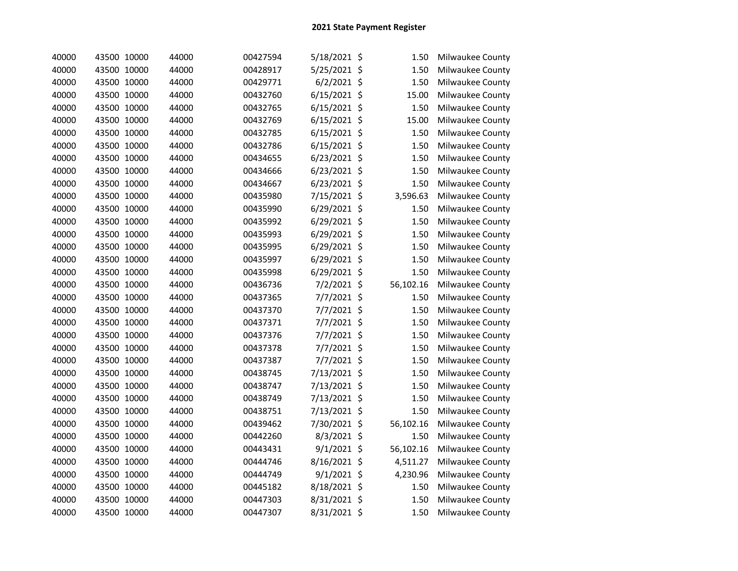| 40000 | 43500 10000 | 44000 | 00427594 | 5/18/2021 \$   | 1.50      | Milwaukee County |
|-------|-------------|-------|----------|----------------|-----------|------------------|
| 40000 | 43500 10000 | 44000 | 00428917 | 5/25/2021 \$   | 1.50      | Milwaukee County |
| 40000 | 43500 10000 | 44000 | 00429771 | $6/2/2021$ \$  | 1.50      | Milwaukee County |
| 40000 | 43500 10000 | 44000 | 00432760 | $6/15/2021$ \$ | 15.00     | Milwaukee County |
| 40000 | 43500 10000 | 44000 | 00432765 | 6/15/2021 \$   | 1.50      | Milwaukee County |
| 40000 | 43500 10000 | 44000 | 00432769 | $6/15/2021$ \$ | 15.00     | Milwaukee County |
| 40000 | 43500 10000 | 44000 | 00432785 | $6/15/2021$ \$ | 1.50      | Milwaukee County |
| 40000 | 43500 10000 | 44000 | 00432786 | $6/15/2021$ \$ | 1.50      | Milwaukee County |
| 40000 | 43500 10000 | 44000 | 00434655 | 6/23/2021 \$   | 1.50      | Milwaukee County |
| 40000 | 43500 10000 | 44000 | 00434666 | 6/23/2021 \$   | 1.50      | Milwaukee County |
| 40000 | 43500 10000 | 44000 | 00434667 | 6/23/2021 \$   | 1.50      | Milwaukee County |
| 40000 | 43500 10000 | 44000 | 00435980 | 7/15/2021 \$   | 3,596.63  | Milwaukee County |
| 40000 | 43500 10000 | 44000 | 00435990 | 6/29/2021 \$   | 1.50      | Milwaukee County |
| 40000 | 43500 10000 | 44000 | 00435992 | 6/29/2021 \$   | 1.50      | Milwaukee County |
| 40000 | 43500 10000 | 44000 | 00435993 | 6/29/2021 \$   | 1.50      | Milwaukee County |
| 40000 | 43500 10000 | 44000 | 00435995 | 6/29/2021 \$   | 1.50      | Milwaukee County |
| 40000 | 43500 10000 | 44000 | 00435997 | 6/29/2021 \$   | 1.50      | Milwaukee County |
| 40000 | 43500 10000 | 44000 | 00435998 | 6/29/2021 \$   | 1.50      | Milwaukee County |
| 40000 | 43500 10000 | 44000 | 00436736 | 7/2/2021 \$    | 56,102.16 | Milwaukee County |
| 40000 | 43500 10000 | 44000 | 00437365 | 7/7/2021 \$    | 1.50      | Milwaukee County |
| 40000 | 43500 10000 | 44000 | 00437370 | 7/7/2021 \$    | 1.50      | Milwaukee County |
| 40000 | 43500 10000 | 44000 | 00437371 | 7/7/2021 \$    | 1.50      | Milwaukee County |
| 40000 | 43500 10000 | 44000 | 00437376 | 7/7/2021 \$    | 1.50      | Milwaukee County |
| 40000 | 43500 10000 | 44000 | 00437378 | 7/7/2021 \$    | 1.50      | Milwaukee County |
| 40000 | 43500 10000 | 44000 | 00437387 | 7/7/2021 \$    | 1.50      | Milwaukee County |
| 40000 | 43500 10000 | 44000 | 00438745 | 7/13/2021 \$   | 1.50      | Milwaukee County |
| 40000 | 43500 10000 | 44000 | 00438747 | 7/13/2021 \$   | 1.50      | Milwaukee County |
| 40000 | 43500 10000 | 44000 | 00438749 | 7/13/2021 \$   | 1.50      | Milwaukee County |
| 40000 | 43500 10000 | 44000 | 00438751 | 7/13/2021 \$   | 1.50      | Milwaukee County |
| 40000 | 43500 10000 | 44000 | 00439462 | 7/30/2021 \$   | 56,102.16 | Milwaukee County |
| 40000 | 43500 10000 | 44000 | 00442260 | 8/3/2021 \$    | 1.50      | Milwaukee County |
| 40000 | 43500 10000 | 44000 | 00443431 | 9/1/2021 \$    | 56,102.16 | Milwaukee County |
| 40000 | 43500 10000 | 44000 | 00444746 | 8/16/2021 \$   | 4,511.27  | Milwaukee County |
| 40000 | 43500 10000 | 44000 | 00444749 | $9/1/2021$ \$  | 4,230.96  | Milwaukee County |
| 40000 | 43500 10000 | 44000 | 00445182 | 8/18/2021 \$   | 1.50      | Milwaukee County |
| 40000 | 43500 10000 | 44000 | 00447303 | 8/31/2021 \$   | 1.50      | Milwaukee County |
| 40000 | 43500 10000 | 44000 | 00447307 | 8/31/2021 \$   | 1.50      | Milwaukee County |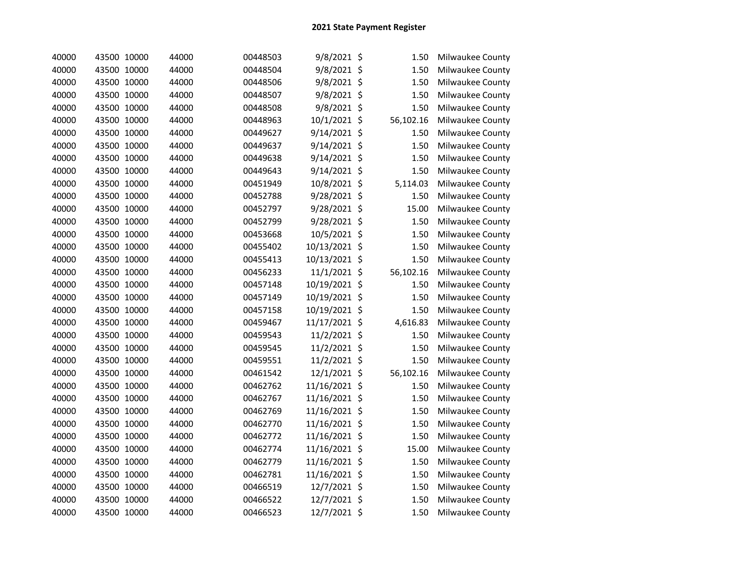| 40000 | 43500 10000 | 44000 | 00448503 | 9/8/2021 \$   | 1.50      | Milwaukee County |
|-------|-------------|-------|----------|---------------|-----------|------------------|
| 40000 | 43500 10000 | 44000 | 00448504 | 9/8/2021 \$   | 1.50      | Milwaukee County |
| 40000 | 43500 10000 | 44000 | 00448506 | 9/8/2021 \$   | 1.50      | Milwaukee County |
| 40000 | 43500 10000 | 44000 | 00448507 | 9/8/2021 \$   | 1.50      | Milwaukee County |
| 40000 | 43500 10000 | 44000 | 00448508 | 9/8/2021 \$   | 1.50      | Milwaukee County |
| 40000 | 43500 10000 | 44000 | 00448963 | 10/1/2021 \$  | 56,102.16 | Milwaukee County |
| 40000 | 43500 10000 | 44000 | 00449627 | 9/14/2021 \$  | 1.50      | Milwaukee County |
| 40000 | 43500 10000 | 44000 | 00449637 | 9/14/2021 \$  | 1.50      | Milwaukee County |
| 40000 | 43500 10000 | 44000 | 00449638 | 9/14/2021 \$  | 1.50      | Milwaukee County |
| 40000 | 43500 10000 | 44000 | 00449643 | 9/14/2021 \$  | 1.50      | Milwaukee County |
| 40000 | 43500 10000 | 44000 | 00451949 | 10/8/2021 \$  | 5,114.03  | Milwaukee County |
| 40000 | 43500 10000 | 44000 | 00452788 | 9/28/2021 \$  | 1.50      | Milwaukee County |
| 40000 | 43500 10000 | 44000 | 00452797 | 9/28/2021 \$  | 15.00     | Milwaukee County |
| 40000 | 43500 10000 | 44000 | 00452799 | 9/28/2021 \$  | 1.50      | Milwaukee County |
| 40000 | 43500 10000 | 44000 | 00453668 | 10/5/2021 \$  | 1.50      | Milwaukee County |
| 40000 | 43500 10000 | 44000 | 00455402 | 10/13/2021 \$ | 1.50      | Milwaukee County |
| 40000 | 43500 10000 | 44000 | 00455413 | 10/13/2021 \$ | 1.50      | Milwaukee County |
| 40000 | 43500 10000 | 44000 | 00456233 | 11/1/2021 \$  | 56,102.16 | Milwaukee County |
| 40000 | 43500 10000 | 44000 | 00457148 | 10/19/2021 \$ | 1.50      | Milwaukee County |
| 40000 | 43500 10000 | 44000 | 00457149 | 10/19/2021 \$ | 1.50      | Milwaukee County |
| 40000 | 43500 10000 | 44000 | 00457158 | 10/19/2021 \$ | 1.50      | Milwaukee County |
| 40000 | 43500 10000 | 44000 | 00459467 | 11/17/2021 \$ | 4,616.83  | Milwaukee County |
| 40000 | 43500 10000 | 44000 | 00459543 | 11/2/2021 \$  | 1.50      | Milwaukee County |
| 40000 | 43500 10000 | 44000 | 00459545 | 11/2/2021 \$  | 1.50      | Milwaukee County |
| 40000 | 43500 10000 | 44000 | 00459551 | 11/2/2021 \$  | 1.50      | Milwaukee County |
| 40000 | 43500 10000 | 44000 | 00461542 | 12/1/2021 \$  | 56,102.16 | Milwaukee County |
| 40000 | 43500 10000 | 44000 | 00462762 | 11/16/2021 \$ | 1.50      | Milwaukee County |
| 40000 | 43500 10000 | 44000 | 00462767 | 11/16/2021 \$ | 1.50      | Milwaukee County |
| 40000 | 43500 10000 | 44000 | 00462769 | 11/16/2021 \$ | 1.50      | Milwaukee County |
| 40000 | 43500 10000 | 44000 | 00462770 | 11/16/2021 \$ | 1.50      | Milwaukee County |
| 40000 | 43500 10000 | 44000 | 00462772 | 11/16/2021 \$ | 1.50      | Milwaukee County |
| 40000 | 43500 10000 | 44000 | 00462774 | 11/16/2021 \$ | 15.00     | Milwaukee County |
| 40000 | 43500 10000 | 44000 | 00462779 | 11/16/2021 \$ | 1.50      | Milwaukee County |
| 40000 | 43500 10000 | 44000 | 00462781 | 11/16/2021 \$ | 1.50      | Milwaukee County |
| 40000 | 43500 10000 | 44000 | 00466519 | 12/7/2021 \$  | 1.50      | Milwaukee County |
| 40000 | 43500 10000 | 44000 | 00466522 | 12/7/2021 \$  | 1.50      | Milwaukee County |
| 40000 | 43500 10000 | 44000 | 00466523 | 12/7/2021 \$  | 1.50      | Milwaukee County |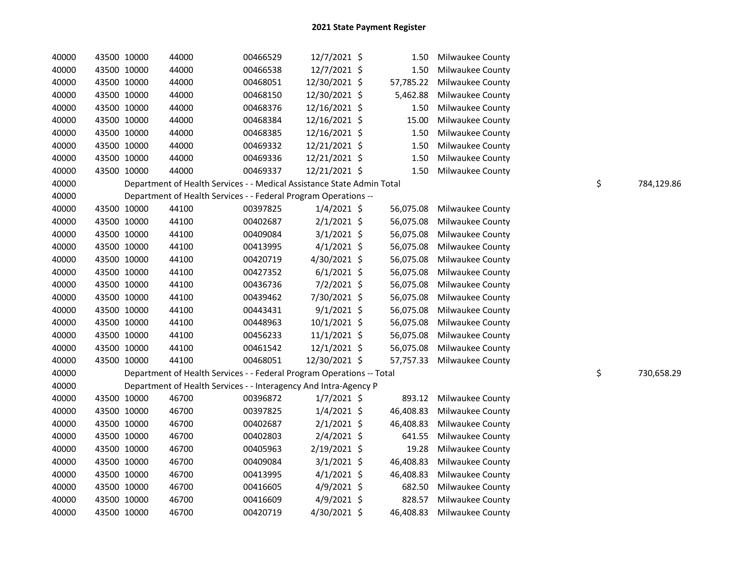| 40000 | 43500 10000 | 44000 | 00466529                                                               | 12/7/2021 \$   | 1.50      | Milwaukee County        |    |            |
|-------|-------------|-------|------------------------------------------------------------------------|----------------|-----------|-------------------------|----|------------|
| 40000 | 43500 10000 | 44000 | 00466538                                                               | 12/7/2021 \$   | 1.50      | Milwaukee County        |    |            |
| 40000 | 43500 10000 | 44000 | 00468051                                                               | 12/30/2021 \$  | 57,785.22 | Milwaukee County        |    |            |
| 40000 | 43500 10000 | 44000 | 00468150                                                               | 12/30/2021 \$  | 5,462.88  | Milwaukee County        |    |            |
| 40000 | 43500 10000 | 44000 | 00468376                                                               | 12/16/2021 \$  | 1.50      | Milwaukee County        |    |            |
| 40000 | 43500 10000 | 44000 | 00468384                                                               | 12/16/2021 \$  | 15.00     | Milwaukee County        |    |            |
| 40000 | 43500 10000 | 44000 | 00468385                                                               | 12/16/2021 \$  | 1.50      | Milwaukee County        |    |            |
| 40000 | 43500 10000 | 44000 | 00469332                                                               | 12/21/2021 \$  | 1.50      | Milwaukee County        |    |            |
| 40000 | 43500 10000 | 44000 | 00469336                                                               | 12/21/2021 \$  | 1.50      | Milwaukee County        |    |            |
| 40000 | 43500 10000 | 44000 | 00469337                                                               | 12/21/2021 \$  | 1.50      | Milwaukee County        |    |            |
| 40000 |             |       | Department of Health Services - - Medical Assistance State Admin Total |                |           |                         | \$ | 784,129.86 |
| 40000 |             |       | Department of Health Services - - Federal Program Operations --        |                |           |                         |    |            |
| 40000 | 43500 10000 | 44100 | 00397825                                                               | $1/4/2021$ \$  | 56,075.08 | <b>Milwaukee County</b> |    |            |
| 40000 | 43500 10000 | 44100 | 00402687                                                               | $2/1/2021$ \$  | 56,075.08 | Milwaukee County        |    |            |
| 40000 | 43500 10000 | 44100 | 00409084                                                               | $3/1/2021$ \$  | 56,075.08 | <b>Milwaukee County</b> |    |            |
| 40000 | 43500 10000 | 44100 | 00413995                                                               | $4/1/2021$ \$  | 56,075.08 | <b>Milwaukee County</b> |    |            |
| 40000 | 43500 10000 | 44100 | 00420719                                                               | 4/30/2021 \$   | 56,075.08 | Milwaukee County        |    |            |
| 40000 | 43500 10000 | 44100 | 00427352                                                               | $6/1/2021$ \$  | 56,075.08 | Milwaukee County        |    |            |
| 40000 | 43500 10000 | 44100 | 00436736                                                               | $7/2/2021$ \$  | 56,075.08 | <b>Milwaukee County</b> |    |            |
| 40000 | 43500 10000 | 44100 | 00439462                                                               | 7/30/2021 \$   | 56,075.08 | Milwaukee County        |    |            |
| 40000 | 43500 10000 | 44100 | 00443431                                                               | $9/1/2021$ \$  | 56,075.08 | Milwaukee County        |    |            |
| 40000 | 43500 10000 | 44100 | 00448963                                                               | $10/1/2021$ \$ | 56,075.08 | Milwaukee County        |    |            |
| 40000 | 43500 10000 | 44100 | 00456233                                                               | 11/1/2021 \$   | 56,075.08 | Milwaukee County        |    |            |
| 40000 | 43500 10000 | 44100 | 00461542                                                               | 12/1/2021 \$   | 56,075.08 | Milwaukee County        |    |            |
| 40000 | 43500 10000 | 44100 | 00468051                                                               | 12/30/2021 \$  | 57,757.33 | Milwaukee County        |    |            |
| 40000 |             |       | Department of Health Services - - Federal Program Operations -- Total  |                |           |                         | \$ | 730,658.29 |
| 40000 |             |       | Department of Health Services - - Interagency And Intra-Agency P       |                |           |                         |    |            |
| 40000 | 43500 10000 | 46700 | 00396872                                                               | $1/7/2021$ \$  | 893.12    | <b>Milwaukee County</b> |    |            |
| 40000 | 43500 10000 | 46700 | 00397825                                                               | $1/4/2021$ \$  | 46,408.83 | <b>Milwaukee County</b> |    |            |
| 40000 | 43500 10000 | 46700 | 00402687                                                               | $2/1/2021$ \$  | 46,408.83 | Milwaukee County        |    |            |
| 40000 | 43500 10000 | 46700 | 00402803                                                               | $2/4/2021$ \$  | 641.55    | Milwaukee County        |    |            |
| 40000 | 43500 10000 | 46700 | 00405963                                                               | 2/19/2021 \$   | 19.28     | Milwaukee County        |    |            |
| 40000 | 43500 10000 | 46700 | 00409084                                                               | $3/1/2021$ \$  | 46,408.83 | <b>Milwaukee County</b> |    |            |
| 40000 | 43500 10000 | 46700 | 00413995                                                               | $4/1/2021$ \$  | 46,408.83 | <b>Milwaukee County</b> |    |            |
| 40000 | 43500 10000 | 46700 | 00416605                                                               | $4/9/2021$ \$  | 682.50    | <b>Milwaukee County</b> |    |            |
| 40000 | 43500 10000 | 46700 | 00416609                                                               | 4/9/2021 \$    | 828.57    | <b>Milwaukee County</b> |    |            |
| 40000 | 43500 10000 | 46700 | 00420719                                                               | 4/30/2021 \$   | 46,408.83 | Milwaukee County        |    |            |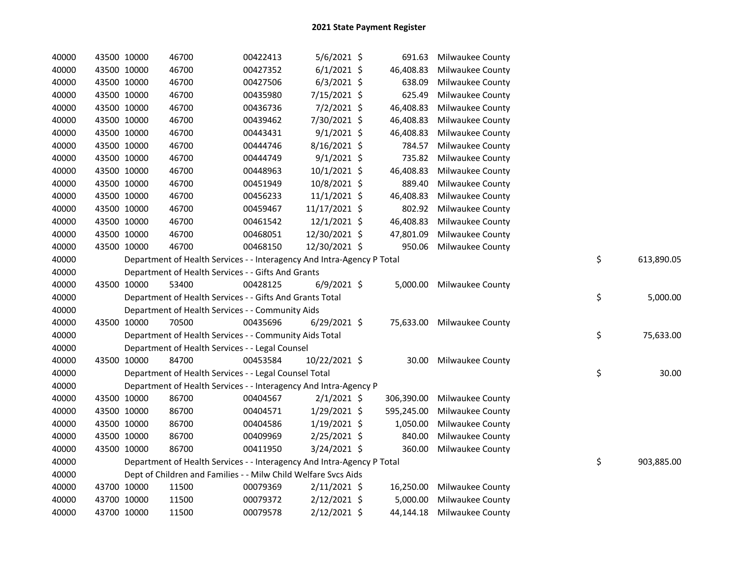| 40000 | 43500 10000 |             | 46700                                                                  | 00422413 | 5/6/2021 \$    | 691.63     | Milwaukee County           |    |            |
|-------|-------------|-------------|------------------------------------------------------------------------|----------|----------------|------------|----------------------------|----|------------|
| 40000 |             | 43500 10000 | 46700                                                                  | 00427352 | $6/1/2021$ \$  | 46,408.83  | Milwaukee County           |    |            |
| 40000 | 43500 10000 |             | 46700                                                                  | 00427506 | $6/3/2021$ \$  | 638.09     | Milwaukee County           |    |            |
| 40000 | 43500 10000 |             | 46700                                                                  | 00435980 | 7/15/2021 \$   | 625.49     | Milwaukee County           |    |            |
| 40000 | 43500 10000 |             | 46700                                                                  | 00436736 | 7/2/2021 \$    | 46,408.83  | Milwaukee County           |    |            |
| 40000 | 43500 10000 |             | 46700                                                                  | 00439462 | 7/30/2021 \$   | 46,408.83  | Milwaukee County           |    |            |
| 40000 | 43500 10000 |             | 46700                                                                  | 00443431 | $9/1/2021$ \$  | 46,408.83  | Milwaukee County           |    |            |
| 40000 | 43500 10000 |             | 46700                                                                  | 00444746 | 8/16/2021 \$   | 784.57     | Milwaukee County           |    |            |
| 40000 |             | 43500 10000 | 46700                                                                  | 00444749 | $9/1/2021$ \$  | 735.82     | Milwaukee County           |    |            |
| 40000 |             | 43500 10000 | 46700                                                                  | 00448963 | 10/1/2021 \$   | 46,408.83  | Milwaukee County           |    |            |
| 40000 |             | 43500 10000 | 46700                                                                  | 00451949 | 10/8/2021 \$   | 889.40     | Milwaukee County           |    |            |
| 40000 |             | 43500 10000 | 46700                                                                  | 00456233 | $11/1/2021$ \$ | 46,408.83  | Milwaukee County           |    |            |
| 40000 |             | 43500 10000 | 46700                                                                  | 00459467 | 11/17/2021 \$  | 802.92     | Milwaukee County           |    |            |
| 40000 |             | 43500 10000 | 46700                                                                  | 00461542 | 12/1/2021 \$   | 46,408.83  | Milwaukee County           |    |            |
| 40000 |             | 43500 10000 | 46700                                                                  | 00468051 | 12/30/2021 \$  | 47,801.09  | Milwaukee County           |    |            |
| 40000 | 43500 10000 |             | 46700                                                                  | 00468150 | 12/30/2021 \$  | 950.06     | Milwaukee County           |    |            |
| 40000 |             |             | Department of Health Services - - Interagency And Intra-Agency P Total |          |                |            |                            | \$ | 613,890.05 |
| 40000 |             |             | Department of Health Services - - Gifts And Grants                     |          |                |            |                            |    |            |
| 40000 | 43500 10000 |             | 53400                                                                  | 00428125 | $6/9/2021$ \$  |            | 5,000.00 Milwaukee County  |    |            |
| 40000 |             |             | Department of Health Services - - Gifts And Grants Total               |          |                |            |                            | \$ | 5,000.00   |
| 40000 |             |             | Department of Health Services - - Community Aids                       |          |                |            |                            |    |            |
| 40000 |             | 43500 10000 | 70500                                                                  | 00435696 | 6/29/2021 \$   |            | 75,633.00 Milwaukee County |    |            |
| 40000 |             |             | Department of Health Services - - Community Aids Total                 |          |                |            |                            | \$ | 75,633.00  |
| 40000 |             |             | Department of Health Services - - Legal Counsel                        |          |                |            |                            |    |            |
| 40000 | 43500 10000 |             | 84700                                                                  | 00453584 | 10/22/2021 \$  | 30.00      | Milwaukee County           |    |            |
| 40000 |             |             | Department of Health Services - - Legal Counsel Total                  |          |                |            |                            | \$ | 30.00      |
| 40000 |             |             | Department of Health Services - - Interagency And Intra-Agency P       |          |                |            |                            |    |            |
| 40000 |             | 43500 10000 | 86700                                                                  | 00404567 | $2/1/2021$ \$  | 306,390.00 | <b>Milwaukee County</b>    |    |            |
| 40000 |             | 43500 10000 | 86700                                                                  | 00404571 | $1/29/2021$ \$ | 595,245.00 | <b>Milwaukee County</b>    |    |            |
| 40000 |             | 43500 10000 | 86700                                                                  | 00404586 | $1/19/2021$ \$ | 1,050.00   | Milwaukee County           |    |            |
| 40000 | 43500 10000 |             | 86700                                                                  | 00409969 | 2/25/2021 \$   | 840.00     | Milwaukee County           |    |            |
| 40000 | 43500 10000 |             | 86700                                                                  | 00411950 | 3/24/2021 \$   | 360.00     | <b>Milwaukee County</b>    |    |            |
| 40000 |             |             | Department of Health Services - - Interagency And Intra-Agency P Total |          |                |            |                            | \$ | 903,885.00 |
| 40000 |             |             | Dept of Children and Families - - Milw Child Welfare Svcs Aids         |          |                |            |                            |    |            |
| 40000 |             | 43700 10000 | 11500                                                                  | 00079369 | $2/11/2021$ \$ | 16,250.00  | Milwaukee County           |    |            |
| 40000 | 43700 10000 |             | 11500                                                                  | 00079372 | $2/12/2021$ \$ | 5,000.00   | Milwaukee County           |    |            |
| 40000 | 43700 10000 |             | 11500                                                                  | 00079578 | $2/12/2021$ \$ |            | 44,144.18 Milwaukee County |    |            |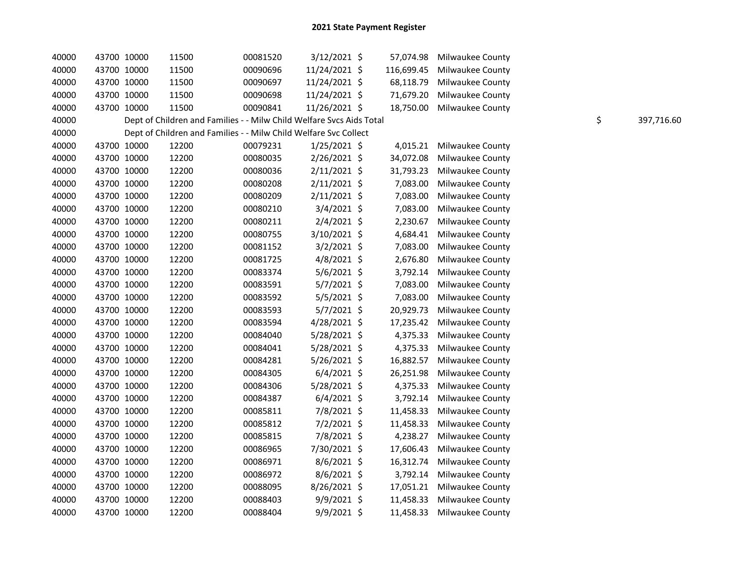| 40000 |             | 43700 10000 | 11500 | 00081520                                                             | 3/12/2021 \$   | 57,074.98  | <b>Milwaukee County</b> |    |            |
|-------|-------------|-------------|-------|----------------------------------------------------------------------|----------------|------------|-------------------------|----|------------|
| 40000 | 43700 10000 |             | 11500 | 00090696                                                             | 11/24/2021 \$  | 116,699.45 | Milwaukee County        |    |            |
| 40000 | 43700 10000 |             | 11500 | 00090697                                                             | 11/24/2021 \$  | 68,118.79  | <b>Milwaukee County</b> |    |            |
| 40000 | 43700 10000 |             | 11500 | 00090698                                                             | 11/24/2021 \$  | 71,679.20  | Milwaukee County        |    |            |
| 40000 | 43700 10000 |             | 11500 | 00090841                                                             | 11/26/2021 \$  | 18,750.00  | Milwaukee County        |    |            |
| 40000 |             |             |       | Dept of Children and Families - - Milw Child Welfare Svcs Aids Total |                |            |                         | \$ | 397,716.60 |
| 40000 |             |             |       | Dept of Children and Families - - Milw Child Welfare Svc Collect     |                |            |                         |    |            |
| 40000 | 43700 10000 |             | 12200 | 00079231                                                             | $1/25/2021$ \$ | 4,015.21   | Milwaukee County        |    |            |
| 40000 | 43700 10000 |             | 12200 | 00080035                                                             | 2/26/2021 \$   | 34,072.08  | Milwaukee County        |    |            |
| 40000 |             | 43700 10000 | 12200 | 00080036                                                             | 2/11/2021 \$   | 31,793.23  | <b>Milwaukee County</b> |    |            |
| 40000 | 43700 10000 |             | 12200 | 00080208                                                             | $2/11/2021$ \$ | 7,083.00   | Milwaukee County        |    |            |
| 40000 | 43700 10000 |             | 12200 | 00080209                                                             | 2/11/2021 \$   | 7,083.00   | Milwaukee County        |    |            |
| 40000 | 43700 10000 |             | 12200 | 00080210                                                             | 3/4/2021 \$    | 7,083.00   | <b>Milwaukee County</b> |    |            |
| 40000 | 43700 10000 |             | 12200 | 00080211                                                             | $2/4/2021$ \$  | 2,230.67   | Milwaukee County        |    |            |
| 40000 | 43700 10000 |             | 12200 | 00080755                                                             | 3/10/2021 \$   | 4,684.41   | Milwaukee County        |    |            |
| 40000 | 43700 10000 |             | 12200 | 00081152                                                             | 3/2/2021 \$    | 7,083.00   | Milwaukee County        |    |            |
| 40000 | 43700 10000 |             | 12200 | 00081725                                                             | $4/8/2021$ \$  | 2,676.80   | <b>Milwaukee County</b> |    |            |
| 40000 | 43700 10000 |             | 12200 | 00083374                                                             | $5/6/2021$ \$  | 3,792.14   | <b>Milwaukee County</b> |    |            |
| 40000 | 43700 10000 |             | 12200 | 00083591                                                             | 5/7/2021 \$    | 7,083.00   | Milwaukee County        |    |            |
| 40000 | 43700 10000 |             | 12200 | 00083592                                                             | 5/5/2021 \$    | 7,083.00   | Milwaukee County        |    |            |
| 40000 | 43700 10000 |             | 12200 | 00083593                                                             | 5/7/2021 \$    | 20,929.73  | Milwaukee County        |    |            |
| 40000 | 43700 10000 |             | 12200 | 00083594                                                             | $4/28/2021$ \$ | 17,235.42  | <b>Milwaukee County</b> |    |            |
| 40000 | 43700 10000 |             | 12200 | 00084040                                                             | 5/28/2021 \$   | 4,375.33   | Milwaukee County        |    |            |
| 40000 | 43700 10000 |             | 12200 | 00084041                                                             | 5/28/2021 \$   | 4,375.33   | Milwaukee County        |    |            |
| 40000 | 43700 10000 |             | 12200 | 00084281                                                             | 5/26/2021 \$   | 16,882.57  | <b>Milwaukee County</b> |    |            |
| 40000 | 43700 10000 |             | 12200 | 00084305                                                             | $6/4/2021$ \$  | 26,251.98  | Milwaukee County        |    |            |
| 40000 | 43700 10000 |             | 12200 | 00084306                                                             | 5/28/2021 \$   | 4,375.33   | Milwaukee County        |    |            |
| 40000 | 43700 10000 |             | 12200 | 00084387                                                             | $6/4/2021$ \$  | 3,792.14   | Milwaukee County        |    |            |
| 40000 | 43700 10000 |             | 12200 | 00085811                                                             | 7/8/2021 \$    | 11,458.33  | <b>Milwaukee County</b> |    |            |
| 40000 | 43700 10000 |             | 12200 | 00085812                                                             | 7/2/2021 \$    | 11,458.33  | <b>Milwaukee County</b> |    |            |
| 40000 | 43700 10000 |             | 12200 | 00085815                                                             | 7/8/2021 \$    | 4,238.27   | Milwaukee County        |    |            |
| 40000 | 43700 10000 |             | 12200 | 00086965                                                             | 7/30/2021 \$   | 17,606.43  | <b>Milwaukee County</b> |    |            |
| 40000 | 43700 10000 |             | 12200 | 00086971                                                             | $8/6/2021$ \$  | 16,312.74  | <b>Milwaukee County</b> |    |            |
| 40000 | 43700 10000 |             | 12200 | 00086972                                                             | 8/6/2021 \$    | 3,792.14   | Milwaukee County        |    |            |
| 40000 | 43700 10000 |             | 12200 | 00088095                                                             | 8/26/2021 \$   | 17,051.21  | Milwaukee County        |    |            |
| 40000 | 43700 10000 |             | 12200 | 00088403                                                             | 9/9/2021 \$    | 11,458.33  | <b>Milwaukee County</b> |    |            |
| 40000 | 43700 10000 |             | 12200 | 00088404                                                             | 9/9/2021 \$    | 11,458.33  | <b>Milwaukee County</b> |    |            |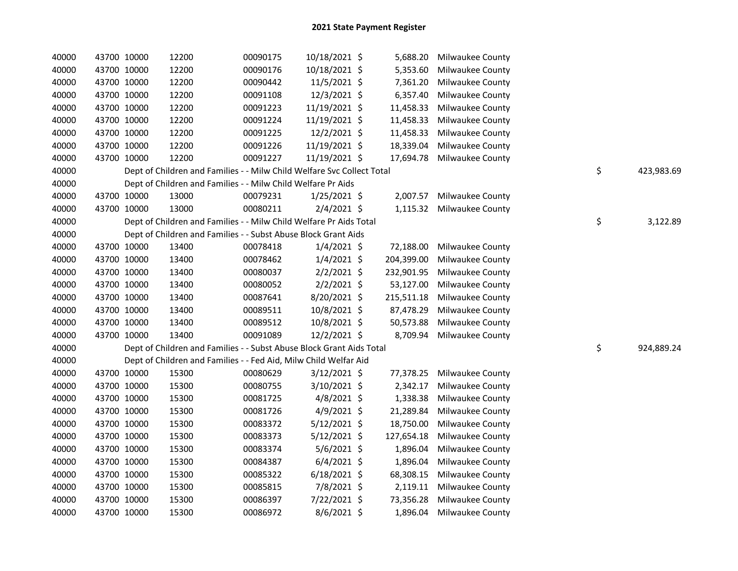| 40000 | 43700 10000 |             | 12200                                                                  | 00090175 | 10/18/2021 \$  | 5,688.20   | Milwaukee County          |    |            |
|-------|-------------|-------------|------------------------------------------------------------------------|----------|----------------|------------|---------------------------|----|------------|
| 40000 |             | 43700 10000 | 12200                                                                  | 00090176 | 10/18/2021 \$  | 5,353.60   | Milwaukee County          |    |            |
| 40000 | 43700 10000 |             | 12200                                                                  | 00090442 | 11/5/2021 \$   | 7,361.20   | Milwaukee County          |    |            |
| 40000 | 43700 10000 |             | 12200                                                                  | 00091108 | 12/3/2021 \$   | 6,357.40   | Milwaukee County          |    |            |
| 40000 | 43700 10000 |             | 12200                                                                  | 00091223 | 11/19/2021 \$  | 11,458.33  | Milwaukee County          |    |            |
| 40000 | 43700 10000 |             | 12200                                                                  | 00091224 | 11/19/2021 \$  | 11,458.33  | Milwaukee County          |    |            |
| 40000 | 43700 10000 |             | 12200                                                                  | 00091225 | 12/2/2021 \$   | 11,458.33  | Milwaukee County          |    |            |
| 40000 | 43700 10000 |             | 12200                                                                  | 00091226 | 11/19/2021 \$  | 18,339.04  | Milwaukee County          |    |            |
| 40000 | 43700 10000 |             | 12200                                                                  | 00091227 | 11/19/2021 \$  | 17,694.78  | Milwaukee County          |    |            |
| 40000 |             |             | Dept of Children and Families - - Milw Child Welfare Svc Collect Total |          |                |            |                           | \$ | 423,983.69 |
| 40000 |             |             | Dept of Children and Families - - Milw Child Welfare Pr Aids           |          |                |            |                           |    |            |
| 40000 | 43700 10000 |             | 13000                                                                  | 00079231 | $1/25/2021$ \$ | 2,007.57   | Milwaukee County          |    |            |
| 40000 | 43700 10000 |             | 13000                                                                  | 00080211 | $2/4/2021$ \$  |            | 1,115.32 Milwaukee County |    |            |
| 40000 |             |             | Dept of Children and Families - - Milw Child Welfare Pr Aids Total     |          |                |            |                           | \$ | 3,122.89   |
| 40000 |             |             | Dept of Children and Families - - Subst Abuse Block Grant Aids         |          |                |            |                           |    |            |
| 40000 | 43700 10000 |             | 13400                                                                  | 00078418 | $1/4/2021$ \$  | 72,188.00  | Milwaukee County          |    |            |
| 40000 |             | 43700 10000 | 13400                                                                  | 00078462 | $1/4/2021$ \$  | 204,399.00 | Milwaukee County          |    |            |
| 40000 |             | 43700 10000 | 13400                                                                  | 00080037 | $2/2/2021$ \$  | 232,901.95 | Milwaukee County          |    |            |
| 40000 |             | 43700 10000 | 13400                                                                  | 00080052 | $2/2/2021$ \$  | 53,127.00  | Milwaukee County          |    |            |
| 40000 | 43700 10000 |             | 13400                                                                  | 00087641 | 8/20/2021 \$   | 215,511.18 | Milwaukee County          |    |            |
| 40000 | 43700 10000 |             | 13400                                                                  | 00089511 | 10/8/2021 \$   | 87,478.29  | Milwaukee County          |    |            |
| 40000 | 43700 10000 |             | 13400                                                                  | 00089512 | 10/8/2021 \$   | 50,573.88  | Milwaukee County          |    |            |
| 40000 | 43700 10000 |             | 13400                                                                  | 00091089 | 12/2/2021 \$   | 8,709.94   | Milwaukee County          |    |            |
| 40000 |             |             | Dept of Children and Families - - Subst Abuse Block Grant Aids Total   |          |                |            |                           | \$ | 924,889.24 |
| 40000 |             |             | Dept of Children and Families - - Fed Aid, Milw Child Welfar Aid       |          |                |            |                           |    |            |
| 40000 |             | 43700 10000 | 15300                                                                  | 00080629 | $3/12/2021$ \$ | 77,378.25  | Milwaukee County          |    |            |
| 40000 |             | 43700 10000 | 15300                                                                  | 00080755 | 3/10/2021 \$   | 2,342.17   | Milwaukee County          |    |            |
| 40000 |             | 43700 10000 | 15300                                                                  | 00081725 | $4/8/2021$ \$  | 1,338.38   | Milwaukee County          |    |            |
| 40000 | 43700 10000 |             | 15300                                                                  | 00081726 | $4/9/2021$ \$  | 21,289.84  | Milwaukee County          |    |            |
| 40000 | 43700 10000 |             | 15300                                                                  | 00083372 | $5/12/2021$ \$ | 18,750.00  | Milwaukee County          |    |            |
| 40000 | 43700 10000 |             | 15300                                                                  | 00083373 | $5/12/2021$ \$ | 127,654.18 | Milwaukee County          |    |            |
| 40000 | 43700 10000 |             | 15300                                                                  | 00083374 | $5/6/2021$ \$  | 1,896.04   | Milwaukee County          |    |            |
| 40000 | 43700 10000 |             | 15300                                                                  | 00084387 | $6/4/2021$ \$  | 1,896.04   | Milwaukee County          |    |            |
| 40000 | 43700 10000 |             | 15300                                                                  | 00085322 | $6/18/2021$ \$ | 68,308.15  | <b>Milwaukee County</b>   |    |            |
| 40000 | 43700 10000 |             | 15300                                                                  | 00085815 | 7/8/2021 \$    | 2,119.11   | Milwaukee County          |    |            |
| 40000 | 43700 10000 |             | 15300                                                                  | 00086397 | 7/22/2021 \$   | 73,356.28  | Milwaukee County          |    |            |
| 40000 | 43700 10000 |             | 15300                                                                  | 00086972 | 8/6/2021 \$    |            | 1,896.04 Milwaukee County |    |            |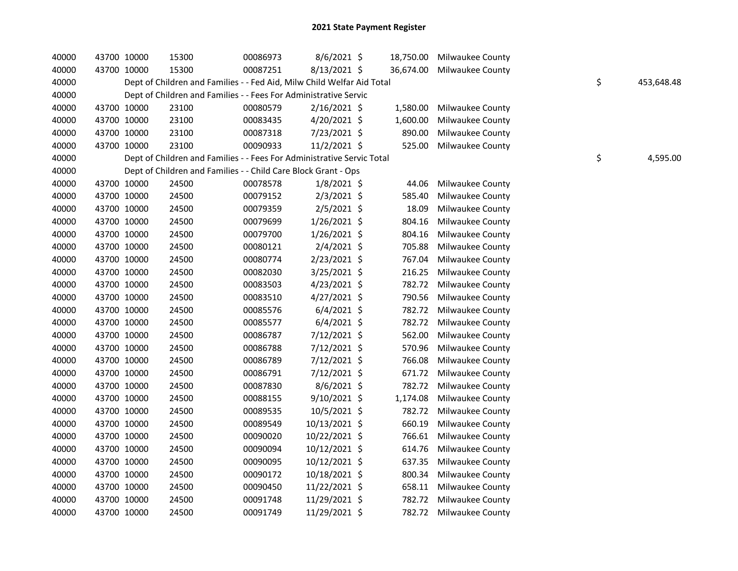| 40000 |             | 43700 10000 | 15300                                                                  | 00086973 | 8/6/2021 \$    | 18,750.00 | <b>Milwaukee County</b> |    |            |
|-------|-------------|-------------|------------------------------------------------------------------------|----------|----------------|-----------|-------------------------|----|------------|
| 40000 | 43700 10000 |             | 15300                                                                  | 00087251 | 8/13/2021 \$   | 36,674.00 | Milwaukee County        |    |            |
| 40000 |             |             | Dept of Children and Families - - Fed Aid, Milw Child Welfar Aid Total |          |                |           |                         | \$ | 453,648.48 |
| 40000 |             |             | Dept of Children and Families - - Fees For Administrative Servic       |          |                |           |                         |    |            |
| 40000 | 43700 10000 |             | 23100                                                                  | 00080579 | 2/16/2021 \$   | 1,580.00  | Milwaukee County        |    |            |
| 40000 | 43700 10000 |             | 23100                                                                  | 00083435 | 4/20/2021 \$   | 1,600.00  | Milwaukee County        |    |            |
| 40000 | 43700 10000 |             | 23100                                                                  | 00087318 | 7/23/2021 \$   | 890.00    | Milwaukee County        |    |            |
| 40000 | 43700 10000 |             | 23100                                                                  | 00090933 | $11/2/2021$ \$ | 525.00    | Milwaukee County        |    |            |
| 40000 |             |             | Dept of Children and Families - - Fees For Administrative Servic Total |          |                |           |                         | \$ | 4,595.00   |
| 40000 |             |             | Dept of Children and Families - - Child Care Block Grant - Ops         |          |                |           |                         |    |            |
| 40000 | 43700 10000 |             | 24500                                                                  | 00078578 | $1/8/2021$ \$  | 44.06     | Milwaukee County        |    |            |
| 40000 | 43700 10000 |             | 24500                                                                  | 00079152 | $2/3/2021$ \$  | 585.40    | Milwaukee County        |    |            |
| 40000 | 43700 10000 |             | 24500                                                                  | 00079359 | 2/5/2021 \$    | 18.09     | <b>Milwaukee County</b> |    |            |
| 40000 | 43700 10000 |             | 24500                                                                  | 00079699 | 1/26/2021 \$   | 804.16    | Milwaukee County        |    |            |
| 40000 | 43700 10000 |             | 24500                                                                  | 00079700 | 1/26/2021 \$   | 804.16    | <b>Milwaukee County</b> |    |            |
| 40000 | 43700 10000 |             | 24500                                                                  | 00080121 | 2/4/2021 \$    | 705.88    | Milwaukee County        |    |            |
| 40000 | 43700 10000 |             | 24500                                                                  | 00080774 | 2/23/2021 \$   | 767.04    | Milwaukee County        |    |            |
| 40000 | 43700 10000 |             | 24500                                                                  | 00082030 | 3/25/2021 \$   | 216.25    | Milwaukee County        |    |            |
| 40000 | 43700 10000 |             | 24500                                                                  | 00083503 | $4/23/2021$ \$ | 782.72    | Milwaukee County        |    |            |
| 40000 | 43700 10000 |             | 24500                                                                  | 00083510 | 4/27/2021 \$   | 790.56    | Milwaukee County        |    |            |
| 40000 | 43700 10000 |             | 24500                                                                  | 00085576 | $6/4/2021$ \$  | 782.72    | Milwaukee County        |    |            |
| 40000 | 43700 10000 |             | 24500                                                                  | 00085577 | $6/4/2021$ \$  | 782.72    | Milwaukee County        |    |            |
| 40000 | 43700 10000 |             | 24500                                                                  | 00086787 | 7/12/2021 \$   | 562.00    | Milwaukee County        |    |            |
| 40000 | 43700 10000 |             | 24500                                                                  | 00086788 | 7/12/2021 \$   | 570.96    | Milwaukee County        |    |            |
| 40000 | 43700 10000 |             | 24500                                                                  | 00086789 | 7/12/2021 \$   | 766.08    | Milwaukee County        |    |            |
| 40000 | 43700 10000 |             | 24500                                                                  | 00086791 | 7/12/2021 \$   | 671.72    | Milwaukee County        |    |            |
| 40000 | 43700 10000 |             | 24500                                                                  | 00087830 | 8/6/2021 \$    | 782.72    | Milwaukee County        |    |            |
| 40000 | 43700 10000 |             | 24500                                                                  | 00088155 | $9/10/2021$ \$ | 1,174.08  | Milwaukee County        |    |            |
| 40000 | 43700 10000 |             | 24500                                                                  | 00089535 | 10/5/2021 \$   | 782.72    | <b>Milwaukee County</b> |    |            |
| 40000 |             | 43700 10000 | 24500                                                                  | 00089549 | 10/13/2021 \$  | 660.19    | Milwaukee County        |    |            |
| 40000 | 43700 10000 |             | 24500                                                                  | 00090020 | 10/22/2021 \$  | 766.61    | Milwaukee County        |    |            |
| 40000 | 43700 10000 |             | 24500                                                                  | 00090094 | 10/12/2021 \$  | 614.76    | <b>Milwaukee County</b> |    |            |
| 40000 | 43700 10000 |             | 24500                                                                  | 00090095 | 10/12/2021 \$  | 637.35    | Milwaukee County        |    |            |
| 40000 | 43700 10000 |             | 24500                                                                  | 00090172 | 10/18/2021 \$  | 800.34    | Milwaukee County        |    |            |
| 40000 | 43700 10000 |             | 24500                                                                  | 00090450 | 11/22/2021 \$  | 658.11    | Milwaukee County        |    |            |
| 40000 |             | 43700 10000 | 24500                                                                  | 00091748 | 11/29/2021 \$  | 782.72    | Milwaukee County        |    |            |
| 40000 | 43700 10000 |             | 24500                                                                  | 00091749 | 11/29/2021 \$  |           | 782.72 Milwaukee County |    |            |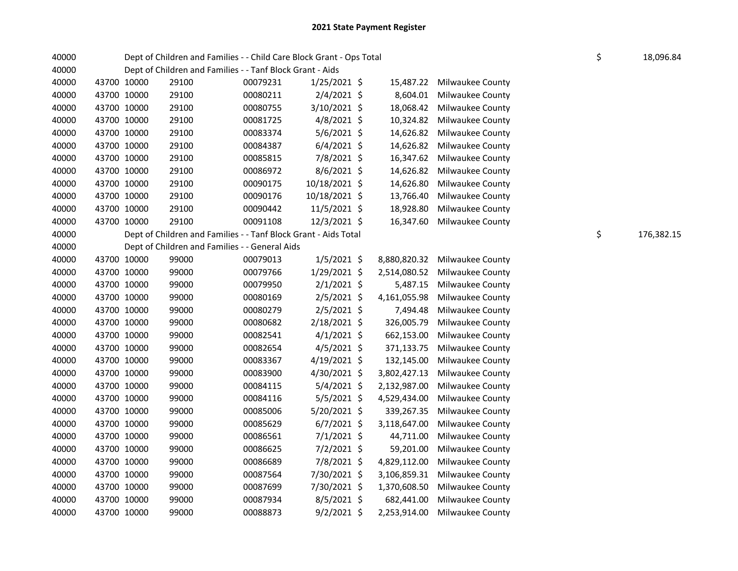| 40000 | Dept of Children and Families - - Child Care Block Grant - Ops Total |                                                                 |          |                |  |              |                            | \$ | 18,096.84  |
|-------|----------------------------------------------------------------------|-----------------------------------------------------------------|----------|----------------|--|--------------|----------------------------|----|------------|
| 40000 |                                                                      | Dept of Children and Families - - Tanf Block Grant - Aids       |          |                |  |              |                            |    |            |
| 40000 | 43700 10000                                                          | 29100                                                           | 00079231 | $1/25/2021$ \$ |  | 15,487.22    | <b>Milwaukee County</b>    |    |            |
| 40000 | 43700 10000                                                          | 29100                                                           | 00080211 | $2/4/2021$ \$  |  | 8,604.01     | Milwaukee County           |    |            |
| 40000 | 43700 10000                                                          | 29100                                                           | 00080755 | 3/10/2021 \$   |  | 18,068.42    | Milwaukee County           |    |            |
| 40000 | 43700 10000                                                          | 29100                                                           | 00081725 | $4/8/2021$ \$  |  | 10,324.82    | Milwaukee County           |    |            |
| 40000 | 43700 10000                                                          | 29100                                                           | 00083374 | $5/6/2021$ \$  |  | 14,626.82    | Milwaukee County           |    |            |
| 40000 | 43700 10000                                                          | 29100                                                           | 00084387 | $6/4/2021$ \$  |  | 14,626.82    | Milwaukee County           |    |            |
| 40000 | 43700 10000                                                          | 29100                                                           | 00085815 | 7/8/2021 \$    |  | 16,347.62    | <b>Milwaukee County</b>    |    |            |
| 40000 | 43700 10000                                                          | 29100                                                           | 00086972 | $8/6/2021$ \$  |  | 14,626.82    | Milwaukee County           |    |            |
| 40000 | 43700 10000                                                          | 29100                                                           | 00090175 | 10/18/2021 \$  |  | 14,626.80    | Milwaukee County           |    |            |
| 40000 | 43700 10000                                                          | 29100                                                           | 00090176 | 10/18/2021 \$  |  | 13,766.40    | Milwaukee County           |    |            |
| 40000 | 43700 10000                                                          | 29100                                                           | 00090442 | 11/5/2021 \$   |  | 18,928.80    | Milwaukee County           |    |            |
| 40000 | 43700 10000                                                          | 29100                                                           | 00091108 | 12/3/2021 \$   |  |              | 16,347.60 Milwaukee County |    |            |
| 40000 |                                                                      | Dept of Children and Families - - Tanf Block Grant - Aids Total |          |                |  |              |                            | \$ | 176,382.15 |
| 40000 |                                                                      | Dept of Children and Families - - General Aids                  |          |                |  |              |                            |    |            |
| 40000 | 43700 10000                                                          | 99000                                                           | 00079013 | $1/5/2021$ \$  |  | 8,880,820.32 | Milwaukee County           |    |            |
| 40000 | 43700 10000                                                          | 99000                                                           | 00079766 | 1/29/2021 \$   |  | 2,514,080.52 | <b>Milwaukee County</b>    |    |            |
| 40000 | 43700 10000                                                          | 99000                                                           | 00079950 | $2/1/2021$ \$  |  | 5,487.15     | Milwaukee County           |    |            |
| 40000 | 43700 10000                                                          | 99000                                                           | 00080169 | $2/5/2021$ \$  |  | 4,161,055.98 | Milwaukee County           |    |            |
| 40000 | 43700 10000                                                          | 99000                                                           | 00080279 | $2/5/2021$ \$  |  | 7,494.48     | Milwaukee County           |    |            |
| 40000 | 43700 10000                                                          | 99000                                                           | 00080682 | 2/18/2021 \$   |  | 326,005.79   | Milwaukee County           |    |            |
| 40000 | 43700 10000                                                          | 99000                                                           | 00082541 | $4/1/2021$ \$  |  | 662,153.00   | Milwaukee County           |    |            |
| 40000 | 43700 10000                                                          | 99000                                                           | 00082654 | $4/5/2021$ \$  |  | 371,133.75   | Milwaukee County           |    |            |
| 40000 | 43700 10000                                                          | 99000                                                           | 00083367 | 4/19/2021 \$   |  | 132,145.00   | Milwaukee County           |    |            |
| 40000 | 43700 10000                                                          | 99000                                                           | 00083900 | 4/30/2021 \$   |  | 3,802,427.13 | Milwaukee County           |    |            |
| 40000 | 43700 10000                                                          | 99000                                                           | 00084115 | $5/4/2021$ \$  |  | 2,132,987.00 | <b>Milwaukee County</b>    |    |            |
| 40000 | 43700 10000                                                          | 99000                                                           | 00084116 | $5/5/2021$ \$  |  | 4,529,434.00 | Milwaukee County           |    |            |
| 40000 | 43700 10000                                                          | 99000                                                           | 00085006 | 5/20/2021 \$   |  | 339,267.35   | Milwaukee County           |    |            |
| 40000 | 43700 10000                                                          | 99000                                                           | 00085629 | $6/7/2021$ \$  |  | 3,118,647.00 | <b>Milwaukee County</b>    |    |            |
| 40000 | 43700 10000                                                          | 99000                                                           | 00086561 | $7/1/2021$ \$  |  | 44,711.00    | <b>Milwaukee County</b>    |    |            |
| 40000 | 43700 10000                                                          | 99000                                                           | 00086625 | $7/2/2021$ \$  |  | 59,201.00    | Milwaukee County           |    |            |
| 40000 | 43700 10000                                                          | 99000                                                           | 00086689 | 7/8/2021 \$    |  | 4,829,112.00 | Milwaukee County           |    |            |
| 40000 | 43700 10000                                                          | 99000                                                           | 00087564 | 7/30/2021 \$   |  | 3,106,859.31 | <b>Milwaukee County</b>    |    |            |
| 40000 | 43700 10000                                                          | 99000                                                           | 00087699 | 7/30/2021 \$   |  | 1,370,608.50 | <b>Milwaukee County</b>    |    |            |
| 40000 | 43700 10000                                                          | 99000                                                           | 00087934 | $8/5/2021$ \$  |  | 682,441.00   | <b>Milwaukee County</b>    |    |            |
| 40000 | 43700 10000                                                          | 99000                                                           | 00088873 | $9/2/2021$ \$  |  | 2,253,914.00 | Milwaukee County           |    |            |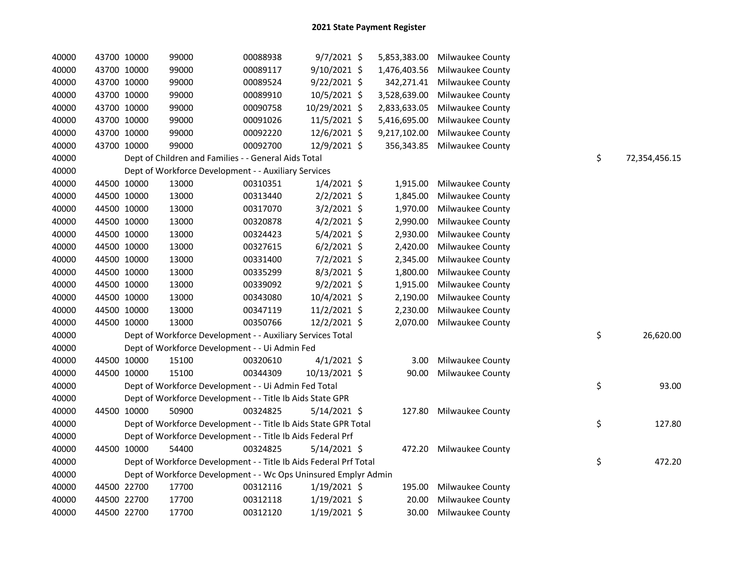| 40000 |             | 43700 10000 | 99000                                                             | 00088938 | $9/7/2021$ \$  | 5,853,383.00 | Milwaukee County        |    |               |
|-------|-------------|-------------|-------------------------------------------------------------------|----------|----------------|--------------|-------------------------|----|---------------|
| 40000 |             | 43700 10000 | 99000                                                             | 00089117 | 9/10/2021 \$   | 1,476,403.56 | Milwaukee County        |    |               |
| 40000 |             | 43700 10000 | 99000                                                             | 00089524 | $9/22/2021$ \$ | 342,271.41   | Milwaukee County        |    |               |
| 40000 |             | 43700 10000 | 99000                                                             | 00089910 | 10/5/2021 \$   | 3,528,639.00 | Milwaukee County        |    |               |
| 40000 |             | 43700 10000 | 99000                                                             | 00090758 | 10/29/2021 \$  | 2,833,633.05 | Milwaukee County        |    |               |
| 40000 |             | 43700 10000 | 99000                                                             | 00091026 | 11/5/2021 \$   | 5,416,695.00 | Milwaukee County        |    |               |
| 40000 | 43700 10000 |             | 99000                                                             | 00092220 | 12/6/2021 \$   | 9,217,102.00 | Milwaukee County        |    |               |
| 40000 | 43700 10000 |             | 99000                                                             | 00092700 | 12/9/2021 \$   | 356,343.85   | Milwaukee County        |    |               |
| 40000 |             |             | Dept of Children and Families - - General Aids Total              |          |                |              |                         | \$ | 72,354,456.15 |
| 40000 |             |             | Dept of Workforce Development - - Auxiliary Services              |          |                |              |                         |    |               |
| 40000 |             | 44500 10000 | 13000                                                             | 00310351 | $1/4/2021$ \$  | 1,915.00     | Milwaukee County        |    |               |
| 40000 |             | 44500 10000 | 13000                                                             | 00313440 | $2/2/2021$ \$  | 1,845.00     | Milwaukee County        |    |               |
| 40000 |             | 44500 10000 | 13000                                                             | 00317070 | $3/2/2021$ \$  | 1,970.00     | Milwaukee County        |    |               |
| 40000 |             | 44500 10000 | 13000                                                             | 00320878 | $4/2/2021$ \$  | 2,990.00     | Milwaukee County        |    |               |
| 40000 |             | 44500 10000 | 13000                                                             | 00324423 | 5/4/2021 \$    | 2,930.00     | Milwaukee County        |    |               |
| 40000 |             | 44500 10000 | 13000                                                             | 00327615 | $6/2/2021$ \$  | 2,420.00     | Milwaukee County        |    |               |
| 40000 |             | 44500 10000 | 13000                                                             | 00331400 | $7/2/2021$ \$  | 2,345.00     | Milwaukee County        |    |               |
| 40000 |             | 44500 10000 | 13000                                                             | 00335299 | $8/3/2021$ \$  | 1,800.00     | Milwaukee County        |    |               |
| 40000 |             | 44500 10000 | 13000                                                             | 00339092 | $9/2/2021$ \$  | 1,915.00     | Milwaukee County        |    |               |
| 40000 |             | 44500 10000 | 13000                                                             | 00343080 | 10/4/2021 \$   | 2,190.00     | Milwaukee County        |    |               |
| 40000 |             | 44500 10000 | 13000                                                             | 00347119 | $11/2/2021$ \$ | 2,230.00     | Milwaukee County        |    |               |
| 40000 |             | 44500 10000 | 13000                                                             | 00350766 | 12/2/2021 \$   | 2,070.00     | Milwaukee County        |    |               |
| 40000 |             |             | Dept of Workforce Development - - Auxiliary Services Total        |          |                |              |                         | \$ | 26,620.00     |
| 40000 |             |             | Dept of Workforce Development - - Ui Admin Fed                    |          |                |              |                         |    |               |
| 40000 |             | 44500 10000 | 15100                                                             | 00320610 | $4/1/2021$ \$  | 3.00         | Milwaukee County        |    |               |
| 40000 |             | 44500 10000 | 15100                                                             | 00344309 | 10/13/2021 \$  | 90.00        | Milwaukee County        |    |               |
| 40000 |             |             | Dept of Workforce Development - - Ui Admin Fed Total              |          |                |              |                         | \$ | 93.00         |
| 40000 |             |             | Dept of Workforce Development - - Title Ib Aids State GPR         |          |                |              |                         |    |               |
| 40000 |             | 44500 10000 | 50900                                                             | 00324825 | $5/14/2021$ \$ | 127.80       | Milwaukee County        |    |               |
| 40000 |             |             | Dept of Workforce Development - - Title Ib Aids State GPR Total   |          |                |              |                         | \$ | 127.80        |
| 40000 |             |             | Dept of Workforce Development - - Title Ib Aids Federal Prf       |          |                |              |                         |    |               |
| 40000 |             | 44500 10000 | 54400                                                             | 00324825 | $5/14/2021$ \$ | 472.20       | <b>Milwaukee County</b> |    |               |
| 40000 |             |             | Dept of Workforce Development - - Title Ib Aids Federal Prf Total |          |                |              |                         | \$ | 472.20        |
| 40000 |             |             | Dept of Workforce Development - - Wc Ops Uninsured Emplyr Admin   |          |                |              |                         |    |               |
| 40000 |             | 44500 22700 | 17700                                                             | 00312116 | $1/19/2021$ \$ | 195.00       | Milwaukee County        |    |               |
| 40000 |             | 44500 22700 | 17700                                                             | 00312118 | $1/19/2021$ \$ | 20.00        | <b>Milwaukee County</b> |    |               |
| 40000 | 44500 22700 |             | 17700                                                             | 00312120 | 1/19/2021 \$   | 30.00        | Milwaukee County        |    |               |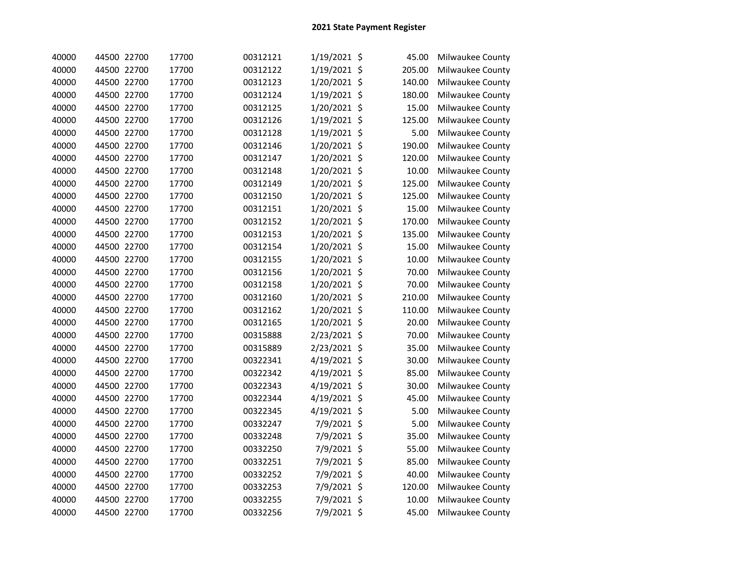| 40000 | 44500 22700 | 17700 | 00312121 | 1/19/2021 \$ | 45.00  | Milwaukee County |
|-------|-------------|-------|----------|--------------|--------|------------------|
| 40000 | 44500 22700 | 17700 | 00312122 | 1/19/2021 \$ | 205.00 | Milwaukee County |
| 40000 | 44500 22700 | 17700 | 00312123 | 1/20/2021 \$ | 140.00 | Milwaukee County |
| 40000 | 44500 22700 | 17700 | 00312124 | 1/19/2021 \$ | 180.00 | Milwaukee County |
| 40000 | 44500 22700 | 17700 | 00312125 | 1/20/2021 \$ | 15.00  | Milwaukee County |
| 40000 | 44500 22700 | 17700 | 00312126 | 1/19/2021 \$ | 125.00 | Milwaukee County |
| 40000 | 44500 22700 | 17700 | 00312128 | 1/19/2021 \$ | 5.00   | Milwaukee County |
| 40000 | 44500 22700 | 17700 | 00312146 | 1/20/2021 \$ | 190.00 | Milwaukee County |
| 40000 | 44500 22700 | 17700 | 00312147 | 1/20/2021 \$ | 120.00 | Milwaukee County |
| 40000 | 44500 22700 | 17700 | 00312148 | 1/20/2021 \$ | 10.00  | Milwaukee County |
| 40000 | 44500 22700 | 17700 | 00312149 | 1/20/2021 \$ | 125.00 | Milwaukee County |
| 40000 | 44500 22700 | 17700 | 00312150 | 1/20/2021 \$ | 125.00 | Milwaukee County |
| 40000 | 44500 22700 | 17700 | 00312151 | 1/20/2021 \$ | 15.00  | Milwaukee County |
| 40000 | 44500 22700 | 17700 | 00312152 | 1/20/2021 \$ | 170.00 | Milwaukee County |
| 40000 | 44500 22700 | 17700 | 00312153 | 1/20/2021 \$ | 135.00 | Milwaukee County |
| 40000 | 44500 22700 | 17700 | 00312154 | 1/20/2021 \$ | 15.00  | Milwaukee County |
| 40000 | 44500 22700 | 17700 | 00312155 | 1/20/2021 \$ | 10.00  | Milwaukee County |
| 40000 | 44500 22700 | 17700 | 00312156 | 1/20/2021 \$ | 70.00  | Milwaukee County |
| 40000 | 44500 22700 | 17700 | 00312158 | 1/20/2021 \$ | 70.00  | Milwaukee County |
| 40000 | 44500 22700 | 17700 | 00312160 | 1/20/2021 \$ | 210.00 | Milwaukee County |
| 40000 | 44500 22700 | 17700 | 00312162 | 1/20/2021 \$ | 110.00 | Milwaukee County |
| 40000 | 44500 22700 | 17700 | 00312165 | 1/20/2021 \$ | 20.00  | Milwaukee County |
| 40000 | 44500 22700 | 17700 | 00315888 | 2/23/2021 \$ | 70.00  | Milwaukee County |
| 40000 | 44500 22700 | 17700 | 00315889 | 2/23/2021 \$ | 35.00  | Milwaukee County |
| 40000 | 44500 22700 | 17700 | 00322341 | 4/19/2021 \$ | 30.00  | Milwaukee County |
| 40000 | 44500 22700 | 17700 | 00322342 | 4/19/2021 \$ | 85.00  | Milwaukee County |
| 40000 | 44500 22700 | 17700 | 00322343 | 4/19/2021 \$ | 30.00  | Milwaukee County |
| 40000 | 44500 22700 | 17700 | 00322344 | 4/19/2021 \$ | 45.00  | Milwaukee County |
| 40000 | 44500 22700 | 17700 | 00322345 | 4/19/2021 \$ | 5.00   | Milwaukee County |
| 40000 | 44500 22700 | 17700 | 00332247 | 7/9/2021 \$  | 5.00   | Milwaukee County |
| 40000 | 44500 22700 | 17700 | 00332248 | 7/9/2021 \$  | 35.00  | Milwaukee County |
| 40000 | 44500 22700 | 17700 | 00332250 | 7/9/2021 \$  | 55.00  | Milwaukee County |
| 40000 | 44500 22700 | 17700 | 00332251 | 7/9/2021 \$  | 85.00  | Milwaukee County |
| 40000 | 44500 22700 | 17700 | 00332252 | 7/9/2021 \$  | 40.00  | Milwaukee County |
| 40000 | 44500 22700 | 17700 | 00332253 | 7/9/2021 \$  | 120.00 | Milwaukee County |
| 40000 | 44500 22700 | 17700 | 00332255 | 7/9/2021 \$  | 10.00  | Milwaukee County |
| 40000 | 44500 22700 | 17700 | 00332256 | 7/9/2021 \$  | 45.00  | Milwaukee County |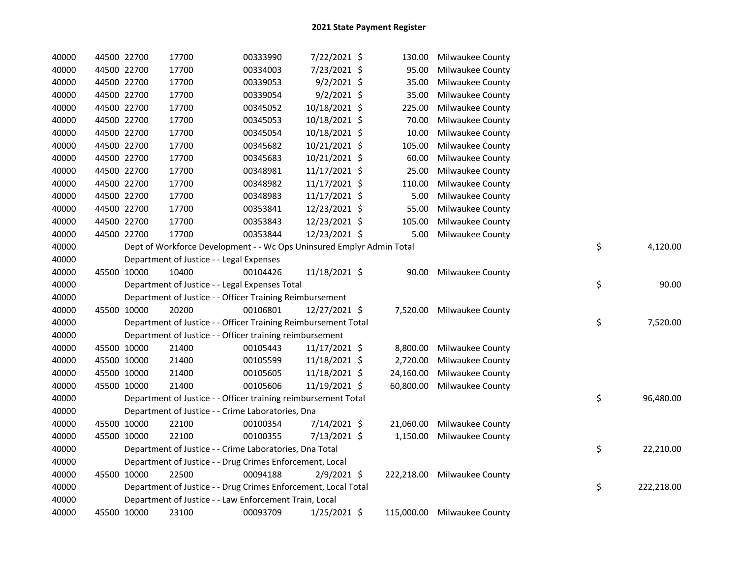| 40000 | 44500 22700 |             | 17700                                                                 | 00333990 | 7/22/2021 \$   | 130.00     | Milwaukee County          |    |            |
|-------|-------------|-------------|-----------------------------------------------------------------------|----------|----------------|------------|---------------------------|----|------------|
| 40000 |             | 44500 22700 | 17700                                                                 | 00334003 | 7/23/2021 \$   | 95.00      | Milwaukee County          |    |            |
| 40000 | 44500 22700 |             | 17700                                                                 | 00339053 | $9/2/2021$ \$  | 35.00      | Milwaukee County          |    |            |
| 40000 |             | 44500 22700 | 17700                                                                 | 00339054 | $9/2/2021$ \$  | 35.00      | Milwaukee County          |    |            |
| 40000 | 44500 22700 |             | 17700                                                                 | 00345052 | 10/18/2021 \$  | 225.00     | Milwaukee County          |    |            |
| 40000 | 44500 22700 |             | 17700                                                                 | 00345053 | 10/18/2021 \$  | 70.00      | Milwaukee County          |    |            |
| 40000 | 44500 22700 |             | 17700                                                                 | 00345054 | 10/18/2021 \$  | 10.00      | Milwaukee County          |    |            |
| 40000 | 44500 22700 |             | 17700                                                                 | 00345682 | 10/21/2021 \$  | 105.00     | Milwaukee County          |    |            |
| 40000 | 44500 22700 |             | 17700                                                                 | 00345683 | 10/21/2021 \$  | 60.00      | Milwaukee County          |    |            |
| 40000 | 44500 22700 |             | 17700                                                                 | 00348981 | 11/17/2021 \$  | 25.00      | Milwaukee County          |    |            |
| 40000 | 44500 22700 |             | 17700                                                                 | 00348982 | 11/17/2021 \$  | 110.00     | Milwaukee County          |    |            |
| 40000 | 44500 22700 |             | 17700                                                                 | 00348983 | 11/17/2021 \$  | 5.00       | Milwaukee County          |    |            |
| 40000 | 44500 22700 |             | 17700                                                                 | 00353841 | 12/23/2021 \$  | 55.00      | Milwaukee County          |    |            |
| 40000 | 44500 22700 |             | 17700                                                                 | 00353843 | 12/23/2021 \$  | 105.00     | Milwaukee County          |    |            |
| 40000 | 44500 22700 |             | 17700                                                                 | 00353844 | 12/23/2021 \$  | 5.00       | Milwaukee County          |    |            |
| 40000 |             |             | Dept of Workforce Development - - Wc Ops Uninsured Emplyr Admin Total |          |                |            |                           | \$ | 4,120.00   |
| 40000 |             |             | Department of Justice - - Legal Expenses                              |          |                |            |                           |    |            |
| 40000 |             | 45500 10000 | 10400                                                                 | 00104426 | 11/18/2021 \$  | 90.00      | Milwaukee County          |    |            |
| 40000 |             |             | Department of Justice - - Legal Expenses Total                        |          |                |            |                           | \$ | 90.00      |
| 40000 |             |             | Department of Justice - - Officer Training Reimbursement              |          |                |            |                           |    |            |
| 40000 | 45500 10000 |             | 20200                                                                 | 00106801 | 12/27/2021 \$  |            | 7,520.00 Milwaukee County |    |            |
| 40000 |             |             | Department of Justice - - Officer Training Reimbursement Total        |          |                |            |                           | \$ | 7,520.00   |
| 40000 |             |             | Department of Justice - - Officer training reimbursement              |          |                |            |                           |    |            |
| 40000 |             | 45500 10000 | 21400                                                                 | 00105443 | 11/17/2021 \$  | 8,800.00   | Milwaukee County          |    |            |
| 40000 |             | 45500 10000 | 21400                                                                 | 00105599 | 11/18/2021 \$  | 2,720.00   | Milwaukee County          |    |            |
| 40000 |             | 45500 10000 | 21400                                                                 | 00105605 | 11/18/2021 \$  | 24,160.00  | Milwaukee County          |    |            |
| 40000 | 45500 10000 |             | 21400                                                                 | 00105606 | 11/19/2021 \$  | 60,800.00  | Milwaukee County          |    |            |
| 40000 |             |             | Department of Justice - - Officer training reimbursement Total        |          |                |            |                           | \$ | 96,480.00  |
| 40000 |             |             | Department of Justice - - Crime Laboratories, Dna                     |          |                |            |                           |    |            |
| 40000 |             | 45500 10000 | 22100                                                                 | 00100354 | 7/14/2021 \$   | 21,060.00  | Milwaukee County          |    |            |
| 40000 |             | 45500 10000 | 22100                                                                 | 00100355 | 7/13/2021 \$   | 1,150.00   | Milwaukee County          |    |            |
| 40000 |             |             | Department of Justice - - Crime Laboratories, Dna Total               |          |                |            |                           | \$ | 22,210.00  |
| 40000 |             |             | Department of Justice - - Drug Crimes Enforcement, Local              |          |                |            |                           |    |            |
| 40000 | 45500 10000 |             | 22500                                                                 | 00094188 | 2/9/2021 \$    | 222,218.00 | Milwaukee County          |    |            |
| 40000 |             |             | Department of Justice - - Drug Crimes Enforcement, Local Total        |          |                |            |                           | \$ | 222,218.00 |
| 40000 |             |             | Department of Justice - - Law Enforcement Train, Local                |          |                |            |                           |    |            |
| 40000 | 45500 10000 |             | 23100                                                                 | 00093709 | $1/25/2021$ \$ | 115,000.00 | <b>Milwaukee County</b>   |    |            |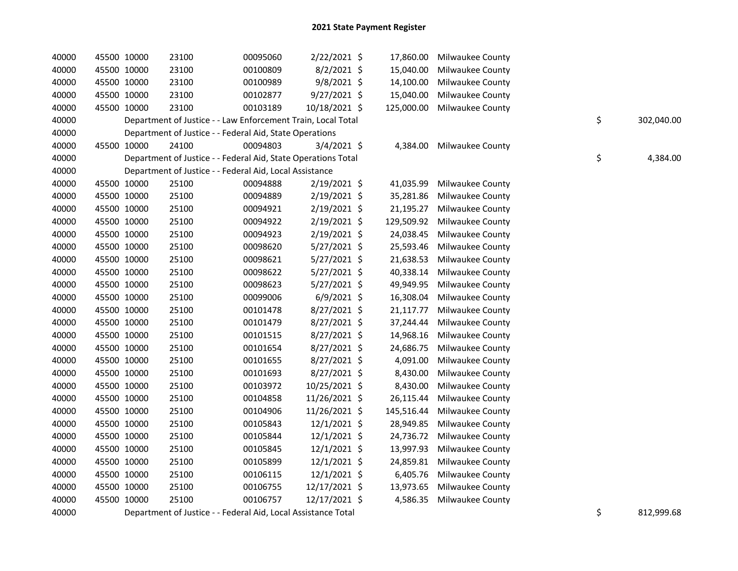| 40000 | 45500 10000 | 23100                                                         | 00095060 | 2/22/2021 \$   | 17,860.00  | <b>Milwaukee County</b> |    |            |
|-------|-------------|---------------------------------------------------------------|----------|----------------|------------|-------------------------|----|------------|
| 40000 | 45500 10000 | 23100                                                         | 00100809 | $8/2/2021$ \$  | 15,040.00  | Milwaukee County        |    |            |
| 40000 | 45500 10000 | 23100                                                         | 00100989 | $9/8/2021$ \$  | 14,100.00  | Milwaukee County        |    |            |
| 40000 | 45500 10000 | 23100                                                         | 00102877 | 9/27/2021 \$   | 15,040.00  | Milwaukee County        |    |            |
| 40000 | 45500 10000 | 23100                                                         | 00103189 | 10/18/2021 \$  | 125,000.00 | Milwaukee County        |    |            |
| 40000 |             | Department of Justice - - Law Enforcement Train, Local Total  |          |                |            |                         | \$ | 302,040.00 |
| 40000 |             | Department of Justice - - Federal Aid, State Operations       |          |                |            |                         |    |            |
| 40000 | 45500 10000 | 24100                                                         | 00094803 | 3/4/2021 \$    | 4,384.00   | Milwaukee County        |    |            |
| 40000 |             | Department of Justice - - Federal Aid, State Operations Total |          |                |            |                         | \$ | 4,384.00   |
| 40000 |             | Department of Justice - - Federal Aid, Local Assistance       |          |                |            |                         |    |            |
| 40000 | 45500 10000 | 25100                                                         | 00094888 | 2/19/2021 \$   | 41,035.99  | Milwaukee County        |    |            |
| 40000 | 45500 10000 | 25100                                                         | 00094889 | $2/19/2021$ \$ | 35,281.86  | <b>Milwaukee County</b> |    |            |
| 40000 | 45500 10000 | 25100                                                         | 00094921 | $2/19/2021$ \$ | 21,195.27  | Milwaukee County        |    |            |
| 40000 | 45500 10000 | 25100                                                         | 00094922 | $2/19/2021$ \$ | 129,509.92 | Milwaukee County        |    |            |
| 40000 | 45500 10000 | 25100                                                         | 00094923 | 2/19/2021 \$   | 24,038.45  | Milwaukee County        |    |            |
| 40000 | 45500 10000 | 25100                                                         | 00098620 | $5/27/2021$ \$ | 25,593.46  | Milwaukee County        |    |            |
| 40000 | 45500 10000 | 25100                                                         | 00098621 | 5/27/2021 \$   | 21,638.53  | Milwaukee County        |    |            |
| 40000 | 45500 10000 | 25100                                                         | 00098622 | $5/27/2021$ \$ | 40,338.14  | Milwaukee County        |    |            |
| 40000 | 45500 10000 | 25100                                                         | 00098623 | $5/27/2021$ \$ | 49,949.95  | Milwaukee County        |    |            |
| 40000 | 45500 10000 | 25100                                                         | 00099006 | $6/9/2021$ \$  | 16,308.04  | Milwaukee County        |    |            |
| 40000 | 45500 10000 | 25100                                                         | 00101478 | 8/27/2021 \$   | 21,117.77  | Milwaukee County        |    |            |
| 40000 | 45500 10000 | 25100                                                         | 00101479 | 8/27/2021 \$   | 37,244.44  | <b>Milwaukee County</b> |    |            |
| 40000 | 45500 10000 | 25100                                                         | 00101515 | 8/27/2021 \$   | 14,968.16  | Milwaukee County        |    |            |
| 40000 | 45500 10000 | 25100                                                         | 00101654 | 8/27/2021 \$   | 24,686.75  | <b>Milwaukee County</b> |    |            |
| 40000 | 45500 10000 | 25100                                                         | 00101655 | 8/27/2021 \$   | 4,091.00   | Milwaukee County        |    |            |
| 40000 | 45500 10000 | 25100                                                         | 00101693 | 8/27/2021 \$   | 8,430.00   | Milwaukee County        |    |            |
| 40000 | 45500 10000 | 25100                                                         | 00103972 | 10/25/2021 \$  | 8,430.00   | <b>Milwaukee County</b> |    |            |
| 40000 | 45500 10000 | 25100                                                         | 00104858 | 11/26/2021 \$  | 26,115.44  | Milwaukee County        |    |            |
| 40000 | 45500 10000 | 25100                                                         | 00104906 | 11/26/2021 \$  | 145,516.44 | Milwaukee County        |    |            |
| 40000 | 45500 10000 | 25100                                                         | 00105843 | $12/1/2021$ \$ | 28,949.85  | <b>Milwaukee County</b> |    |            |
| 40000 | 45500 10000 | 25100                                                         | 00105844 | $12/1/2021$ \$ | 24,736.72  | <b>Milwaukee County</b> |    |            |
| 40000 | 45500 10000 | 25100                                                         | 00105845 | $12/1/2021$ \$ | 13,997.93  | <b>Milwaukee County</b> |    |            |
| 40000 | 45500 10000 | 25100                                                         | 00105899 | $12/1/2021$ \$ | 24,859.81  | Milwaukee County        |    |            |
| 40000 | 45500 10000 | 25100                                                         | 00106115 | $12/1/2021$ \$ | 6,405.76   | Milwaukee County        |    |            |
| 40000 | 45500 10000 | 25100                                                         | 00106755 | 12/17/2021 \$  | 13,973.65  | Milwaukee County        |    |            |
| 40000 | 45500 10000 | 25100                                                         | 00106757 | 12/17/2021 \$  | 4,586.35   | Milwaukee County        |    |            |
| 40000 |             | Department of Justice - - Federal Aid, Local Assistance Total |          |                |            |                         | \$ | 812,999.68 |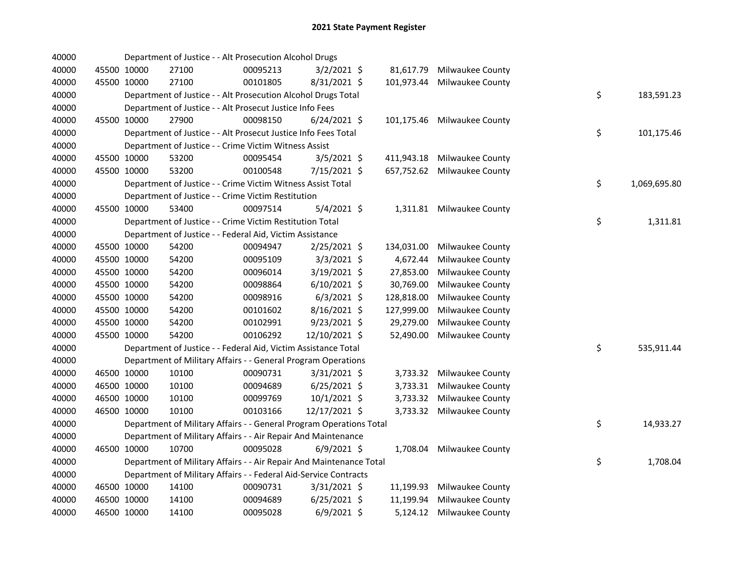| 40000 |             |             | Department of Justice - - Alt Prosecution Alcohol Drugs             |          |                |            |                           |    |              |
|-------|-------------|-------------|---------------------------------------------------------------------|----------|----------------|------------|---------------------------|----|--------------|
| 40000 | 45500 10000 |             | 27100                                                               | 00095213 | $3/2/2021$ \$  | 81,617.79  | Milwaukee County          |    |              |
| 40000 | 45500 10000 |             | 27100                                                               | 00101805 | 8/31/2021 \$   | 101,973.44 | Milwaukee County          |    |              |
| 40000 |             |             | Department of Justice - - Alt Prosecution Alcohol Drugs Total       |          |                |            |                           | \$ | 183,591.23   |
| 40000 |             |             | Department of Justice - - Alt Prosecut Justice Info Fees            |          |                |            |                           |    |              |
| 40000 | 45500 10000 |             | 27900                                                               | 00098150 | $6/24/2021$ \$ | 101,175.46 | Milwaukee County          |    |              |
| 40000 |             |             | Department of Justice - - Alt Prosecut Justice Info Fees Total      |          |                |            |                           | \$ | 101,175.46   |
| 40000 |             |             | Department of Justice - - Crime Victim Witness Assist               |          |                |            |                           |    |              |
| 40000 | 45500 10000 |             | 53200                                                               | 00095454 | 3/5/2021 \$    | 411,943.18 | Milwaukee County          |    |              |
| 40000 | 45500 10000 |             | 53200                                                               | 00100548 | 7/15/2021 \$   | 657,752.62 | Milwaukee County          |    |              |
| 40000 |             |             | Department of Justice - - Crime Victim Witness Assist Total         |          |                |            |                           | \$ | 1,069,695.80 |
| 40000 |             |             | Department of Justice - - Crime Victim Restitution                  |          |                |            |                           |    |              |
| 40000 | 45500 10000 |             | 53400                                                               | 00097514 | $5/4/2021$ \$  |            | 1,311.81 Milwaukee County |    |              |
| 40000 |             |             | Department of Justice - - Crime Victim Restitution Total            |          |                |            |                           | \$ | 1,311.81     |
| 40000 |             |             | Department of Justice - - Federal Aid, Victim Assistance            |          |                |            |                           |    |              |
| 40000 |             | 45500 10000 | 54200                                                               | 00094947 | $2/25/2021$ \$ | 134,031.00 | Milwaukee County          |    |              |
| 40000 | 45500 10000 |             | 54200                                                               | 00095109 | $3/3/2021$ \$  | 4,672.44   | Milwaukee County          |    |              |
| 40000 | 45500 10000 |             | 54200                                                               | 00096014 | 3/19/2021 \$   | 27,853.00  | Milwaukee County          |    |              |
| 40000 | 45500 10000 |             | 54200                                                               | 00098864 | $6/10/2021$ \$ | 30,769.00  | Milwaukee County          |    |              |
| 40000 | 45500 10000 |             | 54200                                                               | 00098916 | $6/3/2021$ \$  | 128,818.00 | Milwaukee County          |    |              |
| 40000 | 45500 10000 |             | 54200                                                               | 00101602 | 8/16/2021 \$   | 127,999.00 | Milwaukee County          |    |              |
| 40000 | 45500 10000 |             | 54200                                                               | 00102991 | $9/23/2021$ \$ | 29,279.00  | Milwaukee County          |    |              |
| 40000 | 45500 10000 |             | 54200                                                               | 00106292 | 12/10/2021 \$  | 52,490.00  | Milwaukee County          |    |              |
| 40000 |             |             | Department of Justice - - Federal Aid, Victim Assistance Total      |          |                |            |                           | \$ | 535,911.44   |
| 40000 |             |             | Department of Military Affairs - - General Program Operations       |          |                |            |                           |    |              |
| 40000 | 46500 10000 |             | 10100                                                               | 00090731 | 3/31/2021 \$   |            | 3,733.32 Milwaukee County |    |              |
| 40000 | 46500 10000 |             | 10100                                                               | 00094689 | $6/25/2021$ \$ | 3,733.31   | Milwaukee County          |    |              |
| 40000 | 46500 10000 |             | 10100                                                               | 00099769 | $10/1/2021$ \$ | 3,733.32   | Milwaukee County          |    |              |
| 40000 | 46500 10000 |             | 10100                                                               | 00103166 | 12/17/2021 \$  | 3,733.32   | Milwaukee County          |    |              |
| 40000 |             |             | Department of Military Affairs - - General Program Operations Total |          |                |            |                           | \$ | 14,933.27    |
| 40000 |             |             | Department of Military Affairs - - Air Repair And Maintenance       |          |                |            |                           |    |              |
| 40000 |             | 46500 10000 | 10700                                                               | 00095028 | $6/9/2021$ \$  | 1,708.04   | Milwaukee County          |    |              |
| 40000 |             |             | Department of Military Affairs - - Air Repair And Maintenance Total |          |                |            |                           | \$ | 1,708.04     |
| 40000 |             |             | Department of Military Affairs - - Federal Aid-Service Contracts    |          |                |            |                           |    |              |
| 40000 | 46500 10000 |             | 14100                                                               | 00090731 | 3/31/2021 \$   | 11,199.93  | Milwaukee County          |    |              |
| 40000 | 46500 10000 |             | 14100                                                               | 00094689 | $6/25/2021$ \$ | 11,199.94  | Milwaukee County          |    |              |
| 40000 | 46500 10000 |             | 14100                                                               | 00095028 | $6/9/2021$ \$  | 5,124.12   | <b>Milwaukee County</b>   |    |              |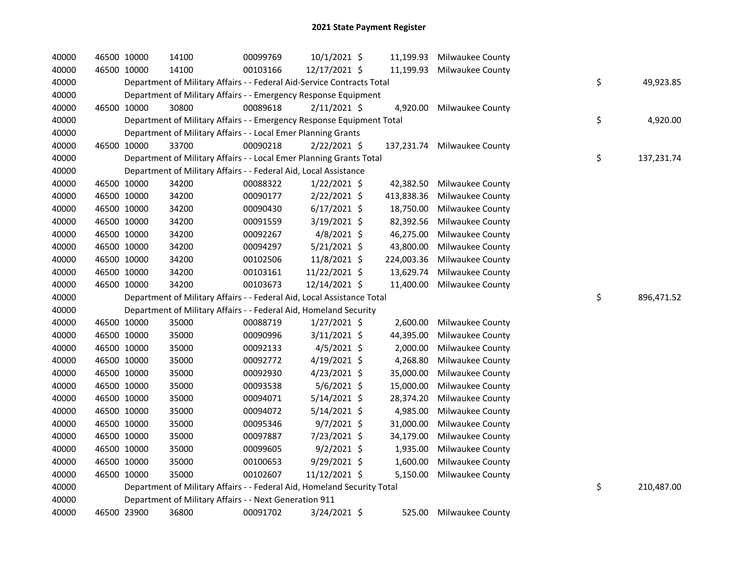| 40000 |             | 46500 10000 | 14100                                                                   | 00099769 | $10/1/2021$ \$ | 11,199.93  | Milwaukee County        |    |            |
|-------|-------------|-------------|-------------------------------------------------------------------------|----------|----------------|------------|-------------------------|----|------------|
| 40000 |             | 46500 10000 | 14100                                                                   | 00103166 | 12/17/2021 \$  | 11,199.93  | Milwaukee County        |    |            |
| 40000 |             |             | Department of Military Affairs - - Federal Aid-Service Contracts Total  |          |                |            |                         | \$ | 49,923.85  |
| 40000 |             |             | Department of Military Affairs - - Emergency Response Equipment         |          |                |            |                         |    |            |
| 40000 |             | 46500 10000 | 30800                                                                   | 00089618 | $2/11/2021$ \$ | 4,920.00   | Milwaukee County        |    |            |
| 40000 |             |             | Department of Military Affairs - - Emergency Response Equipment Total   |          |                |            |                         | \$ | 4,920.00   |
| 40000 |             |             | Department of Military Affairs - - Local Emer Planning Grants           |          |                |            |                         |    |            |
| 40000 | 46500 10000 |             | 33700                                                                   | 00090218 | $2/22/2021$ \$ | 137,231.74 | Milwaukee County        |    |            |
| 40000 |             |             | Department of Military Affairs - - Local Emer Planning Grants Total     |          |                |            |                         | \$ | 137,231.74 |
| 40000 |             |             | Department of Military Affairs - - Federal Aid, Local Assistance        |          |                |            |                         |    |            |
| 40000 |             | 46500 10000 | 34200                                                                   | 00088322 | $1/22/2021$ \$ | 42,382.50  | Milwaukee County        |    |            |
| 40000 |             | 46500 10000 | 34200                                                                   | 00090177 | $2/22/2021$ \$ | 413,838.36 | Milwaukee County        |    |            |
| 40000 |             | 46500 10000 | 34200                                                                   | 00090430 | $6/17/2021$ \$ | 18,750.00  | Milwaukee County        |    |            |
| 40000 |             | 46500 10000 | 34200                                                                   | 00091559 | 3/19/2021 \$   | 82,392.56  | <b>Milwaukee County</b> |    |            |
| 40000 |             | 46500 10000 | 34200                                                                   | 00092267 | $4/8/2021$ \$  | 46,275.00  | <b>Milwaukee County</b> |    |            |
| 40000 |             | 46500 10000 | 34200                                                                   | 00094297 | $5/21/2021$ \$ | 43,800.00  | Milwaukee County        |    |            |
| 40000 |             | 46500 10000 | 34200                                                                   | 00102506 | 11/8/2021 \$   | 224,003.36 | <b>Milwaukee County</b> |    |            |
| 40000 |             | 46500 10000 | 34200                                                                   | 00103161 | 11/22/2021 \$  | 13,629.74  | <b>Milwaukee County</b> |    |            |
| 40000 |             | 46500 10000 | 34200                                                                   | 00103673 | 12/14/2021 \$  | 11,400.00  | Milwaukee County        |    |            |
|       |             |             |                                                                         |          |                |            |                         |    |            |
| 40000 |             |             | Department of Military Affairs - - Federal Aid, Local Assistance Total  |          |                |            |                         | \$ | 896,471.52 |
| 40000 |             |             | Department of Military Affairs - - Federal Aid, Homeland Security       |          |                |            |                         |    |            |
| 40000 |             | 46500 10000 | 35000                                                                   | 00088719 | $1/27/2021$ \$ | 2,600.00   | <b>Milwaukee County</b> |    |            |
| 40000 |             | 46500 10000 | 35000                                                                   | 00090996 | 3/11/2021 \$   | 44,395.00  | Milwaukee County        |    |            |
| 40000 |             | 46500 10000 | 35000                                                                   | 00092133 | $4/5/2021$ \$  | 2,000.00   | Milwaukee County        |    |            |
| 40000 |             | 46500 10000 | 35000                                                                   | 00092772 | $4/19/2021$ \$ | 4,268.80   | Milwaukee County        |    |            |
| 40000 |             | 46500 10000 | 35000                                                                   | 00092930 | 4/23/2021 \$   | 35,000.00  | Milwaukee County        |    |            |
| 40000 |             | 46500 10000 | 35000                                                                   | 00093538 | 5/6/2021 \$    | 15,000.00  | Milwaukee County        |    |            |
| 40000 |             | 46500 10000 | 35000                                                                   | 00094071 | $5/14/2021$ \$ | 28,374.20  | Milwaukee County        |    |            |
| 40000 |             | 46500 10000 | 35000                                                                   | 00094072 | $5/14/2021$ \$ | 4,985.00   | <b>Milwaukee County</b> |    |            |
| 40000 |             | 46500 10000 | 35000                                                                   | 00095346 | $9/7/2021$ \$  | 31,000.00  | Milwaukee County        |    |            |
| 40000 |             | 46500 10000 | 35000                                                                   | 00097887 | 7/23/2021 \$   | 34,179.00  | Milwaukee County        |    |            |
| 40000 |             | 46500 10000 | 35000                                                                   | 00099605 | $9/2/2021$ \$  | 1,935.00   | <b>Milwaukee County</b> |    |            |
| 40000 | 46500 10000 |             | 35000                                                                   | 00100653 | $9/29/2021$ \$ | 1,600.00   | <b>Milwaukee County</b> |    |            |
| 40000 | 46500 10000 |             | 35000                                                                   | 00102607 | 11/12/2021 \$  | 5,150.00   | Milwaukee County        |    |            |
| 40000 |             |             | Department of Military Affairs - - Federal Aid, Homeland Security Total |          |                |            |                         | \$ | 210,487.00 |
| 40000 |             |             | Department of Military Affairs - - Next Generation 911                  |          | 3/24/2021 \$   |            |                         |    |            |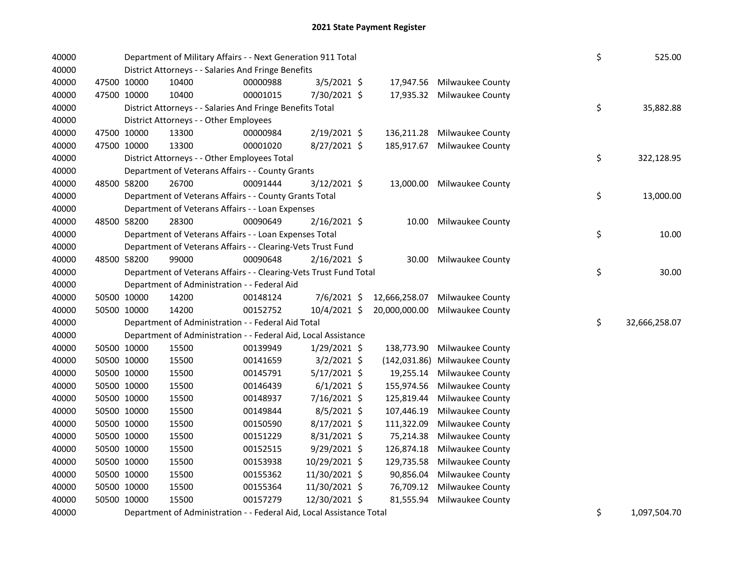| 40000<br>40000 |             | Department of Military Affairs - - Next Generation 911 Total<br>District Attorneys - - Salaries And Fringe Benefits | \$       | 525.00         |               |                            |    |               |
|----------------|-------------|---------------------------------------------------------------------------------------------------------------------|----------|----------------|---------------|----------------------------|----|---------------|
| 40000          | 47500 10000 | 10400                                                                                                               | 00000988 | $3/5/2021$ \$  | 17,947.56     | Milwaukee County           |    |               |
| 40000          | 47500 10000 | 10400                                                                                                               | 00001015 | 7/30/2021 \$   | 17,935.32     | Milwaukee County           |    |               |
| 40000          |             | District Attorneys - - Salaries And Fringe Benefits Total                                                           |          |                |               |                            | \$ | 35,882.88     |
| 40000          |             | District Attorneys - - Other Employees                                                                              |          |                |               |                            |    |               |
| 40000          | 47500 10000 | 13300                                                                                                               | 00000984 | 2/19/2021 \$   | 136,211.28    | Milwaukee County           |    |               |
| 40000          | 47500 10000 | 13300                                                                                                               | 00001020 | 8/27/2021 \$   | 185,917.67    | Milwaukee County           |    |               |
| 40000          |             | District Attorneys - - Other Employees Total                                                                        |          |                |               |                            | \$ | 322,128.95    |
| 40000          |             | Department of Veterans Affairs - - County Grants                                                                    |          |                |               |                            |    |               |
| 40000          | 48500 58200 | 26700                                                                                                               | 00091444 | $3/12/2021$ \$ |               | 13,000.00 Milwaukee County |    |               |
| 40000          |             | Department of Veterans Affairs - - County Grants Total                                                              |          |                |               |                            | \$ | 13,000.00     |
| 40000          |             | Department of Veterans Affairs - - Loan Expenses                                                                    |          |                |               |                            |    |               |
| 40000          | 48500 58200 | 28300                                                                                                               | 00090649 | 2/16/2021 \$   | 10.00         | Milwaukee County           |    |               |
| 40000          |             | Department of Veterans Affairs - - Loan Expenses Total                                                              |          |                |               |                            | \$ | 10.00         |
| 40000          |             | Department of Veterans Affairs - - Clearing-Vets Trust Fund                                                         |          |                |               |                            |    |               |
| 40000          | 48500 58200 | 99000                                                                                                               | 00090648 | $2/16/2021$ \$ | 30.00         | Milwaukee County           |    |               |
| 40000          |             | Department of Veterans Affairs - - Clearing-Vets Trust Fund Total                                                   |          |                |               |                            | \$ | 30.00         |
| 40000          |             | Department of Administration - - Federal Aid                                                                        |          |                |               |                            |    |               |
| 40000          | 50500 10000 | 14200                                                                                                               | 00148124 | 7/6/2021 \$    | 12,666,258.07 | Milwaukee County           |    |               |
| 40000          | 50500 10000 | 14200                                                                                                               | 00152752 | 10/4/2021 \$   | 20,000,000.00 | Milwaukee County           |    |               |
| 40000          |             | Department of Administration - - Federal Aid Total                                                                  |          |                |               |                            | \$ | 32,666,258.07 |
| 40000          |             | Department of Administration - - Federal Aid, Local Assistance                                                      |          |                |               |                            |    |               |
| 40000          | 50500 10000 | 15500                                                                                                               | 00139949 | $1/29/2021$ \$ | 138,773.90    | Milwaukee County           |    |               |
| 40000          | 50500 10000 | 15500                                                                                                               | 00141659 | $3/2/2021$ \$  | (142, 031.86) | Milwaukee County           |    |               |
| 40000          | 50500 10000 | 15500                                                                                                               | 00145791 | $5/17/2021$ \$ | 19,255.14     | Milwaukee County           |    |               |
| 40000          | 50500 10000 | 15500                                                                                                               | 00146439 | $6/1/2021$ \$  | 155,974.56    | Milwaukee County           |    |               |
| 40000          | 50500 10000 | 15500                                                                                                               | 00148937 | 7/16/2021 \$   | 125,819.44    | Milwaukee County           |    |               |
| 40000          | 50500 10000 | 15500                                                                                                               | 00149844 | $8/5/2021$ \$  | 107,446.19    | Milwaukee County           |    |               |
| 40000          | 50500 10000 | 15500                                                                                                               | 00150590 | 8/17/2021 \$   | 111,322.09    | Milwaukee County           |    |               |
| 40000          | 50500 10000 | 15500                                                                                                               | 00151229 | 8/31/2021 \$   | 75,214.38     | Milwaukee County           |    |               |
| 40000          | 50500 10000 | 15500                                                                                                               | 00152515 | 9/29/2021 \$   | 126,874.18    | Milwaukee County           |    |               |
| 40000          | 50500 10000 | 15500                                                                                                               | 00153938 | 10/29/2021 \$  | 129,735.58    | Milwaukee County           |    |               |
| 40000          | 50500 10000 | 15500                                                                                                               | 00155362 | 11/30/2021 \$  | 90,856.04     | Milwaukee County           |    |               |
| 40000          | 50500 10000 | 15500                                                                                                               | 00155364 | 11/30/2021 \$  | 76,709.12     | Milwaukee County           |    |               |
| 40000          | 50500 10000 | 15500                                                                                                               | 00157279 | 12/30/2021 \$  | 81,555.94     | Milwaukee County           |    |               |
|                |             | $\sim$                                                                                                              |          |                |               |                            |    |               |

40000 Department of Administration - - Federal Aid, Local Assistance Total 1,000 1,000 1,097,504.70 40000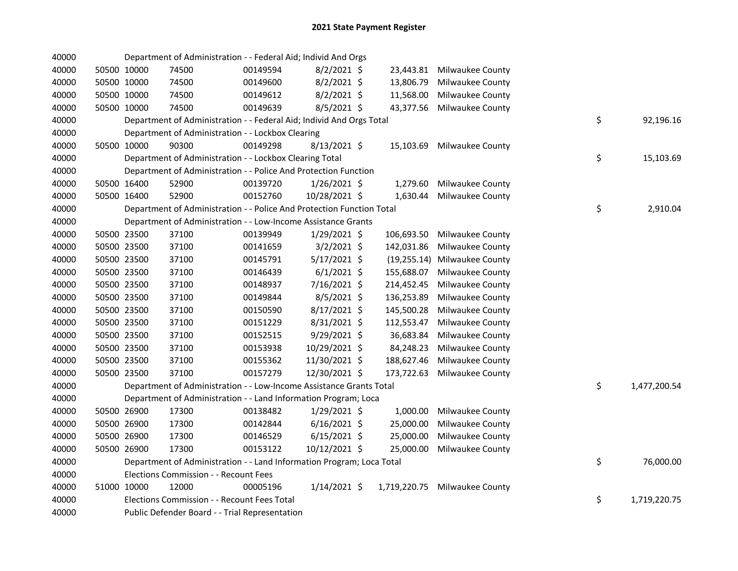| 40000 |             | Department of Administration - - Federal Aid; Individ And Orgs        |          |                |            |                               |    |              |
|-------|-------------|-----------------------------------------------------------------------|----------|----------------|------------|-------------------------------|----|--------------|
| 40000 | 50500 10000 | 74500                                                                 | 00149594 | $8/2/2021$ \$  |            | 23,443.81 Milwaukee County    |    |              |
| 40000 | 50500 10000 | 74500                                                                 | 00149600 | $8/2/2021$ \$  | 13,806.79  | Milwaukee County              |    |              |
| 40000 | 50500 10000 | 74500                                                                 | 00149612 | $8/2/2021$ \$  | 11,568.00  | Milwaukee County              |    |              |
| 40000 | 50500 10000 | 74500                                                                 | 00149639 | 8/5/2021 \$    |            | 43,377.56 Milwaukee County    |    |              |
| 40000 |             | Department of Administration - - Federal Aid; Individ And Orgs Total  |          |                |            |                               | \$ | 92,196.16    |
| 40000 |             | Department of Administration - - Lockbox Clearing                     |          |                |            |                               |    |              |
| 40000 | 50500 10000 | 90300                                                                 | 00149298 | $8/13/2021$ \$ | 15,103.69  | Milwaukee County              |    |              |
| 40000 |             | Department of Administration - - Lockbox Clearing Total               |          |                |            |                               | \$ | 15,103.69    |
| 40000 |             | Department of Administration - - Police And Protection Function       |          |                |            |                               |    |              |
| 40000 | 50500 16400 | 52900                                                                 | 00139720 | $1/26/2021$ \$ | 1,279.60   | Milwaukee County              |    |              |
| 40000 | 50500 16400 | 52900                                                                 | 00152760 | 10/28/2021 \$  | 1,630.44   | Milwaukee County              |    |              |
| 40000 |             | Department of Administration - - Police And Protection Function Total |          |                |            |                               | \$ | 2,910.04     |
| 40000 |             | Department of Administration - - Low-Income Assistance Grants         |          |                |            |                               |    |              |
| 40000 | 50500 23500 | 37100                                                                 | 00139949 | $1/29/2021$ \$ | 106,693.50 | Milwaukee County              |    |              |
| 40000 | 50500 23500 | 37100                                                                 | 00141659 | $3/2/2021$ \$  | 142,031.86 | Milwaukee County              |    |              |
| 40000 | 50500 23500 | 37100                                                                 | 00145791 | $5/17/2021$ \$ |            | (19,255.14) Milwaukee County  |    |              |
| 40000 | 50500 23500 | 37100                                                                 | 00146439 | $6/1/2021$ \$  | 155,688.07 | Milwaukee County              |    |              |
| 40000 | 50500 23500 | 37100                                                                 | 00148937 | 7/16/2021 \$   | 214,452.45 | Milwaukee County              |    |              |
| 40000 | 50500 23500 | 37100                                                                 | 00149844 | 8/5/2021 \$    | 136,253.89 | Milwaukee County              |    |              |
| 40000 | 50500 23500 | 37100                                                                 | 00150590 | $8/17/2021$ \$ | 145,500.28 | Milwaukee County              |    |              |
| 40000 | 50500 23500 | 37100                                                                 | 00151229 | 8/31/2021 \$   | 112,553.47 | Milwaukee County              |    |              |
| 40000 | 50500 23500 | 37100                                                                 | 00152515 | 9/29/2021 \$   | 36,683.84  | Milwaukee County              |    |              |
| 40000 | 50500 23500 | 37100                                                                 | 00153938 | 10/29/2021 \$  | 84,248.23  | Milwaukee County              |    |              |
| 40000 | 50500 23500 | 37100                                                                 | 00155362 | 11/30/2021 \$  | 188,627.46 | Milwaukee County              |    |              |
| 40000 | 50500 23500 | 37100                                                                 | 00157279 | 12/30/2021 \$  | 173,722.63 | Milwaukee County              |    |              |
| 40000 |             | Department of Administration - - Low-Income Assistance Grants Total   |          |                |            |                               | \$ | 1,477,200.54 |
| 40000 |             | Department of Administration - - Land Information Program; Loca       |          |                |            |                               |    |              |
| 40000 | 50500 26900 | 17300                                                                 | 00138482 | $1/29/2021$ \$ | 1,000.00   | Milwaukee County              |    |              |
| 40000 | 50500 26900 | 17300                                                                 | 00142844 | $6/16/2021$ \$ | 25,000.00  | <b>Milwaukee County</b>       |    |              |
| 40000 | 50500 26900 | 17300                                                                 | 00146529 | $6/15/2021$ \$ | 25,000.00  | Milwaukee County              |    |              |
| 40000 | 50500 26900 | 17300                                                                 | 00153122 | 10/12/2021 \$  |            | 25,000.00 Milwaukee County    |    |              |
| 40000 |             | Department of Administration - - Land Information Program; Loca Total |          |                |            |                               | \$ | 76,000.00    |
| 40000 |             | Elections Commission - - Recount Fees                                 |          |                |            |                               |    |              |
| 40000 | 51000 10000 | 12000                                                                 | 00005196 | $1/14/2021$ \$ |            | 1,719,220.75 Milwaukee County |    |              |
| 40000 |             | Elections Commission - - Recount Fees Total                           |          |                |            |                               | \$ | 1,719,220.75 |
| 40000 |             | Public Defender Board - - Trial Representation                        |          |                |            |                               |    |              |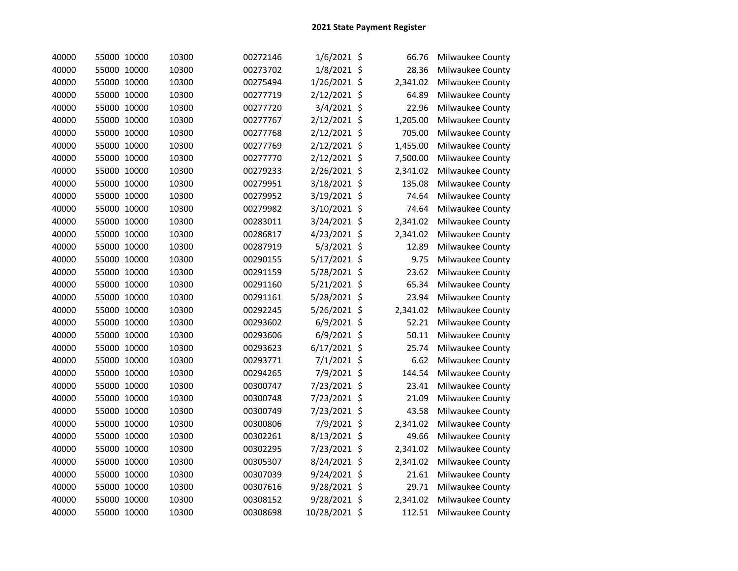| 40000 | 55000 10000 | 10300 | 00272146 | 1/6/2021 \$   | 66.76    | Milwaukee County |
|-------|-------------|-------|----------|---------------|----------|------------------|
| 40000 | 55000 10000 | 10300 | 00273702 | 1/8/2021 \$   | 28.36    | Milwaukee County |
| 40000 | 55000 10000 | 10300 | 00275494 | 1/26/2021 \$  | 2,341.02 | Milwaukee County |
| 40000 | 55000 10000 | 10300 | 00277719 | 2/12/2021 \$  | 64.89    | Milwaukee County |
| 40000 | 55000 10000 | 10300 | 00277720 | 3/4/2021 \$   | 22.96    | Milwaukee County |
| 40000 | 55000 10000 | 10300 | 00277767 | 2/12/2021 \$  | 1,205.00 | Milwaukee County |
| 40000 | 55000 10000 | 10300 | 00277768 | 2/12/2021 \$  | 705.00   | Milwaukee County |
| 40000 | 55000 10000 | 10300 | 00277769 | 2/12/2021 \$  | 1,455.00 | Milwaukee County |
| 40000 | 55000 10000 | 10300 | 00277770 | 2/12/2021 \$  | 7,500.00 | Milwaukee County |
| 40000 | 55000 10000 | 10300 | 00279233 | 2/26/2021 \$  | 2,341.02 | Milwaukee County |
| 40000 | 55000 10000 | 10300 | 00279951 | 3/18/2021 \$  | 135.08   | Milwaukee County |
| 40000 | 55000 10000 | 10300 | 00279952 | 3/19/2021 \$  | 74.64    | Milwaukee County |
| 40000 | 55000 10000 | 10300 | 00279982 | 3/10/2021 \$  | 74.64    | Milwaukee County |
| 40000 | 55000 10000 | 10300 | 00283011 | 3/24/2021 \$  | 2,341.02 | Milwaukee County |
| 40000 | 55000 10000 | 10300 | 00286817 | 4/23/2021 \$  | 2,341.02 | Milwaukee County |
| 40000 | 55000 10000 | 10300 | 00287919 | 5/3/2021 \$   | 12.89    | Milwaukee County |
| 40000 | 55000 10000 | 10300 | 00290155 | 5/17/2021 \$  | 9.75     | Milwaukee County |
| 40000 | 55000 10000 | 10300 | 00291159 | 5/28/2021 \$  | 23.62    | Milwaukee County |
| 40000 | 55000 10000 | 10300 | 00291160 | 5/21/2021 \$  | 65.34    | Milwaukee County |
| 40000 | 55000 10000 | 10300 | 00291161 | 5/28/2021 \$  | 23.94    | Milwaukee County |
| 40000 | 55000 10000 | 10300 | 00292245 | 5/26/2021 \$  | 2,341.02 | Milwaukee County |
| 40000 | 55000 10000 | 10300 | 00293602 | 6/9/2021 \$   | 52.21    | Milwaukee County |
| 40000 | 55000 10000 | 10300 | 00293606 | 6/9/2021 \$   | 50.11    | Milwaukee County |
| 40000 | 55000 10000 | 10300 | 00293623 | 6/17/2021 \$  | 25.74    | Milwaukee County |
| 40000 | 55000 10000 | 10300 | 00293771 | 7/1/2021 \$   | 6.62     | Milwaukee County |
| 40000 | 55000 10000 | 10300 | 00294265 | 7/9/2021 \$   | 144.54   | Milwaukee County |
| 40000 | 55000 10000 | 10300 | 00300747 | 7/23/2021 \$  | 23.41    | Milwaukee County |
| 40000 | 55000 10000 | 10300 | 00300748 | 7/23/2021 \$  | 21.09    | Milwaukee County |
| 40000 | 55000 10000 | 10300 | 00300749 | 7/23/2021 \$  | 43.58    | Milwaukee County |
| 40000 | 55000 10000 | 10300 | 00300806 | 7/9/2021 \$   | 2,341.02 | Milwaukee County |
| 40000 | 55000 10000 | 10300 | 00302261 | 8/13/2021 \$  | 49.66    | Milwaukee County |
| 40000 | 55000 10000 | 10300 | 00302295 | 7/23/2021 \$  | 2,341.02 | Milwaukee County |
| 40000 | 55000 10000 | 10300 | 00305307 | 8/24/2021 \$  | 2,341.02 | Milwaukee County |
| 40000 | 55000 10000 | 10300 | 00307039 | 9/24/2021 \$  | 21.61    | Milwaukee County |
| 40000 | 55000 10000 | 10300 | 00307616 | 9/28/2021 \$  | 29.71    | Milwaukee County |
| 40000 | 55000 10000 | 10300 | 00308152 | 9/28/2021 \$  | 2,341.02 | Milwaukee County |
| 40000 | 55000 10000 | 10300 | 00308698 | 10/28/2021 \$ | 112.51   | Milwaukee County |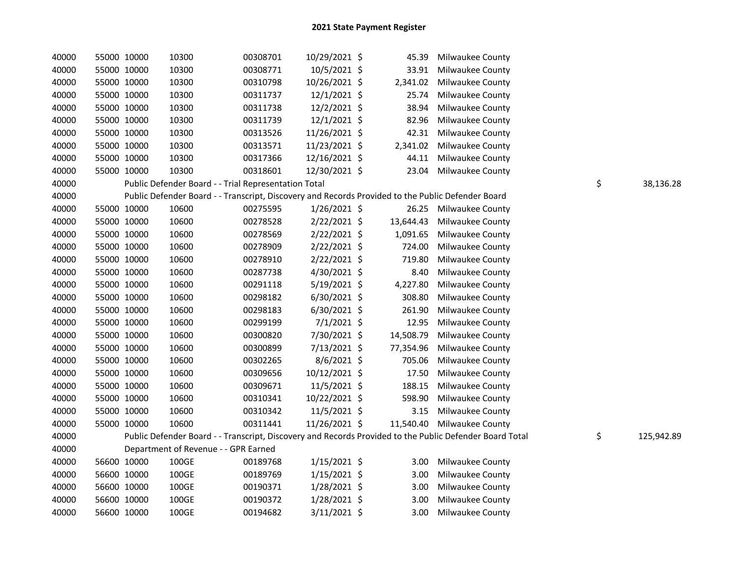| 40000 |             | 55000 10000 | 10300 | 00308701                                                                                          | 10/29/2021 \$  | 45.39     | Milwaukee County                                                                                        |    |            |
|-------|-------------|-------------|-------|---------------------------------------------------------------------------------------------------|----------------|-----------|---------------------------------------------------------------------------------------------------------|----|------------|
| 40000 | 55000 10000 |             | 10300 | 00308771                                                                                          | 10/5/2021 \$   | 33.91     | Milwaukee County                                                                                        |    |            |
| 40000 |             | 55000 10000 | 10300 | 00310798                                                                                          | 10/26/2021 \$  | 2,341.02  | Milwaukee County                                                                                        |    |            |
| 40000 |             | 55000 10000 | 10300 | 00311737                                                                                          | 12/1/2021 \$   | 25.74     | Milwaukee County                                                                                        |    |            |
| 40000 |             | 55000 10000 | 10300 | 00311738                                                                                          | 12/2/2021 \$   | 38.94     | Milwaukee County                                                                                        |    |            |
| 40000 | 55000 10000 |             | 10300 | 00311739                                                                                          | 12/1/2021 \$   | 82.96     | Milwaukee County                                                                                        |    |            |
| 40000 | 55000 10000 |             | 10300 | 00313526                                                                                          | 11/26/2021 \$  | 42.31     | Milwaukee County                                                                                        |    |            |
| 40000 |             | 55000 10000 | 10300 | 00313571                                                                                          | 11/23/2021 \$  | 2,341.02  | Milwaukee County                                                                                        |    |            |
| 40000 | 55000 10000 |             | 10300 | 00317366                                                                                          | 12/16/2021 \$  | 44.11     | Milwaukee County                                                                                        |    |            |
| 40000 | 55000 10000 |             | 10300 | 00318601                                                                                          | 12/30/2021 \$  | 23.04     | Milwaukee County                                                                                        |    |            |
| 40000 |             |             |       | Public Defender Board - - Trial Representation Total                                              |                |           |                                                                                                         | \$ | 38,136.28  |
| 40000 |             |             |       | Public Defender Board - - Transcript, Discovery and Records Provided to the Public Defender Board |                |           |                                                                                                         |    |            |
| 40000 | 55000 10000 |             | 10600 | 00275595                                                                                          | $1/26/2021$ \$ |           | 26.25 Milwaukee County                                                                                  |    |            |
| 40000 |             | 55000 10000 | 10600 | 00278528                                                                                          | $2/22/2021$ \$ | 13,644.43 | <b>Milwaukee County</b>                                                                                 |    |            |
| 40000 |             | 55000 10000 | 10600 | 00278569                                                                                          | 2/22/2021 \$   | 1,091.65  | Milwaukee County                                                                                        |    |            |
| 40000 |             | 55000 10000 | 10600 | 00278909                                                                                          | 2/22/2021 \$   | 724.00    | <b>Milwaukee County</b>                                                                                 |    |            |
| 40000 |             | 55000 10000 | 10600 | 00278910                                                                                          | $2/22/2021$ \$ | 719.80    | <b>Milwaukee County</b>                                                                                 |    |            |
| 40000 |             | 55000 10000 | 10600 | 00287738                                                                                          | 4/30/2021 \$   | 8.40      | Milwaukee County                                                                                        |    |            |
| 40000 | 55000 10000 |             | 10600 | 00291118                                                                                          | $5/19/2021$ \$ | 4,227.80  | Milwaukee County                                                                                        |    |            |
| 40000 | 55000 10000 |             | 10600 | 00298182                                                                                          | $6/30/2021$ \$ | 308.80    | Milwaukee County                                                                                        |    |            |
| 40000 | 55000 10000 |             | 10600 | 00298183                                                                                          | $6/30/2021$ \$ | 261.90    | Milwaukee County                                                                                        |    |            |
| 40000 | 55000 10000 |             | 10600 | 00299199                                                                                          | 7/1/2021 \$    | 12.95     | Milwaukee County                                                                                        |    |            |
| 40000 |             | 55000 10000 | 10600 | 00300820                                                                                          | 7/30/2021 \$   | 14,508.79 | Milwaukee County                                                                                        |    |            |
| 40000 | 55000 10000 |             | 10600 | 00300899                                                                                          | 7/13/2021 \$   | 77,354.96 | Milwaukee County                                                                                        |    |            |
| 40000 | 55000 10000 |             | 10600 | 00302265                                                                                          | 8/6/2021 \$    | 705.06    | Milwaukee County                                                                                        |    |            |
| 40000 | 55000 10000 |             | 10600 | 00309656                                                                                          | 10/12/2021 \$  | 17.50     | Milwaukee County                                                                                        |    |            |
| 40000 |             | 55000 10000 | 10600 | 00309671                                                                                          | 11/5/2021 \$   | 188.15    | Milwaukee County                                                                                        |    |            |
| 40000 | 55000 10000 |             | 10600 | 00310341                                                                                          | 10/22/2021 \$  | 598.90    | Milwaukee County                                                                                        |    |            |
| 40000 |             | 55000 10000 | 10600 | 00310342                                                                                          | 11/5/2021 \$   | 3.15      | Milwaukee County                                                                                        |    |            |
| 40000 |             | 55000 10000 | 10600 | 00311441                                                                                          | 11/26/2021 \$  |           | 11,540.40 Milwaukee County                                                                              |    |            |
| 40000 |             |             |       |                                                                                                   |                |           | Public Defender Board - - Transcript, Discovery and Records Provided to the Public Defender Board Total | \$ | 125,942.89 |
| 40000 |             |             |       | Department of Revenue - - GPR Earned                                                              |                |           |                                                                                                         |    |            |
| 40000 |             | 56600 10000 | 100GE | 00189768                                                                                          | $1/15/2021$ \$ | 3.00      | Milwaukee County                                                                                        |    |            |
| 40000 |             | 56600 10000 | 100GE | 00189769                                                                                          | $1/15/2021$ \$ | 3.00      | Milwaukee County                                                                                        |    |            |
| 40000 |             | 56600 10000 | 100GE | 00190371                                                                                          | $1/28/2021$ \$ | 3.00      | Milwaukee County                                                                                        |    |            |
| 40000 |             | 56600 10000 | 100GE | 00190372                                                                                          | $1/28/2021$ \$ | 3.00      | Milwaukee County                                                                                        |    |            |
| 40000 |             | 56600 10000 | 100GE | 00194682                                                                                          | $3/11/2021$ \$ | 3.00      | Milwaukee County                                                                                        |    |            |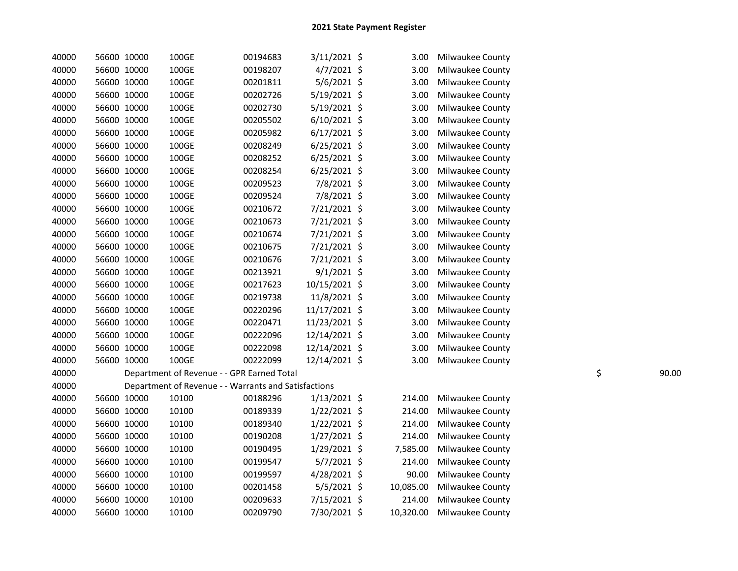| 40000 |             | 56600 10000 | 100GE                                                | 00194683 | 3/11/2021 \$   | 3.00      | Milwaukee County |             |
|-------|-------------|-------------|------------------------------------------------------|----------|----------------|-----------|------------------|-------------|
| 40000 |             | 56600 10000 | 100GE                                                | 00198207 | $4/7/2021$ \$  | 3.00      | Milwaukee County |             |
| 40000 |             | 56600 10000 | 100GE                                                | 00201811 | $5/6/2021$ \$  | 3.00      | Milwaukee County |             |
| 40000 |             | 56600 10000 | 100GE                                                | 00202726 | 5/19/2021 \$   | 3.00      | Milwaukee County |             |
| 40000 | 56600 10000 |             | 100GE                                                | 00202730 | 5/19/2021 \$   | 3.00      | Milwaukee County |             |
| 40000 | 56600 10000 |             | 100GE                                                | 00205502 | $6/10/2021$ \$ | 3.00      | Milwaukee County |             |
| 40000 | 56600 10000 |             | 100GE                                                | 00205982 | $6/17/2021$ \$ | 3.00      | Milwaukee County |             |
| 40000 | 56600 10000 |             | 100GE                                                | 00208249 | $6/25/2021$ \$ | 3.00      | Milwaukee County |             |
| 40000 |             | 56600 10000 | 100GE                                                | 00208252 | $6/25/2021$ \$ | 3.00      | Milwaukee County |             |
| 40000 |             | 56600 10000 | 100GE                                                | 00208254 | $6/25/2021$ \$ | 3.00      | Milwaukee County |             |
| 40000 | 56600 10000 |             | 100GE                                                | 00209523 | 7/8/2021 \$    | 3.00      | Milwaukee County |             |
| 40000 |             | 56600 10000 | 100GE                                                | 00209524 | 7/8/2021 \$    | 3.00      | Milwaukee County |             |
| 40000 | 56600 10000 |             | 100GE                                                | 00210672 | 7/21/2021 \$   | 3.00      | Milwaukee County |             |
| 40000 |             | 56600 10000 | 100GE                                                | 00210673 | 7/21/2021 \$   | 3.00      | Milwaukee County |             |
| 40000 |             | 56600 10000 | 100GE                                                | 00210674 | 7/21/2021 \$   | 3.00      | Milwaukee County |             |
| 40000 |             | 56600 10000 | 100GE                                                | 00210675 | 7/21/2021 \$   | 3.00      | Milwaukee County |             |
| 40000 | 56600 10000 |             | 100GE                                                | 00210676 | 7/21/2021 \$   | 3.00      | Milwaukee County |             |
| 40000 |             | 56600 10000 | 100GE                                                | 00213921 | $9/1/2021$ \$  | 3.00      | Milwaukee County |             |
| 40000 |             | 56600 10000 | 100GE                                                | 00217623 | 10/15/2021 \$  | 3.00      | Milwaukee County |             |
| 40000 |             | 56600 10000 | 100GE                                                | 00219738 | 11/8/2021 \$   | 3.00      | Milwaukee County |             |
| 40000 |             | 56600 10000 | 100GE                                                | 00220296 | 11/17/2021 \$  | 3.00      | Milwaukee County |             |
| 40000 |             | 56600 10000 | 100GE                                                | 00220471 | 11/23/2021 \$  | 3.00      | Milwaukee County |             |
| 40000 |             | 56600 10000 | 100GE                                                | 00222096 | 12/14/2021 \$  | 3.00      | Milwaukee County |             |
| 40000 | 56600 10000 |             | 100GE                                                | 00222098 | 12/14/2021 \$  | 3.00      | Milwaukee County |             |
| 40000 | 56600 10000 |             | 100GE                                                | 00222099 | 12/14/2021 \$  | 3.00      | Milwaukee County |             |
| 40000 |             |             | Department of Revenue - - GPR Earned Total           |          |                |           |                  | \$<br>90.00 |
| 40000 |             |             | Department of Revenue - - Warrants and Satisfactions |          |                |           |                  |             |
| 40000 |             | 56600 10000 | 10100                                                | 00188296 | $1/13/2021$ \$ | 214.00    | Milwaukee County |             |
| 40000 |             | 56600 10000 | 10100                                                | 00189339 | $1/22/2021$ \$ | 214.00    | Milwaukee County |             |
| 40000 |             | 56600 10000 | 10100                                                | 00189340 | $1/22/2021$ \$ | 214.00    | Milwaukee County |             |
| 40000 | 56600 10000 |             | 10100                                                | 00190208 | $1/27/2021$ \$ | 214.00    | Milwaukee County |             |
| 40000 | 56600 10000 |             | 10100                                                | 00190495 | 1/29/2021 \$   | 7,585.00  | Milwaukee County |             |
| 40000 | 56600 10000 |             | 10100                                                | 00199547 | 5/7/2021 \$    | 214.00    | Milwaukee County |             |
| 40000 | 56600 10000 |             | 10100                                                | 00199597 | $4/28/2021$ \$ | 90.00     | Milwaukee County |             |
| 40000 |             | 56600 10000 | 10100                                                | 00201458 | $5/5/2021$ \$  | 10,085.00 | Milwaukee County |             |
| 40000 |             | 56600 10000 | 10100                                                | 00209633 | 7/15/2021 \$   | 214.00    | Milwaukee County |             |
| 40000 |             | 56600 10000 | 10100                                                | 00209790 | 7/30/2021 \$   | 10,320.00 | Milwaukee County |             |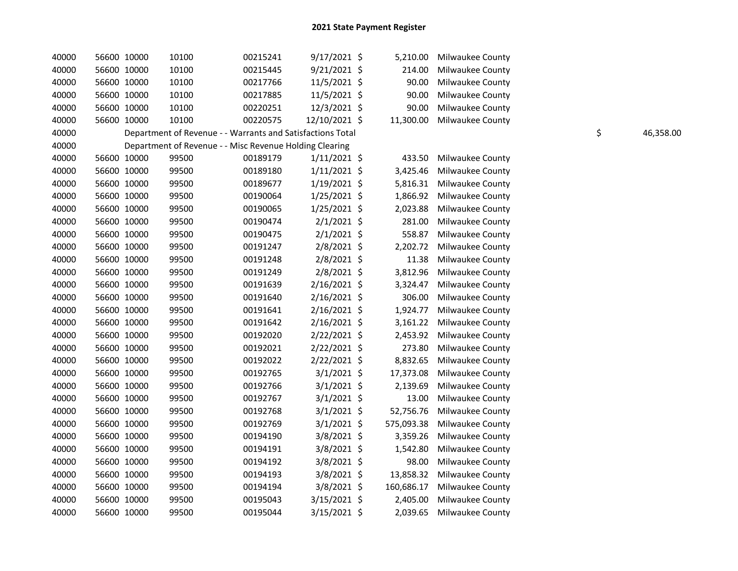| 40000 | 56600 10000 | 10100 | 00215241                                                   | 9/17/2021 \$   | 5,210.00   | Milwaukee County        |    |           |
|-------|-------------|-------|------------------------------------------------------------|----------------|------------|-------------------------|----|-----------|
| 40000 | 56600 10000 | 10100 | 00215445                                                   | 9/21/2021 \$   | 214.00     | Milwaukee County        |    |           |
| 40000 | 56600 10000 | 10100 | 00217766                                                   | 11/5/2021 \$   | 90.00      | Milwaukee County        |    |           |
| 40000 | 56600 10000 | 10100 | 00217885                                                   | 11/5/2021 \$   | 90.00      | Milwaukee County        |    |           |
| 40000 | 56600 10000 | 10100 | 00220251                                                   | 12/3/2021 \$   | 90.00      | Milwaukee County        |    |           |
| 40000 | 56600 10000 | 10100 | 00220575                                                   | 12/10/2021 \$  | 11,300.00  | Milwaukee County        |    |           |
| 40000 |             |       | Department of Revenue - - Warrants and Satisfactions Total |                |            |                         | \$ | 46,358.00 |
| 40000 |             |       | Department of Revenue - - Misc Revenue Holding Clearing    |                |            |                         |    |           |
| 40000 | 56600 10000 | 99500 | 00189179                                                   | $1/11/2021$ \$ | 433.50     | Milwaukee County        |    |           |
| 40000 | 56600 10000 | 99500 | 00189180                                                   | $1/11/2021$ \$ | 3,425.46   | Milwaukee County        |    |           |
| 40000 | 56600 10000 | 99500 | 00189677                                                   | $1/19/2021$ \$ | 5,816.31   | <b>Milwaukee County</b> |    |           |
| 40000 | 56600 10000 | 99500 | 00190064                                                   | $1/25/2021$ \$ | 1,866.92   | Milwaukee County        |    |           |
| 40000 | 56600 10000 | 99500 | 00190065                                                   | $1/25/2021$ \$ | 2,023.88   | Milwaukee County        |    |           |
| 40000 | 56600 10000 | 99500 | 00190474                                                   | $2/1/2021$ \$  | 281.00     | Milwaukee County        |    |           |
| 40000 | 56600 10000 | 99500 | 00190475                                                   | $2/1/2021$ \$  | 558.87     | Milwaukee County        |    |           |
| 40000 | 56600 10000 | 99500 | 00191247                                                   | 2/8/2021 \$    | 2,202.72   | Milwaukee County        |    |           |
| 40000 | 56600 10000 | 99500 | 00191248                                                   | $2/8/2021$ \$  | 11.38      | Milwaukee County        |    |           |
| 40000 | 56600 10000 | 99500 | 00191249                                                   | 2/8/2021 \$    | 3,812.96   | Milwaukee County        |    |           |
| 40000 | 56600 10000 | 99500 | 00191639                                                   | 2/16/2021 \$   | 3,324.47   | Milwaukee County        |    |           |
| 40000 | 56600 10000 | 99500 | 00191640                                                   | 2/16/2021 \$   | 306.00     | Milwaukee County        |    |           |
| 40000 | 56600 10000 | 99500 | 00191641                                                   | 2/16/2021 \$   | 1,924.77   | Milwaukee County        |    |           |
| 40000 | 56600 10000 | 99500 | 00191642                                                   | 2/16/2021 \$   | 3,161.22   | Milwaukee County        |    |           |
| 40000 | 56600 10000 | 99500 | 00192020                                                   | 2/22/2021 \$   | 2,453.92   | Milwaukee County        |    |           |
| 40000 | 56600 10000 | 99500 | 00192021                                                   | 2/22/2021 \$   | 273.80     | Milwaukee County        |    |           |
| 40000 | 56600 10000 | 99500 | 00192022                                                   | 2/22/2021 \$   | 8,832.65   | Milwaukee County        |    |           |
| 40000 | 56600 10000 | 99500 | 00192765                                                   | $3/1/2021$ \$  | 17,373.08  | Milwaukee County        |    |           |
| 40000 | 56600 10000 | 99500 | 00192766                                                   | $3/1/2021$ \$  | 2,139.69   | Milwaukee County        |    |           |
| 40000 | 56600 10000 | 99500 | 00192767                                                   | $3/1/2021$ \$  | 13.00      | Milwaukee County        |    |           |
| 40000 | 56600 10000 | 99500 | 00192768                                                   | $3/1/2021$ \$  | 52,756.76  | <b>Milwaukee County</b> |    |           |
| 40000 | 56600 10000 | 99500 | 00192769                                                   | $3/1/2021$ \$  | 575,093.38 | Milwaukee County        |    |           |
| 40000 | 56600 10000 | 99500 | 00194190                                                   | $3/8/2021$ \$  | 3,359.26   | Milwaukee County        |    |           |
| 40000 | 56600 10000 | 99500 | 00194191                                                   | $3/8/2021$ \$  | 1,542.80   | <b>Milwaukee County</b> |    |           |
| 40000 | 56600 10000 | 99500 | 00194192                                                   | $3/8/2021$ \$  | 98.00      | Milwaukee County        |    |           |
| 40000 | 56600 10000 | 99500 | 00194193                                                   | 3/8/2021 \$    | 13,858.32  | Milwaukee County        |    |           |
| 40000 | 56600 10000 | 99500 | 00194194                                                   | 3/8/2021 \$    | 160,686.17 | Milwaukee County        |    |           |
| 40000 | 56600 10000 | 99500 | 00195043                                                   | 3/15/2021 \$   | 2,405.00   | <b>Milwaukee County</b> |    |           |
| 40000 | 56600 10000 | 99500 | 00195044                                                   | 3/15/2021 \$   | 2,039.65   | Milwaukee County        |    |           |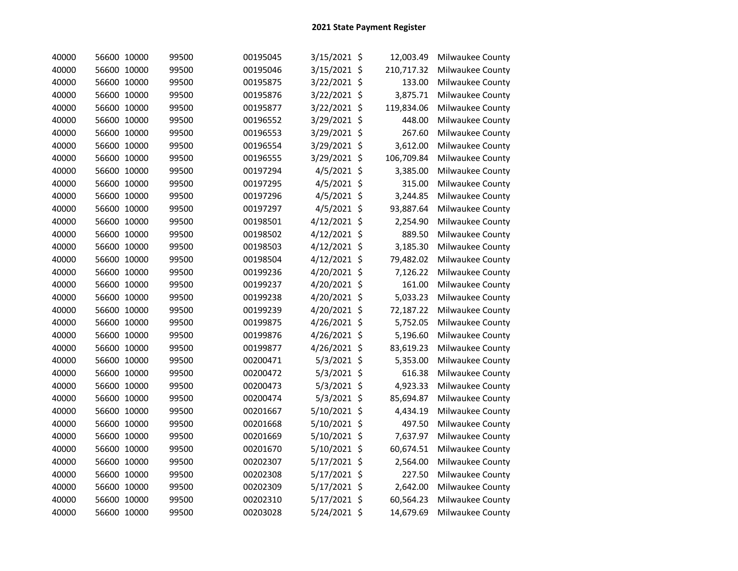| 40000 | 56600 10000 | 99500 | 00195045 | $3/15/2021$ \$ | 12,003.49  | Milwaukee County |
|-------|-------------|-------|----------|----------------|------------|------------------|
| 40000 | 56600 10000 | 99500 | 00195046 | 3/15/2021 \$   | 210,717.32 | Milwaukee County |
| 40000 | 56600 10000 | 99500 | 00195875 | 3/22/2021 \$   | 133.00     | Milwaukee County |
| 40000 | 56600 10000 | 99500 | 00195876 | 3/22/2021 \$   | 3,875.71   | Milwaukee County |
| 40000 | 56600 10000 | 99500 | 00195877 | 3/22/2021 \$   | 119,834.06 | Milwaukee County |
| 40000 | 56600 10000 | 99500 | 00196552 | 3/29/2021 \$   | 448.00     | Milwaukee County |
| 40000 | 56600 10000 | 99500 | 00196553 | 3/29/2021 \$   | 267.60     | Milwaukee County |
| 40000 | 56600 10000 | 99500 | 00196554 | 3/29/2021 \$   | 3,612.00   | Milwaukee County |
| 40000 | 56600 10000 | 99500 | 00196555 | 3/29/2021 \$   | 106,709.84 | Milwaukee County |
| 40000 | 56600 10000 | 99500 | 00197294 | 4/5/2021 \$    | 3,385.00   | Milwaukee County |
| 40000 | 56600 10000 | 99500 | 00197295 | $4/5/2021$ \$  | 315.00     | Milwaukee County |
| 40000 | 56600 10000 | 99500 | 00197296 | $4/5/2021$ \$  | 3,244.85   | Milwaukee County |
| 40000 | 56600 10000 | 99500 | 00197297 | 4/5/2021 \$    | 93,887.64  | Milwaukee County |
| 40000 | 56600 10000 | 99500 | 00198501 | 4/12/2021 \$   | 2,254.90   | Milwaukee County |
| 40000 | 56600 10000 | 99500 | 00198502 | $4/12/2021$ \$ | 889.50     | Milwaukee County |
| 40000 | 56600 10000 | 99500 | 00198503 | $4/12/2021$ \$ | 3,185.30   | Milwaukee County |
| 40000 | 56600 10000 | 99500 | 00198504 | 4/12/2021 \$   | 79,482.02  | Milwaukee County |
| 40000 | 56600 10000 | 99500 | 00199236 | 4/20/2021 \$   | 7,126.22   | Milwaukee County |
| 40000 | 56600 10000 | 99500 | 00199237 | 4/20/2021 \$   | 161.00     | Milwaukee County |
| 40000 | 56600 10000 | 99500 | 00199238 | 4/20/2021 \$   | 5,033.23   | Milwaukee County |
| 40000 | 56600 10000 | 99500 | 00199239 | 4/20/2021 \$   | 72,187.22  | Milwaukee County |
| 40000 | 56600 10000 | 99500 | 00199875 | 4/26/2021 \$   | 5,752.05   | Milwaukee County |
| 40000 | 56600 10000 | 99500 | 00199876 | 4/26/2021 \$   | 5,196.60   | Milwaukee County |
| 40000 | 56600 10000 | 99500 | 00199877 | 4/26/2021 \$   | 83,619.23  | Milwaukee County |
| 40000 | 56600 10000 | 99500 | 00200471 | $5/3/2021$ \$  | 5,353.00   | Milwaukee County |
| 40000 | 56600 10000 | 99500 | 00200472 | 5/3/2021 \$    | 616.38     | Milwaukee County |
| 40000 | 56600 10000 | 99500 | 00200473 | 5/3/2021 \$    | 4,923.33   | Milwaukee County |
| 40000 | 56600 10000 | 99500 | 00200474 | $5/3/2021$ \$  | 85,694.87  | Milwaukee County |
| 40000 | 56600 10000 | 99500 | 00201667 | 5/10/2021 \$   | 4,434.19   | Milwaukee County |
| 40000 | 56600 10000 | 99500 | 00201668 | 5/10/2021 \$   | 497.50     | Milwaukee County |
| 40000 | 56600 10000 | 99500 | 00201669 | 5/10/2021 \$   | 7,637.97   | Milwaukee County |
| 40000 | 56600 10000 | 99500 | 00201670 | 5/10/2021 \$   | 60,674.51  | Milwaukee County |
| 40000 | 56600 10000 | 99500 | 00202307 | 5/17/2021 \$   | 2,564.00   | Milwaukee County |
| 40000 | 56600 10000 | 99500 | 00202308 | 5/17/2021 \$   | 227.50     | Milwaukee County |
| 40000 | 56600 10000 | 99500 | 00202309 | 5/17/2021 \$   | 2,642.00   | Milwaukee County |
| 40000 | 56600 10000 | 99500 | 00202310 | 5/17/2021 \$   | 60,564.23  | Milwaukee County |
| 40000 | 56600 10000 | 99500 | 00203028 | 5/24/2021 \$   | 14,679.69  | Milwaukee County |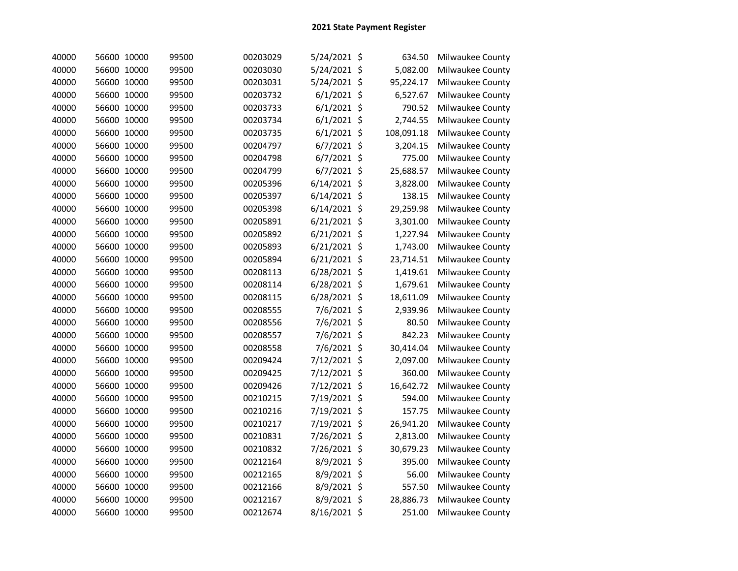| 40000 | 56600 10000 | 99500 | 00203029 | 5/24/2021 \$   | 634.50     | Milwaukee County |
|-------|-------------|-------|----------|----------------|------------|------------------|
| 40000 | 56600 10000 | 99500 | 00203030 | 5/24/2021 \$   | 5,082.00   | Milwaukee County |
| 40000 | 56600 10000 | 99500 | 00203031 | 5/24/2021 \$   | 95,224.17  | Milwaukee County |
| 40000 | 56600 10000 | 99500 | 00203732 | $6/1/2021$ \$  | 6,527.67   | Milwaukee County |
| 40000 | 56600 10000 | 99500 | 00203733 | $6/1/2021$ \$  | 790.52     | Milwaukee County |
| 40000 | 56600 10000 | 99500 | 00203734 | $6/1/2021$ \$  | 2,744.55   | Milwaukee County |
| 40000 | 56600 10000 | 99500 | 00203735 | $6/1/2021$ \$  | 108,091.18 | Milwaukee County |
| 40000 | 56600 10000 | 99500 | 00204797 | $6/7/2021$ \$  | 3,204.15   | Milwaukee County |
| 40000 | 56600 10000 | 99500 | 00204798 | $6/7/2021$ \$  | 775.00     | Milwaukee County |
| 40000 | 56600 10000 | 99500 | 00204799 | $6/7/2021$ \$  | 25,688.57  | Milwaukee County |
| 40000 | 56600 10000 | 99500 | 00205396 | $6/14/2021$ \$ | 3,828.00   | Milwaukee County |
| 40000 | 56600 10000 | 99500 | 00205397 | $6/14/2021$ \$ | 138.15     | Milwaukee County |
| 40000 | 56600 10000 | 99500 | 00205398 | $6/14/2021$ \$ | 29,259.98  | Milwaukee County |
| 40000 | 56600 10000 | 99500 | 00205891 | $6/21/2021$ \$ | 3,301.00   | Milwaukee County |
| 40000 | 56600 10000 | 99500 | 00205892 | $6/21/2021$ \$ | 1,227.94   | Milwaukee County |
| 40000 | 56600 10000 | 99500 | 00205893 | $6/21/2021$ \$ | 1,743.00   | Milwaukee County |
| 40000 | 56600 10000 | 99500 | 00205894 | $6/21/2021$ \$ | 23,714.51  | Milwaukee County |
| 40000 | 56600 10000 | 99500 | 00208113 | 6/28/2021 \$   | 1,419.61   | Milwaukee County |
| 40000 | 56600 10000 | 99500 | 00208114 | 6/28/2021 \$   | 1,679.61   | Milwaukee County |
| 40000 | 56600 10000 | 99500 | 00208115 | 6/28/2021 \$   | 18,611.09  | Milwaukee County |
| 40000 | 56600 10000 | 99500 | 00208555 | 7/6/2021 \$    | 2,939.96   | Milwaukee County |
| 40000 | 56600 10000 | 99500 | 00208556 | 7/6/2021 \$    | 80.50      | Milwaukee County |
| 40000 | 56600 10000 | 99500 | 00208557 | 7/6/2021 \$    | 842.23     | Milwaukee County |
| 40000 | 56600 10000 | 99500 | 00208558 | 7/6/2021 \$    | 30,414.04  | Milwaukee County |
| 40000 | 56600 10000 | 99500 | 00209424 | 7/12/2021 \$   | 2,097.00   | Milwaukee County |
| 40000 | 56600 10000 | 99500 | 00209425 | 7/12/2021 \$   | 360.00     | Milwaukee County |
| 40000 | 56600 10000 | 99500 | 00209426 | 7/12/2021 \$   | 16,642.72  | Milwaukee County |
| 40000 | 56600 10000 | 99500 | 00210215 | 7/19/2021 \$   | 594.00     | Milwaukee County |
| 40000 | 56600 10000 | 99500 | 00210216 | 7/19/2021 \$   | 157.75     | Milwaukee County |
| 40000 | 56600 10000 | 99500 | 00210217 | 7/19/2021 \$   | 26,941.20  | Milwaukee County |
| 40000 | 56600 10000 | 99500 | 00210831 | 7/26/2021 \$   | 2,813.00   | Milwaukee County |
| 40000 | 56600 10000 | 99500 | 00210832 | 7/26/2021 \$   | 30,679.23  | Milwaukee County |
| 40000 | 56600 10000 | 99500 | 00212164 | 8/9/2021 \$    | 395.00     | Milwaukee County |
| 40000 | 56600 10000 | 99500 | 00212165 | 8/9/2021 \$    | 56.00      | Milwaukee County |
| 40000 | 56600 10000 | 99500 | 00212166 | 8/9/2021 \$    | 557.50     | Milwaukee County |
| 40000 | 56600 10000 | 99500 | 00212167 | 8/9/2021 \$    | 28,886.73  | Milwaukee County |
| 40000 | 56600 10000 | 99500 | 00212674 | 8/16/2021 \$   | 251.00     | Milwaukee County |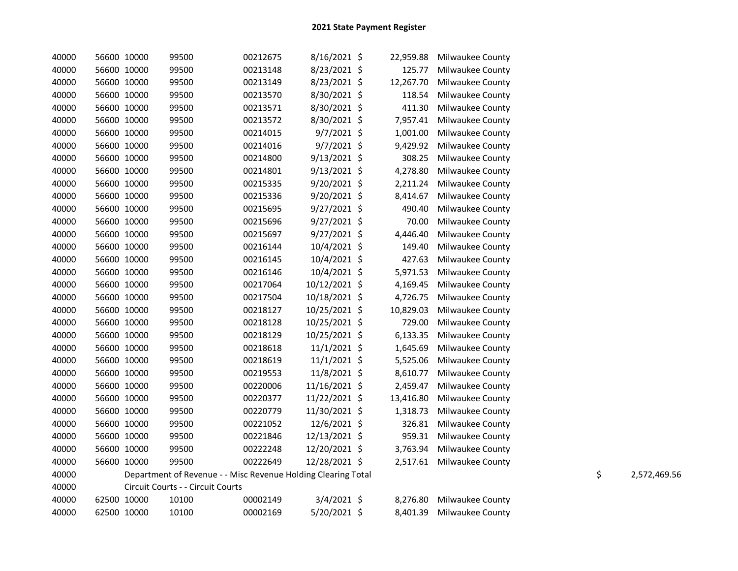| 40000 | 56600 10000 | 99500                                                         | 00212675 | 8/16/2021 \$   | 22,959.88 | <b>Milwaukee County</b> |    |              |
|-------|-------------|---------------------------------------------------------------|----------|----------------|-----------|-------------------------|----|--------------|
| 40000 | 56600 10000 | 99500                                                         | 00213148 | 8/23/2021 \$   | 125.77    | Milwaukee County        |    |              |
| 40000 | 56600 10000 | 99500                                                         | 00213149 | 8/23/2021 \$   | 12,267.70 | Milwaukee County        |    |              |
| 40000 | 56600 10000 | 99500                                                         | 00213570 | 8/30/2021 \$   | 118.54    | Milwaukee County        |    |              |
| 40000 | 56600 10000 | 99500                                                         | 00213571 | 8/30/2021 \$   | 411.30    | Milwaukee County        |    |              |
| 40000 | 56600 10000 | 99500                                                         | 00213572 | 8/30/2021 \$   | 7,957.41  | Milwaukee County        |    |              |
| 40000 | 56600 10000 | 99500                                                         | 00214015 | $9/7/2021$ \$  | 1,001.00  | Milwaukee County        |    |              |
| 40000 | 56600 10000 | 99500                                                         | 00214016 | $9/7/2021$ \$  | 9,429.92  | Milwaukee County        |    |              |
| 40000 | 56600 10000 | 99500                                                         | 00214800 | $9/13/2021$ \$ | 308.25    | Milwaukee County        |    |              |
| 40000 | 56600 10000 | 99500                                                         | 00214801 | $9/13/2021$ \$ | 4,278.80  | Milwaukee County        |    |              |
| 40000 | 56600 10000 | 99500                                                         | 00215335 | 9/20/2021 \$   | 2,211.24  | Milwaukee County        |    |              |
| 40000 | 56600 10000 | 99500                                                         | 00215336 | $9/20/2021$ \$ | 8,414.67  | Milwaukee County        |    |              |
| 40000 | 56600 10000 | 99500                                                         | 00215695 | $9/27/2021$ \$ | 490.40    | Milwaukee County        |    |              |
| 40000 | 56600 10000 | 99500                                                         | 00215696 | 9/27/2021 \$   | 70.00     | Milwaukee County        |    |              |
| 40000 | 56600 10000 | 99500                                                         | 00215697 | 9/27/2021 \$   | 4,446.40  | Milwaukee County        |    |              |
| 40000 | 56600 10000 | 99500                                                         | 00216144 | 10/4/2021 \$   | 149.40    | Milwaukee County        |    |              |
| 40000 | 56600 10000 | 99500                                                         | 00216145 | 10/4/2021 \$   | 427.63    | Milwaukee County        |    |              |
| 40000 | 56600 10000 | 99500                                                         | 00216146 | 10/4/2021 \$   | 5,971.53  | Milwaukee County        |    |              |
| 40000 | 56600 10000 | 99500                                                         | 00217064 | 10/12/2021 \$  | 4,169.45  | Milwaukee County        |    |              |
| 40000 | 56600 10000 | 99500                                                         | 00217504 | 10/18/2021 \$  | 4,726.75  | Milwaukee County        |    |              |
| 40000 | 56600 10000 | 99500                                                         | 00218127 | 10/25/2021 \$  | 10,829.03 | Milwaukee County        |    |              |
| 40000 | 56600 10000 | 99500                                                         | 00218128 | 10/25/2021 \$  | 729.00    | Milwaukee County        |    |              |
| 40000 | 56600 10000 | 99500                                                         | 00218129 | 10/25/2021 \$  | 6,133.35  | Milwaukee County        |    |              |
| 40000 | 56600 10000 | 99500                                                         | 00218618 | $11/1/2021$ \$ | 1,645.69  | Milwaukee County        |    |              |
| 40000 | 56600 10000 | 99500                                                         | 00218619 | $11/1/2021$ \$ | 5,525.06  | Milwaukee County        |    |              |
| 40000 | 56600 10000 | 99500                                                         | 00219553 | 11/8/2021 \$   | 8,610.77  | Milwaukee County        |    |              |
| 40000 | 56600 10000 | 99500                                                         | 00220006 | 11/16/2021 \$  | 2,459.47  | Milwaukee County        |    |              |
| 40000 | 56600 10000 | 99500                                                         | 00220377 | 11/22/2021 \$  | 13,416.80 | Milwaukee County        |    |              |
| 40000 | 56600 10000 | 99500                                                         | 00220779 | 11/30/2021 \$  | 1,318.73  | Milwaukee County        |    |              |
| 40000 | 56600 10000 | 99500                                                         | 00221052 | 12/6/2021 \$   | 326.81    | Milwaukee County        |    |              |
| 40000 | 56600 10000 | 99500                                                         | 00221846 | 12/13/2021 \$  | 959.31    | Milwaukee County        |    |              |
| 40000 | 56600 10000 | 99500                                                         | 00222248 | 12/20/2021 \$  | 3,763.94  | Milwaukee County        |    |              |
| 40000 | 56600 10000 | 99500                                                         | 00222649 | 12/28/2021 \$  | 2,517.61  | Milwaukee County        |    |              |
| 40000 |             | Department of Revenue - - Misc Revenue Holding Clearing Total |          |                |           |                         | \$ | 2,572,469.56 |
| 40000 |             | Circuit Courts - - Circuit Courts                             |          |                |           |                         |    |              |
| 40000 | 62500 10000 | 10100                                                         | 00002149 | 3/4/2021 \$    | 8,276.80  | Milwaukee County        |    |              |
| 40000 | 62500 10000 | 10100                                                         | 00002169 | 5/20/2021 \$   | 8,401.39  | Milwaukee County        |    |              |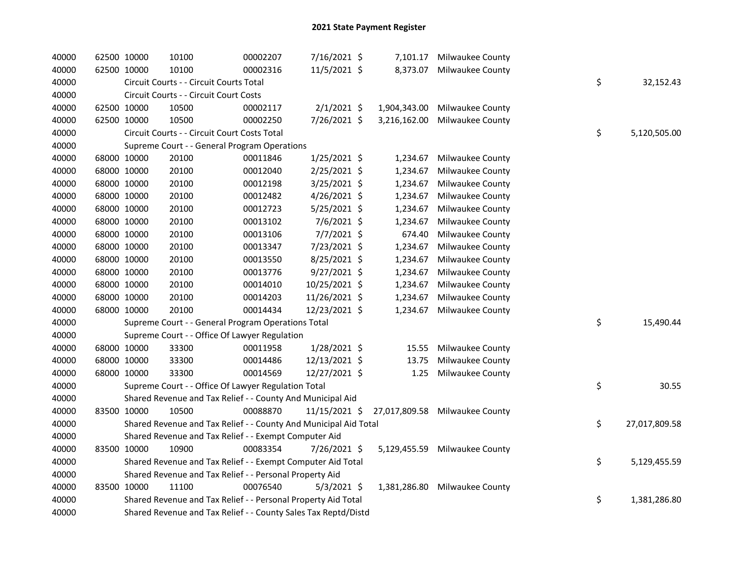| 40000 | 62500 10000 | 10100                                                            | 00002207 | 7/16/2021 \$    | 7,101.17     | Milwaukee County               |                     |
|-------|-------------|------------------------------------------------------------------|----------|-----------------|--------------|--------------------------------|---------------------|
| 40000 | 62500 10000 | 10100                                                            | 00002316 | 11/5/2021 \$    | 8,373.07     | Milwaukee County               |                     |
| 40000 |             | Circuit Courts - - Circuit Courts Total                          |          |                 |              |                                | \$<br>32,152.43     |
| 40000 |             | Circuit Courts - - Circuit Court Costs                           |          |                 |              |                                |                     |
| 40000 | 62500 10000 | 10500                                                            | 00002117 | $2/1/2021$ \$   | 1,904,343.00 | Milwaukee County               |                     |
| 40000 | 62500 10000 | 10500                                                            | 00002250 | 7/26/2021 \$    | 3,216,162.00 | Milwaukee County               |                     |
| 40000 |             | Circuit Courts - - Circuit Court Costs Total                     |          |                 |              |                                | \$<br>5,120,505.00  |
| 40000 |             | Supreme Court - - General Program Operations                     |          |                 |              |                                |                     |
| 40000 | 68000 10000 | 20100                                                            | 00011846 | $1/25/2021$ \$  | 1,234.67     | Milwaukee County               |                     |
| 40000 | 68000 10000 | 20100                                                            | 00012040 | 2/25/2021 \$    | 1,234.67     | Milwaukee County               |                     |
| 40000 | 68000 10000 | 20100                                                            | 00012198 | 3/25/2021 \$    | 1,234.67     | <b>Milwaukee County</b>        |                     |
| 40000 | 68000 10000 | 20100                                                            | 00012482 | 4/26/2021 \$    | 1,234.67     | Milwaukee County               |                     |
| 40000 | 68000 10000 | 20100                                                            | 00012723 | 5/25/2021 \$    | 1,234.67     | Milwaukee County               |                     |
| 40000 | 68000 10000 | 20100                                                            | 00013102 | 7/6/2021 \$     | 1,234.67     | Milwaukee County               |                     |
| 40000 | 68000 10000 | 20100                                                            | 00013106 | 7/7/2021 \$     | 674.40       | Milwaukee County               |                     |
| 40000 | 68000 10000 | 20100                                                            | 00013347 | 7/23/2021 \$    | 1,234.67     | Milwaukee County               |                     |
| 40000 | 68000 10000 | 20100                                                            | 00013550 | 8/25/2021 \$    | 1,234.67     | Milwaukee County               |                     |
| 40000 | 68000 10000 | 20100                                                            | 00013776 | 9/27/2021 \$    | 1,234.67     | Milwaukee County               |                     |
| 40000 | 68000 10000 | 20100                                                            | 00014010 | 10/25/2021 \$   | 1,234.67     | Milwaukee County               |                     |
| 40000 | 68000 10000 | 20100                                                            | 00014203 | 11/26/2021 \$   | 1,234.67     | Milwaukee County               |                     |
| 40000 | 68000 10000 | 20100                                                            | 00014434 | 12/23/2021 \$   | 1,234.67     | Milwaukee County               |                     |
| 40000 |             | Supreme Court - - General Program Operations Total               |          |                 |              |                                | \$<br>15,490.44     |
| 40000 |             | Supreme Court - - Office Of Lawyer Regulation                    |          |                 |              |                                |                     |
| 40000 | 68000 10000 | 33300                                                            | 00011958 | 1/28/2021 \$    | 15.55        | Milwaukee County               |                     |
| 40000 | 68000 10000 | 33300                                                            | 00014486 | 12/13/2021 \$   | 13.75        | Milwaukee County               |                     |
| 40000 | 68000 10000 | 33300                                                            | 00014569 | 12/27/2021 \$   | 1.25         | Milwaukee County               |                     |
| 40000 |             | Supreme Court - - Office Of Lawyer Regulation Total              |          |                 |              |                                | \$<br>30.55         |
| 40000 |             | Shared Revenue and Tax Relief - - County And Municipal Aid       |          |                 |              |                                |                     |
| 40000 | 83500 10000 | 10500                                                            | 00088870 | $11/15/2021$ \$ |              | 27,017,809.58 Milwaukee County |                     |
| 40000 |             | Shared Revenue and Tax Relief - - County And Municipal Aid Total |          |                 |              |                                | \$<br>27,017,809.58 |
| 40000 |             | Shared Revenue and Tax Relief - - Exempt Computer Aid            |          |                 |              |                                |                     |
| 40000 | 83500 10000 | 10900                                                            | 00083354 | 7/26/2021 \$    | 5,129,455.59 | Milwaukee County               |                     |
| 40000 |             | Shared Revenue and Tax Relief - - Exempt Computer Aid Total      |          |                 |              |                                | \$<br>5,129,455.59  |
| 40000 |             | Shared Revenue and Tax Relief - - Personal Property Aid          |          |                 |              |                                |                     |
| 40000 | 83500 10000 | 11100                                                            | 00076540 | $5/3/2021$ \$   | 1,381,286.80 | <b>Milwaukee County</b>        |                     |
| 40000 |             | Shared Revenue and Tax Relief - - Personal Property Aid Total    |          |                 |              |                                | \$<br>1,381,286.80  |
| 40000 |             | Shared Revenue and Tax Relief - - County Sales Tax Reptd/Distd   |          |                 |              |                                |                     |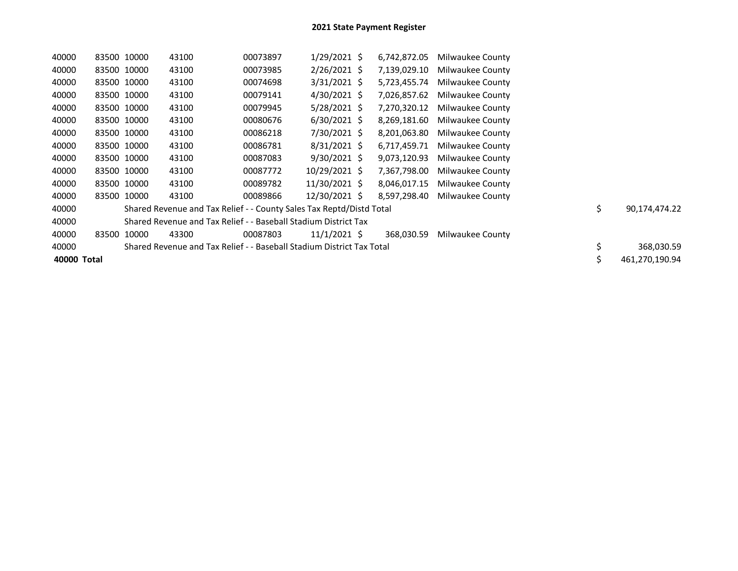| 40000       | 83500 10000 |       | 43100                                                                 | 00073897 | $1/29/2021$ \$ | 6,742,872.05 | Milwaukee County |                     |
|-------------|-------------|-------|-----------------------------------------------------------------------|----------|----------------|--------------|------------------|---------------------|
| 40000       | 83500 10000 |       | 43100                                                                 | 00073985 | $2/26/2021$ \$ | 7,139,029.10 | Milwaukee County |                     |
| 40000       | 83500 10000 |       | 43100                                                                 | 00074698 | $3/31/2021$ \$ | 5,723,455.74 | Milwaukee County |                     |
| 40000       | 83500 10000 |       | 43100                                                                 | 00079141 | 4/30/2021 \$   | 7,026,857.62 | Milwaukee County |                     |
| 40000       | 83500 10000 |       | 43100                                                                 | 00079945 | $5/28/2021$ \$ | 7,270,320.12 | Milwaukee County |                     |
| 40000       | 83500 10000 |       | 43100                                                                 | 00080676 | $6/30/2021$ \$ | 8,269,181.60 | Milwaukee County |                     |
| 40000       | 83500 10000 |       | 43100                                                                 | 00086218 | 7/30/2021 \$   | 8,201,063.80 | Milwaukee County |                     |
| 40000       | 83500 10000 |       | 43100                                                                 | 00086781 | $8/31/2021$ \$ | 6,717,459.71 | Milwaukee County |                     |
| 40000       | 83500 10000 |       | 43100                                                                 | 00087083 | $9/30/2021$ \$ | 9,073,120.93 | Milwaukee County |                     |
| 40000       | 83500 10000 |       | 43100                                                                 | 00087772 | 10/29/2021 \$  | 7,367,798.00 | Milwaukee County |                     |
| 40000       | 83500 10000 |       | 43100                                                                 | 00089782 | 11/30/2021 \$  | 8,046,017.15 | Milwaukee County |                     |
| 40000       | 83500 10000 |       | 43100                                                                 | 00089866 | 12/30/2021 \$  | 8,597,298.40 | Milwaukee County |                     |
| 40000       |             |       | Shared Revenue and Tax Relief - - County Sales Tax Reptd/Distd Total  |          |                |              |                  | \$<br>90,174,474.22 |
| 40000       |             |       | Shared Revenue and Tax Relief - - Baseball Stadium District Tax       |          |                |              |                  |                     |
| 40000       | 83500       | 10000 | 43300                                                                 | 00087803 | $11/1/2021$ \$ | 368.030.59   | Milwaukee County |                     |
| 40000       |             |       | Shared Revenue and Tax Relief - - Baseball Stadium District Tax Total |          |                |              |                  | \$<br>368,030.59    |
| 40000 Total |             |       |                                                                       |          |                |              |                  | 461,270,190.94      |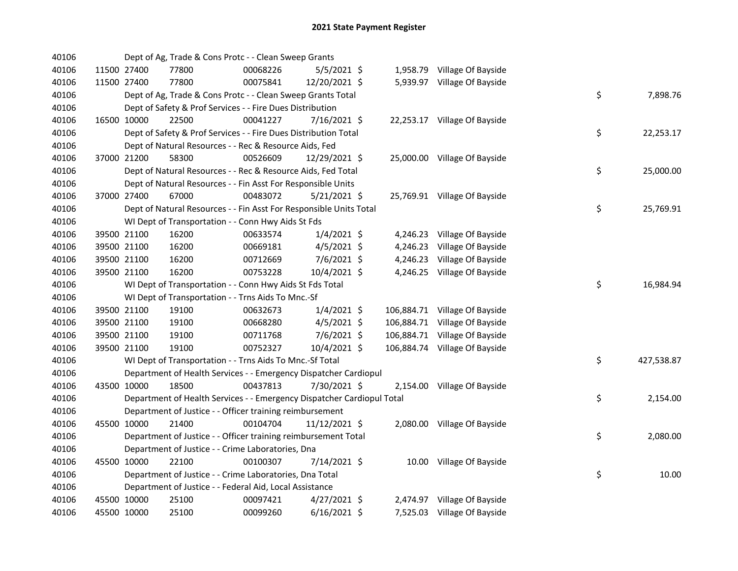| 40106 |             | Dept of Ag, Trade & Cons Protc - - Clean Sweep Grants                  |          |                |  |                               |    |            |
|-------|-------------|------------------------------------------------------------------------|----------|----------------|--|-------------------------------|----|------------|
| 40106 | 11500 27400 | 77800                                                                  | 00068226 | 5/5/2021 \$    |  | 1,958.79 Village Of Bayside   |    |            |
| 40106 | 11500 27400 | 77800                                                                  | 00075841 | 12/20/2021 \$  |  | 5,939.97 Village Of Bayside   |    |            |
| 40106 |             | Dept of Ag, Trade & Cons Protc - - Clean Sweep Grants Total            |          |                |  |                               | \$ | 7,898.76   |
| 40106 |             | Dept of Safety & Prof Services - - Fire Dues Distribution              |          |                |  |                               |    |            |
| 40106 | 16500 10000 | 22500                                                                  | 00041227 | 7/16/2021 \$   |  | 22,253.17 Village Of Bayside  |    |            |
| 40106 |             | Dept of Safety & Prof Services - - Fire Dues Distribution Total        |          |                |  |                               | \$ | 22,253.17  |
| 40106 |             | Dept of Natural Resources - - Rec & Resource Aids, Fed                 |          |                |  |                               |    |            |
| 40106 | 37000 21200 | 58300                                                                  | 00526609 | 12/29/2021 \$  |  | 25,000.00 Village Of Bayside  |    |            |
| 40106 |             | Dept of Natural Resources - - Rec & Resource Aids, Fed Total           |          |                |  |                               | \$ | 25,000.00  |
| 40106 |             | Dept of Natural Resources - - Fin Asst For Responsible Units           |          |                |  |                               |    |            |
| 40106 | 37000 27400 | 67000                                                                  | 00483072 | $5/21/2021$ \$ |  | 25,769.91 Village Of Bayside  |    |            |
| 40106 |             | Dept of Natural Resources - - Fin Asst For Responsible Units Total     |          |                |  |                               | \$ | 25,769.91  |
| 40106 |             | WI Dept of Transportation - - Conn Hwy Aids St Fds                     |          |                |  |                               |    |            |
| 40106 | 39500 21100 | 16200                                                                  | 00633574 | $1/4/2021$ \$  |  | 4,246.23 Village Of Bayside   |    |            |
| 40106 | 39500 21100 | 16200                                                                  | 00669181 | 4/5/2021 \$    |  | 4,246.23 Village Of Bayside   |    |            |
| 40106 | 39500 21100 | 16200                                                                  | 00712669 | $7/6/2021$ \$  |  | 4,246.23 Village Of Bayside   |    |            |
| 40106 | 39500 21100 | 16200                                                                  | 00753228 | 10/4/2021 \$   |  | 4,246.25 Village Of Bayside   |    |            |
| 40106 |             | WI Dept of Transportation - - Conn Hwy Aids St Fds Total               |          |                |  |                               | \$ | 16,984.94  |
| 40106 |             | WI Dept of Transportation - - Trns Aids To Mnc.-Sf                     |          |                |  |                               |    |            |
| 40106 | 39500 21100 | 19100                                                                  | 00632673 | $1/4/2021$ \$  |  | 106,884.71 Village Of Bayside |    |            |
| 40106 | 39500 21100 | 19100                                                                  | 00668280 | $4/5/2021$ \$  |  | 106,884.71 Village Of Bayside |    |            |
| 40106 | 39500 21100 | 19100                                                                  | 00711768 | 7/6/2021 \$    |  | 106,884.71 Village Of Bayside |    |            |
| 40106 | 39500 21100 | 19100                                                                  | 00752327 | 10/4/2021 \$   |  | 106,884.74 Village Of Bayside |    |            |
| 40106 |             | WI Dept of Transportation - - Trns Aids To Mnc.-Sf Total               |          |                |  |                               | \$ | 427,538.87 |
| 40106 |             | Department of Health Services - - Emergency Dispatcher Cardiopul       |          |                |  |                               |    |            |
| 40106 | 43500 10000 | 18500                                                                  | 00437813 | 7/30/2021 \$   |  | 2,154.00 Village Of Bayside   |    |            |
| 40106 |             | Department of Health Services - - Emergency Dispatcher Cardiopul Total |          |                |  |                               | \$ | 2,154.00   |
| 40106 |             | Department of Justice - - Officer training reimbursement               |          |                |  |                               |    |            |
| 40106 | 45500 10000 | 21400                                                                  | 00104704 | 11/12/2021 \$  |  | 2,080.00 Village Of Bayside   |    |            |
| 40106 |             | Department of Justice - - Officer training reimbursement Total         |          |                |  |                               | \$ | 2,080.00   |
| 40106 |             | Department of Justice - - Crime Laboratories, Dna                      |          |                |  |                               |    |            |
| 40106 | 45500 10000 | 22100                                                                  | 00100307 | 7/14/2021 \$   |  | 10.00 Village Of Bayside      |    |            |
| 40106 |             | Department of Justice - - Crime Laboratories, Dna Total                |          |                |  |                               | \$ | 10.00      |
| 40106 |             | Department of Justice - - Federal Aid, Local Assistance                |          |                |  |                               |    |            |
| 40106 | 45500 10000 | 25100                                                                  | 00097421 | $4/27/2021$ \$ |  | 2,474.97 Village Of Bayside   |    |            |
| 40106 | 45500 10000 | 25100                                                                  | 00099260 | $6/16/2021$ \$ |  | 7,525.03 Village Of Bayside   |    |            |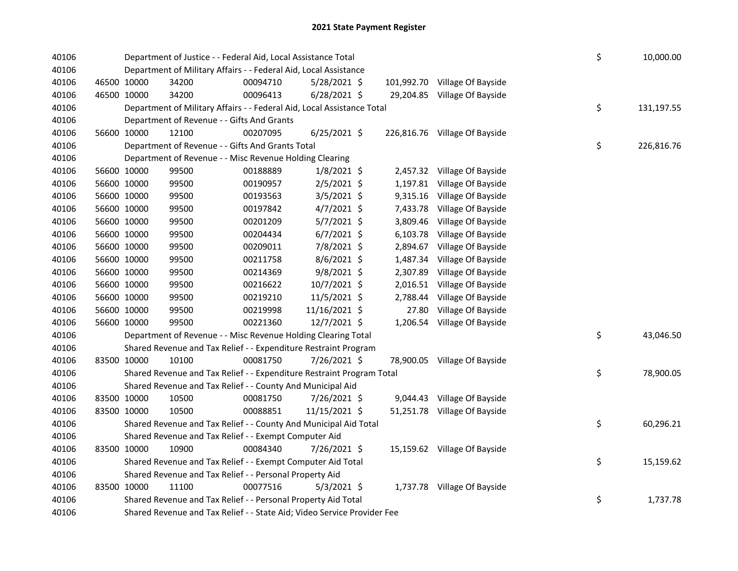| 40106 |             | Department of Justice - - Federal Aid, Local Assistance Total           |          |                |  |           |                               |  |    | 10,000.00  |
|-------|-------------|-------------------------------------------------------------------------|----------|----------------|--|-----------|-------------------------------|--|----|------------|
| 40106 |             | Department of Military Affairs - - Federal Aid, Local Assistance        |          |                |  |           |                               |  |    |            |
| 40106 | 46500 10000 | 34200                                                                   | 00094710 | $5/28/2021$ \$ |  |           | 101,992.70 Village Of Bayside |  |    |            |
| 40106 | 46500 10000 | 34200                                                                   | 00096413 | $6/28/2021$ \$ |  | 29,204.85 | Village Of Bayside            |  |    |            |
| 40106 |             | Department of Military Affairs - - Federal Aid, Local Assistance Total  |          |                |  |           |                               |  | \$ | 131,197.55 |
| 40106 |             | Department of Revenue - - Gifts And Grants                              |          |                |  |           |                               |  |    |            |
| 40106 | 56600 10000 | 12100                                                                   | 00207095 | $6/25/2021$ \$ |  |           | 226,816.76 Village Of Bayside |  |    |            |
| 40106 |             | Department of Revenue - - Gifts And Grants Total                        |          |                |  |           |                               |  | \$ | 226,816.76 |
| 40106 |             | Department of Revenue - - Misc Revenue Holding Clearing                 |          |                |  |           |                               |  |    |            |
| 40106 | 56600 10000 | 99500                                                                   | 00188889 | $1/8/2021$ \$  |  |           | 2,457.32 Village Of Bayside   |  |    |            |
| 40106 | 56600 10000 | 99500                                                                   | 00190957 | 2/5/2021 \$    |  | 1,197.81  | Village Of Bayside            |  |    |            |
| 40106 | 56600 10000 | 99500                                                                   | 00193563 | 3/5/2021 \$    |  | 9,315.16  | Village Of Bayside            |  |    |            |
| 40106 | 56600 10000 | 99500                                                                   | 00197842 | $4/7/2021$ \$  |  | 7,433.78  | Village Of Bayside            |  |    |            |
| 40106 | 56600 10000 | 99500                                                                   | 00201209 | 5/7/2021 \$    |  | 3,809.46  | Village Of Bayside            |  |    |            |
| 40106 | 56600 10000 | 99500                                                                   | 00204434 | $6/7/2021$ \$  |  | 6,103.78  | Village Of Bayside            |  |    |            |
| 40106 | 56600 10000 | 99500                                                                   | 00209011 | 7/8/2021 \$    |  | 2,894.67  | Village Of Bayside            |  |    |            |
| 40106 | 56600 10000 | 99500                                                                   | 00211758 | $8/6/2021$ \$  |  | 1,487.34  | Village Of Bayside            |  |    |            |
| 40106 | 56600 10000 | 99500                                                                   | 00214369 | 9/8/2021 \$    |  | 2,307.89  | Village Of Bayside            |  |    |            |
| 40106 | 56600 10000 | 99500                                                                   | 00216622 | 10/7/2021 \$   |  | 2,016.51  | Village Of Bayside            |  |    |            |
| 40106 | 56600 10000 | 99500                                                                   | 00219210 | 11/5/2021 \$   |  | 2,788.44  | Village Of Bayside            |  |    |            |
| 40106 | 56600 10000 | 99500                                                                   | 00219998 | 11/16/2021 \$  |  | 27.80     | Village Of Bayside            |  |    |            |
| 40106 | 56600 10000 | 99500                                                                   | 00221360 | 12/7/2021 \$   |  | 1,206.54  | Village Of Bayside            |  |    |            |
| 40106 |             | Department of Revenue - - Misc Revenue Holding Clearing Total           |          |                |  |           |                               |  | \$ | 43,046.50  |
| 40106 |             | Shared Revenue and Tax Relief - - Expenditure Restraint Program         |          |                |  |           |                               |  |    |            |
| 40106 | 83500 10000 | 10100                                                                   | 00081750 | 7/26/2021 \$   |  |           | 78,900.05 Village Of Bayside  |  |    |            |
| 40106 |             | Shared Revenue and Tax Relief - - Expenditure Restraint Program Total   |          |                |  |           |                               |  | \$ | 78,900.05  |
| 40106 |             | Shared Revenue and Tax Relief - - County And Municipal Aid              |          |                |  |           |                               |  |    |            |
| 40106 | 83500 10000 | 10500                                                                   | 00081750 | 7/26/2021 \$   |  |           | 9,044.43 Village Of Bayside   |  |    |            |
| 40106 | 83500 10000 | 10500                                                                   | 00088851 | 11/15/2021 \$  |  |           | 51,251.78 Village Of Bayside  |  |    |            |
| 40106 |             | Shared Revenue and Tax Relief - - County And Municipal Aid Total        |          |                |  |           |                               |  | \$ | 60,296.21  |
| 40106 |             | Shared Revenue and Tax Relief - - Exempt Computer Aid                   |          |                |  |           |                               |  |    |            |
| 40106 | 83500 10000 | 10900                                                                   | 00084340 | 7/26/2021 \$   |  |           | 15,159.62 Village Of Bayside  |  |    |            |
| 40106 |             | Shared Revenue and Tax Relief - - Exempt Computer Aid Total             |          |                |  |           |                               |  | \$ | 15,159.62  |
| 40106 |             | Shared Revenue and Tax Relief - - Personal Property Aid                 |          |                |  |           |                               |  |    |            |
| 40106 | 83500 10000 | 11100                                                                   | 00077516 | $5/3/2021$ \$  |  |           | 1,737.78 Village Of Bayside   |  |    |            |
| 40106 |             | Shared Revenue and Tax Relief - - Personal Property Aid Total           |          |                |  |           |                               |  | \$ | 1,737.78   |
| 40106 |             | Shared Revenue and Tax Relief - - State Aid; Video Service Provider Fee |          |                |  |           |                               |  |    |            |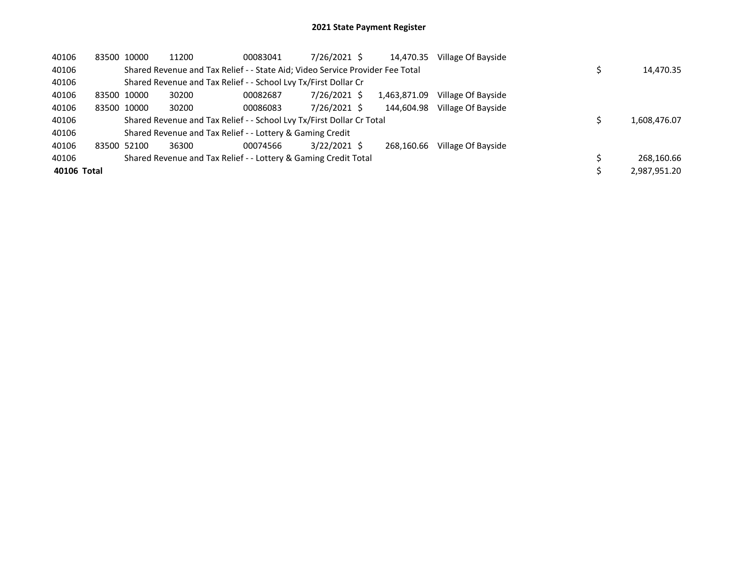| 40106       | 83500 10000 | 11200 | 00083041                                                                      | 7/26/2021 \$   | 14,470.35    | Village Of Bayside |              |
|-------------|-------------|-------|-------------------------------------------------------------------------------|----------------|--------------|--------------------|--------------|
| 40106       |             |       | Shared Revenue and Tax Relief - - State Aid; Video Service Provider Fee Total |                |              |                    | 14,470.35    |
| 40106       |             |       | Shared Revenue and Tax Relief - - School Lvy Tx/First Dollar Cr               |                |              |                    |              |
| 40106       | 83500 10000 | 30200 | 00082687                                                                      | 7/26/2021 \$   | 1,463,871.09 | Village Of Bayside |              |
| 40106       | 83500 10000 | 30200 | 00086083                                                                      | 7/26/2021 \$   | 144.604.98   | Village Of Bayside |              |
| 40106       |             |       | Shared Revenue and Tax Relief - - School Lvy Tx/First Dollar Cr Total         |                |              |                    | 1,608,476.07 |
| 40106       |             |       | Shared Revenue and Tax Relief - - Lottery & Gaming Credit                     |                |              |                    |              |
| 40106       | 83500 52100 | 36300 | 00074566                                                                      | $3/22/2021$ \$ | 268.160.66   | Village Of Bayside |              |
| 40106       |             |       | Shared Revenue and Tax Relief - - Lottery & Gaming Credit Total               |                |              |                    | 268,160.66   |
| 40106 Total |             |       |                                                                               |                |              |                    | 2.987.951.20 |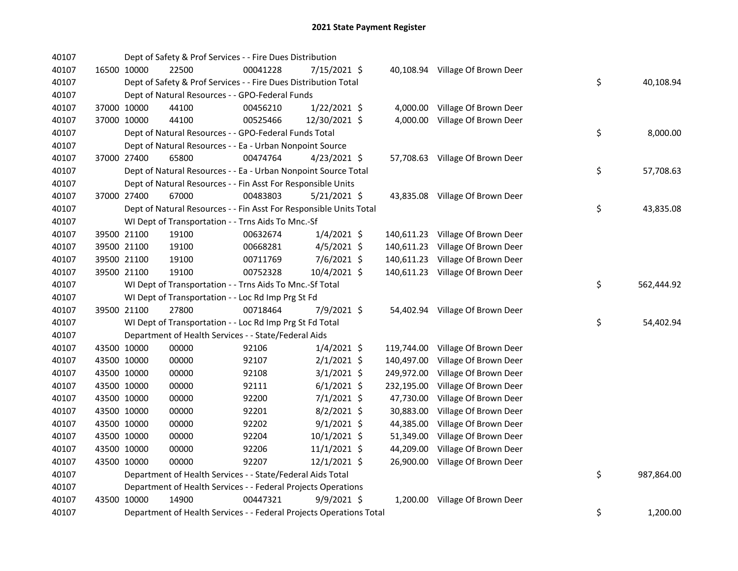| 40107 |             | Dept of Safety & Prof Services - - Fire Dues Distribution           |          |                |            |                                  |    |            |
|-------|-------------|---------------------------------------------------------------------|----------|----------------|------------|----------------------------------|----|------------|
| 40107 | 16500 10000 | 22500                                                               | 00041228 | 7/15/2021 \$   |            | 40,108.94 Village Of Brown Deer  |    |            |
| 40107 |             | Dept of Safety & Prof Services - - Fire Dues Distribution Total     |          |                |            |                                  | \$ | 40,108.94  |
| 40107 |             | Dept of Natural Resources - - GPO-Federal Funds                     |          |                |            |                                  |    |            |
| 40107 | 37000 10000 | 44100                                                               | 00456210 | 1/22/2021 \$   | 4,000.00   | Village Of Brown Deer            |    |            |
| 40107 | 37000 10000 | 44100                                                               | 00525466 | 12/30/2021 \$  | 4,000.00   | Village Of Brown Deer            |    |            |
| 40107 |             | Dept of Natural Resources - - GPO-Federal Funds Total               |          |                |            |                                  | \$ | 8,000.00   |
| 40107 |             | Dept of Natural Resources - - Ea - Urban Nonpoint Source            |          |                |            |                                  |    |            |
| 40107 | 37000 27400 | 65800                                                               | 00474764 | $4/23/2021$ \$ |            | 57,708.63 Village Of Brown Deer  |    |            |
| 40107 |             | Dept of Natural Resources - - Ea - Urban Nonpoint Source Total      |          |                |            |                                  | \$ | 57,708.63  |
| 40107 |             | Dept of Natural Resources - - Fin Asst For Responsible Units        |          |                |            |                                  |    |            |
| 40107 | 37000 27400 | 67000                                                               | 00483803 | $5/21/2021$ \$ |            | 43,835.08 Village Of Brown Deer  |    |            |
| 40107 |             | Dept of Natural Resources - - Fin Asst For Responsible Units Total  |          |                |            |                                  | \$ | 43,835.08  |
| 40107 |             | WI Dept of Transportation - - Trns Aids To Mnc.-Sf                  |          |                |            |                                  |    |            |
| 40107 | 39500 21100 | 19100                                                               | 00632674 | $1/4/2021$ \$  |            | 140,611.23 Village Of Brown Deer |    |            |
| 40107 | 39500 21100 | 19100                                                               | 00668281 | $4/5/2021$ \$  | 140,611.23 | Village Of Brown Deer            |    |            |
| 40107 | 39500 21100 | 19100                                                               | 00711769 | $7/6/2021$ \$  | 140,611.23 | Village Of Brown Deer            |    |            |
| 40107 | 39500 21100 | 19100                                                               | 00752328 | 10/4/2021 \$   |            | 140,611.23 Village Of Brown Deer |    |            |
| 40107 |             | WI Dept of Transportation - - Trns Aids To Mnc.-Sf Total            |          |                |            |                                  | \$ | 562,444.92 |
| 40107 |             | WI Dept of Transportation - - Loc Rd Imp Prg St Fd                  |          |                |            |                                  |    |            |
| 40107 | 39500 21100 | 27800                                                               | 00718464 | 7/9/2021 \$    |            | 54,402.94 Village Of Brown Deer  |    |            |
| 40107 |             | WI Dept of Transportation - - Loc Rd Imp Prg St Fd Total            |          |                |            |                                  | \$ | 54,402.94  |
| 40107 |             | Department of Health Services - - State/Federal Aids                |          |                |            |                                  |    |            |
| 40107 | 43500 10000 | 00000                                                               | 92106    | $1/4/2021$ \$  | 119,744.00 | Village Of Brown Deer            |    |            |
| 40107 | 43500 10000 | 00000                                                               | 92107    | $2/1/2021$ \$  | 140,497.00 | Village Of Brown Deer            |    |            |
| 40107 | 43500 10000 | 00000                                                               | 92108    | $3/1/2021$ \$  | 249,972.00 | Village Of Brown Deer            |    |            |
| 40107 | 43500 10000 | 00000                                                               | 92111    | $6/1/2021$ \$  | 232,195.00 | Village Of Brown Deer            |    |            |
| 40107 | 43500 10000 | 00000                                                               | 92200    | $7/1/2021$ \$  | 47,730.00  | Village Of Brown Deer            |    |            |
| 40107 | 43500 10000 | 00000                                                               | 92201    | $8/2/2021$ \$  | 30,883.00  | Village Of Brown Deer            |    |            |
| 40107 | 43500 10000 | 00000                                                               | 92202    | $9/1/2021$ \$  | 44,385.00  | Village Of Brown Deer            |    |            |
| 40107 | 43500 10000 | 00000                                                               | 92204    | 10/1/2021 \$   | 51,349.00  | Village Of Brown Deer            |    |            |
| 40107 | 43500 10000 | 00000                                                               | 92206    | $11/1/2021$ \$ | 44,209.00  | Village Of Brown Deer            |    |            |
| 40107 | 43500 10000 | 00000                                                               | 92207    | $12/1/2021$ \$ | 26,900.00  | Village Of Brown Deer            |    |            |
| 40107 |             | Department of Health Services - - State/Federal Aids Total          |          |                |            |                                  | \$ | 987,864.00 |
| 40107 |             | Department of Health Services - - Federal Projects Operations       |          |                |            |                                  |    |            |
| 40107 | 43500 10000 | 14900                                                               | 00447321 | $9/9/2021$ \$  |            | 1,200.00 Village Of Brown Deer   |    |            |
| 40107 |             | Department of Health Services - - Federal Projects Operations Total |          |                |            |                                  | \$ | 1,200.00   |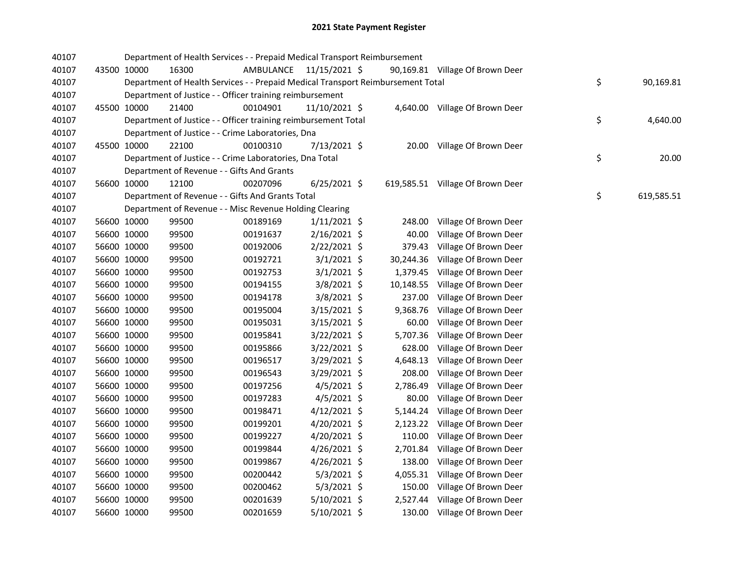| 40107 |             |             | Department of Health Services - - Prepaid Medical Transport Reimbursement       |                         |                |           |                                  |    |            |
|-------|-------------|-------------|---------------------------------------------------------------------------------|-------------------------|----------------|-----------|----------------------------------|----|------------|
| 40107 |             | 43500 10000 | 16300                                                                           | AMBULANCE 11/15/2021 \$ |                |           | 90,169.81 Village Of Brown Deer  |    |            |
| 40107 |             |             | Department of Health Services - - Prepaid Medical Transport Reimbursement Total |                         |                |           |                                  | \$ | 90,169.81  |
| 40107 |             |             | Department of Justice - - Officer training reimbursement                        |                         |                |           |                                  |    |            |
| 40107 |             | 45500 10000 | 21400                                                                           | 00104901                | 11/10/2021 \$  |           | 4,640.00 Village Of Brown Deer   |    |            |
| 40107 |             |             | Department of Justice - - Officer training reimbursement Total                  |                         |                |           |                                  | \$ | 4,640.00   |
| 40107 |             |             | Department of Justice - - Crime Laboratories, Dna                               |                         |                |           |                                  |    |            |
| 40107 |             | 45500 10000 | 22100                                                                           | 00100310                | 7/13/2021 \$   |           | 20.00 Village Of Brown Deer      |    |            |
| 40107 |             |             | Department of Justice - - Crime Laboratories, Dna Total                         |                         |                |           |                                  | \$ | 20.00      |
| 40107 |             |             | Department of Revenue - - Gifts And Grants                                      |                         |                |           |                                  |    |            |
| 40107 |             | 56600 10000 | 12100                                                                           | 00207096                | $6/25/2021$ \$ |           | 619,585.51 Village Of Brown Deer |    |            |
| 40107 |             |             | Department of Revenue - - Gifts And Grants Total                                |                         |                |           |                                  | \$ | 619,585.51 |
| 40107 |             |             | Department of Revenue - - Misc Revenue Holding Clearing                         |                         |                |           |                                  |    |            |
| 40107 |             | 56600 10000 | 99500                                                                           | 00189169                | $1/11/2021$ \$ | 248.00    | Village Of Brown Deer            |    |            |
| 40107 |             | 56600 10000 | 99500                                                                           | 00191637                | $2/16/2021$ \$ | 40.00     | Village Of Brown Deer            |    |            |
| 40107 |             | 56600 10000 | 99500                                                                           | 00192006                | $2/22/2021$ \$ | 379.43    | Village Of Brown Deer            |    |            |
| 40107 |             | 56600 10000 | 99500                                                                           | 00192721                | $3/1/2021$ \$  | 30,244.36 | Village Of Brown Deer            |    |            |
| 40107 |             | 56600 10000 | 99500                                                                           | 00192753                | $3/1/2021$ \$  | 1,379.45  | Village Of Brown Deer            |    |            |
| 40107 |             | 56600 10000 | 99500                                                                           | 00194155                | $3/8/2021$ \$  | 10,148.55 | Village Of Brown Deer            |    |            |
| 40107 |             | 56600 10000 | 99500                                                                           | 00194178                | 3/8/2021 \$    | 237.00    | Village Of Brown Deer            |    |            |
| 40107 |             | 56600 10000 | 99500                                                                           | 00195004                | 3/15/2021 \$   | 9,368.76  | Village Of Brown Deer            |    |            |
| 40107 |             | 56600 10000 | 99500                                                                           | 00195031                | 3/15/2021 \$   | 60.00     | Village Of Brown Deer            |    |            |
| 40107 |             | 56600 10000 | 99500                                                                           | 00195841                | 3/22/2021 \$   | 5,707.36  | Village Of Brown Deer            |    |            |
| 40107 |             | 56600 10000 | 99500                                                                           | 00195866                | $3/22/2021$ \$ | 628.00    | Village Of Brown Deer            |    |            |
| 40107 |             | 56600 10000 | 99500                                                                           | 00196517                | 3/29/2021 \$   | 4,648.13  | Village Of Brown Deer            |    |            |
| 40107 |             | 56600 10000 | 99500                                                                           | 00196543                | 3/29/2021 \$   | 208.00    | Village Of Brown Deer            |    |            |
| 40107 |             | 56600 10000 | 99500                                                                           | 00197256                | $4/5/2021$ \$  | 2,786.49  | Village Of Brown Deer            |    |            |
| 40107 |             | 56600 10000 | 99500                                                                           | 00197283                | $4/5/2021$ \$  | 80.00     | Village Of Brown Deer            |    |            |
| 40107 |             | 56600 10000 | 99500                                                                           | 00198471                | $4/12/2021$ \$ | 5,144.24  | Village Of Brown Deer            |    |            |
| 40107 |             | 56600 10000 | 99500                                                                           | 00199201                | 4/20/2021 \$   | 2,123.22  | Village Of Brown Deer            |    |            |
| 40107 |             | 56600 10000 | 99500                                                                           | 00199227                | 4/20/2021 \$   | 110.00    | Village Of Brown Deer            |    |            |
| 40107 |             | 56600 10000 | 99500                                                                           | 00199844                | $4/26/2021$ \$ | 2,701.84  | Village Of Brown Deer            |    |            |
| 40107 |             | 56600 10000 | 99500                                                                           | 00199867                | 4/26/2021 \$   | 138.00    | Village Of Brown Deer            |    |            |
| 40107 |             | 56600 10000 | 99500                                                                           | 00200442                | $5/3/2021$ \$  | 4,055.31  | Village Of Brown Deer            |    |            |
| 40107 |             | 56600 10000 | 99500                                                                           | 00200462                | $5/3/2021$ \$  | 150.00    | Village Of Brown Deer            |    |            |
| 40107 |             | 56600 10000 | 99500                                                                           | 00201639                | 5/10/2021 \$   | 2,527.44  | Village Of Brown Deer            |    |            |
| 40107 | 56600 10000 |             | 99500                                                                           | 00201659                | 5/10/2021 \$   |           | 130.00 Village Of Brown Deer     |    |            |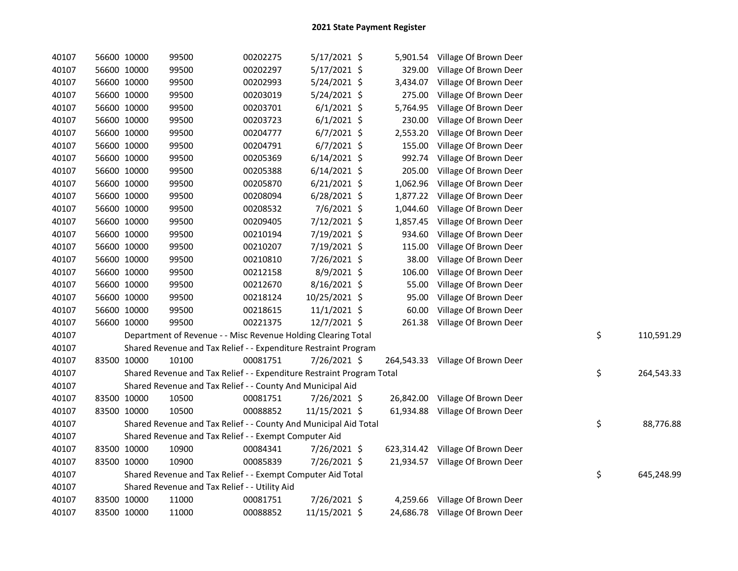| 40107 | 56600 10000 | 99500                                                                 | 00202275 | $5/17/2021$ \$ |          | 5,901.54 Village Of Brown Deer   |    |            |
|-------|-------------|-----------------------------------------------------------------------|----------|----------------|----------|----------------------------------|----|------------|
| 40107 | 56600 10000 | 99500                                                                 | 00202297 | 5/17/2021 \$   | 329.00   | Village Of Brown Deer            |    |            |
| 40107 | 56600 10000 | 99500                                                                 | 00202993 | $5/24/2021$ \$ | 3,434.07 | Village Of Brown Deer            |    |            |
| 40107 | 56600 10000 | 99500                                                                 | 00203019 | 5/24/2021 \$   | 275.00   | Village Of Brown Deer            |    |            |
| 40107 | 56600 10000 | 99500                                                                 | 00203701 | $6/1/2021$ \$  | 5,764.95 | Village Of Brown Deer            |    |            |
| 40107 | 56600 10000 | 99500                                                                 | 00203723 | $6/1/2021$ \$  | 230.00   | Village Of Brown Deer            |    |            |
| 40107 | 56600 10000 | 99500                                                                 | 00204777 | $6/7/2021$ \$  | 2,553.20 | Village Of Brown Deer            |    |            |
| 40107 | 56600 10000 | 99500                                                                 | 00204791 | $6/7/2021$ \$  | 155.00   | Village Of Brown Deer            |    |            |
| 40107 | 56600 10000 | 99500                                                                 | 00205369 | $6/14/2021$ \$ | 992.74   | Village Of Brown Deer            |    |            |
| 40107 | 56600 10000 | 99500                                                                 | 00205388 | $6/14/2021$ \$ | 205.00   | Village Of Brown Deer            |    |            |
| 40107 | 56600 10000 | 99500                                                                 | 00205870 | $6/21/2021$ \$ | 1,062.96 | Village Of Brown Deer            |    |            |
| 40107 | 56600 10000 | 99500                                                                 | 00208094 | $6/28/2021$ \$ | 1,877.22 | Village Of Brown Deer            |    |            |
| 40107 | 56600 10000 | 99500                                                                 | 00208532 | 7/6/2021 \$    | 1,044.60 | Village Of Brown Deer            |    |            |
| 40107 | 56600 10000 | 99500                                                                 | 00209405 | 7/12/2021 \$   | 1,857.45 | Village Of Brown Deer            |    |            |
| 40107 | 56600 10000 | 99500                                                                 | 00210194 | 7/19/2021 \$   | 934.60   | Village Of Brown Deer            |    |            |
| 40107 | 56600 10000 | 99500                                                                 | 00210207 | 7/19/2021 \$   | 115.00   | Village Of Brown Deer            |    |            |
| 40107 | 56600 10000 | 99500                                                                 | 00210810 | 7/26/2021 \$   | 38.00    | Village Of Brown Deer            |    |            |
| 40107 | 56600 10000 | 99500                                                                 | 00212158 | 8/9/2021 \$    | 106.00   | Village Of Brown Deer            |    |            |
| 40107 | 56600 10000 | 99500                                                                 | 00212670 | 8/16/2021 \$   | 55.00    | Village Of Brown Deer            |    |            |
| 40107 | 56600 10000 | 99500                                                                 | 00218124 | 10/25/2021 \$  | 95.00    | Village Of Brown Deer            |    |            |
| 40107 | 56600 10000 | 99500                                                                 | 00218615 | $11/1/2021$ \$ | 60.00    | Village Of Brown Deer            |    |            |
| 40107 | 56600 10000 | 99500                                                                 | 00221375 | 12/7/2021 \$   |          | 261.38 Village Of Brown Deer     |    |            |
| 40107 |             | Department of Revenue - - Misc Revenue Holding Clearing Total         |          |                |          |                                  | \$ | 110,591.29 |
| 40107 |             | Shared Revenue and Tax Relief - - Expenditure Restraint Program       |          |                |          |                                  |    |            |
| 40107 | 83500 10000 | 10100                                                                 | 00081751 | 7/26/2021 \$   |          | 264,543.33 Village Of Brown Deer |    |            |
| 40107 |             | Shared Revenue and Tax Relief - - Expenditure Restraint Program Total |          |                |          |                                  | \$ | 264,543.33 |
| 40107 |             | Shared Revenue and Tax Relief - - County And Municipal Aid            |          |                |          |                                  |    |            |
| 40107 | 83500 10000 | 10500                                                                 | 00081751 | 7/26/2021 \$   |          | 26,842.00 Village Of Brown Deer  |    |            |
| 40107 | 83500 10000 | 10500                                                                 | 00088852 | 11/15/2021 \$  |          | 61,934.88 Village Of Brown Deer  |    |            |
| 40107 |             | Shared Revenue and Tax Relief - - County And Municipal Aid Total      |          |                |          |                                  | \$ | 88,776.88  |
| 40107 |             | Shared Revenue and Tax Relief - - Exempt Computer Aid                 |          |                |          |                                  |    |            |
| 40107 | 83500 10000 | 10900                                                                 | 00084341 | 7/26/2021 \$   |          | 623,314.42 Village Of Brown Deer |    |            |
| 40107 | 83500 10000 | 10900                                                                 | 00085839 | 7/26/2021 \$   |          | 21,934.57 Village Of Brown Deer  |    |            |
| 40107 |             | Shared Revenue and Tax Relief - - Exempt Computer Aid Total           |          |                |          |                                  | \$ | 645,248.99 |
| 40107 |             | Shared Revenue and Tax Relief - - Utility Aid                         |          |                |          |                                  |    |            |
| 40107 | 83500 10000 | 11000                                                                 | 00081751 | 7/26/2021 \$   |          | 4,259.66 Village Of Brown Deer   |    |            |
| 40107 | 83500 10000 | 11000                                                                 | 00088852 | 11/15/2021 \$  |          | 24,686.78 Village Of Brown Deer  |    |            |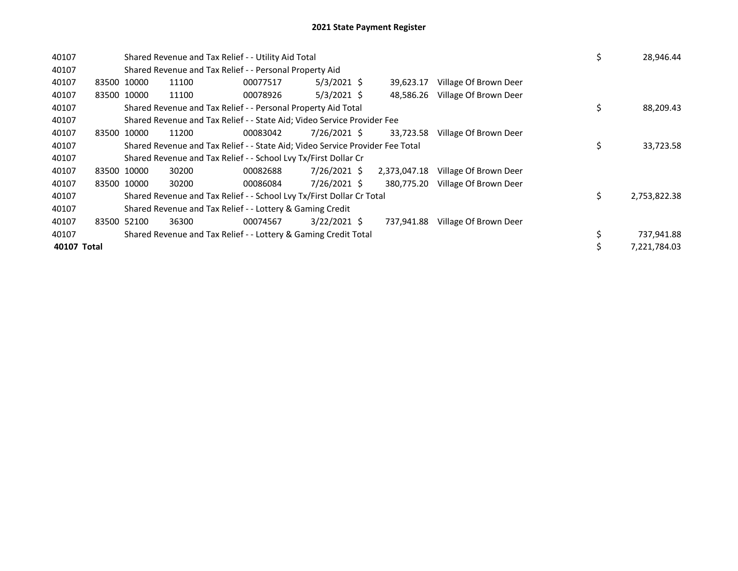| 40107       |       |             | Shared Revenue and Tax Relief - - Utility Aid Total                           | \$       | 28,946.44      |              |                       |    |              |
|-------------|-------|-------------|-------------------------------------------------------------------------------|----------|----------------|--------------|-----------------------|----|--------------|
| 40107       |       |             | Shared Revenue and Tax Relief - - Personal Property Aid                       |          |                |              |                       |    |              |
| 40107       |       | 83500 10000 | 11100                                                                         | 00077517 | $5/3/2021$ \$  | 39,623.17    | Village Of Brown Deer |    |              |
| 40107       |       | 83500 10000 | 11100                                                                         | 00078926 | $5/3/2021$ \$  | 48.586.26    | Village Of Brown Deer |    |              |
| 40107       |       |             | Shared Revenue and Tax Relief - - Personal Property Aid Total                 |          |                |              |                       | \$ | 88,209.43    |
| 40107       |       |             | Shared Revenue and Tax Relief - - State Aid; Video Service Provider Fee       |          |                |              |                       |    |              |
| 40107       | 83500 | 10000       | 11200                                                                         | 00083042 | 7/26/2021 \$   | 33,723.58    | Village Of Brown Deer |    |              |
| 40107       |       |             | Shared Revenue and Tax Relief - - State Aid; Video Service Provider Fee Total |          |                |              |                       | \$ | 33,723.58    |
| 40107       |       |             | Shared Revenue and Tax Relief - - School Lvy Tx/First Dollar Cr               |          |                |              |                       |    |              |
| 40107       |       | 83500 10000 | 30200                                                                         | 00082688 | 7/26/2021 \$   | 2,373,047.18 | Village Of Brown Deer |    |              |
| 40107       |       | 83500 10000 | 30200                                                                         | 00086084 | 7/26/2021 \$   | 380,775.20   | Village Of Brown Deer |    |              |
| 40107       |       |             | Shared Revenue and Tax Relief - - School Lvy Tx/First Dollar Cr Total         |          |                |              |                       | \$ | 2,753,822.38 |
| 40107       |       |             | Shared Revenue and Tax Relief - - Lottery & Gaming Credit                     |          |                |              |                       |    |              |
| 40107       |       | 83500 52100 | 36300                                                                         | 00074567 | $3/22/2021$ \$ | 737,941.88   | Village Of Brown Deer |    |              |
| 40107       |       |             | Shared Revenue and Tax Relief - - Lottery & Gaming Credit Total               |          |                |              |                       | \$ | 737,941.88   |
| 40107 Total |       |             |                                                                               |          |                |              |                       | \$ | 7,221,784.03 |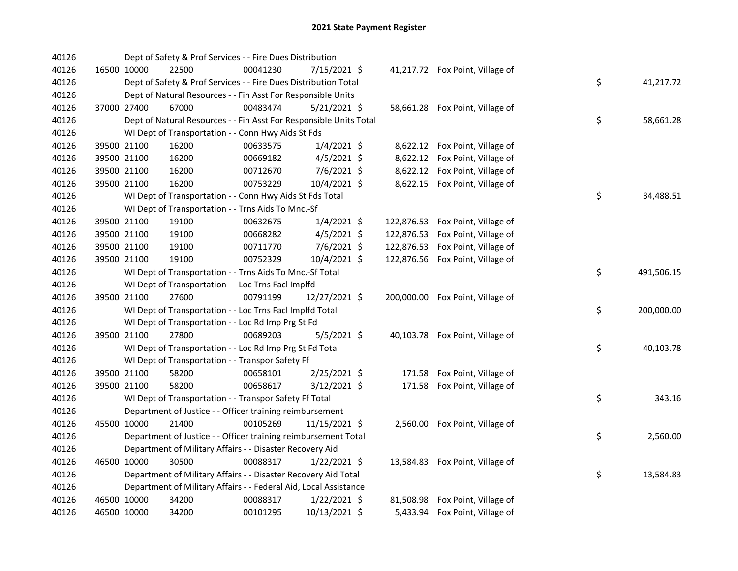| 40126 |             | Dept of Safety & Prof Services - - Fire Dues Distribution          |          |                |            |                                  |    |            |
|-------|-------------|--------------------------------------------------------------------|----------|----------------|------------|----------------------------------|----|------------|
| 40126 | 16500 10000 | 22500                                                              | 00041230 | 7/15/2021 \$   |            | 41,217.72 Fox Point, Village of  |    |            |
| 40126 |             | Dept of Safety & Prof Services - - Fire Dues Distribution Total    |          |                |            |                                  | \$ | 41,217.72  |
| 40126 |             | Dept of Natural Resources - - Fin Asst For Responsible Units       |          |                |            |                                  |    |            |
| 40126 | 37000 27400 | 67000                                                              | 00483474 | 5/21/2021 \$   |            | 58,661.28 Fox Point, Village of  |    |            |
| 40126 |             | Dept of Natural Resources - - Fin Asst For Responsible Units Total |          |                |            |                                  | \$ | 58,661.28  |
| 40126 |             | WI Dept of Transportation - - Conn Hwy Aids St Fds                 |          |                |            |                                  |    |            |
| 40126 | 39500 21100 | 16200                                                              | 00633575 | $1/4/2021$ \$  | 8,622.12   | Fox Point, Village of            |    |            |
| 40126 | 39500 21100 | 16200                                                              | 00669182 | $4/5/2021$ \$  | 8,622.12   | Fox Point, Village of            |    |            |
| 40126 | 39500 21100 | 16200                                                              | 00712670 | $7/6/2021$ \$  | 8,622.12   | Fox Point, Village of            |    |            |
| 40126 | 39500 21100 | 16200                                                              | 00753229 | 10/4/2021 \$   |            | 8,622.15 Fox Point, Village of   |    |            |
| 40126 |             | WI Dept of Transportation - - Conn Hwy Aids St Fds Total           |          |                |            |                                  | \$ | 34,488.51  |
| 40126 |             | WI Dept of Transportation - - Trns Aids To Mnc.-Sf                 |          |                |            |                                  |    |            |
| 40126 | 39500 21100 | 19100                                                              | 00632675 | $1/4/2021$ \$  | 122,876.53 | Fox Point, Village of            |    |            |
| 40126 | 39500 21100 | 19100                                                              | 00668282 | $4/5/2021$ \$  | 122,876.53 | Fox Point, Village of            |    |            |
| 40126 | 39500 21100 | 19100                                                              | 00711770 | 7/6/2021 \$    | 122,876.53 | Fox Point, Village of            |    |            |
| 40126 | 39500 21100 | 19100                                                              | 00752329 | 10/4/2021 \$   | 122,876.56 | Fox Point, Village of            |    |            |
| 40126 |             | WI Dept of Transportation - - Trns Aids To Mnc.-Sf Total           |          |                |            |                                  | \$ | 491,506.15 |
| 40126 |             | WI Dept of Transportation - - Loc Trns Facl Implfd                 |          |                |            |                                  |    |            |
| 40126 | 39500 21100 | 27600                                                              | 00791199 | 12/27/2021 \$  |            | 200,000.00 Fox Point, Village of |    |            |
| 40126 |             | WI Dept of Transportation - - Loc Trns Facl Implfd Total           |          |                |            |                                  | \$ | 200,000.00 |
| 40126 |             | WI Dept of Transportation - - Loc Rd Imp Prg St Fd                 |          |                |            |                                  |    |            |
| 40126 | 39500 21100 | 27800                                                              | 00689203 | 5/5/2021 \$    |            | 40,103.78 Fox Point, Village of  |    |            |
| 40126 |             | WI Dept of Transportation - - Loc Rd Imp Prg St Fd Total           |          |                |            |                                  | \$ | 40,103.78  |
| 40126 |             | WI Dept of Transportation - - Transpor Safety Ff                   |          |                |            |                                  |    |            |
| 40126 | 39500 21100 | 58200                                                              | 00658101 | 2/25/2021 \$   |            | 171.58 Fox Point, Village of     |    |            |
| 40126 | 39500 21100 | 58200                                                              | 00658617 | 3/12/2021 \$   | 171.58     | Fox Point, Village of            |    |            |
| 40126 |             | WI Dept of Transportation - - Transpor Safety Ff Total             |          |                |            |                                  | \$ | 343.16     |
| 40126 |             | Department of Justice - - Officer training reimbursement           |          |                |            |                                  |    |            |
| 40126 | 45500 10000 | 21400                                                              | 00105269 | 11/15/2021 \$  |            | 2,560.00 Fox Point, Village of   |    |            |
| 40126 |             | Department of Justice - - Officer training reimbursement Total     |          |                |            |                                  | \$ | 2,560.00   |
| 40126 |             | Department of Military Affairs - - Disaster Recovery Aid           |          |                |            |                                  |    |            |
| 40126 | 46500 10000 | 30500                                                              | 00088317 | $1/22/2021$ \$ |            | 13,584.83 Fox Point, Village of  |    |            |
| 40126 |             | Department of Military Affairs - - Disaster Recovery Aid Total     |          |                |            |                                  | \$ | 13,584.83  |
| 40126 |             | Department of Military Affairs - - Federal Aid, Local Assistance   |          |                |            |                                  |    |            |
| 40126 | 46500 10000 | 34200                                                              | 00088317 | $1/22/2021$ \$ |            | 81,508.98 Fox Point, Village of  |    |            |
| 40126 | 46500 10000 | 34200                                                              | 00101295 | 10/13/2021 \$  |            | 5,433.94 Fox Point, Village of   |    |            |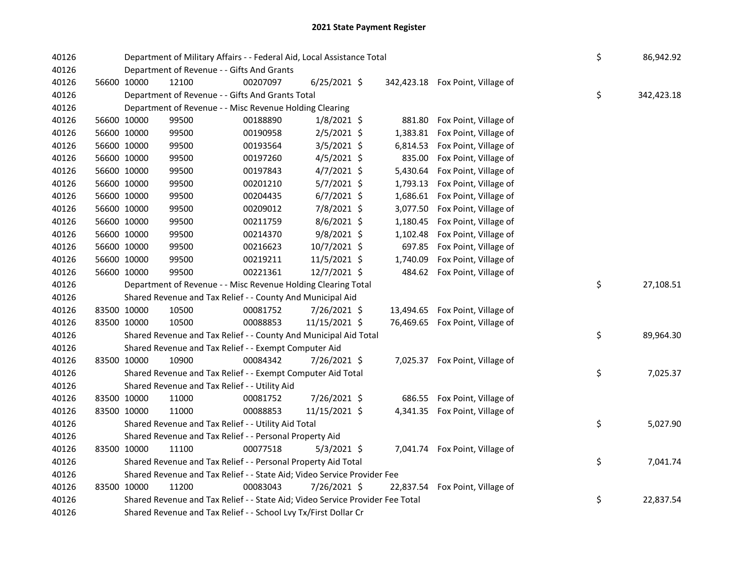| 40126          |                                                     | Department of Military Affairs - - Federal Aid, Local Assistance Total                                      |          | \$             | 86,942.92          |                                  |    |            |
|----------------|-----------------------------------------------------|-------------------------------------------------------------------------------------------------------------|----------|----------------|--------------------|----------------------------------|----|------------|
| 40126          |                                                     | Department of Revenue - - Gifts And Grants                                                                  |          |                |                    |                                  |    |            |
| 40126          | 56600 10000                                         | 12100                                                                                                       | 00207097 | $6/25/2021$ \$ |                    | 342,423.18 Fox Point, Village of |    |            |
| 40126<br>40126 |                                                     | Department of Revenue - - Gifts And Grants Total<br>Department of Revenue - - Misc Revenue Holding Clearing |          |                |                    |                                  | \$ | 342,423.18 |
| 40126          |                                                     | 99500                                                                                                       | 00188890 | $1/8/2021$ \$  |                    | Fox Point, Village of            |    |            |
| 40126          | 56600 10000<br>56600 10000                          | 99500                                                                                                       | 00190958 | $2/5/2021$ \$  | 881.80<br>1,383.81 | Fox Point, Village of            |    |            |
| 40126          | 56600 10000                                         | 99500                                                                                                       | 00193564 | 3/5/2021 \$    | 6,814.53           | Fox Point, Village of            |    |            |
| 40126          | 56600 10000                                         | 99500                                                                                                       | 00197260 | 4/5/2021 \$    | 835.00             | Fox Point, Village of            |    |            |
| 40126          | 56600 10000                                         | 99500                                                                                                       | 00197843 | $4/7/2021$ \$  | 5,430.64           | Fox Point, Village of            |    |            |
| 40126          | 56600 10000                                         | 99500                                                                                                       | 00201210 | 5/7/2021 \$    | 1,793.13           | Fox Point, Village of            |    |            |
| 40126          | 56600 10000                                         | 99500                                                                                                       | 00204435 | $6/7/2021$ \$  | 1,686.61           | Fox Point, Village of            |    |            |
| 40126          | 56600 10000                                         | 99500                                                                                                       | 00209012 | 7/8/2021 \$    | 3,077.50           | Fox Point, Village of            |    |            |
|                |                                                     |                                                                                                             |          |                |                    |                                  |    |            |
| 40126          | 56600 10000                                         | 99500                                                                                                       | 00211759 | 8/6/2021 \$    | 1,180.45           | Fox Point, Village of            |    |            |
| 40126          | 56600 10000                                         | 99500                                                                                                       | 00214370 | 9/8/2021 \$    | 1,102.48           | Fox Point, Village of            |    |            |
| 40126          | 56600 10000                                         | 99500                                                                                                       | 00216623 | 10/7/2021 \$   | 697.85             | Fox Point, Village of            |    |            |
| 40126          | 56600 10000                                         | 99500                                                                                                       | 00219211 | 11/5/2021 \$   | 1,740.09           | Fox Point, Village of            |    |            |
| 40126          | 56600 10000                                         | 99500                                                                                                       | 00221361 | 12/7/2021 \$   |                    | 484.62 Fox Point, Village of     |    |            |
| 40126          |                                                     | Department of Revenue - - Misc Revenue Holding Clearing Total                                               |          |                |                    |                                  | \$ | 27,108.51  |
| 40126          |                                                     | Shared Revenue and Tax Relief - - County And Municipal Aid                                                  |          |                |                    |                                  |    |            |
| 40126          | 83500 10000                                         | 10500                                                                                                       | 00081752 | 7/26/2021 \$   |                    | 13,494.65 Fox Point, Village of  |    |            |
| 40126          | 83500 10000                                         | 10500                                                                                                       | 00088853 | 11/15/2021 \$  |                    | 76,469.65 Fox Point, Village of  |    |            |
| 40126          |                                                     | Shared Revenue and Tax Relief - - County And Municipal Aid Total                                            |          |                |                    |                                  | \$ | 89,964.30  |
| 40126          |                                                     | Shared Revenue and Tax Relief - - Exempt Computer Aid                                                       |          |                |                    |                                  |    |            |
| 40126          | 83500 10000                                         | 10900                                                                                                       | 00084342 | 7/26/2021 \$   |                    | 7,025.37 Fox Point, Village of   |    |            |
| 40126          |                                                     | Shared Revenue and Tax Relief - - Exempt Computer Aid Total                                                 |          |                |                    |                                  | \$ | 7,025.37   |
| 40126          |                                                     | Shared Revenue and Tax Relief - - Utility Aid                                                               |          |                |                    |                                  |    |            |
| 40126          | 83500 10000                                         | 11000                                                                                                       | 00081752 | 7/26/2021 \$   |                    | 686.55 Fox Point, Village of     |    |            |
| 40126          | 83500 10000                                         | 11000                                                                                                       | 00088853 | 11/15/2021 \$  |                    | 4,341.35 Fox Point, Village of   |    |            |
| 40126          | Shared Revenue and Tax Relief - - Utility Aid Total | \$                                                                                                          | 5,027.90 |                |                    |                                  |    |            |
| 40126          |                                                     | Shared Revenue and Tax Relief - - Personal Property Aid                                                     |          |                |                    |                                  |    |            |
| 40126          | 83500 10000                                         | 11100                                                                                                       | 00077518 | $5/3/2021$ \$  |                    | 7,041.74 Fox Point, Village of   |    |            |
| 40126          |                                                     | Shared Revenue and Tax Relief - - Personal Property Aid Total                                               |          |                |                    |                                  | \$ | 7,041.74   |
| 40126          |                                                     | Shared Revenue and Tax Relief - - State Aid; Video Service Provider Fee                                     |          |                |                    |                                  |    |            |
| 40126          | 83500 10000                                         | 11200                                                                                                       | 00083043 | 7/26/2021 \$   |                    | 22,837.54 Fox Point, Village of  |    |            |
| 40126          |                                                     | Shared Revenue and Tax Relief - - State Aid; Video Service Provider Fee Total                               |          |                |                    |                                  | \$ | 22,837.54  |
| 40126          |                                                     | Shared Revenue and Tax Relief - - School Lvy Tx/First Dollar Cr                                             |          |                |                    |                                  |    |            |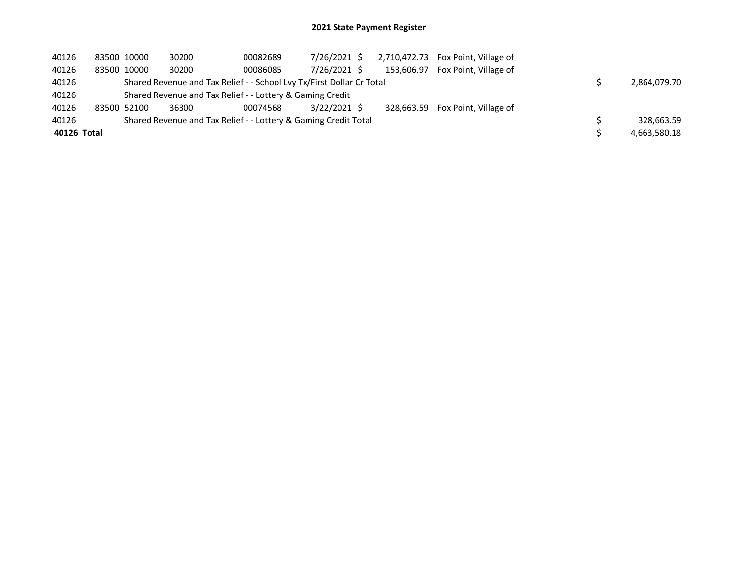## 2021 State Payment Register

| 40126       | 83500 10000 | 30200 | 00082689                                                              | 7/26/2021 \$   |            | 2,710,472.73 Fox Point, Village of |              |
|-------------|-------------|-------|-----------------------------------------------------------------------|----------------|------------|------------------------------------|--------------|
| 40126       | 83500 10000 | 30200 | 00086085                                                              | 7/26/2021 \$   | 153.606.97 | Fox Point, Village of              |              |
| 40126       |             |       | Shared Revenue and Tax Relief - - School Lvy Tx/First Dollar Cr Total |                |            |                                    | 2,864,079.70 |
| 40126       |             |       | Shared Revenue and Tax Relief - - Lottery & Gaming Credit             |                |            |                                    |              |
| 40126       | 83500 52100 | 36300 | 00074568                                                              | $3/22/2021$ \$ |            | 328.663.59 Fox Point, Village of   |              |
| 40126       |             |       | Shared Revenue and Tax Relief - - Lottery & Gaming Credit Total       |                |            |                                    | 328,663.59   |
| 40126 Total |             |       |                                                                       |                |            |                                    | 4,663,580.18 |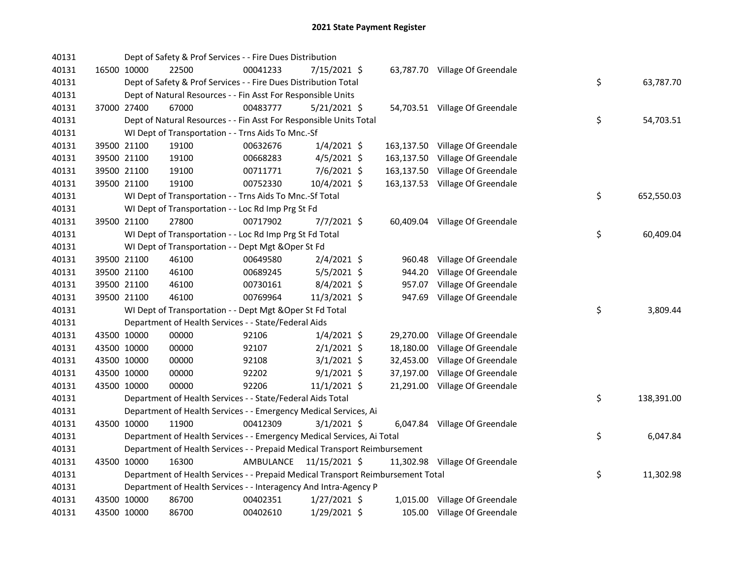| 40131 |             | Dept of Safety & Prof Services - - Fire Dues Distribution                       |           |                |            |                                 |    |            |
|-------|-------------|---------------------------------------------------------------------------------|-----------|----------------|------------|---------------------------------|----|------------|
| 40131 | 16500 10000 | 22500                                                                           | 00041233  | 7/15/2021 \$   |            | 63,787.70 Village Of Greendale  |    |            |
| 40131 |             | Dept of Safety & Prof Services - - Fire Dues Distribution Total                 |           |                |            |                                 | \$ | 63,787.70  |
| 40131 |             | Dept of Natural Resources - - Fin Asst For Responsible Units                    |           |                |            |                                 |    |            |
| 40131 | 37000 27400 | 67000                                                                           | 00483777  | $5/21/2021$ \$ |            | 54,703.51 Village Of Greendale  |    |            |
| 40131 |             | Dept of Natural Resources - - Fin Asst For Responsible Units Total              |           |                |            |                                 | \$ | 54,703.51  |
| 40131 |             | WI Dept of Transportation - - Trns Aids To Mnc.-Sf                              |           |                |            |                                 |    |            |
| 40131 | 39500 21100 | 19100                                                                           | 00632676  | $1/4/2021$ \$  |            | 163,137.50 Village Of Greendale |    |            |
| 40131 | 39500 21100 | 19100                                                                           | 00668283  | $4/5/2021$ \$  | 163,137.50 | Village Of Greendale            |    |            |
| 40131 | 39500 21100 | 19100                                                                           | 00711771  | $7/6/2021$ \$  |            | 163,137.50 Village Of Greendale |    |            |
| 40131 | 39500 21100 | 19100                                                                           | 00752330  | 10/4/2021 \$   |            | 163,137.53 Village Of Greendale |    |            |
| 40131 |             | WI Dept of Transportation - - Trns Aids To Mnc.-Sf Total                        |           |                |            |                                 | \$ | 652,550.03 |
| 40131 |             | WI Dept of Transportation - - Loc Rd Imp Prg St Fd                              |           |                |            |                                 |    |            |
| 40131 | 39500 21100 | 27800                                                                           | 00717902  | $7/7/2021$ \$  |            | 60,409.04 Village Of Greendale  |    |            |
| 40131 |             | WI Dept of Transportation - - Loc Rd Imp Prg St Fd Total                        |           |                |            |                                 | \$ | 60,409.04  |
| 40131 |             | WI Dept of Transportation - - Dept Mgt & Oper St Fd                             |           |                |            |                                 |    |            |
| 40131 | 39500 21100 | 46100                                                                           | 00649580  | $2/4/2021$ \$  | 960.48     | Village Of Greendale            |    |            |
| 40131 | 39500 21100 | 46100                                                                           | 00689245  | $5/5/2021$ \$  | 944.20     | Village Of Greendale            |    |            |
| 40131 | 39500 21100 | 46100                                                                           | 00730161  | 8/4/2021 \$    | 957.07     | Village Of Greendale            |    |            |
| 40131 | 39500 21100 | 46100                                                                           | 00769964  | 11/3/2021 \$   | 947.69     | Village Of Greendale            |    |            |
| 40131 |             | WI Dept of Transportation - - Dept Mgt & Oper St Fd Total                       |           |                |            |                                 | \$ | 3,809.44   |
| 40131 |             | Department of Health Services - - State/Federal Aids                            |           |                |            |                                 |    |            |
| 40131 | 43500 10000 | 00000                                                                           | 92106     | $1/4/2021$ \$  | 29,270.00  | Village Of Greendale            |    |            |
| 40131 | 43500 10000 | 00000                                                                           | 92107     | $2/1/2021$ \$  | 18,180.00  | Village Of Greendale            |    |            |
| 40131 | 43500 10000 | 00000                                                                           | 92108     | $3/1/2021$ \$  | 32,453.00  | Village Of Greendale            |    |            |
| 40131 | 43500 10000 | 00000                                                                           | 92202     | $9/1/2021$ \$  | 37,197.00  | Village Of Greendale            |    |            |
| 40131 | 43500 10000 | 00000                                                                           | 92206     | $11/1/2021$ \$ |            | 21,291.00 Village Of Greendale  |    |            |
| 40131 |             | Department of Health Services - - State/Federal Aids Total                      |           |                |            |                                 | \$ | 138,391.00 |
| 40131 |             | Department of Health Services - - Emergency Medical Services, Ai                |           |                |            |                                 |    |            |
| 40131 | 43500 10000 | 11900                                                                           | 00412309  | $3/1/2021$ \$  |            | 6,047.84 Village Of Greendale   |    |            |
| 40131 |             | Department of Health Services - - Emergency Medical Services, Ai Total          |           |                |            |                                 | \$ | 6,047.84   |
| 40131 |             | Department of Health Services - - Prepaid Medical Transport Reimbursement       |           |                |            |                                 |    |            |
| 40131 | 43500 10000 | 16300                                                                           | AMBULANCE | 11/15/2021 \$  |            | 11,302.98 Village Of Greendale  |    |            |
| 40131 |             | Department of Health Services - - Prepaid Medical Transport Reimbursement Total |           |                |            |                                 | \$ | 11,302.98  |
| 40131 |             | Department of Health Services - - Interagency And Intra-Agency P                |           |                |            |                                 |    |            |
| 40131 | 43500 10000 | 86700                                                                           | 00402351  | 1/27/2021 \$   |            | 1,015.00 Village Of Greendale   |    |            |
| 40131 | 43500 10000 | 86700                                                                           | 00402610  | 1/29/2021 \$   |            | 105.00 Village Of Greendale     |    |            |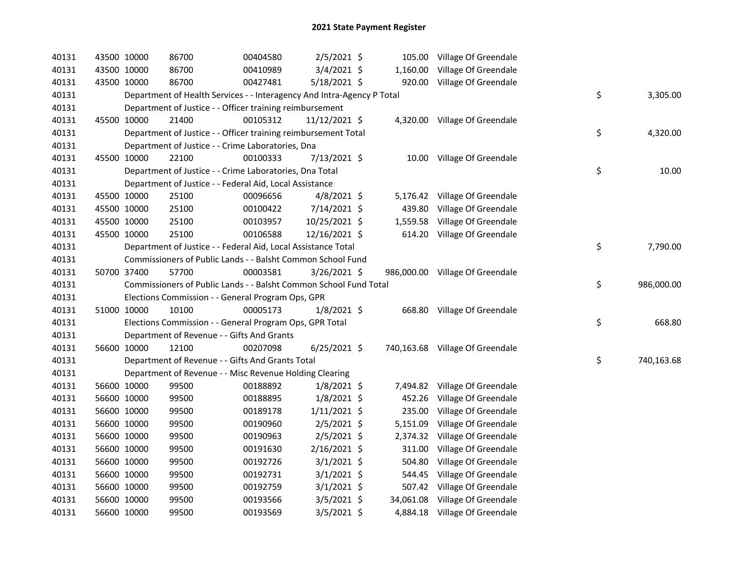| 40131 | 43500 10000 |             | 86700                                                                  | 00404580 | 2/5/2021 \$    |          | 105.00 Village Of Greendale     |                  |  |
|-------|-------------|-------------|------------------------------------------------------------------------|----------|----------------|----------|---------------------------------|------------------|--|
| 40131 | 43500 10000 |             | 86700                                                                  | 00410989 | 3/4/2021 \$    |          | 1,160.00 Village Of Greendale   |                  |  |
| 40131 | 43500 10000 |             | 86700                                                                  | 00427481 | $5/18/2021$ \$ |          | 920.00 Village Of Greendale     |                  |  |
| 40131 |             |             | Department of Health Services - - Interagency And Intra-Agency P Total |          |                |          |                                 | \$<br>3,305.00   |  |
| 40131 |             |             | Department of Justice - - Officer training reimbursement               |          |                |          |                                 |                  |  |
| 40131 | 45500 10000 |             | 21400                                                                  | 00105312 | 11/12/2021 \$  |          | 4,320.00 Village Of Greendale   |                  |  |
| 40131 |             |             | Department of Justice - - Officer training reimbursement Total         |          |                |          |                                 | \$<br>4,320.00   |  |
| 40131 |             |             | Department of Justice - - Crime Laboratories, Dna                      |          |                |          |                                 |                  |  |
| 40131 |             | 45500 10000 | 22100                                                                  | 00100333 | 7/13/2021 \$   |          | 10.00 Village Of Greendale      |                  |  |
| 40131 |             |             | Department of Justice - - Crime Laboratories, Dna Total                |          |                |          |                                 | \$<br>10.00      |  |
| 40131 |             |             | Department of Justice - - Federal Aid, Local Assistance                |          |                |          |                                 |                  |  |
| 40131 |             | 45500 10000 | 25100                                                                  | 00096656 | $4/8/2021$ \$  |          | 5,176.42 Village Of Greendale   |                  |  |
| 40131 |             | 45500 10000 | 25100                                                                  | 00100422 | 7/14/2021 \$   | 439.80   | Village Of Greendale            |                  |  |
| 40131 |             | 45500 10000 | 25100                                                                  | 00103957 | 10/25/2021 \$  | 1,559.58 | Village Of Greendale            |                  |  |
| 40131 | 45500 10000 |             | 25100                                                                  | 00106588 | 12/16/2021 \$  |          | 614.20 Village Of Greendale     |                  |  |
| 40131 |             |             | Department of Justice - - Federal Aid, Local Assistance Total          |          |                |          |                                 | \$<br>7,790.00   |  |
| 40131 |             |             | Commissioners of Public Lands - - Balsht Common School Fund            |          |                |          |                                 |                  |  |
| 40131 |             | 50700 37400 | 57700                                                                  | 00003581 | $3/26/2021$ \$ |          | 986,000.00 Village Of Greendale |                  |  |
| 40131 |             |             | Commissioners of Public Lands - - Balsht Common School Fund Total      |          |                |          |                                 | \$<br>986,000.00 |  |
| 40131 |             |             | Elections Commission - - General Program Ops, GPR                      |          |                |          |                                 |                  |  |
| 40131 | 51000 10000 |             | 10100                                                                  | 00005173 | $1/8/2021$ \$  |          | 668.80 Village Of Greendale     |                  |  |
| 40131 |             |             | Elections Commission - - General Program Ops, GPR Total                |          |                |          |                                 | \$<br>668.80     |  |
| 40131 |             |             | Department of Revenue - - Gifts And Grants                             |          |                |          |                                 |                  |  |
| 40131 |             | 56600 10000 | 12100                                                                  | 00207098 | $6/25/2021$ \$ |          | 740,163.68 Village Of Greendale |                  |  |
| 40131 |             |             | Department of Revenue - - Gifts And Grants Total                       |          |                |          |                                 | \$<br>740,163.68 |  |
| 40131 |             |             | Department of Revenue - - Misc Revenue Holding Clearing                |          |                |          |                                 |                  |  |
| 40131 |             | 56600 10000 | 99500                                                                  | 00188892 | $1/8/2021$ \$  |          | 7,494.82 Village Of Greendale   |                  |  |
| 40131 |             | 56600 10000 | 99500                                                                  | 00188895 | $1/8/2021$ \$  | 452.26   | Village Of Greendale            |                  |  |
| 40131 |             | 56600 10000 | 99500                                                                  | 00189178 | $1/11/2021$ \$ | 235.00   | Village Of Greendale            |                  |  |
| 40131 | 56600 10000 |             | 99500                                                                  | 00190960 | $2/5/2021$ \$  | 5,151.09 | Village Of Greendale            |                  |  |
| 40131 |             | 56600 10000 | 99500                                                                  | 00190963 | $2/5/2021$ \$  |          | 2,374.32 Village Of Greendale   |                  |  |
| 40131 | 56600 10000 |             | 99500                                                                  | 00191630 | $2/16/2021$ \$ |          | 311.00 Village Of Greendale     |                  |  |
| 40131 |             | 56600 10000 | 99500                                                                  | 00192726 | $3/1/2021$ \$  | 504.80   | Village Of Greendale            |                  |  |
| 40131 | 56600 10000 |             | 99500                                                                  | 00192731 | $3/1/2021$ \$  |          | 544.45 Village Of Greendale     |                  |  |
| 40131 |             | 56600 10000 | 99500                                                                  | 00192759 | $3/1/2021$ \$  |          | 507.42 Village Of Greendale     |                  |  |
| 40131 |             | 56600 10000 | 99500                                                                  | 00193566 | $3/5/2021$ \$  |          | 34,061.08 Village Of Greendale  |                  |  |
| 40131 | 56600 10000 |             | 99500                                                                  | 00193569 | $3/5/2021$ \$  |          | 4,884.18 Village Of Greendale   |                  |  |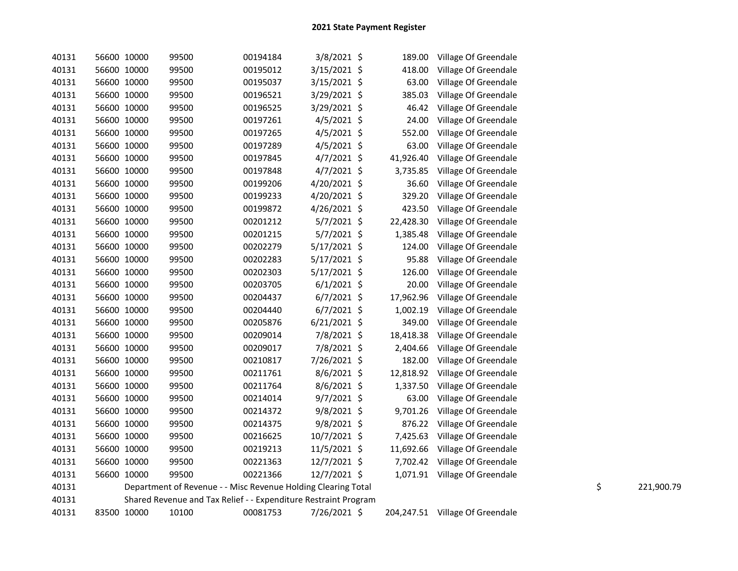| 40131 | 56600 10000 | 99500                                                           | 00194184 | 3/8/2021 \$    | 189.00    | Village Of Greendale            |    |            |
|-------|-------------|-----------------------------------------------------------------|----------|----------------|-----------|---------------------------------|----|------------|
| 40131 | 56600 10000 | 99500                                                           | 00195012 | $3/15/2021$ \$ | 418.00    | Village Of Greendale            |    |            |
| 40131 | 56600 10000 | 99500                                                           | 00195037 | 3/15/2021 \$   | 63.00     | Village Of Greendale            |    |            |
| 40131 | 56600 10000 | 99500                                                           | 00196521 | 3/29/2021 \$   | 385.03    | Village Of Greendale            |    |            |
| 40131 | 56600 10000 | 99500                                                           | 00196525 | 3/29/2021 \$   | 46.42     | Village Of Greendale            |    |            |
| 40131 | 56600 10000 | 99500                                                           | 00197261 | $4/5/2021$ \$  | 24.00     | Village Of Greendale            |    |            |
| 40131 | 56600 10000 | 99500                                                           | 00197265 | $4/5/2021$ \$  | 552.00    | Village Of Greendale            |    |            |
| 40131 | 56600 10000 | 99500                                                           | 00197289 | $4/5/2021$ \$  | 63.00     | Village Of Greendale            |    |            |
| 40131 | 56600 10000 | 99500                                                           | 00197845 | $4/7/2021$ \$  | 41,926.40 | Village Of Greendale            |    |            |
| 40131 | 56600 10000 | 99500                                                           | 00197848 | $4/7/2021$ \$  | 3,735.85  | Village Of Greendale            |    |            |
| 40131 | 56600 10000 | 99500                                                           | 00199206 | 4/20/2021 \$   | 36.60     | Village Of Greendale            |    |            |
| 40131 | 56600 10000 | 99500                                                           | 00199233 | 4/20/2021 \$   | 329.20    | Village Of Greendale            |    |            |
| 40131 | 56600 10000 | 99500                                                           | 00199872 | $4/26/2021$ \$ | 423.50    | Village Of Greendale            |    |            |
| 40131 | 56600 10000 | 99500                                                           | 00201212 | 5/7/2021 \$    | 22,428.30 | Village Of Greendale            |    |            |
| 40131 | 56600 10000 | 99500                                                           | 00201215 | 5/7/2021 \$    | 1,385.48  | Village Of Greendale            |    |            |
| 40131 | 56600 10000 | 99500                                                           | 00202279 | $5/17/2021$ \$ | 124.00    | Village Of Greendale            |    |            |
| 40131 | 56600 10000 | 99500                                                           | 00202283 | 5/17/2021 \$   | 95.88     | Village Of Greendale            |    |            |
| 40131 | 56600 10000 | 99500                                                           | 00202303 | 5/17/2021 \$   | 126.00    | Village Of Greendale            |    |            |
| 40131 | 56600 10000 | 99500                                                           | 00203705 | $6/1/2021$ \$  | 20.00     | Village Of Greendale            |    |            |
| 40131 | 56600 10000 | 99500                                                           | 00204437 | $6/7/2021$ \$  | 17,962.96 | Village Of Greendale            |    |            |
| 40131 | 56600 10000 | 99500                                                           | 00204440 | $6/7/2021$ \$  | 1,002.19  | Village Of Greendale            |    |            |
| 40131 | 56600 10000 | 99500                                                           | 00205876 | $6/21/2021$ \$ | 349.00    | Village Of Greendale            |    |            |
| 40131 | 56600 10000 | 99500                                                           | 00209014 | 7/8/2021 \$    | 18,418.38 | Village Of Greendale            |    |            |
| 40131 | 56600 10000 | 99500                                                           | 00209017 | 7/8/2021 \$    | 2,404.66  | Village Of Greendale            |    |            |
| 40131 | 56600 10000 | 99500                                                           | 00210817 | 7/26/2021 \$   | 182.00    | Village Of Greendale            |    |            |
| 40131 | 56600 10000 | 99500                                                           | 00211761 | 8/6/2021 \$    | 12,818.92 | Village Of Greendale            |    |            |
| 40131 | 56600 10000 | 99500                                                           | 00211764 | $8/6/2021$ \$  | 1,337.50  | Village Of Greendale            |    |            |
| 40131 | 56600 10000 | 99500                                                           | 00214014 | 9/7/2021 \$    | 63.00     | Village Of Greendale            |    |            |
| 40131 | 56600 10000 | 99500                                                           | 00214372 | 9/8/2021 \$    | 9,701.26  | Village Of Greendale            |    |            |
| 40131 | 56600 10000 | 99500                                                           | 00214375 | $9/8/2021$ \$  | 876.22    | Village Of Greendale            |    |            |
| 40131 | 56600 10000 | 99500                                                           | 00216625 | 10/7/2021 \$   | 7,425.63  | Village Of Greendale            |    |            |
| 40131 | 56600 10000 | 99500                                                           | 00219213 | 11/5/2021 \$   | 11,692.66 | Village Of Greendale            |    |            |
| 40131 | 56600 10000 | 99500                                                           | 00221363 | 12/7/2021 \$   |           | 7,702.42 Village Of Greendale   |    |            |
| 40131 | 56600 10000 | 99500                                                           | 00221366 | 12/7/2021 \$   |           | 1,071.91 Village Of Greendale   |    |            |
| 40131 |             | Department of Revenue - - Misc Revenue Holding Clearing Total   |          |                |           |                                 | \$ | 221,900.79 |
| 40131 |             | Shared Revenue and Tax Relief - - Expenditure Restraint Program |          |                |           |                                 |    |            |
| 40131 | 83500 10000 | 10100                                                           | 00081753 | 7/26/2021 \$   |           | 204,247.51 Village Of Greendale |    |            |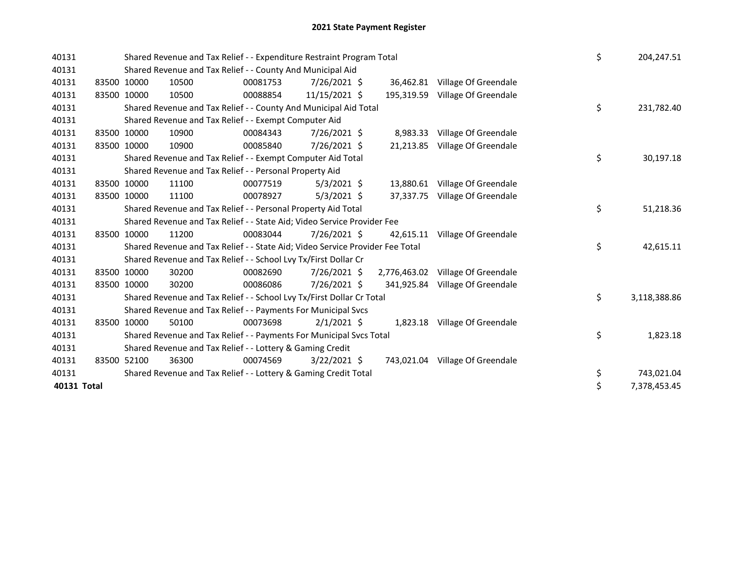| 40131 |             |             | Shared Revenue and Tax Relief - - Expenditure Restraint Program Total<br>Shared Revenue and Tax Relief - - County And Municipal Aid |          |                |  |            |                                   |    |    | 204,247.51   |
|-------|-------------|-------------|-------------------------------------------------------------------------------------------------------------------------------------|----------|----------------|--|------------|-----------------------------------|----|----|--------------|
| 40131 |             |             |                                                                                                                                     |          |                |  |            |                                   |    |    |              |
| 40131 |             | 83500 10000 | 10500                                                                                                                               | 00081753 | 7/26/2021 \$   |  | 36,462.81  | Village Of Greendale              |    |    |              |
| 40131 |             | 83500 10000 | 10500                                                                                                                               | 00088854 | 11/15/2021 \$  |  | 195,319.59 | Village Of Greendale              |    |    |              |
| 40131 |             |             | Shared Revenue and Tax Relief - - County And Municipal Aid Total                                                                    |          |                |  |            |                                   | \$ |    | 231,782.40   |
| 40131 |             |             | Shared Revenue and Tax Relief - - Exempt Computer Aid                                                                               |          |                |  |            |                                   |    |    |              |
| 40131 |             | 83500 10000 | 10900                                                                                                                               | 00084343 | 7/26/2021 \$   |  | 8,983.33   | Village Of Greendale              |    |    |              |
| 40131 |             | 83500 10000 | 10900                                                                                                                               | 00085840 | 7/26/2021 \$   |  | 21,213.85  | Village Of Greendale              |    |    |              |
| 40131 |             |             | Shared Revenue and Tax Relief - - Exempt Computer Aid Total                                                                         |          |                |  |            |                                   | \$ |    | 30,197.18    |
| 40131 |             |             | Shared Revenue and Tax Relief - - Personal Property Aid                                                                             |          |                |  |            |                                   |    |    |              |
| 40131 |             | 83500 10000 | 11100                                                                                                                               | 00077519 | $5/3/2021$ \$  |  | 13,880.61  | Village Of Greendale              |    |    |              |
| 40131 |             | 83500 10000 | 11100                                                                                                                               | 00078927 | $5/3/2021$ \$  |  | 37.337.75  | Village Of Greendale              |    |    |              |
| 40131 |             |             | Shared Revenue and Tax Relief - - Personal Property Aid Total                                                                       |          |                |  |            |                                   | \$ |    | 51,218.36    |
| 40131 |             |             | Shared Revenue and Tax Relief - - State Aid; Video Service Provider Fee                                                             |          |                |  |            |                                   |    |    |              |
| 40131 |             | 83500 10000 | 11200                                                                                                                               | 00083044 | 7/26/2021 \$   |  | 42.615.11  | Village Of Greendale              |    |    |              |
| 40131 |             |             | Shared Revenue and Tax Relief - - State Aid; Video Service Provider Fee Total                                                       |          |                |  |            |                                   | \$ |    | 42,615.11    |
| 40131 |             |             | Shared Revenue and Tax Relief - - School Lvy Tx/First Dollar Cr                                                                     |          |                |  |            |                                   |    |    |              |
| 40131 |             | 83500 10000 | 30200                                                                                                                               | 00082690 | 7/26/2021 \$   |  |            | 2,776,463.02 Village Of Greendale |    |    |              |
| 40131 |             | 83500 10000 | 30200                                                                                                                               | 00086086 | 7/26/2021 \$   |  | 341,925.84 | Village Of Greendale              |    |    |              |
| 40131 |             |             | Shared Revenue and Tax Relief - - School Lvy Tx/First Dollar Cr Total                                                               |          |                |  |            |                                   | \$ |    | 3,118,388.86 |
| 40131 |             |             | Shared Revenue and Tax Relief - - Payments For Municipal Svcs                                                                       |          |                |  |            |                                   |    |    |              |
| 40131 |             | 83500 10000 | 50100                                                                                                                               | 00073698 | $2/1/2021$ \$  |  |            | 1,823.18 Village Of Greendale     |    |    |              |
| 40131 |             |             | Shared Revenue and Tax Relief - - Payments For Municipal Svcs Total                                                                 |          |                |  |            |                                   | \$ |    | 1,823.18     |
| 40131 |             |             | Shared Revenue and Tax Relief - - Lottery & Gaming Credit                                                                           |          |                |  |            |                                   |    |    |              |
| 40131 |             | 83500 52100 | 36300                                                                                                                               | 00074569 | $3/22/2021$ \$ |  |            | 743,021.04 Village Of Greendale   |    |    |              |
| 40131 |             |             | Shared Revenue and Tax Relief - - Lottery & Gaming Credit Total                                                                     |          |                |  |            |                                   | \$ |    | 743,021.04   |
|       | 40131 Total |             |                                                                                                                                     |          |                |  |            |                                   |    | \$ | 7,378,453.45 |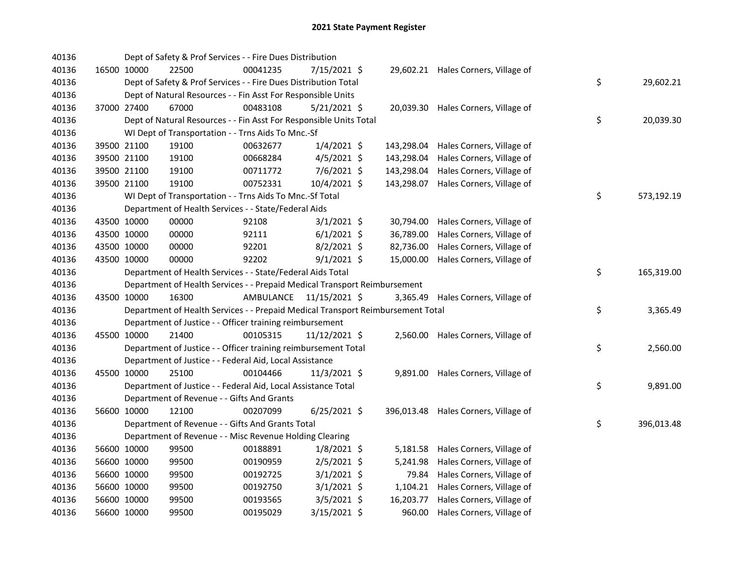| 40136 |             | Dept of Safety & Prof Services - - Fire Dues Distribution                       |                         |                 |            |                                      |    |            |
|-------|-------------|---------------------------------------------------------------------------------|-------------------------|-----------------|------------|--------------------------------------|----|------------|
| 40136 | 16500 10000 | 22500                                                                           | 00041235                | 7/15/2021 \$    |            | 29,602.21 Hales Corners, Village of  |    |            |
| 40136 |             | Dept of Safety & Prof Services - - Fire Dues Distribution Total                 |                         |                 |            |                                      | \$ | 29,602.21  |
| 40136 |             | Dept of Natural Resources - - Fin Asst For Responsible Units                    |                         |                 |            |                                      |    |            |
| 40136 | 37000 27400 | 67000                                                                           | 00483108                | $5/21/2021$ \$  |            | 20,039.30 Hales Corners, Village of  |    |            |
| 40136 |             | Dept of Natural Resources - - Fin Asst For Responsible Units Total              |                         |                 |            |                                      | \$ | 20,039.30  |
| 40136 |             | WI Dept of Transportation - - Trns Aids To Mnc.-Sf                              |                         |                 |            |                                      |    |            |
| 40136 | 39500 21100 | 19100                                                                           | 00632677                | $1/4/2021$ \$   | 143,298.04 | Hales Corners, Village of            |    |            |
| 40136 | 39500 21100 | 19100                                                                           | 00668284                | $4/5/2021$ \$   | 143,298.04 | Hales Corners, Village of            |    |            |
| 40136 | 39500 21100 | 19100                                                                           | 00711772                | $7/6/2021$ \$   | 143,298.04 | Hales Corners, Village of            |    |            |
| 40136 | 39500 21100 | 19100                                                                           | 00752331                | 10/4/2021 \$    | 143,298.07 | Hales Corners, Village of            |    |            |
| 40136 |             | WI Dept of Transportation - - Trns Aids To Mnc.-Sf Total                        |                         |                 |            |                                      | \$ | 573,192.19 |
| 40136 |             | Department of Health Services - - State/Federal Aids                            |                         |                 |            |                                      |    |            |
| 40136 | 43500 10000 | 00000                                                                           | 92108                   | $3/1/2021$ \$   | 30,794.00  | Hales Corners, Village of            |    |            |
| 40136 | 43500 10000 | 00000                                                                           | 92111                   | $6/1/2021$ \$   | 36,789.00  | Hales Corners, Village of            |    |            |
| 40136 | 43500 10000 | 00000                                                                           | 92201                   | 8/2/2021 \$     | 82,736.00  | Hales Corners, Village of            |    |            |
| 40136 | 43500 10000 | 00000                                                                           | 92202                   | $9/1/2021$ \$   | 15,000.00  | Hales Corners, Village of            |    |            |
| 40136 |             | Department of Health Services - - State/Federal Aids Total                      |                         |                 |            |                                      | \$ | 165,319.00 |
| 40136 |             | Department of Health Services - - Prepaid Medical Transport Reimbursement       |                         |                 |            |                                      |    |            |
| 40136 | 43500 10000 | 16300                                                                           | AMBULANCE 11/15/2021 \$ |                 |            | 3,365.49 Hales Corners, Village of   |    |            |
| 40136 |             | Department of Health Services - - Prepaid Medical Transport Reimbursement Total |                         |                 |            |                                      | \$ | 3,365.49   |
| 40136 |             | Department of Justice - - Officer training reimbursement                        |                         |                 |            |                                      |    |            |
| 40136 | 45500 10000 | 21400                                                                           | 00105315                | $11/12/2021$ \$ |            | 2,560.00 Hales Corners, Village of   |    |            |
| 40136 |             | Department of Justice - - Officer training reimbursement Total                  |                         |                 |            |                                      | \$ | 2,560.00   |
| 40136 |             | Department of Justice - - Federal Aid, Local Assistance                         |                         |                 |            |                                      |    |            |
| 40136 | 45500 10000 | 25100                                                                           | 00104466                | $11/3/2021$ \$  |            | 9,891.00 Hales Corners, Village of   |    |            |
| 40136 |             | Department of Justice - - Federal Aid, Local Assistance Total                   |                         |                 |            |                                      | \$ | 9,891.00   |
| 40136 |             | Department of Revenue - - Gifts And Grants                                      |                         |                 |            |                                      |    |            |
| 40136 | 56600 10000 | 12100                                                                           | 00207099                | $6/25/2021$ \$  |            | 396,013.48 Hales Corners, Village of |    |            |
| 40136 |             | Department of Revenue - - Gifts And Grants Total                                |                         |                 |            |                                      | \$ | 396,013.48 |
| 40136 |             | Department of Revenue - - Misc Revenue Holding Clearing                         |                         |                 |            |                                      |    |            |
| 40136 | 56600 10000 | 99500                                                                           | 00188891                | $1/8/2021$ \$   |            | 5,181.58 Hales Corners, Village of   |    |            |
| 40136 | 56600 10000 | 99500                                                                           | 00190959                | $2/5/2021$ \$   | 5,241.98   | Hales Corners, Village of            |    |            |
| 40136 | 56600 10000 | 99500                                                                           | 00192725                | $3/1/2021$ \$   | 79.84      | Hales Corners, Village of            |    |            |
| 40136 | 56600 10000 | 99500                                                                           | 00192750                | $3/1/2021$ \$   |            | 1,104.21 Hales Corners, Village of   |    |            |
| 40136 | 56600 10000 | 99500                                                                           | 00193565                | $3/5/2021$ \$   | 16,203.77  | Hales Corners, Village of            |    |            |
| 40136 | 56600 10000 | 99500                                                                           | 00195029                | 3/15/2021 \$    |            | 960.00 Hales Corners, Village of     |    |            |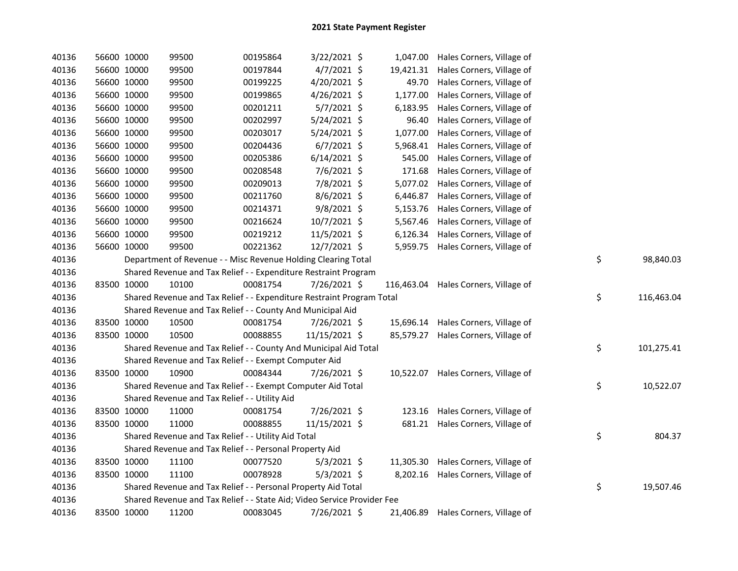| 40136 | 56600 10000 |             | 99500                                                                   | 00195864 | 3/22/2021 \$   |            | 1,047.00 Hales Corners, Village of  |    |            |
|-------|-------------|-------------|-------------------------------------------------------------------------|----------|----------------|------------|-------------------------------------|----|------------|
| 40136 |             | 56600 10000 | 99500                                                                   | 00197844 | 4/7/2021 \$    |            | 19,421.31 Hales Corners, Village of |    |            |
| 40136 | 56600 10000 |             | 99500                                                                   | 00199225 | 4/20/2021 \$   | 49.70      | Hales Corners, Village of           |    |            |
| 40136 | 56600 10000 |             | 99500                                                                   | 00199865 | 4/26/2021 \$   | 1,177.00   | Hales Corners, Village of           |    |            |
| 40136 | 56600 10000 |             | 99500                                                                   | 00201211 | $5/7/2021$ \$  | 6,183.95   | Hales Corners, Village of           |    |            |
| 40136 | 56600 10000 |             | 99500                                                                   | 00202997 | 5/24/2021 \$   | 96.40      | Hales Corners, Village of           |    |            |
| 40136 | 56600 10000 |             | 99500                                                                   | 00203017 | 5/24/2021 \$   | 1,077.00   | Hales Corners, Village of           |    |            |
| 40136 | 56600 10000 |             | 99500                                                                   | 00204436 | $6/7/2021$ \$  | 5,968.41   | Hales Corners, Village of           |    |            |
| 40136 | 56600 10000 |             | 99500                                                                   | 00205386 | $6/14/2021$ \$ | 545.00     | Hales Corners, Village of           |    |            |
| 40136 | 56600 10000 |             | 99500                                                                   | 00208548 | 7/6/2021 \$    | 171.68     | Hales Corners, Village of           |    |            |
| 40136 | 56600 10000 |             | 99500                                                                   | 00209013 | 7/8/2021 \$    | 5,077.02   | Hales Corners, Village of           |    |            |
| 40136 | 56600 10000 |             | 99500                                                                   | 00211760 | $8/6/2021$ \$  | 6,446.87   | Hales Corners, Village of           |    |            |
| 40136 |             | 56600 10000 | 99500                                                                   | 00214371 | 9/8/2021 \$    | 5,153.76   | Hales Corners, Village of           |    |            |
| 40136 |             | 56600 10000 | 99500                                                                   | 00216624 | 10/7/2021 \$   | 5,567.46   | Hales Corners, Village of           |    |            |
| 40136 | 56600 10000 |             | 99500                                                                   | 00219212 | 11/5/2021 \$   | 6,126.34   | Hales Corners, Village of           |    |            |
| 40136 | 56600 10000 |             | 99500                                                                   | 00221362 | 12/7/2021 \$   |            | 5,959.75 Hales Corners, Village of  |    |            |
| 40136 |             |             | Department of Revenue - - Misc Revenue Holding Clearing Total           |          |                |            |                                     | \$ | 98,840.03  |
| 40136 |             |             | Shared Revenue and Tax Relief - - Expenditure Restraint Program         |          |                |            |                                     |    |            |
| 40136 | 83500 10000 |             | 10100                                                                   | 00081754 | 7/26/2021 \$   | 116,463.04 | Hales Corners, Village of           |    |            |
| 40136 |             |             | Shared Revenue and Tax Relief - - Expenditure Restraint Program Total   |          |                |            |                                     | \$ | 116,463.04 |
| 40136 |             |             | Shared Revenue and Tax Relief - - County And Municipal Aid              |          |                |            |                                     |    |            |
| 40136 |             | 83500 10000 | 10500                                                                   | 00081754 | 7/26/2021 \$   |            | 15,696.14 Hales Corners, Village of |    |            |
| 40136 |             | 83500 10000 | 10500                                                                   | 00088855 | 11/15/2021 \$  | 85,579.27  | Hales Corners, Village of           |    |            |
| 40136 |             |             | Shared Revenue and Tax Relief - - County And Municipal Aid Total        |          |                |            |                                     | \$ | 101,275.41 |
| 40136 |             |             | Shared Revenue and Tax Relief - - Exempt Computer Aid                   |          |                |            |                                     |    |            |
| 40136 | 83500 10000 |             | 10900                                                                   | 00084344 | 7/26/2021 \$   |            | 10,522.07 Hales Corners, Village of |    |            |
| 40136 |             |             | Shared Revenue and Tax Relief - - Exempt Computer Aid Total             |          |                |            |                                     | \$ | 10,522.07  |
| 40136 |             |             | Shared Revenue and Tax Relief - - Utility Aid                           |          |                |            |                                     |    |            |
| 40136 |             | 83500 10000 | 11000                                                                   | 00081754 | 7/26/2021 \$   | 123.16     | Hales Corners, Village of           |    |            |
| 40136 |             | 83500 10000 | 11000                                                                   | 00088855 | 11/15/2021 \$  | 681.21     | Hales Corners, Village of           |    |            |
| 40136 |             |             | Shared Revenue and Tax Relief - - Utility Aid Total                     |          |                |            |                                     | \$ | 804.37     |
| 40136 |             |             | Shared Revenue and Tax Relief - - Personal Property Aid                 |          |                |            |                                     |    |            |
| 40136 |             | 83500 10000 | 11100                                                                   | 00077520 | $5/3/2021$ \$  | 11,305.30  | Hales Corners, Village of           |    |            |
| 40136 | 83500 10000 |             | 11100                                                                   | 00078928 | $5/3/2021$ \$  | 8,202.16   | Hales Corners, Village of           |    |            |
| 40136 |             |             | Shared Revenue and Tax Relief - - Personal Property Aid Total           |          |                |            |                                     | \$ | 19,507.46  |
| 40136 |             |             | Shared Revenue and Tax Relief - - State Aid; Video Service Provider Fee |          |                |            |                                     |    |            |
| 40136 |             | 83500 10000 | 11200                                                                   | 00083045 | 7/26/2021 \$   | 21,406.89  | Hales Corners, Village of           |    |            |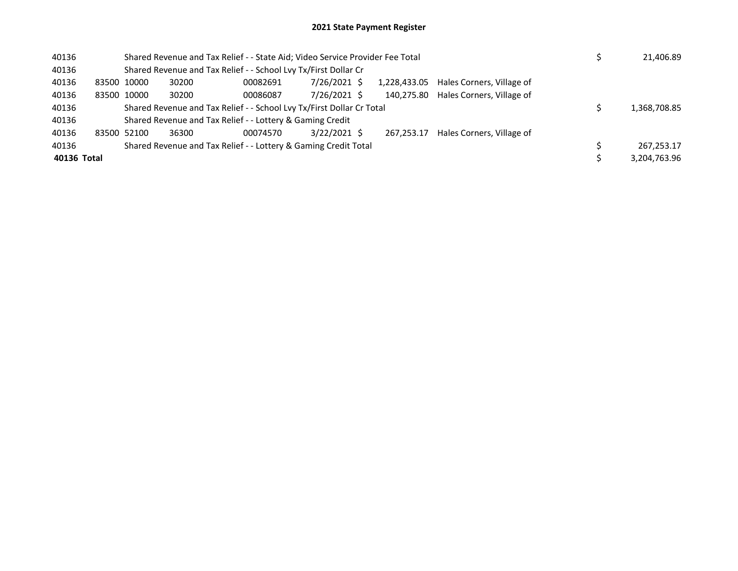## 2021 State Payment Register

| 40136       |                                                                 |             | Shared Revenue and Tax Relief - - State Aid; Video Service Provider Fee Total |                                                                 | 21,406.89    |  |            |                                        |  |              |
|-------------|-----------------------------------------------------------------|-------------|-------------------------------------------------------------------------------|-----------------------------------------------------------------|--------------|--|------------|----------------------------------------|--|--------------|
| 40136       |                                                                 |             |                                                                               | Shared Revenue and Tax Relief - - School Lvy Tx/First Dollar Cr |              |  |            |                                        |  |              |
| 40136       |                                                                 | 83500 10000 | 30200                                                                         | 00082691                                                        | 7/26/2021 \$ |  |            | 1,228,433.05 Hales Corners, Village of |  |              |
| 40136       |                                                                 | 83500 10000 | 30200                                                                         | 00086087                                                        | 7/26/2021 \$ |  | 140,275.80 | Hales Corners, Village of              |  |              |
| 40136       |                                                                 |             | Shared Revenue and Tax Relief - - School Lvy Tx/First Dollar Cr Total         |                                                                 | 1,368,708.85 |  |            |                                        |  |              |
| 40136       |                                                                 |             |                                                                               | Shared Revenue and Tax Relief - - Lottery & Gaming Credit       |              |  |            |                                        |  |              |
| 40136       | 83500 52100                                                     |             | 36300                                                                         | 00074570                                                        | 3/22/2021 \$ |  | 267.253.17 | Hales Corners, Village of              |  |              |
| 40136       | Shared Revenue and Tax Relief - - Lottery & Gaming Credit Total |             |                                                                               |                                                                 |              |  |            |                                        |  | 267.253.17   |
| 40136 Total |                                                                 |             |                                                                               |                                                                 |              |  |            |                                        |  | 3,204,763.96 |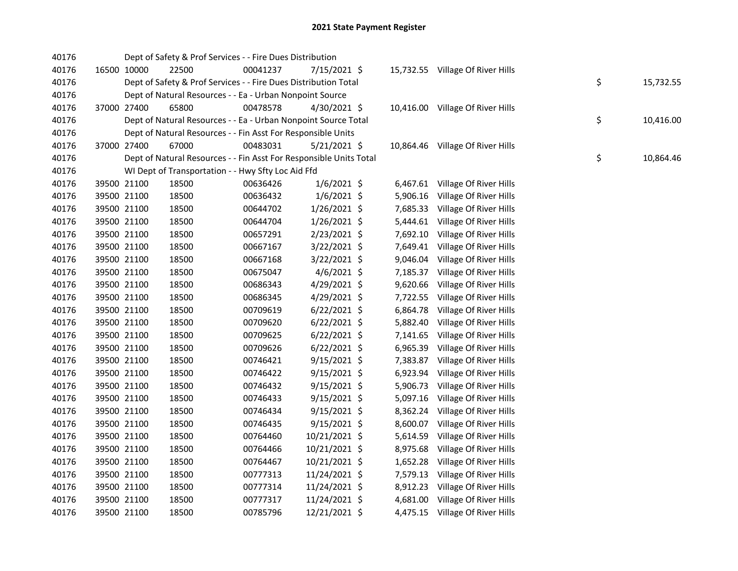| 40176 |             | Dept of Safety & Prof Services - - Fire Dues Distribution          |          |                |           |                                  |    |           |
|-------|-------------|--------------------------------------------------------------------|----------|----------------|-----------|----------------------------------|----|-----------|
| 40176 | 16500 10000 | 22500                                                              | 00041237 | 7/15/2021 \$   |           | 15,732.55 Village Of River Hills |    |           |
| 40176 |             | Dept of Safety & Prof Services - - Fire Dues Distribution Total    |          |                |           |                                  | \$ | 15,732.55 |
| 40176 |             | Dept of Natural Resources - - Ea - Urban Nonpoint Source           |          |                |           |                                  |    |           |
| 40176 | 37000 27400 | 65800                                                              | 00478578 | 4/30/2021 \$   |           | 10,416.00 Village Of River Hills |    |           |
| 40176 |             | Dept of Natural Resources - - Ea - Urban Nonpoint Source Total     |          |                |           |                                  | \$ | 10,416.00 |
| 40176 |             | Dept of Natural Resources - - Fin Asst For Responsible Units       |          |                |           |                                  |    |           |
| 40176 | 37000 27400 | 67000                                                              | 00483031 | $5/21/2021$ \$ | 10,864.46 | Village Of River Hills           |    |           |
| 40176 |             | Dept of Natural Resources - - Fin Asst For Responsible Units Total |          |                |           |                                  | \$ | 10,864.46 |
| 40176 |             | WI Dept of Transportation - - Hwy Sfty Loc Aid Ffd                 |          |                |           |                                  |    |           |
| 40176 | 39500 21100 | 18500                                                              | 00636426 | $1/6/2021$ \$  | 6,467.61  | Village Of River Hills           |    |           |
| 40176 | 39500 21100 | 18500                                                              | 00636432 | $1/6/2021$ \$  | 5,906.16  | Village Of River Hills           |    |           |
| 40176 | 39500 21100 | 18500                                                              | 00644702 | $1/26/2021$ \$ | 7,685.33  | Village Of River Hills           |    |           |
| 40176 | 39500 21100 | 18500                                                              | 00644704 | $1/26/2021$ \$ | 5,444.61  | Village Of River Hills           |    |           |
| 40176 | 39500 21100 | 18500                                                              | 00657291 | $2/23/2021$ \$ | 7,692.10  | Village Of River Hills           |    |           |
| 40176 | 39500 21100 | 18500                                                              | 00667167 | 3/22/2021 \$   | 7,649.41  | Village Of River Hills           |    |           |
| 40176 | 39500 21100 | 18500                                                              | 00667168 | 3/22/2021 \$   | 9,046.04  | Village Of River Hills           |    |           |
| 40176 | 39500 21100 | 18500                                                              | 00675047 | $4/6/2021$ \$  | 7,185.37  | Village Of River Hills           |    |           |
| 40176 | 39500 21100 | 18500                                                              | 00686343 | 4/29/2021 \$   | 9,620.66  | Village Of River Hills           |    |           |
| 40176 | 39500 21100 | 18500                                                              | 00686345 | 4/29/2021 \$   | 7,722.55  | Village Of River Hills           |    |           |
| 40176 | 39500 21100 | 18500                                                              | 00709619 | $6/22/2021$ \$ | 6,864.78  | Village Of River Hills           |    |           |
| 40176 | 39500 21100 | 18500                                                              | 00709620 | $6/22/2021$ \$ | 5,882.40  | Village Of River Hills           |    |           |
| 40176 | 39500 21100 | 18500                                                              | 00709625 | $6/22/2021$ \$ | 7,141.65  | Village Of River Hills           |    |           |
| 40176 | 39500 21100 | 18500                                                              | 00709626 | $6/22/2021$ \$ | 6,965.39  | Village Of River Hills           |    |           |
| 40176 | 39500 21100 | 18500                                                              | 00746421 | $9/15/2021$ \$ | 7,383.87  | Village Of River Hills           |    |           |
| 40176 | 39500 21100 | 18500                                                              | 00746422 | $9/15/2021$ \$ | 6,923.94  | Village Of River Hills           |    |           |
| 40176 | 39500 21100 | 18500                                                              | 00746432 | $9/15/2021$ \$ | 5,906.73  | Village Of River Hills           |    |           |
| 40176 | 39500 21100 | 18500                                                              | 00746433 | $9/15/2021$ \$ | 5,097.16  | Village Of River Hills           |    |           |
| 40176 | 39500 21100 | 18500                                                              | 00746434 | $9/15/2021$ \$ | 8,362.24  | Village Of River Hills           |    |           |
| 40176 | 39500 21100 | 18500                                                              | 00746435 | $9/15/2021$ \$ | 8,600.07  | Village Of River Hills           |    |           |
| 40176 | 39500 21100 | 18500                                                              | 00764460 | 10/21/2021 \$  | 5,614.59  | Village Of River Hills           |    |           |
| 40176 | 39500 21100 | 18500                                                              | 00764466 | 10/21/2021 \$  | 8,975.68  | Village Of River Hills           |    |           |
| 40176 | 39500 21100 | 18500                                                              | 00764467 | 10/21/2021 \$  | 1,652.28  | Village Of River Hills           |    |           |
| 40176 | 39500 21100 | 18500                                                              | 00777313 | 11/24/2021 \$  | 7,579.13  | Village Of River Hills           |    |           |
| 40176 | 39500 21100 | 18500                                                              | 00777314 | 11/24/2021 \$  | 8,912.23  | Village Of River Hills           |    |           |
| 40176 | 39500 21100 | 18500                                                              | 00777317 | 11/24/2021 \$  | 4,681.00  | Village Of River Hills           |    |           |
| 40176 | 39500 21100 | 18500                                                              | 00785796 | 12/21/2021 \$  | 4,475.15  | Village Of River Hills           |    |           |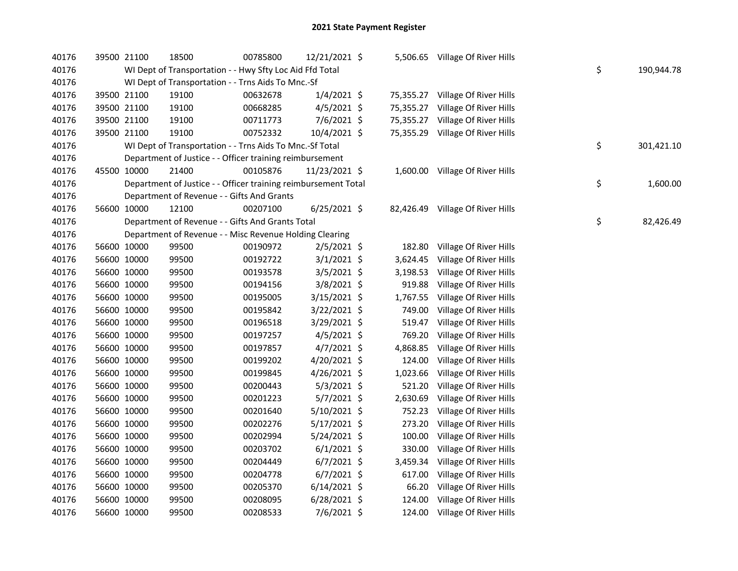| 40176 |             | 39500 21100 | 18500                                                          | 00785800 | 12/21/2021 \$  |           | 5,506.65 Village Of River Hills  |    |            |
|-------|-------------|-------------|----------------------------------------------------------------|----------|----------------|-----------|----------------------------------|----|------------|
| 40176 |             |             | WI Dept of Transportation - - Hwy Sfty Loc Aid Ffd Total       |          |                |           |                                  | \$ | 190,944.78 |
| 40176 |             |             | WI Dept of Transportation - - Trns Aids To Mnc.-Sf             |          |                |           |                                  |    |            |
| 40176 |             | 39500 21100 | 19100                                                          | 00632678 | $1/4/2021$ \$  |           | 75,355.27 Village Of River Hills |    |            |
| 40176 |             | 39500 21100 | 19100                                                          | 00668285 | $4/5/2021$ \$  | 75,355.27 | Village Of River Hills           |    |            |
| 40176 |             | 39500 21100 | 19100                                                          | 00711773 | 7/6/2021 \$    | 75,355.27 | Village Of River Hills           |    |            |
| 40176 |             | 39500 21100 | 19100                                                          | 00752332 | 10/4/2021 \$   | 75,355.29 | Village Of River Hills           |    |            |
| 40176 |             |             | WI Dept of Transportation - - Trns Aids To Mnc.-Sf Total       |          |                |           |                                  | \$ | 301,421.10 |
| 40176 |             |             | Department of Justice - - Officer training reimbursement       |          |                |           |                                  |    |            |
| 40176 | 45500 10000 |             | 21400                                                          | 00105876 | 11/23/2021 \$  |           | 1,600.00 Village Of River Hills  |    |            |
| 40176 |             |             | Department of Justice - - Officer training reimbursement Total |          |                |           |                                  | \$ | 1,600.00   |
| 40176 |             |             | Department of Revenue - - Gifts And Grants                     |          |                |           |                                  |    |            |
| 40176 | 56600 10000 |             | 12100                                                          | 00207100 | $6/25/2021$ \$ | 82,426.49 | Village Of River Hills           |    |            |
| 40176 |             |             | Department of Revenue - - Gifts And Grants Total               |          |                |           |                                  | \$ | 82,426.49  |
| 40176 |             |             | Department of Revenue - - Misc Revenue Holding Clearing        |          |                |           |                                  |    |            |
| 40176 |             | 56600 10000 | 99500                                                          | 00190972 | 2/5/2021 \$    | 182.80    | Village Of River Hills           |    |            |
| 40176 |             | 56600 10000 | 99500                                                          | 00192722 | $3/1/2021$ \$  | 3,624.45  | Village Of River Hills           |    |            |
| 40176 |             | 56600 10000 | 99500                                                          | 00193578 | 3/5/2021 \$    | 3,198.53  | Village Of River Hills           |    |            |
| 40176 |             | 56600 10000 | 99500                                                          | 00194156 | 3/8/2021 \$    | 919.88    | Village Of River Hills           |    |            |
| 40176 |             | 56600 10000 | 99500                                                          | 00195005 | 3/15/2021 \$   | 1,767.55  | Village Of River Hills           |    |            |
| 40176 |             | 56600 10000 | 99500                                                          | 00195842 | 3/22/2021 \$   | 749.00    | Village Of River Hills           |    |            |
| 40176 |             | 56600 10000 | 99500                                                          | 00196518 | 3/29/2021 \$   | 519.47    | Village Of River Hills           |    |            |
| 40176 | 56600 10000 |             | 99500                                                          | 00197257 | $4/5/2021$ \$  | 769.20    | Village Of River Hills           |    |            |
| 40176 | 56600 10000 |             | 99500                                                          | 00197857 | 4/7/2021 \$    | 4,868.85  | Village Of River Hills           |    |            |
| 40176 | 56600 10000 |             | 99500                                                          | 00199202 | 4/20/2021 \$   | 124.00    | Village Of River Hills           |    |            |
| 40176 | 56600 10000 |             | 99500                                                          | 00199845 | 4/26/2021 \$   | 1,023.66  | Village Of River Hills           |    |            |
| 40176 | 56600 10000 |             | 99500                                                          | 00200443 | $5/3/2021$ \$  | 521.20    | Village Of River Hills           |    |            |
| 40176 | 56600 10000 |             | 99500                                                          | 00201223 | $5/7/2021$ \$  | 2,630.69  | Village Of River Hills           |    |            |
| 40176 | 56600 10000 |             | 99500                                                          | 00201640 | $5/10/2021$ \$ | 752.23    | Village Of River Hills           |    |            |
| 40176 |             | 56600 10000 | 99500                                                          | 00202276 | $5/17/2021$ \$ | 273.20    | Village Of River Hills           |    |            |
| 40176 | 56600 10000 |             | 99500                                                          | 00202994 | $5/24/2021$ \$ | 100.00    | Village Of River Hills           |    |            |
| 40176 | 56600 10000 |             | 99500                                                          | 00203702 | $6/1/2021$ \$  | 330.00    | Village Of River Hills           |    |            |
| 40176 | 56600 10000 |             | 99500                                                          | 00204449 | $6/7/2021$ \$  | 3,459.34  | Village Of River Hills           |    |            |
| 40176 |             | 56600 10000 | 99500                                                          | 00204778 | $6/7/2021$ \$  | 617.00    | Village Of River Hills           |    |            |
| 40176 |             | 56600 10000 | 99500                                                          | 00205370 | 6/14/2021 \$   | 66.20     | Village Of River Hills           |    |            |
| 40176 |             | 56600 10000 | 99500                                                          | 00208095 | 6/28/2021 \$   | 124.00    | Village Of River Hills           |    |            |
| 40176 | 56600 10000 |             | 99500                                                          | 00208533 | 7/6/2021 \$    |           | 124.00 Village Of River Hills    |    |            |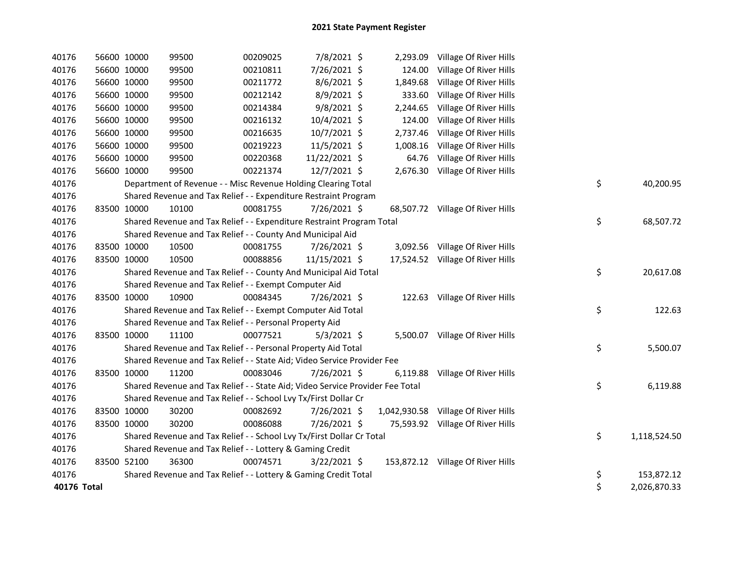| 40176       | 56600 10000 | 99500 | 00209025                                                                      | 7/8/2021 \$   | 2,293.09 | Village Of River Hills              |                    |
|-------------|-------------|-------|-------------------------------------------------------------------------------|---------------|----------|-------------------------------------|--------------------|
| 40176       | 56600 10000 | 99500 | 00210811                                                                      | 7/26/2021 \$  | 124.00   | Village Of River Hills              |                    |
| 40176       | 56600 10000 | 99500 | 00211772                                                                      | $8/6/2021$ \$ | 1,849.68 | Village Of River Hills              |                    |
| 40176       | 56600 10000 | 99500 | 00212142                                                                      | 8/9/2021 \$   | 333.60   | Village Of River Hills              |                    |
| 40176       | 56600 10000 | 99500 | 00214384                                                                      | $9/8/2021$ \$ | 2,244.65 | Village Of River Hills              |                    |
| 40176       | 56600 10000 | 99500 | 00216132                                                                      | 10/4/2021 \$  | 124.00   | Village Of River Hills              |                    |
| 40176       | 56600 10000 | 99500 | 00216635                                                                      | 10/7/2021 \$  | 2,737.46 | Village Of River Hills              |                    |
| 40176       | 56600 10000 | 99500 | 00219223                                                                      | 11/5/2021 \$  | 1,008.16 | Village Of River Hills              |                    |
| 40176       | 56600 10000 | 99500 | 00220368                                                                      | 11/22/2021 \$ | 64.76    | Village Of River Hills              |                    |
| 40176       | 56600 10000 | 99500 | 00221374                                                                      | 12/7/2021 \$  | 2,676.30 | Village Of River Hills              |                    |
| 40176       |             |       | Department of Revenue - - Misc Revenue Holding Clearing Total                 |               |          |                                     | \$<br>40,200.95    |
| 40176       |             |       | Shared Revenue and Tax Relief - - Expenditure Restraint Program               |               |          |                                     |                    |
| 40176       | 83500 10000 | 10100 | 00081755                                                                      | 7/26/2021 \$  |          | 68,507.72 Village Of River Hills    |                    |
| 40176       |             |       | Shared Revenue and Tax Relief - - Expenditure Restraint Program Total         |               |          |                                     | \$<br>68,507.72    |
| 40176       |             |       | Shared Revenue and Tax Relief - - County And Municipal Aid                    |               |          |                                     |                    |
| 40176       | 83500 10000 | 10500 | 00081755                                                                      | 7/26/2021 \$  |          | 3,092.56 Village Of River Hills     |                    |
| 40176       | 83500 10000 | 10500 | 00088856                                                                      | 11/15/2021 \$ |          | 17,524.52 Village Of River Hills    |                    |
| 40176       |             |       | Shared Revenue and Tax Relief - - County And Municipal Aid Total              |               |          |                                     | \$<br>20,617.08    |
| 40176       |             |       | Shared Revenue and Tax Relief - - Exempt Computer Aid                         |               |          |                                     |                    |
| 40176       | 83500 10000 | 10900 | 00084345                                                                      | 7/26/2021 \$  |          | 122.63 Village Of River Hills       |                    |
| 40176       |             |       | Shared Revenue and Tax Relief - - Exempt Computer Aid Total                   |               |          |                                     | \$<br>122.63       |
| 40176       |             |       | Shared Revenue and Tax Relief - - Personal Property Aid                       |               |          |                                     |                    |
| 40176       | 83500 10000 | 11100 | 00077521                                                                      | $5/3/2021$ \$ |          | 5,500.07 Village Of River Hills     |                    |
| 40176       |             |       | Shared Revenue and Tax Relief - - Personal Property Aid Total                 |               |          |                                     | \$<br>5,500.07     |
| 40176       |             |       | Shared Revenue and Tax Relief - - State Aid; Video Service Provider Fee       |               |          |                                     |                    |
| 40176       | 83500 10000 | 11200 | 00083046                                                                      | 7/26/2021 \$  | 6,119.88 | Village Of River Hills              |                    |
| 40176       |             |       | Shared Revenue and Tax Relief - - State Aid; Video Service Provider Fee Total |               |          |                                     | \$<br>6,119.88     |
| 40176       |             |       | Shared Revenue and Tax Relief - - School Lvy Tx/First Dollar Cr               |               |          |                                     |                    |
| 40176       | 83500 10000 | 30200 | 00082692                                                                      | 7/26/2021 \$  |          | 1,042,930.58 Village Of River Hills |                    |
| 40176       | 83500 10000 | 30200 | 00086088                                                                      | 7/26/2021 \$  |          | 75,593.92 Village Of River Hills    |                    |
| 40176       |             |       | Shared Revenue and Tax Relief - - School Lvy Tx/First Dollar Cr Total         |               |          |                                     | \$<br>1,118,524.50 |
| 40176       |             |       | Shared Revenue and Tax Relief - - Lottery & Gaming Credit                     |               |          |                                     |                    |
| 40176       | 83500 52100 | 36300 | 00074571                                                                      | 3/22/2021 \$  |          | 153,872.12 Village Of River Hills   |                    |
| 40176       |             |       | Shared Revenue and Tax Relief - - Lottery & Gaming Credit Total               |               |          |                                     | \$<br>153,872.12   |
| 40176 Total |             |       |                                                                               |               |          |                                     | \$<br>2,026,870.33 |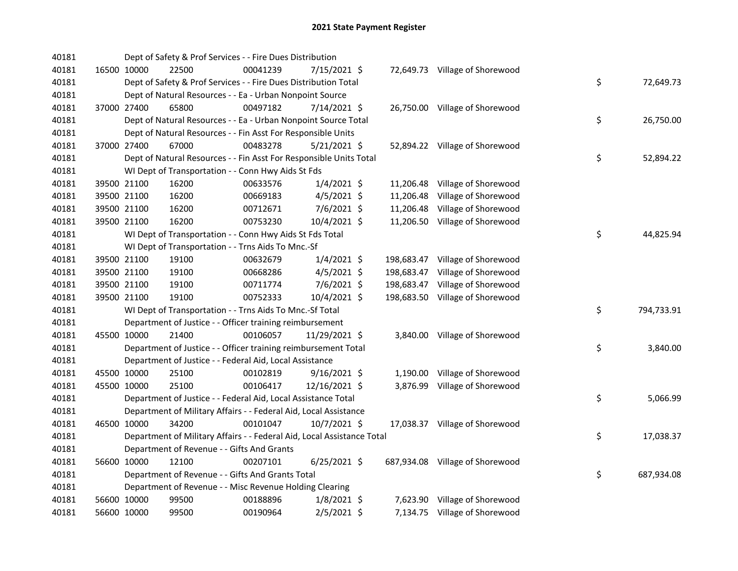| 40181 |             | Dept of Safety & Prof Services - - Fire Dues Distribution              |          |                |            |                                 |    |            |
|-------|-------------|------------------------------------------------------------------------|----------|----------------|------------|---------------------------------|----|------------|
| 40181 | 16500 10000 | 22500                                                                  | 00041239 | 7/15/2021 \$   |            | 72,649.73 Village of Shorewood  |    |            |
| 40181 |             | Dept of Safety & Prof Services - - Fire Dues Distribution Total        |          |                |            |                                 | \$ | 72,649.73  |
| 40181 |             | Dept of Natural Resources - - Ea - Urban Nonpoint Source               |          |                |            |                                 |    |            |
| 40181 | 37000 27400 | 65800                                                                  | 00497182 | 7/14/2021 \$   |            | 26,750.00 Village of Shorewood  |    |            |
| 40181 |             | Dept of Natural Resources - - Ea - Urban Nonpoint Source Total         |          |                |            |                                 | \$ | 26,750.00  |
| 40181 |             | Dept of Natural Resources - - Fin Asst For Responsible Units           |          |                |            |                                 |    |            |
| 40181 | 37000 27400 | 67000                                                                  | 00483278 | $5/21/2021$ \$ |            | 52,894.22 Village of Shorewood  |    |            |
| 40181 |             | Dept of Natural Resources - - Fin Asst For Responsible Units Total     |          |                |            |                                 | \$ | 52,894.22  |
| 40181 |             | WI Dept of Transportation - - Conn Hwy Aids St Fds                     |          |                |            |                                 |    |            |
| 40181 | 39500 21100 | 16200                                                                  | 00633576 | $1/4/2021$ \$  |            | 11,206.48 Village of Shorewood  |    |            |
| 40181 | 39500 21100 | 16200                                                                  | 00669183 | $4/5/2021$ \$  | 11,206.48  | Village of Shorewood            |    |            |
| 40181 | 39500 21100 | 16200                                                                  | 00712671 | $7/6/2021$ \$  | 11,206.48  | Village of Shorewood            |    |            |
| 40181 | 39500 21100 | 16200                                                                  | 00753230 | 10/4/2021 \$   |            | 11,206.50 Village of Shorewood  |    |            |
| 40181 |             | WI Dept of Transportation - - Conn Hwy Aids St Fds Total               |          |                |            |                                 | \$ | 44,825.94  |
| 40181 |             | WI Dept of Transportation - - Trns Aids To Mnc.-Sf                     |          |                |            |                                 |    |            |
| 40181 | 39500 21100 | 19100                                                                  | 00632679 | $1/4/2021$ \$  |            | 198,683.47 Village of Shorewood |    |            |
| 40181 | 39500 21100 | 19100                                                                  | 00668286 | $4/5/2021$ \$  | 198,683.47 | Village of Shorewood            |    |            |
| 40181 | 39500 21100 | 19100                                                                  | 00711774 | 7/6/2021 \$    | 198,683.47 | Village of Shorewood            |    |            |
| 40181 | 39500 21100 | 19100                                                                  | 00752333 | 10/4/2021 \$   |            | 198,683.50 Village of Shorewood |    |            |
| 40181 |             | WI Dept of Transportation - - Trns Aids To Mnc.-Sf Total               |          |                |            |                                 | \$ | 794,733.91 |
| 40181 |             | Department of Justice - - Officer training reimbursement               |          |                |            |                                 |    |            |
| 40181 | 45500 10000 | 21400                                                                  | 00106057 | 11/29/2021 \$  |            | 3,840.00 Village of Shorewood   |    |            |
| 40181 |             | Department of Justice - - Officer training reimbursement Total         |          |                |            |                                 | \$ | 3,840.00   |
| 40181 |             | Department of Justice - - Federal Aid, Local Assistance                |          |                |            |                                 |    |            |
| 40181 | 45500 10000 | 25100                                                                  | 00102819 | $9/16/2021$ \$ |            | 1,190.00 Village of Shorewood   |    |            |
| 40181 | 45500 10000 | 25100                                                                  | 00106417 | 12/16/2021 \$  | 3,876.99   | Village of Shorewood            |    |            |
| 40181 |             | Department of Justice - - Federal Aid, Local Assistance Total          |          |                |            |                                 | \$ | 5,066.99   |
| 40181 |             | Department of Military Affairs - - Federal Aid, Local Assistance       |          |                |            |                                 |    |            |
| 40181 | 46500 10000 | 34200                                                                  | 00101047 | 10/7/2021 \$   |            | 17,038.37 Village of Shorewood  |    |            |
| 40181 |             | Department of Military Affairs - - Federal Aid, Local Assistance Total |          |                |            |                                 | \$ | 17,038.37  |
| 40181 |             | Department of Revenue - - Gifts And Grants                             |          |                |            |                                 |    |            |
| 40181 | 56600 10000 | 12100                                                                  | 00207101 | $6/25/2021$ \$ |            | 687,934.08 Village of Shorewood |    |            |
| 40181 |             | Department of Revenue - - Gifts And Grants Total                       |          |                |            |                                 | \$ | 687,934.08 |
| 40181 |             | Department of Revenue - - Misc Revenue Holding Clearing                |          |                |            |                                 |    |            |
| 40181 | 56600 10000 | 99500                                                                  | 00188896 | $1/8/2021$ \$  |            | 7,623.90 Village of Shorewood   |    |            |
| 40181 | 56600 10000 | 99500                                                                  | 00190964 | $2/5/2021$ \$  |            | 7,134.75 Village of Shorewood   |    |            |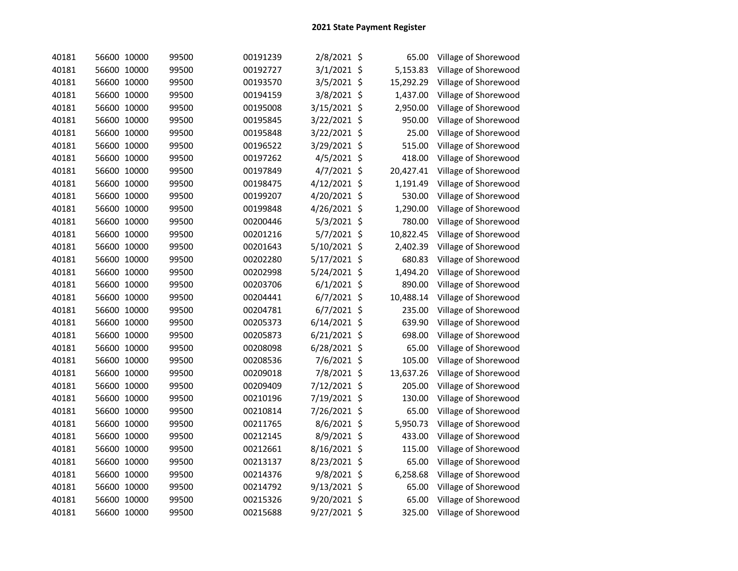| 40181 | 56600 10000 | 99500 | 00191239 | 2/8/2021 \$   | 65.00       | Village of Shorewood |
|-------|-------------|-------|----------|---------------|-------------|----------------------|
| 40181 | 56600 10000 | 99500 | 00192727 | 3/1/2021 \$   | 5,153.83    | Village of Shorewood |
| 40181 | 56600 10000 | 99500 | 00193570 | 3/5/2021 \$   | 15,292.29   | Village of Shorewood |
| 40181 | 56600 10000 | 99500 | 00194159 | 3/8/2021 \$   | 1,437.00    | Village of Shorewood |
| 40181 | 56600 10000 | 99500 | 00195008 | 3/15/2021 \$  | 2,950.00    | Village of Shorewood |
| 40181 | 56600 10000 | 99500 | 00195845 | 3/22/2021 \$  | 950.00      | Village of Shorewood |
| 40181 | 56600 10000 | 99500 | 00195848 | 3/22/2021 \$  | 25.00       | Village of Shorewood |
| 40181 | 56600 10000 | 99500 | 00196522 | 3/29/2021 \$  | 515.00      | Village of Shorewood |
| 40181 | 56600 10000 | 99500 | 00197262 | 4/5/2021 \$   | 418.00      | Village of Shorewood |
| 40181 | 56600 10000 | 99500 | 00197849 | $4/7/2021$ \$ | 20,427.41   | Village of Shorewood |
| 40181 | 56600 10000 | 99500 | 00198475 | 4/12/2021 \$  | 1,191.49    | Village of Shorewood |
| 40181 | 56600 10000 | 99500 | 00199207 | 4/20/2021 \$  | 530.00      | Village of Shorewood |
| 40181 | 56600 10000 | 99500 | 00199848 | 4/26/2021 \$  | 1,290.00    | Village of Shorewood |
| 40181 | 56600 10000 | 99500 | 00200446 | 5/3/2021 \$   | 780.00      | Village of Shorewood |
| 40181 | 56600 10000 | 99500 | 00201216 | 5/7/2021 \$   | 10,822.45   | Village of Shorewood |
| 40181 | 56600 10000 | 99500 | 00201643 | 5/10/2021 \$  | 2,402.39    | Village of Shorewood |
| 40181 | 56600 10000 | 99500 | 00202280 | 5/17/2021 \$  | 680.83      | Village of Shorewood |
| 40181 | 56600 10000 | 99500 | 00202998 | 5/24/2021 \$  | 1,494.20    | Village of Shorewood |
| 40181 | 56600 10000 | 99500 | 00203706 | $6/1/2021$ \$ | 890.00      | Village of Shorewood |
| 40181 | 56600 10000 | 99500 | 00204441 | $6/7/2021$ \$ | 10,488.14   | Village of Shorewood |
| 40181 | 56600 10000 | 99500 | 00204781 | $6/7/2021$ \$ | 235.00      | Village of Shorewood |
| 40181 | 56600 10000 | 99500 | 00205373 | 6/14/2021 \$  | 639.90      | Village of Shorewood |
| 40181 | 56600 10000 | 99500 | 00205873 | 6/21/2021 \$  | 698.00      | Village of Shorewood |
| 40181 | 56600 10000 | 99500 | 00208098 | 6/28/2021 \$  | 65.00       | Village of Shorewood |
| 40181 | 56600 10000 | 99500 | 00208536 | 7/6/2021 \$   | 105.00      | Village of Shorewood |
| 40181 | 56600 10000 | 99500 | 00209018 | 7/8/2021 \$   | 13,637.26   | Village of Shorewood |
| 40181 | 56600 10000 | 99500 | 00209409 | 7/12/2021 \$  | 205.00      | Village of Shorewood |
| 40181 | 56600 10000 | 99500 | 00210196 | 7/19/2021 \$  | 130.00      | Village of Shorewood |
| 40181 | 56600 10000 | 99500 | 00210814 | 7/26/2021 \$  | 65.00       | Village of Shorewood |
| 40181 | 56600 10000 | 99500 | 00211765 | 8/6/2021 \$   | 5,950.73    | Village of Shorewood |
| 40181 | 56600 10000 | 99500 | 00212145 | 8/9/2021 \$   | 433.00      | Village of Shorewood |
| 40181 | 56600 10000 | 99500 | 00212661 | 8/16/2021 \$  | 115.00      | Village of Shorewood |
| 40181 | 56600 10000 | 99500 | 00213137 | 8/23/2021 \$  | 65.00       | Village of Shorewood |
| 40181 | 56600 10000 | 99500 | 00214376 | 9/8/2021 \$   | 6,258.68    | Village of Shorewood |
| 40181 | 56600 10000 | 99500 | 00214792 | 9/13/2021 \$  | 65.00       | Village of Shorewood |
| 40181 | 56600 10000 | 99500 | 00215326 | 9/20/2021     | \$<br>65.00 | Village of Shorewood |
| 40181 | 56600 10000 | 99500 | 00215688 | 9/27/2021 \$  | 325.00      | Village of Shorewood |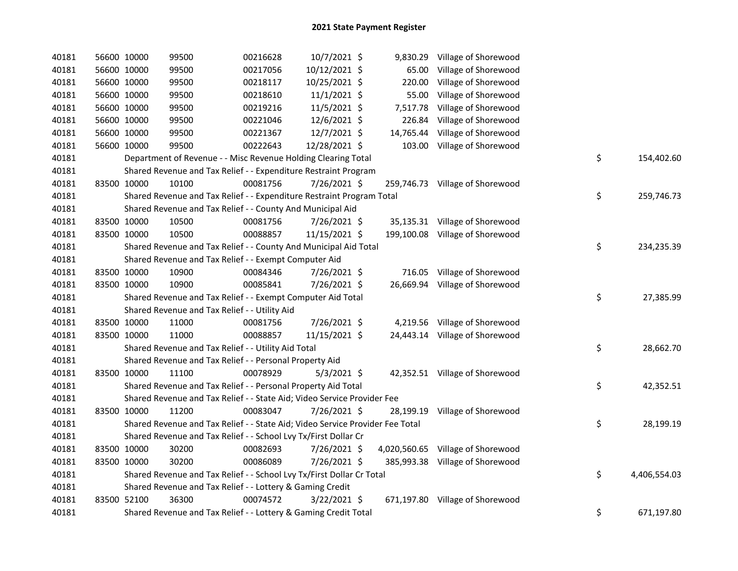| 40181 | 56600 10000 |             | 99500                                                                         | 00216628 | 10/7/2021 \$   |           | 9,830.29 Village of Shorewood     |    |              |
|-------|-------------|-------------|-------------------------------------------------------------------------------|----------|----------------|-----------|-----------------------------------|----|--------------|
| 40181 |             | 56600 10000 | 99500                                                                         | 00217056 | 10/12/2021 \$  | 65.00     | Village of Shorewood              |    |              |
| 40181 |             | 56600 10000 | 99500                                                                         | 00218117 | 10/25/2021 \$  | 220.00    | Village of Shorewood              |    |              |
| 40181 |             | 56600 10000 | 99500                                                                         | 00218610 | $11/1/2021$ \$ | 55.00     | Village of Shorewood              |    |              |
| 40181 |             | 56600 10000 | 99500                                                                         | 00219216 | 11/5/2021 \$   | 7,517.78  | Village of Shorewood              |    |              |
| 40181 |             | 56600 10000 | 99500                                                                         | 00221046 | 12/6/2021 \$   | 226.84    | Village of Shorewood              |    |              |
| 40181 |             | 56600 10000 | 99500                                                                         | 00221367 | 12/7/2021 \$   | 14,765.44 | Village of Shorewood              |    |              |
| 40181 |             | 56600 10000 | 99500                                                                         | 00222643 | 12/28/2021 \$  | 103.00    | Village of Shorewood              |    |              |
| 40181 |             |             | Department of Revenue - - Misc Revenue Holding Clearing Total                 |          |                |           |                                   | \$ | 154,402.60   |
| 40181 |             |             | Shared Revenue and Tax Relief - - Expenditure Restraint Program               |          |                |           |                                   |    |              |
| 40181 | 83500 10000 |             | 10100                                                                         | 00081756 | 7/26/2021 \$   |           | 259,746.73 Village of Shorewood   |    |              |
| 40181 |             |             | Shared Revenue and Tax Relief - - Expenditure Restraint Program Total         |          |                |           |                                   | \$ | 259,746.73   |
| 40181 |             |             | Shared Revenue and Tax Relief - - County And Municipal Aid                    |          |                |           |                                   |    |              |
| 40181 | 83500 10000 |             | 10500                                                                         | 00081756 | 7/26/2021 \$   |           | 35,135.31 Village of Shorewood    |    |              |
| 40181 | 83500 10000 |             | 10500                                                                         | 00088857 | 11/15/2021 \$  |           | 199,100.08 Village of Shorewood   |    |              |
| 40181 |             |             | Shared Revenue and Tax Relief - - County And Municipal Aid Total              |          |                |           |                                   | \$ | 234,235.39   |
| 40181 |             |             | Shared Revenue and Tax Relief - - Exempt Computer Aid                         |          |                |           |                                   |    |              |
| 40181 |             | 83500 10000 | 10900                                                                         | 00084346 | 7/26/2021 \$   | 716.05    | Village of Shorewood              |    |              |
| 40181 |             | 83500 10000 | 10900                                                                         | 00085841 | 7/26/2021 \$   | 26,669.94 | Village of Shorewood              |    |              |
| 40181 |             |             | Shared Revenue and Tax Relief - - Exempt Computer Aid Total                   |          |                |           |                                   | \$ | 27,385.99    |
| 40181 |             |             | Shared Revenue and Tax Relief - - Utility Aid                                 |          |                |           |                                   |    |              |
| 40181 | 83500 10000 |             | 11000                                                                         | 00081756 | 7/26/2021 \$   |           | 4,219.56 Village of Shorewood     |    |              |
| 40181 | 83500 10000 |             | 11000                                                                         | 00088857 | 11/15/2021 \$  |           | 24,443.14 Village of Shorewood    |    |              |
| 40181 |             |             | Shared Revenue and Tax Relief - - Utility Aid Total                           |          |                |           |                                   | \$ | 28,662.70    |
| 40181 |             |             | Shared Revenue and Tax Relief - - Personal Property Aid                       |          |                |           |                                   |    |              |
| 40181 | 83500 10000 |             | 11100                                                                         | 00078929 | $5/3/2021$ \$  |           | 42,352.51 Village of Shorewood    |    |              |
| 40181 |             |             | Shared Revenue and Tax Relief - - Personal Property Aid Total                 |          |                |           |                                   | \$ | 42,352.51    |
| 40181 |             |             | Shared Revenue and Tax Relief - - State Aid; Video Service Provider Fee       |          |                |           |                                   |    |              |
| 40181 |             | 83500 10000 | 11200                                                                         | 00083047 | 7/26/2021 \$   |           | 28,199.19 Village of Shorewood    |    |              |
| 40181 |             |             | Shared Revenue and Tax Relief - - State Aid; Video Service Provider Fee Total |          |                |           |                                   | \$ | 28,199.19    |
| 40181 |             |             | Shared Revenue and Tax Relief - - School Lvy Tx/First Dollar Cr               |          |                |           |                                   |    |              |
| 40181 |             | 83500 10000 | 30200                                                                         | 00082693 | 7/26/2021 \$   |           | 4,020,560.65 Village of Shorewood |    |              |
| 40181 | 83500 10000 |             | 30200                                                                         | 00086089 | 7/26/2021 \$   |           | 385,993.38 Village of Shorewood   |    |              |
| 40181 |             |             | Shared Revenue and Tax Relief - - School Lvy Tx/First Dollar Cr Total         |          |                |           |                                   | \$ | 4,406,554.03 |
| 40181 |             |             | Shared Revenue and Tax Relief - - Lottery & Gaming Credit                     |          |                |           |                                   |    |              |
| 40181 | 83500 52100 |             | 36300                                                                         | 00074572 | 3/22/2021 \$   |           | 671,197.80 Village of Shorewood   |    |              |
| 40181 |             |             | Shared Revenue and Tax Relief - - Lottery & Gaming Credit Total               |          |                |           |                                   | \$ | 671,197.80   |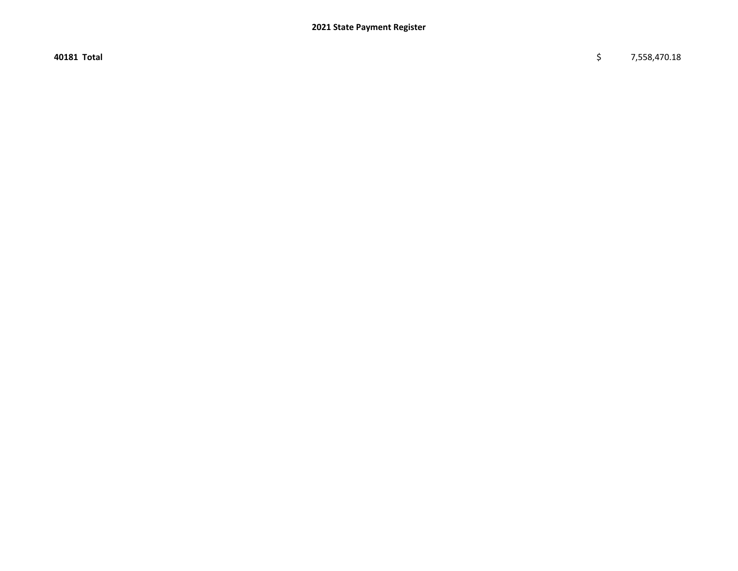40181 Total \$ 7,558,470.18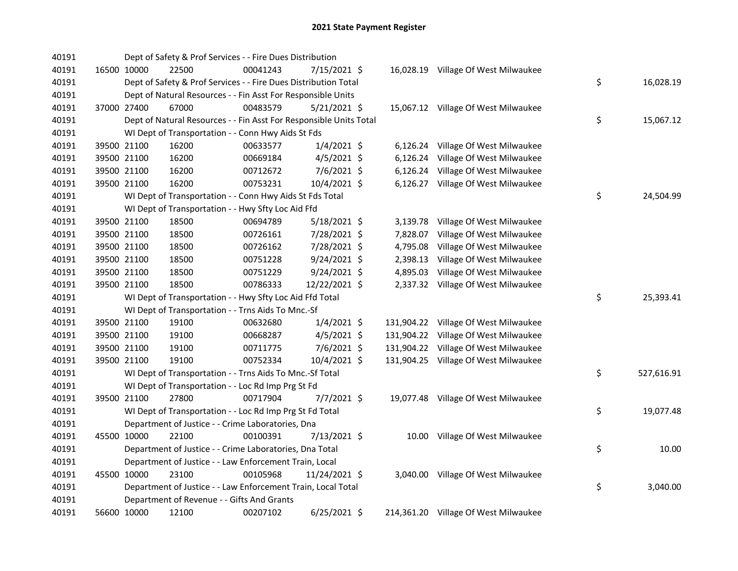| 40191 |             | Dept of Safety & Prof Services - - Fire Dues Distribution          |          |                |          |                                      |                  |
|-------|-------------|--------------------------------------------------------------------|----------|----------------|----------|--------------------------------------|------------------|
| 40191 | 16500 10000 | 22500                                                              | 00041243 | 7/15/2021 \$   |          | 16,028.19 Village Of West Milwaukee  |                  |
| 40191 |             | Dept of Safety & Prof Services - - Fire Dues Distribution Total    |          |                |          |                                      | \$<br>16,028.19  |
| 40191 |             | Dept of Natural Resources - - Fin Asst For Responsible Units       |          |                |          |                                      |                  |
| 40191 | 37000 27400 | 67000                                                              | 00483579 | $5/21/2021$ \$ |          | 15,067.12 Village Of West Milwaukee  |                  |
| 40191 |             | Dept of Natural Resources - - Fin Asst For Responsible Units Total |          |                |          |                                      | \$<br>15,067.12  |
| 40191 |             | WI Dept of Transportation - - Conn Hwy Aids St Fds                 |          |                |          |                                      |                  |
| 40191 | 39500 21100 | 16200                                                              | 00633577 | $1/4/2021$ \$  |          | 6,126.24 Village Of West Milwaukee   |                  |
| 40191 | 39500 21100 | 16200                                                              | 00669184 | $4/5/2021$ \$  |          | 6,126.24 Village Of West Milwaukee   |                  |
| 40191 | 39500 21100 | 16200                                                              | 00712672 | $7/6/2021$ \$  |          | 6,126.24 Village Of West Milwaukee   |                  |
| 40191 | 39500 21100 | 16200                                                              | 00753231 | 10/4/2021 \$   |          | 6,126.27 Village Of West Milwaukee   |                  |
| 40191 |             | WI Dept of Transportation - - Conn Hwy Aids St Fds Total           |          |                |          |                                      | \$<br>24,504.99  |
| 40191 |             | WI Dept of Transportation - - Hwy Sfty Loc Aid Ffd                 |          |                |          |                                      |                  |
| 40191 | 39500 21100 | 18500                                                              | 00694789 | 5/18/2021 \$   | 3,139.78 | Village Of West Milwaukee            |                  |
| 40191 | 39500 21100 | 18500                                                              | 00726161 | 7/28/2021 \$   | 7,828.07 | Village Of West Milwaukee            |                  |
| 40191 | 39500 21100 | 18500                                                              | 00726162 | 7/28/2021 \$   | 4,795.08 | Village Of West Milwaukee            |                  |
| 40191 | 39500 21100 | 18500                                                              | 00751228 | $9/24/2021$ \$ | 2,398.13 | Village Of West Milwaukee            |                  |
| 40191 | 39500 21100 | 18500                                                              | 00751229 | $9/24/2021$ \$ | 4,895.03 | Village Of West Milwaukee            |                  |
| 40191 | 39500 21100 | 18500                                                              | 00786333 | 12/22/2021 \$  |          | 2,337.32 Village Of West Milwaukee   |                  |
| 40191 |             | WI Dept of Transportation - - Hwy Sfty Loc Aid Ffd Total           |          |                |          |                                      | \$<br>25,393.41  |
| 40191 |             | WI Dept of Transportation - - Trns Aids To Mnc.-Sf                 |          |                |          |                                      |                  |
| 40191 | 39500 21100 | 19100                                                              | 00632680 | $1/4/2021$ \$  |          | 131,904.22 Village Of West Milwaukee |                  |
| 40191 | 39500 21100 | 19100                                                              | 00668287 | $4/5/2021$ \$  |          | 131,904.22 Village Of West Milwaukee |                  |
| 40191 | 39500 21100 | 19100                                                              | 00711775 | $7/6/2021$ \$  |          | 131,904.22 Village Of West Milwaukee |                  |
| 40191 | 39500 21100 | 19100                                                              | 00752334 | 10/4/2021 \$   |          | 131,904.25 Village Of West Milwaukee |                  |
| 40191 |             | WI Dept of Transportation - - Trns Aids To Mnc.-Sf Total           |          |                |          |                                      | \$<br>527,616.91 |
| 40191 |             | WI Dept of Transportation - - Loc Rd Imp Prg St Fd                 |          |                |          |                                      |                  |
| 40191 | 39500 21100 | 27800                                                              | 00717904 | 7/7/2021 \$    |          | 19,077.48 Village Of West Milwaukee  |                  |
| 40191 |             | WI Dept of Transportation - - Loc Rd Imp Prg St Fd Total           |          |                |          |                                      | \$<br>19,077.48  |
| 40191 |             | Department of Justice - - Crime Laboratories, Dna                  |          |                |          |                                      |                  |
| 40191 | 45500 10000 | 22100                                                              | 00100391 | 7/13/2021 \$   |          | 10.00 Village Of West Milwaukee      |                  |
| 40191 |             | Department of Justice - - Crime Laboratories, Dna Total            |          |                |          |                                      | \$<br>10.00      |
| 40191 |             | Department of Justice - - Law Enforcement Train, Local             |          |                |          |                                      |                  |
| 40191 | 45500 10000 | 23100                                                              | 00105968 | 11/24/2021 \$  |          | 3,040.00 Village Of West Milwaukee   |                  |
| 40191 |             | Department of Justice - - Law Enforcement Train, Local Total       |          |                |          |                                      | \$<br>3,040.00   |
| 40191 |             | Department of Revenue - - Gifts And Grants                         |          |                |          |                                      |                  |
| 40191 | 56600 10000 | 12100                                                              | 00207102 | $6/25/2021$ \$ |          | 214,361.20 Village Of West Milwaukee |                  |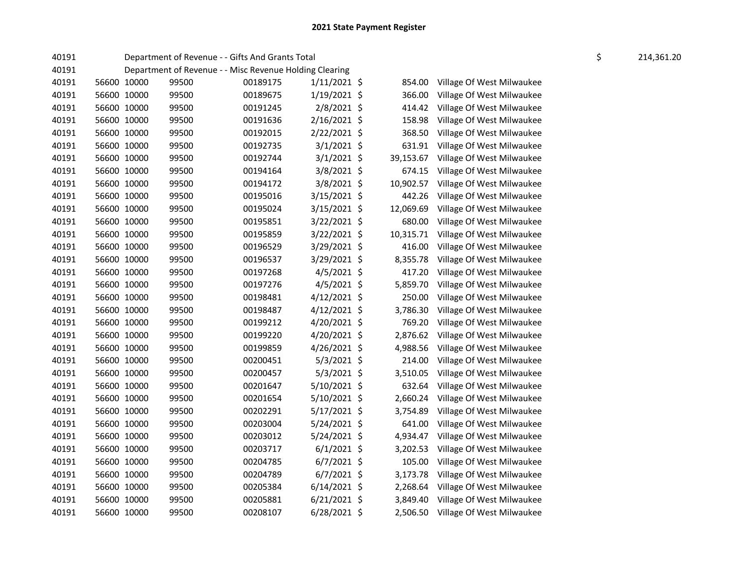| 40191 |             | Department of Revenue - - Gifts And Grants Total        |          |                |           |                                    | \$<br>214,361.20 |
|-------|-------------|---------------------------------------------------------|----------|----------------|-----------|------------------------------------|------------------|
| 40191 |             | Department of Revenue - - Misc Revenue Holding Clearing |          |                |           |                                    |                  |
| 40191 | 56600 10000 | 99500                                                   | 00189175 | $1/11/2021$ \$ | 854.00    | Village Of West Milwaukee          |                  |
| 40191 | 56600 10000 | 99500                                                   | 00189675 | $1/19/2021$ \$ | 366.00    | Village Of West Milwaukee          |                  |
| 40191 | 56600 10000 | 99500                                                   | 00191245 | $2/8/2021$ \$  | 414.42    | Village Of West Milwaukee          |                  |
| 40191 | 56600 10000 | 99500                                                   | 00191636 | 2/16/2021 \$   | 158.98    | Village Of West Milwaukee          |                  |
| 40191 | 56600 10000 | 99500                                                   | 00192015 | $2/22/2021$ \$ | 368.50    | Village Of West Milwaukee          |                  |
| 40191 | 56600 10000 | 99500                                                   | 00192735 | $3/1/2021$ \$  | 631.91    | Village Of West Milwaukee          |                  |
| 40191 | 56600 10000 | 99500                                                   | 00192744 | $3/1/2021$ \$  | 39,153.67 | Village Of West Milwaukee          |                  |
| 40191 | 56600 10000 | 99500                                                   | 00194164 | 3/8/2021 \$    | 674.15    | Village Of West Milwaukee          |                  |
| 40191 | 56600 10000 | 99500                                                   | 00194172 | 3/8/2021 \$    | 10,902.57 | Village Of West Milwaukee          |                  |
| 40191 | 56600 10000 | 99500                                                   | 00195016 | $3/15/2021$ \$ | 442.26    | Village Of West Milwaukee          |                  |
| 40191 | 56600 10000 | 99500                                                   | 00195024 | $3/15/2021$ \$ | 12,069.69 | Village Of West Milwaukee          |                  |
| 40191 | 56600 10000 | 99500                                                   | 00195851 | 3/22/2021 \$   | 680.00    | Village Of West Milwaukee          |                  |
| 40191 | 56600 10000 | 99500                                                   | 00195859 | 3/22/2021 \$   | 10,315.71 | Village Of West Milwaukee          |                  |
| 40191 | 56600 10000 | 99500                                                   | 00196529 | $3/29/2021$ \$ | 416.00    | Village Of West Milwaukee          |                  |
| 40191 | 56600 10000 | 99500                                                   | 00196537 | $3/29/2021$ \$ | 8,355.78  | Village Of West Milwaukee          |                  |
| 40191 | 56600 10000 | 99500                                                   | 00197268 | $4/5/2021$ \$  | 417.20    | Village Of West Milwaukee          |                  |
| 40191 | 56600 10000 | 99500                                                   | 00197276 | $4/5/2021$ \$  | 5,859.70  | Village Of West Milwaukee          |                  |
| 40191 | 56600 10000 | 99500                                                   | 00198481 | $4/12/2021$ \$ | 250.00    | Village Of West Milwaukee          |                  |
| 40191 | 56600 10000 | 99500                                                   | 00198487 | 4/12/2021 \$   | 3,786.30  | Village Of West Milwaukee          |                  |
| 40191 | 56600 10000 | 99500                                                   | 00199212 | 4/20/2021 \$   | 769.20    | Village Of West Milwaukee          |                  |
| 40191 | 56600 10000 | 99500                                                   | 00199220 | 4/20/2021 \$   | 2,876.62  | Village Of West Milwaukee          |                  |
| 40191 | 56600 10000 | 99500                                                   | 00199859 | $4/26/2021$ \$ | 4,988.56  | Village Of West Milwaukee          |                  |
| 40191 | 56600 10000 | 99500                                                   | 00200451 | $5/3/2021$ \$  | 214.00    | Village Of West Milwaukee          |                  |
| 40191 | 56600 10000 | 99500                                                   | 00200457 | $5/3/2021$ \$  | 3,510.05  | Village Of West Milwaukee          |                  |
| 40191 | 56600 10000 | 99500                                                   | 00201647 | 5/10/2021 \$   | 632.64    | Village Of West Milwaukee          |                  |
| 40191 | 56600 10000 | 99500                                                   | 00201654 | $5/10/2021$ \$ | 2,660.24  | Village Of West Milwaukee          |                  |
| 40191 | 56600 10000 | 99500                                                   | 00202291 | $5/17/2021$ \$ | 3,754.89  | Village Of West Milwaukee          |                  |
| 40191 | 56600 10000 | 99500                                                   | 00203004 | 5/24/2021 \$   | 641.00    | Village Of West Milwaukee          |                  |
| 40191 | 56600 10000 | 99500                                                   | 00203012 | $5/24/2021$ \$ | 4,934.47  | Village Of West Milwaukee          |                  |
| 40191 | 56600 10000 | 99500                                                   | 00203717 | $6/1/2021$ \$  | 3,202.53  | Village Of West Milwaukee          |                  |
| 40191 | 56600 10000 | 99500                                                   | 00204785 | $6/7/2021$ \$  | 105.00    | Village Of West Milwaukee          |                  |
| 40191 | 56600 10000 | 99500                                                   | 00204789 | $6/7/2021$ \$  | 3,173.78  | Village Of West Milwaukee          |                  |
| 40191 | 56600 10000 | 99500                                                   | 00205384 | $6/14/2021$ \$ | 2,268.64  | Village Of West Milwaukee          |                  |
| 40191 | 56600 10000 | 99500                                                   | 00205881 | $6/21/2021$ \$ | 3,849.40  | Village Of West Milwaukee          |                  |
| 40191 | 56600 10000 | 99500                                                   | 00208107 | $6/28/2021$ \$ |           | 2,506.50 Village Of West Milwaukee |                  |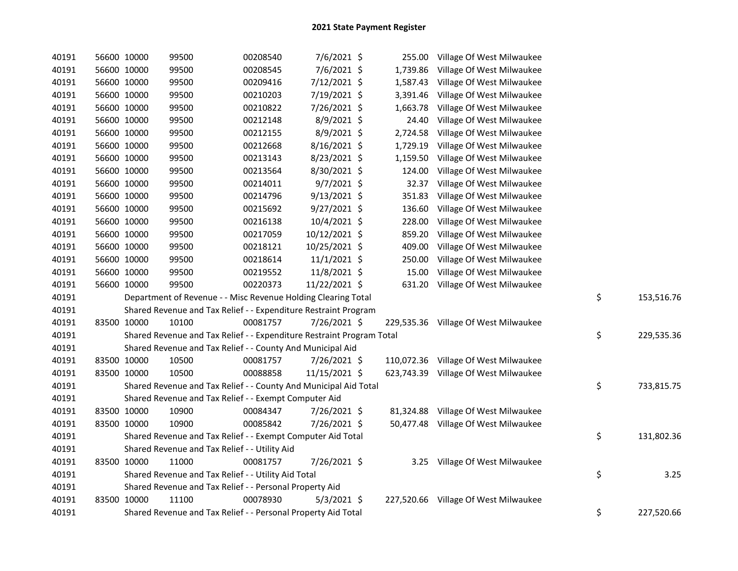| 40191 | 56600 10000 | 99500                                                                 | 00208540 | 7/6/2021 \$    |           | 255.00 Village Of West Milwaukee     |                  |
|-------|-------------|-----------------------------------------------------------------------|----------|----------------|-----------|--------------------------------------|------------------|
| 40191 | 56600 10000 | 99500                                                                 | 00208545 | 7/6/2021 \$    | 1,739.86  | Village Of West Milwaukee            |                  |
| 40191 | 56600 10000 | 99500                                                                 | 00209416 | 7/12/2021 \$   | 1,587.43  | Village Of West Milwaukee            |                  |
| 40191 | 56600 10000 | 99500                                                                 | 00210203 | 7/19/2021 \$   | 3,391.46  | Village Of West Milwaukee            |                  |
| 40191 | 56600 10000 | 99500                                                                 | 00210822 | 7/26/2021 \$   | 1,663.78  | Village Of West Milwaukee            |                  |
| 40191 | 56600 10000 | 99500                                                                 | 00212148 | 8/9/2021 \$    | 24.40     | Village Of West Milwaukee            |                  |
| 40191 | 56600 10000 | 99500                                                                 | 00212155 | 8/9/2021 \$    | 2,724.58  | Village Of West Milwaukee            |                  |
| 40191 | 56600 10000 | 99500                                                                 | 00212668 | 8/16/2021 \$   | 1,729.19  | Village Of West Milwaukee            |                  |
| 40191 | 56600 10000 | 99500                                                                 | 00213143 | 8/23/2021 \$   | 1,159.50  | Village Of West Milwaukee            |                  |
| 40191 | 56600 10000 | 99500                                                                 | 00213564 | 8/30/2021 \$   | 124.00    | Village Of West Milwaukee            |                  |
| 40191 | 56600 10000 | 99500                                                                 | 00214011 | $9/7/2021$ \$  | 32.37     | Village Of West Milwaukee            |                  |
| 40191 | 56600 10000 | 99500                                                                 | 00214796 | $9/13/2021$ \$ | 351.83    | Village Of West Milwaukee            |                  |
| 40191 | 56600 10000 | 99500                                                                 | 00215692 | 9/27/2021 \$   | 136.60    | Village Of West Milwaukee            |                  |
| 40191 | 56600 10000 | 99500                                                                 | 00216138 | 10/4/2021 \$   | 228.00    | Village Of West Milwaukee            |                  |
| 40191 | 56600 10000 | 99500                                                                 | 00217059 | 10/12/2021 \$  | 859.20    | Village Of West Milwaukee            |                  |
| 40191 | 56600 10000 | 99500                                                                 | 00218121 | 10/25/2021 \$  | 409.00    | Village Of West Milwaukee            |                  |
| 40191 | 56600 10000 | 99500                                                                 | 00218614 | $11/1/2021$ \$ | 250.00    | Village Of West Milwaukee            |                  |
| 40191 | 56600 10000 | 99500                                                                 | 00219552 | 11/8/2021 \$   | 15.00     | Village Of West Milwaukee            |                  |
| 40191 | 56600 10000 | 99500                                                                 | 00220373 | 11/22/2021 \$  |           | 631.20 Village Of West Milwaukee     |                  |
| 40191 |             | Department of Revenue - - Misc Revenue Holding Clearing Total         |          |                |           |                                      | \$<br>153,516.76 |
| 40191 |             | Shared Revenue and Tax Relief - - Expenditure Restraint Program       |          |                |           |                                      |                  |
| 40191 | 83500 10000 | 10100                                                                 | 00081757 | 7/26/2021 \$   |           | 229,535.36 Village Of West Milwaukee |                  |
| 40191 |             | Shared Revenue and Tax Relief - - Expenditure Restraint Program Total |          |                |           |                                      | \$<br>229,535.36 |
| 40191 |             | Shared Revenue and Tax Relief - - County And Municipal Aid            |          |                |           |                                      |                  |
| 40191 | 83500 10000 | 10500                                                                 | 00081757 | 7/26/2021 \$   |           | 110,072.36 Village Of West Milwaukee |                  |
| 40191 | 83500 10000 | 10500                                                                 | 00088858 | 11/15/2021 \$  |           | 623,743.39 Village Of West Milwaukee |                  |
| 40191 |             | Shared Revenue and Tax Relief - - County And Municipal Aid Total      |          |                |           |                                      | \$<br>733,815.75 |
| 40191 |             | Shared Revenue and Tax Relief - - Exempt Computer Aid                 |          |                |           |                                      |                  |
| 40191 | 83500 10000 | 10900                                                                 | 00084347 | 7/26/2021 \$   | 81,324.88 | Village Of West Milwaukee            |                  |
| 40191 | 83500 10000 | 10900                                                                 | 00085842 | 7/26/2021 \$   |           | 50,477.48 Village Of West Milwaukee  |                  |
| 40191 |             | Shared Revenue and Tax Relief - - Exempt Computer Aid Total           |          |                |           |                                      | \$<br>131,802.36 |
| 40191 |             | Shared Revenue and Tax Relief - - Utility Aid                         |          |                |           |                                      |                  |
| 40191 | 83500 10000 | 11000                                                                 | 00081757 | 7/26/2021 \$   | 3.25      | Village Of West Milwaukee            |                  |
| 40191 |             | Shared Revenue and Tax Relief - - Utility Aid Total                   |          |                |           |                                      | \$<br>3.25       |
| 40191 |             | Shared Revenue and Tax Relief - - Personal Property Aid               |          |                |           |                                      |                  |
| 40191 | 83500 10000 | 11100                                                                 | 00078930 | $5/3/2021$ \$  |           | 227,520.66 Village Of West Milwaukee |                  |
| 40191 |             | Shared Revenue and Tax Relief - - Personal Property Aid Total         |          |                |           |                                      | \$<br>227,520.66 |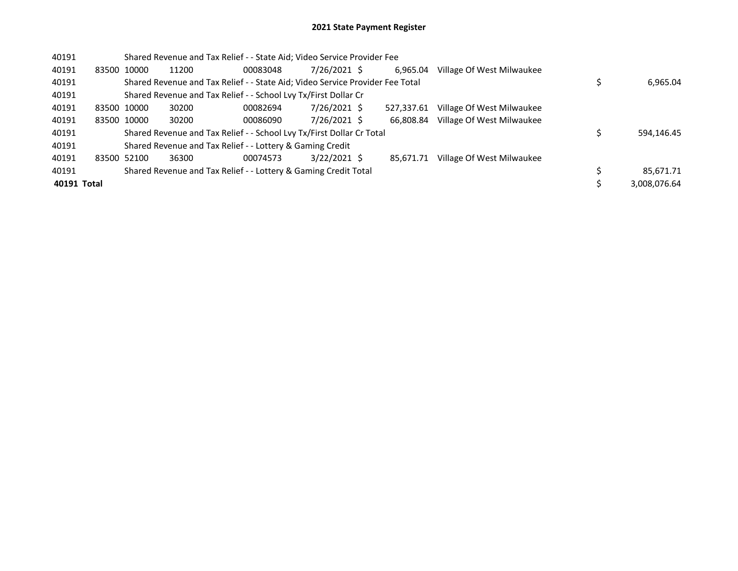## 2021 State Payment Register

| 40191       |             | Shared Revenue and Tax Relief - - State Aid; Video Service Provider Fee       |          |                |            |                           |              |
|-------------|-------------|-------------------------------------------------------------------------------|----------|----------------|------------|---------------------------|--------------|
| 40191       | 83500 10000 | 11200                                                                         | 00083048 | 7/26/2021 \$   | 6,965.04   | Village Of West Milwaukee |              |
| 40191       |             | Shared Revenue and Tax Relief - - State Aid; Video Service Provider Fee Total |          |                |            |                           | 6,965.04     |
| 40191       |             | Shared Revenue and Tax Relief - - School Lvy Tx/First Dollar Cr               |          |                |            |                           |              |
| 40191       | 83500 10000 | 30200                                                                         | 00082694 | 7/26/2021 \$   | 527.337.61 | Village Of West Milwaukee |              |
| 40191       | 83500 10000 | 30200                                                                         | 00086090 | 7/26/2021 \$   | 66.808.84  | Village Of West Milwaukee |              |
| 40191       |             | Shared Revenue and Tax Relief - - School Lvy Tx/First Dollar Cr Total         |          |                |            |                           | 594,146.45   |
| 40191       |             | Shared Revenue and Tax Relief - - Lottery & Gaming Credit                     |          |                |            |                           |              |
| 40191       | 83500 52100 | 36300                                                                         | 00074573 | $3/22/2021$ \$ | 85.671.71  | Village Of West Milwaukee |              |
| 40191       |             | Shared Revenue and Tax Relief - - Lottery & Gaming Credit Total               |          |                |            |                           | 85,671.71    |
| 40191 Total |             |                                                                               |          |                |            |                           | 3,008,076.64 |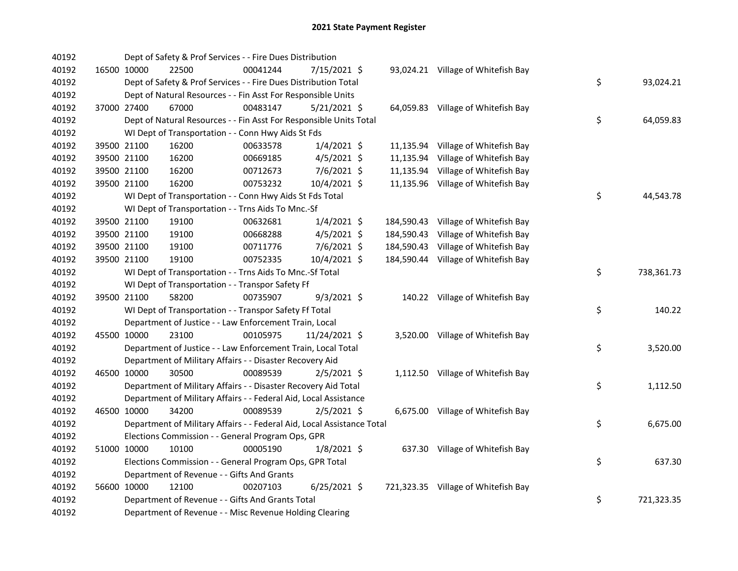| 40192 |             | Dept of Safety & Prof Services - - Fire Dues Distribution              |          |                |  |                                     |    |            |
|-------|-------------|------------------------------------------------------------------------|----------|----------------|--|-------------------------------------|----|------------|
| 40192 |             | 16500 10000<br>22500                                                   | 00041244 | 7/15/2021 \$   |  | 93,024.21 Village of Whitefish Bay  |    |            |
| 40192 |             | Dept of Safety & Prof Services - - Fire Dues Distribution Total        |          |                |  |                                     | \$ | 93,024.21  |
| 40192 |             | Dept of Natural Resources - - Fin Asst For Responsible Units           |          |                |  |                                     |    |            |
| 40192 |             | 37000 27400<br>67000                                                   | 00483147 | $5/21/2021$ \$ |  | 64,059.83 Village of Whitefish Bay  |    |            |
| 40192 |             | Dept of Natural Resources - - Fin Asst For Responsible Units Total     |          |                |  |                                     | \$ | 64,059.83  |
| 40192 |             | WI Dept of Transportation - - Conn Hwy Aids St Fds                     |          |                |  |                                     |    |            |
| 40192 |             | 39500 21100<br>16200                                                   | 00633578 | $1/4/2021$ \$  |  | 11,135.94 Village of Whitefish Bay  |    |            |
| 40192 |             | 39500 21100<br>16200                                                   | 00669185 | $4/5/2021$ \$  |  | 11,135.94 Village of Whitefish Bay  |    |            |
| 40192 |             | 39500 21100<br>16200                                                   | 00712673 | 7/6/2021 \$    |  | 11,135.94 Village of Whitefish Bay  |    |            |
| 40192 | 39500 21100 | 16200                                                                  | 00753232 | 10/4/2021 \$   |  | 11,135.96 Village of Whitefish Bay  |    |            |
| 40192 |             | WI Dept of Transportation - - Conn Hwy Aids St Fds Total               |          |                |  |                                     | \$ | 44,543.78  |
| 40192 |             | WI Dept of Transportation - - Trns Aids To Mnc.-Sf                     |          |                |  |                                     |    |            |
| 40192 |             | 39500 21100<br>19100                                                   | 00632681 | $1/4/2021$ \$  |  | 184,590.43 Village of Whitefish Bay |    |            |
| 40192 |             | 39500 21100<br>19100                                                   | 00668288 | $4/5/2021$ \$  |  | 184,590.43 Village of Whitefish Bay |    |            |
| 40192 |             | 39500 21100<br>19100                                                   | 00711776 | 7/6/2021 \$    |  | 184,590.43 Village of Whitefish Bay |    |            |
| 40192 |             | 39500 21100<br>19100                                                   | 00752335 | 10/4/2021 \$   |  | 184,590.44 Village of Whitefish Bay |    |            |
| 40192 |             | WI Dept of Transportation - - Trns Aids To Mnc.-Sf Total               |          |                |  |                                     | \$ | 738,361.73 |
| 40192 |             | WI Dept of Transportation - - Transpor Safety Ff                       |          |                |  |                                     |    |            |
| 40192 | 39500 21100 | 58200                                                                  | 00735907 | $9/3/2021$ \$  |  | 140.22 Village of Whitefish Bay     |    |            |
| 40192 |             | WI Dept of Transportation - - Transpor Safety Ff Total                 |          |                |  |                                     | \$ | 140.22     |
| 40192 |             | Department of Justice - - Law Enforcement Train, Local                 |          |                |  |                                     |    |            |
| 40192 | 45500 10000 | 23100                                                                  | 00105975 | 11/24/2021 \$  |  | 3,520.00 Village of Whitefish Bay   |    |            |
| 40192 |             | Department of Justice - - Law Enforcement Train, Local Total           |          |                |  |                                     | \$ | 3,520.00   |
| 40192 |             | Department of Military Affairs - - Disaster Recovery Aid               |          |                |  |                                     |    |            |
| 40192 |             | 30500<br>46500 10000                                                   | 00089539 | $2/5/2021$ \$  |  | 1,112.50 Village of Whitefish Bay   |    |            |
| 40192 |             | Department of Military Affairs - - Disaster Recovery Aid Total         |          |                |  |                                     | \$ | 1,112.50   |
| 40192 |             | Department of Military Affairs - - Federal Aid, Local Assistance       |          |                |  |                                     |    |            |
| 40192 |             | 46500 10000<br>34200                                                   | 00089539 | $2/5/2021$ \$  |  | 6,675.00 Village of Whitefish Bay   |    |            |
| 40192 |             | Department of Military Affairs - - Federal Aid, Local Assistance Total |          |                |  |                                     | \$ | 6,675.00   |
| 40192 |             | Elections Commission - - General Program Ops, GPR                      |          |                |  |                                     |    |            |
| 40192 |             | 51000 10000<br>10100                                                   | 00005190 | $1/8/2021$ \$  |  | 637.30 Village of Whitefish Bay     |    |            |
| 40192 |             | Elections Commission - - General Program Ops, GPR Total                |          |                |  |                                     | \$ | 637.30     |
| 40192 |             | Department of Revenue - - Gifts And Grants                             |          |                |  |                                     |    |            |
| 40192 |             | 56600 10000<br>12100                                                   | 00207103 | $6/25/2021$ \$ |  | 721,323.35 Village of Whitefish Bay |    |            |
| 40192 |             | Department of Revenue - - Gifts And Grants Total                       |          |                |  |                                     | \$ | 721,323.35 |
| 40192 |             | Department of Revenue - - Misc Revenue Holding Clearing                |          |                |  |                                     |    |            |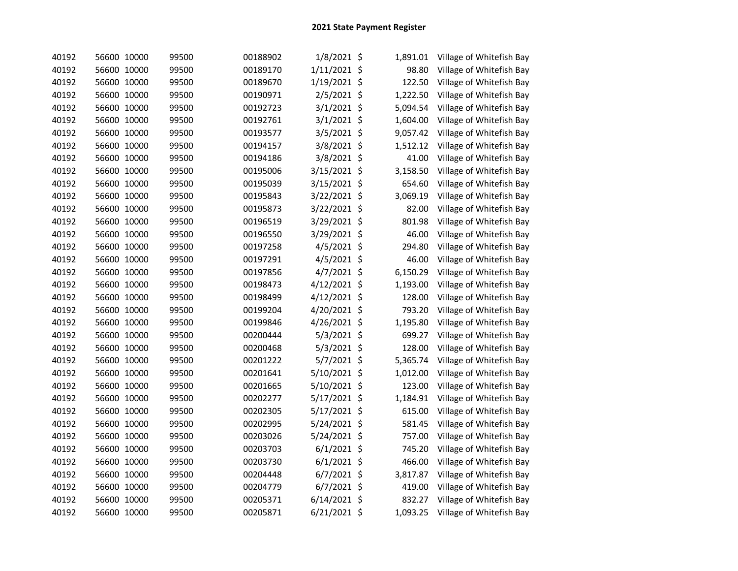| 40192 | 56600 10000 | 99500 | 00188902 | $1/8/2021$ \$  | 1,891.01       | Village of Whitefish Bay |
|-------|-------------|-------|----------|----------------|----------------|--------------------------|
| 40192 | 56600 10000 | 99500 | 00189170 | 1/11/2021 \$   | 98.80          | Village of Whitefish Bay |
| 40192 | 56600 10000 | 99500 | 00189670 | 1/19/2021 \$   | 122.50         | Village of Whitefish Bay |
| 40192 | 56600 10000 | 99500 | 00190971 | 2/5/2021 \$    | 1,222.50       | Village of Whitefish Bay |
| 40192 | 56600 10000 | 99500 | 00192723 | 3/1/2021 \$    | 5,094.54       | Village of Whitefish Bay |
| 40192 | 56600 10000 | 99500 | 00192761 | 3/1/2021       | \$<br>1,604.00 | Village of Whitefish Bay |
| 40192 | 56600 10000 | 99500 | 00193577 | 3/5/2021       | \$<br>9,057.42 | Village of Whitefish Bay |
| 40192 | 56600 10000 | 99500 | 00194157 | 3/8/2021 \$    | 1,512.12       | Village of Whitefish Bay |
| 40192 | 56600 10000 | 99500 | 00194186 | 3/8/2021 \$    | 41.00          | Village of Whitefish Bay |
| 40192 | 56600 10000 | 99500 | 00195006 | 3/15/2021 \$   | 3,158.50       | Village of Whitefish Bay |
| 40192 | 56600 10000 | 99500 | 00195039 | 3/15/2021 \$   | 654.60         | Village of Whitefish Bay |
| 40192 | 56600 10000 | 99500 | 00195843 | 3/22/2021 \$   | 3,069.19       | Village of Whitefish Bay |
| 40192 | 56600 10000 | 99500 | 00195873 | 3/22/2021 \$   | 82.00          | Village of Whitefish Bay |
| 40192 | 56600 10000 | 99500 | 00196519 | 3/29/2021 \$   | 801.98         | Village of Whitefish Bay |
| 40192 | 56600 10000 | 99500 | 00196550 | 3/29/2021 \$   | 46.00          | Village of Whitefish Bay |
| 40192 | 56600 10000 | 99500 | 00197258 | 4/5/2021 \$    | 294.80         | Village of Whitefish Bay |
| 40192 | 56600 10000 | 99500 | 00197291 | 4/5/2021 \$    | 46.00          | Village of Whitefish Bay |
| 40192 | 56600 10000 | 99500 | 00197856 | 4/7/2021 \$    | 6,150.29       | Village of Whitefish Bay |
| 40192 | 56600 10000 | 99500 | 00198473 | $4/12/2021$ \$ | 1,193.00       | Village of Whitefish Bay |
| 40192 | 56600 10000 | 99500 | 00198499 | 4/12/2021 \$   | 128.00         | Village of Whitefish Bay |
| 40192 | 56600 10000 | 99500 | 00199204 | 4/20/2021 \$   | 793.20         | Village of Whitefish Bay |
| 40192 | 56600 10000 | 99500 | 00199846 | 4/26/2021 \$   | 1,195.80       | Village of Whitefish Bay |
| 40192 | 56600 10000 | 99500 | 00200444 | 5/3/2021 \$    | 699.27         | Village of Whitefish Bay |
| 40192 | 56600 10000 | 99500 | 00200468 | $5/3/2021$ \$  | 128.00         | Village of Whitefish Bay |
| 40192 | 56600 10000 | 99500 | 00201222 | $5/7/2021$ \$  | 5,365.74       | Village of Whitefish Bay |
| 40192 | 56600 10000 | 99500 | 00201641 | 5/10/2021      | \$<br>1,012.00 | Village of Whitefish Bay |
| 40192 | 56600 10000 | 99500 | 00201665 | 5/10/2021 \$   | 123.00         | Village of Whitefish Bay |
| 40192 | 56600 10000 | 99500 | 00202277 | 5/17/2021 \$   | 1,184.91       | Village of Whitefish Bay |
| 40192 | 56600 10000 | 99500 | 00202305 | 5/17/2021 \$   | 615.00         | Village of Whitefish Bay |
| 40192 | 56600 10000 | 99500 | 00202995 | 5/24/2021 \$   | 581.45         | Village of Whitefish Bay |
| 40192 | 56600 10000 | 99500 | 00203026 | 5/24/2021 \$   | 757.00         | Village of Whitefish Bay |
| 40192 | 56600 10000 | 99500 | 00203703 | $6/1/2021$ \$  | 745.20         | Village of Whitefish Bay |
| 40192 | 56600 10000 | 99500 | 00203730 | $6/1/2021$ \$  | 466.00         | Village of Whitefish Bay |
| 40192 | 56600 10000 | 99500 | 00204448 | $6/7/2021$ \$  | 3,817.87       | Village of Whitefish Bay |
| 40192 | 56600 10000 | 99500 | 00204779 | $6/7/2021$ \$  | 419.00         | Village of Whitefish Bay |
| 40192 | 56600 10000 | 99500 | 00205371 | $6/14/2021$ \$ | 832.27         | Village of Whitefish Bay |
| 40192 | 56600 10000 | 99500 | 00205871 | 6/21/2021 \$   | 1,093.25       | Village of Whitefish Bay |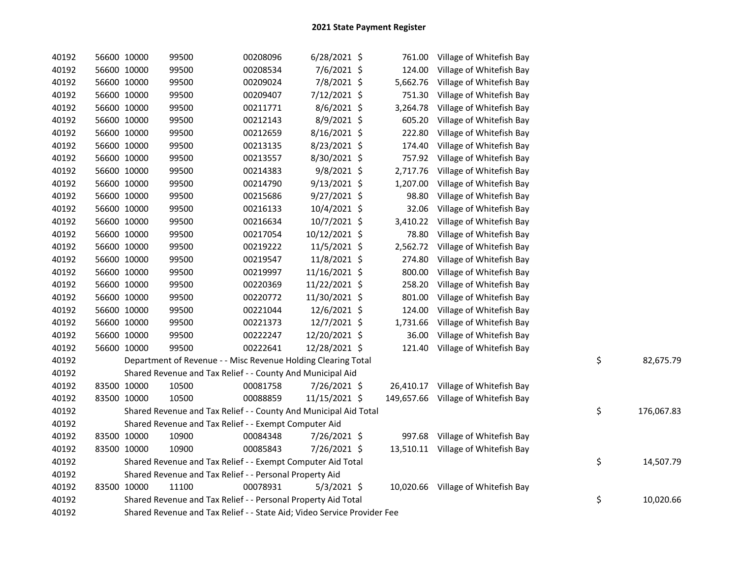| 40192 | 56600 10000 | 99500                                                                   | 00208096 | $6/28/2021$ \$ | 761.00   | Village of Whitefish Bay            |                  |
|-------|-------------|-------------------------------------------------------------------------|----------|----------------|----------|-------------------------------------|------------------|
| 40192 | 56600 10000 | 99500                                                                   | 00208534 | 7/6/2021 \$    | 124.00   | Village of Whitefish Bay            |                  |
| 40192 | 56600 10000 | 99500                                                                   | 00209024 | 7/8/2021 \$    | 5,662.76 | Village of Whitefish Bay            |                  |
| 40192 | 56600 10000 | 99500                                                                   | 00209407 | 7/12/2021 \$   | 751.30   | Village of Whitefish Bay            |                  |
| 40192 | 56600 10000 | 99500                                                                   | 00211771 | 8/6/2021 \$    | 3,264.78 | Village of Whitefish Bay            |                  |
| 40192 | 56600 10000 | 99500                                                                   | 00212143 | 8/9/2021 \$    | 605.20   | Village of Whitefish Bay            |                  |
| 40192 | 56600 10000 | 99500                                                                   | 00212659 | 8/16/2021 \$   | 222.80   | Village of Whitefish Bay            |                  |
| 40192 | 56600 10000 | 99500                                                                   | 00213135 | 8/23/2021 \$   | 174.40   | Village of Whitefish Bay            |                  |
| 40192 | 56600 10000 | 99500                                                                   | 00213557 | 8/30/2021 \$   | 757.92   | Village of Whitefish Bay            |                  |
| 40192 | 56600 10000 | 99500                                                                   | 00214383 | 9/8/2021 \$    | 2,717.76 | Village of Whitefish Bay            |                  |
| 40192 | 56600 10000 | 99500                                                                   | 00214790 | $9/13/2021$ \$ | 1,207.00 | Village of Whitefish Bay            |                  |
| 40192 | 56600 10000 | 99500                                                                   | 00215686 | $9/27/2021$ \$ | 98.80    | Village of Whitefish Bay            |                  |
| 40192 | 56600 10000 | 99500                                                                   | 00216133 | 10/4/2021 \$   | 32.06    | Village of Whitefish Bay            |                  |
| 40192 | 56600 10000 | 99500                                                                   | 00216634 | 10/7/2021 \$   | 3,410.22 | Village of Whitefish Bay            |                  |
| 40192 | 56600 10000 | 99500                                                                   | 00217054 | 10/12/2021 \$  | 78.80    | Village of Whitefish Bay            |                  |
| 40192 | 56600 10000 | 99500                                                                   | 00219222 | 11/5/2021 \$   | 2,562.72 | Village of Whitefish Bay            |                  |
| 40192 | 56600 10000 | 99500                                                                   | 00219547 | 11/8/2021 \$   | 274.80   | Village of Whitefish Bay            |                  |
| 40192 | 56600 10000 | 99500                                                                   | 00219997 | 11/16/2021 \$  | 800.00   | Village of Whitefish Bay            |                  |
| 40192 | 56600 10000 | 99500                                                                   | 00220369 | 11/22/2021 \$  | 258.20   | Village of Whitefish Bay            |                  |
| 40192 | 56600 10000 | 99500                                                                   | 00220772 | 11/30/2021 \$  | 801.00   | Village of Whitefish Bay            |                  |
| 40192 | 56600 10000 | 99500                                                                   | 00221044 | 12/6/2021 \$   | 124.00   | Village of Whitefish Bay            |                  |
| 40192 | 56600 10000 | 99500                                                                   | 00221373 | 12/7/2021 \$   | 1,731.66 | Village of Whitefish Bay            |                  |
| 40192 | 56600 10000 | 99500                                                                   | 00222247 | 12/20/2021 \$  | 36.00    | Village of Whitefish Bay            |                  |
| 40192 | 56600 10000 | 99500                                                                   | 00222641 | 12/28/2021 \$  | 121.40   | Village of Whitefish Bay            |                  |
| 40192 |             | Department of Revenue - - Misc Revenue Holding Clearing Total           |          |                |          |                                     | \$<br>82,675.79  |
| 40192 |             | Shared Revenue and Tax Relief - - County And Municipal Aid              |          |                |          |                                     |                  |
| 40192 | 83500 10000 | 10500                                                                   | 00081758 | 7/26/2021 \$   |          | 26,410.17 Village of Whitefish Bay  |                  |
| 40192 | 83500 10000 | 10500                                                                   | 00088859 | 11/15/2021 \$  |          | 149,657.66 Village of Whitefish Bay |                  |
| 40192 |             | Shared Revenue and Tax Relief - - County And Municipal Aid Total        |          |                |          |                                     | \$<br>176,067.83 |
| 40192 |             | Shared Revenue and Tax Relief - - Exempt Computer Aid                   |          |                |          |                                     |                  |
| 40192 | 83500 10000 | 10900                                                                   | 00084348 | 7/26/2021 \$   |          | 997.68 Village of Whitefish Bay     |                  |
| 40192 | 83500 10000 | 10900                                                                   | 00085843 | 7/26/2021 \$   |          | 13,510.11 Village of Whitefish Bay  |                  |
| 40192 |             | Shared Revenue and Tax Relief - - Exempt Computer Aid Total             |          |                |          |                                     | \$<br>14,507.79  |
| 40192 |             | Shared Revenue and Tax Relief - - Personal Property Aid                 |          |                |          |                                     |                  |
| 40192 | 83500 10000 | 11100                                                                   | 00078931 | $5/3/2021$ \$  |          | 10,020.66 Village of Whitefish Bay  |                  |
| 40192 |             | Shared Revenue and Tax Relief - - Personal Property Aid Total           |          |                |          |                                     | \$<br>10,020.66  |
| 40192 |             | Shared Revenue and Tax Relief - - State Aid; Video Service Provider Fee |          |                |          |                                     |                  |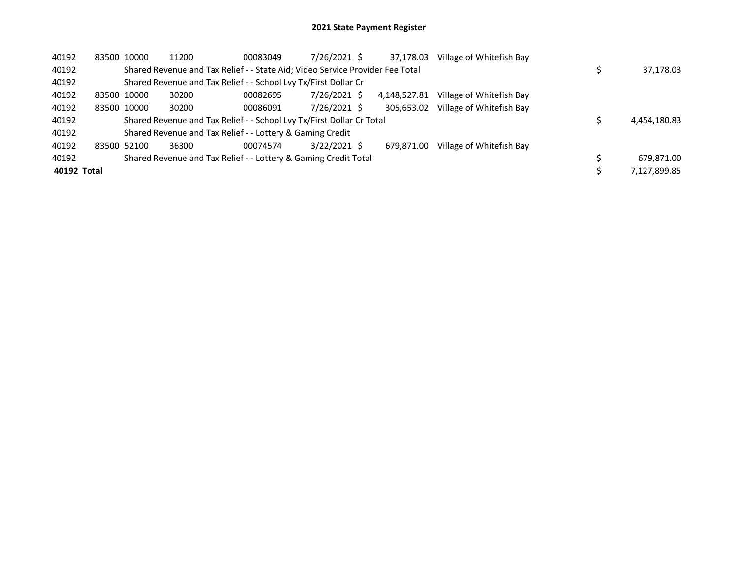| 40192       | 83500 10000 | 11200 | 00083049                                                                      | 7/26/2021 \$   | 37,178.03    | Village of Whitefish Bay |              |
|-------------|-------------|-------|-------------------------------------------------------------------------------|----------------|--------------|--------------------------|--------------|
| 40192       |             |       | Shared Revenue and Tax Relief - - State Aid; Video Service Provider Fee Total |                |              |                          | 37,178.03    |
| 40192       |             |       | Shared Revenue and Tax Relief - - School Lvy Tx/First Dollar Cr               |                |              |                          |              |
| 40192       | 83500 10000 | 30200 | 00082695                                                                      | 7/26/2021 \$   | 4,148,527.81 | Village of Whitefish Bay |              |
| 40192       | 83500 10000 | 30200 | 00086091                                                                      | 7/26/2021 \$   | 305.653.02   | Village of Whitefish Bay |              |
| 40192       |             |       | Shared Revenue and Tax Relief - - School Lvy Tx/First Dollar Cr Total         |                |              |                          | 4,454,180.83 |
| 40192       |             |       | Shared Revenue and Tax Relief - - Lottery & Gaming Credit                     |                |              |                          |              |
| 40192       | 83500 52100 | 36300 | 00074574                                                                      | $3/22/2021$ \$ | 679.871.00   | Village of Whitefish Bay |              |
| 40192       |             |       | Shared Revenue and Tax Relief - - Lottery & Gaming Credit Total               |                |              |                          | 679,871.00   |
| 40192 Total |             |       |                                                                               |                |              |                          | 7,127,899.85 |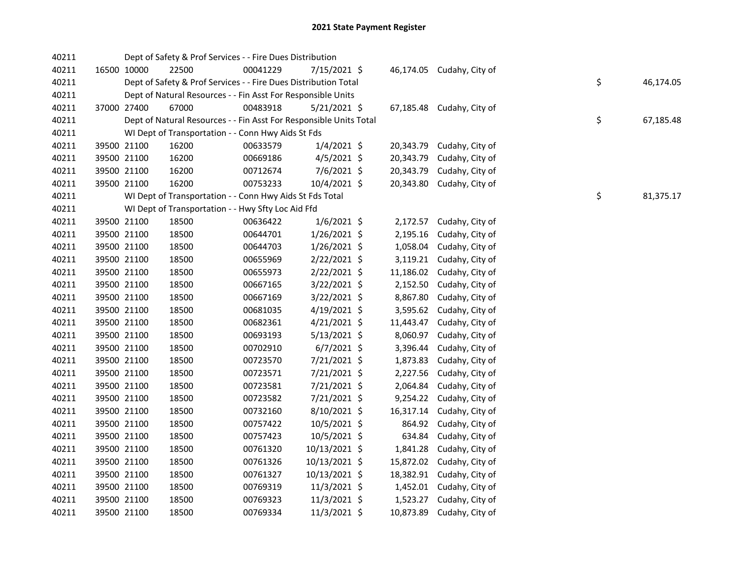| 40211 |             |       | Dept of Safety & Prof Services - - Fire Dues Distribution          |                |           |                           |    |           |
|-------|-------------|-------|--------------------------------------------------------------------|----------------|-----------|---------------------------|----|-----------|
| 40211 | 16500 10000 | 22500 | 00041229                                                           | 7/15/2021 \$   |           | 46,174.05 Cudahy, City of |    |           |
| 40211 |             |       | Dept of Safety & Prof Services - - Fire Dues Distribution Total    |                |           |                           | \$ | 46,174.05 |
| 40211 |             |       | Dept of Natural Resources - - Fin Asst For Responsible Units       |                |           |                           |    |           |
| 40211 | 37000 27400 | 67000 | 00483918                                                           | $5/21/2021$ \$ |           | 67,185.48 Cudahy, City of |    |           |
| 40211 |             |       | Dept of Natural Resources - - Fin Asst For Responsible Units Total |                |           |                           | \$ | 67,185.48 |
| 40211 |             |       | WI Dept of Transportation - - Conn Hwy Aids St Fds                 |                |           |                           |    |           |
| 40211 | 39500 21100 | 16200 | 00633579                                                           | $1/4/2021$ \$  | 20,343.79 | Cudahy, City of           |    |           |
| 40211 | 39500 21100 | 16200 | 00669186                                                           | $4/5/2021$ \$  | 20,343.79 | Cudahy, City of           |    |           |
| 40211 | 39500 21100 | 16200 | 00712674                                                           | 7/6/2021 \$    | 20,343.79 | Cudahy, City of           |    |           |
| 40211 | 39500 21100 | 16200 | 00753233                                                           | 10/4/2021 \$   | 20,343.80 | Cudahy, City of           |    |           |
| 40211 |             |       | WI Dept of Transportation - - Conn Hwy Aids St Fds Total           |                |           |                           | \$ | 81,375.17 |
| 40211 |             |       | WI Dept of Transportation - - Hwy Sfty Loc Aid Ffd                 |                |           |                           |    |           |
| 40211 | 39500 21100 | 18500 | 00636422                                                           | $1/6/2021$ \$  |           | 2,172.57 Cudahy, City of  |    |           |
| 40211 | 39500 21100 | 18500 | 00644701                                                           | $1/26/2021$ \$ | 2,195.16  | Cudahy, City of           |    |           |
| 40211 | 39500 21100 | 18500 | 00644703                                                           | 1/26/2021 \$   | 1,058.04  | Cudahy, City of           |    |           |
| 40211 | 39500 21100 | 18500 | 00655969                                                           | $2/22/2021$ \$ |           | 3,119.21 Cudahy, City of  |    |           |
| 40211 | 39500 21100 | 18500 | 00655973                                                           | $2/22/2021$ \$ |           | 11,186.02 Cudahy, City of |    |           |
| 40211 | 39500 21100 | 18500 | 00667165                                                           | 3/22/2021 \$   | 2,152.50  | Cudahy, City of           |    |           |
| 40211 | 39500 21100 | 18500 | 00667169                                                           | 3/22/2021 \$   | 8,867.80  | Cudahy, City of           |    |           |
| 40211 | 39500 21100 | 18500 | 00681035                                                           | $4/19/2021$ \$ |           | 3,595.62 Cudahy, City of  |    |           |
| 40211 | 39500 21100 | 18500 | 00682361                                                           | $4/21/2021$ \$ | 11,443.47 | Cudahy, City of           |    |           |
| 40211 | 39500 21100 | 18500 | 00693193                                                           | $5/13/2021$ \$ | 8,060.97  | Cudahy, City of           |    |           |
| 40211 | 39500 21100 | 18500 | 00702910                                                           | $6/7/2021$ \$  | 3,396.44  | Cudahy, City of           |    |           |
| 40211 | 39500 21100 | 18500 | 00723570                                                           | 7/21/2021 \$   |           | 1,873.83 Cudahy, City of  |    |           |
| 40211 | 39500 21100 | 18500 | 00723571                                                           | 7/21/2021 \$   |           | 2,227.56 Cudahy, City of  |    |           |
| 40211 | 39500 21100 | 18500 | 00723581                                                           | 7/21/2021 \$   |           | 2,064.84 Cudahy, City of  |    |           |
| 40211 | 39500 21100 | 18500 | 00723582                                                           | 7/21/2021 \$   |           | 9,254.22 Cudahy, City of  |    |           |
| 40211 | 39500 21100 | 18500 | 00732160                                                           | 8/10/2021 \$   |           | 16,317.14 Cudahy, City of |    |           |
| 40211 | 39500 21100 | 18500 | 00757422                                                           | $10/5/2021$ \$ |           | 864.92 Cudahy, City of    |    |           |
| 40211 | 39500 21100 | 18500 | 00757423                                                           | 10/5/2021 \$   | 634.84    | Cudahy, City of           |    |           |
| 40211 | 39500 21100 | 18500 | 00761320                                                           | 10/13/2021 \$  |           | 1,841.28 Cudahy, City of  |    |           |
| 40211 | 39500 21100 | 18500 | 00761326                                                           | 10/13/2021 \$  |           | 15,872.02 Cudahy, City of |    |           |
| 40211 | 39500 21100 | 18500 | 00761327                                                           | 10/13/2021 \$  |           | 18,382.91 Cudahy, City of |    |           |
| 40211 | 39500 21100 | 18500 | 00769319                                                           | 11/3/2021 \$   |           | 1,452.01 Cudahy, City of  |    |           |
| 40211 | 39500 21100 | 18500 | 00769323                                                           | 11/3/2021 \$   |           | 1,523.27 Cudahy, City of  |    |           |
| 40211 | 39500 21100 | 18500 | 00769334                                                           | 11/3/2021 \$   | 10,873.89 | Cudahy, City of           |    |           |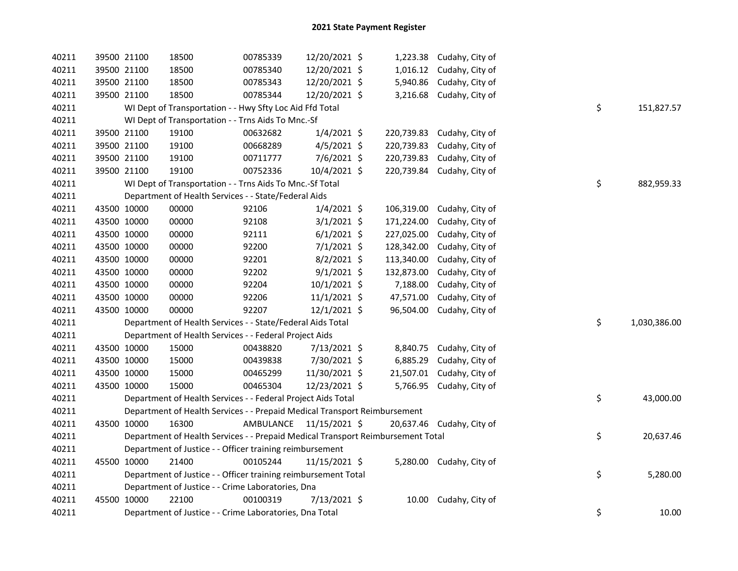| 40211 | 39500 21100 | 18500                                                                           | 00785339  | 12/20/2021 \$ |            | 1,223.38 Cudahy, City of   |    |              |
|-------|-------------|---------------------------------------------------------------------------------|-----------|---------------|------------|----------------------------|----|--------------|
| 40211 | 39500 21100 | 18500                                                                           | 00785340  | 12/20/2021 \$ |            | 1,016.12 Cudahy, City of   |    |              |
| 40211 | 39500 21100 | 18500                                                                           | 00785343  | 12/20/2021 \$ | 5,940.86   | Cudahy, City of            |    |              |
| 40211 | 39500 21100 | 18500                                                                           | 00785344  | 12/20/2021 \$ |            | 3,216.68 Cudahy, City of   |    |              |
| 40211 |             | WI Dept of Transportation - - Hwy Sfty Loc Aid Ffd Total                        |           |               |            |                            | \$ | 151,827.57   |
| 40211 |             | WI Dept of Transportation - - Trns Aids To Mnc.-Sf                              |           |               |            |                            |    |              |
| 40211 | 39500 21100 | 19100                                                                           | 00632682  | $1/4/2021$ \$ |            | 220,739.83 Cudahy, City of |    |              |
| 40211 | 39500 21100 | 19100                                                                           | 00668289  | $4/5/2021$ \$ | 220,739.83 | Cudahy, City of            |    |              |
| 40211 | 39500 21100 | 19100                                                                           | 00711777  | 7/6/2021 \$   | 220,739.83 | Cudahy, City of            |    |              |
| 40211 | 39500 21100 | 19100                                                                           | 00752336  | 10/4/2021 \$  |            | 220,739.84 Cudahy, City of |    |              |
| 40211 |             | WI Dept of Transportation - - Trns Aids To Mnc.-Sf Total                        |           |               |            |                            | \$ | 882,959.33   |
| 40211 |             | Department of Health Services - - State/Federal Aids                            |           |               |            |                            |    |              |
| 40211 | 43500 10000 | 00000                                                                           | 92106     | $1/4/2021$ \$ | 106,319.00 | Cudahy, City of            |    |              |
| 40211 | 43500 10000 | 00000                                                                           | 92108     | $3/1/2021$ \$ | 171,224.00 | Cudahy, City of            |    |              |
| 40211 | 43500 10000 | 00000                                                                           | 92111     | $6/1/2021$ \$ | 227,025.00 | Cudahy, City of            |    |              |
| 40211 | 43500 10000 | 00000                                                                           | 92200     | $7/1/2021$ \$ | 128,342.00 | Cudahy, City of            |    |              |
| 40211 | 43500 10000 | 00000                                                                           | 92201     | $8/2/2021$ \$ | 113,340.00 | Cudahy, City of            |    |              |
| 40211 | 43500 10000 | 00000                                                                           | 92202     | $9/1/2021$ \$ | 132,873.00 | Cudahy, City of            |    |              |
| 40211 | 43500 10000 | 00000                                                                           | 92204     | 10/1/2021 \$  | 7,188.00   | Cudahy, City of            |    |              |
| 40211 | 43500 10000 | 00000                                                                           | 92206     | 11/1/2021 \$  | 47,571.00  | Cudahy, City of            |    |              |
| 40211 | 43500 10000 | 00000                                                                           | 92207     | 12/1/2021 \$  | 96,504.00  | Cudahy, City of            |    |              |
| 40211 |             | Department of Health Services - - State/Federal Aids Total                      |           |               |            |                            | \$ | 1,030,386.00 |
| 40211 |             | Department of Health Services - - Federal Project Aids                          |           |               |            |                            |    |              |
| 40211 | 43500 10000 | 15000                                                                           | 00438820  | 7/13/2021 \$  |            | 8,840.75 Cudahy, City of   |    |              |
| 40211 | 43500 10000 | 15000                                                                           | 00439838  | 7/30/2021 \$  | 6,885.29   | Cudahy, City of            |    |              |
| 40211 | 43500 10000 | 15000                                                                           | 00465299  | 11/30/2021 \$ | 21,507.01  | Cudahy, City of            |    |              |
| 40211 | 43500 10000 | 15000                                                                           | 00465304  | 12/23/2021 \$ |            | 5,766.95 Cudahy, City of   |    |              |
| 40211 |             | Department of Health Services - - Federal Project Aids Total                    |           |               |            |                            | \$ | 43,000.00    |
| 40211 |             | Department of Health Services - - Prepaid Medical Transport Reimbursement       |           |               |            |                            |    |              |
| 40211 | 43500 10000 | 16300                                                                           | AMBULANCE | 11/15/2021 \$ |            | 20,637.46 Cudahy, City of  |    |              |
| 40211 |             | Department of Health Services - - Prepaid Medical Transport Reimbursement Total |           |               |            |                            | \$ | 20,637.46    |
| 40211 |             | Department of Justice - - Officer training reimbursement                        |           |               |            |                            |    |              |
| 40211 | 45500 10000 | 21400                                                                           | 00105244  | 11/15/2021 \$ |            | 5,280.00 Cudahy, City of   |    |              |
| 40211 |             | Department of Justice - - Officer training reimbursement Total                  |           |               |            |                            | \$ | 5,280.00     |
| 40211 |             | Department of Justice - - Crime Laboratories, Dna                               |           |               |            |                            |    |              |
| 40211 | 45500 10000 | 22100                                                                           | 00100319  | 7/13/2021 \$  | 10.00      | Cudahy, City of            |    |              |
| 40211 |             | Department of Justice - - Crime Laboratories, Dna Total                         |           |               |            |                            | \$ | 10.00        |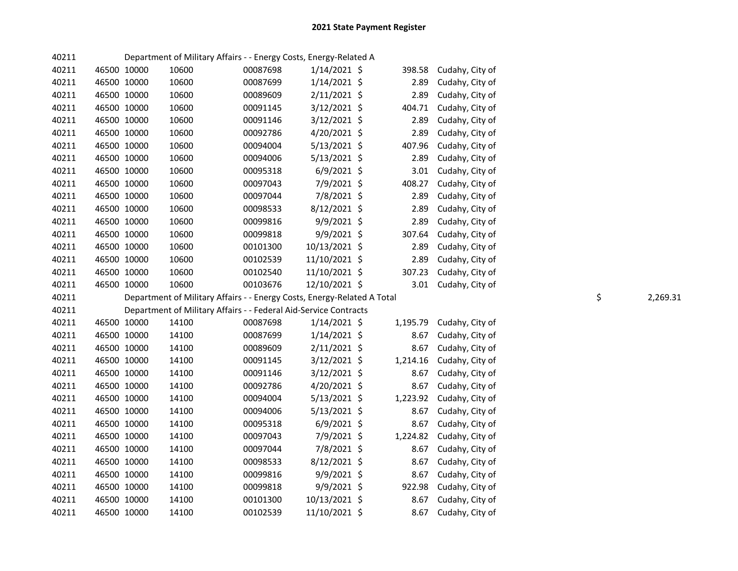| 40211 |             |       | Department of Military Affairs - - Energy Costs, Energy-Related A       |                |          |                      |    |          |
|-------|-------------|-------|-------------------------------------------------------------------------|----------------|----------|----------------------|----|----------|
| 40211 | 46500 10000 | 10600 | 00087698                                                                | $1/14/2021$ \$ | 398.58   | Cudahy, City of      |    |          |
| 40211 | 46500 10000 | 10600 | 00087699                                                                | $1/14/2021$ \$ | 2.89     | Cudahy, City of      |    |          |
| 40211 | 46500 10000 | 10600 | 00089609                                                                | $2/11/2021$ \$ | 2.89     | Cudahy, City of      |    |          |
| 40211 | 46500 10000 | 10600 | 00091145                                                                | $3/12/2021$ \$ | 404.71   | Cudahy, City of      |    |          |
| 40211 | 46500 10000 | 10600 | 00091146                                                                | $3/12/2021$ \$ | 2.89     | Cudahy, City of      |    |          |
| 40211 | 46500 10000 | 10600 | 00092786                                                                | $4/20/2021$ \$ | 2.89     | Cudahy, City of      |    |          |
| 40211 | 46500 10000 | 10600 | 00094004                                                                | $5/13/2021$ \$ | 407.96   | Cudahy, City of      |    |          |
| 40211 | 46500 10000 | 10600 | 00094006                                                                | $5/13/2021$ \$ | 2.89     | Cudahy, City of      |    |          |
| 40211 | 46500 10000 | 10600 | 00095318                                                                | $6/9/2021$ \$  | 3.01     | Cudahy, City of      |    |          |
| 40211 | 46500 10000 | 10600 | 00097043                                                                | 7/9/2021 \$    | 408.27   | Cudahy, City of      |    |          |
| 40211 | 46500 10000 | 10600 | 00097044                                                                | 7/8/2021 \$    | 2.89     | Cudahy, City of      |    |          |
| 40211 | 46500 10000 | 10600 | 00098533                                                                | 8/12/2021 \$   | 2.89     | Cudahy, City of      |    |          |
| 40211 | 46500 10000 | 10600 | 00099816                                                                | 9/9/2021 \$    | 2.89     | Cudahy, City of      |    |          |
| 40211 | 46500 10000 | 10600 | 00099818                                                                | $9/9/2021$ \$  | 307.64   | Cudahy, City of      |    |          |
| 40211 | 46500 10000 | 10600 | 00101300                                                                | 10/13/2021 \$  | 2.89     | Cudahy, City of      |    |          |
| 40211 | 46500 10000 | 10600 | 00102539                                                                | 11/10/2021 \$  | 2.89     | Cudahy, City of      |    |          |
| 40211 | 46500 10000 | 10600 | 00102540                                                                | 11/10/2021 \$  | 307.23   | Cudahy, City of      |    |          |
| 40211 | 46500 10000 | 10600 | 00103676                                                                | 12/10/2021 \$  |          | 3.01 Cudahy, City of |    |          |
| 40211 |             |       |                                                                         |                |          |                      | \$ | 2,269.31 |
|       |             |       | Department of Military Affairs - - Energy Costs, Energy-Related A Total |                |          |                      |    |          |
| 40211 |             |       | Department of Military Affairs - - Federal Aid-Service Contracts        |                |          |                      |    |          |
| 40211 | 46500 10000 | 14100 | 00087698                                                                | $1/14/2021$ \$ | 1,195.79 | Cudahy, City of      |    |          |
| 40211 | 46500 10000 | 14100 | 00087699                                                                | $1/14/2021$ \$ | 8.67     | Cudahy, City of      |    |          |
| 40211 | 46500 10000 | 14100 | 00089609                                                                | $2/11/2021$ \$ | 8.67     | Cudahy, City of      |    |          |
| 40211 | 46500 10000 | 14100 | 00091145                                                                | $3/12/2021$ \$ | 1,214.16 | Cudahy, City of      |    |          |
| 40211 | 46500 10000 | 14100 | 00091146                                                                | $3/12/2021$ \$ | 8.67     | Cudahy, City of      |    |          |
| 40211 | 46500 10000 | 14100 | 00092786                                                                | 4/20/2021 \$   | 8.67     | Cudahy, City of      |    |          |
| 40211 | 46500 10000 | 14100 | 00094004                                                                | $5/13/2021$ \$ | 1,223.92 | Cudahy, City of      |    |          |
| 40211 | 46500 10000 | 14100 | 00094006                                                                | $5/13/2021$ \$ | 8.67     | Cudahy, City of      |    |          |
| 40211 | 46500 10000 | 14100 | 00095318                                                                | $6/9/2021$ \$  | 8.67     | Cudahy, City of      |    |          |
| 40211 | 46500 10000 | 14100 | 00097043                                                                | 7/9/2021 \$    | 1,224.82 | Cudahy, City of      |    |          |
| 40211 | 46500 10000 | 14100 | 00097044                                                                | 7/8/2021 \$    | 8.67     | Cudahy, City of      |    |          |
| 40211 | 46500 10000 | 14100 | 00098533                                                                | $8/12/2021$ \$ | 8.67     | Cudahy, City of      |    |          |
| 40211 | 46500 10000 | 14100 | 00099816                                                                | 9/9/2021 \$    | 8.67     | Cudahy, City of      |    |          |
| 40211 | 46500 10000 | 14100 | 00099818                                                                | 9/9/2021 \$    | 922.98   | Cudahy, City of      |    |          |
| 40211 | 46500 10000 | 14100 | 00101300                                                                | 10/13/2021 \$  | 8.67     | Cudahy, City of      |    |          |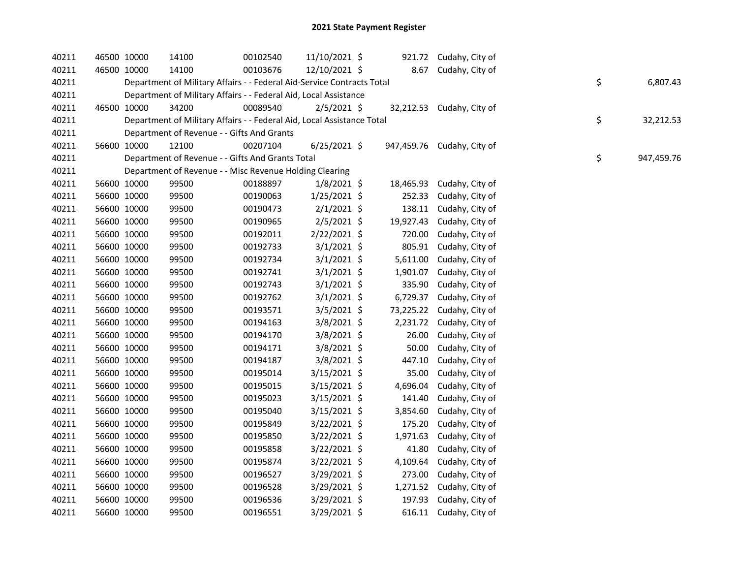| 40211 | 46500 10000 | 14100                                                                  | 00102540 | 11/10/2021 \$  |           | 921.72 Cudahy, City of     |    |            |
|-------|-------------|------------------------------------------------------------------------|----------|----------------|-----------|----------------------------|----|------------|
| 40211 | 46500 10000 | 14100                                                                  | 00103676 | 12/10/2021 \$  |           | 8.67 Cudahy, City of       |    |            |
| 40211 |             | Department of Military Affairs - - Federal Aid-Service Contracts Total |          |                |           |                            | \$ | 6,807.43   |
| 40211 |             | Department of Military Affairs - - Federal Aid, Local Assistance       |          |                |           |                            |    |            |
| 40211 | 46500 10000 | 34200                                                                  | 00089540 | $2/5/2021$ \$  |           | 32,212.53 Cudahy, City of  |    |            |
| 40211 |             | Department of Military Affairs - - Federal Aid, Local Assistance Total |          |                |           |                            | \$ | 32,212.53  |
| 40211 |             | Department of Revenue - - Gifts And Grants                             |          |                |           |                            |    |            |
| 40211 | 56600 10000 | 12100                                                                  | 00207104 | $6/25/2021$ \$ |           | 947,459.76 Cudahy, City of |    |            |
| 40211 |             | Department of Revenue - - Gifts And Grants Total                       |          |                |           |                            | \$ | 947,459.76 |
| 40211 |             | Department of Revenue - - Misc Revenue Holding Clearing                |          |                |           |                            |    |            |
| 40211 | 56600 10000 | 99500                                                                  | 00188897 | $1/8/2021$ \$  | 18,465.93 | Cudahy, City of            |    |            |
| 40211 | 56600 10000 | 99500                                                                  | 00190063 | 1/25/2021 \$   | 252.33    | Cudahy, City of            |    |            |
| 40211 | 56600 10000 | 99500                                                                  | 00190473 | $2/1/2021$ \$  | 138.11    | Cudahy, City of            |    |            |
| 40211 | 56600 10000 | 99500                                                                  | 00190965 | $2/5/2021$ \$  | 19,927.43 | Cudahy, City of            |    |            |
| 40211 | 56600 10000 | 99500                                                                  | 00192011 | 2/22/2021 \$   | 720.00    | Cudahy, City of            |    |            |
| 40211 | 56600 10000 | 99500                                                                  | 00192733 | $3/1/2021$ \$  | 805.91    | Cudahy, City of            |    |            |
| 40211 | 56600 10000 | 99500                                                                  | 00192734 | $3/1/2021$ \$  | 5,611.00  | Cudahy, City of            |    |            |
| 40211 | 56600 10000 | 99500                                                                  | 00192741 | $3/1/2021$ \$  | 1,901.07  | Cudahy, City of            |    |            |
| 40211 | 56600 10000 | 99500                                                                  | 00192743 | 3/1/2021 \$    | 335.90    | Cudahy, City of            |    |            |
| 40211 | 56600 10000 | 99500                                                                  | 00192762 | $3/1/2021$ \$  | 6,729.37  | Cudahy, City of            |    |            |
| 40211 | 56600 10000 | 99500                                                                  | 00193571 | $3/5/2021$ \$  | 73,225.22 | Cudahy, City of            |    |            |
| 40211 | 56600 10000 | 99500                                                                  | 00194163 | 3/8/2021 \$    |           | 2,231.72 Cudahy, City of   |    |            |
| 40211 | 56600 10000 | 99500                                                                  | 00194170 | 3/8/2021 \$    | 26.00     | Cudahy, City of            |    |            |
| 40211 | 56600 10000 | 99500                                                                  | 00194171 | 3/8/2021 \$    | 50.00     | Cudahy, City of            |    |            |
| 40211 | 56600 10000 | 99500                                                                  | 00194187 | 3/8/2021 \$    | 447.10    | Cudahy, City of            |    |            |
| 40211 | 56600 10000 | 99500                                                                  | 00195014 | 3/15/2021 \$   | 35.00     | Cudahy, City of            |    |            |
| 40211 | 56600 10000 | 99500                                                                  | 00195015 | 3/15/2021 \$   | 4,696.04  | Cudahy, City of            |    |            |
| 40211 | 56600 10000 | 99500                                                                  | 00195023 | 3/15/2021 \$   | 141.40    | Cudahy, City of            |    |            |
| 40211 | 56600 10000 | 99500                                                                  | 00195040 | 3/15/2021 \$   | 3,854.60  | Cudahy, City of            |    |            |
| 40211 | 56600 10000 | 99500                                                                  | 00195849 | $3/22/2021$ \$ | 175.20    | Cudahy, City of            |    |            |
| 40211 | 56600 10000 | 99500                                                                  | 00195850 | 3/22/2021 \$   | 1,971.63  | Cudahy, City of            |    |            |
| 40211 | 56600 10000 | 99500                                                                  | 00195858 | $3/22/2021$ \$ | 41.80     | Cudahy, City of            |    |            |
| 40211 | 56600 10000 | 99500                                                                  | 00195874 | $3/22/2021$ \$ | 4,109.64  | Cudahy, City of            |    |            |
| 40211 | 56600 10000 | 99500                                                                  | 00196527 | $3/29/2021$ \$ |           | 273.00 Cudahy, City of     |    |            |
| 40211 | 56600 10000 | 99500                                                                  | 00196528 | 3/29/2021 \$   |           | 1,271.52 Cudahy, City of   |    |            |
| 40211 | 56600 10000 | 99500                                                                  | 00196536 | 3/29/2021 \$   |           | 197.93 Cudahy, City of     |    |            |
| 40211 | 56600 10000 | 99500                                                                  | 00196551 | 3/29/2021 \$   |           | 616.11 Cudahy, City of     |    |            |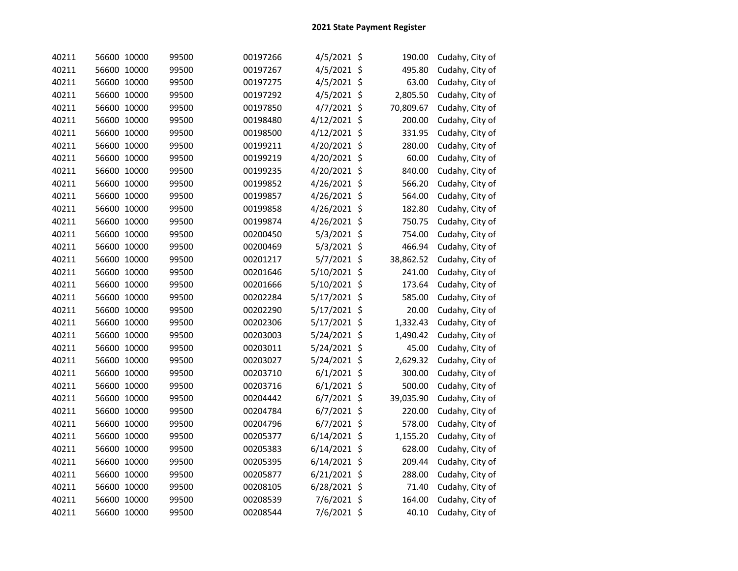| 40211 | 56600 10000 | 99500 | 00197266 | 4/5/2021 \$    |     | 190.00    | Cudahy, City of |
|-------|-------------|-------|----------|----------------|-----|-----------|-----------------|
| 40211 | 56600 10000 | 99500 | 00197267 | 4/5/2021 \$    |     | 495.80    | Cudahy, City of |
| 40211 | 56600 10000 | 99500 | 00197275 | 4/5/2021 \$    |     | 63.00     | Cudahy, City of |
| 40211 | 56600 10000 | 99500 | 00197292 | 4/5/2021 \$    |     | 2,805.50  | Cudahy, City of |
| 40211 | 56600 10000 | 99500 | 00197850 | 4/7/2021       | \$  | 70,809.67 | Cudahy, City of |
| 40211 | 56600 10000 | 99500 | 00198480 | 4/12/2021      | \$  | 200.00    | Cudahy, City of |
| 40211 | 56600 10000 | 99500 | 00198500 | 4/12/2021      | \$  | 331.95    | Cudahy, City of |
| 40211 | 56600 10000 | 99500 | 00199211 | 4/20/2021      | \$  | 280.00    | Cudahy, City of |
| 40211 | 56600 10000 | 99500 | 00199219 | 4/20/2021      | \$  | 60.00     | Cudahy, City of |
| 40211 | 56600 10000 | 99500 | 00199235 | 4/20/2021      | \$  | 840.00    | Cudahy, City of |
| 40211 | 56600 10000 | 99500 | 00199852 | 4/26/2021      | -\$ | 566.20    | Cudahy, City of |
| 40211 | 56600 10000 | 99500 | 00199857 | 4/26/2021 \$   |     | 564.00    | Cudahy, City of |
| 40211 | 56600 10000 | 99500 | 00199858 | 4/26/2021 \$   |     | 182.80    | Cudahy, City of |
| 40211 | 56600 10000 | 99500 | 00199874 | 4/26/2021 \$   |     | 750.75    | Cudahy, City of |
| 40211 | 56600 10000 | 99500 | 00200450 | 5/3/2021 \$    |     | 754.00    | Cudahy, City of |
| 40211 | 56600 10000 | 99500 | 00200469 | 5/3/2021 \$    |     | 466.94    | Cudahy, City of |
| 40211 | 56600 10000 | 99500 | 00201217 | 5/7/2021 \$    |     | 38,862.52 | Cudahy, City of |
| 40211 | 56600 10000 | 99500 | 00201646 | 5/10/2021 \$   |     | 241.00    | Cudahy, City of |
| 40211 | 56600 10000 | 99500 | 00201666 | 5/10/2021 \$   |     | 173.64    | Cudahy, City of |
| 40211 | 56600 10000 | 99500 | 00202284 | 5/17/2021 \$   |     | 585.00    | Cudahy, City of |
| 40211 | 56600 10000 | 99500 | 00202290 | 5/17/2021 \$   |     | 20.00     | Cudahy, City of |
| 40211 | 56600 10000 | 99500 | 00202306 | 5/17/2021 \$   |     | 1,332.43  | Cudahy, City of |
| 40211 | 56600 10000 | 99500 | 00203003 | 5/24/2021 \$   |     | 1,490.42  | Cudahy, City of |
| 40211 | 56600 10000 | 99500 | 00203011 | 5/24/2021 \$   |     | 45.00     | Cudahy, City of |
| 40211 | 56600 10000 | 99500 | 00203027 | 5/24/2021 \$   |     | 2,629.32  | Cudahy, City of |
| 40211 | 56600 10000 | 99500 | 00203710 | $6/1/2021$ \$  |     | 300.00    | Cudahy, City of |
| 40211 | 56600 10000 | 99500 | 00203716 | $6/1/2021$ \$  |     | 500.00    | Cudahy, City of |
| 40211 | 56600 10000 | 99500 | 00204442 | 6/7/2021       | \$  | 39,035.90 | Cudahy, City of |
| 40211 | 56600 10000 | 99500 | 00204784 | 6/7/2021       | \$  | 220.00    | Cudahy, City of |
| 40211 | 56600 10000 | 99500 | 00204796 | $6/7/2021$ \$  |     | 578.00    | Cudahy, City of |
| 40211 | 56600 10000 | 99500 | 00205377 | 6/14/2021 \$   |     | 1,155.20  | Cudahy, City of |
| 40211 | 56600 10000 | 99500 | 00205383 | $6/14/2021$ \$ |     | 628.00    | Cudahy, City of |
| 40211 | 56600 10000 | 99500 | 00205395 | $6/14/2021$ \$ |     | 209.44    | Cudahy, City of |
| 40211 | 56600 10000 | 99500 | 00205877 | 6/21/2021 \$   |     | 288.00    | Cudahy, City of |
| 40211 | 56600 10000 | 99500 | 00208105 | 6/28/2021 \$   |     | 71.40     | Cudahy, City of |
| 40211 | 56600 10000 | 99500 | 00208539 | 7/6/2021 \$    |     | 164.00    | Cudahy, City of |
| 40211 | 56600 10000 | 99500 | 00208544 | 7/6/2021 \$    |     | 40.10     | Cudahy, City of |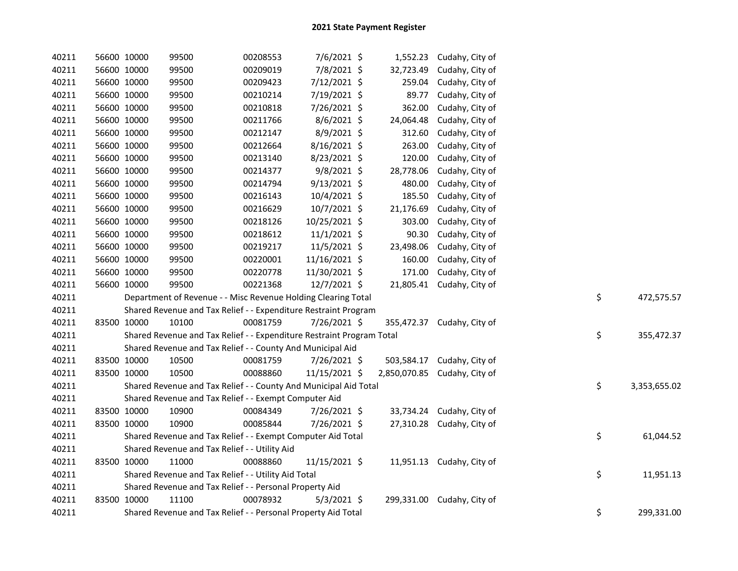| 40211 | 56600 10000 | 99500                                                                 | 00208553 | 7/6/2021 \$    |              | 1,552.23 Cudahy, City of  |    |              |
|-------|-------------|-----------------------------------------------------------------------|----------|----------------|--------------|---------------------------|----|--------------|
| 40211 | 56600 10000 | 99500                                                                 | 00209019 | 7/8/2021 \$    | 32,723.49    | Cudahy, City of           |    |              |
| 40211 | 56600 10000 | 99500                                                                 | 00209423 | 7/12/2021 \$   | 259.04       | Cudahy, City of           |    |              |
| 40211 | 56600 10000 | 99500                                                                 | 00210214 | 7/19/2021 \$   | 89.77        | Cudahy, City of           |    |              |
| 40211 | 56600 10000 | 99500                                                                 | 00210818 | 7/26/2021 \$   | 362.00       | Cudahy, City of           |    |              |
| 40211 | 56600 10000 | 99500                                                                 | 00211766 | 8/6/2021 \$    | 24,064.48    | Cudahy, City of           |    |              |
| 40211 | 56600 10000 | 99500                                                                 | 00212147 | 8/9/2021 \$    | 312.60       | Cudahy, City of           |    |              |
| 40211 | 56600 10000 | 99500                                                                 | 00212664 | 8/16/2021 \$   | 263.00       | Cudahy, City of           |    |              |
| 40211 | 56600 10000 | 99500                                                                 | 00213140 | 8/23/2021 \$   | 120.00       | Cudahy, City of           |    |              |
| 40211 | 56600 10000 | 99500                                                                 | 00214377 | 9/8/2021 \$    | 28,778.06    | Cudahy, City of           |    |              |
| 40211 | 56600 10000 | 99500                                                                 | 00214794 | 9/13/2021 \$   | 480.00       | Cudahy, City of           |    |              |
| 40211 | 56600 10000 | 99500                                                                 | 00216143 | 10/4/2021 \$   | 185.50       | Cudahy, City of           |    |              |
| 40211 | 56600 10000 | 99500                                                                 | 00216629 | 10/7/2021 \$   | 21,176.69    | Cudahy, City of           |    |              |
| 40211 | 56600 10000 | 99500                                                                 | 00218126 | 10/25/2021 \$  | 303.00       | Cudahy, City of           |    |              |
| 40211 | 56600 10000 | 99500                                                                 | 00218612 | $11/1/2021$ \$ | 90.30        | Cudahy, City of           |    |              |
| 40211 | 56600 10000 | 99500                                                                 | 00219217 | 11/5/2021 \$   | 23,498.06    | Cudahy, City of           |    |              |
| 40211 | 56600 10000 | 99500                                                                 | 00220001 | 11/16/2021 \$  | 160.00       | Cudahy, City of           |    |              |
| 40211 | 56600 10000 | 99500                                                                 | 00220778 | 11/30/2021 \$  | 171.00       | Cudahy, City of           |    |              |
| 40211 | 56600 10000 | 99500                                                                 | 00221368 | 12/7/2021 \$   |              | 21,805.41 Cudahy, City of |    |              |
| 40211 |             | Department of Revenue - - Misc Revenue Holding Clearing Total         |          |                |              |                           | \$ | 472,575.57   |
| 40211 |             | Shared Revenue and Tax Relief - - Expenditure Restraint Program       |          |                |              |                           |    |              |
| 40211 | 83500 10000 | 10100                                                                 | 00081759 | 7/26/2021 \$   | 355,472.37   | Cudahy, City of           |    |              |
| 40211 |             | Shared Revenue and Tax Relief - - Expenditure Restraint Program Total |          |                |              |                           | \$ | 355,472.37   |
| 40211 |             | Shared Revenue and Tax Relief - - County And Municipal Aid            |          |                |              |                           |    |              |
| 40211 | 83500 10000 | 10500                                                                 | 00081759 | 7/26/2021 \$   | 503,584.17   | Cudahy, City of           |    |              |
| 40211 | 83500 10000 | 10500                                                                 | 00088860 | 11/15/2021 \$  | 2,850,070.85 | Cudahy, City of           |    |              |
| 40211 |             | Shared Revenue and Tax Relief - - County And Municipal Aid Total      |          |                |              |                           | \$ | 3,353,655.02 |
| 40211 |             | Shared Revenue and Tax Relief - - Exempt Computer Aid                 |          |                |              |                           |    |              |
| 40211 | 83500 10000 | 10900                                                                 | 00084349 | 7/26/2021 \$   |              | 33,734.24 Cudahy, City of |    |              |
| 40211 | 83500 10000 | 10900                                                                 | 00085844 | 7/26/2021 \$   |              | 27,310.28 Cudahy, City of |    |              |
| 40211 |             | Shared Revenue and Tax Relief - - Exempt Computer Aid Total           |          |                |              |                           | \$ | 61,044.52    |
| 40211 |             | Shared Revenue and Tax Relief - - Utility Aid                         |          |                |              |                           |    |              |
| 40211 | 83500 10000 | 11000                                                                 | 00088860 | 11/15/2021 \$  |              | 11,951.13 Cudahy, City of |    |              |
| 40211 |             | Shared Revenue and Tax Relief - - Utility Aid Total                   |          |                |              |                           | \$ | 11,951.13    |
| 40211 |             | Shared Revenue and Tax Relief - - Personal Property Aid               |          |                |              |                           |    |              |
| 40211 | 83500 10000 | 11100                                                                 | 00078932 | $5/3/2021$ \$  | 299,331.00   | Cudahy, City of           |    |              |
| 40211 |             | Shared Revenue and Tax Relief - - Personal Property Aid Total         |          |                |              |                           | \$ | 299,331.00   |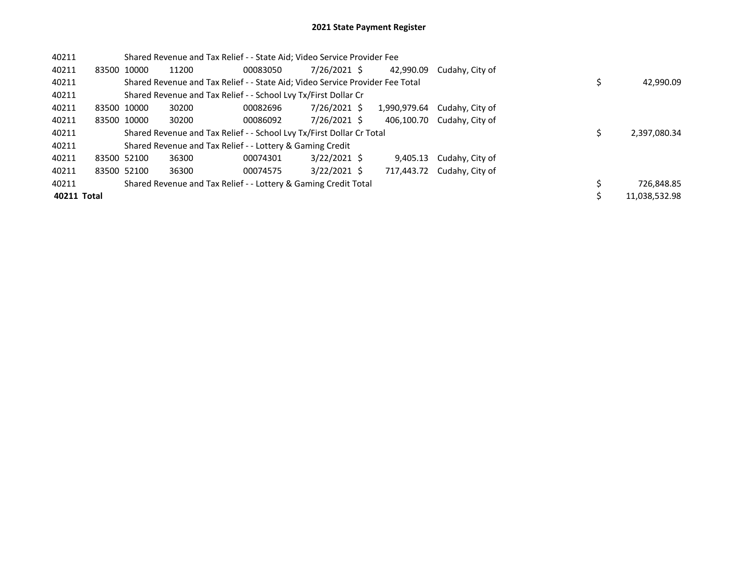| 40211       |             | Shared Revenue and Tax Relief - - State Aid; Video Service Provider Fee       |          |                |              |                            |               |
|-------------|-------------|-------------------------------------------------------------------------------|----------|----------------|--------------|----------------------------|---------------|
| 40211       | 83500 10000 | 11200                                                                         | 00083050 | 7/26/2021 \$   | 42.990.09    | Cudahy, City of            |               |
| 40211       |             | Shared Revenue and Tax Relief - - State Aid; Video Service Provider Fee Total |          |                |              |                            | 42,990.09     |
| 40211       |             | Shared Revenue and Tax Relief - - School Lvy Tx/First Dollar Cr               |          |                |              |                            |               |
| 40211       | 83500 10000 | 30200                                                                         | 00082696 | 7/26/2021 \$   | 1,990,979.64 | Cudahy, City of            |               |
| 40211       | 83500 10000 | 30200                                                                         | 00086092 | 7/26/2021 \$   |              | 406,100.70 Cudahy, City of |               |
| 40211       |             | Shared Revenue and Tax Relief - - School Lvy Tx/First Dollar Cr Total         |          |                |              |                            | 2.397.080.34  |
| 40211       |             | Shared Revenue and Tax Relief - - Lottery & Gaming Credit                     |          |                |              |                            |               |
| 40211       | 83500 52100 | 36300                                                                         | 00074301 | $3/22/2021$ \$ | 9.405.13     | Cudahy, City of            |               |
| 40211       | 83500 52100 | 36300                                                                         | 00074575 | $3/22/2021$ \$ | 717.443.72   | Cudahy, City of            |               |
| 40211       |             | Shared Revenue and Tax Relief - - Lottery & Gaming Credit Total               |          |                |              |                            | 726,848.85    |
| 40211 Total |             |                                                                               |          |                |              |                            | 11.038.532.98 |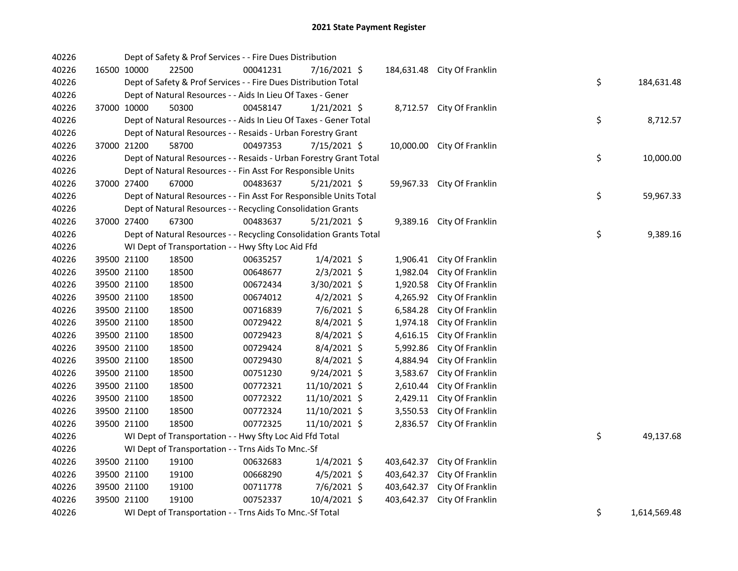| 40226 |             | Dept of Safety & Prof Services - - Fire Dues Distribution          |          |                |            |                             |    |              |
|-------|-------------|--------------------------------------------------------------------|----------|----------------|------------|-----------------------------|----|--------------|
| 40226 | 16500 10000 | 22500                                                              | 00041231 | 7/16/2021 \$   |            | 184,631.48 City Of Franklin |    |              |
| 40226 |             | Dept of Safety & Prof Services - - Fire Dues Distribution Total    |          |                |            |                             | \$ | 184,631.48   |
| 40226 |             | Dept of Natural Resources - - Aids In Lieu Of Taxes - Gener        |          |                |            |                             |    |              |
| 40226 | 37000 10000 | 50300                                                              | 00458147 | $1/21/2021$ \$ |            | 8,712.57 City Of Franklin   |    |              |
| 40226 |             | Dept of Natural Resources - - Aids In Lieu Of Taxes - Gener Total  |          |                |            |                             | \$ | 8,712.57     |
| 40226 |             | Dept of Natural Resources - - Resaids - Urban Forestry Grant       |          |                |            |                             |    |              |
| 40226 | 37000 21200 | 58700                                                              | 00497353 | $7/15/2021$ \$ |            | 10,000.00 City Of Franklin  |    |              |
| 40226 |             | Dept of Natural Resources - - Resaids - Urban Forestry Grant Total |          |                |            |                             | \$ | 10,000.00    |
| 40226 |             | Dept of Natural Resources - - Fin Asst For Responsible Units       |          |                |            |                             |    |              |
| 40226 | 37000 27400 | 67000                                                              | 00483637 | $5/21/2021$ \$ |            | 59,967.33 City Of Franklin  |    |              |
| 40226 |             | Dept of Natural Resources - - Fin Asst For Responsible Units Total |          |                |            |                             | \$ | 59,967.33    |
| 40226 |             | Dept of Natural Resources - - Recycling Consolidation Grants       |          |                |            |                             |    |              |
| 40226 | 37000 27400 | 67300                                                              | 00483637 | $5/21/2021$ \$ |            | 9,389.16 City Of Franklin   |    |              |
| 40226 |             | Dept of Natural Resources - - Recycling Consolidation Grants Total |          |                |            |                             | \$ | 9,389.16     |
| 40226 |             | WI Dept of Transportation - - Hwy Sfty Loc Aid Ffd                 |          |                |            |                             |    |              |
| 40226 | 39500 21100 | 18500                                                              | 00635257 | $1/4/2021$ \$  | 1,906.41   | City Of Franklin            |    |              |
| 40226 | 39500 21100 | 18500                                                              | 00648677 | $2/3/2021$ \$  | 1,982.04   | City Of Franklin            |    |              |
| 40226 | 39500 21100 | 18500                                                              | 00672434 | 3/30/2021 \$   | 1,920.58   | City Of Franklin            |    |              |
| 40226 | 39500 21100 | 18500                                                              | 00674012 | $4/2/2021$ \$  | 4,265.92   | City Of Franklin            |    |              |
| 40226 | 39500 21100 | 18500                                                              | 00716839 | 7/6/2021 \$    | 6,584.28   | City Of Franklin            |    |              |
| 40226 | 39500 21100 | 18500                                                              | 00729422 | $8/4/2021$ \$  | 1,974.18   | City Of Franklin            |    |              |
| 40226 | 39500 21100 | 18500                                                              | 00729423 | 8/4/2021 \$    | 4,616.15   | City Of Franklin            |    |              |
| 40226 | 39500 21100 | 18500                                                              | 00729424 | 8/4/2021 \$    | 5,992.86   | City Of Franklin            |    |              |
| 40226 | 39500 21100 | 18500                                                              | 00729430 | $8/4/2021$ \$  | 4,884.94   | City Of Franklin            |    |              |
| 40226 | 39500 21100 | 18500                                                              | 00751230 | $9/24/2021$ \$ | 3,583.67   | City Of Franklin            |    |              |
| 40226 | 39500 21100 | 18500                                                              | 00772321 | 11/10/2021 \$  | 2,610.44   | City Of Franklin            |    |              |
| 40226 | 39500 21100 | 18500                                                              | 00772322 | 11/10/2021 \$  | 2,429.11   | City Of Franklin            |    |              |
| 40226 | 39500 21100 | 18500                                                              | 00772324 | 11/10/2021 \$  | 3,550.53   | City Of Franklin            |    |              |
| 40226 | 39500 21100 | 18500                                                              | 00772325 | 11/10/2021 \$  | 2,836.57   | City Of Franklin            |    |              |
| 40226 |             | WI Dept of Transportation - - Hwy Sfty Loc Aid Ffd Total           |          |                |            |                             | \$ | 49,137.68    |
| 40226 |             | WI Dept of Transportation - - Trns Aids To Mnc.-Sf                 |          |                |            |                             |    |              |
| 40226 | 39500 21100 | 19100                                                              | 00632683 | $1/4/2021$ \$  | 403,642.37 | City Of Franklin            |    |              |
| 40226 | 39500 21100 | 19100                                                              | 00668290 | 4/5/2021 \$    |            | 403,642.37 City Of Franklin |    |              |
| 40226 | 39500 21100 | 19100                                                              | 00711778 | 7/6/2021 \$    |            | 403,642.37 City Of Franklin |    |              |
| 40226 | 39500 21100 | 19100                                                              | 00752337 | 10/4/2021 \$   | 403,642.37 | City Of Franklin            |    |              |
| 40226 |             | WI Dept of Transportation - - Trns Aids To Mnc.-Sf Total           |          |                |            |                             | \$ | 1,614,569.48 |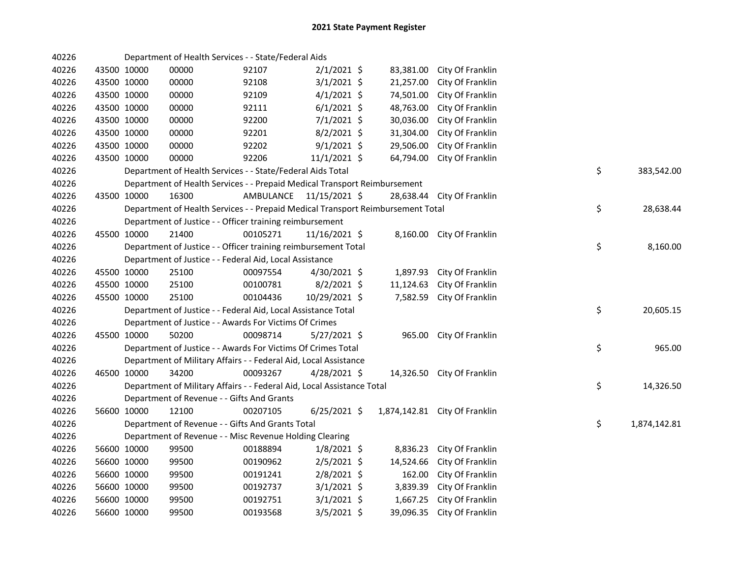| 40226 |             |             | Department of Health Services - - State/Federal Aids                            |                         |                |           |                               |    |              |
|-------|-------------|-------------|---------------------------------------------------------------------------------|-------------------------|----------------|-----------|-------------------------------|----|--------------|
| 40226 |             | 43500 10000 | 00000                                                                           | 92107                   | $2/1/2021$ \$  | 83,381.00 | City Of Franklin              |    |              |
| 40226 |             | 43500 10000 | 00000                                                                           | 92108                   | $3/1/2021$ \$  | 21,257.00 | City Of Franklin              |    |              |
| 40226 | 43500 10000 |             | 00000                                                                           | 92109                   | $4/1/2021$ \$  | 74,501.00 | City Of Franklin              |    |              |
| 40226 | 43500 10000 |             | 00000                                                                           | 92111                   | $6/1/2021$ \$  | 48,763.00 | City Of Franklin              |    |              |
| 40226 | 43500 10000 |             | 00000                                                                           | 92200                   | 7/1/2021 \$    | 30,036.00 | City Of Franklin              |    |              |
| 40226 | 43500 10000 |             | 00000                                                                           | 92201                   | $8/2/2021$ \$  | 31,304.00 | City Of Franklin              |    |              |
| 40226 |             | 43500 10000 | 00000                                                                           | 92202                   | $9/1/2021$ \$  | 29,506.00 | City Of Franklin              |    |              |
| 40226 | 43500 10000 |             | 00000                                                                           | 92206                   | 11/1/2021 \$   | 64,794.00 | City Of Franklin              |    |              |
| 40226 |             |             | Department of Health Services - - State/Federal Aids Total                      |                         |                |           |                               | \$ | 383,542.00   |
| 40226 |             |             | Department of Health Services - - Prepaid Medical Transport Reimbursement       |                         |                |           |                               |    |              |
| 40226 | 43500 10000 |             | 16300                                                                           | AMBULANCE 11/15/2021 \$ |                |           | 28,638.44 City Of Franklin    |    |              |
| 40226 |             |             | Department of Health Services - - Prepaid Medical Transport Reimbursement Total |                         |                |           |                               | \$ | 28,638.44    |
| 40226 |             |             | Department of Justice - - Officer training reimbursement                        |                         |                |           |                               |    |              |
| 40226 | 45500 10000 |             | 21400                                                                           | 00105271                | 11/16/2021 \$  |           | 8,160.00 City Of Franklin     |    |              |
| 40226 |             |             | Department of Justice - - Officer training reimbursement Total                  |                         |                |           |                               | \$ | 8,160.00     |
| 40226 |             |             | Department of Justice - - Federal Aid, Local Assistance                         |                         |                |           |                               |    |              |
| 40226 |             | 45500 10000 | 25100                                                                           | 00097554                | 4/30/2021 \$   | 1,897.93  | City Of Franklin              |    |              |
| 40226 |             | 45500 10000 | 25100                                                                           | 00100781                | $8/2/2021$ \$  | 11,124.63 | City Of Franklin              |    |              |
| 40226 |             | 45500 10000 | 25100                                                                           | 00104436                | 10/29/2021 \$  | 7,582.59  | City Of Franklin              |    |              |
| 40226 |             |             | Department of Justice - - Federal Aid, Local Assistance Total                   |                         |                |           |                               | \$ | 20,605.15    |
| 40226 |             |             | Department of Justice - - Awards For Victims Of Crimes                          |                         |                |           |                               |    |              |
| 40226 |             | 45500 10000 | 50200                                                                           | 00098714                | 5/27/2021 \$   |           | 965.00 City Of Franklin       |    |              |
| 40226 |             |             | Department of Justice - - Awards For Victims Of Crimes Total                    |                         |                |           |                               | \$ | 965.00       |
| 40226 |             |             | Department of Military Affairs - - Federal Aid, Local Assistance                |                         |                |           |                               |    |              |
| 40226 |             | 46500 10000 | 34200                                                                           | 00093267                | $4/28/2021$ \$ |           | 14,326.50 City Of Franklin    |    |              |
| 40226 |             |             | Department of Military Affairs - - Federal Aid, Local Assistance Total          |                         |                |           |                               | \$ | 14,326.50    |
| 40226 |             |             | Department of Revenue - - Gifts And Grants                                      |                         |                |           |                               |    |              |
| 40226 |             | 56600 10000 | 12100                                                                           | 00207105                | $6/25/2021$ \$ |           | 1,874,142.81 City Of Franklin |    |              |
| 40226 |             |             | Department of Revenue - - Gifts And Grants Total                                |                         |                |           |                               | \$ | 1,874,142.81 |
| 40226 |             |             | Department of Revenue - - Misc Revenue Holding Clearing                         |                         |                |           |                               |    |              |
| 40226 |             | 56600 10000 | 99500                                                                           | 00188894                | $1/8/2021$ \$  | 8,836.23  | City Of Franklin              |    |              |
| 40226 |             | 56600 10000 | 99500                                                                           | 00190962                | $2/5/2021$ \$  | 14,524.66 | City Of Franklin              |    |              |
| 40226 |             | 56600 10000 | 99500                                                                           | 00191241                | 2/8/2021 \$    | 162.00    | City Of Franklin              |    |              |
| 40226 | 56600 10000 |             | 99500                                                                           | 00192737                | $3/1/2021$ \$  | 3,839.39  | City Of Franklin              |    |              |
| 40226 |             | 56600 10000 | 99500                                                                           | 00192751                | $3/1/2021$ \$  | 1,667.25  | City Of Franklin              |    |              |
| 40226 |             | 56600 10000 | 99500                                                                           | 00193568                | $3/5/2021$ \$  | 39,096.35 | City Of Franklin              |    |              |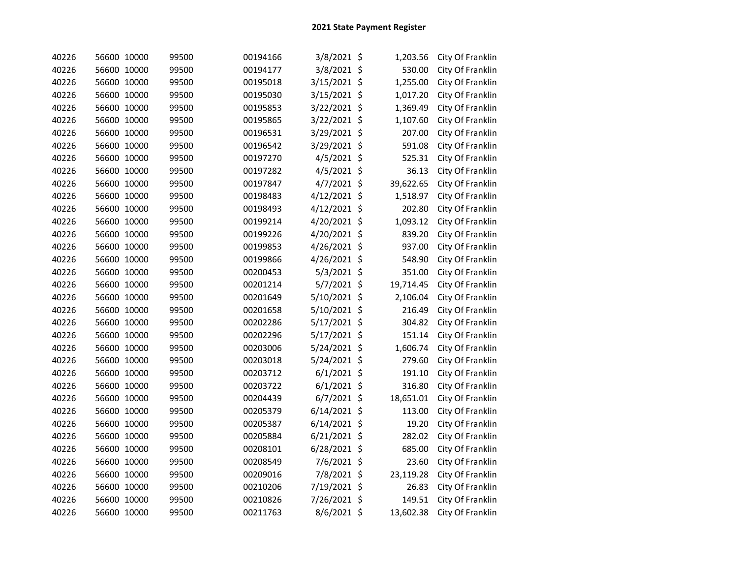| 40226 | 56600 10000 | 99500 | 00194166 | 3/8/2021 \$    |         | 1,203.56  | City Of Franklin |
|-------|-------------|-------|----------|----------------|---------|-----------|------------------|
| 40226 | 56600 10000 | 99500 | 00194177 | 3/8/2021 \$    |         | 530.00    | City Of Franklin |
| 40226 | 56600 10000 | 99500 | 00195018 | 3/15/2021      | $\zeta$ | 1,255.00  | City Of Franklin |
| 40226 | 56600 10000 | 99500 | 00195030 | 3/15/2021      | $\zeta$ | 1,017.20  | City Of Franklin |
| 40226 | 56600 10000 | 99500 | 00195853 | 3/22/2021      | $\zeta$ | 1,369.49  | City Of Franklin |
| 40226 | 56600 10000 | 99500 | 00195865 | 3/22/2021      | \$      | 1,107.60  | City Of Franklin |
| 40226 | 56600 10000 | 99500 | 00196531 | 3/29/2021      | \$      | 207.00    | City Of Franklin |
| 40226 | 56600 10000 | 99500 | 00196542 | 3/29/2021      | $\zeta$ | 591.08    | City Of Franklin |
| 40226 | 56600 10000 | 99500 | 00197270 | 4/5/2021       | \$      | 525.31    | City Of Franklin |
| 40226 | 56600 10000 | 99500 | 00197282 | 4/5/2021       | \$      | 36.13     | City Of Franklin |
| 40226 | 56600 10000 | 99500 | 00197847 | 4/7/2021       | \$      | 39,622.65 | City Of Franklin |
| 40226 | 56600 10000 | 99500 | 00198483 | 4/12/2021 \$   |         | 1,518.97  | City Of Franklin |
| 40226 | 56600 10000 | 99500 | 00198493 | 4/12/2021 \$   |         | 202.80    | City Of Franklin |
| 40226 | 56600 10000 | 99500 | 00199214 | 4/20/2021 \$   |         | 1,093.12  | City Of Franklin |
| 40226 | 56600 10000 | 99500 | 00199226 | 4/20/2021 \$   |         | 839.20    | City Of Franklin |
| 40226 | 56600 10000 | 99500 | 00199853 | 4/26/2021 \$   |         | 937.00    | City Of Franklin |
| 40226 | 56600 10000 | 99500 | 00199866 | 4/26/2021 \$   |         | 548.90    | City Of Franklin |
| 40226 | 56600 10000 | 99500 | 00200453 | $5/3/2021$ \$  |         | 351.00    | City Of Franklin |
| 40226 | 56600 10000 | 99500 | 00201214 | 5/7/2021 \$    |         | 19,714.45 | City Of Franklin |
| 40226 | 56600 10000 | 99500 | 00201649 | 5/10/2021 \$   |         | 2,106.04  | City Of Franklin |
| 40226 | 56600 10000 | 99500 | 00201658 | 5/10/2021 \$   |         | 216.49    | City Of Franklin |
| 40226 | 56600 10000 | 99500 | 00202286 | 5/17/2021 \$   |         | 304.82    | City Of Franklin |
| 40226 | 56600 10000 | 99500 | 00202296 | 5/17/2021 \$   |         | 151.14    | City Of Franklin |
| 40226 | 56600 10000 | 99500 | 00203006 | 5/24/2021 \$   |         | 1,606.74  | City Of Franklin |
| 40226 | 56600 10000 | 99500 | 00203018 | 5/24/2021 \$   |         | 279.60    | City Of Franklin |
| 40226 | 56600 10000 | 99500 | 00203712 | $6/1/2021$ \$  |         | 191.10    | City Of Franklin |
| 40226 | 56600 10000 | 99500 | 00203722 | $6/1/2021$ \$  |         | 316.80    | City Of Franklin |
| 40226 | 56600 10000 | 99500 | 00204439 | 6/7/2021       | \$      | 18,651.01 | City Of Franklin |
| 40226 | 56600 10000 | 99500 | 00205379 | $6/14/2021$ \$ |         | 113.00    | City Of Franklin |
| 40226 | 56600 10000 | 99500 | 00205387 | $6/14/2021$ \$ |         | 19.20     | City Of Franklin |
| 40226 | 56600 10000 | 99500 | 00205884 | 6/21/2021 \$   |         | 282.02    | City Of Franklin |
| 40226 | 56600 10000 | 99500 | 00208101 | 6/28/2021      | \$      | 685.00    | City Of Franklin |
| 40226 | 56600 10000 | 99500 | 00208549 | 7/6/2021 \$    |         | 23.60     | City Of Franklin |
| 40226 | 56600 10000 | 99500 | 00209016 | 7/8/2021 \$    |         | 23,119.28 | City Of Franklin |
| 40226 | 56600 10000 | 99500 | 00210206 | 7/19/2021 \$   |         | 26.83     | City Of Franklin |
| 40226 | 56600 10000 | 99500 | 00210826 | 7/26/2021 \$   |         | 149.51    | City Of Franklin |
| 40226 | 56600 10000 | 99500 | 00211763 | 8/6/2021 \$    |         | 13,602.38 | City Of Franklin |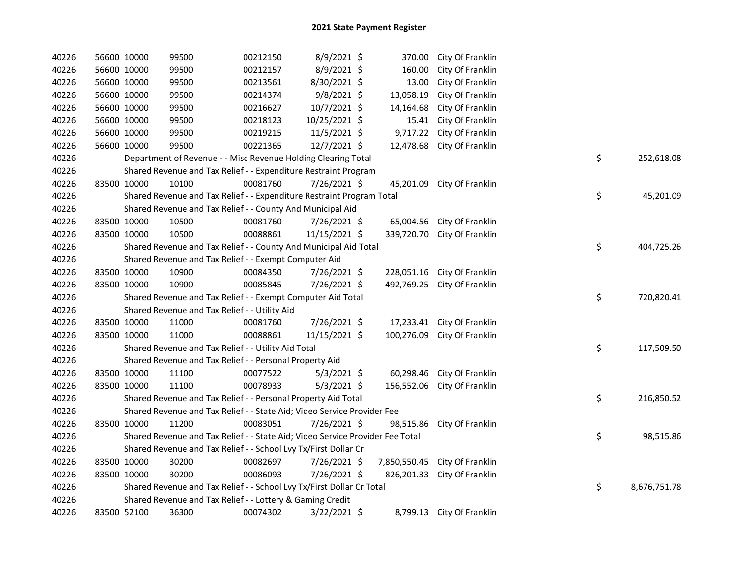| 40226 | 56600 10000 | 99500                                                                         | 00212150 | 8/9/2021 \$    | 370.00     | City Of Franklin              |    |              |
|-------|-------------|-------------------------------------------------------------------------------|----------|----------------|------------|-------------------------------|----|--------------|
| 40226 | 56600 10000 | 99500                                                                         | 00212157 | 8/9/2021 \$    | 160.00     | City Of Franklin              |    |              |
| 40226 | 56600 10000 | 99500                                                                         | 00213561 | 8/30/2021 \$   | 13.00      | City Of Franklin              |    |              |
| 40226 | 56600 10000 | 99500                                                                         | 00214374 | $9/8/2021$ \$  | 13,058.19  | City Of Franklin              |    |              |
| 40226 | 56600 10000 | 99500                                                                         | 00216627 | 10/7/2021 \$   | 14,164.68  | City Of Franklin              |    |              |
| 40226 | 56600 10000 | 99500                                                                         | 00218123 | 10/25/2021 \$  | 15.41      | City Of Franklin              |    |              |
| 40226 | 56600 10000 | 99500                                                                         | 00219215 | 11/5/2021 \$   | 9,717.22   | City Of Franklin              |    |              |
| 40226 | 56600 10000 | 99500                                                                         | 00221365 | 12/7/2021 \$   | 12,478.68  | City Of Franklin              |    |              |
| 40226 |             | Department of Revenue - - Misc Revenue Holding Clearing Total                 |          |                |            |                               | \$ | 252,618.08   |
| 40226 |             | Shared Revenue and Tax Relief - - Expenditure Restraint Program               |          |                |            |                               |    |              |
| 40226 | 83500 10000 | 10100                                                                         | 00081760 | 7/26/2021 \$   | 45,201.09  | City Of Franklin              |    |              |
| 40226 |             | Shared Revenue and Tax Relief - - Expenditure Restraint Program Total         |          |                |            |                               | \$ | 45,201.09    |
| 40226 |             | Shared Revenue and Tax Relief - - County And Municipal Aid                    |          |                |            |                               |    |              |
| 40226 | 83500 10000 | 10500                                                                         | 00081760 | 7/26/2021 \$   |            | 65,004.56 City Of Franklin    |    |              |
| 40226 | 83500 10000 | 10500                                                                         | 00088861 | 11/15/2021 \$  | 339,720.70 | City Of Franklin              |    |              |
| 40226 |             | Shared Revenue and Tax Relief - - County And Municipal Aid Total              |          |                |            |                               | \$ | 404,725.26   |
| 40226 |             | Shared Revenue and Tax Relief - - Exempt Computer Aid                         |          |                |            |                               |    |              |
| 40226 | 83500 10000 | 10900                                                                         | 00084350 | 7/26/2021 \$   | 228,051.16 | City Of Franklin              |    |              |
| 40226 | 83500 10000 | 10900                                                                         | 00085845 | 7/26/2021 \$   | 492,769.25 | City Of Franklin              |    |              |
| 40226 |             | Shared Revenue and Tax Relief - - Exempt Computer Aid Total                   |          |                |            |                               | \$ | 720,820.41   |
| 40226 |             | Shared Revenue and Tax Relief - - Utility Aid                                 |          |                |            |                               |    |              |
| 40226 | 83500 10000 | 11000                                                                         | 00081760 | 7/26/2021 \$   | 17,233.41  | City Of Franklin              |    |              |
| 40226 | 83500 10000 | 11000                                                                         | 00088861 | 11/15/2021 \$  | 100,276.09 | City Of Franklin              |    |              |
| 40226 |             | Shared Revenue and Tax Relief - - Utility Aid Total                           |          |                |            |                               | \$ | 117,509.50   |
| 40226 |             | Shared Revenue and Tax Relief - - Personal Property Aid                       |          |                |            |                               |    |              |
| 40226 | 83500 10000 | 11100                                                                         | 00077522 | $5/3/2021$ \$  | 60,298.46  | City Of Franklin              |    |              |
| 40226 | 83500 10000 | 11100                                                                         | 00078933 | $5/3/2021$ \$  | 156,552.06 | City Of Franklin              |    |              |
| 40226 |             | Shared Revenue and Tax Relief - - Personal Property Aid Total                 |          |                |            |                               | \$ | 216,850.52   |
| 40226 |             | Shared Revenue and Tax Relief - - State Aid; Video Service Provider Fee       |          |                |            |                               |    |              |
| 40226 | 83500 10000 | 11200                                                                         | 00083051 | 7/26/2021 \$   | 98,515.86  | City Of Franklin              |    |              |
| 40226 |             | Shared Revenue and Tax Relief - - State Aid; Video Service Provider Fee Total |          |                |            |                               | \$ | 98,515.86    |
| 40226 |             | Shared Revenue and Tax Relief - - School Lvy Tx/First Dollar Cr               |          |                |            |                               |    |              |
| 40226 | 83500 10000 | 30200                                                                         | 00082697 | $7/26/2021$ \$ |            | 7,850,550.45 City Of Franklin |    |              |
| 40226 | 83500 10000 | 30200                                                                         | 00086093 | 7/26/2021 \$   |            | 826,201.33 City Of Franklin   |    |              |
| 40226 |             | Shared Revenue and Tax Relief - - School Lvy Tx/First Dollar Cr Total         |          |                |            |                               | \$ | 8,676,751.78 |
| 40226 |             | Shared Revenue and Tax Relief - - Lottery & Gaming Credit                     |          |                |            |                               |    |              |
| 40226 | 83500 52100 | 36300                                                                         | 00074302 | $3/22/2021$ \$ |            | 8,799.13 City Of Franklin     |    |              |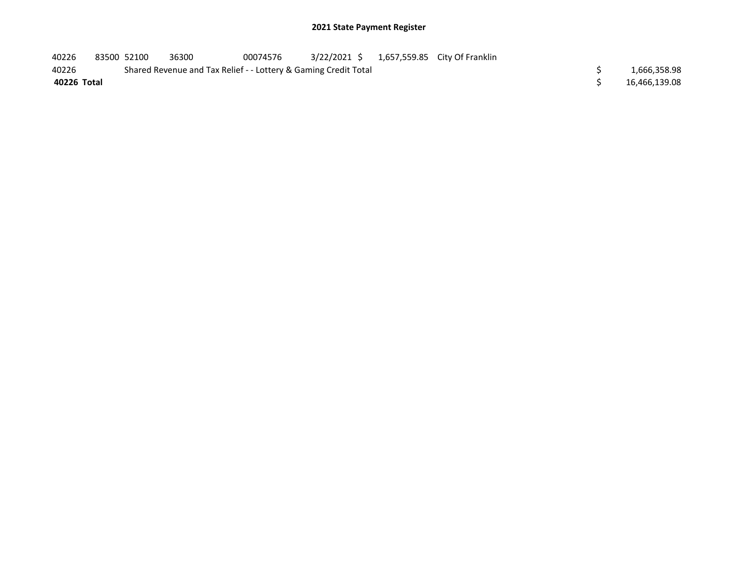| 40226       | 83500 52100 | 36300                                                           | 00074576 |  | 3/22/2021 \$ 1,657,559.85 City Of Franklin |  |               |
|-------------|-------------|-----------------------------------------------------------------|----------|--|--------------------------------------------|--|---------------|
| 40226       |             | Shared Revenue and Tax Relief - - Lottery & Gaming Credit Total |          |  |                                            |  | 1,666,358.98  |
| 40226 Total |             |                                                                 |          |  |                                            |  | 16,466,139.08 |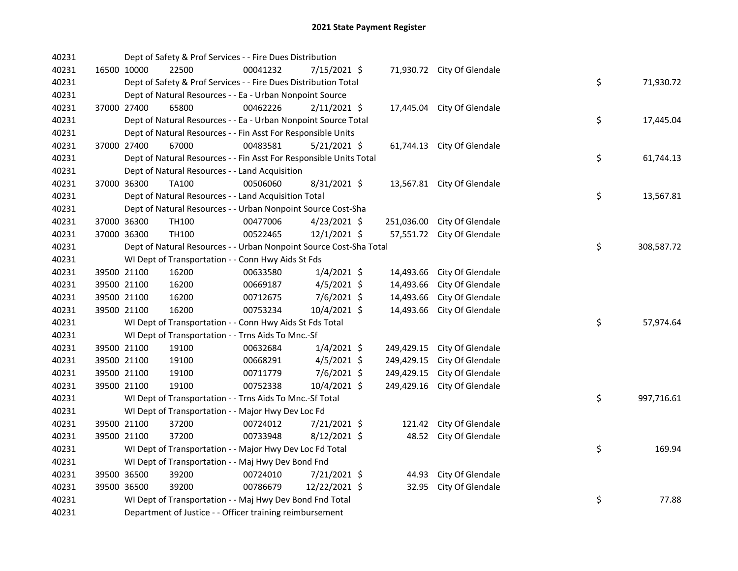| 40231 |             | Dept of Safety & Prof Services - - Fire Dues Distribution          |          |                |            |                            |    |            |
|-------|-------------|--------------------------------------------------------------------|----------|----------------|------------|----------------------------|----|------------|
| 40231 | 16500 10000 | 22500                                                              | 00041232 | 7/15/2021 \$   |            | 71,930.72 City Of Glendale |    |            |
| 40231 |             | Dept of Safety & Prof Services - - Fire Dues Distribution Total    |          |                |            |                            | \$ | 71,930.72  |
| 40231 |             | Dept of Natural Resources - - Ea - Urban Nonpoint Source           |          |                |            |                            |    |            |
| 40231 | 37000 27400 | 65800                                                              | 00462226 | $2/11/2021$ \$ |            | 17,445.04 City Of Glendale |    |            |
| 40231 |             | Dept of Natural Resources - - Ea - Urban Nonpoint Source Total     |          |                |            |                            | \$ | 17,445.04  |
| 40231 |             | Dept of Natural Resources - - Fin Asst For Responsible Units       |          |                |            |                            |    |            |
| 40231 | 37000 27400 | 67000                                                              | 00483581 | $5/21/2021$ \$ |            | 61,744.13 City Of Glendale |    |            |
| 40231 |             | Dept of Natural Resources - - Fin Asst For Responsible Units Total |          |                |            |                            | \$ | 61,744.13  |
| 40231 |             | Dept of Natural Resources - - Land Acquisition                     |          |                |            |                            |    |            |
| 40231 | 37000 36300 | <b>TA100</b>                                                       | 00506060 | 8/31/2021 \$   |            | 13,567.81 City Of Glendale |    |            |
| 40231 |             | Dept of Natural Resources - - Land Acquisition Total               |          |                |            |                            | \$ | 13,567.81  |
| 40231 |             | Dept of Natural Resources - - Urban Nonpoint Source Cost-Sha       |          |                |            |                            |    |            |
| 40231 | 37000 36300 | TH100                                                              | 00477006 | $4/23/2021$ \$ | 251,036.00 | City Of Glendale           |    |            |
| 40231 | 37000 36300 | TH100                                                              | 00522465 | $12/1/2021$ \$ | 57,551.72  | City Of Glendale           |    |            |
| 40231 |             | Dept of Natural Resources - - Urban Nonpoint Source Cost-Sha Total |          |                |            |                            | \$ | 308,587.72 |
| 40231 |             | WI Dept of Transportation - - Conn Hwy Aids St Fds                 |          |                |            |                            |    |            |
| 40231 | 39500 21100 | 16200                                                              | 00633580 | $1/4/2021$ \$  | 14,493.66  | City Of Glendale           |    |            |
| 40231 | 39500 21100 | 16200                                                              | 00669187 | $4/5/2021$ \$  | 14,493.66  | City Of Glendale           |    |            |
| 40231 | 39500 21100 | 16200                                                              | 00712675 | 7/6/2021 \$    | 14,493.66  | City Of Glendale           |    |            |
| 40231 | 39500 21100 | 16200                                                              | 00753234 | 10/4/2021 \$   | 14,493.66  | City Of Glendale           |    |            |
| 40231 |             | WI Dept of Transportation - - Conn Hwy Aids St Fds Total           |          |                |            |                            | \$ | 57,974.64  |
| 40231 |             | WI Dept of Transportation - - Trns Aids To Mnc.-Sf                 |          |                |            |                            |    |            |
| 40231 | 39500 21100 | 19100                                                              | 00632684 | $1/4/2021$ \$  | 249,429.15 | City Of Glendale           |    |            |
| 40231 | 39500 21100 | 19100                                                              | 00668291 | $4/5/2021$ \$  | 249,429.15 | City Of Glendale           |    |            |
| 40231 | 39500 21100 | 19100                                                              | 00711779 | $7/6/2021$ \$  | 249,429.15 | City Of Glendale           |    |            |
| 40231 | 39500 21100 | 19100                                                              | 00752338 | 10/4/2021 \$   | 249,429.16 | City Of Glendale           |    |            |
| 40231 |             | WI Dept of Transportation - - Trns Aids To Mnc.-Sf Total           |          |                |            |                            | \$ | 997,716.61 |
| 40231 |             | WI Dept of Transportation - - Major Hwy Dev Loc Fd                 |          |                |            |                            |    |            |
| 40231 | 39500 21100 | 37200                                                              | 00724012 | 7/21/2021 \$   | 121.42     | City Of Glendale           |    |            |
| 40231 | 39500 21100 | 37200                                                              | 00733948 | $8/12/2021$ \$ | 48.52      | City Of Glendale           |    |            |
| 40231 |             | WI Dept of Transportation - - Major Hwy Dev Loc Fd Total           |          |                |            |                            | \$ | 169.94     |
| 40231 |             | WI Dept of Transportation - - Maj Hwy Dev Bond Fnd                 |          |                |            |                            |    |            |
| 40231 | 39500 36500 | 39200                                                              | 00724010 | 7/21/2021 \$   | 44.93      | City Of Glendale           |    |            |
| 40231 | 39500 36500 | 39200                                                              | 00786679 | 12/22/2021 \$  | 32.95      | City Of Glendale           |    |            |
| 40231 |             | WI Dept of Transportation - - Maj Hwy Dev Bond Fnd Total           |          |                |            |                            | \$ | 77.88      |
| 40231 |             | Department of Justice - - Officer training reimbursement           |          |                |            |                            |    |            |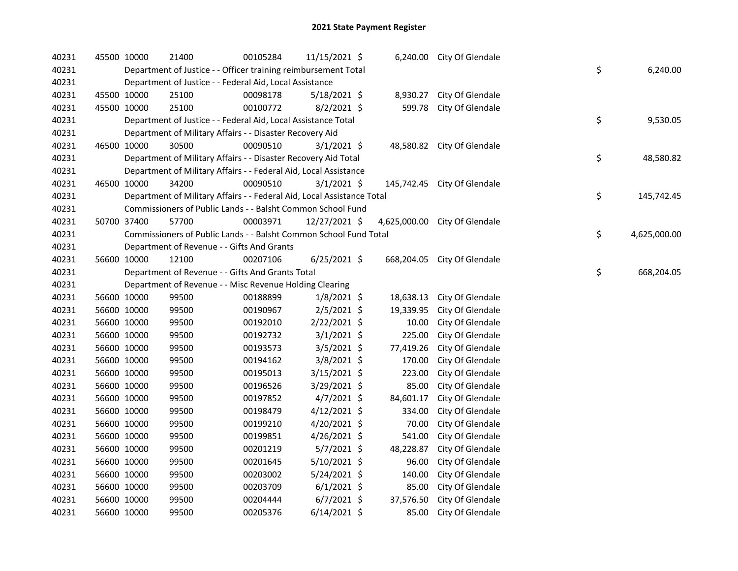| 40231 | 45500 10000 | 21400                                                                  | 00105284 | 11/15/2021 \$  |              | 6,240.00 City Of Glendale   |    |              |
|-------|-------------|------------------------------------------------------------------------|----------|----------------|--------------|-----------------------------|----|--------------|
| 40231 |             | Department of Justice - - Officer training reimbursement Total         |          |                |              |                             | \$ | 6,240.00     |
| 40231 |             | Department of Justice - - Federal Aid, Local Assistance                |          |                |              |                             |    |              |
| 40231 | 45500 10000 | 25100                                                                  | 00098178 | $5/18/2021$ \$ | 8,930.27     | City Of Glendale            |    |              |
| 40231 | 45500 10000 | 25100                                                                  | 00100772 | $8/2/2021$ \$  | 599.78       | City Of Glendale            |    |              |
| 40231 |             | Department of Justice - - Federal Aid, Local Assistance Total          |          |                |              |                             | \$ | 9,530.05     |
| 40231 |             | Department of Military Affairs - - Disaster Recovery Aid               |          |                |              |                             |    |              |
| 40231 | 46500 10000 | 30500                                                                  | 00090510 | $3/1/2021$ \$  | 48,580.82    | City Of Glendale            |    |              |
| 40231 |             | Department of Military Affairs - - Disaster Recovery Aid Total         |          |                |              |                             | \$ | 48,580.82    |
| 40231 |             | Department of Military Affairs - - Federal Aid, Local Assistance       |          |                |              |                             |    |              |
| 40231 | 46500 10000 | 34200                                                                  | 00090510 | $3/1/2021$ \$  |              | 145,742.45 City Of Glendale |    |              |
| 40231 |             | Department of Military Affairs - - Federal Aid, Local Assistance Total |          |                |              |                             | \$ | 145,742.45   |
| 40231 |             | Commissioners of Public Lands - - Balsht Common School Fund            |          |                |              |                             |    |              |
| 40231 | 50700 37400 | 57700                                                                  | 00003971 | 12/27/2021 \$  | 4,625,000.00 | City Of Glendale            |    |              |
| 40231 |             | Commissioners of Public Lands - - Balsht Common School Fund Total      |          |                |              |                             | \$ | 4,625,000.00 |
| 40231 |             | Department of Revenue - - Gifts And Grants                             |          |                |              |                             |    |              |
| 40231 | 56600 10000 | 12100                                                                  | 00207106 | $6/25/2021$ \$ | 668,204.05   | City Of Glendale            |    |              |
| 40231 |             | Department of Revenue - - Gifts And Grants Total                       |          |                |              |                             | \$ | 668,204.05   |
| 40231 |             | Department of Revenue - - Misc Revenue Holding Clearing                |          |                |              |                             |    |              |
| 40231 | 56600 10000 | 99500                                                                  | 00188899 | $1/8/2021$ \$  | 18,638.13    | City Of Glendale            |    |              |
| 40231 | 56600 10000 | 99500                                                                  | 00190967 | $2/5/2021$ \$  | 19,339.95    | City Of Glendale            |    |              |
| 40231 | 56600 10000 | 99500                                                                  | 00192010 | 2/22/2021 \$   | 10.00        | City Of Glendale            |    |              |
| 40231 | 56600 10000 | 99500                                                                  | 00192732 | $3/1/2021$ \$  | 225.00       | City Of Glendale            |    |              |
| 40231 | 56600 10000 | 99500                                                                  | 00193573 | $3/5/2021$ \$  | 77,419.26    | City Of Glendale            |    |              |
| 40231 | 56600 10000 | 99500                                                                  | 00194162 | 3/8/2021 \$    | 170.00       | City Of Glendale            |    |              |
| 40231 | 56600 10000 | 99500                                                                  | 00195013 | 3/15/2021 \$   | 223.00       | City Of Glendale            |    |              |
| 40231 | 56600 10000 | 99500                                                                  | 00196526 | 3/29/2021 \$   | 85.00        | City Of Glendale            |    |              |
| 40231 | 56600 10000 | 99500                                                                  | 00197852 | $4/7/2021$ \$  | 84,601.17    | City Of Glendale            |    |              |
| 40231 | 56600 10000 | 99500                                                                  | 00198479 | $4/12/2021$ \$ | 334.00       | City Of Glendale            |    |              |
| 40231 | 56600 10000 | 99500                                                                  | 00199210 | $4/20/2021$ \$ | 70.00        | City Of Glendale            |    |              |
| 40231 | 56600 10000 | 99500                                                                  | 00199851 | 4/26/2021 \$   | 541.00       | City Of Glendale            |    |              |
| 40231 | 56600 10000 | 99500                                                                  | 00201219 | $5/7/2021$ \$  | 48,228.87    | City Of Glendale            |    |              |
| 40231 | 56600 10000 | 99500                                                                  | 00201645 | 5/10/2021 \$   | 96.00        | City Of Glendale            |    |              |
| 40231 | 56600 10000 | 99500                                                                  | 00203002 | 5/24/2021 \$   | 140.00       | City Of Glendale            |    |              |
| 40231 | 56600 10000 | 99500                                                                  | 00203709 | $6/1/2021$ \$  | 85.00        | City Of Glendale            |    |              |
| 40231 | 56600 10000 | 99500                                                                  | 00204444 | $6/7/2021$ \$  | 37,576.50    | City Of Glendale            |    |              |
| 40231 | 56600 10000 | 99500                                                                  | 00205376 | $6/14/2021$ \$ | 85.00        | City Of Glendale            |    |              |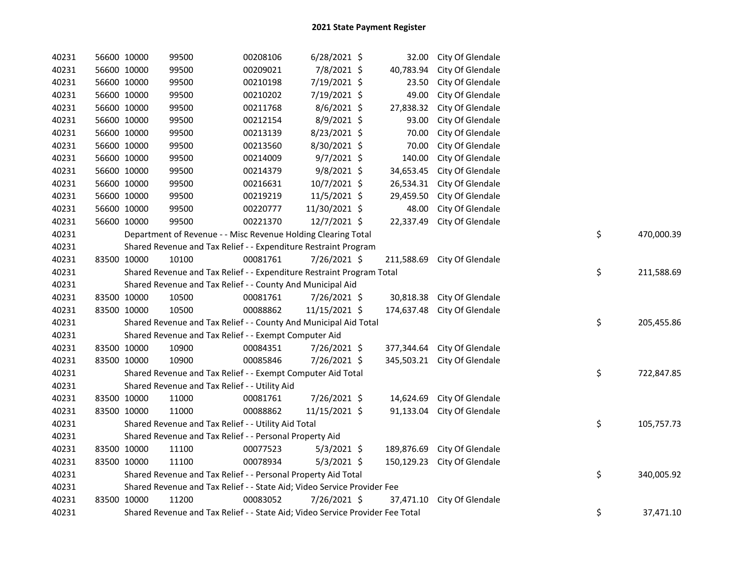| 40231 | 56600 10000 | 99500                                                                         | 00208106 | $6/28/2021$ \$ | 32.00      | City Of Glendale            |    |            |
|-------|-------------|-------------------------------------------------------------------------------|----------|----------------|------------|-----------------------------|----|------------|
| 40231 | 56600 10000 | 99500                                                                         | 00209021 | 7/8/2021 \$    | 40,783.94  | City Of Glendale            |    |            |
| 40231 | 56600 10000 | 99500                                                                         | 00210198 | 7/19/2021 \$   | 23.50      | City Of Glendale            |    |            |
| 40231 | 56600 10000 | 99500                                                                         | 00210202 | 7/19/2021 \$   | 49.00      | City Of Glendale            |    |            |
| 40231 | 56600 10000 | 99500                                                                         | 00211768 | 8/6/2021 \$    | 27,838.32  | City Of Glendale            |    |            |
| 40231 | 56600 10000 | 99500                                                                         | 00212154 | 8/9/2021 \$    | 93.00      | City Of Glendale            |    |            |
| 40231 | 56600 10000 | 99500                                                                         | 00213139 | 8/23/2021 \$   | 70.00      | City Of Glendale            |    |            |
| 40231 | 56600 10000 | 99500                                                                         | 00213560 | 8/30/2021 \$   | 70.00      | City Of Glendale            |    |            |
| 40231 | 56600 10000 | 99500                                                                         | 00214009 | $9/7/2021$ \$  | 140.00     | City Of Glendale            |    |            |
| 40231 | 56600 10000 | 99500                                                                         | 00214379 | 9/8/2021 \$    | 34,653.45  | City Of Glendale            |    |            |
| 40231 | 56600 10000 | 99500                                                                         | 00216631 | $10/7/2021$ \$ | 26,534.31  | City Of Glendale            |    |            |
| 40231 | 56600 10000 | 99500                                                                         | 00219219 | 11/5/2021 \$   | 29,459.50  | City Of Glendale            |    |            |
| 40231 | 56600 10000 | 99500                                                                         | 00220777 | 11/30/2021 \$  | 48.00      | City Of Glendale            |    |            |
| 40231 | 56600 10000 | 99500                                                                         | 00221370 | 12/7/2021 \$   | 22,337.49  | City Of Glendale            |    |            |
| 40231 |             | Department of Revenue - - Misc Revenue Holding Clearing Total                 |          |                |            |                             | \$ | 470,000.39 |
| 40231 |             | Shared Revenue and Tax Relief - - Expenditure Restraint Program               |          |                |            |                             |    |            |
| 40231 | 83500 10000 | 10100                                                                         | 00081761 | 7/26/2021 \$   | 211,588.69 | City Of Glendale            |    |            |
| 40231 |             | Shared Revenue and Tax Relief - - Expenditure Restraint Program Total         |          |                |            |                             | \$ | 211,588.69 |
| 40231 |             | Shared Revenue and Tax Relief - - County And Municipal Aid                    |          |                |            |                             |    |            |
| 40231 | 83500 10000 | 10500                                                                         | 00081761 | 7/26/2021 \$   | 30,818.38  | City Of Glendale            |    |            |
| 40231 | 83500 10000 | 10500                                                                         | 00088862 | 11/15/2021 \$  | 174,637.48 | City Of Glendale            |    |            |
| 40231 |             | Shared Revenue and Tax Relief - - County And Municipal Aid Total              |          |                |            |                             | \$ | 205,455.86 |
| 40231 |             | Shared Revenue and Tax Relief - - Exempt Computer Aid                         |          |                |            |                             |    |            |
| 40231 | 83500 10000 | 10900                                                                         | 00084351 | 7/26/2021 \$   | 377,344.64 | City Of Glendale            |    |            |
| 40231 | 83500 10000 | 10900                                                                         | 00085846 | 7/26/2021 \$   |            | 345,503.21 City Of Glendale |    |            |
| 40231 |             | Shared Revenue and Tax Relief - - Exempt Computer Aid Total                   |          |                |            |                             | \$ | 722,847.85 |
| 40231 |             | Shared Revenue and Tax Relief - - Utility Aid                                 |          |                |            |                             |    |            |
| 40231 | 83500 10000 | 11000                                                                         | 00081761 | 7/26/2021 \$   | 14,624.69  | City Of Glendale            |    |            |
| 40231 | 83500 10000 | 11000                                                                         | 00088862 | 11/15/2021 \$  | 91,133.04  | City Of Glendale            |    |            |
| 40231 |             | Shared Revenue and Tax Relief - - Utility Aid Total                           |          |                |            |                             | \$ | 105,757.73 |
| 40231 |             | Shared Revenue and Tax Relief - - Personal Property Aid                       |          |                |            |                             |    |            |
| 40231 | 83500 10000 | 11100                                                                         | 00077523 | $5/3/2021$ \$  | 189,876.69 | City Of Glendale            |    |            |
| 40231 | 83500 10000 | 11100                                                                         | 00078934 | $5/3/2021$ \$  | 150,129.23 | City Of Glendale            |    |            |
| 40231 |             | Shared Revenue and Tax Relief - - Personal Property Aid Total                 |          |                |            |                             | \$ | 340,005.92 |
| 40231 |             | Shared Revenue and Tax Relief - - State Aid; Video Service Provider Fee       |          |                |            |                             |    |            |
| 40231 | 83500 10000 | 11200                                                                         | 00083052 | 7/26/2021 \$   | 37,471.10  | City Of Glendale            |    |            |
| 40231 |             | Shared Revenue and Tax Relief - - State Aid; Video Service Provider Fee Total |          |                |            |                             | \$ | 37,471.10  |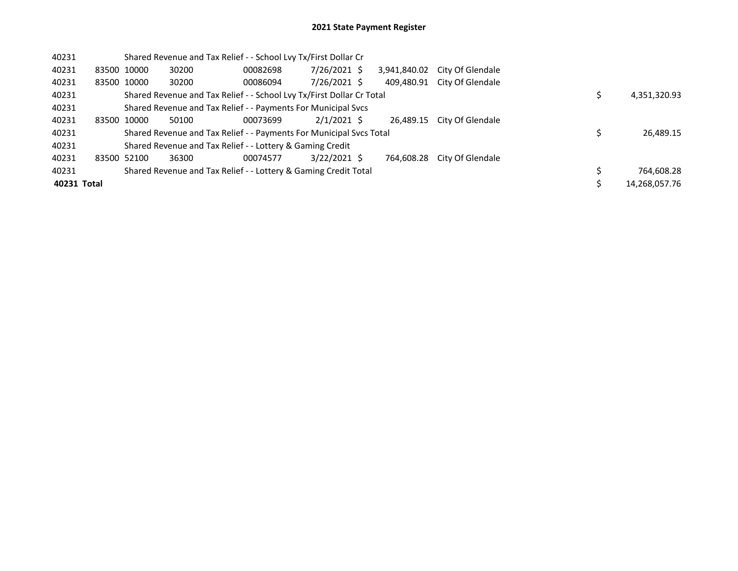| 40231       |             |             |       | Shared Revenue and Tax Relief - - School Lvy Tx/First Dollar Cr       |                |              |                  |  |               |
|-------------|-------------|-------------|-------|-----------------------------------------------------------------------|----------------|--------------|------------------|--|---------------|
| 40231       |             | 83500 10000 | 30200 | 00082698                                                              | 7/26/2021 \$   | 3,941,840.02 | City Of Glendale |  |               |
| 40231       |             | 83500 10000 | 30200 | 00086094                                                              | 7/26/2021 \$   | 409.480.91   | City Of Glendale |  |               |
| 40231       |             |             |       | Shared Revenue and Tax Relief - - School Lvy Tx/First Dollar Cr Total |                |              |                  |  | 4,351,320.93  |
| 40231       |             |             |       | Shared Revenue and Tax Relief - - Payments For Municipal Svcs         |                |              |                  |  |               |
| 40231       | 83500 10000 |             | 50100 | 00073699                                                              | $2/1/2021$ \$  | 26.489.15    | City Of Glendale |  |               |
| 40231       |             |             |       | Shared Revenue and Tax Relief - - Payments For Municipal Svcs Total   |                |              |                  |  | 26,489.15     |
| 40231       |             |             |       | Shared Revenue and Tax Relief - - Lottery & Gaming Credit             |                |              |                  |  |               |
| 40231       | 83500 52100 |             | 36300 | 00074577                                                              | $3/22/2021$ \$ | 764.608.28   | City Of Glendale |  |               |
| 40231       |             |             |       | Shared Revenue and Tax Relief - - Lottery & Gaming Credit Total       |                |              |                  |  | 764,608.28    |
| 40231 Total |             |             |       |                                                                       |                |              |                  |  | 14,268,057.76 |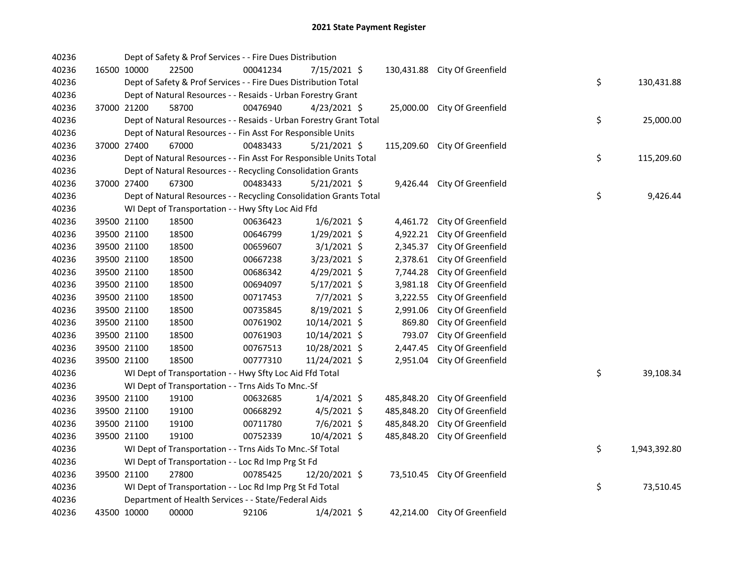| 40236 |             | Dept of Safety & Prof Services - - Fire Dues Distribution          |          |                |            |                               |    |              |
|-------|-------------|--------------------------------------------------------------------|----------|----------------|------------|-------------------------------|----|--------------|
| 40236 | 16500 10000 | 22500                                                              | 00041234 | 7/15/2021 \$   |            | 130,431.88 City Of Greenfield |    |              |
| 40236 |             | Dept of Safety & Prof Services - - Fire Dues Distribution Total    |          |                |            |                               | \$ | 130,431.88   |
| 40236 |             | Dept of Natural Resources - - Resaids - Urban Forestry Grant       |          |                |            |                               |    |              |
| 40236 | 37000 21200 | 58700                                                              | 00476940 | $4/23/2021$ \$ | 25,000.00  | City Of Greenfield            |    |              |
| 40236 |             | Dept of Natural Resources - - Resaids - Urban Forestry Grant Total |          |                |            |                               | \$ | 25,000.00    |
| 40236 |             | Dept of Natural Resources - - Fin Asst For Responsible Units       |          |                |            |                               |    |              |
| 40236 | 37000 27400 | 67000                                                              | 00483433 | $5/21/2021$ \$ | 115,209.60 | City Of Greenfield            |    |              |
| 40236 |             | Dept of Natural Resources - - Fin Asst For Responsible Units Total |          |                |            |                               | \$ | 115,209.60   |
| 40236 |             | Dept of Natural Resources - - Recycling Consolidation Grants       |          |                |            |                               |    |              |
| 40236 | 37000 27400 | 67300                                                              | 00483433 | $5/21/2021$ \$ | 9,426.44   | City Of Greenfield            |    |              |
| 40236 |             | Dept of Natural Resources - - Recycling Consolidation Grants Total |          |                |            |                               | \$ | 9,426.44     |
| 40236 |             | WI Dept of Transportation - - Hwy Sfty Loc Aid Ffd                 |          |                |            |                               |    |              |
| 40236 | 39500 21100 | 18500                                                              | 00636423 | $1/6/2021$ \$  | 4,461.72   | City Of Greenfield            |    |              |
| 40236 | 39500 21100 | 18500                                                              | 00646799 | 1/29/2021 \$   | 4,922.21   | City Of Greenfield            |    |              |
| 40236 | 39500 21100 | 18500                                                              | 00659607 | $3/1/2021$ \$  | 2,345.37   | City Of Greenfield            |    |              |
| 40236 | 39500 21100 | 18500                                                              | 00667238 | 3/23/2021 \$   | 2,378.61   | City Of Greenfield            |    |              |
| 40236 | 39500 21100 | 18500                                                              | 00686342 | 4/29/2021 \$   | 7,744.28   | City Of Greenfield            |    |              |
| 40236 | 39500 21100 | 18500                                                              | 00694097 | 5/17/2021 \$   | 3,981.18   | City Of Greenfield            |    |              |
| 40236 | 39500 21100 | 18500                                                              | 00717453 | 7/7/2021 \$    | 3,222.55   | City Of Greenfield            |    |              |
| 40236 | 39500 21100 | 18500                                                              | 00735845 | 8/19/2021 \$   | 2,991.06   | City Of Greenfield            |    |              |
| 40236 | 39500 21100 | 18500                                                              | 00761902 | 10/14/2021 \$  | 869.80     | City Of Greenfield            |    |              |
| 40236 | 39500 21100 | 18500                                                              | 00761903 | 10/14/2021 \$  | 793.07     | City Of Greenfield            |    |              |
| 40236 | 39500 21100 | 18500                                                              | 00767513 | 10/28/2021 \$  | 2,447.45   | City Of Greenfield            |    |              |
| 40236 | 39500 21100 | 18500                                                              | 00777310 | 11/24/2021 \$  | 2,951.04   | City Of Greenfield            |    |              |
| 40236 |             | WI Dept of Transportation - - Hwy Sfty Loc Aid Ffd Total           |          |                |            |                               | \$ | 39,108.34    |
| 40236 |             | WI Dept of Transportation - - Trns Aids To Mnc.-Sf                 |          |                |            |                               |    |              |
| 40236 | 39500 21100 | 19100                                                              | 00632685 | $1/4/2021$ \$  | 485,848.20 | City Of Greenfield            |    |              |
| 40236 | 39500 21100 | 19100                                                              | 00668292 | $4/5/2021$ \$  | 485,848.20 | City Of Greenfield            |    |              |
| 40236 | 39500 21100 | 19100                                                              | 00711780 | 7/6/2021 \$    | 485,848.20 | City Of Greenfield            |    |              |
| 40236 | 39500 21100 | 19100                                                              | 00752339 | 10/4/2021 \$   | 485,848.20 | City Of Greenfield            |    |              |
| 40236 |             | WI Dept of Transportation - - Trns Aids To Mnc.-Sf Total           |          |                |            |                               | \$ | 1,943,392.80 |
| 40236 |             | WI Dept of Transportation - - Loc Rd Imp Prg St Fd                 |          |                |            |                               |    |              |
| 40236 | 39500 21100 | 27800                                                              | 00785425 | 12/20/2021 \$  |            | 73,510.45 City Of Greenfield  |    |              |
| 40236 |             | WI Dept of Transportation - - Loc Rd Imp Prg St Fd Total           |          |                |            |                               | \$ | 73,510.45    |
| 40236 |             | Department of Health Services - - State/Federal Aids               |          |                |            |                               |    |              |
| 40236 | 43500 10000 | 00000                                                              | 92106    | $1/4/2021$ \$  |            | 42,214.00 City Of Greenfield  |    |              |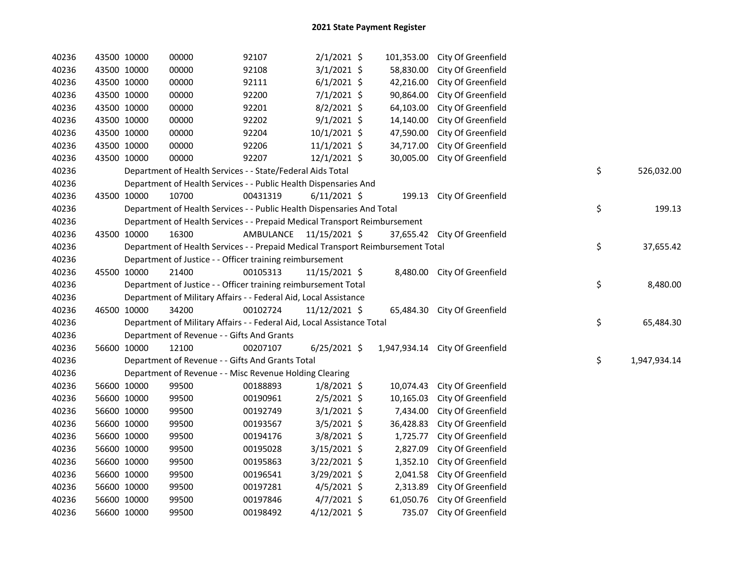| 40236 |             | 43500 10000 | 00000                                                                           | 92107                   | $2/1/2021$ \$   | 101,353.00   | City Of Greenfield           |    |              |
|-------|-------------|-------------|---------------------------------------------------------------------------------|-------------------------|-----------------|--------------|------------------------------|----|--------------|
| 40236 |             | 43500 10000 | 00000                                                                           | 92108                   | $3/1/2021$ \$   | 58,830.00    | City Of Greenfield           |    |              |
| 40236 |             | 43500 10000 | 00000                                                                           | 92111                   | $6/1/2021$ \$   | 42,216.00    | City Of Greenfield           |    |              |
| 40236 |             | 43500 10000 | 00000                                                                           | 92200                   | $7/1/2021$ \$   | 90,864.00    | City Of Greenfield           |    |              |
| 40236 |             | 43500 10000 | 00000                                                                           | 92201                   | 8/2/2021 \$     | 64,103.00    | City Of Greenfield           |    |              |
| 40236 |             | 43500 10000 | 00000                                                                           | 92202                   | $9/1/2021$ \$   | 14,140.00    | City Of Greenfield           |    |              |
| 40236 |             | 43500 10000 | 00000                                                                           | 92204                   | 10/1/2021 \$    | 47,590.00    | City Of Greenfield           |    |              |
| 40236 |             | 43500 10000 | 00000                                                                           | 92206                   | $11/1/2021$ \$  | 34,717.00    | City Of Greenfield           |    |              |
| 40236 |             | 43500 10000 | 00000                                                                           | 92207                   | 12/1/2021 \$    | 30,005.00    | City Of Greenfield           |    |              |
| 40236 |             |             | Department of Health Services - - State/Federal Aids Total                      |                         |                 |              |                              | \$ | 526,032.00   |
| 40236 |             |             | Department of Health Services - - Public Health Dispensaries And                |                         |                 |              |                              |    |              |
| 40236 |             | 43500 10000 | 10700                                                                           | 00431319                | $6/11/2021$ \$  | 199.13       | City Of Greenfield           |    |              |
| 40236 |             |             | Department of Health Services - - Public Health Dispensaries And Total          |                         |                 |              |                              | \$ | 199.13       |
| 40236 |             |             | Department of Health Services - - Prepaid Medical Transport Reimbursement       |                         |                 |              |                              |    |              |
| 40236 | 43500 10000 |             | 16300                                                                           | AMBULANCE 11/15/2021 \$ |                 |              | 37,655.42 City Of Greenfield |    |              |
| 40236 |             |             | Department of Health Services - - Prepaid Medical Transport Reimbursement Total |                         |                 |              |                              | \$ | 37,655.42    |
| 40236 |             |             | Department of Justice - - Officer training reimbursement                        |                         |                 |              |                              |    |              |
| 40236 |             | 45500 10000 | 21400                                                                           | 00105313                | $11/15/2021$ \$ |              | 8,480.00 City Of Greenfield  |    |              |
| 40236 |             |             | Department of Justice - - Officer training reimbursement Total                  |                         |                 |              |                              | \$ | 8,480.00     |
| 40236 |             |             | Department of Military Affairs - - Federal Aid, Local Assistance                |                         |                 |              |                              |    |              |
| 40236 |             | 46500 10000 | 34200                                                                           | 00102724                | 11/12/2021 \$   | 65,484.30    | City Of Greenfield           |    |              |
| 40236 |             |             | Department of Military Affairs - - Federal Aid, Local Assistance Total          |                         |                 |              |                              | \$ | 65,484.30    |
| 40236 |             |             | Department of Revenue - - Gifts And Grants                                      |                         |                 |              |                              |    |              |
| 40236 |             | 56600 10000 | 12100                                                                           | 00207107                | $6/25/2021$ \$  | 1,947,934.14 | City Of Greenfield           |    |              |
| 40236 |             |             | Department of Revenue - - Gifts And Grants Total                                |                         |                 |              |                              | \$ | 1,947,934.14 |
| 40236 |             |             | Department of Revenue - - Misc Revenue Holding Clearing                         |                         |                 |              |                              |    |              |
| 40236 |             | 56600 10000 | 99500                                                                           | 00188893                | $1/8/2021$ \$   | 10,074.43    | City Of Greenfield           |    |              |
| 40236 |             | 56600 10000 | 99500                                                                           | 00190961                | $2/5/2021$ \$   | 10,165.03    | City Of Greenfield           |    |              |
| 40236 |             | 56600 10000 | 99500                                                                           | 00192749                | $3/1/2021$ \$   | 7,434.00     | City Of Greenfield           |    |              |
| 40236 |             | 56600 10000 | 99500                                                                           | 00193567                | $3/5/2021$ \$   | 36,428.83    | City Of Greenfield           |    |              |
| 40236 |             | 56600 10000 | 99500                                                                           | 00194176                | 3/8/2021 \$     | 1,725.77     | City Of Greenfield           |    |              |
| 40236 |             | 56600 10000 | 99500                                                                           | 00195028                | 3/15/2021 \$    | 2,827.09     | City Of Greenfield           |    |              |
| 40236 |             | 56600 10000 | 99500                                                                           | 00195863                | $3/22/2021$ \$  | 1,352.10     | City Of Greenfield           |    |              |
| 40236 |             | 56600 10000 | 99500                                                                           | 00196541                | $3/29/2021$ \$  | 2,041.58     | City Of Greenfield           |    |              |
| 40236 |             | 56600 10000 | 99500                                                                           | 00197281                | $4/5/2021$ \$   | 2,313.89     | City Of Greenfield           |    |              |
| 40236 |             | 56600 10000 | 99500                                                                           | 00197846                | $4/7/2021$ \$   | 61,050.76    | City Of Greenfield           |    |              |
| 40236 |             | 56600 10000 | 99500                                                                           | 00198492                | 4/12/2021 \$    | 735.07       | City Of Greenfield           |    |              |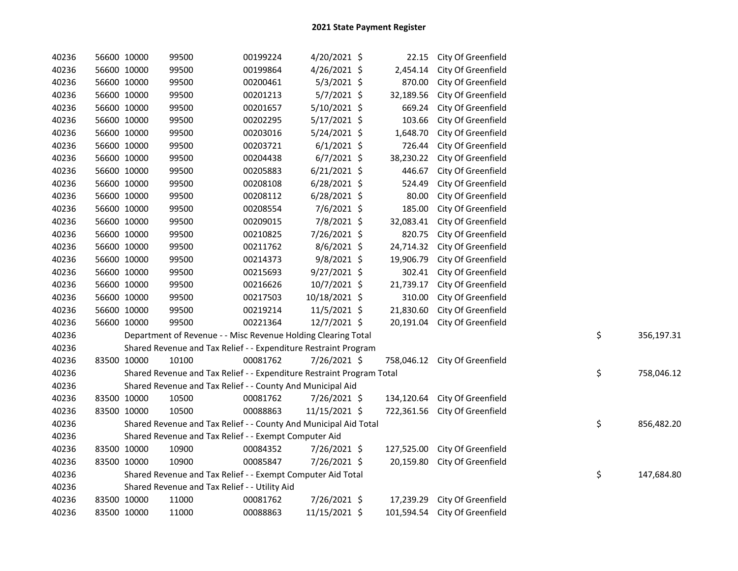| 40236 | 56600 10000 | 99500                                                                 | 00199224 | 4/20/2021 \$   | 22.15      | City Of Greenfield            |    |            |
|-------|-------------|-----------------------------------------------------------------------|----------|----------------|------------|-------------------------------|----|------------|
| 40236 | 56600 10000 | 99500                                                                 | 00199864 | 4/26/2021 \$   | 2,454.14   | City Of Greenfield            |    |            |
| 40236 | 56600 10000 | 99500                                                                 | 00200461 | $5/3/2021$ \$  | 870.00     | City Of Greenfield            |    |            |
| 40236 | 56600 10000 | 99500                                                                 | 00201213 | $5/7/2021$ \$  | 32,189.56  | City Of Greenfield            |    |            |
| 40236 | 56600 10000 | 99500                                                                 | 00201657 | 5/10/2021 \$   | 669.24     | City Of Greenfield            |    |            |
| 40236 | 56600 10000 | 99500                                                                 | 00202295 | 5/17/2021 \$   | 103.66     | City Of Greenfield            |    |            |
| 40236 | 56600 10000 | 99500                                                                 | 00203016 | 5/24/2021 \$   | 1,648.70   | City Of Greenfield            |    |            |
| 40236 | 56600 10000 | 99500                                                                 | 00203721 | $6/1/2021$ \$  | 726.44     | City Of Greenfield            |    |            |
| 40236 | 56600 10000 | 99500                                                                 | 00204438 | $6/7/2021$ \$  | 38,230.22  | City Of Greenfield            |    |            |
| 40236 | 56600 10000 | 99500                                                                 | 00205883 | $6/21/2021$ \$ | 446.67     | City Of Greenfield            |    |            |
| 40236 | 56600 10000 | 99500                                                                 | 00208108 | 6/28/2021 \$   | 524.49     | City Of Greenfield            |    |            |
| 40236 | 56600 10000 | 99500                                                                 | 00208112 | $6/28/2021$ \$ | 80.00      | City Of Greenfield            |    |            |
| 40236 | 56600 10000 | 99500                                                                 | 00208554 | 7/6/2021 \$    | 185.00     | City Of Greenfield            |    |            |
| 40236 | 56600 10000 | 99500                                                                 | 00209015 | 7/8/2021 \$    | 32,083.41  | City Of Greenfield            |    |            |
| 40236 | 56600 10000 | 99500                                                                 | 00210825 | 7/26/2021 \$   | 820.75     | City Of Greenfield            |    |            |
| 40236 | 56600 10000 | 99500                                                                 | 00211762 | $8/6/2021$ \$  | 24,714.32  | City Of Greenfield            |    |            |
| 40236 | 56600 10000 | 99500                                                                 | 00214373 | 9/8/2021 \$    | 19,906.79  | City Of Greenfield            |    |            |
| 40236 | 56600 10000 | 99500                                                                 | 00215693 | 9/27/2021 \$   | 302.41     | City Of Greenfield            |    |            |
| 40236 | 56600 10000 | 99500                                                                 | 00216626 | 10/7/2021 \$   | 21,739.17  | City Of Greenfield            |    |            |
| 40236 | 56600 10000 | 99500                                                                 | 00217503 | 10/18/2021 \$  | 310.00     | City Of Greenfield            |    |            |
| 40236 | 56600 10000 | 99500                                                                 | 00219214 | 11/5/2021 \$   | 21,830.60  | City Of Greenfield            |    |            |
| 40236 | 56600 10000 | 99500                                                                 | 00221364 | 12/7/2021 \$   | 20,191.04  | City Of Greenfield            |    |            |
| 40236 |             | Department of Revenue - - Misc Revenue Holding Clearing Total         |          |                |            |                               | \$ | 356,197.31 |
| 40236 |             | Shared Revenue and Tax Relief - - Expenditure Restraint Program       |          |                |            |                               |    |            |
| 40236 | 83500 10000 | 10100                                                                 | 00081762 | 7/26/2021 \$   | 758,046.12 | City Of Greenfield            |    |            |
| 40236 |             | Shared Revenue and Tax Relief - - Expenditure Restraint Program Total |          |                |            |                               | \$ | 758,046.12 |
| 40236 |             | Shared Revenue and Tax Relief - - County And Municipal Aid            |          |                |            |                               |    |            |
| 40236 | 83500 10000 | 10500                                                                 | 00081762 | 7/26/2021 \$   | 134,120.64 | City Of Greenfield            |    |            |
| 40236 | 83500 10000 | 10500                                                                 | 00088863 | 11/15/2021 \$  |            | 722,361.56 City Of Greenfield |    |            |
| 40236 |             | Shared Revenue and Tax Relief - - County And Municipal Aid Total      |          |                |            |                               | \$ | 856,482.20 |
| 40236 |             | Shared Revenue and Tax Relief - - Exempt Computer Aid                 |          |                |            |                               |    |            |
| 40236 | 83500 10000 | 10900                                                                 | 00084352 | 7/26/2021 \$   | 127,525.00 | City Of Greenfield            |    |            |
| 40236 | 83500 10000 | 10900                                                                 | 00085847 | 7/26/2021 \$   | 20,159.80  | City Of Greenfield            |    |            |
| 40236 |             | Shared Revenue and Tax Relief - - Exempt Computer Aid Total           |          |                |            |                               | \$ | 147,684.80 |
| 40236 |             | Shared Revenue and Tax Relief - - Utility Aid                         |          |                |            |                               |    |            |
| 40236 | 83500 10000 | 11000                                                                 | 00081762 | 7/26/2021 \$   | 17,239.29  | City Of Greenfield            |    |            |
| 40236 | 83500 10000 | 11000                                                                 | 00088863 | 11/15/2021 \$  | 101,594.54 | City Of Greenfield            |    |            |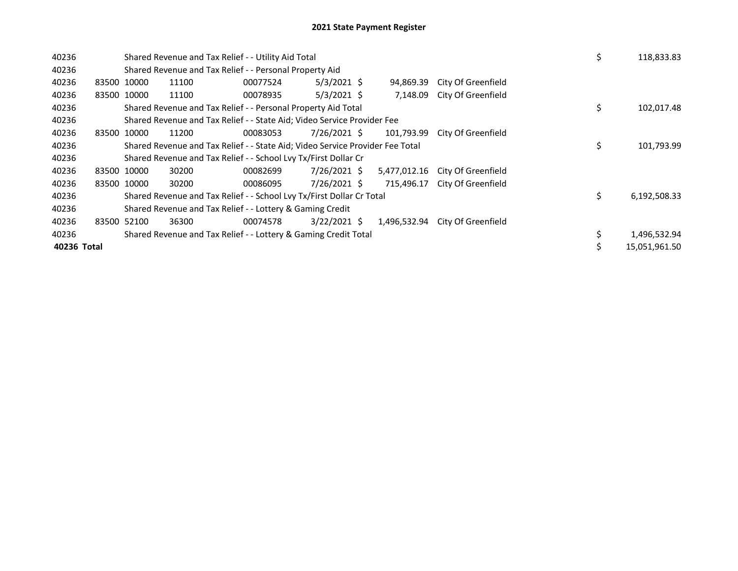| 40236       |             | Shared Revenue and Tax Relief - - Utility Aid Total                           |          |                |              |                                 | \$ | 118,833.83    |
|-------------|-------------|-------------------------------------------------------------------------------|----------|----------------|--------------|---------------------------------|----|---------------|
| 40236       |             | Shared Revenue and Tax Relief - - Personal Property Aid                       |          |                |              |                                 |    |               |
| 40236       | 83500 10000 | 11100                                                                         | 00077524 | $5/3/2021$ \$  | 94,869.39    | City Of Greenfield              |    |               |
| 40236       | 83500 10000 | 11100                                                                         | 00078935 | $5/3/2021$ \$  | 7.148.09     | City Of Greenfield              |    |               |
| 40236       |             | Shared Revenue and Tax Relief - - Personal Property Aid Total                 |          |                |              |                                 | \$ | 102,017.48    |
| 40236       |             | Shared Revenue and Tax Relief - - State Aid; Video Service Provider Fee       |          |                |              |                                 |    |               |
| 40236       | 83500 10000 | 11200                                                                         | 00083053 | 7/26/2021 \$   | 101,793.99   | City Of Greenfield              |    |               |
| 40236       |             | Shared Revenue and Tax Relief - - State Aid; Video Service Provider Fee Total |          |                |              |                                 | \$ | 101,793.99    |
| 40236       |             | Shared Revenue and Tax Relief - - School Lvy Tx/First Dollar Cr               |          |                |              |                                 |    |               |
| 40236       | 83500 10000 | 30200                                                                         | 00082699 | 7/26/2021 \$   |              | 5,477,012.16 City Of Greenfield |    |               |
| 40236       | 83500 10000 | 30200                                                                         | 00086095 | 7/26/2021 \$   | 715,496.17   | City Of Greenfield              |    |               |
| 40236       |             | Shared Revenue and Tax Relief - - School Lvy Tx/First Dollar Cr Total         |          |                |              |                                 | \$ | 6,192,508.33  |
| 40236       |             | Shared Revenue and Tax Relief - - Lottery & Gaming Credit                     |          |                |              |                                 |    |               |
| 40236       | 83500 52100 | 36300                                                                         | 00074578 | $3/22/2021$ \$ | 1,496,532.94 | City Of Greenfield              |    |               |
| 40236       |             | Shared Revenue and Tax Relief - - Lottery & Gaming Credit Total               |          |                |              |                                 | \$ | 1,496,532.94  |
| 40236 Total |             |                                                                               |          |                |              |                                 | \$ | 15,051,961.50 |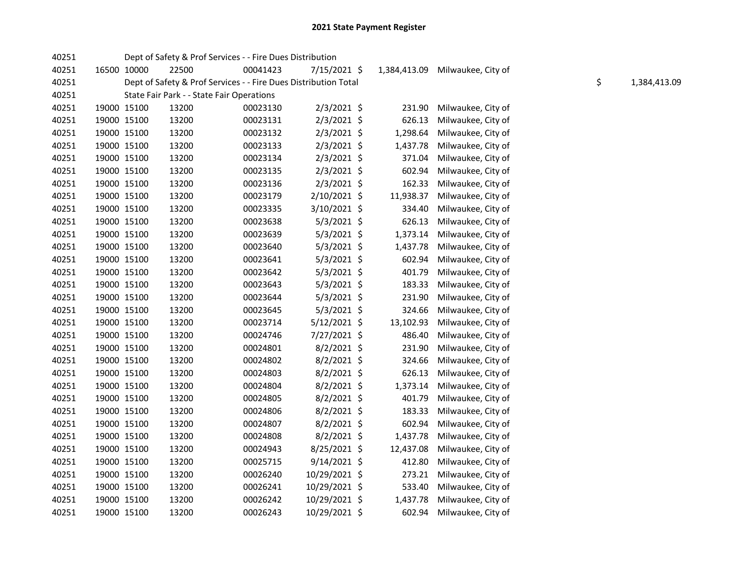| 40251 |             |             | Dept of Safety & Prof Services - - Fire Dues Distribution       |          |                |           |                                 |    |              |
|-------|-------------|-------------|-----------------------------------------------------------------|----------|----------------|-----------|---------------------------------|----|--------------|
| 40251 |             | 16500 10000 | 22500                                                           | 00041423 | 7/15/2021 \$   |           | 1,384,413.09 Milwaukee, City of |    |              |
| 40251 |             |             | Dept of Safety & Prof Services - - Fire Dues Distribution Total |          |                |           |                                 | \$ | 1,384,413.09 |
| 40251 |             |             | State Fair Park - - State Fair Operations                       |          |                |           |                                 |    |              |
| 40251 |             | 19000 15100 | 13200                                                           | 00023130 | $2/3/2021$ \$  | 231.90    | Milwaukee, City of              |    |              |
| 40251 |             | 19000 15100 | 13200                                                           | 00023131 | $2/3/2021$ \$  | 626.13    | Milwaukee, City of              |    |              |
| 40251 |             | 19000 15100 | 13200                                                           | 00023132 | $2/3/2021$ \$  | 1,298.64  | Milwaukee, City of              |    |              |
| 40251 |             | 19000 15100 | 13200                                                           | 00023133 | $2/3/2021$ \$  | 1,437.78  | Milwaukee, City of              |    |              |
| 40251 |             | 19000 15100 | 13200                                                           | 00023134 | 2/3/2021 \$    | 371.04    | Milwaukee, City of              |    |              |
| 40251 |             | 19000 15100 | 13200                                                           | 00023135 | $2/3/2021$ \$  | 602.94    | Milwaukee, City of              |    |              |
| 40251 |             | 19000 15100 | 13200                                                           | 00023136 | 2/3/2021 \$    | 162.33    | Milwaukee, City of              |    |              |
| 40251 |             | 19000 15100 | 13200                                                           | 00023179 | 2/10/2021 \$   | 11,938.37 | Milwaukee, City of              |    |              |
| 40251 |             | 19000 15100 | 13200                                                           | 00023335 | $3/10/2021$ \$ | 334.40    | Milwaukee, City of              |    |              |
| 40251 |             | 19000 15100 | 13200                                                           | 00023638 | $5/3/2021$ \$  | 626.13    | Milwaukee, City of              |    |              |
| 40251 |             | 19000 15100 | 13200                                                           | 00023639 | $5/3/2021$ \$  | 1,373.14  | Milwaukee, City of              |    |              |
| 40251 | 19000 15100 |             | 13200                                                           | 00023640 | $5/3/2021$ \$  | 1,437.78  | Milwaukee, City of              |    |              |
| 40251 |             | 19000 15100 | 13200                                                           | 00023641 | $5/3/2021$ \$  | 602.94    | Milwaukee, City of              |    |              |
| 40251 |             | 19000 15100 | 13200                                                           | 00023642 | 5/3/2021 \$    | 401.79    | Milwaukee, City of              |    |              |
| 40251 |             | 19000 15100 | 13200                                                           | 00023643 | 5/3/2021 \$    | 183.33    | Milwaukee, City of              |    |              |
| 40251 |             | 19000 15100 | 13200                                                           | 00023644 | $5/3/2021$ \$  | 231.90    | Milwaukee, City of              |    |              |
| 40251 |             | 19000 15100 | 13200                                                           | 00023645 | $5/3/2021$ \$  | 324.66    | Milwaukee, City of              |    |              |
| 40251 |             | 19000 15100 | 13200                                                           | 00023714 | $5/12/2021$ \$ | 13,102.93 | Milwaukee, City of              |    |              |
| 40251 |             | 19000 15100 | 13200                                                           | 00024746 | 7/27/2021 \$   | 486.40    | Milwaukee, City of              |    |              |
| 40251 |             | 19000 15100 | 13200                                                           | 00024801 | $8/2/2021$ \$  | 231.90    | Milwaukee, City of              |    |              |
| 40251 |             | 19000 15100 | 13200                                                           | 00024802 | $8/2/2021$ \$  | 324.66    | Milwaukee, City of              |    |              |
| 40251 |             | 19000 15100 | 13200                                                           | 00024803 | $8/2/2021$ \$  | 626.13    | Milwaukee, City of              |    |              |
| 40251 |             | 19000 15100 | 13200                                                           | 00024804 | 8/2/2021 \$    | 1,373.14  | Milwaukee, City of              |    |              |
| 40251 |             | 19000 15100 | 13200                                                           | 00024805 | $8/2/2021$ \$  | 401.79    | Milwaukee, City of              |    |              |
| 40251 |             | 19000 15100 | 13200                                                           | 00024806 | $8/2/2021$ \$  | 183.33    | Milwaukee, City of              |    |              |
| 40251 |             | 19000 15100 | 13200                                                           | 00024807 | $8/2/2021$ \$  | 602.94    | Milwaukee, City of              |    |              |
| 40251 |             | 19000 15100 | 13200                                                           | 00024808 | $8/2/2021$ \$  | 1,437.78  | Milwaukee, City of              |    |              |
| 40251 |             | 19000 15100 | 13200                                                           | 00024943 | $8/25/2021$ \$ | 12,437.08 | Milwaukee, City of              |    |              |
| 40251 |             | 19000 15100 | 13200                                                           | 00025715 | 9/14/2021 \$   | 412.80    | Milwaukee, City of              |    |              |
| 40251 |             | 19000 15100 | 13200                                                           | 00026240 | 10/29/2021 \$  | 273.21    | Milwaukee, City of              |    |              |
| 40251 |             | 19000 15100 | 13200                                                           | 00026241 | 10/29/2021 \$  | 533.40    | Milwaukee, City of              |    |              |
| 40251 |             | 19000 15100 | 13200                                                           | 00026242 | 10/29/2021 \$  | 1,437.78  | Milwaukee, City of              |    |              |
| 40251 |             | 19000 15100 | 13200                                                           | 00026243 | 10/29/2021 \$  | 602.94    | Milwaukee, City of              |    |              |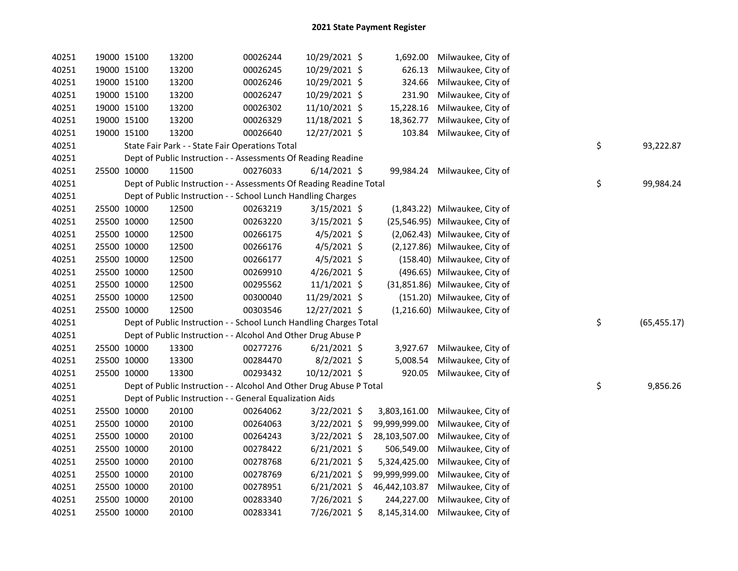| 40251 |             | 19000 15100 | 13200 | 00026244                                                            | 10/29/2021 \$  |               | 1,692.00 Milwaukee, City of    |                    |
|-------|-------------|-------------|-------|---------------------------------------------------------------------|----------------|---------------|--------------------------------|--------------------|
| 40251 |             | 19000 15100 | 13200 | 00026245                                                            | 10/29/2021 \$  | 626.13        | Milwaukee, City of             |                    |
| 40251 |             | 19000 15100 | 13200 | 00026246                                                            | 10/29/2021 \$  | 324.66        | Milwaukee, City of             |                    |
| 40251 |             | 19000 15100 | 13200 | 00026247                                                            | 10/29/2021 \$  | 231.90        | Milwaukee, City of             |                    |
| 40251 |             | 19000 15100 | 13200 | 00026302                                                            | 11/10/2021 \$  | 15,228.16     | Milwaukee, City of             |                    |
| 40251 |             | 19000 15100 | 13200 | 00026329                                                            | 11/18/2021 \$  | 18,362.77     | Milwaukee, City of             |                    |
| 40251 |             | 19000 15100 | 13200 | 00026640                                                            | 12/27/2021 \$  | 103.84        | Milwaukee, City of             |                    |
| 40251 |             |             |       | State Fair Park - - State Fair Operations Total                     |                |               |                                | \$<br>93,222.87    |
| 40251 |             |             |       | Dept of Public Instruction - - Assessments Of Reading Readine       |                |               |                                |                    |
| 40251 |             | 25500 10000 | 11500 | 00276033                                                            | $6/14/2021$ \$ | 99,984.24     | Milwaukee, City of             |                    |
| 40251 |             |             |       | Dept of Public Instruction - - Assessments Of Reading Readine Total |                |               |                                | \$<br>99,984.24    |
| 40251 |             |             |       | Dept of Public Instruction - - School Lunch Handling Charges        |                |               |                                |                    |
| 40251 |             | 25500 10000 | 12500 | 00263219                                                            | $3/15/2021$ \$ |               | (1,843.22) Milwaukee, City of  |                    |
| 40251 |             | 25500 10000 | 12500 | 00263220                                                            | 3/15/2021 \$   |               | (25,546.95) Milwaukee, City of |                    |
| 40251 |             | 25500 10000 | 12500 | 00266175                                                            | $4/5/2021$ \$  |               | (2,062.43) Milwaukee, City of  |                    |
| 40251 |             | 25500 10000 | 12500 | 00266176                                                            | $4/5/2021$ \$  |               | (2,127.86) Milwaukee, City of  |                    |
| 40251 | 25500 10000 |             | 12500 | 00266177                                                            | $4/5/2021$ \$  |               | (158.40) Milwaukee, City of    |                    |
| 40251 |             | 25500 10000 | 12500 | 00269910                                                            | 4/26/2021 \$   |               | (496.65) Milwaukee, City of    |                    |
| 40251 |             | 25500 10000 | 12500 | 00295562                                                            | 11/1/2021 \$   |               | (31,851.86) Milwaukee, City of |                    |
| 40251 |             | 25500 10000 | 12500 | 00300040                                                            | 11/29/2021 \$  |               | (151.20) Milwaukee, City of    |                    |
| 40251 | 25500 10000 |             | 12500 | 00303546                                                            | 12/27/2021 \$  |               | (1,216.60) Milwaukee, City of  |                    |
| 40251 |             |             |       | Dept of Public Instruction - - School Lunch Handling Charges Total  |                |               |                                | \$<br>(65, 455.17) |
| 40251 |             |             |       | Dept of Public Instruction - - Alcohol And Other Drug Abuse P       |                |               |                                |                    |
| 40251 |             | 25500 10000 | 13300 | 00277276                                                            | $6/21/2021$ \$ |               | 3,927.67 Milwaukee, City of    |                    |
| 40251 |             | 25500 10000 | 13300 | 00284470                                                            | $8/2/2021$ \$  | 5,008.54      | Milwaukee, City of             |                    |
| 40251 |             | 25500 10000 | 13300 | 00293432                                                            | 10/12/2021 \$  | 920.05        | Milwaukee, City of             |                    |
| 40251 |             |             |       | Dept of Public Instruction - - Alcohol And Other Drug Abuse P Total |                |               |                                | \$<br>9,856.26     |
| 40251 |             |             |       | Dept of Public Instruction - - General Equalization Aids            |                |               |                                |                    |
| 40251 |             | 25500 10000 | 20100 | 00264062                                                            | $3/22/2021$ \$ | 3,803,161.00  | Milwaukee, City of             |                    |
| 40251 | 25500 10000 |             | 20100 | 00264063                                                            | 3/22/2021 \$   | 99,999,999.00 | Milwaukee, City of             |                    |
| 40251 | 25500 10000 |             | 20100 | 00264243                                                            | $3/22/2021$ \$ | 28,103,507.00 | Milwaukee, City of             |                    |
| 40251 | 25500 10000 |             | 20100 | 00278422                                                            | $6/21/2021$ \$ | 506,549.00    | Milwaukee, City of             |                    |
| 40251 | 25500 10000 |             | 20100 | 00278768                                                            | $6/21/2021$ \$ | 5,324,425.00  | Milwaukee, City of             |                    |
| 40251 |             | 25500 10000 | 20100 | 00278769                                                            | $6/21/2021$ \$ | 99,999,999.00 | Milwaukee, City of             |                    |
| 40251 |             | 25500 10000 | 20100 | 00278951                                                            | $6/21/2021$ \$ | 46,442,103.87 | Milwaukee, City of             |                    |
| 40251 |             | 25500 10000 | 20100 | 00283340                                                            | 7/26/2021 \$   | 244,227.00    | Milwaukee, City of             |                    |
| 40251 |             | 25500 10000 | 20100 | 00283341                                                            | 7/26/2021 \$   | 8,145,314.00  | Milwaukee, City of             |                    |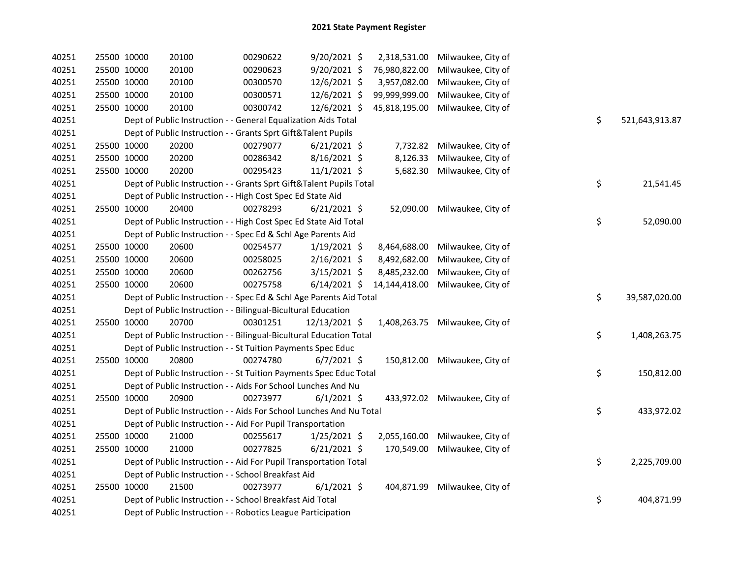| 40251 | 25500 10000                                                  | 20100 | 00290622                                                            | 9/20/2021 \$   | 2,318,531.00  | Milwaukee, City of              |                      |
|-------|--------------------------------------------------------------|-------|---------------------------------------------------------------------|----------------|---------------|---------------------------------|----------------------|
| 40251 | 25500 10000                                                  | 20100 | 00290623                                                            | 9/20/2021 \$   | 76,980,822.00 | Milwaukee, City of              |                      |
| 40251 | 25500 10000                                                  | 20100 | 00300570                                                            | 12/6/2021 \$   | 3,957,082.00  | Milwaukee, City of              |                      |
| 40251 | 25500 10000                                                  | 20100 | 00300571                                                            | 12/6/2021 \$   | 99,999,999.00 | Milwaukee, City of              |                      |
| 40251 | 25500 10000                                                  | 20100 | 00300742                                                            | 12/6/2021 \$   | 45,818,195.00 | Milwaukee, City of              |                      |
| 40251 |                                                              |       | Dept of Public Instruction - - General Equalization Aids Total      |                |               |                                 | \$<br>521,643,913.87 |
| 40251 |                                                              |       | Dept of Public Instruction - - Grants Sprt Gift&Talent Pupils       |                |               |                                 |                      |
| 40251 | 25500 10000                                                  | 20200 | 00279077                                                            | $6/21/2021$ \$ | 7,732.82      | Milwaukee, City of              |                      |
| 40251 | 25500 10000                                                  | 20200 | 00286342                                                            | 8/16/2021 \$   | 8,126.33      | Milwaukee, City of              |                      |
| 40251 | 25500 10000                                                  | 20200 | 00295423                                                            | $11/1/2021$ \$ | 5,682.30      | Milwaukee, City of              |                      |
| 40251 |                                                              |       | Dept of Public Instruction - - Grants Sprt Gift&Talent Pupils Total |                |               |                                 | \$<br>21,541.45      |
| 40251 |                                                              |       | Dept of Public Instruction - - High Cost Spec Ed State Aid          |                |               |                                 |                      |
| 40251 | 25500 10000                                                  | 20400 | 00278293                                                            | $6/21/2021$ \$ | 52,090.00     | Milwaukee, City of              |                      |
| 40251 |                                                              |       | Dept of Public Instruction - - High Cost Spec Ed State Aid Total    |                |               |                                 | \$<br>52,090.00      |
| 40251 |                                                              |       | Dept of Public Instruction - - Spec Ed & Schl Age Parents Aid       |                |               |                                 |                      |
| 40251 | 25500 10000                                                  | 20600 | 00254577                                                            | $1/19/2021$ \$ | 8,464,688.00  | Milwaukee, City of              |                      |
| 40251 | 25500 10000                                                  | 20600 | 00258025                                                            | $2/16/2021$ \$ | 8,492,682.00  | Milwaukee, City of              |                      |
| 40251 | 25500 10000                                                  | 20600 | 00262756                                                            | 3/15/2021 \$   | 8,485,232.00  | Milwaukee, City of              |                      |
| 40251 | 25500 10000                                                  | 20600 | 00275758                                                            | $6/14/2021$ \$ | 14,144,418.00 | Milwaukee, City of              |                      |
| 40251 |                                                              |       | Dept of Public Instruction - - Spec Ed & Schl Age Parents Aid Total |                |               |                                 | \$<br>39,587,020.00  |
| 40251 |                                                              |       | Dept of Public Instruction - - Bilingual-Bicultural Education       |                |               |                                 |                      |
| 40251 | 25500 10000                                                  | 20700 | 00301251                                                            | 12/13/2021 \$  |               | 1,408,263.75 Milwaukee, City of |                      |
| 40251 |                                                              |       | Dept of Public Instruction - - Bilingual-Bicultural Education Total |                |               |                                 | \$<br>1,408,263.75   |
| 40251 |                                                              |       | Dept of Public Instruction - - St Tuition Payments Spec Educ        |                |               |                                 |                      |
| 40251 | 25500 10000                                                  | 20800 | 00274780                                                            | $6/7/2021$ \$  | 150,812.00    | Milwaukee, City of              |                      |
| 40251 |                                                              |       | Dept of Public Instruction - - St Tuition Payments Spec Educ Total  |                |               |                                 | \$<br>150,812.00     |
| 40251 |                                                              |       | Dept of Public Instruction - - Aids For School Lunches And Nu       |                |               |                                 |                      |
| 40251 | 25500 10000                                                  | 20900 | 00273977                                                            | $6/1/2021$ \$  |               | 433,972.02 Milwaukee, City of   |                      |
| 40251 |                                                              |       | Dept of Public Instruction - - Aids For School Lunches And Nu Total |                |               |                                 | \$<br>433,972.02     |
| 40251 |                                                              |       | Dept of Public Instruction - - Aid For Pupil Transportation         |                |               |                                 |                      |
| 40251 | 25500 10000                                                  | 21000 | 00255617                                                            | $1/25/2021$ \$ | 2,055,160.00  | Milwaukee, City of              |                      |
| 40251 | 25500 10000                                                  | 21000 | 00277825                                                            | $6/21/2021$ \$ | 170,549.00    | Milwaukee, City of              |                      |
| 40251 |                                                              |       | Dept of Public Instruction - - Aid For Pupil Transportation Total   |                |               |                                 | \$<br>2,225,709.00   |
| 40251 |                                                              |       | Dept of Public Instruction - - School Breakfast Aid                 |                |               |                                 |                      |
| 40251 | 25500 10000                                                  | 21500 | 00273977                                                            | $6/1/2021$ \$  | 404,871.99    | Milwaukee, City of              |                      |
| 40251 |                                                              |       | Dept of Public Instruction - - School Breakfast Aid Total           |                |               |                                 | \$<br>404,871.99     |
| 40251 | Dept of Public Instruction - - Robotics League Participation |       |                                                                     |                |               |                                 |                      |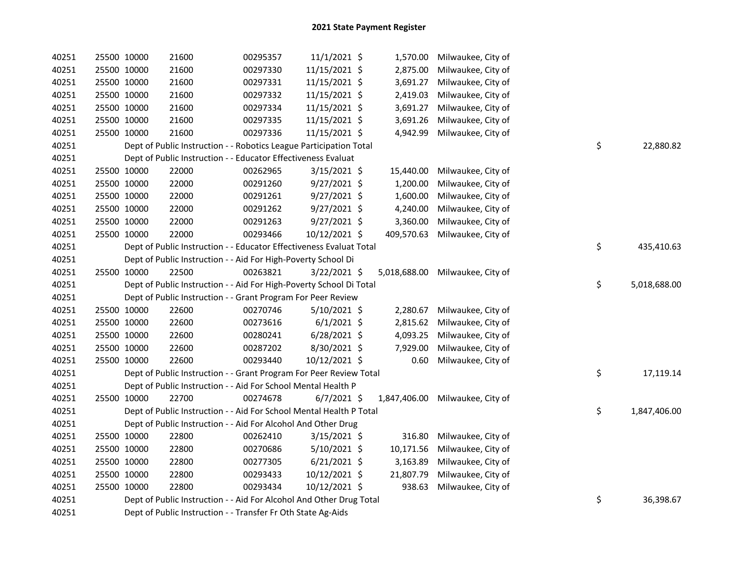| 40251 | 25500 10000 |             | 21600                                                               | 00295357 | $11/1/2021$ \$ |            | 1,570.00 Milwaukee, City of     |    |              |
|-------|-------------|-------------|---------------------------------------------------------------------|----------|----------------|------------|---------------------------------|----|--------------|
| 40251 |             | 25500 10000 | 21600                                                               | 00297330 | 11/15/2021 \$  | 2,875.00   | Milwaukee, City of              |    |              |
| 40251 | 25500 10000 |             | 21600                                                               | 00297331 | 11/15/2021 \$  | 3,691.27   | Milwaukee, City of              |    |              |
| 40251 |             | 25500 10000 | 21600                                                               | 00297332 | 11/15/2021 \$  | 2,419.03   | Milwaukee, City of              |    |              |
| 40251 |             | 25500 10000 | 21600                                                               | 00297334 | 11/15/2021 \$  | 3,691.27   | Milwaukee, City of              |    |              |
| 40251 |             | 25500 10000 | 21600                                                               | 00297335 | 11/15/2021 \$  | 3,691.26   | Milwaukee, City of              |    |              |
| 40251 |             | 25500 10000 | 21600                                                               | 00297336 | 11/15/2021 \$  | 4,942.99   | Milwaukee, City of              |    |              |
| 40251 |             |             | Dept of Public Instruction - - Robotics League Participation Total  |          |                |            |                                 | \$ | 22,880.82    |
| 40251 |             |             | Dept of Public Instruction - - Educator Effectiveness Evaluat       |          |                |            |                                 |    |              |
| 40251 |             | 25500 10000 | 22000                                                               | 00262965 | 3/15/2021 \$   | 15,440.00  | Milwaukee, City of              |    |              |
| 40251 |             | 25500 10000 | 22000                                                               | 00291260 | 9/27/2021 \$   | 1,200.00   | Milwaukee, City of              |    |              |
| 40251 |             | 25500 10000 | 22000                                                               | 00291261 | $9/27/2021$ \$ | 1,600.00   | Milwaukee, City of              |    |              |
| 40251 |             | 25500 10000 | 22000                                                               | 00291262 | $9/27/2021$ \$ | 4,240.00   | Milwaukee, City of              |    |              |
| 40251 |             | 25500 10000 | 22000                                                               | 00291263 | $9/27/2021$ \$ | 3,360.00   | Milwaukee, City of              |    |              |
| 40251 |             | 25500 10000 | 22000                                                               | 00293466 | 10/12/2021 \$  | 409,570.63 | Milwaukee, City of              |    |              |
| 40251 |             |             | Dept of Public Instruction - - Educator Effectiveness Evaluat Total |          |                |            |                                 | \$ | 435,410.63   |
| 40251 |             |             | Dept of Public Instruction - - Aid For High-Poverty School Di       |          |                |            |                                 |    |              |
| 40251 | 25500 10000 |             | 22500                                                               | 00263821 | 3/22/2021 \$   |            | 5,018,688.00 Milwaukee, City of |    |              |
| 40251 |             |             | Dept of Public Instruction - - Aid For High-Poverty School Di Total |          |                |            |                                 | \$ | 5,018,688.00 |
| 40251 |             |             | Dept of Public Instruction - - Grant Program For Peer Review        |          |                |            |                                 |    |              |
| 40251 |             | 25500 10000 | 22600                                                               | 00270746 | $5/10/2021$ \$ | 2,280.67   | Milwaukee, City of              |    |              |
| 40251 |             | 25500 10000 | 22600                                                               | 00273616 | $6/1/2021$ \$  | 2,815.62   | Milwaukee, City of              |    |              |
| 40251 | 25500 10000 |             | 22600                                                               | 00280241 | $6/28/2021$ \$ | 4,093.25   | Milwaukee, City of              |    |              |
| 40251 | 25500 10000 |             | 22600                                                               | 00287202 | 8/30/2021 \$   | 7,929.00   | Milwaukee, City of              |    |              |
| 40251 |             | 25500 10000 | 22600                                                               | 00293440 | 10/12/2021 \$  | 0.60       | Milwaukee, City of              |    |              |
| 40251 |             |             | Dept of Public Instruction - - Grant Program For Peer Review Total  |          |                |            |                                 | \$ | 17,119.14    |
| 40251 |             |             | Dept of Public Instruction - - Aid For School Mental Health P       |          |                |            |                                 |    |              |
| 40251 |             | 25500 10000 | 22700                                                               | 00274678 | $6/7/2021$ \$  |            | 1,847,406.00 Milwaukee, City of |    |              |
| 40251 |             |             | Dept of Public Instruction - - Aid For School Mental Health P Total |          |                |            |                                 | \$ | 1,847,406.00 |
| 40251 |             |             | Dept of Public Instruction - - Aid For Alcohol And Other Drug       |          |                |            |                                 |    |              |
| 40251 |             | 25500 10000 | 22800                                                               | 00262410 | $3/15/2021$ \$ | 316.80     | Milwaukee, City of              |    |              |
| 40251 |             | 25500 10000 | 22800                                                               | 00270686 | $5/10/2021$ \$ | 10,171.56  | Milwaukee, City of              |    |              |
| 40251 | 25500 10000 |             | 22800                                                               | 00277305 | $6/21/2021$ \$ | 3,163.89   | Milwaukee, City of              |    |              |
| 40251 | 25500 10000 |             | 22800                                                               | 00293433 | 10/12/2021 \$  | 21,807.79  | Milwaukee, City of              |    |              |
| 40251 |             | 25500 10000 | 22800                                                               | 00293434 | 10/12/2021 \$  | 938.63     | Milwaukee, City of              |    |              |
| 40251 |             |             | Dept of Public Instruction - - Aid For Alcohol And Other Drug Total |          |                |            |                                 | \$ | 36,398.67    |
| 40251 |             |             | Dept of Public Instruction - - Transfer Fr Oth State Ag-Aids        |          |                |            |                                 |    |              |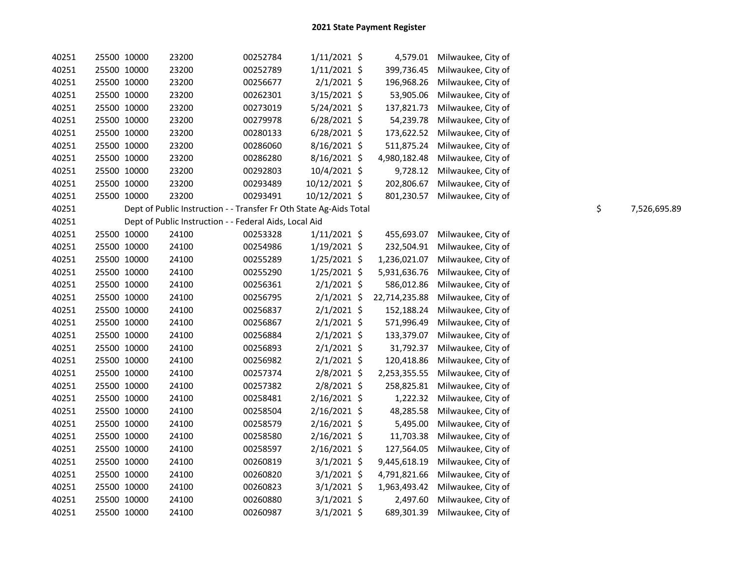| 40251 | 25500 10000 | 23200 | 00252784                                                           | $1/11/2021$ \$ | 4,579.01      | Milwaukee, City of |    |              |
|-------|-------------|-------|--------------------------------------------------------------------|----------------|---------------|--------------------|----|--------------|
| 40251 | 25500 10000 | 23200 | 00252789                                                           | $1/11/2021$ \$ | 399,736.45    | Milwaukee, City of |    |              |
| 40251 | 25500 10000 | 23200 | 00256677                                                           | $2/1/2021$ \$  | 196,968.26    | Milwaukee, City of |    |              |
| 40251 | 25500 10000 | 23200 | 00262301                                                           | 3/15/2021 \$   | 53,905.06     | Milwaukee, City of |    |              |
| 40251 | 25500 10000 | 23200 | 00273019                                                           | 5/24/2021 \$   | 137,821.73    | Milwaukee, City of |    |              |
| 40251 | 25500 10000 | 23200 | 00279978                                                           | $6/28/2021$ \$ | 54,239.78     | Milwaukee, City of |    |              |
| 40251 | 25500 10000 | 23200 | 00280133                                                           | $6/28/2021$ \$ | 173,622.52    | Milwaukee, City of |    |              |
| 40251 | 25500 10000 | 23200 | 00286060                                                           | $8/16/2021$ \$ | 511,875.24    | Milwaukee, City of |    |              |
| 40251 | 25500 10000 | 23200 | 00286280                                                           | 8/16/2021 \$   | 4,980,182.48  | Milwaukee, City of |    |              |
| 40251 | 25500 10000 | 23200 | 00292803                                                           | 10/4/2021 \$   | 9,728.12      | Milwaukee, City of |    |              |
| 40251 | 25500 10000 | 23200 | 00293489                                                           | 10/12/2021 \$  | 202,806.67    | Milwaukee, City of |    |              |
| 40251 | 25500 10000 | 23200 | 00293491                                                           | 10/12/2021 \$  | 801,230.57    | Milwaukee, City of |    |              |
| 40251 |             |       | Dept of Public Instruction - - Transfer Fr Oth State Ag-Aids Total |                |               |                    | \$ | 7,526,695.89 |
| 40251 |             |       | Dept of Public Instruction - - Federal Aids, Local Aid             |                |               |                    |    |              |
| 40251 | 25500 10000 | 24100 | 00253328                                                           | $1/11/2021$ \$ | 455,693.07    | Milwaukee, City of |    |              |
| 40251 | 25500 10000 | 24100 | 00254986                                                           | $1/19/2021$ \$ | 232,504.91    | Milwaukee, City of |    |              |
| 40251 | 25500 10000 | 24100 | 00255289                                                           | $1/25/2021$ \$ | 1,236,021.07  | Milwaukee, City of |    |              |
| 40251 | 25500 10000 | 24100 | 00255290                                                           | $1/25/2021$ \$ | 5,931,636.76  | Milwaukee, City of |    |              |
| 40251 | 25500 10000 | 24100 | 00256361                                                           | $2/1/2021$ \$  | 586,012.86    | Milwaukee, City of |    |              |
| 40251 | 25500 10000 | 24100 | 00256795                                                           | $2/1/2021$ \$  | 22,714,235.88 | Milwaukee, City of |    |              |
| 40251 | 25500 10000 | 24100 | 00256837                                                           | 2/1/2021 \$    | 152,188.24    | Milwaukee, City of |    |              |
| 40251 | 25500 10000 | 24100 | 00256867                                                           | $2/1/2021$ \$  | 571,996.49    | Milwaukee, City of |    |              |
| 40251 | 25500 10000 | 24100 | 00256884                                                           | $2/1/2021$ \$  | 133,379.07    | Milwaukee, City of |    |              |
| 40251 | 25500 10000 | 24100 | 00256893                                                           | $2/1/2021$ \$  | 31,792.37     | Milwaukee, City of |    |              |
| 40251 | 25500 10000 | 24100 | 00256982                                                           | $2/1/2021$ \$  | 120,418.86    | Milwaukee, City of |    |              |
| 40251 | 25500 10000 | 24100 | 00257374                                                           | 2/8/2021 \$    | 2,253,355.55  | Milwaukee, City of |    |              |
| 40251 | 25500 10000 | 24100 | 00257382                                                           | 2/8/2021 \$    | 258,825.81    | Milwaukee, City of |    |              |
| 40251 | 25500 10000 | 24100 | 00258481                                                           | 2/16/2021 \$   | 1,222.32      | Milwaukee, City of |    |              |
| 40251 | 25500 10000 | 24100 | 00258504                                                           | 2/16/2021 \$   | 48,285.58     | Milwaukee, City of |    |              |
| 40251 | 25500 10000 | 24100 | 00258579                                                           | $2/16/2021$ \$ | 5,495.00      | Milwaukee, City of |    |              |
| 40251 | 25500 10000 | 24100 | 00258580                                                           | 2/16/2021 \$   | 11,703.38     | Milwaukee, City of |    |              |
| 40251 | 25500 10000 | 24100 | 00258597                                                           | 2/16/2021 \$   | 127,564.05    | Milwaukee, City of |    |              |
| 40251 | 25500 10000 | 24100 | 00260819                                                           | $3/1/2021$ \$  | 9,445,618.19  | Milwaukee, City of |    |              |
| 40251 | 25500 10000 | 24100 | 00260820                                                           | $3/1/2021$ \$  | 4,791,821.66  | Milwaukee, City of |    |              |
| 40251 | 25500 10000 | 24100 | 00260823                                                           | $3/1/2021$ \$  | 1,963,493.42  | Milwaukee, City of |    |              |
| 40251 | 25500 10000 | 24100 | 00260880                                                           | $3/1/2021$ \$  | 2,497.60      | Milwaukee, City of |    |              |
| 40251 | 25500 10000 | 24100 | 00260987                                                           | $3/1/2021$ \$  | 689,301.39    | Milwaukee, City of |    |              |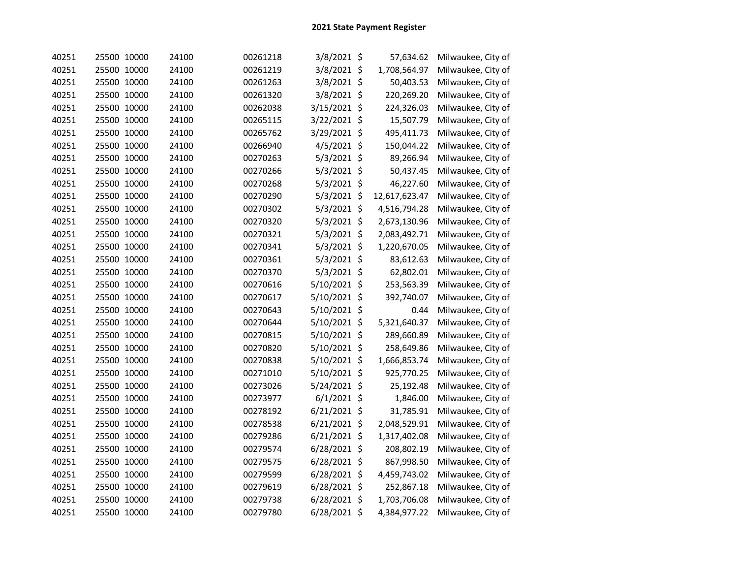| 40251 | 25500 10000 | 24100 | 00261218 | 3/8/2021 \$    | 57,634.62     | Milwaukee, City of |
|-------|-------------|-------|----------|----------------|---------------|--------------------|
| 40251 | 25500 10000 | 24100 | 00261219 | 3/8/2021 \$    | 1,708,564.97  | Milwaukee, City of |
| 40251 | 25500 10000 | 24100 | 00261263 | 3/8/2021 \$    | 50,403.53     | Milwaukee, City of |
| 40251 | 25500 10000 | 24100 | 00261320 | 3/8/2021 \$    | 220,269.20    | Milwaukee, City of |
| 40251 | 25500 10000 | 24100 | 00262038 | 3/15/2021 \$   | 224,326.03    | Milwaukee, City of |
| 40251 | 25500 10000 | 24100 | 00265115 | 3/22/2021 \$   | 15,507.79     | Milwaukee, City of |
| 40251 | 25500 10000 | 24100 | 00265762 | 3/29/2021 \$   | 495,411.73    | Milwaukee, City of |
| 40251 | 25500 10000 | 24100 | 00266940 | 4/5/2021 \$    | 150,044.22    | Milwaukee, City of |
| 40251 | 25500 10000 | 24100 | 00270263 | 5/3/2021 \$    | 89,266.94     | Milwaukee, City of |
| 40251 | 25500 10000 | 24100 | 00270266 | $5/3/2021$ \$  | 50,437.45     | Milwaukee, City of |
| 40251 | 25500 10000 | 24100 | 00270268 | 5/3/2021 \$    | 46,227.60     | Milwaukee, City of |
| 40251 | 25500 10000 | 24100 | 00270290 | 5/3/2021 \$    | 12,617,623.47 | Milwaukee, City of |
| 40251 | 25500 10000 | 24100 | 00270302 | $5/3/2021$ \$  | 4,516,794.28  | Milwaukee, City of |
| 40251 | 25500 10000 | 24100 | 00270320 | $5/3/2021$ \$  | 2,673,130.96  | Milwaukee, City of |
| 40251 | 25500 10000 | 24100 | 00270321 | $5/3/2021$ \$  | 2,083,492.71  | Milwaukee, City of |
| 40251 | 25500 10000 | 24100 | 00270341 | 5/3/2021 \$    | 1,220,670.05  | Milwaukee, City of |
| 40251 | 25500 10000 | 24100 | 00270361 | $5/3/2021$ \$  | 83,612.63     | Milwaukee, City of |
| 40251 | 25500 10000 | 24100 | 00270370 | 5/3/2021 \$    | 62,802.01     | Milwaukee, City of |
| 40251 | 25500 10000 | 24100 | 00270616 | 5/10/2021 \$   | 253,563.39    | Milwaukee, City of |
| 40251 | 25500 10000 | 24100 | 00270617 | 5/10/2021 \$   | 392,740.07    | Milwaukee, City of |
| 40251 | 25500 10000 | 24100 | 00270643 | 5/10/2021 \$   | 0.44          | Milwaukee, City of |
| 40251 | 25500 10000 | 24100 | 00270644 | 5/10/2021 \$   | 5,321,640.37  | Milwaukee, City of |
| 40251 | 25500 10000 | 24100 | 00270815 | 5/10/2021 \$   | 289,660.89    | Milwaukee, City of |
| 40251 | 25500 10000 | 24100 | 00270820 | 5/10/2021 \$   | 258,649.86    | Milwaukee, City of |
| 40251 | 25500 10000 | 24100 | 00270838 | 5/10/2021 \$   | 1,666,853.74  | Milwaukee, City of |
| 40251 | 25500 10000 | 24100 | 00271010 | 5/10/2021 \$   | 925,770.25    | Milwaukee, City of |
| 40251 | 25500 10000 | 24100 | 00273026 | 5/24/2021 \$   | 25,192.48     | Milwaukee, City of |
| 40251 | 25500 10000 | 24100 | 00273977 | $6/1/2021$ \$  | 1,846.00      | Milwaukee, City of |
| 40251 | 25500 10000 | 24100 | 00278192 | $6/21/2021$ \$ | 31,785.91     | Milwaukee, City of |
| 40251 | 25500 10000 | 24100 | 00278538 | $6/21/2021$ \$ | 2,048,529.91  | Milwaukee, City of |
| 40251 | 25500 10000 | 24100 | 00279286 | $6/21/2021$ \$ | 1,317,402.08  | Milwaukee, City of |
| 40251 | 25500 10000 | 24100 | 00279574 | 6/28/2021 \$   | 208,802.19    | Milwaukee, City of |
| 40251 | 25500 10000 | 24100 | 00279575 | 6/28/2021 \$   | 867,998.50    | Milwaukee, City of |
| 40251 | 25500 10000 | 24100 | 00279599 | 6/28/2021 \$   | 4,459,743.02  | Milwaukee, City of |
| 40251 | 25500 10000 | 24100 | 00279619 | 6/28/2021 \$   | 252,867.18    | Milwaukee, City of |
| 40251 | 25500 10000 | 24100 | 00279738 | 6/28/2021 \$   | 1,703,706.08  | Milwaukee, City of |
| 40251 | 25500 10000 | 24100 | 00279780 | 6/28/2021 \$   | 4,384,977.22  | Milwaukee, City of |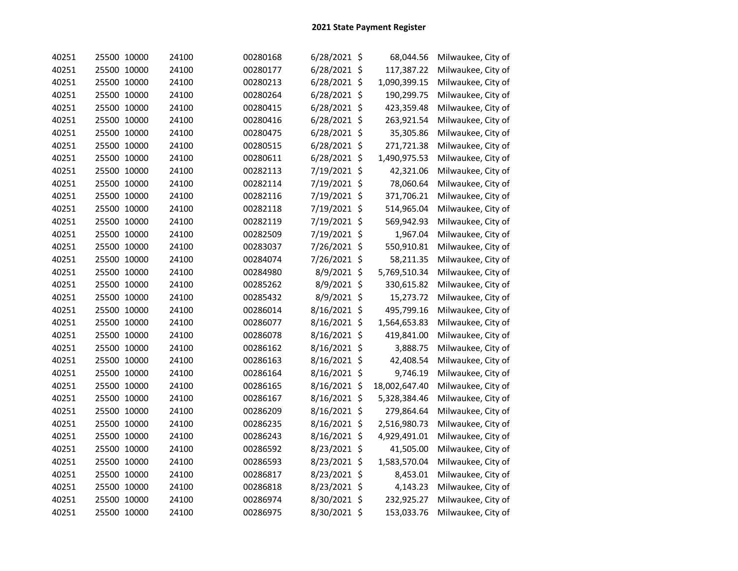| 40251 | 25500 10000 | 24100 | 00280168 | $6/28/2021$ \$ | 68,044.56     | Milwaukee, City of |
|-------|-------------|-------|----------|----------------|---------------|--------------------|
| 40251 | 25500 10000 | 24100 | 00280177 | $6/28/2021$ \$ | 117,387.22    | Milwaukee, City of |
| 40251 | 25500 10000 | 24100 | 00280213 | 6/28/2021 \$   | 1,090,399.15  | Milwaukee, City of |
| 40251 | 25500 10000 | 24100 | 00280264 | 6/28/2021 \$   | 190,299.75    | Milwaukee, City of |
| 40251 | 25500 10000 | 24100 | 00280415 | 6/28/2021 \$   | 423,359.48    | Milwaukee, City of |
| 40251 | 25500 10000 | 24100 | 00280416 | 6/28/2021 \$   | 263,921.54    | Milwaukee, City of |
| 40251 | 25500 10000 | 24100 | 00280475 | 6/28/2021 \$   | 35,305.86     | Milwaukee, City of |
| 40251 | 25500 10000 | 24100 | 00280515 | $6/28/2021$ \$ | 271,721.38    | Milwaukee, City of |
| 40251 | 25500 10000 | 24100 | 00280611 | 6/28/2021 \$   | 1,490,975.53  | Milwaukee, City of |
| 40251 | 25500 10000 | 24100 | 00282113 | 7/19/2021 \$   | 42,321.06     | Milwaukee, City of |
| 40251 | 25500 10000 | 24100 | 00282114 | 7/19/2021 \$   | 78,060.64     | Milwaukee, City of |
| 40251 | 25500 10000 | 24100 | 00282116 | 7/19/2021 \$   | 371,706.21    | Milwaukee, City of |
| 40251 | 25500 10000 | 24100 | 00282118 | 7/19/2021 \$   | 514,965.04    | Milwaukee, City of |
| 40251 | 25500 10000 | 24100 | 00282119 | 7/19/2021 \$   | 569,942.93    | Milwaukee, City of |
| 40251 | 25500 10000 | 24100 | 00282509 | 7/19/2021 \$   | 1,967.04      | Milwaukee, City of |
| 40251 | 25500 10000 | 24100 | 00283037 | 7/26/2021 \$   | 550,910.81    | Milwaukee, City of |
| 40251 | 25500 10000 | 24100 | 00284074 | 7/26/2021 \$   | 58,211.35     | Milwaukee, City of |
| 40251 | 25500 10000 | 24100 | 00284980 | 8/9/2021 \$    | 5,769,510.34  | Milwaukee, City of |
| 40251 | 25500 10000 | 24100 | 00285262 | 8/9/2021 \$    | 330,615.82    | Milwaukee, City of |
| 40251 | 25500 10000 | 24100 | 00285432 | 8/9/2021 \$    | 15,273.72     | Milwaukee, City of |
| 40251 | 25500 10000 | 24100 | 00286014 | 8/16/2021 \$   | 495,799.16    | Milwaukee, City of |
| 40251 | 25500 10000 | 24100 | 00286077 | 8/16/2021 \$   | 1,564,653.83  | Milwaukee, City of |
| 40251 | 25500 10000 | 24100 | 00286078 | 8/16/2021 \$   | 419,841.00    | Milwaukee, City of |
| 40251 | 25500 10000 | 24100 | 00286162 | 8/16/2021 \$   | 3,888.75      | Milwaukee, City of |
| 40251 | 25500 10000 | 24100 | 00286163 | 8/16/2021 \$   | 42,408.54     | Milwaukee, City of |
| 40251 | 25500 10000 | 24100 | 00286164 | 8/16/2021 \$   | 9,746.19      | Milwaukee, City of |
| 40251 | 25500 10000 | 24100 | 00286165 | 8/16/2021 \$   | 18,002,647.40 | Milwaukee, City of |
| 40251 | 25500 10000 | 24100 | 00286167 | 8/16/2021 \$   | 5,328,384.46  | Milwaukee, City of |
| 40251 | 25500 10000 | 24100 | 00286209 | 8/16/2021 \$   | 279,864.64    | Milwaukee, City of |
| 40251 | 25500 10000 | 24100 | 00286235 | 8/16/2021 \$   | 2,516,980.73  | Milwaukee, City of |
| 40251 | 25500 10000 | 24100 | 00286243 | 8/16/2021 \$   | 4,929,491.01  | Milwaukee, City of |
| 40251 | 25500 10000 | 24100 | 00286592 | 8/23/2021 \$   | 41,505.00     | Milwaukee, City of |
| 40251 | 25500 10000 | 24100 | 00286593 | 8/23/2021 \$   | 1,583,570.04  | Milwaukee, City of |
| 40251 | 25500 10000 | 24100 | 00286817 | 8/23/2021 \$   | 8,453.01      | Milwaukee, City of |
| 40251 | 25500 10000 | 24100 | 00286818 | 8/23/2021 \$   | 4,143.23      | Milwaukee, City of |
| 40251 | 25500 10000 | 24100 | 00286974 | 8/30/2021 \$   | 232,925.27    | Milwaukee, City of |
| 40251 | 25500 10000 | 24100 | 00286975 | 8/30/2021 \$   | 153,033.76    | Milwaukee, City of |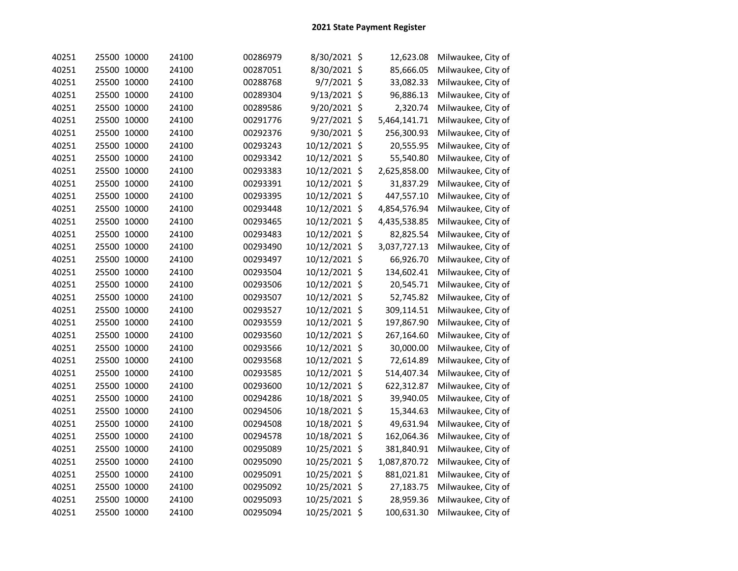| 40251 | 25500 10000 | 24100 | 00286979 | 8/30/2021 \$  | 12,623.08    | Milwaukee, City of |
|-------|-------------|-------|----------|---------------|--------------|--------------------|
| 40251 | 25500 10000 | 24100 | 00287051 | 8/30/2021 \$  | 85,666.05    | Milwaukee, City of |
| 40251 | 25500 10000 | 24100 | 00288768 | 9/7/2021 \$   | 33,082.33    | Milwaukee, City of |
| 40251 | 25500 10000 | 24100 | 00289304 | 9/13/2021 \$  | 96,886.13    | Milwaukee, City of |
| 40251 | 25500 10000 | 24100 | 00289586 | 9/20/2021 \$  | 2,320.74     | Milwaukee, City of |
| 40251 | 25500 10000 | 24100 | 00291776 | 9/27/2021 \$  | 5,464,141.71 | Milwaukee, City of |
| 40251 | 25500 10000 | 24100 | 00292376 | 9/30/2021 \$  | 256,300.93   | Milwaukee, City of |
| 40251 | 25500 10000 | 24100 | 00293243 | 10/12/2021 \$ | 20,555.95    | Milwaukee, City of |
| 40251 | 25500 10000 | 24100 | 00293342 | 10/12/2021 \$ | 55,540.80    | Milwaukee, City of |
| 40251 | 25500 10000 | 24100 | 00293383 | 10/12/2021 \$ | 2,625,858.00 | Milwaukee, City of |
| 40251 | 25500 10000 | 24100 | 00293391 | 10/12/2021 \$ | 31,837.29    | Milwaukee, City of |
| 40251 | 25500 10000 | 24100 | 00293395 | 10/12/2021 \$ | 447,557.10   | Milwaukee, City of |
| 40251 | 25500 10000 | 24100 | 00293448 | 10/12/2021 \$ | 4,854,576.94 | Milwaukee, City of |
| 40251 | 25500 10000 | 24100 | 00293465 | 10/12/2021 \$ | 4,435,538.85 | Milwaukee, City of |
| 40251 | 25500 10000 | 24100 | 00293483 | 10/12/2021 \$ | 82,825.54    | Milwaukee, City of |
| 40251 | 25500 10000 | 24100 | 00293490 | 10/12/2021 \$ | 3,037,727.13 | Milwaukee, City of |
| 40251 | 25500 10000 | 24100 | 00293497 | 10/12/2021 \$ | 66,926.70    | Milwaukee, City of |
| 40251 | 25500 10000 | 24100 | 00293504 | 10/12/2021 \$ | 134,602.41   | Milwaukee, City of |
| 40251 | 25500 10000 | 24100 | 00293506 | 10/12/2021 \$ | 20,545.71    | Milwaukee, City of |
| 40251 | 25500 10000 | 24100 | 00293507 | 10/12/2021 \$ | 52,745.82    | Milwaukee, City of |
| 40251 | 25500 10000 | 24100 | 00293527 | 10/12/2021 \$ | 309,114.51   | Milwaukee, City of |
| 40251 | 25500 10000 | 24100 | 00293559 | 10/12/2021 \$ | 197,867.90   | Milwaukee, City of |
| 40251 | 25500 10000 | 24100 | 00293560 | 10/12/2021 \$ | 267,164.60   | Milwaukee, City of |
| 40251 | 25500 10000 | 24100 | 00293566 | 10/12/2021 \$ | 30,000.00    | Milwaukee, City of |
| 40251 | 25500 10000 | 24100 | 00293568 | 10/12/2021 \$ | 72,614.89    | Milwaukee, City of |
| 40251 | 25500 10000 | 24100 | 00293585 | 10/12/2021 \$ | 514,407.34   | Milwaukee, City of |
| 40251 | 25500 10000 | 24100 | 00293600 | 10/12/2021 \$ | 622,312.87   | Milwaukee, City of |
| 40251 | 25500 10000 | 24100 | 00294286 | 10/18/2021 \$ | 39,940.05    | Milwaukee, City of |
| 40251 | 25500 10000 | 24100 | 00294506 | 10/18/2021 \$ | 15,344.63    | Milwaukee, City of |
| 40251 | 25500 10000 | 24100 | 00294508 | 10/18/2021 \$ | 49,631.94    | Milwaukee, City of |
| 40251 | 25500 10000 | 24100 | 00294578 | 10/18/2021 \$ | 162,064.36   | Milwaukee, City of |
| 40251 | 25500 10000 | 24100 | 00295089 | 10/25/2021 \$ | 381,840.91   | Milwaukee, City of |
| 40251 | 25500 10000 | 24100 | 00295090 | 10/25/2021 \$ | 1,087,870.72 | Milwaukee, City of |
| 40251 | 25500 10000 | 24100 | 00295091 | 10/25/2021 \$ | 881,021.81   | Milwaukee, City of |
| 40251 | 25500 10000 | 24100 | 00295092 | 10/25/2021 \$ | 27,183.75    | Milwaukee, City of |
| 40251 | 25500 10000 | 24100 | 00295093 | 10/25/2021 \$ | 28,959.36    | Milwaukee, City of |
| 40251 | 25500 10000 | 24100 | 00295094 | 10/25/2021 \$ | 100,631.30   | Milwaukee, City of |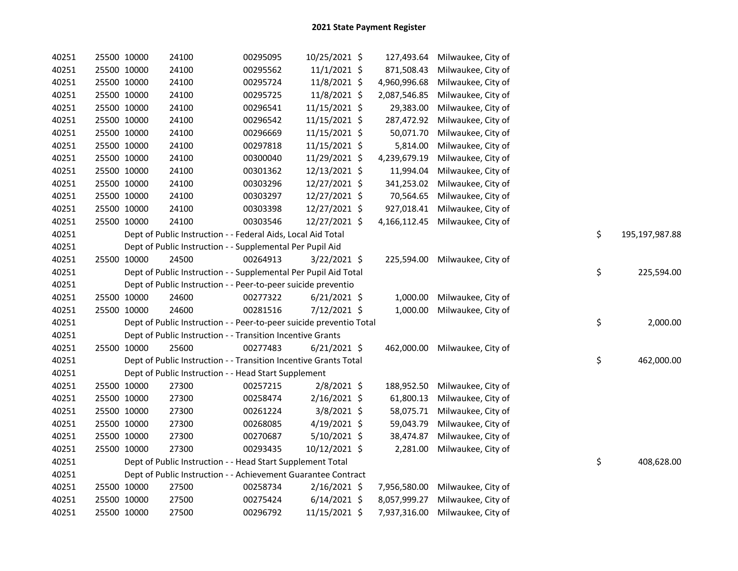| 40251 | 25500 10000 | 24100 | 00295095                                                            | 10/25/2021 \$  | 127,493.64   | Milwaukee, City of |                      |
|-------|-------------|-------|---------------------------------------------------------------------|----------------|--------------|--------------------|----------------------|
| 40251 | 25500 10000 | 24100 | 00295562                                                            | $11/1/2021$ \$ | 871,508.43   | Milwaukee, City of |                      |
| 40251 | 25500 10000 | 24100 | 00295724                                                            | 11/8/2021 \$   | 4,960,996.68 | Milwaukee, City of |                      |
| 40251 | 25500 10000 | 24100 | 00295725                                                            | 11/8/2021 \$   | 2,087,546.85 | Milwaukee, City of |                      |
| 40251 | 25500 10000 | 24100 | 00296541                                                            | 11/15/2021 \$  | 29,383.00    | Milwaukee, City of |                      |
| 40251 | 25500 10000 | 24100 | 00296542                                                            | 11/15/2021 \$  | 287,472.92   | Milwaukee, City of |                      |
| 40251 | 25500 10000 | 24100 | 00296669                                                            | 11/15/2021 \$  | 50,071.70    | Milwaukee, City of |                      |
| 40251 | 25500 10000 | 24100 | 00297818                                                            | 11/15/2021 \$  | 5,814.00     | Milwaukee, City of |                      |
| 40251 | 25500 10000 | 24100 | 00300040                                                            | 11/29/2021 \$  | 4,239,679.19 | Milwaukee, City of |                      |
| 40251 | 25500 10000 | 24100 | 00301362                                                            | 12/13/2021 \$  | 11,994.04    | Milwaukee, City of |                      |
| 40251 | 25500 10000 | 24100 | 00303296                                                            | 12/27/2021 \$  | 341,253.02   | Milwaukee, City of |                      |
| 40251 | 25500 10000 | 24100 | 00303297                                                            | 12/27/2021 \$  | 70,564.65    | Milwaukee, City of |                      |
| 40251 | 25500 10000 | 24100 | 00303398                                                            | 12/27/2021 \$  | 927,018.41   | Milwaukee, City of |                      |
| 40251 | 25500 10000 | 24100 | 00303546                                                            | 12/27/2021 \$  | 4,166,112.45 | Milwaukee, City of |                      |
| 40251 |             |       | Dept of Public Instruction - - Federal Aids, Local Aid Total        |                |              |                    | \$<br>195,197,987.88 |
| 40251 |             |       | Dept of Public Instruction - - Supplemental Per Pupil Aid           |                |              |                    |                      |
| 40251 | 25500 10000 | 24500 | 00264913                                                            | $3/22/2021$ \$ | 225,594.00   | Milwaukee, City of |                      |
| 40251 |             |       | Dept of Public Instruction - - Supplemental Per Pupil Aid Total     |                |              |                    | \$<br>225,594.00     |
| 40251 |             |       | Dept of Public Instruction - - Peer-to-peer suicide preventio       |                |              |                    |                      |
| 40251 | 25500 10000 | 24600 | 00277322                                                            | $6/21/2021$ \$ | 1,000.00     | Milwaukee, City of |                      |
| 40251 | 25500 10000 | 24600 | 00281516                                                            | 7/12/2021 \$   | 1,000.00     | Milwaukee, City of |                      |
| 40251 |             |       | Dept of Public Instruction - - Peer-to-peer suicide preventio Total |                |              |                    | \$<br>2,000.00       |
| 40251 |             |       | Dept of Public Instruction - - Transition Incentive Grants          |                |              |                    |                      |
| 40251 | 25500 10000 | 25600 | 00277483                                                            | $6/21/2021$ \$ | 462,000.00   | Milwaukee, City of |                      |
| 40251 |             |       | Dept of Public Instruction - - Transition Incentive Grants Total    |                |              |                    | \$<br>462,000.00     |
| 40251 |             |       | Dept of Public Instruction - - Head Start Supplement                |                |              |                    |                      |
| 40251 | 25500 10000 | 27300 | 00257215                                                            | 2/8/2021 \$    | 188,952.50   | Milwaukee, City of |                      |
| 40251 | 25500 10000 | 27300 | 00258474                                                            | 2/16/2021 \$   | 61,800.13    | Milwaukee, City of |                      |
| 40251 | 25500 10000 | 27300 | 00261224                                                            | $3/8/2021$ \$  | 58,075.71    | Milwaukee, City of |                      |
| 40251 | 25500 10000 | 27300 | 00268085                                                            | $4/19/2021$ \$ | 59,043.79    | Milwaukee, City of |                      |
| 40251 | 25500 10000 | 27300 | 00270687                                                            | 5/10/2021 \$   | 38,474.87    | Milwaukee, City of |                      |
| 40251 | 25500 10000 | 27300 | 00293435                                                            | 10/12/2021 \$  | 2,281.00     | Milwaukee, City of |                      |
| 40251 |             |       | Dept of Public Instruction - - Head Start Supplement Total          |                |              |                    | \$<br>408,628.00     |
| 40251 |             |       | Dept of Public Instruction - - Achievement Guarantee Contract       |                |              |                    |                      |
| 40251 | 25500 10000 | 27500 | 00258734                                                            | 2/16/2021 \$   | 7,956,580.00 | Milwaukee, City of |                      |
| 40251 | 25500 10000 | 27500 | 00275424                                                            | $6/14/2021$ \$ | 8,057,999.27 | Milwaukee, City of |                      |
| 40251 | 25500 10000 | 27500 | 00296792                                                            | 11/15/2021 \$  | 7,937,316.00 | Milwaukee, City of |                      |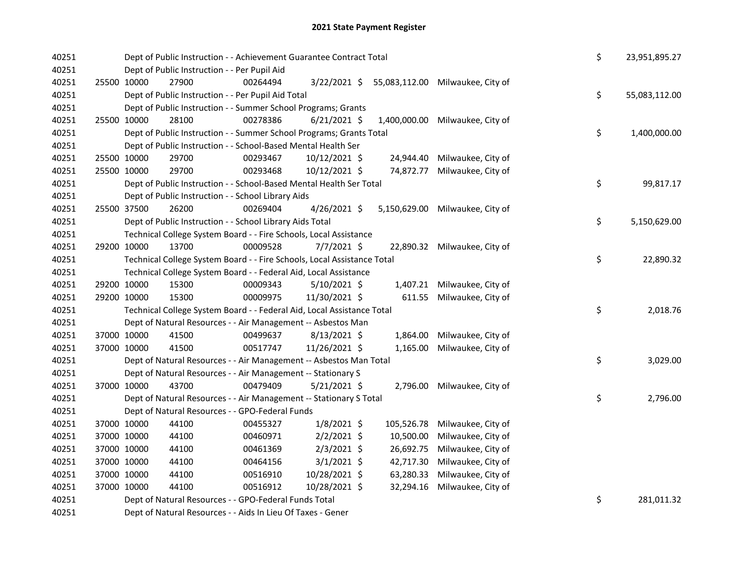| 40251 |             | Dept of Public Instruction - - Achievement Guarantee Contract Total     |          |                |            |                                  | \$<br>23,951,895.27 |
|-------|-------------|-------------------------------------------------------------------------|----------|----------------|------------|----------------------------------|---------------------|
| 40251 |             | Dept of Public Instruction - - Per Pupil Aid                            |          |                |            |                                  |                     |
| 40251 | 25500 10000 | 27900                                                                   | 00264494 | 3/22/2021 \$   |            | 55,083,112.00 Milwaukee, City of |                     |
| 40251 |             | Dept of Public Instruction - - Per Pupil Aid Total                      |          |                |            |                                  | \$<br>55,083,112.00 |
| 40251 |             | Dept of Public Instruction - - Summer School Programs; Grants           |          |                |            |                                  |                     |
| 40251 | 25500 10000 | 28100                                                                   | 00278386 | $6/21/2021$ \$ |            | 1,400,000.00 Milwaukee, City of  |                     |
| 40251 |             | Dept of Public Instruction - - Summer School Programs; Grants Total     |          |                |            |                                  | \$<br>1,400,000.00  |
| 40251 |             | Dept of Public Instruction - - School-Based Mental Health Ser           |          |                |            |                                  |                     |
| 40251 | 25500 10000 | 29700                                                                   | 00293467 | 10/12/2021 \$  | 24,944.40  | Milwaukee, City of               |                     |
| 40251 | 25500 10000 | 29700                                                                   | 00293468 | 10/12/2021 \$  | 74,872.77  | Milwaukee, City of               |                     |
| 40251 |             | Dept of Public Instruction - - School-Based Mental Health Ser Total     |          |                |            |                                  | \$<br>99,817.17     |
| 40251 |             | Dept of Public Instruction - - School Library Aids                      |          |                |            |                                  |                     |
| 40251 |             | 25500 37500<br>26200                                                    | 00269404 | 4/26/2021 \$   |            | 5,150,629.00 Milwaukee, City of  |                     |
| 40251 |             | Dept of Public Instruction - - School Library Aids Total                |          |                |            |                                  | \$<br>5,150,629.00  |
| 40251 |             | Technical College System Board - - Fire Schools, Local Assistance       |          |                |            |                                  |                     |
| 40251 | 29200 10000 | 13700                                                                   | 00009528 | $7/7/2021$ \$  |            | 22,890.32 Milwaukee, City of     |                     |
| 40251 |             | Technical College System Board - - Fire Schools, Local Assistance Total |          |                |            |                                  | \$<br>22,890.32     |
| 40251 |             | Technical College System Board - - Federal Aid, Local Assistance        |          |                |            |                                  |                     |
| 40251 | 29200 10000 | 15300                                                                   | 00009343 | $5/10/2021$ \$ | 1,407.21   | Milwaukee, City of               |                     |
| 40251 | 29200 10000 | 15300                                                                   | 00009975 | 11/30/2021 \$  | 611.55     | Milwaukee, City of               |                     |
| 40251 |             | Technical College System Board - - Federal Aid, Local Assistance Total  |          |                |            |                                  | \$<br>2,018.76      |
| 40251 |             | Dept of Natural Resources - - Air Management -- Asbestos Man            |          |                |            |                                  |                     |
| 40251 | 37000 10000 | 41500                                                                   | 00499637 | $8/13/2021$ \$ | 1,864.00   | Milwaukee, City of               |                     |
| 40251 | 37000 10000 | 41500                                                                   | 00517747 | 11/26/2021 \$  | 1,165.00   | Milwaukee, City of               |                     |
| 40251 |             | Dept of Natural Resources - - Air Management -- Asbestos Man Total      |          |                |            |                                  | \$<br>3,029.00      |
| 40251 |             | Dept of Natural Resources - - Air Management -- Stationary S            |          |                |            |                                  |                     |
| 40251 |             | 37000 10000<br>43700                                                    | 00479409 | $5/21/2021$ \$ |            | 2,796.00 Milwaukee, City of      |                     |
| 40251 |             | Dept of Natural Resources - - Air Management -- Stationary S Total      |          |                |            |                                  | \$<br>2,796.00      |
| 40251 |             | Dept of Natural Resources - - GPO-Federal Funds                         |          |                |            |                                  |                     |
| 40251 | 37000 10000 | 44100                                                                   | 00455327 | $1/8/2021$ \$  | 105,526.78 | Milwaukee, City of               |                     |
| 40251 | 37000 10000 | 44100                                                                   | 00460971 | $2/2/2021$ \$  | 10,500.00  | Milwaukee, City of               |                     |
| 40251 | 37000 10000 | 44100                                                                   | 00461369 | $2/3/2021$ \$  | 26,692.75  | Milwaukee, City of               |                     |
| 40251 | 37000 10000 | 44100                                                                   | 00464156 | $3/1/2021$ \$  | 42,717.30  | Milwaukee, City of               |                     |
| 40251 | 37000 10000 | 44100                                                                   | 00516910 | 10/28/2021 \$  | 63,280.33  | Milwaukee, City of               |                     |
| 40251 | 37000 10000 | 44100                                                                   | 00516912 | 10/28/2021 \$  | 32,294.16  | Milwaukee, City of               |                     |
| 40251 |             | Dept of Natural Resources - - GPO-Federal Funds Total                   |          |                |            |                                  | \$<br>281,011.32    |
| 40251 |             | Dept of Natural Resources - - Aids In Lieu Of Taxes - Gener             |          |                |            |                                  |                     |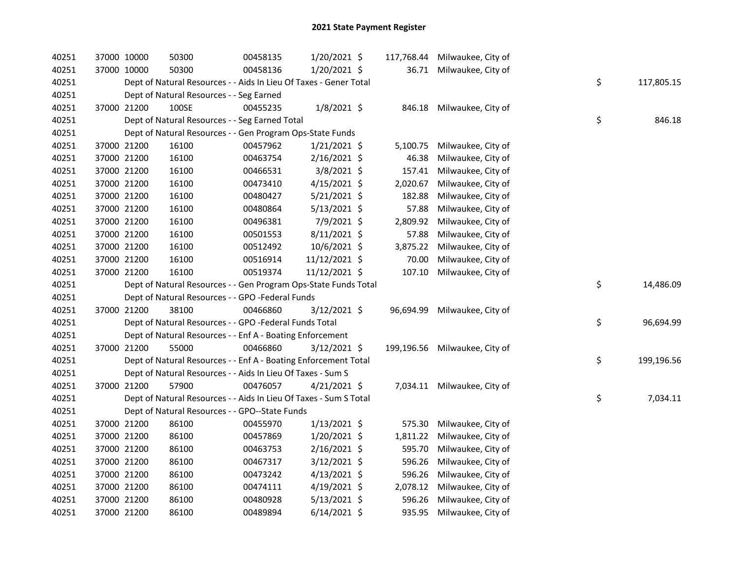| 40251 | 37000 10000 | 50300                                                             | 00458135 | 1/20/2021 \$   |          | 117,768.44 Milwaukee, City of |    |            |
|-------|-------------|-------------------------------------------------------------------|----------|----------------|----------|-------------------------------|----|------------|
| 40251 | 37000 10000 | 50300                                                             | 00458136 | $1/20/2021$ \$ |          | 36.71 Milwaukee, City of      |    |            |
| 40251 |             | Dept of Natural Resources - - Aids In Lieu Of Taxes - Gener Total |          |                |          |                               | \$ | 117,805.15 |
| 40251 |             | Dept of Natural Resources - - Seg Earned                          |          |                |          |                               |    |            |
| 40251 | 37000 21200 | 100SE                                                             | 00455235 | $1/8/2021$ \$  |          | 846.18 Milwaukee, City of     |    |            |
| 40251 |             | Dept of Natural Resources - - Seg Earned Total                    |          |                |          |                               | \$ | 846.18     |
| 40251 |             | Dept of Natural Resources - - Gen Program Ops-State Funds         |          |                |          |                               |    |            |
| 40251 | 37000 21200 | 16100                                                             | 00457962 | $1/21/2021$ \$ | 5,100.75 | Milwaukee, City of            |    |            |
| 40251 | 37000 21200 | 16100                                                             | 00463754 | 2/16/2021 \$   | 46.38    | Milwaukee, City of            |    |            |
| 40251 | 37000 21200 | 16100                                                             | 00466531 | $3/8/2021$ \$  | 157.41   | Milwaukee, City of            |    |            |
| 40251 | 37000 21200 | 16100                                                             | 00473410 | $4/15/2021$ \$ | 2,020.67 | Milwaukee, City of            |    |            |
| 40251 | 37000 21200 | 16100                                                             | 00480427 | 5/21/2021 \$   | 182.88   | Milwaukee, City of            |    |            |
| 40251 | 37000 21200 | 16100                                                             | 00480864 | 5/13/2021 \$   | 57.88    | Milwaukee, City of            |    |            |
| 40251 | 37000 21200 | 16100                                                             | 00496381 | 7/9/2021 \$    | 2,809.92 | Milwaukee, City of            |    |            |
| 40251 | 37000 21200 | 16100                                                             | 00501553 | 8/11/2021 \$   | 57.88    | Milwaukee, City of            |    |            |
| 40251 | 37000 21200 | 16100                                                             | 00512492 | 10/6/2021 \$   | 3,875.22 | Milwaukee, City of            |    |            |
| 40251 | 37000 21200 | 16100                                                             | 00516914 | 11/12/2021 \$  | 70.00    | Milwaukee, City of            |    |            |
| 40251 | 37000 21200 | 16100                                                             | 00519374 | 11/12/2021 \$  | 107.10   | Milwaukee, City of            |    |            |
| 40251 |             | Dept of Natural Resources - - Gen Program Ops-State Funds Total   |          |                |          |                               | \$ | 14,486.09  |
| 40251 |             | Dept of Natural Resources - - GPO -Federal Funds                  |          |                |          |                               |    |            |
| 40251 | 37000 21200 | 38100                                                             | 00466860 | $3/12/2021$ \$ |          | 96,694.99 Milwaukee, City of  |    |            |
| 40251 |             | Dept of Natural Resources - - GPO -Federal Funds Total            |          |                |          |                               | \$ | 96,694.99  |
| 40251 |             | Dept of Natural Resources - - Enf A - Boating Enforcement         |          |                |          |                               |    |            |
| 40251 | 37000 21200 | 55000                                                             | 00466860 | $3/12/2021$ \$ |          | 199,196.56 Milwaukee, City of |    |            |
| 40251 |             | Dept of Natural Resources - - Enf A - Boating Enforcement Total   |          |                |          |                               | \$ | 199,196.56 |
| 40251 |             | Dept of Natural Resources - - Aids In Lieu Of Taxes - Sum S       |          |                |          |                               |    |            |
| 40251 | 37000 21200 | 57900                                                             | 00476057 | $4/21/2021$ \$ |          | 7,034.11 Milwaukee, City of   |    |            |
| 40251 |             | Dept of Natural Resources - - Aids In Lieu Of Taxes - Sum S Total |          |                |          |                               | \$ | 7,034.11   |
| 40251 |             | Dept of Natural Resources - - GPO--State Funds                    |          |                |          |                               |    |            |
| 40251 | 37000 21200 | 86100                                                             | 00455970 | $1/13/2021$ \$ | 575.30   | Milwaukee, City of            |    |            |
| 40251 | 37000 21200 | 86100                                                             | 00457869 | 1/20/2021 \$   | 1,811.22 | Milwaukee, City of            |    |            |
| 40251 | 37000 21200 | 86100                                                             | 00463753 | $2/16/2021$ \$ | 595.70   | Milwaukee, City of            |    |            |
| 40251 | 37000 21200 | 86100                                                             | 00467317 | $3/12/2021$ \$ | 596.26   | Milwaukee, City of            |    |            |
| 40251 | 37000 21200 | 86100                                                             | 00473242 | $4/13/2021$ \$ | 596.26   | Milwaukee, City of            |    |            |
| 40251 | 37000 21200 | 86100                                                             | 00474111 | 4/19/2021 \$   | 2,078.12 | Milwaukee, City of            |    |            |
| 40251 | 37000 21200 | 86100                                                             | 00480928 | $5/13/2021$ \$ | 596.26   | Milwaukee, City of            |    |            |
| 40251 | 37000 21200 | 86100                                                             | 00489894 | $6/14/2021$ \$ | 935.95   | Milwaukee, City of            |    |            |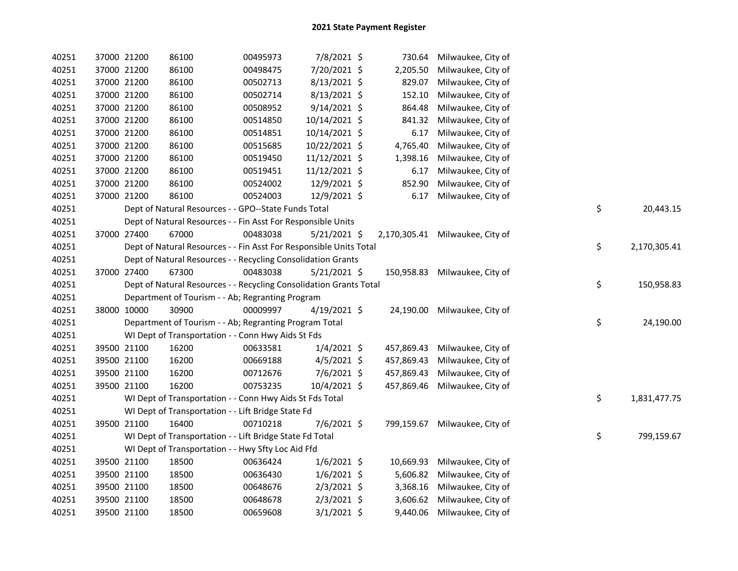| 40251 |             | 37000 21200 | 86100                                                              | 00495973 | 7/8/2021 \$    |            | 730.64 Milwaukee, City of       |    |              |
|-------|-------------|-------------|--------------------------------------------------------------------|----------|----------------|------------|---------------------------------|----|--------------|
| 40251 |             | 37000 21200 | 86100                                                              | 00498475 | 7/20/2021 \$   | 2,205.50   | Milwaukee, City of              |    |              |
| 40251 |             | 37000 21200 | 86100                                                              | 00502713 | 8/13/2021 \$   | 829.07     | Milwaukee, City of              |    |              |
| 40251 |             | 37000 21200 | 86100                                                              | 00502714 | 8/13/2021 \$   | 152.10     | Milwaukee, City of              |    |              |
| 40251 |             | 37000 21200 | 86100                                                              | 00508952 | $9/14/2021$ \$ | 864.48     | Milwaukee, City of              |    |              |
| 40251 |             | 37000 21200 | 86100                                                              | 00514850 | 10/14/2021 \$  | 841.32     | Milwaukee, City of              |    |              |
| 40251 |             | 37000 21200 | 86100                                                              | 00514851 | 10/14/2021 \$  | 6.17       | Milwaukee, City of              |    |              |
| 40251 |             | 37000 21200 | 86100                                                              | 00515685 | 10/22/2021 \$  | 4,765.40   | Milwaukee, City of              |    |              |
| 40251 |             | 37000 21200 | 86100                                                              | 00519450 | 11/12/2021 \$  | 1,398.16   | Milwaukee, City of              |    |              |
| 40251 |             | 37000 21200 | 86100                                                              | 00519451 | 11/12/2021 \$  | 6.17       | Milwaukee, City of              |    |              |
| 40251 |             | 37000 21200 | 86100                                                              | 00524002 | 12/9/2021 \$   | 852.90     | Milwaukee, City of              |    |              |
| 40251 |             | 37000 21200 | 86100                                                              | 00524003 | 12/9/2021 \$   | 6.17       | Milwaukee, City of              |    |              |
| 40251 |             |             | Dept of Natural Resources - - GPO--State Funds Total               |          |                |            |                                 | \$ | 20,443.15    |
| 40251 |             |             | Dept of Natural Resources - - Fin Asst For Responsible Units       |          |                |            |                                 |    |              |
| 40251 | 37000 27400 |             | 67000                                                              | 00483038 | $5/21/2021$ \$ |            | 2,170,305.41 Milwaukee, City of |    |              |
| 40251 |             |             | Dept of Natural Resources - - Fin Asst For Responsible Units Total |          |                |            |                                 | \$ | 2,170,305.41 |
| 40251 |             |             | Dept of Natural Resources - - Recycling Consolidation Grants       |          |                |            |                                 |    |              |
| 40251 |             | 37000 27400 | 67300                                                              | 00483038 | $5/21/2021$ \$ |            | 150,958.83 Milwaukee, City of   |    |              |
| 40251 |             |             | Dept of Natural Resources - - Recycling Consolidation Grants Total |          |                |            |                                 | \$ | 150,958.83   |
| 40251 |             |             | Department of Tourism - - Ab; Regranting Program                   |          |                |            |                                 |    |              |
| 40251 |             | 38000 10000 | 30900                                                              | 00009997 | 4/19/2021 \$   |            | 24,190.00 Milwaukee, City of    |    |              |
| 40251 |             |             | Department of Tourism - - Ab; Regranting Program Total             |          |                |            |                                 | \$ | 24,190.00    |
| 40251 |             |             | WI Dept of Transportation - - Conn Hwy Aids St Fds                 |          |                |            |                                 |    |              |
| 40251 |             | 39500 21100 | 16200                                                              | 00633581 | $1/4/2021$ \$  | 457,869.43 | Milwaukee, City of              |    |              |
| 40251 |             | 39500 21100 | 16200                                                              | 00669188 | $4/5/2021$ \$  | 457,869.43 | Milwaukee, City of              |    |              |
| 40251 |             | 39500 21100 | 16200                                                              | 00712676 | 7/6/2021 \$    | 457,869.43 | Milwaukee, City of              |    |              |
| 40251 |             | 39500 21100 | 16200                                                              | 00753235 | 10/4/2021 \$   | 457,869.46 | Milwaukee, City of              |    |              |
| 40251 |             |             | WI Dept of Transportation - - Conn Hwy Aids St Fds Total           |          |                |            |                                 | \$ | 1,831,477.75 |
| 40251 |             |             | WI Dept of Transportation - - Lift Bridge State Fd                 |          |                |            |                                 |    |              |
| 40251 |             | 39500 21100 | 16400                                                              | 00710218 | $7/6/2021$ \$  |            | 799,159.67 Milwaukee, City of   |    |              |
| 40251 |             |             | WI Dept of Transportation - - Lift Bridge State Fd Total           |          |                |            |                                 | \$ | 799,159.67   |
| 40251 |             |             | WI Dept of Transportation - - Hwy Sfty Loc Aid Ffd                 |          |                |            |                                 |    |              |
| 40251 |             | 39500 21100 | 18500                                                              | 00636424 | $1/6/2021$ \$  |            | 10,669.93 Milwaukee, City of    |    |              |
| 40251 |             | 39500 21100 | 18500                                                              | 00636430 | $1/6/2021$ \$  |            | 5,606.82 Milwaukee, City of     |    |              |
| 40251 |             | 39500 21100 | 18500                                                              | 00648676 | $2/3/2021$ \$  |            | 3,368.16 Milwaukee, City of     |    |              |
| 40251 |             | 39500 21100 | 18500                                                              | 00648678 | $2/3/2021$ \$  |            | 3,606.62 Milwaukee, City of     |    |              |
| 40251 |             | 39500 21100 | 18500                                                              | 00659608 | $3/1/2021$ \$  |            | 9,440.06 Milwaukee, City of     |    |              |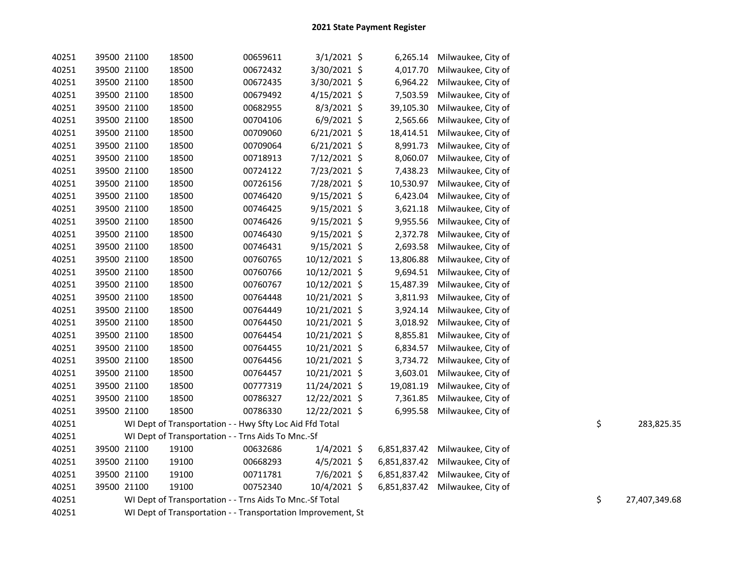| 40251 | 39500 21100 | 18500                                                        | 00659611 | $3/1/2021$ \$  |              | 6,265.14 Milwaukee, City of     |    |               |
|-------|-------------|--------------------------------------------------------------|----------|----------------|--------------|---------------------------------|----|---------------|
| 40251 | 39500 21100 | 18500                                                        | 00672432 | 3/30/2021 \$   | 4,017.70     | Milwaukee, City of              |    |               |
| 40251 | 39500 21100 | 18500                                                        | 00672435 | 3/30/2021 \$   | 6,964.22     | Milwaukee, City of              |    |               |
| 40251 | 39500 21100 | 18500                                                        | 00679492 | $4/15/2021$ \$ | 7,503.59     | Milwaukee, City of              |    |               |
| 40251 | 39500 21100 | 18500                                                        | 00682955 | 8/3/2021 \$    | 39,105.30    | Milwaukee, City of              |    |               |
| 40251 | 39500 21100 | 18500                                                        | 00704106 | $6/9/2021$ \$  | 2,565.66     | Milwaukee, City of              |    |               |
| 40251 | 39500 21100 | 18500                                                        | 00709060 | $6/21/2021$ \$ | 18,414.51    | Milwaukee, City of              |    |               |
| 40251 | 39500 21100 | 18500                                                        | 00709064 | $6/21/2021$ \$ | 8,991.73     | Milwaukee, City of              |    |               |
| 40251 | 39500 21100 | 18500                                                        | 00718913 | 7/12/2021 \$   | 8,060.07     | Milwaukee, City of              |    |               |
| 40251 | 39500 21100 | 18500                                                        | 00724122 | 7/23/2021 \$   | 7,438.23     | Milwaukee, City of              |    |               |
| 40251 | 39500 21100 | 18500                                                        | 00726156 | 7/28/2021 \$   | 10,530.97    | Milwaukee, City of              |    |               |
| 40251 | 39500 21100 | 18500                                                        | 00746420 | $9/15/2021$ \$ | 6,423.04     | Milwaukee, City of              |    |               |
| 40251 | 39500 21100 | 18500                                                        | 00746425 | 9/15/2021 \$   | 3,621.18     | Milwaukee, City of              |    |               |
| 40251 | 39500 21100 | 18500                                                        | 00746426 | $9/15/2021$ \$ | 9,955.56     | Milwaukee, City of              |    |               |
| 40251 | 39500 21100 | 18500                                                        | 00746430 | $9/15/2021$ \$ | 2,372.78     | Milwaukee, City of              |    |               |
| 40251 | 39500 21100 | 18500                                                        | 00746431 | $9/15/2021$ \$ | 2,693.58     | Milwaukee, City of              |    |               |
| 40251 | 39500 21100 | 18500                                                        | 00760765 | 10/12/2021 \$  | 13,806.88    | Milwaukee, City of              |    |               |
| 40251 | 39500 21100 | 18500                                                        | 00760766 | 10/12/2021 \$  | 9,694.51     | Milwaukee, City of              |    |               |
| 40251 | 39500 21100 | 18500                                                        | 00760767 | 10/12/2021 \$  | 15,487.39    | Milwaukee, City of              |    |               |
| 40251 | 39500 21100 | 18500                                                        | 00764448 | 10/21/2021 \$  | 3,811.93     | Milwaukee, City of              |    |               |
| 40251 | 39500 21100 | 18500                                                        | 00764449 | 10/21/2021 \$  | 3,924.14     | Milwaukee, City of              |    |               |
| 40251 | 39500 21100 | 18500                                                        | 00764450 | 10/21/2021 \$  | 3,018.92     | Milwaukee, City of              |    |               |
| 40251 | 39500 21100 | 18500                                                        | 00764454 | 10/21/2021 \$  | 8,855.81     | Milwaukee, City of              |    |               |
| 40251 | 39500 21100 | 18500                                                        | 00764455 | 10/21/2021 \$  | 6,834.57     | Milwaukee, City of              |    |               |
| 40251 | 39500 21100 | 18500                                                        | 00764456 | 10/21/2021 \$  | 3,734.72     | Milwaukee, City of              |    |               |
| 40251 | 39500 21100 | 18500                                                        | 00764457 | 10/21/2021 \$  | 3,603.01     | Milwaukee, City of              |    |               |
| 40251 | 39500 21100 | 18500                                                        | 00777319 | 11/24/2021 \$  | 19,081.19    | Milwaukee, City of              |    |               |
| 40251 | 39500 21100 | 18500                                                        | 00786327 | 12/22/2021 \$  | 7,361.85     | Milwaukee, City of              |    |               |
| 40251 | 39500 21100 | 18500                                                        | 00786330 | 12/22/2021 \$  | 6,995.58     | Milwaukee, City of              |    |               |
| 40251 |             | WI Dept of Transportation - - Hwy Sfty Loc Aid Ffd Total     |          |                |              |                                 | \$ | 283,825.35    |
| 40251 |             | WI Dept of Transportation - - Trns Aids To Mnc.-Sf           |          |                |              |                                 |    |               |
| 40251 | 39500 21100 | 19100                                                        | 00632686 | $1/4/2021$ \$  |              | 6,851,837.42 Milwaukee, City of |    |               |
| 40251 | 39500 21100 | 19100                                                        | 00668293 | $4/5/2021$ \$  | 6,851,837.42 | Milwaukee, City of              |    |               |
| 40251 | 39500 21100 | 19100                                                        | 00711781 | 7/6/2021 \$    |              | 6,851,837.42 Milwaukee, City of |    |               |
| 40251 | 39500 21100 | 19100                                                        | 00752340 | 10/4/2021 \$   |              | 6,851,837.42 Milwaukee, City of |    |               |
| 40251 |             | WI Dept of Transportation - - Trns Aids To Mnc.-Sf Total     |          |                |              |                                 | \$ | 27,407,349.68 |
| 40251 |             | WI Dept of Transportation - - Transportation Improvement, St |          |                |              |                                 |    |               |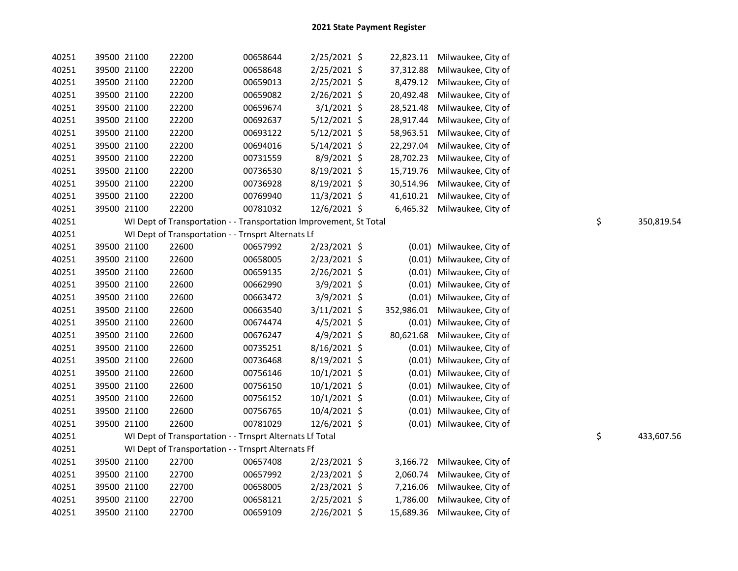| 40251 | 39500 21100 | 22200                                                              | 00658644 | $2/25/2021$ \$ |            | 22,823.11 Milwaukee, City of |                  |
|-------|-------------|--------------------------------------------------------------------|----------|----------------|------------|------------------------------|------------------|
| 40251 | 39500 21100 | 22200                                                              | 00658648 | 2/25/2021 \$   | 37,312.88  | Milwaukee, City of           |                  |
| 40251 | 39500 21100 | 22200                                                              | 00659013 | 2/25/2021 \$   | 8,479.12   | Milwaukee, City of           |                  |
| 40251 | 39500 21100 | 22200                                                              | 00659082 | 2/26/2021 \$   | 20,492.48  | Milwaukee, City of           |                  |
| 40251 | 39500 21100 | 22200                                                              | 00659674 | $3/1/2021$ \$  | 28,521.48  | Milwaukee, City of           |                  |
| 40251 | 39500 21100 | 22200                                                              | 00692637 | 5/12/2021 \$   | 28,917.44  | Milwaukee, City of           |                  |
| 40251 | 39500 21100 | 22200                                                              | 00693122 | 5/12/2021 \$   | 58,963.51  | Milwaukee, City of           |                  |
| 40251 | 39500 21100 | 22200                                                              | 00694016 | $5/14/2021$ \$ | 22,297.04  | Milwaukee, City of           |                  |
| 40251 | 39500 21100 | 22200                                                              | 00731559 | 8/9/2021 \$    | 28,702.23  | Milwaukee, City of           |                  |
| 40251 | 39500 21100 | 22200                                                              | 00736530 | 8/19/2021 \$   | 15,719.76  | Milwaukee, City of           |                  |
| 40251 | 39500 21100 | 22200                                                              | 00736928 | 8/19/2021 \$   | 30,514.96  | Milwaukee, City of           |                  |
| 40251 | 39500 21100 | 22200                                                              | 00769940 | 11/3/2021 \$   | 41,610.21  | Milwaukee, City of           |                  |
| 40251 | 39500 21100 | 22200                                                              | 00781032 | 12/6/2021 \$   | 6,465.32   | Milwaukee, City of           |                  |
| 40251 |             | WI Dept of Transportation - - Transportation Improvement, St Total |          |                |            |                              | \$<br>350,819.54 |
| 40251 |             | WI Dept of Transportation - - Trnsprt Alternats Lf                 |          |                |            |                              |                  |
| 40251 | 39500 21100 | 22600                                                              | 00657992 | 2/23/2021 \$   |            | (0.01) Milwaukee, City of    |                  |
| 40251 | 39500 21100 | 22600                                                              | 00658005 | 2/23/2021 \$   |            | (0.01) Milwaukee, City of    |                  |
| 40251 | 39500 21100 | 22600                                                              | 00659135 | 2/26/2021 \$   |            | (0.01) Milwaukee, City of    |                  |
| 40251 | 39500 21100 | 22600                                                              | 00662990 | 3/9/2021 \$    |            | (0.01) Milwaukee, City of    |                  |
| 40251 | 39500 21100 | 22600                                                              | 00663472 | $3/9/2021$ \$  |            | (0.01) Milwaukee, City of    |                  |
| 40251 | 39500 21100 | 22600                                                              | 00663540 | $3/11/2021$ \$ | 352,986.01 | Milwaukee, City of           |                  |
| 40251 | 39500 21100 | 22600                                                              | 00674474 | 4/5/2021 \$    | (0.01)     | Milwaukee, City of           |                  |
| 40251 | 39500 21100 | 22600                                                              | 00676247 | $4/9/2021$ \$  | 80,621.68  | Milwaukee, City of           |                  |
| 40251 | 39500 21100 | 22600                                                              | 00735251 | 8/16/2021 \$   |            | (0.01) Milwaukee, City of    |                  |
| 40251 | 39500 21100 | 22600                                                              | 00736468 | 8/19/2021 \$   |            | (0.01) Milwaukee, City of    |                  |
| 40251 | 39500 21100 | 22600                                                              | 00756146 | 10/1/2021 \$   |            | (0.01) Milwaukee, City of    |                  |
| 40251 | 39500 21100 | 22600                                                              | 00756150 | 10/1/2021 \$   | (0.01)     | Milwaukee, City of           |                  |
| 40251 | 39500 21100 | 22600                                                              | 00756152 | 10/1/2021 \$   | (0.01)     | Milwaukee, City of           |                  |
| 40251 | 39500 21100 | 22600                                                              | 00756765 | 10/4/2021 \$   | (0.01)     | Milwaukee, City of           |                  |
| 40251 | 39500 21100 | 22600                                                              | 00781029 | 12/6/2021 \$   |            | (0.01) Milwaukee, City of    |                  |
| 40251 |             | WI Dept of Transportation - - Trnsprt Alternats Lf Total           |          |                |            |                              | \$<br>433,607.56 |
| 40251 |             | WI Dept of Transportation - - Trnsprt Alternats Ff                 |          |                |            |                              |                  |
| 40251 | 39500 21100 | 22700                                                              | 00657408 | $2/23/2021$ \$ | 3,166.72   | Milwaukee, City of           |                  |
| 40251 | 39500 21100 | 22700                                                              | 00657992 | 2/23/2021 \$   | 2,060.74   | Milwaukee, City of           |                  |
| 40251 | 39500 21100 | 22700                                                              | 00658005 | 2/23/2021 \$   | 7,216.06   | Milwaukee, City of           |                  |
| 40251 | 39500 21100 | 22700                                                              | 00658121 | 2/25/2021 \$   | 1,786.00   | Milwaukee, City of           |                  |
| 40251 | 39500 21100 | 22700                                                              | 00659109 | 2/26/2021 \$   | 15,689.36  | Milwaukee, City of           |                  |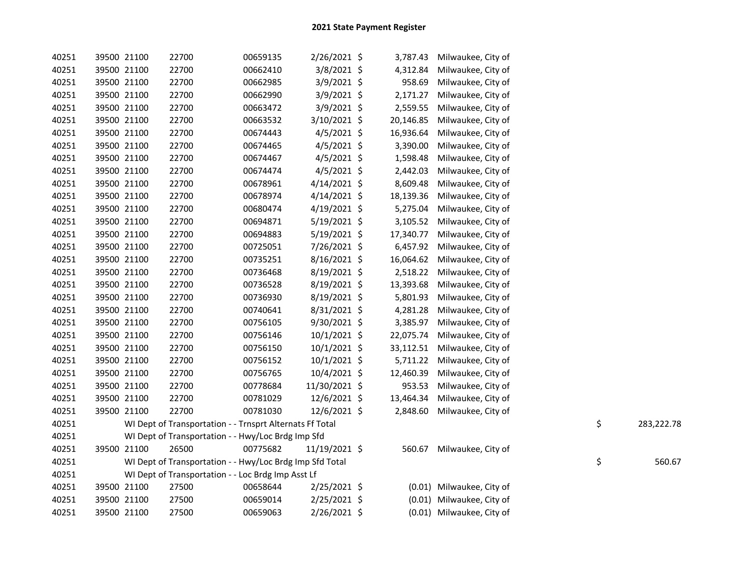|            | Milwaukee, City of        | 3,787.43  | 2/26/2021 \$   | 00659135                                                 | 22700 | 39500 21100 | 40251 |
|------------|---------------------------|-----------|----------------|----------------------------------------------------------|-------|-------------|-------|
|            | Milwaukee, City of        | 4,312.84  | 3/8/2021 \$    | 00662410                                                 | 22700 | 39500 21100 | 40251 |
|            | Milwaukee, City of        | 958.69    | 3/9/2021 \$    | 00662985                                                 | 22700 | 39500 21100 | 40251 |
|            | Milwaukee, City of        | 2,171.27  | 3/9/2021 \$    | 00662990                                                 | 22700 | 39500 21100 | 40251 |
|            | Milwaukee, City of        | 2,559.55  | $3/9/2021$ \$  | 00663472                                                 | 22700 | 39500 21100 | 40251 |
|            | Milwaukee, City of        | 20,146.85 | 3/10/2021 \$   | 00663532                                                 | 22700 | 39500 21100 | 40251 |
|            | Milwaukee, City of        | 16,936.64 | $4/5/2021$ \$  | 00674443                                                 | 22700 | 39500 21100 | 40251 |
|            | Milwaukee, City of        | 3,390.00  | $4/5/2021$ \$  | 00674465                                                 | 22700 | 39500 21100 | 40251 |
|            | Milwaukee, City of        | 1,598.48  | 4/5/2021 \$    | 00674467                                                 | 22700 | 39500 21100 | 40251 |
|            | Milwaukee, City of        | 2,442.03  | $4/5/2021$ \$  | 00674474                                                 | 22700 | 39500 21100 | 40251 |
|            | Milwaukee, City of        | 8,609.48  | $4/14/2021$ \$ | 00678961                                                 | 22700 | 39500 21100 | 40251 |
|            | Milwaukee, City of        | 18,139.36 | $4/14/2021$ \$ | 00678974                                                 | 22700 | 39500 21100 | 40251 |
|            | Milwaukee, City of        | 5,275.04  | 4/19/2021 \$   | 00680474                                                 | 22700 | 39500 21100 | 40251 |
|            | Milwaukee, City of        | 3,105.52  | 5/19/2021 \$   | 00694871                                                 | 22700 | 39500 21100 | 40251 |
|            | Milwaukee, City of        | 17,340.77 | 5/19/2021 \$   | 00694883                                                 | 22700 | 39500 21100 | 40251 |
|            | Milwaukee, City of        | 6,457.92  | 7/26/2021 \$   | 00725051                                                 | 22700 | 39500 21100 | 40251 |
|            | Milwaukee, City of        | 16,064.62 | 8/16/2021 \$   | 00735251                                                 | 22700 | 39500 21100 | 40251 |
|            | Milwaukee, City of        | 2,518.22  | 8/19/2021 \$   | 00736468                                                 | 22700 | 39500 21100 | 40251 |
|            | Milwaukee, City of        | 13,393.68 | 8/19/2021 \$   | 00736528                                                 | 22700 | 39500 21100 | 40251 |
|            | Milwaukee, City of        | 5,801.93  | 8/19/2021 \$   | 00736930                                                 | 22700 | 39500 21100 | 40251 |
|            | Milwaukee, City of        | 4,281.28  | 8/31/2021 \$   | 00740641                                                 | 22700 | 39500 21100 | 40251 |
|            | Milwaukee, City of        | 3,385.97  | 9/30/2021 \$   | 00756105                                                 | 22700 | 39500 21100 | 40251 |
|            | Milwaukee, City of        | 22,075.74 | 10/1/2021 \$   | 00756146                                                 | 22700 | 39500 21100 | 40251 |
|            | Milwaukee, City of        | 33,112.51 | 10/1/2021 \$   | 00756150                                                 | 22700 | 39500 21100 | 40251 |
|            | Milwaukee, City of        | 5,711.22  | 10/1/2021 \$   | 00756152                                                 | 22700 | 39500 21100 | 40251 |
|            | Milwaukee, City of        | 12,460.39 | 10/4/2021 \$   | 00756765                                                 | 22700 | 39500 21100 | 40251 |
|            | Milwaukee, City of        | 953.53    | 11/30/2021 \$  | 00778684                                                 | 22700 | 39500 21100 | 40251 |
|            | Milwaukee, City of        | 13,464.34 | 12/6/2021 \$   | 00781029                                                 | 22700 | 39500 21100 | 40251 |
|            | Milwaukee, City of        | 2,848.60  | 12/6/2021 \$   | 00781030                                                 | 22700 | 39500 21100 | 40251 |
| 283,222.78 | \$                        |           |                | WI Dept of Transportation - - Trnsprt Alternats Ff Total |       |             | 40251 |
|            |                           |           |                | WI Dept of Transportation - - Hwy/Loc Brdg Imp Sfd       |       |             | 40251 |
|            | Milwaukee, City of        | 560.67    | 11/19/2021 \$  | 00775682                                                 | 26500 | 39500 21100 | 40251 |
| 560.67     | \$                        |           |                | WI Dept of Transportation - - Hwy/Loc Brdg Imp Sfd Total |       |             | 40251 |
|            |                           |           |                | WI Dept of Transportation - - Loc Brdg Imp Asst Lf       |       |             | 40251 |
|            | (0.01) Milwaukee, City of |           | 2/25/2021 \$   | 00658644                                                 | 27500 | 39500 21100 | 40251 |
|            | Milwaukee, City of        | (0.01)    | 2/25/2021 \$   | 00659014                                                 | 27500 | 39500 21100 | 40251 |
|            | (0.01) Milwaukee, City of |           | 2/26/2021 \$   | 00659063                                                 | 27500 | 39500 21100 | 40251 |
|            |                           |           |                |                                                          |       |             |       |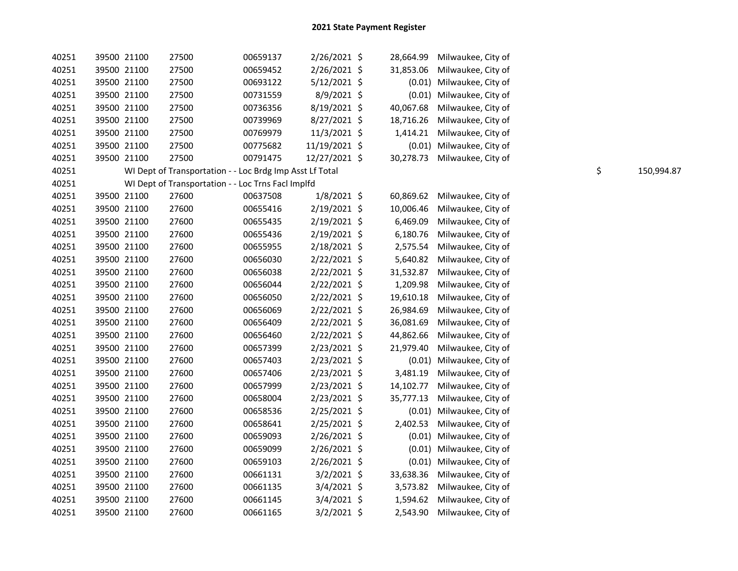| 40251 | 39500 21100 | 27500                                                    | 00659137 | $2/26/2021$ \$ | 28,664.99 | Milwaukee, City of        |                  |
|-------|-------------|----------------------------------------------------------|----------|----------------|-----------|---------------------------|------------------|
| 40251 | 39500 21100 | 27500                                                    | 00659452 | 2/26/2021 \$   | 31,853.06 | Milwaukee, City of        |                  |
| 40251 | 39500 21100 | 27500                                                    | 00693122 | $5/12/2021$ \$ |           | (0.01) Milwaukee, City of |                  |
| 40251 | 39500 21100 | 27500                                                    | 00731559 | 8/9/2021 \$    |           | (0.01) Milwaukee, City of |                  |
| 40251 | 39500 21100 | 27500                                                    | 00736356 | 8/19/2021 \$   | 40,067.68 | Milwaukee, City of        |                  |
| 40251 | 39500 21100 | 27500                                                    | 00739969 | 8/27/2021 \$   | 18,716.26 | Milwaukee, City of        |                  |
| 40251 | 39500 21100 | 27500                                                    | 00769979 | 11/3/2021 \$   | 1,414.21  | Milwaukee, City of        |                  |
| 40251 | 39500 21100 | 27500                                                    | 00775682 | 11/19/2021 \$  |           | (0.01) Milwaukee, City of |                  |
| 40251 | 39500 21100 | 27500                                                    | 00791475 | 12/27/2021 \$  | 30,278.73 | Milwaukee, City of        |                  |
| 40251 |             | WI Dept of Transportation - - Loc Brdg Imp Asst Lf Total |          |                |           |                           | \$<br>150,994.87 |
| 40251 |             | WI Dept of Transportation - - Loc Trns Facl Implfd       |          |                |           |                           |                  |
| 40251 | 39500 21100 | 27600                                                    | 00637508 | $1/8/2021$ \$  | 60,869.62 | Milwaukee, City of        |                  |
| 40251 | 39500 21100 | 27600                                                    | 00655416 | $2/19/2021$ \$ | 10,006.46 | Milwaukee, City of        |                  |
| 40251 | 39500 21100 | 27600                                                    | 00655435 | 2/19/2021 \$   | 6,469.09  | Milwaukee, City of        |                  |
| 40251 | 39500 21100 | 27600                                                    | 00655436 | 2/19/2021 \$   | 6,180.76  | Milwaukee, City of        |                  |
| 40251 | 39500 21100 | 27600                                                    | 00655955 | 2/18/2021 \$   | 2,575.54  | Milwaukee, City of        |                  |
| 40251 | 39500 21100 | 27600                                                    | 00656030 | 2/22/2021 \$   | 5,640.82  | Milwaukee, City of        |                  |
| 40251 | 39500 21100 | 27600                                                    | 00656038 | 2/22/2021 \$   | 31,532.87 | Milwaukee, City of        |                  |
| 40251 | 39500 21100 | 27600                                                    | 00656044 | 2/22/2021 \$   | 1,209.98  | Milwaukee, City of        |                  |
| 40251 | 39500 21100 | 27600                                                    | 00656050 | 2/22/2021 \$   | 19,610.18 | Milwaukee, City of        |                  |
| 40251 | 39500 21100 | 27600                                                    | 00656069 | 2/22/2021 \$   | 26,984.69 | Milwaukee, City of        |                  |
| 40251 | 39500 21100 | 27600                                                    | 00656409 | 2/22/2021 \$   | 36,081.69 | Milwaukee, City of        |                  |
| 40251 | 39500 21100 | 27600                                                    | 00656460 | 2/22/2021 \$   | 44,862.66 | Milwaukee, City of        |                  |
| 40251 | 39500 21100 | 27600                                                    | 00657399 | 2/23/2021 \$   | 21,979.40 | Milwaukee, City of        |                  |
| 40251 | 39500 21100 | 27600                                                    | 00657403 | 2/23/2021 \$   | (0.01)    | Milwaukee, City of        |                  |
| 40251 | 39500 21100 | 27600                                                    | 00657406 | 2/23/2021 \$   | 3,481.19  | Milwaukee, City of        |                  |
| 40251 | 39500 21100 | 27600                                                    | 00657999 | 2/23/2021 \$   | 14,102.77 | Milwaukee, City of        |                  |
| 40251 | 39500 21100 | 27600                                                    | 00658004 | 2/23/2021 \$   | 35,777.13 | Milwaukee, City of        |                  |
| 40251 | 39500 21100 | 27600                                                    | 00658536 | 2/25/2021 \$   | (0.01)    | Milwaukee, City of        |                  |
| 40251 | 39500 21100 | 27600                                                    | 00658641 | 2/25/2021 \$   | 2,402.53  | Milwaukee, City of        |                  |
| 40251 | 39500 21100 | 27600                                                    | 00659093 | 2/26/2021 \$   | (0.01)    | Milwaukee, City of        |                  |
| 40251 | 39500 21100 | 27600                                                    | 00659099 | 2/26/2021 \$   |           | (0.01) Milwaukee, City of |                  |
| 40251 | 39500 21100 | 27600                                                    | 00659103 | 2/26/2021 \$   |           | (0.01) Milwaukee, City of |                  |
| 40251 | 39500 21100 | 27600                                                    | 00661131 | $3/2/2021$ \$  | 33,638.36 | Milwaukee, City of        |                  |
| 40251 | 39500 21100 | 27600                                                    | 00661135 | $3/4/2021$ \$  | 3,573.82  | Milwaukee, City of        |                  |
| 40251 | 39500 21100 | 27600                                                    | 00661145 | $3/4/2021$ \$  | 1,594.62  | Milwaukee, City of        |                  |
| 40251 | 39500 21100 | 27600                                                    | 00661165 | $3/2/2021$ \$  | 2,543.90  | Milwaukee, City of        |                  |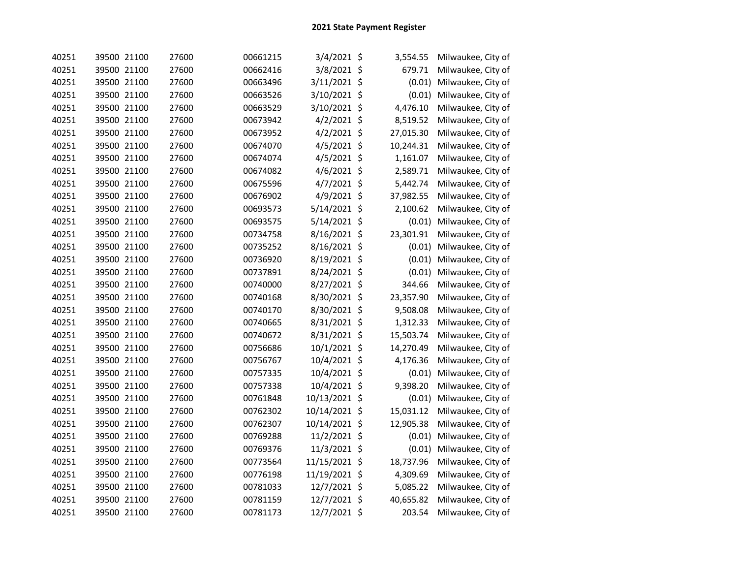| 40251 | 39500 21100 | 27600 | 00661215 | 3/4/2021 \$   | 3,554.55  | Milwaukee, City of |
|-------|-------------|-------|----------|---------------|-----------|--------------------|
| 40251 | 39500 21100 | 27600 | 00662416 | 3/8/2021 \$   | 679.71    | Milwaukee, City of |
| 40251 | 39500 21100 | 27600 | 00663496 | 3/11/2021 \$  | (0.01)    | Milwaukee, City of |
| 40251 | 39500 21100 | 27600 | 00663526 | 3/10/2021 \$  | (0.01)    | Milwaukee, City of |
| 40251 | 39500 21100 | 27600 | 00663529 | 3/10/2021 \$  | 4,476.10  | Milwaukee, City of |
| 40251 | 39500 21100 | 27600 | 00673942 | 4/2/2021 \$   | 8,519.52  | Milwaukee, City of |
| 40251 | 39500 21100 | 27600 | 00673952 | 4/2/2021 \$   | 27,015.30 | Milwaukee, City of |
| 40251 | 39500 21100 | 27600 | 00674070 | 4/5/2021 \$   | 10,244.31 | Milwaukee, City of |
| 40251 | 39500 21100 | 27600 | 00674074 | 4/5/2021 \$   | 1,161.07  | Milwaukee, City of |
| 40251 | 39500 21100 | 27600 | 00674082 | 4/6/2021 \$   | 2,589.71  | Milwaukee, City of |
| 40251 | 39500 21100 | 27600 | 00675596 | 4/7/2021 \$   | 5,442.74  | Milwaukee, City of |
| 40251 | 39500 21100 | 27600 | 00676902 | 4/9/2021 \$   | 37,982.55 | Milwaukee, City of |
| 40251 | 39500 21100 | 27600 | 00693573 | 5/14/2021 \$  | 2,100.62  | Milwaukee, City of |
| 40251 | 39500 21100 | 27600 | 00693575 | 5/14/2021 \$  | (0.01)    | Milwaukee, City of |
| 40251 | 39500 21100 | 27600 | 00734758 | 8/16/2021 \$  | 23,301.91 | Milwaukee, City of |
| 40251 | 39500 21100 | 27600 | 00735252 | 8/16/2021 \$  | (0.01)    | Milwaukee, City of |
| 40251 | 39500 21100 | 27600 | 00736920 | 8/19/2021 \$  | (0.01)    | Milwaukee, City of |
| 40251 | 39500 21100 | 27600 | 00737891 | 8/24/2021 \$  | (0.01)    | Milwaukee, City of |
| 40251 | 39500 21100 | 27600 | 00740000 | 8/27/2021 \$  | 344.66    | Milwaukee, City of |
| 40251 | 39500 21100 | 27600 | 00740168 | 8/30/2021 \$  | 23,357.90 | Milwaukee, City of |
| 40251 | 39500 21100 | 27600 | 00740170 | 8/30/2021 \$  | 9,508.08  | Milwaukee, City of |
| 40251 | 39500 21100 | 27600 | 00740665 | 8/31/2021 \$  | 1,312.33  | Milwaukee, City of |
| 40251 | 39500 21100 | 27600 | 00740672 | 8/31/2021 \$  | 15,503.74 | Milwaukee, City of |
| 40251 | 39500 21100 | 27600 | 00756686 | 10/1/2021 \$  | 14,270.49 | Milwaukee, City of |
| 40251 | 39500 21100 | 27600 | 00756767 | 10/4/2021 \$  | 4,176.36  | Milwaukee, City of |
| 40251 | 39500 21100 | 27600 | 00757335 | 10/4/2021 \$  | (0.01)    | Milwaukee, City of |
| 40251 | 39500 21100 | 27600 | 00757338 | 10/4/2021 \$  | 9,398.20  | Milwaukee, City of |
| 40251 | 39500 21100 | 27600 | 00761848 | 10/13/2021 \$ | (0.01)    | Milwaukee, City of |
| 40251 | 39500 21100 | 27600 | 00762302 | 10/14/2021 \$ | 15,031.12 | Milwaukee, City of |
| 40251 | 39500 21100 | 27600 | 00762307 | 10/14/2021 \$ | 12,905.38 | Milwaukee, City of |
| 40251 | 39500 21100 | 27600 | 00769288 | 11/2/2021 \$  | (0.01)    | Milwaukee, City of |
| 40251 | 39500 21100 | 27600 | 00769376 | 11/3/2021 \$  | (0.01)    | Milwaukee, City of |
| 40251 | 39500 21100 | 27600 | 00773564 | 11/15/2021 \$ | 18,737.96 | Milwaukee, City of |
| 40251 | 39500 21100 | 27600 | 00776198 | 11/19/2021 \$ | 4,309.69  | Milwaukee, City of |
| 40251 | 39500 21100 | 27600 | 00781033 | 12/7/2021 \$  | 5,085.22  | Milwaukee, City of |
| 40251 | 39500 21100 | 27600 | 00781159 | 12/7/2021 \$  | 40,655.82 | Milwaukee, City of |
| 40251 | 39500 21100 | 27600 | 00781173 | 12/7/2021 \$  | 203.54    | Milwaukee, City of |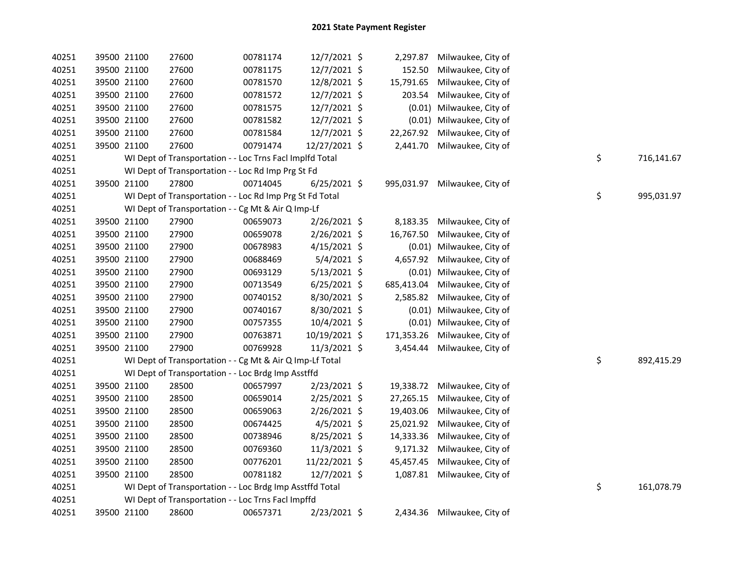| 40251 | 39500 21100 | 27600                                                    | 00781174 | 12/7/2021 \$   | 2,297.87   | Milwaukee, City of           |    |            |
|-------|-------------|----------------------------------------------------------|----------|----------------|------------|------------------------------|----|------------|
| 40251 | 39500 21100 | 27600                                                    | 00781175 | 12/7/2021 \$   | 152.50     | Milwaukee, City of           |    |            |
| 40251 | 39500 21100 | 27600                                                    | 00781570 | 12/8/2021 \$   | 15,791.65  | Milwaukee, City of           |    |            |
| 40251 | 39500 21100 | 27600                                                    | 00781572 | 12/7/2021 \$   | 203.54     | Milwaukee, City of           |    |            |
| 40251 | 39500 21100 | 27600                                                    | 00781575 | 12/7/2021 \$   |            | (0.01) Milwaukee, City of    |    |            |
| 40251 | 39500 21100 | 27600                                                    | 00781582 | 12/7/2021 \$   |            | (0.01) Milwaukee, City of    |    |            |
| 40251 | 39500 21100 | 27600                                                    | 00781584 | 12/7/2021 \$   | 22,267.92  | Milwaukee, City of           |    |            |
| 40251 | 39500 21100 | 27600                                                    | 00791474 | 12/27/2021 \$  | 2,441.70   | Milwaukee, City of           |    |            |
| 40251 |             | WI Dept of Transportation - - Loc Trns Facl Implfd Total |          |                |            |                              | \$ | 716,141.67 |
| 40251 |             | WI Dept of Transportation - - Loc Rd Imp Prg St Fd       |          |                |            |                              |    |            |
| 40251 | 39500 21100 | 27800                                                    | 00714045 | $6/25/2021$ \$ | 995,031.97 | Milwaukee, City of           |    |            |
| 40251 |             | WI Dept of Transportation - - Loc Rd Imp Prg St Fd Total |          |                |            |                              | \$ | 995,031.97 |
| 40251 |             | WI Dept of Transportation - - Cg Mt & Air Q Imp-Lf       |          |                |            |                              |    |            |
| 40251 | 39500 21100 | 27900                                                    | 00659073 | 2/26/2021 \$   | 8,183.35   | Milwaukee, City of           |    |            |
| 40251 | 39500 21100 | 27900                                                    | 00659078 | $2/26/2021$ \$ | 16,767.50  | Milwaukee, City of           |    |            |
| 40251 | 39500 21100 | 27900                                                    | 00678983 | $4/15/2021$ \$ |            | (0.01) Milwaukee, City of    |    |            |
| 40251 | 39500 21100 | 27900                                                    | 00688469 | $5/4/2021$ \$  | 4,657.92   | Milwaukee, City of           |    |            |
| 40251 | 39500 21100 | 27900                                                    | 00693129 | 5/13/2021 \$   |            | (0.01) Milwaukee, City of    |    |            |
| 40251 | 39500 21100 | 27900                                                    | 00713549 | $6/25/2021$ \$ | 685,413.04 | Milwaukee, City of           |    |            |
| 40251 | 39500 21100 | 27900                                                    | 00740152 | 8/30/2021 \$   | 2,585.82   | Milwaukee, City of           |    |            |
| 40251 | 39500 21100 | 27900                                                    | 00740167 | 8/30/2021 \$   |            | (0.01) Milwaukee, City of    |    |            |
| 40251 | 39500 21100 | 27900                                                    | 00757355 | 10/4/2021 \$   |            | (0.01) Milwaukee, City of    |    |            |
| 40251 | 39500 21100 | 27900                                                    | 00763871 | 10/19/2021 \$  | 171,353.26 | Milwaukee, City of           |    |            |
| 40251 | 39500 21100 | 27900                                                    | 00769928 | 11/3/2021 \$   | 3,454.44   | Milwaukee, City of           |    |            |
| 40251 |             | WI Dept of Transportation - - Cg Mt & Air Q Imp-Lf Total |          |                |            |                              | \$ | 892,415.29 |
| 40251 |             | WI Dept of Transportation - - Loc Brdg Imp Asstffd       |          |                |            |                              |    |            |
| 40251 | 39500 21100 | 28500                                                    | 00657997 | 2/23/2021 \$   |            | 19,338.72 Milwaukee, City of |    |            |
| 40251 | 39500 21100 | 28500                                                    | 00659014 | $2/25/2021$ \$ | 27,265.15  | Milwaukee, City of           |    |            |
| 40251 | 39500 21100 | 28500                                                    | 00659063 | 2/26/2021 \$   | 19,403.06  | Milwaukee, City of           |    |            |
| 40251 | 39500 21100 | 28500                                                    | 00674425 | $4/5/2021$ \$  |            | 25,021.92 Milwaukee, City of |    |            |
| 40251 | 39500 21100 | 28500                                                    | 00738946 | 8/25/2021 \$   | 14,333.36  | Milwaukee, City of           |    |            |
| 40251 | 39500 21100 | 28500                                                    | 00769360 | 11/3/2021 \$   |            | 9,171.32 Milwaukee, City of  |    |            |
| 40251 | 39500 21100 | 28500                                                    | 00776201 | 11/22/2021 \$  | 45,457.45  | Milwaukee, City of           |    |            |
| 40251 | 39500 21100 | 28500                                                    | 00781182 | 12/7/2021 \$   |            | 1,087.81 Milwaukee, City of  |    |            |
| 40251 |             | WI Dept of Transportation - - Loc Brdg Imp Asstffd Total |          |                |            |                              | \$ | 161,078.79 |
| 40251 |             | WI Dept of Transportation - - Loc Trns Facl Impffd       |          |                |            |                              |    |            |
| 40251 | 39500 21100 | 28600                                                    | 00657371 | 2/23/2021 \$   |            | 2,434.36 Milwaukee, City of  |    |            |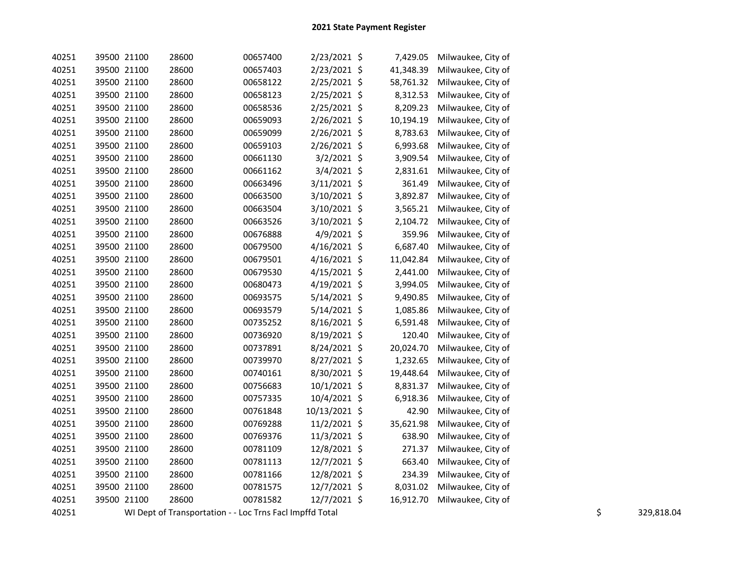| 40251 | 39500 21100 | 28600                                                    | 00657400 | 2/23/2021 \$   | 7,429.05  | Milwaukee, City of |    |            |
|-------|-------------|----------------------------------------------------------|----------|----------------|-----------|--------------------|----|------------|
| 40251 | 39500 21100 | 28600                                                    | 00657403 | 2/23/2021 \$   | 41,348.39 | Milwaukee, City of |    |            |
| 40251 | 39500 21100 | 28600                                                    | 00658122 | 2/25/2021 \$   | 58,761.32 | Milwaukee, City of |    |            |
| 40251 | 39500 21100 | 28600                                                    | 00658123 | $2/25/2021$ \$ | 8,312.53  | Milwaukee, City of |    |            |
| 40251 | 39500 21100 | 28600                                                    | 00658536 | 2/25/2021 \$   | 8,209.23  | Milwaukee, City of |    |            |
| 40251 | 39500 21100 | 28600                                                    | 00659093 | $2/26/2021$ \$ | 10,194.19 | Milwaukee, City of |    |            |
| 40251 | 39500 21100 | 28600                                                    | 00659099 | $2/26/2021$ \$ | 8,783.63  | Milwaukee, City of |    |            |
| 40251 | 39500 21100 | 28600                                                    | 00659103 | 2/26/2021 \$   | 6,993.68  | Milwaukee, City of |    |            |
| 40251 | 39500 21100 | 28600                                                    | 00661130 | $3/2/2021$ \$  | 3,909.54  | Milwaukee, City of |    |            |
| 40251 | 39500 21100 | 28600                                                    | 00661162 | $3/4/2021$ \$  | 2,831.61  | Milwaukee, City of |    |            |
| 40251 | 39500 21100 | 28600                                                    | 00663496 | 3/11/2021 \$   | 361.49    | Milwaukee, City of |    |            |
| 40251 | 39500 21100 | 28600                                                    | 00663500 | $3/10/2021$ \$ | 3,892.87  | Milwaukee, City of |    |            |
| 40251 | 39500 21100 | 28600                                                    | 00663504 | $3/10/2021$ \$ | 3,565.21  | Milwaukee, City of |    |            |
| 40251 | 39500 21100 | 28600                                                    | 00663526 | 3/10/2021 \$   | 2,104.72  | Milwaukee, City of |    |            |
| 40251 | 39500 21100 | 28600                                                    | 00676888 | $4/9/2021$ \$  | 359.96    | Milwaukee, City of |    |            |
| 40251 | 39500 21100 | 28600                                                    | 00679500 | $4/16/2021$ \$ | 6,687.40  | Milwaukee, City of |    |            |
| 40251 | 39500 21100 | 28600                                                    | 00679501 | $4/16/2021$ \$ | 11,042.84 | Milwaukee, City of |    |            |
| 40251 | 39500 21100 | 28600                                                    | 00679530 | $4/15/2021$ \$ | 2,441.00  | Milwaukee, City of |    |            |
| 40251 | 39500 21100 | 28600                                                    | 00680473 | $4/19/2021$ \$ | 3,994.05  | Milwaukee, City of |    |            |
| 40251 | 39500 21100 | 28600                                                    | 00693575 | 5/14/2021 \$   | 9,490.85  | Milwaukee, City of |    |            |
| 40251 | 39500 21100 | 28600                                                    | 00693579 | $5/14/2021$ \$ | 1,085.86  | Milwaukee, City of |    |            |
| 40251 | 39500 21100 | 28600                                                    | 00735252 | 8/16/2021 \$   | 6,591.48  | Milwaukee, City of |    |            |
| 40251 | 39500 21100 | 28600                                                    | 00736920 | 8/19/2021 \$   | 120.40    | Milwaukee, City of |    |            |
| 40251 | 39500 21100 | 28600                                                    | 00737891 | 8/24/2021 \$   | 20,024.70 | Milwaukee, City of |    |            |
| 40251 | 39500 21100 | 28600                                                    | 00739970 | $8/27/2021$ \$ | 1,232.65  | Milwaukee, City of |    |            |
| 40251 | 39500 21100 | 28600                                                    | 00740161 | 8/30/2021 \$   | 19,448.64 | Milwaukee, City of |    |            |
| 40251 | 39500 21100 | 28600                                                    | 00756683 | $10/1/2021$ \$ | 8,831.37  | Milwaukee, City of |    |            |
| 40251 | 39500 21100 | 28600                                                    | 00757335 | 10/4/2021 \$   | 6,918.36  | Milwaukee, City of |    |            |
| 40251 | 39500 21100 | 28600                                                    | 00761848 | 10/13/2021 \$  | 42.90     | Milwaukee, City of |    |            |
| 40251 | 39500 21100 | 28600                                                    | 00769288 | 11/2/2021 \$   | 35,621.98 | Milwaukee, City of |    |            |
| 40251 | 39500 21100 | 28600                                                    | 00769376 | $11/3/2021$ \$ | 638.90    | Milwaukee, City of |    |            |
| 40251 | 39500 21100 | 28600                                                    | 00781109 | 12/8/2021 \$   | 271.37    | Milwaukee, City of |    |            |
| 40251 | 39500 21100 | 28600                                                    | 00781113 | 12/7/2021 \$   | 663.40    | Milwaukee, City of |    |            |
| 40251 | 39500 21100 | 28600                                                    | 00781166 | 12/8/2021 \$   | 234.39    | Milwaukee, City of |    |            |
| 40251 | 39500 21100 | 28600                                                    | 00781575 | 12/7/2021 \$   | 8,031.02  | Milwaukee, City of |    |            |
| 40251 | 39500 21100 | 28600                                                    | 00781582 | 12/7/2021 \$   | 16,912.70 | Milwaukee, City of |    |            |
| 40251 |             | WI Dept of Transportation - - Loc Trns Facl Impffd Total |          |                |           |                    | \$ | 329,818.04 |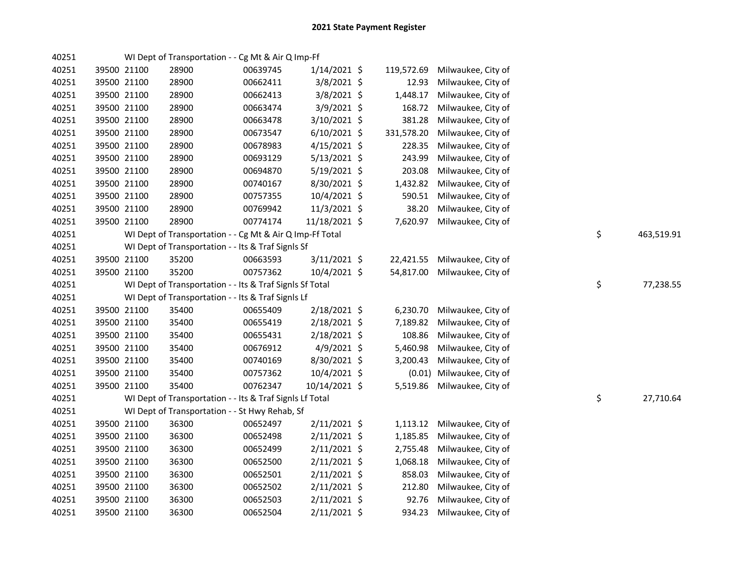| 40251 |             |             | WI Dept of Transportation - - Cg Mt & Air Q Imp-Ff       |          |                |            |                    |    |            |
|-------|-------------|-------------|----------------------------------------------------------|----------|----------------|------------|--------------------|----|------------|
| 40251 |             | 39500 21100 | 28900                                                    | 00639745 | $1/14/2021$ \$ | 119,572.69 | Milwaukee, City of |    |            |
| 40251 |             | 39500 21100 | 28900                                                    | 00662411 | $3/8/2021$ \$  | 12.93      | Milwaukee, City of |    |            |
| 40251 |             | 39500 21100 | 28900                                                    | 00662413 | 3/8/2021 \$    | 1,448.17   | Milwaukee, City of |    |            |
| 40251 |             | 39500 21100 | 28900                                                    | 00663474 | 3/9/2021 \$    | 168.72     | Milwaukee, City of |    |            |
| 40251 |             | 39500 21100 | 28900                                                    | 00663478 | 3/10/2021 \$   | 381.28     | Milwaukee, City of |    |            |
| 40251 |             | 39500 21100 | 28900                                                    | 00673547 | $6/10/2021$ \$ | 331,578.20 | Milwaukee, City of |    |            |
| 40251 |             | 39500 21100 | 28900                                                    | 00678983 | $4/15/2021$ \$ | 228.35     | Milwaukee, City of |    |            |
| 40251 |             | 39500 21100 | 28900                                                    | 00693129 | 5/13/2021 \$   | 243.99     | Milwaukee, City of |    |            |
| 40251 |             | 39500 21100 | 28900                                                    | 00694870 | $5/19/2021$ \$ | 203.08     | Milwaukee, City of |    |            |
| 40251 |             | 39500 21100 | 28900                                                    | 00740167 | 8/30/2021 \$   | 1,432.82   | Milwaukee, City of |    |            |
| 40251 |             | 39500 21100 | 28900                                                    | 00757355 | 10/4/2021 \$   | 590.51     | Milwaukee, City of |    |            |
| 40251 |             | 39500 21100 | 28900                                                    | 00769942 | 11/3/2021 \$   | 38.20      | Milwaukee, City of |    |            |
| 40251 |             | 39500 21100 | 28900                                                    | 00774174 | 11/18/2021 \$  | 7,620.97   | Milwaukee, City of |    |            |
| 40251 |             |             | WI Dept of Transportation - - Cg Mt & Air Q Imp-Ff Total |          |                |            |                    | \$ | 463,519.91 |
| 40251 |             |             | WI Dept of Transportation - - Its & Traf SignIs Sf       |          |                |            |                    |    |            |
| 40251 | 39500 21100 |             | 35200                                                    | 00663593 | 3/11/2021 \$   | 22,421.55  | Milwaukee, City of |    |            |
| 40251 |             | 39500 21100 | 35200                                                    | 00757362 | 10/4/2021 \$   | 54,817.00  | Milwaukee, City of |    |            |
| 40251 |             |             | WI Dept of Transportation - - Its & Traf SignIs Sf Total |          |                |            |                    | \$ | 77,238.55  |
| 40251 |             |             | WI Dept of Transportation - - Its & Traf Signls Lf       |          |                |            |                    |    |            |
| 40251 |             | 39500 21100 | 35400                                                    | 00655409 | 2/18/2021 \$   | 6,230.70   | Milwaukee, City of |    |            |
| 40251 |             | 39500 21100 | 35400                                                    | 00655419 | 2/18/2021 \$   | 7,189.82   | Milwaukee, City of |    |            |
| 40251 |             | 39500 21100 | 35400                                                    | 00655431 | 2/18/2021 \$   | 108.86     | Milwaukee, City of |    |            |
| 40251 |             | 39500 21100 | 35400                                                    | 00676912 | $4/9/2021$ \$  | 5,460.98   | Milwaukee, City of |    |            |
| 40251 |             | 39500 21100 | 35400                                                    | 00740169 | 8/30/2021 \$   | 3,200.43   | Milwaukee, City of |    |            |
| 40251 |             | 39500 21100 | 35400                                                    | 00757362 | 10/4/2021 \$   | (0.01)     | Milwaukee, City of |    |            |
| 40251 | 39500 21100 |             | 35400                                                    | 00762347 | 10/14/2021 \$  | 5,519.86   | Milwaukee, City of |    |            |
| 40251 |             |             | WI Dept of Transportation - - Its & Traf SignIs Lf Total |          |                |            |                    | \$ | 27,710.64  |
| 40251 |             |             | WI Dept of Transportation - - St Hwy Rehab, Sf           |          |                |            |                    |    |            |
| 40251 |             | 39500 21100 | 36300                                                    | 00652497 | $2/11/2021$ \$ | 1,113.12   | Milwaukee, City of |    |            |
| 40251 |             | 39500 21100 | 36300                                                    | 00652498 | $2/11/2021$ \$ | 1,185.85   | Milwaukee, City of |    |            |
| 40251 |             | 39500 21100 | 36300                                                    | 00652499 | $2/11/2021$ \$ | 2,755.48   | Milwaukee, City of |    |            |
| 40251 |             | 39500 21100 | 36300                                                    | 00652500 | $2/11/2021$ \$ | 1,068.18   | Milwaukee, City of |    |            |
| 40251 |             | 39500 21100 | 36300                                                    | 00652501 | $2/11/2021$ \$ | 858.03     | Milwaukee, City of |    |            |
| 40251 |             | 39500 21100 | 36300                                                    | 00652502 | $2/11/2021$ \$ | 212.80     | Milwaukee, City of |    |            |
| 40251 | 39500 21100 |             | 36300                                                    | 00652503 | 2/11/2021 \$   | 92.76      | Milwaukee, City of |    |            |
| 40251 | 39500 21100 |             | 36300                                                    | 00652504 | $2/11/2021$ \$ | 934.23     | Milwaukee, City of |    |            |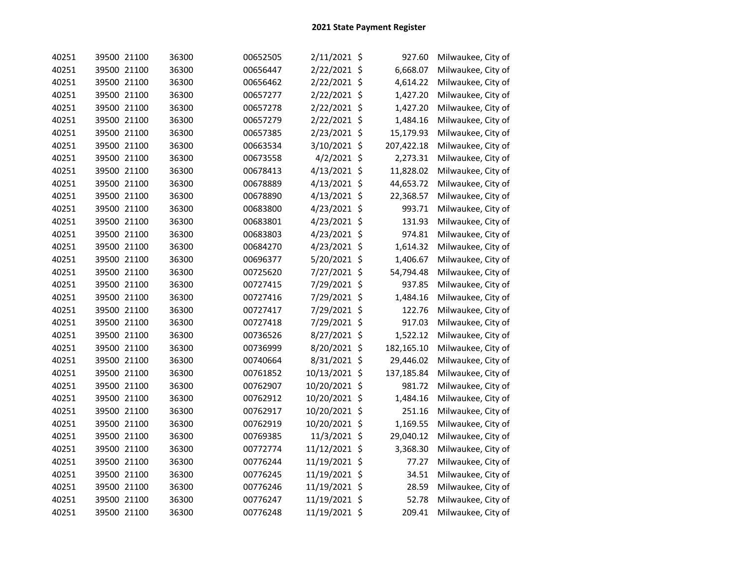| 40251 | 39500 21100 | 36300 | 00652505 | 2/11/2021 \$     | 927.60     | Milwaukee, City of |
|-------|-------------|-------|----------|------------------|------------|--------------------|
| 40251 | 39500 21100 | 36300 | 00656447 | 2/22/2021 \$     | 6,668.07   | Milwaukee, City of |
| 40251 | 39500 21100 | 36300 | 00656462 | 2/22/2021 \$     | 4,614.22   | Milwaukee, City of |
| 40251 | 39500 21100 | 36300 | 00657277 | 2/22/2021 \$     | 1,427.20   | Milwaukee, City of |
| 40251 | 39500 21100 | 36300 | 00657278 | 2/22/2021 \$     | 1,427.20   | Milwaukee, City of |
| 40251 | 39500 21100 | 36300 | 00657279 | 2/22/2021 \$     | 1,484.16   | Milwaukee, City of |
| 40251 | 39500 21100 | 36300 | 00657385 | \$<br>2/23/2021  | 15,179.93  | Milwaukee, City of |
| 40251 | 39500 21100 | 36300 | 00663534 | 3/10/2021<br>\$  | 207,422.18 | Milwaukee, City of |
| 40251 | 39500 21100 | 36300 | 00673558 | 4/2/2021 \$      | 2,273.31   | Milwaukee, City of |
| 40251 | 39500 21100 | 36300 | 00678413 | 4/13/2021 \$     | 11,828.02  | Milwaukee, City of |
| 40251 | 39500 21100 | 36300 | 00678889 | 4/13/2021 \$     | 44,653.72  | Milwaukee, City of |
| 40251 | 39500 21100 | 36300 | 00678890 | 4/13/2021 \$     | 22,368.57  | Milwaukee, City of |
| 40251 | 39500 21100 | 36300 | 00683800 | 4/23/2021 \$     | 993.71     | Milwaukee, City of |
| 40251 | 39500 21100 | 36300 | 00683801 | 4/23/2021 \$     | 131.93     | Milwaukee, City of |
| 40251 | 39500 21100 | 36300 | 00683803 | 4/23/2021 \$     | 974.81     | Milwaukee, City of |
| 40251 | 39500 21100 | 36300 | 00684270 | 4/23/2021 \$     | 1,614.32   | Milwaukee, City of |
| 40251 | 39500 21100 | 36300 | 00696377 | 5/20/2021 \$     | 1,406.67   | Milwaukee, City of |
| 40251 | 39500 21100 | 36300 | 00725620 | 7/27/2021 \$     | 54,794.48  | Milwaukee, City of |
| 40251 | 39500 21100 | 36300 | 00727415 | 7/29/2021 \$     | 937.85     | Milwaukee, City of |
| 40251 | 39500 21100 | 36300 | 00727416 | 7/29/2021 \$     | 1,484.16   | Milwaukee, City of |
| 40251 | 39500 21100 | 36300 | 00727417 | 7/29/2021 \$     | 122.76     | Milwaukee, City of |
| 40251 | 39500 21100 | 36300 | 00727418 | 7/29/2021 \$     | 917.03     | Milwaukee, City of |
| 40251 | 39500 21100 | 36300 | 00736526 | 8/27/2021 \$     | 1,522.12   | Milwaukee, City of |
| 40251 | 39500 21100 | 36300 | 00736999 | 8/20/2021 \$     | 182,165.10 | Milwaukee, City of |
| 40251 | 39500 21100 | 36300 | 00740664 | 8/31/2021 \$     | 29,446.02  | Milwaukee, City of |
| 40251 | 39500 21100 | 36300 | 00761852 | 10/13/2021<br>\$ | 137,185.84 | Milwaukee, City of |
| 40251 | 39500 21100 | 36300 | 00762907 | 10/20/2021<br>\$ | 981.72     | Milwaukee, City of |
| 40251 | 39500 21100 | 36300 | 00762912 | \$<br>10/20/2021 | 1,484.16   | Milwaukee, City of |
| 40251 | 39500 21100 | 36300 | 00762917 | 10/20/2021 \$    | 251.16     | Milwaukee, City of |
| 40251 | 39500 21100 | 36300 | 00762919 | 10/20/2021 \$    | 1,169.55   | Milwaukee, City of |
| 40251 | 39500 21100 | 36300 | 00769385 | 11/3/2021 \$     | 29,040.12  | Milwaukee, City of |
| 40251 | 39500 21100 | 36300 | 00772774 | 11/12/2021 \$    | 3,368.30   | Milwaukee, City of |
| 40251 | 39500 21100 | 36300 | 00776244 | 11/19/2021 \$    | 77.27      | Milwaukee, City of |
| 40251 | 39500 21100 | 36300 | 00776245 | 11/19/2021 \$    | 34.51      | Milwaukee, City of |
| 40251 | 39500 21100 | 36300 | 00776246 | 11/19/2021 \$    | 28.59      | Milwaukee, City of |
| 40251 | 39500 21100 | 36300 | 00776247 | 11/19/2021 \$    | 52.78      | Milwaukee, City of |
| 40251 | 39500 21100 | 36300 | 00776248 | 11/19/2021 \$    | 209.41     | Milwaukee, City of |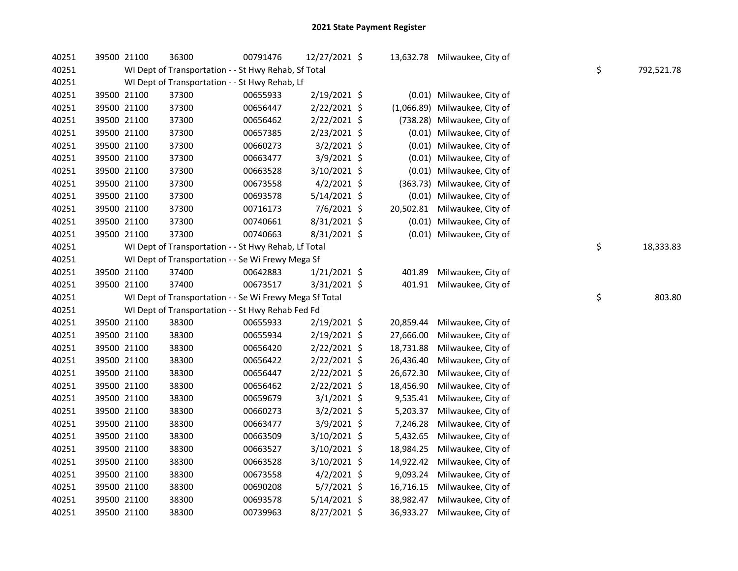| 40251 | 39500 21100 | 36300                                                   | 00791476 | 12/27/2021 \$  |           | 13,632.78 Milwaukee, City of  |                  |
|-------|-------------|---------------------------------------------------------|----------|----------------|-----------|-------------------------------|------------------|
| 40251 |             | WI Dept of Transportation - - St Hwy Rehab, Sf Total    |          |                |           |                               | \$<br>792,521.78 |
| 40251 |             | WI Dept of Transportation - - St Hwy Rehab, Lf          |          |                |           |                               |                  |
| 40251 | 39500 21100 | 37300                                                   | 00655933 | 2/19/2021 \$   |           | (0.01) Milwaukee, City of     |                  |
| 40251 | 39500 21100 | 37300                                                   | 00656447 | 2/22/2021 \$   |           | (1,066.89) Milwaukee, City of |                  |
| 40251 | 39500 21100 | 37300                                                   | 00656462 | 2/22/2021 \$   |           | (738.28) Milwaukee, City of   |                  |
| 40251 | 39500 21100 | 37300                                                   | 00657385 | 2/23/2021 \$   |           | (0.01) Milwaukee, City of     |                  |
| 40251 | 39500 21100 | 37300                                                   | 00660273 | $3/2/2021$ \$  |           | (0.01) Milwaukee, City of     |                  |
| 40251 | 39500 21100 | 37300                                                   | 00663477 | 3/9/2021 \$    | (0.01)    | Milwaukee, City of            |                  |
| 40251 | 39500 21100 | 37300                                                   | 00663528 | 3/10/2021 \$   | (0.01)    | Milwaukee, City of            |                  |
| 40251 | 39500 21100 | 37300                                                   | 00673558 | $4/2/2021$ \$  |           | (363.73) Milwaukee, City of   |                  |
| 40251 | 39500 21100 | 37300                                                   | 00693578 | $5/14/2021$ \$ |           | (0.01) Milwaukee, City of     |                  |
| 40251 | 39500 21100 | 37300                                                   | 00716173 | 7/6/2021 \$    | 20,502.81 | Milwaukee, City of            |                  |
| 40251 | 39500 21100 | 37300                                                   | 00740661 | 8/31/2021 \$   |           | (0.01) Milwaukee, City of     |                  |
| 40251 | 39500 21100 | 37300                                                   | 00740663 | 8/31/2021 \$   |           | (0.01) Milwaukee, City of     |                  |
| 40251 |             | WI Dept of Transportation - - St Hwy Rehab, Lf Total    |          |                |           |                               | \$<br>18,333.83  |
| 40251 |             | WI Dept of Transportation - - Se Wi Frewy Mega Sf       |          |                |           |                               |                  |
| 40251 | 39500 21100 | 37400                                                   | 00642883 | $1/21/2021$ \$ | 401.89    | Milwaukee, City of            |                  |
| 40251 | 39500 21100 | 37400                                                   | 00673517 | 3/31/2021 \$   | 401.91    | Milwaukee, City of            |                  |
| 40251 |             | WI Dept of Transportation - - Se Wi Frewy Mega Sf Total |          |                |           |                               | \$<br>803.80     |
| 40251 |             | WI Dept of Transportation - - St Hwy Rehab Fed Fd       |          |                |           |                               |                  |
| 40251 | 39500 21100 | 38300                                                   | 00655933 | 2/19/2021 \$   | 20,859.44 | Milwaukee, City of            |                  |
| 40251 | 39500 21100 | 38300                                                   | 00655934 | 2/19/2021 \$   | 27,666.00 | Milwaukee, City of            |                  |
| 40251 | 39500 21100 | 38300                                                   | 00656420 | 2/22/2021 \$   | 18,731.88 | Milwaukee, City of            |                  |
| 40251 | 39500 21100 | 38300                                                   | 00656422 | 2/22/2021 \$   | 26,436.40 | Milwaukee, City of            |                  |
| 40251 | 39500 21100 | 38300                                                   | 00656447 | 2/22/2021 \$   | 26,672.30 | Milwaukee, City of            |                  |
| 40251 | 39500 21100 | 38300                                                   | 00656462 | 2/22/2021 \$   | 18,456.90 | Milwaukee, City of            |                  |
| 40251 | 39500 21100 | 38300                                                   | 00659679 | $3/1/2021$ \$  | 9,535.41  | Milwaukee, City of            |                  |
| 40251 | 39500 21100 | 38300                                                   | 00660273 | $3/2/2021$ \$  | 5,203.37  | Milwaukee, City of            |                  |
| 40251 | 39500 21100 | 38300                                                   | 00663477 | 3/9/2021 \$    | 7,246.28  | Milwaukee, City of            |                  |
| 40251 | 39500 21100 | 38300                                                   | 00663509 | 3/10/2021 \$   | 5,432.65  | Milwaukee, City of            |                  |
| 40251 | 39500 21100 | 38300                                                   | 00663527 | 3/10/2021 \$   | 18,984.25 | Milwaukee, City of            |                  |
| 40251 | 39500 21100 | 38300                                                   | 00663528 | $3/10/2021$ \$ | 14,922.42 | Milwaukee, City of            |                  |
| 40251 | 39500 21100 | 38300                                                   | 00673558 | $4/2/2021$ \$  | 9,093.24  | Milwaukee, City of            |                  |
| 40251 | 39500 21100 | 38300                                                   | 00690208 | $5/7/2021$ \$  | 16,716.15 | Milwaukee, City of            |                  |
| 40251 | 39500 21100 | 38300                                                   | 00693578 | $5/14/2021$ \$ | 38,982.47 | Milwaukee, City of            |                  |
| 40251 | 39500 21100 | 38300                                                   | 00739963 | 8/27/2021 \$   | 36,933.27 | Milwaukee, City of            |                  |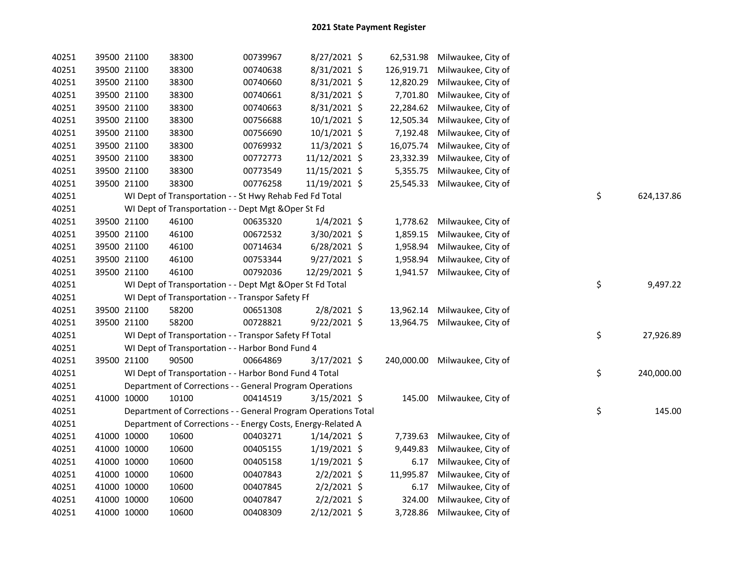| 40251 | 39500 21100 | 38300                                                          | 00739967 | 8/27/2021 \$   |            | 62,531.98 Milwaukee, City of  |                  |
|-------|-------------|----------------------------------------------------------------|----------|----------------|------------|-------------------------------|------------------|
| 40251 | 39500 21100 | 38300                                                          | 00740638 | 8/31/2021 \$   | 126,919.71 | Milwaukee, City of            |                  |
| 40251 | 39500 21100 | 38300                                                          | 00740660 | 8/31/2021 \$   | 12,820.29  | Milwaukee, City of            |                  |
| 40251 | 39500 21100 | 38300                                                          | 00740661 | 8/31/2021 \$   | 7,701.80   | Milwaukee, City of            |                  |
| 40251 | 39500 21100 | 38300                                                          | 00740663 | 8/31/2021 \$   | 22,284.62  | Milwaukee, City of            |                  |
| 40251 | 39500 21100 | 38300                                                          | 00756688 | 10/1/2021 \$   | 12,505.34  | Milwaukee, City of            |                  |
| 40251 | 39500 21100 | 38300                                                          | 00756690 | 10/1/2021 \$   | 7,192.48   | Milwaukee, City of            |                  |
| 40251 | 39500 21100 | 38300                                                          | 00769932 | 11/3/2021 \$   | 16,075.74  | Milwaukee, City of            |                  |
| 40251 | 39500 21100 | 38300                                                          | 00772773 | 11/12/2021 \$  | 23,332.39  | Milwaukee, City of            |                  |
| 40251 | 39500 21100 | 38300                                                          | 00773549 | 11/15/2021 \$  | 5,355.75   | Milwaukee, City of            |                  |
| 40251 | 39500 21100 | 38300                                                          | 00776258 | 11/19/2021 \$  | 25,545.33  | Milwaukee, City of            |                  |
| 40251 |             | WI Dept of Transportation - - St Hwy Rehab Fed Fd Total        |          |                |            |                               | \$<br>624,137.86 |
| 40251 |             | WI Dept of Transportation - - Dept Mgt & Oper St Fd            |          |                |            |                               |                  |
| 40251 | 39500 21100 | 46100                                                          | 00635320 | $1/4/2021$ \$  | 1,778.62   | Milwaukee, City of            |                  |
| 40251 | 39500 21100 | 46100                                                          | 00672532 | 3/30/2021 \$   | 1,859.15   | Milwaukee, City of            |                  |
| 40251 | 39500 21100 | 46100                                                          | 00714634 | $6/28/2021$ \$ | 1,958.94   | Milwaukee, City of            |                  |
| 40251 | 39500 21100 | 46100                                                          | 00753344 | $9/27/2021$ \$ | 1,958.94   | Milwaukee, City of            |                  |
| 40251 | 39500 21100 | 46100                                                          | 00792036 | 12/29/2021 \$  |            | 1,941.57 Milwaukee, City of   |                  |
| 40251 |             | WI Dept of Transportation - - Dept Mgt & Oper St Fd Total      |          |                |            |                               | \$<br>9,497.22   |
| 40251 |             | WI Dept of Transportation - - Transpor Safety Ff               |          |                |            |                               |                  |
| 40251 | 39500 21100 | 58200                                                          | 00651308 | $2/8/2021$ \$  |            | 13,962.14 Milwaukee, City of  |                  |
| 40251 | 39500 21100 | 58200                                                          | 00728821 | $9/22/2021$ \$ |            | 13,964.75 Milwaukee, City of  |                  |
| 40251 |             | WI Dept of Transportation - - Transpor Safety Ff Total         |          |                |            |                               | \$<br>27,926.89  |
| 40251 |             | WI Dept of Transportation - - Harbor Bond Fund 4               |          |                |            |                               |                  |
| 40251 | 39500 21100 | 90500                                                          | 00664869 | 3/17/2021 \$   |            | 240,000.00 Milwaukee, City of |                  |
| 40251 |             | WI Dept of Transportation - - Harbor Bond Fund 4 Total         |          |                |            |                               | \$<br>240,000.00 |
| 40251 |             | Department of Corrections - - General Program Operations       |          |                |            |                               |                  |
| 40251 | 41000 10000 | 10100                                                          | 00414519 | $3/15/2021$ \$ |            | 145.00 Milwaukee, City of     |                  |
| 40251 |             | Department of Corrections - - General Program Operations Total |          |                |            |                               | \$<br>145.00     |
| 40251 |             | Department of Corrections - - Energy Costs, Energy-Related A   |          |                |            |                               |                  |
| 40251 | 41000 10000 | 10600                                                          | 00403271 | $1/14/2021$ \$ | 7,739.63   | Milwaukee, City of            |                  |
| 40251 | 41000 10000 | 10600                                                          | 00405155 | $1/19/2021$ \$ | 9,449.83   | Milwaukee, City of            |                  |
| 40251 | 41000 10000 | 10600                                                          | 00405158 | $1/19/2021$ \$ | 6.17       | Milwaukee, City of            |                  |
| 40251 | 41000 10000 | 10600                                                          | 00407843 | $2/2/2021$ \$  | 11,995.87  | Milwaukee, City of            |                  |
| 40251 | 41000 10000 | 10600                                                          | 00407845 | $2/2/2021$ \$  | 6.17       | Milwaukee, City of            |                  |
| 40251 | 41000 10000 | 10600                                                          | 00407847 | $2/2/2021$ \$  | 324.00     | Milwaukee, City of            |                  |
| 40251 | 41000 10000 | 10600                                                          | 00408309 | 2/12/2021 \$   | 3,728.86   | Milwaukee, City of            |                  |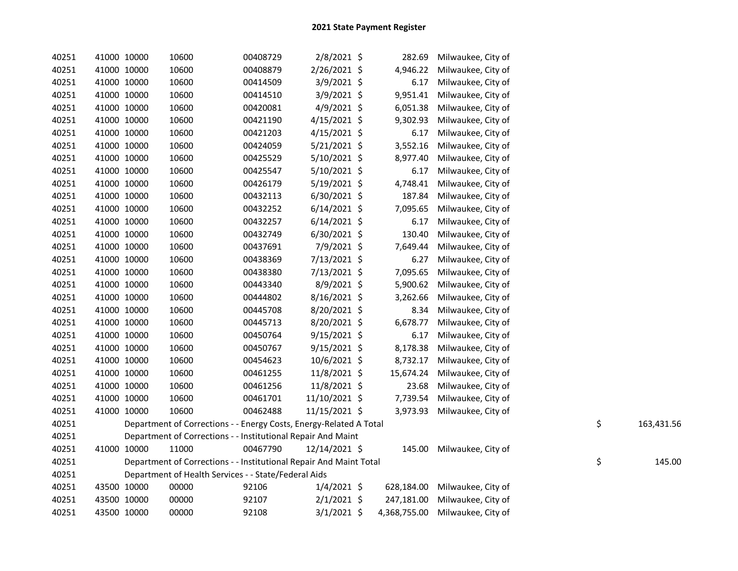| 40251 |             | 41000 10000 | 10600                                                              | 00408729 | 2/8/2021 \$    | 282.69       | Milwaukee, City of        |    |            |
|-------|-------------|-------------|--------------------------------------------------------------------|----------|----------------|--------------|---------------------------|----|------------|
| 40251 | 41000 10000 |             | 10600                                                              | 00408879 | 2/26/2021 \$   | 4,946.22     | Milwaukee, City of        |    |            |
| 40251 | 41000 10000 |             | 10600                                                              | 00414509 | 3/9/2021 \$    | 6.17         | Milwaukee, City of        |    |            |
| 40251 | 41000 10000 |             | 10600                                                              | 00414510 | 3/9/2021 \$    | 9,951.41     | Milwaukee, City of        |    |            |
| 40251 | 41000 10000 |             | 10600                                                              | 00420081 | 4/9/2021 \$    | 6,051.38     | Milwaukee, City of        |    |            |
| 40251 |             | 41000 10000 | 10600                                                              | 00421190 | $4/15/2021$ \$ | 9,302.93     | Milwaukee, City of        |    |            |
| 40251 |             | 41000 10000 | 10600                                                              | 00421203 | $4/15/2021$ \$ | 6.17         | Milwaukee, City of        |    |            |
| 40251 |             | 41000 10000 | 10600                                                              | 00424059 | 5/21/2021 \$   | 3,552.16     | Milwaukee, City of        |    |            |
| 40251 |             | 41000 10000 | 10600                                                              | 00425529 | 5/10/2021 \$   | 8,977.40     | Milwaukee, City of        |    |            |
| 40251 |             | 41000 10000 | 10600                                                              | 00425547 | 5/10/2021 \$   | 6.17         | Milwaukee, City of        |    |            |
| 40251 |             | 41000 10000 | 10600                                                              | 00426179 | 5/19/2021 \$   | 4,748.41     | Milwaukee, City of        |    |            |
| 40251 |             | 41000 10000 | 10600                                                              | 00432113 | 6/30/2021 \$   | 187.84       | Milwaukee, City of        |    |            |
| 40251 |             | 41000 10000 | 10600                                                              | 00432252 | $6/14/2021$ \$ | 7,095.65     | Milwaukee, City of        |    |            |
| 40251 |             | 41000 10000 | 10600                                                              | 00432257 | $6/14/2021$ \$ | 6.17         | Milwaukee, City of        |    |            |
| 40251 |             | 41000 10000 | 10600                                                              | 00432749 | 6/30/2021 \$   | 130.40       | Milwaukee, City of        |    |            |
| 40251 |             | 41000 10000 | 10600                                                              | 00437691 | 7/9/2021 \$    | 7,649.44     | Milwaukee, City of        |    |            |
| 40251 |             | 41000 10000 | 10600                                                              | 00438369 | 7/13/2021 \$   | 6.27         | Milwaukee, City of        |    |            |
| 40251 |             | 41000 10000 | 10600                                                              | 00438380 | 7/13/2021 \$   | 7,095.65     | Milwaukee, City of        |    |            |
| 40251 |             | 41000 10000 | 10600                                                              | 00443340 | 8/9/2021 \$    | 5,900.62     | Milwaukee, City of        |    |            |
| 40251 |             | 41000 10000 | 10600                                                              | 00444802 | $8/16/2021$ \$ | 3,262.66     | Milwaukee, City of        |    |            |
| 40251 |             | 41000 10000 | 10600                                                              | 00445708 | 8/20/2021 \$   | 8.34         | Milwaukee, City of        |    |            |
| 40251 |             | 41000 10000 | 10600                                                              | 00445713 | 8/20/2021 \$   | 6,678.77     | Milwaukee, City of        |    |            |
| 40251 |             | 41000 10000 | 10600                                                              | 00450764 | 9/15/2021 \$   | 6.17         | Milwaukee, City of        |    |            |
| 40251 |             | 41000 10000 | 10600                                                              | 00450767 | $9/15/2021$ \$ | 8,178.38     | Milwaukee, City of        |    |            |
| 40251 |             | 41000 10000 | 10600                                                              | 00454623 | 10/6/2021 \$   | 8,732.17     | Milwaukee, City of        |    |            |
| 40251 |             | 41000 10000 | 10600                                                              | 00461255 | 11/8/2021 \$   | 15,674.24    | Milwaukee, City of        |    |            |
| 40251 | 41000 10000 |             | 10600                                                              | 00461256 | 11/8/2021 \$   | 23.68        | Milwaukee, City of        |    |            |
| 40251 | 41000 10000 |             | 10600                                                              | 00461701 | 11/10/2021 \$  | 7,739.54     | Milwaukee, City of        |    |            |
| 40251 | 41000 10000 |             | 10600                                                              | 00462488 | 11/15/2021 \$  | 3,973.93     | Milwaukee, City of        |    |            |
| 40251 |             |             | Department of Corrections - - Energy Costs, Energy-Related A Total |          |                |              |                           | \$ | 163,431.56 |
| 40251 |             |             | Department of Corrections - - Institutional Repair And Maint       |          |                |              |                           |    |            |
| 40251 |             | 41000 10000 | 11000                                                              | 00467790 | 12/14/2021 \$  |              | 145.00 Milwaukee, City of |    |            |
| 40251 |             |             | Department of Corrections - - Institutional Repair And Maint Total |          |                |              |                           | \$ | 145.00     |
| 40251 |             |             | Department of Health Services - - State/Federal Aids               |          |                |              |                           |    |            |
| 40251 |             | 43500 10000 | 00000                                                              | 92106    | $1/4/2021$ \$  | 628,184.00   | Milwaukee, City of        |    |            |
| 40251 |             | 43500 10000 | 00000                                                              | 92107    | $2/1/2021$ \$  | 247,181.00   | Milwaukee, City of        |    |            |
| 40251 |             | 43500 10000 | 00000                                                              | 92108    | $3/1/2021$ \$  | 4,368,755.00 | Milwaukee, City of        |    |            |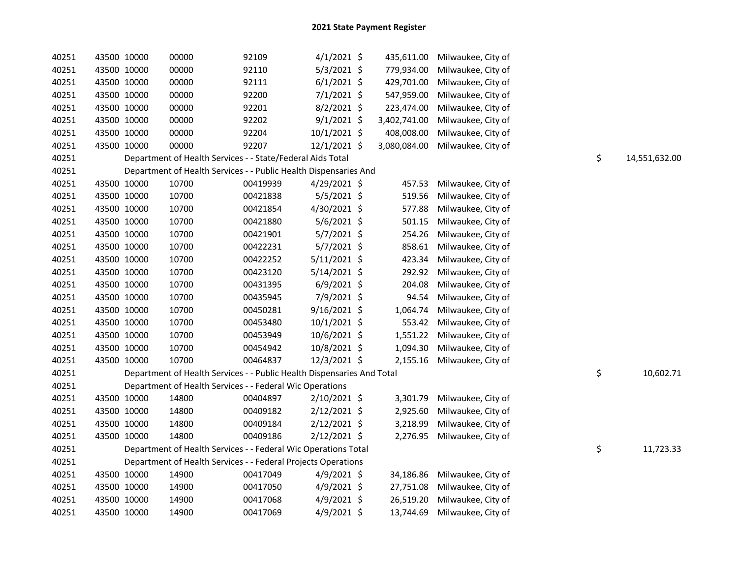| 40251 | 43500 10000 |             | 00000                                                                  | 92109    | $4/1/2021$ \$  | 435,611.00   | Milwaukee, City of |    |               |
|-------|-------------|-------------|------------------------------------------------------------------------|----------|----------------|--------------|--------------------|----|---------------|
| 40251 | 43500 10000 |             | 00000                                                                  | 92110    | $5/3/2021$ \$  | 779,934.00   | Milwaukee, City of |    |               |
| 40251 | 43500 10000 |             | 00000                                                                  | 92111    | $6/1/2021$ \$  | 429,701.00   | Milwaukee, City of |    |               |
| 40251 | 43500 10000 |             | 00000                                                                  | 92200    | $7/1/2021$ \$  | 547,959.00   | Milwaukee, City of |    |               |
| 40251 | 43500 10000 |             | 00000                                                                  | 92201    | 8/2/2021 \$    | 223,474.00   | Milwaukee, City of |    |               |
| 40251 | 43500 10000 |             | 00000                                                                  | 92202    | $9/1/2021$ \$  | 3,402,741.00 | Milwaukee, City of |    |               |
| 40251 | 43500 10000 |             | 00000                                                                  | 92204    | 10/1/2021 \$   | 408,008.00   | Milwaukee, City of |    |               |
| 40251 | 43500 10000 |             | 00000                                                                  | 92207    | $12/1/2021$ \$ | 3,080,084.00 | Milwaukee, City of |    |               |
| 40251 |             |             | Department of Health Services - - State/Federal Aids Total             |          |                |              |                    | \$ | 14,551,632.00 |
| 40251 |             |             | Department of Health Services - - Public Health Dispensaries And       |          |                |              |                    |    |               |
| 40251 | 43500 10000 |             | 10700                                                                  | 00419939 | $4/29/2021$ \$ | 457.53       | Milwaukee, City of |    |               |
| 40251 | 43500 10000 |             | 10700                                                                  | 00421838 | 5/5/2021 \$    | 519.56       | Milwaukee, City of |    |               |
| 40251 | 43500 10000 |             | 10700                                                                  | 00421854 | 4/30/2021 \$   | 577.88       | Milwaukee, City of |    |               |
| 40251 | 43500 10000 |             | 10700                                                                  | 00421880 | $5/6/2021$ \$  | 501.15       | Milwaukee, City of |    |               |
| 40251 | 43500 10000 |             | 10700                                                                  | 00421901 | $5/7/2021$ \$  | 254.26       | Milwaukee, City of |    |               |
| 40251 | 43500 10000 |             | 10700                                                                  | 00422231 | 5/7/2021 \$    | 858.61       | Milwaukee, City of |    |               |
| 40251 | 43500 10000 |             | 10700                                                                  | 00422252 | $5/11/2021$ \$ | 423.34       | Milwaukee, City of |    |               |
| 40251 | 43500 10000 |             | 10700                                                                  | 00423120 | $5/14/2021$ \$ | 292.92       | Milwaukee, City of |    |               |
| 40251 | 43500 10000 |             | 10700                                                                  | 00431395 | $6/9/2021$ \$  | 204.08       | Milwaukee, City of |    |               |
| 40251 | 43500 10000 |             | 10700                                                                  | 00435945 | 7/9/2021 \$    | 94.54        | Milwaukee, City of |    |               |
| 40251 | 43500 10000 |             | 10700                                                                  | 00450281 | 9/16/2021 \$   | 1,064.74     | Milwaukee, City of |    |               |
| 40251 | 43500 10000 |             | 10700                                                                  | 00453480 | $10/1/2021$ \$ | 553.42       | Milwaukee, City of |    |               |
| 40251 | 43500 10000 |             | 10700                                                                  | 00453949 | 10/6/2021 \$   | 1,551.22     | Milwaukee, City of |    |               |
| 40251 | 43500 10000 |             | 10700                                                                  | 00454942 | 10/8/2021 \$   | 1,094.30     | Milwaukee, City of |    |               |
| 40251 | 43500 10000 |             | 10700                                                                  | 00464837 | 12/3/2021 \$   | 2,155.16     | Milwaukee, City of |    |               |
| 40251 |             |             | Department of Health Services - - Public Health Dispensaries And Total |          |                |              |                    | \$ | 10,602.71     |
| 40251 |             |             | Department of Health Services - - Federal Wic Operations               |          |                |              |                    |    |               |
| 40251 |             | 43500 10000 | 14800                                                                  | 00404897 | $2/10/2021$ \$ | 3,301.79     | Milwaukee, City of |    |               |
| 40251 | 43500 10000 |             | 14800                                                                  | 00409182 | $2/12/2021$ \$ | 2,925.60     | Milwaukee, City of |    |               |
| 40251 | 43500 10000 |             | 14800                                                                  | 00409184 | $2/12/2021$ \$ | 3,218.99     | Milwaukee, City of |    |               |
| 40251 | 43500 10000 |             | 14800                                                                  | 00409186 | $2/12/2021$ \$ | 2,276.95     | Milwaukee, City of |    |               |
| 40251 |             |             | Department of Health Services - - Federal Wic Operations Total         |          |                |              |                    | \$ | 11,723.33     |
| 40251 |             |             | Department of Health Services - - Federal Projects Operations          |          |                |              |                    |    |               |
| 40251 |             | 43500 10000 | 14900                                                                  | 00417049 | $4/9/2021$ \$  | 34,186.86    | Milwaukee, City of |    |               |
| 40251 | 43500 10000 |             | 14900                                                                  | 00417050 | $4/9/2021$ \$  | 27,751.08    | Milwaukee, City of |    |               |
| 40251 |             | 43500 10000 | 14900                                                                  | 00417068 | $4/9/2021$ \$  | 26,519.20    | Milwaukee, City of |    |               |
| 40251 | 43500 10000 |             | 14900                                                                  | 00417069 | $4/9/2021$ \$  | 13,744.69    | Milwaukee, City of |    |               |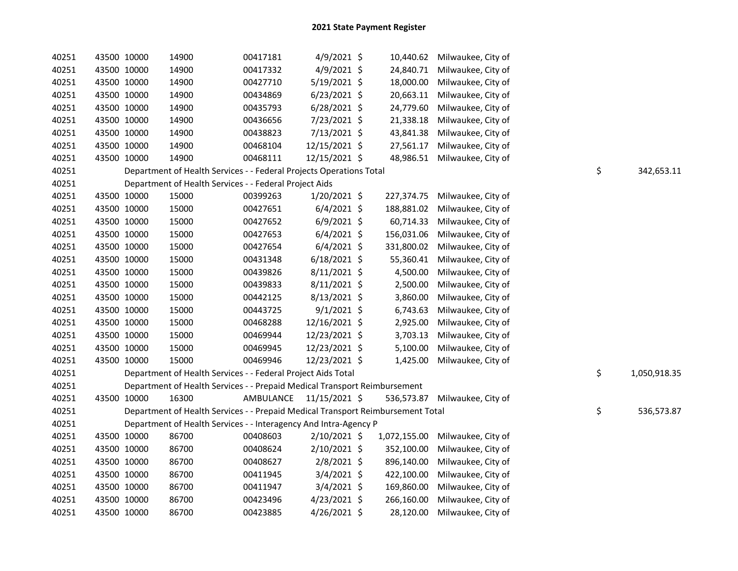| 40251 | 43500 10000 | 14900 | 00417181                                                                        | 4/9/2021 \$    | 10,440.62    | Milwaukee, City of |    |              |
|-------|-------------|-------|---------------------------------------------------------------------------------|----------------|--------------|--------------------|----|--------------|
| 40251 | 43500 10000 | 14900 | 00417332                                                                        | 4/9/2021 \$    | 24,840.71    | Milwaukee, City of |    |              |
| 40251 | 43500 10000 | 14900 | 00427710                                                                        | 5/19/2021 \$   | 18,000.00    | Milwaukee, City of |    |              |
| 40251 | 43500 10000 | 14900 | 00434869                                                                        | $6/23/2021$ \$ | 20,663.11    | Milwaukee, City of |    |              |
| 40251 | 43500 10000 | 14900 | 00435793                                                                        | $6/28/2021$ \$ | 24,779.60    | Milwaukee, City of |    |              |
| 40251 | 43500 10000 | 14900 | 00436656                                                                        | 7/23/2021 \$   | 21,338.18    | Milwaukee, City of |    |              |
| 40251 | 43500 10000 | 14900 | 00438823                                                                        | 7/13/2021 \$   | 43,841.38    | Milwaukee, City of |    |              |
| 40251 | 43500 10000 | 14900 | 00468104                                                                        | 12/15/2021 \$  | 27,561.17    | Milwaukee, City of |    |              |
| 40251 | 43500 10000 | 14900 | 00468111                                                                        | 12/15/2021 \$  | 48,986.51    | Milwaukee, City of |    |              |
| 40251 |             |       | Department of Health Services - - Federal Projects Operations Total             |                |              |                    | \$ | 342,653.11   |
| 40251 |             |       | Department of Health Services - - Federal Project Aids                          |                |              |                    |    |              |
| 40251 | 43500 10000 | 15000 | 00399263                                                                        | 1/20/2021 \$   | 227,374.75   | Milwaukee, City of |    |              |
| 40251 | 43500 10000 | 15000 | 00427651                                                                        | $6/4/2021$ \$  | 188,881.02   | Milwaukee, City of |    |              |
| 40251 | 43500 10000 | 15000 | 00427652                                                                        | $6/9/2021$ \$  | 60,714.33    | Milwaukee, City of |    |              |
| 40251 | 43500 10000 | 15000 | 00427653                                                                        | $6/4/2021$ \$  | 156,031.06   | Milwaukee, City of |    |              |
| 40251 | 43500 10000 | 15000 | 00427654                                                                        | $6/4/2021$ \$  | 331,800.02   | Milwaukee, City of |    |              |
| 40251 | 43500 10000 | 15000 | 00431348                                                                        | $6/18/2021$ \$ | 55,360.41    | Milwaukee, City of |    |              |
| 40251 | 43500 10000 | 15000 | 00439826                                                                        | 8/11/2021 \$   | 4,500.00     | Milwaukee, City of |    |              |
| 40251 | 43500 10000 | 15000 | 00439833                                                                        | 8/11/2021 \$   | 2,500.00     | Milwaukee, City of |    |              |
| 40251 | 43500 10000 | 15000 | 00442125                                                                        | 8/13/2021 \$   | 3,860.00     | Milwaukee, City of |    |              |
| 40251 | 43500 10000 | 15000 | 00443725                                                                        | $9/1/2021$ \$  | 6,743.63     | Milwaukee, City of |    |              |
| 40251 | 43500 10000 | 15000 | 00468288                                                                        | 12/16/2021 \$  | 2,925.00     | Milwaukee, City of |    |              |
| 40251 | 43500 10000 | 15000 | 00469944                                                                        | 12/23/2021 \$  | 3,703.13     | Milwaukee, City of |    |              |
| 40251 | 43500 10000 | 15000 | 00469945                                                                        | 12/23/2021 \$  | 5,100.00     | Milwaukee, City of |    |              |
| 40251 | 43500 10000 | 15000 | 00469946                                                                        | 12/23/2021 \$  | 1,425.00     | Milwaukee, City of |    |              |
| 40251 |             |       | Department of Health Services - - Federal Project Aids Total                    |                |              |                    | \$ | 1,050,918.35 |
| 40251 |             |       | Department of Health Services - - Prepaid Medical Transport Reimbursement       |                |              |                    |    |              |
| 40251 | 43500 10000 | 16300 | AMBULANCE                                                                       | 11/15/2021 \$  | 536,573.87   | Milwaukee, City of |    |              |
| 40251 |             |       | Department of Health Services - - Prepaid Medical Transport Reimbursement Total |                |              |                    | \$ | 536,573.87   |
| 40251 |             |       | Department of Health Services - - Interagency And Intra-Agency P                |                |              |                    |    |              |
| 40251 | 43500 10000 | 86700 | 00408603                                                                        | 2/10/2021 \$   | 1,072,155.00 | Milwaukee, City of |    |              |
| 40251 | 43500 10000 | 86700 | 00408624                                                                        | 2/10/2021 \$   | 352,100.00   | Milwaukee, City of |    |              |
| 40251 | 43500 10000 | 86700 | 00408627                                                                        | 2/8/2021 \$    | 896,140.00   | Milwaukee, City of |    |              |
| 40251 | 43500 10000 | 86700 | 00411945                                                                        | 3/4/2021 \$    | 422,100.00   | Milwaukee, City of |    |              |
| 40251 | 43500 10000 | 86700 | 00411947                                                                        | $3/4/2021$ \$  | 169,860.00   | Milwaukee, City of |    |              |
| 40251 | 43500 10000 | 86700 | 00423496                                                                        | $4/23/2021$ \$ | 266,160.00   | Milwaukee, City of |    |              |
| 40251 | 43500 10000 | 86700 | 00423885                                                                        | 4/26/2021 \$   | 28,120.00    | Milwaukee, City of |    |              |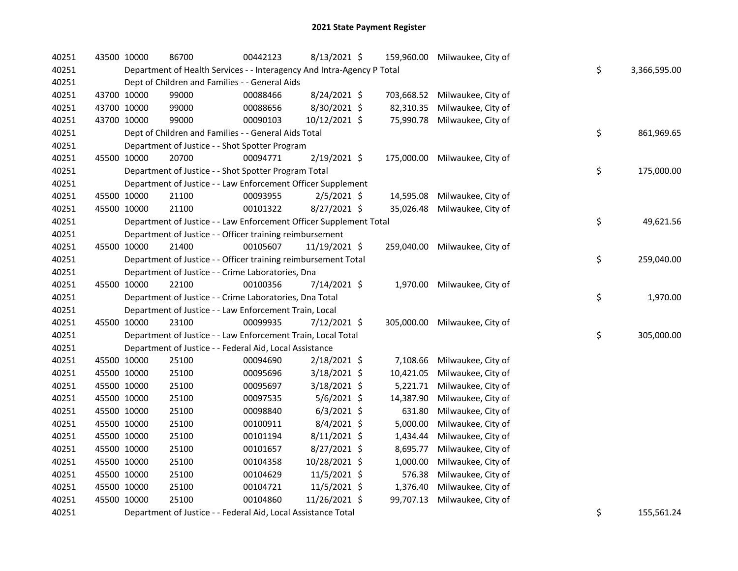| 40251 | 43500 10000 | 86700                                                                  | 00442123 | 8/13/2021 \$   |            | 159,960.00 Milwaukee, City of |    |              |
|-------|-------------|------------------------------------------------------------------------|----------|----------------|------------|-------------------------------|----|--------------|
| 40251 |             | Department of Health Services - - Interagency And Intra-Agency P Total |          |                |            |                               | \$ | 3,366,595.00 |
| 40251 |             | Dept of Children and Families - - General Aids                         |          |                |            |                               |    |              |
| 40251 | 43700 10000 | 99000                                                                  | 00088466 | 8/24/2021 \$   | 703,668.52 | Milwaukee, City of            |    |              |
| 40251 | 43700 10000 | 99000                                                                  | 00088656 | 8/30/2021 \$   | 82,310.35  | Milwaukee, City of            |    |              |
| 40251 | 43700 10000 | 99000                                                                  | 00090103 | 10/12/2021 \$  | 75,990.78  | Milwaukee, City of            |    |              |
| 40251 |             | Dept of Children and Families - - General Aids Total                   |          |                |            |                               | \$ | 861,969.65   |
| 40251 |             | Department of Justice - - Shot Spotter Program                         |          |                |            |                               |    |              |
| 40251 | 45500 10000 | 20700                                                                  | 00094771 | 2/19/2021 \$   | 175,000.00 | Milwaukee, City of            |    |              |
| 40251 |             | Department of Justice - - Shot Spotter Program Total                   |          |                |            |                               | \$ | 175,000.00   |
| 40251 |             | Department of Justice - - Law Enforcement Officer Supplement           |          |                |            |                               |    |              |
| 40251 | 45500 10000 | 21100                                                                  | 00093955 | $2/5/2021$ \$  | 14,595.08  | Milwaukee, City of            |    |              |
| 40251 | 45500 10000 | 21100                                                                  | 00101322 | 8/27/2021 \$   | 35,026.48  | Milwaukee, City of            |    |              |
| 40251 |             | Department of Justice - - Law Enforcement Officer Supplement Total     |          |                |            |                               | \$ | 49,621.56    |
| 40251 |             | Department of Justice - - Officer training reimbursement               |          |                |            |                               |    |              |
| 40251 | 45500 10000 | 21400                                                                  | 00105607 | 11/19/2021 \$  |            | 259,040.00 Milwaukee, City of |    |              |
| 40251 |             | Department of Justice - - Officer training reimbursement Total         |          |                |            |                               | \$ | 259,040.00   |
| 40251 |             | Department of Justice - - Crime Laboratories, Dna                      |          |                |            |                               |    |              |
| 40251 | 45500 10000 | 22100                                                                  | 00100356 | 7/14/2021 \$   |            | 1,970.00 Milwaukee, City of   |    |              |
| 40251 |             | Department of Justice - - Crime Laboratories, Dna Total                |          |                |            |                               | \$ | 1,970.00     |
| 40251 |             | Department of Justice - - Law Enforcement Train, Local                 |          |                |            |                               |    |              |
| 40251 | 45500 10000 | 23100                                                                  | 00099935 | 7/12/2021 \$   |            | 305,000.00 Milwaukee, City of |    |              |
| 40251 |             | Department of Justice - - Law Enforcement Train, Local Total           |          |                |            |                               | \$ | 305,000.00   |
| 40251 |             | Department of Justice - - Federal Aid, Local Assistance                |          |                |            |                               |    |              |
| 40251 | 45500 10000 | 25100                                                                  | 00094690 | 2/18/2021 \$   | 7,108.66   | Milwaukee, City of            |    |              |
| 40251 | 45500 10000 | 25100                                                                  | 00095696 | 3/18/2021 \$   | 10,421.05  | Milwaukee, City of            |    |              |
| 40251 | 45500 10000 | 25100                                                                  | 00095697 | 3/18/2021 \$   | 5,221.71   | Milwaukee, City of            |    |              |
| 40251 | 45500 10000 | 25100                                                                  | 00097535 | $5/6/2021$ \$  | 14,387.90  | Milwaukee, City of            |    |              |
| 40251 | 45500 10000 | 25100                                                                  | 00098840 | $6/3/2021$ \$  | 631.80     | Milwaukee, City of            |    |              |
| 40251 | 45500 10000 | 25100                                                                  | 00100911 | $8/4/2021$ \$  | 5,000.00   | Milwaukee, City of            |    |              |
| 40251 | 45500 10000 | 25100                                                                  | 00101194 | $8/11/2021$ \$ | 1,434.44   | Milwaukee, City of            |    |              |
| 40251 | 45500 10000 | 25100                                                                  | 00101657 | 8/27/2021 \$   | 8,695.77   | Milwaukee, City of            |    |              |
| 40251 | 45500 10000 | 25100                                                                  | 00104358 | 10/28/2021 \$  | 1,000.00   | Milwaukee, City of            |    |              |
| 40251 | 45500 10000 | 25100                                                                  | 00104629 | 11/5/2021 \$   | 576.38     | Milwaukee, City of            |    |              |
| 40251 | 45500 10000 | 25100                                                                  | 00104721 | $11/5/2021$ \$ | 1,376.40   | Milwaukee, City of            |    |              |
| 40251 | 45500 10000 | 25100                                                                  | 00104860 | 11/26/2021 \$  | 99,707.13  | Milwaukee, City of            |    |              |
| 40251 |             | Department of Justice - - Federal Aid, Local Assistance Total          |          |                |            |                               | \$ | 155,561.24   |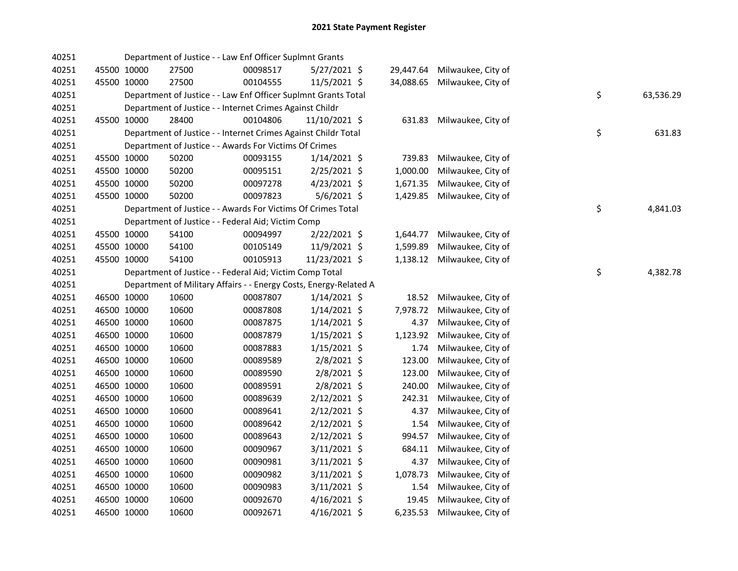| 40251 |             |             | Department of Justice - - Law Enf Officer Suplmnt Grants          |          |                |           |                             |    |           |
|-------|-------------|-------------|-------------------------------------------------------------------|----------|----------------|-----------|-----------------------------|----|-----------|
| 40251 |             | 45500 10000 | 27500                                                             | 00098517 | 5/27/2021 \$   | 29,447.64 | Milwaukee, City of          |    |           |
| 40251 |             | 45500 10000 | 27500                                                             | 00104555 | $11/5/2021$ \$ | 34,088.65 | Milwaukee, City of          |    |           |
| 40251 |             |             | Department of Justice - - Law Enf Officer Suplmnt Grants Total    |          |                |           |                             | \$ | 63,536.29 |
| 40251 |             |             | Department of Justice - - Internet Crimes Against Childr          |          |                |           |                             |    |           |
| 40251 | 45500 10000 |             | 28400                                                             | 00104806 | 11/10/2021 \$  | 631.83    | Milwaukee, City of          |    |           |
| 40251 |             |             | Department of Justice - - Internet Crimes Against Childr Total    |          |                |           |                             | \$ | 631.83    |
| 40251 |             |             | Department of Justice - - Awards For Victims Of Crimes            |          |                |           |                             |    |           |
| 40251 |             | 45500 10000 | 50200                                                             | 00093155 | $1/14/2021$ \$ | 739.83    | Milwaukee, City of          |    |           |
| 40251 |             | 45500 10000 | 50200                                                             | 00095151 | 2/25/2021 \$   | 1,000.00  | Milwaukee, City of          |    |           |
| 40251 | 45500 10000 |             | 50200                                                             | 00097278 | $4/23/2021$ \$ | 1,671.35  | Milwaukee, City of          |    |           |
| 40251 | 45500 10000 |             | 50200                                                             | 00097823 | 5/6/2021 \$    | 1,429.85  | Milwaukee, City of          |    |           |
| 40251 |             |             | Department of Justice - - Awards For Victims Of Crimes Total      |          |                |           |                             | \$ | 4,841.03  |
| 40251 |             |             | Department of Justice - - Federal Aid; Victim Comp                |          |                |           |                             |    |           |
| 40251 | 45500 10000 |             | 54100                                                             | 00094997 | 2/22/2021 \$   | 1,644.77  | Milwaukee, City of          |    |           |
| 40251 |             | 45500 10000 | 54100                                                             | 00105149 | 11/9/2021 \$   | 1,599.89  | Milwaukee, City of          |    |           |
| 40251 | 45500 10000 |             | 54100                                                             | 00105913 | 11/23/2021 \$  |           | 1,138.12 Milwaukee, City of |    |           |
| 40251 |             |             | Department of Justice - - Federal Aid; Victim Comp Total          |          |                |           |                             | \$ | 4,382.78  |
| 40251 |             |             | Department of Military Affairs - - Energy Costs, Energy-Related A |          |                |           |                             |    |           |
| 40251 |             | 46500 10000 | 10600                                                             | 00087807 | $1/14/2021$ \$ | 18.52     | Milwaukee, City of          |    |           |
| 40251 | 46500 10000 |             | 10600                                                             | 00087808 | $1/14/2021$ \$ | 7,978.72  | Milwaukee, City of          |    |           |
| 40251 | 46500 10000 |             | 10600                                                             | 00087875 | $1/14/2021$ \$ | 4.37      | Milwaukee, City of          |    |           |
| 40251 | 46500 10000 |             | 10600                                                             | 00087879 | $1/15/2021$ \$ | 1,123.92  | Milwaukee, City of          |    |           |
| 40251 | 46500 10000 |             | 10600                                                             | 00087883 | $1/15/2021$ \$ | 1.74      | Milwaukee, City of          |    |           |
| 40251 | 46500 10000 |             | 10600                                                             | 00089589 | 2/8/2021 \$    | 123.00    | Milwaukee, City of          |    |           |
| 40251 | 46500 10000 |             | 10600                                                             | 00089590 | 2/8/2021 \$    | 123.00    | Milwaukee, City of          |    |           |
| 40251 | 46500 10000 |             | 10600                                                             | 00089591 | 2/8/2021 \$    | 240.00    | Milwaukee, City of          |    |           |
| 40251 | 46500 10000 |             | 10600                                                             | 00089639 | $2/12/2021$ \$ | 242.31    | Milwaukee, City of          |    |           |
| 40251 | 46500 10000 |             | 10600                                                             | 00089641 | $2/12/2021$ \$ | 4.37      | Milwaukee, City of          |    |           |
| 40251 | 46500 10000 |             | 10600                                                             | 00089642 | $2/12/2021$ \$ | 1.54      | Milwaukee, City of          |    |           |
| 40251 | 46500 10000 |             | 10600                                                             | 00089643 | 2/12/2021 \$   | 994.57    | Milwaukee, City of          |    |           |
| 40251 | 46500 10000 |             | 10600                                                             | 00090967 | $3/11/2021$ \$ | 684.11    | Milwaukee, City of          |    |           |
| 40251 | 46500 10000 |             | 10600                                                             | 00090981 | 3/11/2021 \$   | 4.37      | Milwaukee, City of          |    |           |
| 40251 | 46500 10000 |             | 10600                                                             | 00090982 | $3/11/2021$ \$ | 1,078.73  | Milwaukee, City of          |    |           |
| 40251 | 46500 10000 |             | 10600                                                             | 00090983 | 3/11/2021 \$   | 1.54      | Milwaukee, City of          |    |           |
| 40251 | 46500 10000 |             | 10600                                                             | 00092670 | $4/16/2021$ \$ | 19.45     | Milwaukee, City of          |    |           |
| 40251 | 46500 10000 |             | 10600                                                             | 00092671 | 4/16/2021 \$   | 6,235.53  | Milwaukee, City of          |    |           |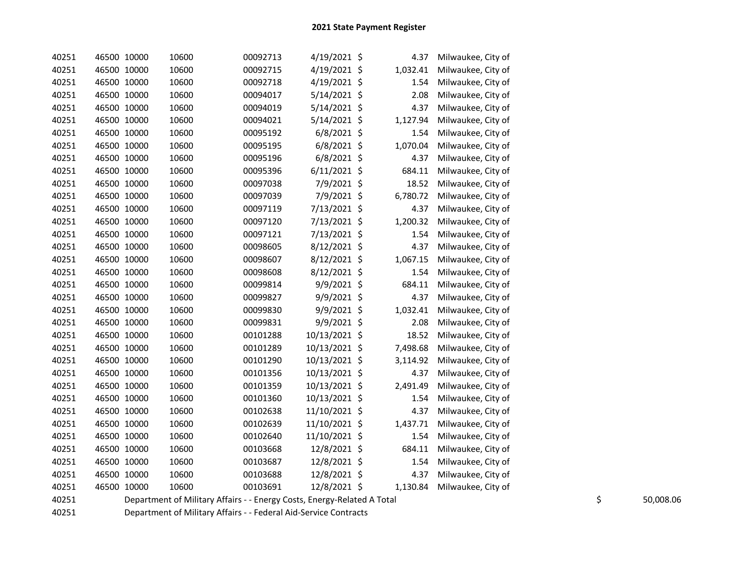| 40251 | 46500 10000 | 10600 | 00092713 | 4/19/2021 \$   | 4.37           | Milwaukee, City of |
|-------|-------------|-------|----------|----------------|----------------|--------------------|
| 40251 | 46500 10000 | 10600 | 00092715 | 4/19/2021 \$   | 1,032.41       | Milwaukee, City of |
| 40251 | 46500 10000 | 10600 | 00092718 | 4/19/2021 \$   | 1.54           | Milwaukee, City of |
| 40251 | 46500 10000 | 10600 | 00094017 | 5/14/2021 \$   | 2.08           | Milwaukee, City of |
| 40251 | 46500 10000 | 10600 | 00094019 | 5/14/2021 \$   | 4.37           | Milwaukee, City of |
| 40251 | 46500 10000 | 10600 | 00094021 | 5/14/2021 \$   | 1,127.94       | Milwaukee, City of |
| 40251 | 46500 10000 | 10600 | 00095192 | $6/8/2021$ \$  | 1.54           | Milwaukee, City of |
| 40251 | 46500 10000 | 10600 | 00095195 | $6/8/2021$ \$  | 1,070.04       | Milwaukee, City of |
| 40251 | 46500 10000 | 10600 | 00095196 | 6/8/2021 \$    | 4.37           | Milwaukee, City of |
| 40251 | 46500 10000 | 10600 | 00095396 | $6/11/2021$ \$ | 684.11         | Milwaukee, City of |
| 40251 | 46500 10000 | 10600 | 00097038 | 7/9/2021 \$    | 18.52          | Milwaukee, City of |
| 40251 | 46500 10000 | 10600 | 00097039 | 7/9/2021 \$    | 6,780.72       | Milwaukee, City of |
| 40251 | 46500 10000 | 10600 | 00097119 | 7/13/2021 \$   | 4.37           | Milwaukee, City of |
| 40251 | 46500 10000 | 10600 | 00097120 | 7/13/2021      | \$<br>1,200.32 | Milwaukee, City of |
| 40251 | 46500 10000 | 10600 | 00097121 | 7/13/2021 \$   | 1.54           | Milwaukee, City of |
| 40251 | 46500 10000 | 10600 | 00098605 | 8/12/2021 \$   | 4.37           | Milwaukee, City of |
| 40251 | 46500 10000 | 10600 | 00098607 | 8/12/2021 \$   | 1,067.15       | Milwaukee, City of |
| 40251 | 46500 10000 | 10600 | 00098608 | 8/12/2021 \$   | 1.54           | Milwaukee, City of |
| 40251 | 46500 10000 | 10600 | 00099814 | 9/9/2021 \$    | 684.11         | Milwaukee, City of |
| 40251 | 46500 10000 | 10600 | 00099827 | 9/9/2021 \$    | 4.37           | Milwaukee, City of |
| 40251 | 46500 10000 | 10600 | 00099830 | 9/9/2021 \$    | 1,032.41       | Milwaukee, City of |
| 40251 | 46500 10000 | 10600 | 00099831 | 9/9/2021 \$    | 2.08           | Milwaukee, City of |
| 40251 | 46500 10000 | 10600 | 00101288 | 10/13/2021 \$  | 18.52          | Milwaukee, City of |
| 40251 | 46500 10000 | 10600 | 00101289 | 10/13/2021 \$  | 7,498.68       | Milwaukee, City of |
| 40251 | 46500 10000 | 10600 | 00101290 | 10/13/2021 \$  | 3,114.92       | Milwaukee, City of |
| 40251 | 46500 10000 | 10600 | 00101356 | 10/13/2021 \$  | 4.37           | Milwaukee, City of |
| 40251 | 46500 10000 | 10600 | 00101359 | 10/13/2021 \$  | 2,491.49       | Milwaukee, City of |
| 40251 | 46500 10000 | 10600 | 00101360 | 10/13/2021 \$  | 1.54           | Milwaukee, City of |
| 40251 | 46500 10000 | 10600 | 00102638 | 11/10/2021 \$  | 4.37           | Milwaukee, City of |
| 40251 | 46500 10000 | 10600 | 00102639 | 11/10/2021     | \$<br>1,437.71 | Milwaukee, City of |
| 40251 | 46500 10000 | 10600 | 00102640 | 11/10/2021     | \$<br>1.54     | Milwaukee, City of |
| 40251 | 46500 10000 | 10600 | 00103668 | 12/8/2021 \$   | 684.11         | Milwaukee, City of |
| 40251 | 46500 10000 | 10600 | 00103687 | 12/8/2021 \$   | 1.54           | Milwaukee, City of |
| 40251 | 46500 10000 | 10600 | 00103688 | 12/8/2021 \$   | 4.37           | Milwaukee, City of |
| 40251 | 46500 10000 | 10600 | 00103691 | 12/8/2021 \$   | 1,130.84       | Milwaukee, City of |
|       |             |       |          |                |                |                    |

40251 Department of Military Affairs - - Energy Costs, Energy-Related A Total 50.000 \$ 50,008.06 \$ 50,008.06 \$<br>40251 Department of Military Affairs - - Federal Aid-Service Contracts

40251 Department of Military Affairs - - Federal Aid-Service Contracts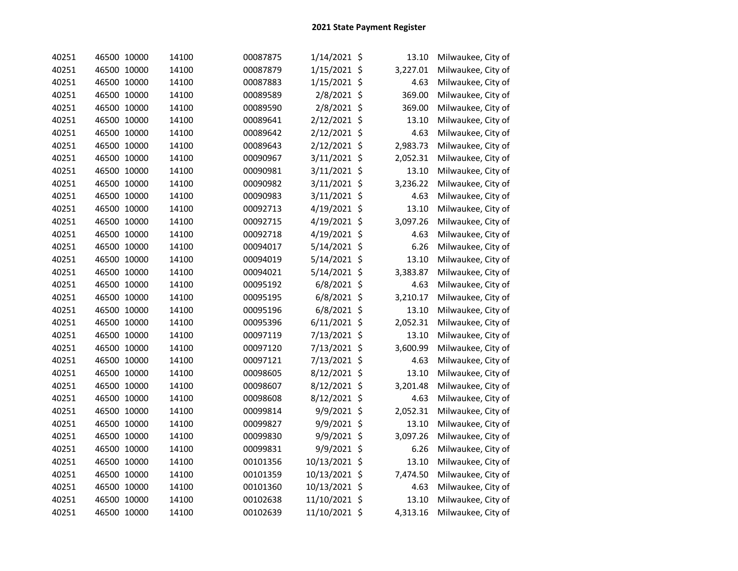| 40251 | 46500 10000 | 14100 | 00087875 | 1/14/2021 \$   | 13.10    | Milwaukee, City of |
|-------|-------------|-------|----------|----------------|----------|--------------------|
| 40251 | 46500 10000 | 14100 | 00087879 | 1/15/2021 \$   | 3,227.01 | Milwaukee, City of |
| 40251 | 46500 10000 | 14100 | 00087883 | 1/15/2021 \$   | 4.63     | Milwaukee, City of |
| 40251 | 46500 10000 | 14100 | 00089589 | 2/8/2021 \$    | 369.00   | Milwaukee, City of |
| 40251 | 46500 10000 | 14100 | 00089590 | 2/8/2021 \$    | 369.00   | Milwaukee, City of |
| 40251 | 46500 10000 | 14100 | 00089641 | 2/12/2021 \$   | 13.10    | Milwaukee, City of |
| 40251 | 46500 10000 | 14100 | 00089642 | 2/12/2021 \$   | 4.63     | Milwaukee, City of |
| 40251 | 46500 10000 | 14100 | 00089643 | 2/12/2021 \$   | 2,983.73 | Milwaukee, City of |
| 40251 | 46500 10000 | 14100 | 00090967 | 3/11/2021 \$   | 2,052.31 | Milwaukee, City of |
| 40251 | 46500 10000 | 14100 | 00090981 | 3/11/2021 \$   | 13.10    | Milwaukee, City of |
| 40251 | 46500 10000 | 14100 | 00090982 | 3/11/2021 \$   | 3,236.22 | Milwaukee, City of |
| 40251 | 46500 10000 | 14100 | 00090983 | 3/11/2021 \$   | 4.63     | Milwaukee, City of |
| 40251 | 46500 10000 | 14100 | 00092713 | 4/19/2021 \$   | 13.10    | Milwaukee, City of |
| 40251 | 46500 10000 | 14100 | 00092715 | 4/19/2021 \$   | 3,097.26 | Milwaukee, City of |
| 40251 | 46500 10000 | 14100 | 00092718 | 4/19/2021 \$   | 4.63     | Milwaukee, City of |
| 40251 | 46500 10000 | 14100 | 00094017 | 5/14/2021 \$   | 6.26     | Milwaukee, City of |
| 40251 | 46500 10000 | 14100 | 00094019 | 5/14/2021 \$   | 13.10    | Milwaukee, City of |
| 40251 | 46500 10000 | 14100 | 00094021 | 5/14/2021 \$   | 3,383.87 | Milwaukee, City of |
| 40251 | 46500 10000 | 14100 | 00095192 | 6/8/2021 \$    | 4.63     | Milwaukee, City of |
| 40251 | 46500 10000 | 14100 | 00095195 | $6/8/2021$ \$  | 3,210.17 | Milwaukee, City of |
| 40251 | 46500 10000 | 14100 | 00095196 | $6/8/2021$ \$  | 13.10    | Milwaukee, City of |
| 40251 | 46500 10000 | 14100 | 00095396 | $6/11/2021$ \$ | 2,052.31 | Milwaukee, City of |
| 40251 | 46500 10000 | 14100 | 00097119 | 7/13/2021 \$   | 13.10    | Milwaukee, City of |
| 40251 | 46500 10000 | 14100 | 00097120 | 7/13/2021 \$   | 3,600.99 | Milwaukee, City of |
| 40251 | 46500 10000 | 14100 | 00097121 | 7/13/2021 \$   | 4.63     | Milwaukee, City of |
| 40251 | 46500 10000 | 14100 | 00098605 | 8/12/2021 \$   | 13.10    | Milwaukee, City of |
| 40251 | 46500 10000 | 14100 | 00098607 | 8/12/2021 \$   | 3,201.48 | Milwaukee, City of |
| 40251 | 46500 10000 | 14100 | 00098608 | 8/12/2021 \$   | 4.63     | Milwaukee, City of |
| 40251 | 46500 10000 | 14100 | 00099814 | 9/9/2021 \$    | 2,052.31 | Milwaukee, City of |
| 40251 | 46500 10000 | 14100 | 00099827 | 9/9/2021 \$    | 13.10    | Milwaukee, City of |
| 40251 | 46500 10000 | 14100 | 00099830 | 9/9/2021 \$    | 3,097.26 | Milwaukee, City of |
| 40251 | 46500 10000 | 14100 | 00099831 | 9/9/2021 \$    | 6.26     | Milwaukee, City of |
| 40251 | 46500 10000 | 14100 | 00101356 | 10/13/2021 \$  | 13.10    | Milwaukee, City of |
| 40251 | 46500 10000 | 14100 | 00101359 | 10/13/2021 \$  | 7,474.50 | Milwaukee, City of |
| 40251 | 46500 10000 | 14100 | 00101360 | 10/13/2021 \$  | 4.63     | Milwaukee, City of |
| 40251 | 46500 10000 | 14100 | 00102638 | 11/10/2021 \$  | 13.10    | Milwaukee, City of |
| 40251 | 46500 10000 | 14100 | 00102639 | 11/10/2021 \$  | 4,313.16 | Milwaukee, City of |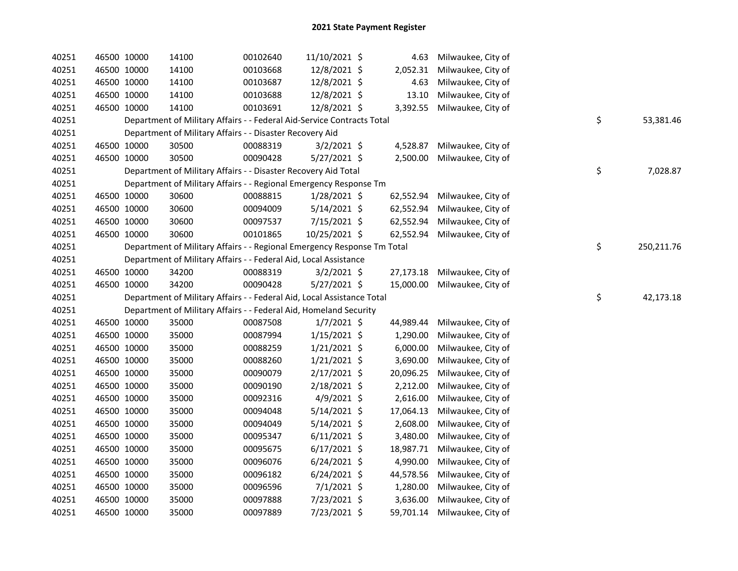| 40251 | 46500 10000 | 14100                                                                   | 00102640 | 11/10/2021 \$  | 4.63      | Milwaukee, City of |                  |
|-------|-------------|-------------------------------------------------------------------------|----------|----------------|-----------|--------------------|------------------|
| 40251 | 46500 10000 | 14100                                                                   | 00103668 | 12/8/2021 \$   | 2,052.31  | Milwaukee, City of |                  |
| 40251 | 46500 10000 | 14100                                                                   | 00103687 | 12/8/2021 \$   | 4.63      | Milwaukee, City of |                  |
| 40251 | 46500 10000 | 14100                                                                   | 00103688 | 12/8/2021 \$   | 13.10     | Milwaukee, City of |                  |
| 40251 | 46500 10000 | 14100                                                                   | 00103691 | 12/8/2021 \$   | 3,392.55  | Milwaukee, City of |                  |
| 40251 |             | Department of Military Affairs - - Federal Aid-Service Contracts Total  |          |                |           |                    | \$<br>53,381.46  |
| 40251 |             | Department of Military Affairs - - Disaster Recovery Aid                |          |                |           |                    |                  |
| 40251 | 46500 10000 | 30500                                                                   | 00088319 | $3/2/2021$ \$  | 4,528.87  | Milwaukee, City of |                  |
| 40251 | 46500 10000 | 30500                                                                   | 00090428 | $5/27/2021$ \$ | 2,500.00  | Milwaukee, City of |                  |
| 40251 |             | Department of Military Affairs - - Disaster Recovery Aid Total          |          |                |           |                    | \$<br>7,028.87   |
| 40251 |             | Department of Military Affairs - - Regional Emergency Response Tm       |          |                |           |                    |                  |
| 40251 | 46500 10000 | 30600                                                                   | 00088815 | $1/28/2021$ \$ | 62,552.94 | Milwaukee, City of |                  |
| 40251 | 46500 10000 | 30600                                                                   | 00094009 | $5/14/2021$ \$ | 62,552.94 | Milwaukee, City of |                  |
| 40251 | 46500 10000 | 30600                                                                   | 00097537 | 7/15/2021 \$   | 62,552.94 | Milwaukee, City of |                  |
| 40251 | 46500 10000 | 30600                                                                   | 00101865 | 10/25/2021 \$  | 62,552.94 | Milwaukee, City of |                  |
| 40251 |             | Department of Military Affairs - - Regional Emergency Response Tm Total |          |                |           |                    | \$<br>250,211.76 |
| 40251 |             | Department of Military Affairs - - Federal Aid, Local Assistance        |          |                |           |                    |                  |
| 40251 | 46500 10000 | 34200                                                                   | 00088319 | $3/2/2021$ \$  | 27,173.18 | Milwaukee, City of |                  |
| 40251 | 46500 10000 | 34200                                                                   | 00090428 | 5/27/2021 \$   | 15,000.00 | Milwaukee, City of |                  |
| 40251 |             | Department of Military Affairs - - Federal Aid, Local Assistance Total  |          |                |           |                    | \$<br>42,173.18  |
| 40251 |             | Department of Military Affairs - - Federal Aid, Homeland Security       |          |                |           |                    |                  |
| 40251 | 46500 10000 | 35000                                                                   | 00087508 | $1/7/2021$ \$  | 44,989.44 | Milwaukee, City of |                  |
| 40251 | 46500 10000 | 35000                                                                   | 00087994 | $1/15/2021$ \$ | 1,290.00  | Milwaukee, City of |                  |
| 40251 | 46500 10000 | 35000                                                                   | 00088259 | $1/21/2021$ \$ | 6,000.00  | Milwaukee, City of |                  |
| 40251 | 46500 10000 | 35000                                                                   | 00088260 | $1/21/2021$ \$ | 3,690.00  | Milwaukee, City of |                  |
| 40251 | 46500 10000 | 35000                                                                   | 00090079 | $2/17/2021$ \$ | 20,096.25 | Milwaukee, City of |                  |
| 40251 | 46500 10000 | 35000                                                                   | 00090190 | 2/18/2021 \$   | 2,212.00  | Milwaukee, City of |                  |
| 40251 | 46500 10000 | 35000                                                                   | 00092316 | $4/9/2021$ \$  | 2,616.00  | Milwaukee, City of |                  |
| 40251 | 46500 10000 | 35000                                                                   | 00094048 | $5/14/2021$ \$ | 17,064.13 | Milwaukee, City of |                  |
| 40251 | 46500 10000 | 35000                                                                   | 00094049 | 5/14/2021 \$   | 2,608.00  | Milwaukee, City of |                  |
| 40251 | 46500 10000 | 35000                                                                   | 00095347 | $6/11/2021$ \$ | 3,480.00  | Milwaukee, City of |                  |
| 40251 | 46500 10000 | 35000                                                                   | 00095675 | $6/17/2021$ \$ | 18,987.71 | Milwaukee, City of |                  |
| 40251 | 46500 10000 | 35000                                                                   | 00096076 | $6/24/2021$ \$ | 4,990.00  | Milwaukee, City of |                  |
| 40251 | 46500 10000 | 35000                                                                   | 00096182 | $6/24/2021$ \$ | 44,578.56 | Milwaukee, City of |                  |
| 40251 | 46500 10000 | 35000                                                                   | 00096596 | $7/1/2021$ \$  | 1,280.00  | Milwaukee, City of |                  |
| 40251 | 46500 10000 | 35000                                                                   | 00097888 | 7/23/2021 \$   | 3,636.00  | Milwaukee, City of |                  |
| 40251 | 46500 10000 | 35000                                                                   | 00097889 | 7/23/2021 \$   | 59,701.14 | Milwaukee, City of |                  |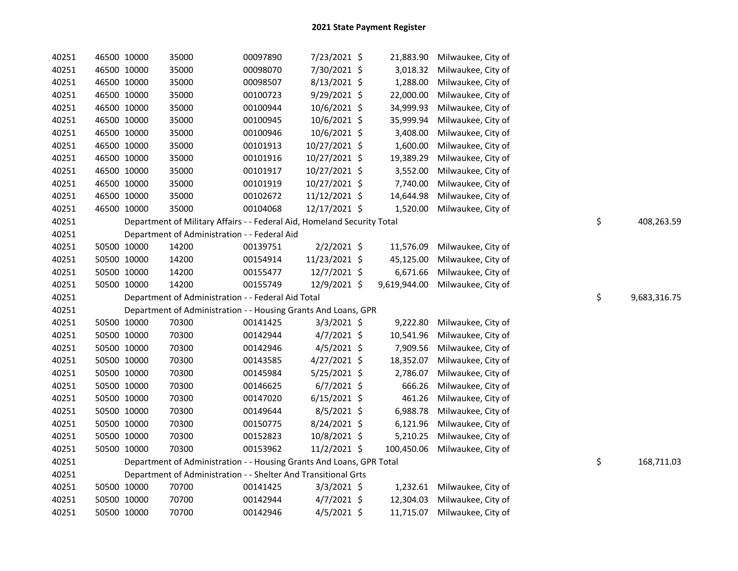| 40251 | 46500 10000 |             | 35000                                                                   | 00097890 | 7/23/2021 \$   |              | 21,883.90 Milwaukee, City of |                    |
|-------|-------------|-------------|-------------------------------------------------------------------------|----------|----------------|--------------|------------------------------|--------------------|
| 40251 | 46500 10000 |             | 35000                                                                   | 00098070 | 7/30/2021 \$   | 3,018.32     | Milwaukee, City of           |                    |
| 40251 | 46500 10000 |             | 35000                                                                   | 00098507 | 8/13/2021 \$   | 1,288.00     | Milwaukee, City of           |                    |
| 40251 |             | 46500 10000 | 35000                                                                   | 00100723 | 9/29/2021 \$   | 22,000.00    | Milwaukee, City of           |                    |
| 40251 |             | 46500 10000 | 35000                                                                   | 00100944 | 10/6/2021 \$   | 34,999.93    | Milwaukee, City of           |                    |
| 40251 |             | 46500 10000 | 35000                                                                   | 00100945 | 10/6/2021 \$   | 35,999.94    | Milwaukee, City of           |                    |
| 40251 |             | 46500 10000 | 35000                                                                   | 00100946 | 10/6/2021 \$   | 3,408.00     | Milwaukee, City of           |                    |
| 40251 |             | 46500 10000 | 35000                                                                   | 00101913 | 10/27/2021 \$  | 1,600.00     | Milwaukee, City of           |                    |
| 40251 |             | 46500 10000 | 35000                                                                   | 00101916 | 10/27/2021 \$  | 19,389.29    | Milwaukee, City of           |                    |
| 40251 |             | 46500 10000 | 35000                                                                   | 00101917 | 10/27/2021 \$  | 3,552.00     | Milwaukee, City of           |                    |
| 40251 |             | 46500 10000 | 35000                                                                   | 00101919 | 10/27/2021 \$  | 7,740.00     | Milwaukee, City of           |                    |
| 40251 | 46500 10000 |             | 35000                                                                   | 00102672 | 11/12/2021 \$  | 14,644.98    | Milwaukee, City of           |                    |
| 40251 | 46500 10000 |             | 35000                                                                   | 00104068 | 12/17/2021 \$  | 1,520.00     | Milwaukee, City of           |                    |
| 40251 |             |             | Department of Military Affairs - - Federal Aid, Homeland Security Total |          |                |              |                              | \$<br>408,263.59   |
| 40251 |             |             | Department of Administration - - Federal Aid                            |          |                |              |                              |                    |
| 40251 |             | 50500 10000 | 14200                                                                   | 00139751 | $2/2/2021$ \$  | 11,576.09    | Milwaukee, City of           |                    |
| 40251 |             | 50500 10000 | 14200                                                                   | 00154914 | 11/23/2021 \$  | 45,125.00    | Milwaukee, City of           |                    |
| 40251 |             | 50500 10000 | 14200                                                                   | 00155477 | $12/7/2021$ \$ | 6,671.66     | Milwaukee, City of           |                    |
| 40251 |             | 50500 10000 | 14200                                                                   | 00155749 | 12/9/2021 \$   | 9,619,944.00 | Milwaukee, City of           |                    |
| 40251 |             |             | Department of Administration - - Federal Aid Total                      |          |                |              |                              | \$<br>9,683,316.75 |
| 40251 |             |             | Department of Administration - - Housing Grants And Loans, GPR          |          |                |              |                              |                    |
| 40251 |             | 50500 10000 | 70300                                                                   | 00141425 | $3/3/2021$ \$  | 9,222.80     | Milwaukee, City of           |                    |
| 40251 |             | 50500 10000 | 70300                                                                   | 00142944 | $4/7/2021$ \$  | 10,541.96    | Milwaukee, City of           |                    |
| 40251 |             | 50500 10000 | 70300                                                                   | 00142946 | $4/5/2021$ \$  | 7,909.56     | Milwaukee, City of           |                    |
| 40251 |             | 50500 10000 | 70300                                                                   | 00143585 | $4/27/2021$ \$ | 18,352.07    | Milwaukee, City of           |                    |
| 40251 |             | 50500 10000 | 70300                                                                   | 00145984 | 5/25/2021 \$   | 2,786.07     | Milwaukee, City of           |                    |
| 40251 |             | 50500 10000 | 70300                                                                   | 00146625 | $6/7/2021$ \$  | 666.26       | Milwaukee, City of           |                    |
| 40251 |             | 50500 10000 | 70300                                                                   | 00147020 | $6/15/2021$ \$ | 461.26       | Milwaukee, City of           |                    |
| 40251 |             | 50500 10000 | 70300                                                                   | 00149644 | $8/5/2021$ \$  | 6,988.78     | Milwaukee, City of           |                    |
| 40251 |             | 50500 10000 | 70300                                                                   | 00150775 | $8/24/2021$ \$ | 6,121.96     | Milwaukee, City of           |                    |
| 40251 |             | 50500 10000 | 70300                                                                   | 00152823 | 10/8/2021 \$   | 5,210.25     | Milwaukee, City of           |                    |
| 40251 |             | 50500 10000 | 70300                                                                   | 00153962 | $11/2/2021$ \$ | 100,450.06   | Milwaukee, City of           |                    |
| 40251 |             |             | Department of Administration - - Housing Grants And Loans, GPR Total    |          |                |              |                              | \$<br>168,711.03   |
| 40251 |             |             | Department of Administration - - Shelter And Transitional Grts          |          |                |              |                              |                    |
| 40251 |             | 50500 10000 | 70700                                                                   | 00141425 | $3/3/2021$ \$  |              | 1,232.61 Milwaukee, City of  |                    |
| 40251 |             | 50500 10000 | 70700                                                                   | 00142944 | $4/7/2021$ \$  | 12,304.03    | Milwaukee, City of           |                    |
| 40251 |             | 50500 10000 | 70700                                                                   | 00142946 | $4/5/2021$ \$  | 11,715.07    | Milwaukee, City of           |                    |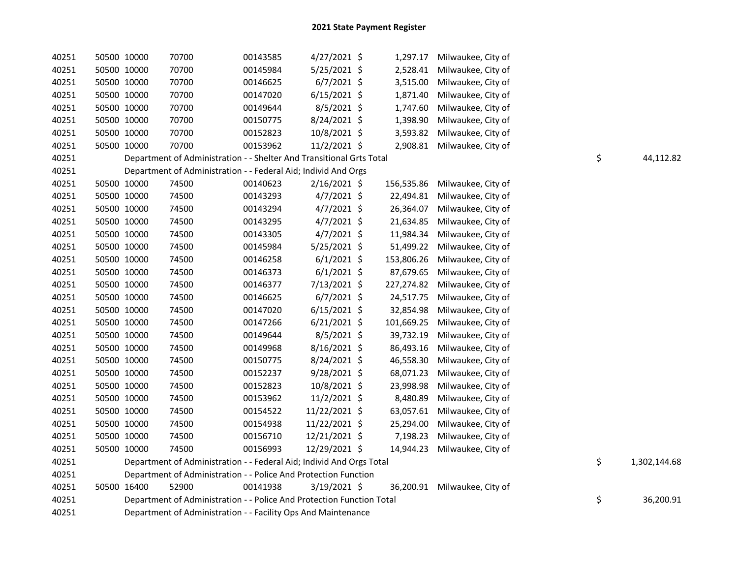| 40251 | 50500 10000 | 70700                                                                 | 00143585 | $4/27/2021$ \$ |            | 1,297.17 Milwaukee, City of  |    |              |
|-------|-------------|-----------------------------------------------------------------------|----------|----------------|------------|------------------------------|----|--------------|
| 40251 | 50500 10000 | 70700                                                                 | 00145984 | 5/25/2021 \$   | 2,528.41   | Milwaukee, City of           |    |              |
| 40251 | 50500 10000 | 70700                                                                 | 00146625 | $6/7/2021$ \$  | 3,515.00   | Milwaukee, City of           |    |              |
| 40251 | 50500 10000 | 70700                                                                 | 00147020 | $6/15/2021$ \$ | 1,871.40   | Milwaukee, City of           |    |              |
| 40251 | 50500 10000 | 70700                                                                 | 00149644 | $8/5/2021$ \$  | 1,747.60   | Milwaukee, City of           |    |              |
| 40251 | 50500 10000 | 70700                                                                 | 00150775 | 8/24/2021 \$   | 1,398.90   | Milwaukee, City of           |    |              |
| 40251 | 50500 10000 | 70700                                                                 | 00152823 | 10/8/2021 \$   | 3,593.82   | Milwaukee, City of           |    |              |
| 40251 | 50500 10000 | 70700                                                                 | 00153962 | $11/2/2021$ \$ | 2,908.81   | Milwaukee, City of           |    |              |
| 40251 |             | Department of Administration - - Shelter And Transitional Grts Total  |          |                |            |                              | \$ | 44,112.82    |
| 40251 |             | Department of Administration - - Federal Aid; Individ And Orgs        |          |                |            |                              |    |              |
| 40251 | 50500 10000 | 74500                                                                 | 00140623 | $2/16/2021$ \$ | 156,535.86 | Milwaukee, City of           |    |              |
| 40251 | 50500 10000 | 74500                                                                 | 00143293 | $4/7/2021$ \$  | 22,494.81  | Milwaukee, City of           |    |              |
| 40251 | 50500 10000 | 74500                                                                 | 00143294 | $4/7/2021$ \$  | 26,364.07  | Milwaukee, City of           |    |              |
| 40251 | 50500 10000 | 74500                                                                 | 00143295 | $4/7/2021$ \$  | 21,634.85  | Milwaukee, City of           |    |              |
| 40251 | 50500 10000 | 74500                                                                 | 00143305 | $4/7/2021$ \$  | 11,984.34  | Milwaukee, City of           |    |              |
| 40251 | 50500 10000 | 74500                                                                 | 00145984 | 5/25/2021 \$   | 51,499.22  | Milwaukee, City of           |    |              |
| 40251 | 50500 10000 | 74500                                                                 | 00146258 | $6/1/2021$ \$  | 153,806.26 | Milwaukee, City of           |    |              |
| 40251 | 50500 10000 | 74500                                                                 | 00146373 | $6/1/2021$ \$  | 87,679.65  | Milwaukee, City of           |    |              |
| 40251 | 50500 10000 | 74500                                                                 | 00146377 | 7/13/2021 \$   | 227,274.82 | Milwaukee, City of           |    |              |
| 40251 | 50500 10000 | 74500                                                                 | 00146625 | $6/7/2021$ \$  | 24,517.75  | Milwaukee, City of           |    |              |
| 40251 | 50500 10000 | 74500                                                                 | 00147020 | $6/15/2021$ \$ | 32,854.98  | Milwaukee, City of           |    |              |
| 40251 | 50500 10000 | 74500                                                                 | 00147266 | $6/21/2021$ \$ | 101,669.25 | Milwaukee, City of           |    |              |
| 40251 | 50500 10000 | 74500                                                                 | 00149644 | 8/5/2021 \$    | 39,732.19  | Milwaukee, City of           |    |              |
| 40251 | 50500 10000 | 74500                                                                 | 00149968 | 8/16/2021 \$   | 86,493.16  | Milwaukee, City of           |    |              |
| 40251 | 50500 10000 | 74500                                                                 | 00150775 | 8/24/2021 \$   | 46,558.30  | Milwaukee, City of           |    |              |
| 40251 | 50500 10000 | 74500                                                                 | 00152237 | 9/28/2021 \$   | 68,071.23  | Milwaukee, City of           |    |              |
| 40251 | 50500 10000 | 74500                                                                 | 00152823 | 10/8/2021 \$   | 23,998.98  | Milwaukee, City of           |    |              |
| 40251 | 50500 10000 | 74500                                                                 | 00153962 | $11/2/2021$ \$ | 8,480.89   | Milwaukee, City of           |    |              |
| 40251 | 50500 10000 | 74500                                                                 | 00154522 | 11/22/2021 \$  | 63,057.61  | Milwaukee, City of           |    |              |
| 40251 | 50500 10000 | 74500                                                                 | 00154938 | 11/22/2021 \$  | 25,294.00  | Milwaukee, City of           |    |              |
| 40251 | 50500 10000 | 74500                                                                 | 00156710 | 12/21/2021 \$  | 7,198.23   | Milwaukee, City of           |    |              |
| 40251 | 50500 10000 | 74500                                                                 | 00156993 | 12/29/2021 \$  | 14,944.23  | Milwaukee, City of           |    |              |
| 40251 |             | Department of Administration - - Federal Aid; Individ And Orgs Total  |          |                |            |                              | \$ | 1,302,144.68 |
| 40251 |             | Department of Administration - - Police And Protection Function       |          |                |            |                              |    |              |
| 40251 | 50500 16400 | 52900                                                                 | 00141938 | 3/19/2021 \$   |            | 36,200.91 Milwaukee, City of |    |              |
| 40251 |             | Department of Administration - - Police And Protection Function Total |          |                |            |                              | \$ | 36,200.91    |
| 40251 |             | Department of Administration - - Facility Ops And Maintenance         |          |                |            |                              |    |              |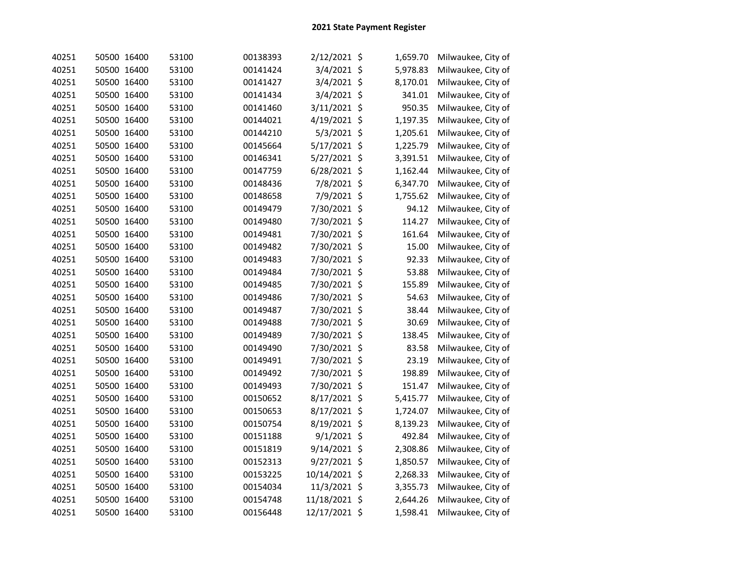| 40251 | 50500 16400 | 53100 | 00138393 | 2/12/2021 \$  | 1,659.70 | Milwaukee, City of |
|-------|-------------|-------|----------|---------------|----------|--------------------|
| 40251 | 50500 16400 | 53100 | 00141424 | 3/4/2021 \$   | 5,978.83 | Milwaukee, City of |
| 40251 | 50500 16400 | 53100 | 00141427 | 3/4/2021 \$   | 8,170.01 | Milwaukee, City of |
| 40251 | 50500 16400 | 53100 | 00141434 | 3/4/2021 \$   | 341.01   | Milwaukee, City of |
| 40251 | 50500 16400 | 53100 | 00141460 | 3/11/2021 \$  | 950.35   | Milwaukee, City of |
| 40251 | 50500 16400 | 53100 | 00144021 | 4/19/2021 \$  | 1,197.35 | Milwaukee, City of |
| 40251 | 50500 16400 | 53100 | 00144210 | 5/3/2021 \$   | 1,205.61 | Milwaukee, City of |
| 40251 | 50500 16400 | 53100 | 00145664 | 5/17/2021 \$  | 1,225.79 | Milwaukee, City of |
| 40251 | 50500 16400 | 53100 | 00146341 | 5/27/2021 \$  | 3,391.51 | Milwaukee, City of |
| 40251 | 50500 16400 | 53100 | 00147759 | 6/28/2021 \$  | 1,162.44 | Milwaukee, City of |
| 40251 | 50500 16400 | 53100 | 00148436 | 7/8/2021 \$   | 6,347.70 | Milwaukee, City of |
| 40251 | 50500 16400 | 53100 | 00148658 | 7/9/2021 \$   | 1,755.62 | Milwaukee, City of |
| 40251 | 50500 16400 | 53100 | 00149479 | 7/30/2021 \$  | 94.12    | Milwaukee, City of |
| 40251 | 50500 16400 | 53100 | 00149480 | 7/30/2021 \$  | 114.27   | Milwaukee, City of |
| 40251 | 50500 16400 | 53100 | 00149481 | 7/30/2021 \$  | 161.64   | Milwaukee, City of |
| 40251 | 50500 16400 | 53100 | 00149482 | 7/30/2021 \$  | 15.00    | Milwaukee, City of |
| 40251 | 50500 16400 | 53100 | 00149483 | 7/30/2021 \$  | 92.33    | Milwaukee, City of |
| 40251 | 50500 16400 | 53100 | 00149484 | 7/30/2021 \$  | 53.88    | Milwaukee, City of |
| 40251 | 50500 16400 | 53100 | 00149485 | 7/30/2021 \$  | 155.89   | Milwaukee, City of |
| 40251 | 50500 16400 | 53100 | 00149486 | 7/30/2021 \$  | 54.63    | Milwaukee, City of |
| 40251 | 50500 16400 | 53100 | 00149487 | 7/30/2021 \$  | 38.44    | Milwaukee, City of |
| 40251 | 50500 16400 | 53100 | 00149488 | 7/30/2021 \$  | 30.69    | Milwaukee, City of |
| 40251 | 50500 16400 | 53100 | 00149489 | 7/30/2021 \$  | 138.45   | Milwaukee, City of |
| 40251 | 50500 16400 | 53100 | 00149490 | 7/30/2021 \$  | 83.58    | Milwaukee, City of |
| 40251 | 50500 16400 | 53100 | 00149491 | 7/30/2021 \$  | 23.19    | Milwaukee, City of |
| 40251 | 50500 16400 | 53100 | 00149492 | 7/30/2021 \$  | 198.89   | Milwaukee, City of |
| 40251 | 50500 16400 | 53100 | 00149493 | 7/30/2021 \$  | 151.47   | Milwaukee, City of |
| 40251 | 50500 16400 | 53100 | 00150652 | 8/17/2021 \$  | 5,415.77 | Milwaukee, City of |
| 40251 | 50500 16400 | 53100 | 00150653 | 8/17/2021 \$  | 1,724.07 | Milwaukee, City of |
| 40251 | 50500 16400 | 53100 | 00150754 | 8/19/2021 \$  | 8,139.23 | Milwaukee, City of |
| 40251 | 50500 16400 | 53100 | 00151188 | 9/1/2021 \$   | 492.84   | Milwaukee, City of |
| 40251 | 50500 16400 | 53100 | 00151819 | 9/14/2021 \$  | 2,308.86 | Milwaukee, City of |
| 40251 | 50500 16400 | 53100 | 00152313 | 9/27/2021 \$  | 1,850.57 | Milwaukee, City of |
| 40251 | 50500 16400 | 53100 | 00153225 | 10/14/2021 \$ | 2,268.33 | Milwaukee, City of |
| 40251 | 50500 16400 | 53100 | 00154034 | 11/3/2021 \$  | 3,355.73 | Milwaukee, City of |
| 40251 | 50500 16400 | 53100 | 00154748 | 11/18/2021 \$ | 2,644.26 | Milwaukee, City of |
| 40251 | 50500 16400 | 53100 | 00156448 | 12/17/2021 \$ | 1,598.41 | Milwaukee, City of |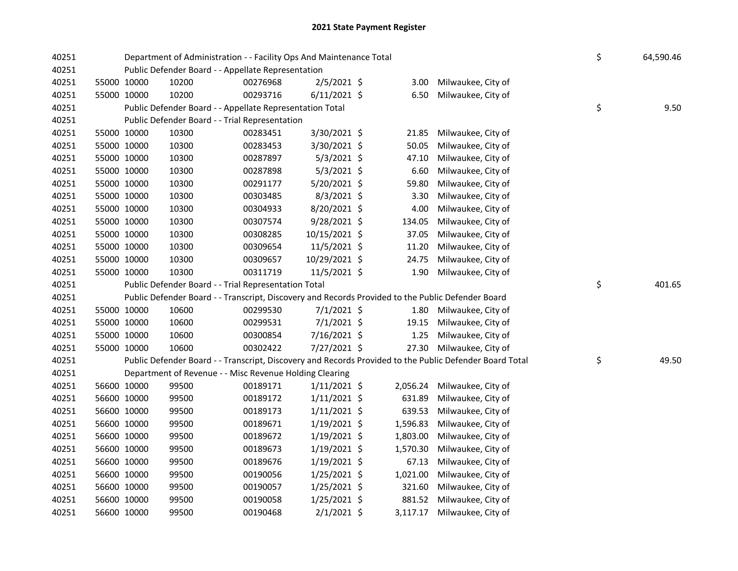| 40251 |             |             |       | Department of Administration - - Facility Ops And Maintenance Total                               |                |          |                                                                                                         | \$<br>64,590.46 |
|-------|-------------|-------------|-------|---------------------------------------------------------------------------------------------------|----------------|----------|---------------------------------------------------------------------------------------------------------|-----------------|
| 40251 |             |             |       | Public Defender Board - - Appellate Representation                                                |                |          |                                                                                                         |                 |
| 40251 |             | 55000 10000 | 10200 | 00276968                                                                                          | $2/5/2021$ \$  | 3.00     | Milwaukee, City of                                                                                      |                 |
| 40251 |             | 55000 10000 | 10200 | 00293716                                                                                          | $6/11/2021$ \$ | 6.50     | Milwaukee, City of                                                                                      |                 |
| 40251 |             |             |       | Public Defender Board - - Appellate Representation Total                                          |                |          |                                                                                                         | \$<br>9.50      |
| 40251 |             |             |       | Public Defender Board - - Trial Representation                                                    |                |          |                                                                                                         |                 |
| 40251 |             | 55000 10000 | 10300 | 00283451                                                                                          | 3/30/2021 \$   | 21.85    | Milwaukee, City of                                                                                      |                 |
| 40251 |             | 55000 10000 | 10300 | 00283453                                                                                          | 3/30/2021 \$   | 50.05    | Milwaukee, City of                                                                                      |                 |
| 40251 |             | 55000 10000 | 10300 | 00287897                                                                                          | $5/3/2021$ \$  | 47.10    | Milwaukee, City of                                                                                      |                 |
| 40251 |             | 55000 10000 | 10300 | 00287898                                                                                          | $5/3/2021$ \$  | 6.60     | Milwaukee, City of                                                                                      |                 |
| 40251 |             | 55000 10000 | 10300 | 00291177                                                                                          | 5/20/2021 \$   | 59.80    | Milwaukee, City of                                                                                      |                 |
| 40251 |             | 55000 10000 | 10300 | 00303485                                                                                          | 8/3/2021 \$    | 3.30     | Milwaukee, City of                                                                                      |                 |
| 40251 |             | 55000 10000 | 10300 | 00304933                                                                                          | 8/20/2021 \$   | 4.00     | Milwaukee, City of                                                                                      |                 |
| 40251 |             | 55000 10000 | 10300 | 00307574                                                                                          | 9/28/2021 \$   | 134.05   | Milwaukee, City of                                                                                      |                 |
| 40251 |             | 55000 10000 | 10300 | 00308285                                                                                          | 10/15/2021 \$  | 37.05    | Milwaukee, City of                                                                                      |                 |
| 40251 |             | 55000 10000 | 10300 | 00309654                                                                                          | 11/5/2021 \$   | 11.20    | Milwaukee, City of                                                                                      |                 |
| 40251 |             | 55000 10000 | 10300 | 00309657                                                                                          | 10/29/2021 \$  | 24.75    | Milwaukee, City of                                                                                      |                 |
| 40251 |             | 55000 10000 | 10300 | 00311719                                                                                          | 11/5/2021 \$   | 1.90     | Milwaukee, City of                                                                                      |                 |
| 40251 |             |             |       | Public Defender Board - - Trial Representation Total                                              |                |          |                                                                                                         | \$<br>401.65    |
| 40251 |             |             |       | Public Defender Board - - Transcript, Discovery and Records Provided to the Public Defender Board |                |          |                                                                                                         |                 |
| 40251 |             | 55000 10000 | 10600 | 00299530                                                                                          | $7/1/2021$ \$  |          | 1.80 Milwaukee, City of                                                                                 |                 |
| 40251 |             | 55000 10000 | 10600 | 00299531                                                                                          | $7/1/2021$ \$  | 19.15    | Milwaukee, City of                                                                                      |                 |
| 40251 |             | 55000 10000 | 10600 | 00300854                                                                                          | 7/16/2021 \$   | 1.25     | Milwaukee, City of                                                                                      |                 |
| 40251 |             | 55000 10000 | 10600 | 00302422                                                                                          | 7/27/2021 \$   | 27.30    | Milwaukee, City of                                                                                      |                 |
| 40251 |             |             |       |                                                                                                   |                |          | Public Defender Board - - Transcript, Discovery and Records Provided to the Public Defender Board Total | \$<br>49.50     |
| 40251 |             |             |       | Department of Revenue - - Misc Revenue Holding Clearing                                           |                |          |                                                                                                         |                 |
| 40251 |             | 56600 10000 | 99500 | 00189171                                                                                          | $1/11/2021$ \$ | 2,056.24 | Milwaukee, City of                                                                                      |                 |
| 40251 |             | 56600 10000 | 99500 | 00189172                                                                                          | $1/11/2021$ \$ | 631.89   | Milwaukee, City of                                                                                      |                 |
| 40251 |             | 56600 10000 | 99500 | 00189173                                                                                          | $1/11/2021$ \$ | 639.53   | Milwaukee, City of                                                                                      |                 |
| 40251 |             | 56600 10000 | 99500 | 00189671                                                                                          | 1/19/2021 \$   | 1,596.83 | Milwaukee, City of                                                                                      |                 |
| 40251 |             | 56600 10000 | 99500 | 00189672                                                                                          | $1/19/2021$ \$ | 1,803.00 | Milwaukee, City of                                                                                      |                 |
| 40251 |             | 56600 10000 | 99500 | 00189673                                                                                          | $1/19/2021$ \$ | 1,570.30 | Milwaukee, City of                                                                                      |                 |
| 40251 |             | 56600 10000 | 99500 | 00189676                                                                                          | $1/19/2021$ \$ | 67.13    | Milwaukee, City of                                                                                      |                 |
| 40251 |             | 56600 10000 | 99500 | 00190056                                                                                          | $1/25/2021$ \$ | 1,021.00 | Milwaukee, City of                                                                                      |                 |
| 40251 | 56600 10000 |             | 99500 | 00190057                                                                                          | $1/25/2021$ \$ | 321.60   | Milwaukee, City of                                                                                      |                 |
| 40251 |             | 56600 10000 | 99500 | 00190058                                                                                          | $1/25/2021$ \$ | 881.52   | Milwaukee, City of                                                                                      |                 |
| 40251 |             | 56600 10000 | 99500 | 00190468                                                                                          | $2/1/2021$ \$  | 3,117.17 | Milwaukee, City of                                                                                      |                 |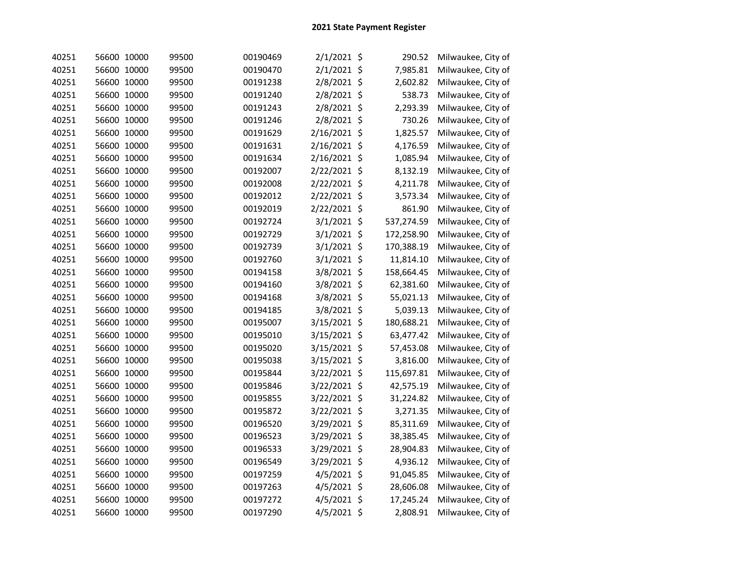| 40251 | 56600 10000 | 99500 | 00190469 | $2/1/2021$ \$ | 290.52     | Milwaukee, City of |
|-------|-------------|-------|----------|---------------|------------|--------------------|
| 40251 | 56600 10000 | 99500 | 00190470 | $2/1/2021$ \$ | 7,985.81   | Milwaukee, City of |
| 40251 | 56600 10000 | 99500 | 00191238 | 2/8/2021 \$   | 2,602.82   | Milwaukee, City of |
| 40251 | 56600 10000 | 99500 | 00191240 | 2/8/2021 \$   | 538.73     | Milwaukee, City of |
| 40251 | 56600 10000 | 99500 | 00191243 | 2/8/2021 \$   | 2,293.39   | Milwaukee, City of |
| 40251 | 56600 10000 | 99500 | 00191246 | 2/8/2021 \$   | 730.26     | Milwaukee, City of |
| 40251 | 56600 10000 | 99500 | 00191629 | 2/16/2021 \$  | 1,825.57   | Milwaukee, City of |
| 40251 | 56600 10000 | 99500 | 00191631 | 2/16/2021 \$  | 4,176.59   | Milwaukee, City of |
| 40251 | 56600 10000 | 99500 | 00191634 | 2/16/2021 \$  | 1,085.94   | Milwaukee, City of |
| 40251 | 56600 10000 | 99500 | 00192007 | 2/22/2021 \$  | 8,132.19   | Milwaukee, City of |
| 40251 | 56600 10000 | 99500 | 00192008 | 2/22/2021 \$  | 4,211.78   | Milwaukee, City of |
| 40251 | 56600 10000 | 99500 | 00192012 | 2/22/2021 \$  | 3,573.34   | Milwaukee, City of |
| 40251 | 56600 10000 | 99500 | 00192019 | 2/22/2021 \$  | 861.90     | Milwaukee, City of |
| 40251 | 56600 10000 | 99500 | 00192724 | 3/1/2021 \$   | 537,274.59 | Milwaukee, City of |
| 40251 | 56600 10000 | 99500 | 00192729 | $3/1/2021$ \$ | 172,258.90 | Milwaukee, City of |
| 40251 | 56600 10000 | 99500 | 00192739 | 3/1/2021 \$   | 170,388.19 | Milwaukee, City of |
| 40251 | 56600 10000 | 99500 | 00192760 | 3/1/2021 \$   | 11,814.10  | Milwaukee, City of |
| 40251 | 56600 10000 | 99500 | 00194158 | 3/8/2021 \$   | 158,664.45 | Milwaukee, City of |
| 40251 | 56600 10000 | 99500 | 00194160 | 3/8/2021 \$   | 62,381.60  | Milwaukee, City of |
| 40251 | 56600 10000 | 99500 | 00194168 | 3/8/2021 \$   | 55,021.13  | Milwaukee, City of |
| 40251 | 56600 10000 | 99500 | 00194185 | 3/8/2021 \$   | 5,039.13   | Milwaukee, City of |
| 40251 | 56600 10000 | 99500 | 00195007 | 3/15/2021 \$  | 180,688.21 | Milwaukee, City of |
| 40251 | 56600 10000 | 99500 | 00195010 | 3/15/2021 \$  | 63,477.42  | Milwaukee, City of |
| 40251 | 56600 10000 | 99500 | 00195020 | 3/15/2021 \$  | 57,453.08  | Milwaukee, City of |
| 40251 | 56600 10000 | 99500 | 00195038 | 3/15/2021 \$  | 3,816.00   | Milwaukee, City of |
| 40251 | 56600 10000 | 99500 | 00195844 | 3/22/2021 \$  | 115,697.81 | Milwaukee, City of |
| 40251 | 56600 10000 | 99500 | 00195846 | 3/22/2021 \$  | 42,575.19  | Milwaukee, City of |
| 40251 | 56600 10000 | 99500 | 00195855 | 3/22/2021 \$  | 31,224.82  | Milwaukee, City of |
| 40251 | 56600 10000 | 99500 | 00195872 | 3/22/2021 \$  | 3,271.35   | Milwaukee, City of |
| 40251 | 56600 10000 | 99500 | 00196520 | 3/29/2021 \$  | 85,311.69  | Milwaukee, City of |
| 40251 | 56600 10000 | 99500 | 00196523 | 3/29/2021 \$  | 38,385.45  | Milwaukee, City of |
| 40251 | 56600 10000 | 99500 | 00196533 | 3/29/2021 \$  | 28,904.83  | Milwaukee, City of |
| 40251 | 56600 10000 | 99500 | 00196549 | 3/29/2021 \$  | 4,936.12   | Milwaukee, City of |
| 40251 | 56600 10000 | 99500 | 00197259 | 4/5/2021 \$   | 91,045.85  | Milwaukee, City of |
| 40251 | 56600 10000 | 99500 | 00197263 | 4/5/2021 \$   | 28,606.08  | Milwaukee, City of |
| 40251 | 56600 10000 | 99500 | 00197272 | $4/5/2021$ \$ | 17,245.24  | Milwaukee, City of |
| 40251 | 56600 10000 | 99500 | 00197290 | $4/5/2021$ \$ | 2,808.91   | Milwaukee, City of |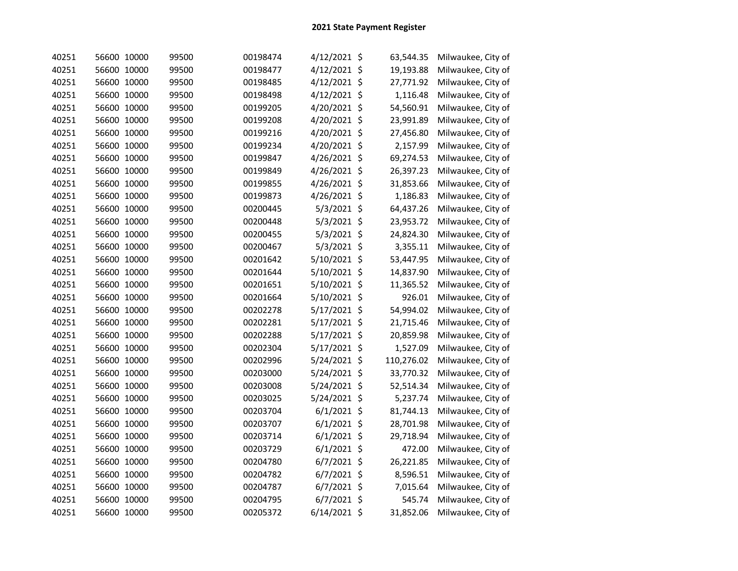| 40251 | 56600 10000 | 99500 | 00198474 | 4/12/2021 \$   | 63,544.35  | Milwaukee, City of |
|-------|-------------|-------|----------|----------------|------------|--------------------|
| 40251 | 56600 10000 | 99500 | 00198477 | 4/12/2021 \$   | 19,193.88  | Milwaukee, City of |
| 40251 | 56600 10000 | 99500 | 00198485 | 4/12/2021 \$   | 27,771.92  | Milwaukee, City of |
| 40251 | 56600 10000 | 99500 | 00198498 | 4/12/2021 \$   | 1,116.48   | Milwaukee, City of |
| 40251 | 56600 10000 | 99500 | 00199205 | 4/20/2021 \$   | 54,560.91  | Milwaukee, City of |
| 40251 | 56600 10000 | 99500 | 00199208 | 4/20/2021 \$   | 23,991.89  | Milwaukee, City of |
| 40251 | 56600 10000 | 99500 | 00199216 | 4/20/2021 \$   | 27,456.80  | Milwaukee, City of |
| 40251 | 56600 10000 | 99500 | 00199234 | 4/20/2021 \$   | 2,157.99   | Milwaukee, City of |
| 40251 | 56600 10000 | 99500 | 00199847 | 4/26/2021 \$   | 69,274.53  | Milwaukee, City of |
| 40251 | 56600 10000 | 99500 | 00199849 | 4/26/2021 \$   | 26,397.23  | Milwaukee, City of |
| 40251 | 56600 10000 | 99500 | 00199855 | 4/26/2021 \$   | 31,853.66  | Milwaukee, City of |
| 40251 | 56600 10000 | 99500 | 00199873 | 4/26/2021 \$   | 1,186.83   | Milwaukee, City of |
| 40251 | 56600 10000 | 99500 | 00200445 | 5/3/2021 \$    | 64,437.26  | Milwaukee, City of |
| 40251 | 56600 10000 | 99500 | 00200448 | 5/3/2021 \$    | 23,953.72  | Milwaukee, City of |
| 40251 | 56600 10000 | 99500 | 00200455 | 5/3/2021 \$    | 24,824.30  | Milwaukee, City of |
| 40251 | 56600 10000 | 99500 | 00200467 | 5/3/2021 \$    | 3,355.11   | Milwaukee, City of |
| 40251 | 56600 10000 | 99500 | 00201642 | 5/10/2021 \$   | 53,447.95  | Milwaukee, City of |
| 40251 | 56600 10000 | 99500 | 00201644 | 5/10/2021 \$   | 14,837.90  | Milwaukee, City of |
| 40251 | 56600 10000 | 99500 | 00201651 | 5/10/2021 \$   | 11,365.52  | Milwaukee, City of |
| 40251 | 56600 10000 | 99500 | 00201664 | 5/10/2021 \$   | 926.01     | Milwaukee, City of |
| 40251 | 56600 10000 | 99500 | 00202278 | 5/17/2021 \$   | 54,994.02  | Milwaukee, City of |
| 40251 | 56600 10000 | 99500 | 00202281 | 5/17/2021 \$   | 21,715.46  | Milwaukee, City of |
| 40251 | 56600 10000 | 99500 | 00202288 | 5/17/2021 \$   | 20,859.98  | Milwaukee, City of |
| 40251 | 56600 10000 | 99500 | 00202304 | 5/17/2021 \$   | 1,527.09   | Milwaukee, City of |
| 40251 | 56600 10000 | 99500 | 00202996 | 5/24/2021 \$   | 110,276.02 | Milwaukee, City of |
| 40251 | 56600 10000 | 99500 | 00203000 | 5/24/2021 \$   | 33,770.32  | Milwaukee, City of |
| 40251 | 56600 10000 | 99500 | 00203008 | 5/24/2021 \$   | 52,514.34  | Milwaukee, City of |
| 40251 | 56600 10000 | 99500 | 00203025 | 5/24/2021 \$   | 5,237.74   | Milwaukee, City of |
| 40251 | 56600 10000 | 99500 | 00203704 | $6/1/2021$ \$  | 81,744.13  | Milwaukee, City of |
| 40251 | 56600 10000 | 99500 | 00203707 | $6/1/2021$ \$  | 28,701.98  | Milwaukee, City of |
| 40251 | 56600 10000 | 99500 | 00203714 | $6/1/2021$ \$  | 29,718.94  | Milwaukee, City of |
| 40251 | 56600 10000 | 99500 | 00203729 | $6/1/2021$ \$  | 472.00     | Milwaukee, City of |
| 40251 | 56600 10000 | 99500 | 00204780 | $6/7/2021$ \$  | 26,221.85  | Milwaukee, City of |
| 40251 | 56600 10000 | 99500 | 00204782 | 6/7/2021 \$    | 8,596.51   | Milwaukee, City of |
| 40251 | 56600 10000 | 99500 | 00204787 | $6/7/2021$ \$  | 7,015.64   | Milwaukee, City of |
| 40251 | 56600 10000 | 99500 | 00204795 | $6/7/2021$ \$  | 545.74     | Milwaukee, City of |
| 40251 | 56600 10000 | 99500 | 00205372 | $6/14/2021$ \$ | 31,852.06  | Milwaukee, City of |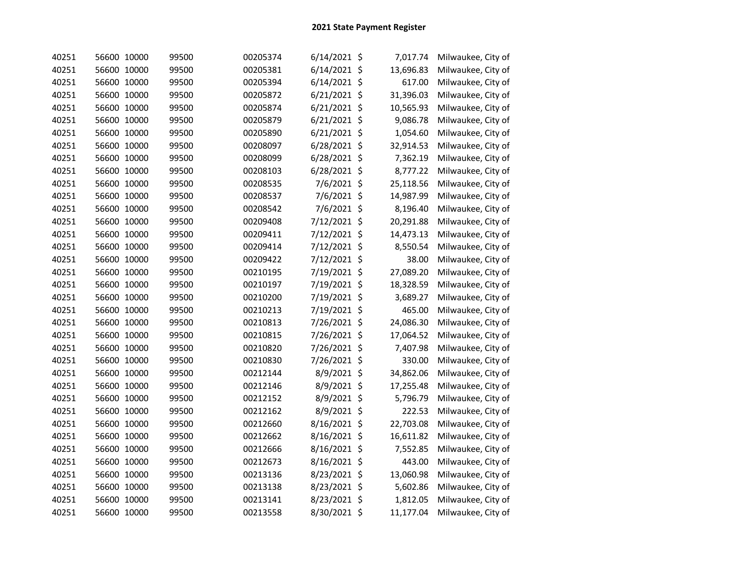| 40251 | 56600 10000 | 99500 | 00205374 | $6/14/2021$ \$ | 7,017.74  | Milwaukee, City of |
|-------|-------------|-------|----------|----------------|-----------|--------------------|
| 40251 | 56600 10000 | 99500 | 00205381 | 6/14/2021 \$   | 13,696.83 | Milwaukee, City of |
| 40251 | 56600 10000 | 99500 | 00205394 | 6/14/2021 \$   | 617.00    | Milwaukee, City of |
| 40251 | 56600 10000 | 99500 | 00205872 | 6/21/2021 \$   | 31,396.03 | Milwaukee, City of |
| 40251 | 56600 10000 | 99500 | 00205874 | 6/21/2021 \$   | 10,565.93 | Milwaukee, City of |
| 40251 | 56600 10000 | 99500 | 00205879 | 6/21/2021 \$   | 9,086.78  | Milwaukee, City of |
| 40251 | 56600 10000 | 99500 | 00205890 | 6/21/2021 \$   | 1,054.60  | Milwaukee, City of |
| 40251 | 56600 10000 | 99500 | 00208097 | 6/28/2021 \$   | 32,914.53 | Milwaukee, City of |
| 40251 | 56600 10000 | 99500 | 00208099 | 6/28/2021 \$   | 7,362.19  | Milwaukee, City of |
| 40251 | 56600 10000 | 99500 | 00208103 | 6/28/2021 \$   | 8,777.22  | Milwaukee, City of |
| 40251 | 56600 10000 | 99500 | 00208535 | 7/6/2021 \$    | 25,118.56 | Milwaukee, City of |
| 40251 | 56600 10000 | 99500 | 00208537 | 7/6/2021 \$    | 14,987.99 | Milwaukee, City of |
| 40251 | 56600 10000 | 99500 | 00208542 | 7/6/2021 \$    | 8,196.40  | Milwaukee, City of |
| 40251 | 56600 10000 | 99500 | 00209408 | 7/12/2021 \$   | 20,291.88 | Milwaukee, City of |
| 40251 | 56600 10000 | 99500 | 00209411 | 7/12/2021 \$   | 14,473.13 | Milwaukee, City of |
| 40251 | 56600 10000 | 99500 | 00209414 | 7/12/2021 \$   | 8,550.54  | Milwaukee, City of |
| 40251 | 56600 10000 | 99500 | 00209422 | 7/12/2021 \$   | 38.00     | Milwaukee, City of |
| 40251 | 56600 10000 | 99500 | 00210195 | 7/19/2021 \$   | 27,089.20 | Milwaukee, City of |
| 40251 | 56600 10000 | 99500 | 00210197 | 7/19/2021 \$   | 18,328.59 | Milwaukee, City of |
| 40251 | 56600 10000 | 99500 | 00210200 | 7/19/2021 \$   | 3,689.27  | Milwaukee, City of |
| 40251 | 56600 10000 | 99500 | 00210213 | 7/19/2021 \$   | 465.00    | Milwaukee, City of |
| 40251 | 56600 10000 | 99500 | 00210813 | 7/26/2021 \$   | 24,086.30 | Milwaukee, City of |
| 40251 | 56600 10000 | 99500 | 00210815 | 7/26/2021 \$   | 17,064.52 | Milwaukee, City of |
| 40251 | 56600 10000 | 99500 | 00210820 | 7/26/2021 \$   | 7,407.98  | Milwaukee, City of |
| 40251 | 56600 10000 | 99500 | 00210830 | 7/26/2021 \$   | 330.00    | Milwaukee, City of |
| 40251 | 56600 10000 | 99500 | 00212144 | 8/9/2021 \$    | 34,862.06 | Milwaukee, City of |
| 40251 | 56600 10000 | 99500 | 00212146 | 8/9/2021 \$    | 17,255.48 | Milwaukee, City of |
| 40251 | 56600 10000 | 99500 | 00212152 | 8/9/2021 \$    | 5,796.79  | Milwaukee, City of |
| 40251 | 56600 10000 | 99500 | 00212162 | 8/9/2021 \$    | 222.53    | Milwaukee, City of |
| 40251 | 56600 10000 | 99500 | 00212660 | 8/16/2021 \$   | 22,703.08 | Milwaukee, City of |
| 40251 | 56600 10000 | 99500 | 00212662 | 8/16/2021 \$   | 16,611.82 | Milwaukee, City of |
| 40251 | 56600 10000 | 99500 | 00212666 | 8/16/2021 \$   | 7,552.85  | Milwaukee, City of |
| 40251 | 56600 10000 | 99500 | 00212673 | 8/16/2021 \$   | 443.00    | Milwaukee, City of |
| 40251 | 56600 10000 | 99500 | 00213136 | 8/23/2021 \$   | 13,060.98 | Milwaukee, City of |
| 40251 | 56600 10000 | 99500 | 00213138 | 8/23/2021 \$   | 5,602.86  | Milwaukee, City of |
| 40251 | 56600 10000 | 99500 | 00213141 | 8/23/2021 \$   | 1,812.05  | Milwaukee, City of |
| 40251 | 56600 10000 | 99500 | 00213558 | 8/30/2021 \$   | 11,177.04 | Milwaukee, City of |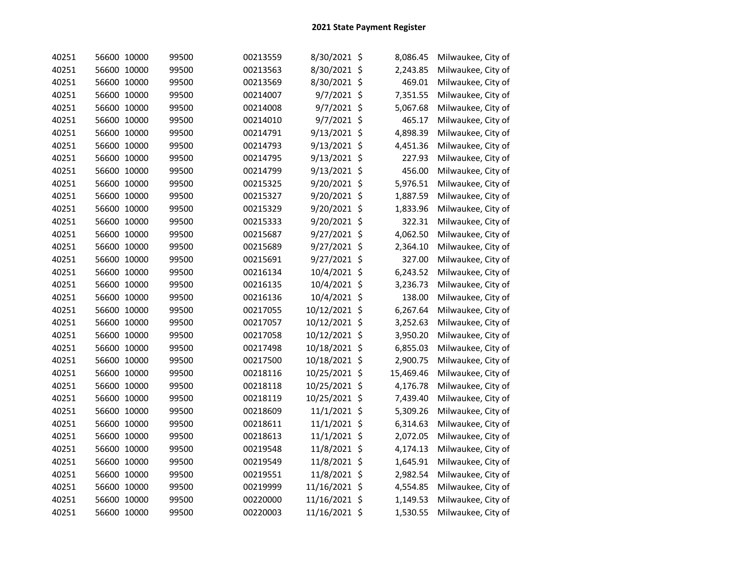| 40251 | 56600 10000 | 99500 | 00213559 | 8/30/2021 \$  | 8,086.45  | Milwaukee, City of |
|-------|-------------|-------|----------|---------------|-----------|--------------------|
| 40251 | 56600 10000 | 99500 | 00213563 | 8/30/2021 \$  | 2,243.85  | Milwaukee, City of |
| 40251 | 56600 10000 | 99500 | 00213569 | 8/30/2021 \$  | 469.01    | Milwaukee, City of |
| 40251 | 56600 10000 | 99500 | 00214007 | 9/7/2021 \$   | 7,351.55  | Milwaukee, City of |
| 40251 | 56600 10000 | 99500 | 00214008 | 9/7/2021 \$   | 5,067.68  | Milwaukee, City of |
| 40251 | 56600 10000 | 99500 | 00214010 | 9/7/2021 \$   | 465.17    | Milwaukee, City of |
| 40251 | 56600 10000 | 99500 | 00214791 | 9/13/2021 \$  | 4,898.39  | Milwaukee, City of |
| 40251 | 56600 10000 | 99500 | 00214793 | 9/13/2021 \$  | 4,451.36  | Milwaukee, City of |
| 40251 | 56600 10000 | 99500 | 00214795 | 9/13/2021 \$  | 227.93    | Milwaukee, City of |
| 40251 | 56600 10000 | 99500 | 00214799 | 9/13/2021 \$  | 456.00    | Milwaukee, City of |
| 40251 | 56600 10000 | 99500 | 00215325 | 9/20/2021 \$  | 5,976.51  | Milwaukee, City of |
| 40251 | 56600 10000 | 99500 | 00215327 | 9/20/2021 \$  | 1,887.59  | Milwaukee, City of |
| 40251 | 56600 10000 | 99500 | 00215329 | 9/20/2021 \$  | 1,833.96  | Milwaukee, City of |
| 40251 | 56600 10000 | 99500 | 00215333 | 9/20/2021 \$  | 322.31    | Milwaukee, City of |
| 40251 | 56600 10000 | 99500 | 00215687 | 9/27/2021 \$  | 4,062.50  | Milwaukee, City of |
| 40251 | 56600 10000 | 99500 | 00215689 | 9/27/2021 \$  | 2,364.10  | Milwaukee, City of |
| 40251 | 56600 10000 | 99500 | 00215691 | 9/27/2021 \$  | 327.00    | Milwaukee, City of |
| 40251 | 56600 10000 | 99500 | 00216134 | 10/4/2021 \$  | 6,243.52  | Milwaukee, City of |
| 40251 | 56600 10000 | 99500 | 00216135 | 10/4/2021 \$  | 3,236.73  | Milwaukee, City of |
| 40251 | 56600 10000 | 99500 | 00216136 | 10/4/2021 \$  | 138.00    | Milwaukee, City of |
| 40251 | 56600 10000 | 99500 | 00217055 | 10/12/2021 \$ | 6,267.64  | Milwaukee, City of |
| 40251 | 56600 10000 | 99500 | 00217057 | 10/12/2021 \$ | 3,252.63  | Milwaukee, City of |
| 40251 | 56600 10000 | 99500 | 00217058 | 10/12/2021 \$ | 3,950.20  | Milwaukee, City of |
| 40251 | 56600 10000 | 99500 | 00217498 | 10/18/2021 \$ | 6,855.03  | Milwaukee, City of |
| 40251 | 56600 10000 | 99500 | 00217500 | 10/18/2021 \$ | 2,900.75  | Milwaukee, City of |
| 40251 | 56600 10000 | 99500 | 00218116 | 10/25/2021 \$ | 15,469.46 | Milwaukee, City of |
| 40251 | 56600 10000 | 99500 | 00218118 | 10/25/2021 \$ | 4,176.78  | Milwaukee, City of |
| 40251 | 56600 10000 | 99500 | 00218119 | 10/25/2021 \$ | 7,439.40  | Milwaukee, City of |
| 40251 | 56600 10000 | 99500 | 00218609 | 11/1/2021 \$  | 5,309.26  | Milwaukee, City of |
| 40251 | 56600 10000 | 99500 | 00218611 | 11/1/2021 \$  | 6,314.63  | Milwaukee, City of |
| 40251 | 56600 10000 | 99500 | 00218613 | 11/1/2021 \$  | 2,072.05  | Milwaukee, City of |
| 40251 | 56600 10000 | 99500 | 00219548 | 11/8/2021 \$  | 4,174.13  | Milwaukee, City of |
| 40251 | 56600 10000 | 99500 | 00219549 | 11/8/2021 \$  | 1,645.91  | Milwaukee, City of |
| 40251 | 56600 10000 | 99500 | 00219551 | 11/8/2021 \$  | 2,982.54  | Milwaukee, City of |
| 40251 | 56600 10000 | 99500 | 00219999 | 11/16/2021 \$ | 4,554.85  | Milwaukee, City of |
| 40251 | 56600 10000 | 99500 | 00220000 | 11/16/2021 \$ | 1,149.53  | Milwaukee, City of |
| 40251 | 56600 10000 | 99500 | 00220003 | 11/16/2021 \$ | 1,530.55  | Milwaukee, City of |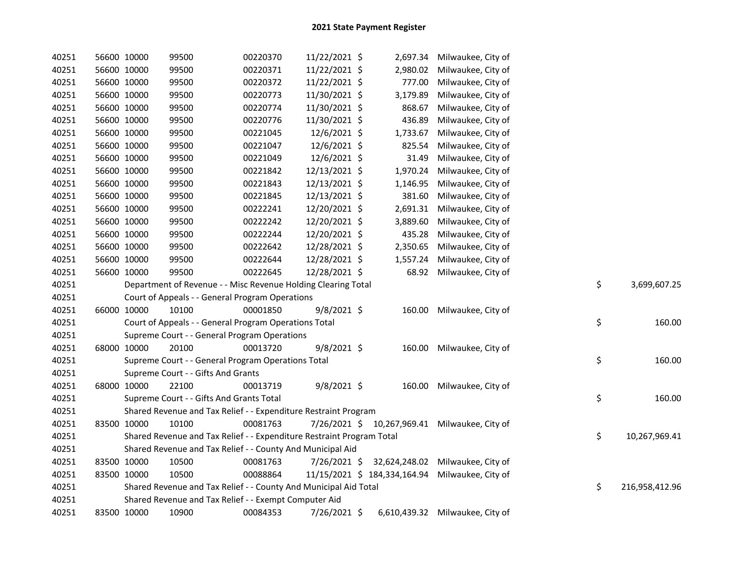| 40251 | 56600 10000 | 99500                                                                 | 00220370 | 11/22/2021 \$ |          | 2,697.34 Milwaukee, City of                     |    |                |
|-------|-------------|-----------------------------------------------------------------------|----------|---------------|----------|-------------------------------------------------|----|----------------|
| 40251 | 56600 10000 | 99500                                                                 | 00220371 | 11/22/2021 \$ | 2,980.02 | Milwaukee, City of                              |    |                |
| 40251 | 56600 10000 | 99500                                                                 | 00220372 | 11/22/2021 \$ | 777.00   | Milwaukee, City of                              |    |                |
| 40251 | 56600 10000 | 99500                                                                 | 00220773 | 11/30/2021 \$ | 3,179.89 | Milwaukee, City of                              |    |                |
| 40251 | 56600 10000 | 99500                                                                 | 00220774 | 11/30/2021 \$ | 868.67   | Milwaukee, City of                              |    |                |
| 40251 | 56600 10000 | 99500                                                                 | 00220776 | 11/30/2021 \$ | 436.89   | Milwaukee, City of                              |    |                |
| 40251 | 56600 10000 | 99500                                                                 | 00221045 | 12/6/2021 \$  | 1,733.67 | Milwaukee, City of                              |    |                |
| 40251 | 56600 10000 | 99500                                                                 | 00221047 | 12/6/2021 \$  | 825.54   | Milwaukee, City of                              |    |                |
| 40251 | 56600 10000 | 99500                                                                 | 00221049 | 12/6/2021 \$  | 31.49    | Milwaukee, City of                              |    |                |
| 40251 | 56600 10000 | 99500                                                                 | 00221842 | 12/13/2021 \$ | 1,970.24 | Milwaukee, City of                              |    |                |
| 40251 | 56600 10000 | 99500                                                                 | 00221843 | 12/13/2021 \$ | 1,146.95 | Milwaukee, City of                              |    |                |
| 40251 | 56600 10000 | 99500                                                                 | 00221845 | 12/13/2021 \$ | 381.60   | Milwaukee, City of                              |    |                |
| 40251 | 56600 10000 | 99500                                                                 | 00222241 | 12/20/2021 \$ | 2,691.31 | Milwaukee, City of                              |    |                |
| 40251 | 56600 10000 | 99500                                                                 | 00222242 | 12/20/2021 \$ | 3,889.60 | Milwaukee, City of                              |    |                |
| 40251 | 56600 10000 | 99500                                                                 | 00222244 | 12/20/2021 \$ | 435.28   | Milwaukee, City of                              |    |                |
| 40251 | 56600 10000 | 99500                                                                 | 00222642 | 12/28/2021 \$ | 2,350.65 | Milwaukee, City of                              |    |                |
| 40251 | 56600 10000 | 99500                                                                 | 00222644 | 12/28/2021 \$ | 1,557.24 | Milwaukee, City of                              |    |                |
| 40251 | 56600 10000 | 99500                                                                 | 00222645 | 12/28/2021 \$ |          | 68.92 Milwaukee, City of                        |    |                |
| 40251 |             | Department of Revenue - - Misc Revenue Holding Clearing Total         |          |               |          |                                                 | \$ | 3,699,607.25   |
| 40251 |             | Court of Appeals - - General Program Operations                       |          |               |          |                                                 |    |                |
| 40251 | 66000 10000 | 10100                                                                 | 00001850 | $9/8/2021$ \$ | 160.00   | Milwaukee, City of                              |    |                |
| 40251 |             | Court of Appeals - - General Program Operations Total                 |          |               |          |                                                 | \$ | 160.00         |
| 40251 |             | Supreme Court - - General Program Operations                          |          |               |          |                                                 |    |                |
| 40251 | 68000 10000 | 20100                                                                 | 00013720 | 9/8/2021 \$   | 160.00   | Milwaukee, City of                              |    |                |
| 40251 |             | Supreme Court - - General Program Operations Total                    |          |               |          |                                                 | \$ | 160.00         |
| 40251 |             | Supreme Court - - Gifts And Grants                                    |          |               |          |                                                 |    |                |
| 40251 | 68000 10000 | 22100                                                                 | 00013719 | 9/8/2021 \$   | 160.00   | Milwaukee, City of                              |    |                |
| 40251 |             | Supreme Court - - Gifts And Grants Total                              |          |               |          |                                                 | \$ | 160.00         |
| 40251 |             | Shared Revenue and Tax Relief - - Expenditure Restraint Program       |          |               |          |                                                 |    |                |
| 40251 | 83500 10000 | 10100                                                                 | 00081763 |               |          | 7/26/2021 \$ 10,267,969.41 Milwaukee, City of   |    |                |
| 40251 |             | Shared Revenue and Tax Relief - - Expenditure Restraint Program Total |          |               |          |                                                 | \$ | 10,267,969.41  |
| 40251 |             | Shared Revenue and Tax Relief - - County And Municipal Aid            |          |               |          |                                                 |    |                |
| 40251 | 83500 10000 | 10500                                                                 | 00081763 |               |          | 7/26/2021 \$ 32,624,248.02 Milwaukee, City of   |    |                |
| 40251 | 83500 10000 | 10500                                                                 | 00088864 |               |          | 11/15/2021 \$ 184,334,164.94 Milwaukee, City of |    |                |
| 40251 |             | Shared Revenue and Tax Relief - - County And Municipal Aid Total      |          |               |          |                                                 | \$ | 216,958,412.96 |
| 40251 |             | Shared Revenue and Tax Relief - - Exempt Computer Aid                 |          |               |          |                                                 |    |                |
| 40251 | 83500 10000 | 10900                                                                 | 00084353 | 7/26/2021 \$  |          | 6,610,439.32 Milwaukee, City of                 |    |                |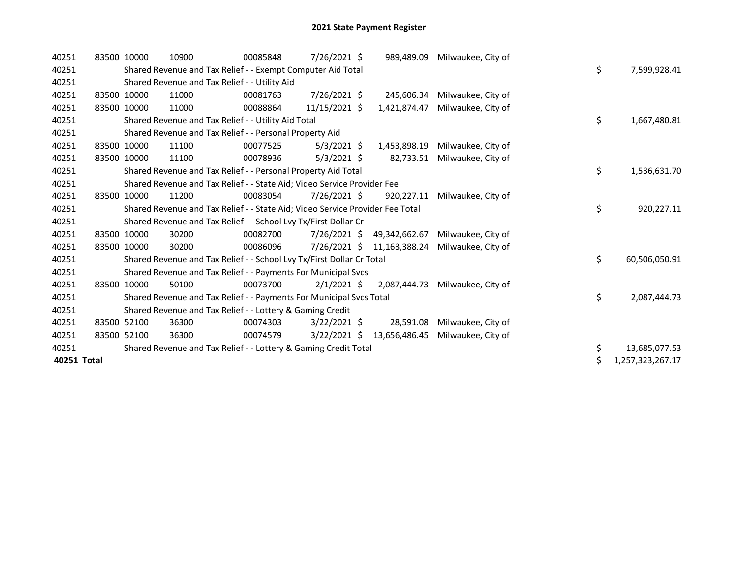| 40251       | 83500 10000 | 10900 | 00085848                                                                      | 7/26/2021 \$   | 989,489.09    | Milwaukee, City of |    |                  |
|-------------|-------------|-------|-------------------------------------------------------------------------------|----------------|---------------|--------------------|----|------------------|
| 40251       |             |       | Shared Revenue and Tax Relief - - Exempt Computer Aid Total                   |                |               |                    | \$ | 7,599,928.41     |
| 40251       |             |       | Shared Revenue and Tax Relief - - Utility Aid                                 |                |               |                    |    |                  |
| 40251       | 83500 10000 | 11000 | 00081763                                                                      | 7/26/2021 \$   | 245,606.34    | Milwaukee, City of |    |                  |
| 40251       | 83500 10000 | 11000 | 00088864                                                                      | 11/15/2021 \$  | 1,421,874.47  | Milwaukee, City of |    |                  |
| 40251       |             |       | Shared Revenue and Tax Relief - - Utility Aid Total                           |                |               |                    | \$ | 1,667,480.81     |
| 40251       |             |       | Shared Revenue and Tax Relief - - Personal Property Aid                       |                |               |                    |    |                  |
| 40251       | 83500 10000 | 11100 | 00077525                                                                      | $5/3/2021$ \$  | 1,453,898.19  | Milwaukee, City of |    |                  |
| 40251       | 83500 10000 | 11100 | 00078936                                                                      | $5/3/2021$ \$  | 82,733.51     | Milwaukee, City of |    |                  |
| 40251       |             |       | Shared Revenue and Tax Relief - - Personal Property Aid Total                 |                |               |                    | \$ | 1,536,631.70     |
| 40251       |             |       | Shared Revenue and Tax Relief - - State Aid; Video Service Provider Fee       |                |               |                    |    |                  |
| 40251       | 83500 10000 | 11200 | 00083054                                                                      | 7/26/2021 \$   | 920,227.11    | Milwaukee, City of |    |                  |
| 40251       |             |       | Shared Revenue and Tax Relief - - State Aid; Video Service Provider Fee Total |                |               |                    | \$ | 920,227.11       |
| 40251       |             |       | Shared Revenue and Tax Relief - - School Lvy Tx/First Dollar Cr               |                |               |                    |    |                  |
| 40251       | 83500 10000 | 30200 | 00082700                                                                      | 7/26/2021 \$   | 49,342,662.67 | Milwaukee, City of |    |                  |
| 40251       | 83500 10000 | 30200 | 00086096                                                                      | 7/26/2021 \$   | 11,163,388.24 | Milwaukee, City of |    |                  |
| 40251       |             |       | Shared Revenue and Tax Relief - - School Lvy Tx/First Dollar Cr Total         |                |               |                    | \$ | 60,506,050.91    |
| 40251       |             |       | Shared Revenue and Tax Relief - - Payments For Municipal Svcs                 |                |               |                    |    |                  |
| 40251       | 83500 10000 | 50100 | 00073700                                                                      | $2/1/2021$ \$  | 2,087,444.73  | Milwaukee, City of |    |                  |
| 40251       |             |       | Shared Revenue and Tax Relief - - Payments For Municipal Svcs Total           |                |               |                    | \$ | 2,087,444.73     |
| 40251       |             |       | Shared Revenue and Tax Relief - - Lottery & Gaming Credit                     |                |               |                    |    |                  |
| 40251       | 83500 52100 | 36300 | 00074303                                                                      | $3/22/2021$ \$ | 28,591.08     | Milwaukee, City of |    |                  |
| 40251       | 83500 52100 | 36300 | 00074579                                                                      | $3/22/2021$ \$ | 13,656,486.45 | Milwaukee, City of |    |                  |
| 40251       |             |       | Shared Revenue and Tax Relief - - Lottery & Gaming Credit Total               |                |               |                    | \$ | 13,685,077.53    |
| 40251 Total |             |       |                                                                               |                |               |                    | \$ | 1,257,323,267.17 |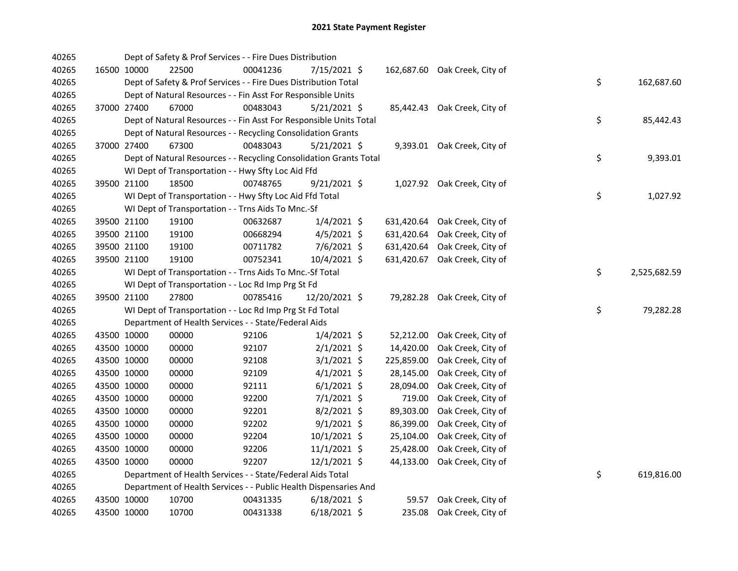| 40265 |             |             | Dept of Safety & Prof Services - - Fire Dues Distribution          |          |                |            |                               |    |              |
|-------|-------------|-------------|--------------------------------------------------------------------|----------|----------------|------------|-------------------------------|----|--------------|
| 40265 |             | 16500 10000 | 22500                                                              | 00041236 | 7/15/2021 \$   |            | 162,687.60 Oak Creek, City of |    |              |
| 40265 |             |             | Dept of Safety & Prof Services - - Fire Dues Distribution Total    |          |                |            |                               | \$ | 162,687.60   |
| 40265 |             |             | Dept of Natural Resources - - Fin Asst For Responsible Units       |          |                |            |                               |    |              |
| 40265 |             | 37000 27400 | 67000                                                              | 00483043 | $5/21/2021$ \$ |            | 85,442.43 Oak Creek, City of  |    |              |
| 40265 |             |             | Dept of Natural Resources - - Fin Asst For Responsible Units Total |          |                |            |                               | \$ | 85,442.43    |
| 40265 |             |             | Dept of Natural Resources - - Recycling Consolidation Grants       |          |                |            |                               |    |              |
| 40265 |             | 37000 27400 | 67300                                                              | 00483043 | $5/21/2021$ \$ |            | 9,393.01 Oak Creek, City of   |    |              |
| 40265 |             |             | Dept of Natural Resources - - Recycling Consolidation Grants Total |          |                |            |                               | \$ | 9,393.01     |
| 40265 |             |             | WI Dept of Transportation - - Hwy Sfty Loc Aid Ffd                 |          |                |            |                               |    |              |
| 40265 |             | 39500 21100 | 18500                                                              | 00748765 | $9/21/2021$ \$ |            | 1,027.92 Oak Creek, City of   |    |              |
| 40265 |             |             | WI Dept of Transportation - - Hwy Sfty Loc Aid Ffd Total           |          |                |            |                               | \$ | 1,027.92     |
| 40265 |             |             | WI Dept of Transportation - - Trns Aids To Mnc.-Sf                 |          |                |            |                               |    |              |
| 40265 |             | 39500 21100 | 19100                                                              | 00632687 | $1/4/2021$ \$  | 631,420.64 | Oak Creek, City of            |    |              |
| 40265 |             | 39500 21100 | 19100                                                              | 00668294 | $4/5/2021$ \$  | 631,420.64 | Oak Creek, City of            |    |              |
| 40265 |             | 39500 21100 | 19100                                                              | 00711782 | 7/6/2021 \$    | 631,420.64 | Oak Creek, City of            |    |              |
| 40265 |             | 39500 21100 | 19100                                                              | 00752341 | 10/4/2021 \$   | 631,420.67 | Oak Creek, City of            |    |              |
| 40265 |             |             | WI Dept of Transportation - - Trns Aids To Mnc.-Sf Total           |          |                |            |                               | \$ | 2,525,682.59 |
| 40265 |             |             | WI Dept of Transportation - - Loc Rd Imp Prg St Fd                 |          |                |            |                               |    |              |
| 40265 |             | 39500 21100 | 27800                                                              | 00785416 | 12/20/2021 \$  |            | 79,282.28 Oak Creek, City of  |    |              |
| 40265 |             |             | WI Dept of Transportation - - Loc Rd Imp Prg St Fd Total           |          |                |            |                               | \$ | 79,282.28    |
| 40265 |             |             | Department of Health Services - - State/Federal Aids               |          |                |            |                               |    |              |
| 40265 |             | 43500 10000 | 00000                                                              | 92106    | $1/4/2021$ \$  | 52,212.00  | Oak Creek, City of            |    |              |
| 40265 |             | 43500 10000 | 00000                                                              | 92107    | $2/1/2021$ \$  | 14,420.00  | Oak Creek, City of            |    |              |
| 40265 |             | 43500 10000 | 00000                                                              | 92108    | $3/1/2021$ \$  | 225,859.00 | Oak Creek, City of            |    |              |
| 40265 |             | 43500 10000 | 00000                                                              | 92109    | $4/1/2021$ \$  | 28,145.00  | Oak Creek, City of            |    |              |
| 40265 |             | 43500 10000 | 00000                                                              | 92111    | $6/1/2021$ \$  | 28,094.00  | Oak Creek, City of            |    |              |
| 40265 |             | 43500 10000 | 00000                                                              | 92200    | $7/1/2021$ \$  | 719.00     | Oak Creek, City of            |    |              |
| 40265 |             | 43500 10000 | 00000                                                              | 92201    | $8/2/2021$ \$  | 89,303.00  | Oak Creek, City of            |    |              |
| 40265 |             | 43500 10000 | 00000                                                              | 92202    | $9/1/2021$ \$  | 86,399.00  | Oak Creek, City of            |    |              |
| 40265 |             | 43500 10000 | 00000                                                              | 92204    | $10/1/2021$ \$ | 25,104.00  | Oak Creek, City of            |    |              |
| 40265 |             | 43500 10000 | 00000                                                              | 92206    | $11/1/2021$ \$ | 25,428.00  | Oak Creek, City of            |    |              |
| 40265 | 43500 10000 |             | 00000                                                              | 92207    | $12/1/2021$ \$ | 44,133.00  | Oak Creek, City of            |    |              |
| 40265 |             |             | Department of Health Services - - State/Federal Aids Total         |          |                |            |                               | \$ | 619,816.00   |
| 40265 |             |             | Department of Health Services - - Public Health Dispensaries And   |          |                |            |                               |    |              |
| 40265 |             | 43500 10000 | 10700                                                              | 00431335 | $6/18/2021$ \$ | 59.57      | Oak Creek, City of            |    |              |
| 40265 | 43500 10000 |             | 10700                                                              | 00431338 | $6/18/2021$ \$ | 235.08     | Oak Creek, City of            |    |              |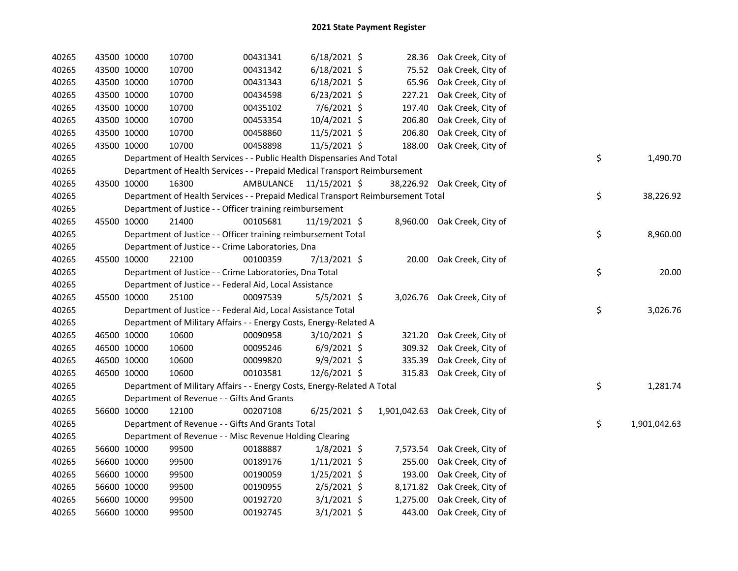| 40265 | 43500 10000 | 10700                                                                           | 00431341                | $6/18/2021$ \$ |          | 28.36 Oak Creek, City of        |    |              |
|-------|-------------|---------------------------------------------------------------------------------|-------------------------|----------------|----------|---------------------------------|----|--------------|
| 40265 | 43500 10000 | 10700                                                                           | 00431342                | $6/18/2021$ \$ | 75.52    | Oak Creek, City of              |    |              |
| 40265 | 43500 10000 | 10700                                                                           | 00431343                | $6/18/2021$ \$ | 65.96    | Oak Creek, City of              |    |              |
| 40265 | 43500 10000 | 10700                                                                           | 00434598                | $6/23/2021$ \$ | 227.21   | Oak Creek, City of              |    |              |
| 40265 | 43500 10000 | 10700                                                                           | 00435102                | 7/6/2021 \$    | 197.40   | Oak Creek, City of              |    |              |
| 40265 | 43500 10000 | 10700                                                                           | 00453354                | 10/4/2021 \$   | 206.80   | Oak Creek, City of              |    |              |
| 40265 | 43500 10000 | 10700                                                                           | 00458860                | 11/5/2021 \$   | 206.80   | Oak Creek, City of              |    |              |
| 40265 | 43500 10000 | 10700                                                                           | 00458898                | 11/5/2021 \$   | 188.00   | Oak Creek, City of              |    |              |
| 40265 |             | Department of Health Services - - Public Health Dispensaries And Total          |                         |                |          |                                 | \$ | 1,490.70     |
| 40265 |             | Department of Health Services - - Prepaid Medical Transport Reimbursement       |                         |                |          |                                 |    |              |
| 40265 | 43500 10000 | 16300                                                                           | AMBULANCE 11/15/2021 \$ |                |          | 38,226.92 Oak Creek, City of    |    |              |
| 40265 |             | Department of Health Services - - Prepaid Medical Transport Reimbursement Total |                         |                |          |                                 | \$ | 38,226.92    |
| 40265 |             | Department of Justice - - Officer training reimbursement                        |                         |                |          |                                 |    |              |
| 40265 | 45500 10000 | 21400                                                                           | 00105681                | 11/19/2021 \$  |          | 8,960.00 Oak Creek, City of     |    |              |
| 40265 |             | Department of Justice - - Officer training reimbursement Total                  |                         |                |          |                                 | \$ | 8,960.00     |
| 40265 |             | Department of Justice - - Crime Laboratories, Dna                               |                         |                |          |                                 |    |              |
| 40265 | 45500 10000 | 22100                                                                           | 00100359                | $7/13/2021$ \$ |          | 20.00 Oak Creek, City of        |    |              |
| 40265 |             | Department of Justice - - Crime Laboratories, Dna Total                         |                         |                |          |                                 | \$ | 20.00        |
| 40265 |             | Department of Justice - - Federal Aid, Local Assistance                         |                         |                |          |                                 |    |              |
| 40265 | 45500 10000 | 25100                                                                           | 00097539                | $5/5/2021$ \$  |          | 3,026.76 Oak Creek, City of     |    |              |
| 40265 |             | Department of Justice - - Federal Aid, Local Assistance Total                   |                         |                |          |                                 | \$ | 3,026.76     |
| 40265 |             | Department of Military Affairs - - Energy Costs, Energy-Related A               |                         |                |          |                                 |    |              |
| 40265 | 46500 10000 | 10600                                                                           | 00090958                | $3/10/2021$ \$ |          | 321.20 Oak Creek, City of       |    |              |
| 40265 | 46500 10000 | 10600                                                                           | 00095246                | $6/9/2021$ \$  | 309.32   | Oak Creek, City of              |    |              |
| 40265 | 46500 10000 | 10600                                                                           | 00099820                | 9/9/2021 \$    | 335.39   | Oak Creek, City of              |    |              |
| 40265 | 46500 10000 | 10600                                                                           | 00103581                | 12/6/2021 \$   |          | 315.83 Oak Creek, City of       |    |              |
| 40265 |             | Department of Military Affairs - - Energy Costs, Energy-Related A Total         |                         |                |          |                                 | \$ | 1,281.74     |
| 40265 |             | Department of Revenue - - Gifts And Grants                                      |                         |                |          |                                 |    |              |
| 40265 | 56600 10000 | 12100                                                                           | 00207108                | $6/25/2021$ \$ |          | 1,901,042.63 Oak Creek, City of |    |              |
| 40265 |             | Department of Revenue - - Gifts And Grants Total                                |                         |                |          |                                 | \$ | 1,901,042.63 |
| 40265 |             | Department of Revenue - - Misc Revenue Holding Clearing                         |                         |                |          |                                 |    |              |
| 40265 | 56600 10000 | 99500                                                                           | 00188887                | $1/8/2021$ \$  |          | 7,573.54 Oak Creek, City of     |    |              |
| 40265 | 56600 10000 | 99500                                                                           | 00189176                | $1/11/2021$ \$ | 255.00   | Oak Creek, City of              |    |              |
| 40265 | 56600 10000 | 99500                                                                           | 00190059                | $1/25/2021$ \$ | 193.00   | Oak Creek, City of              |    |              |
| 40265 | 56600 10000 | 99500                                                                           | 00190955                | $2/5/2021$ \$  | 8,171.82 | Oak Creek, City of              |    |              |
| 40265 | 56600 10000 | 99500                                                                           | 00192720                | $3/1/2021$ \$  | 1,275.00 | Oak Creek, City of              |    |              |
| 40265 | 56600 10000 | 99500                                                                           | 00192745                | $3/1/2021$ \$  | 443.00   | Oak Creek, City of              |    |              |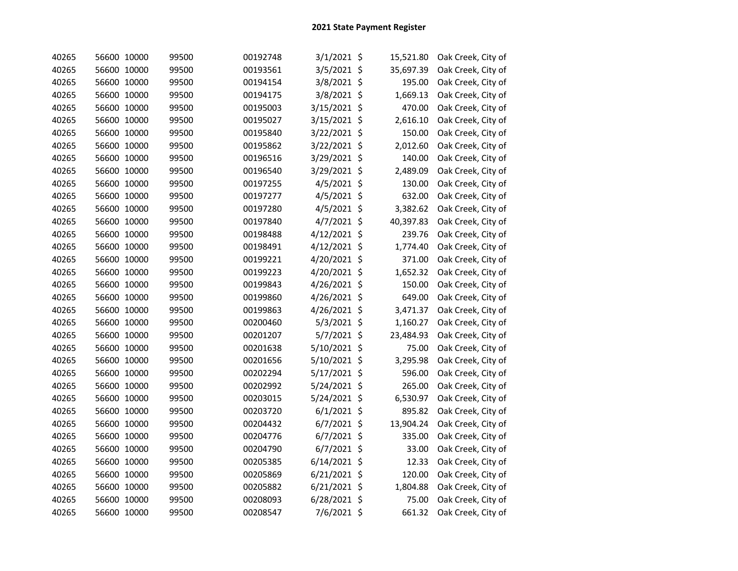| 40265 | 56600 10000 | 99500 | 00192748 | $3/1/2021$ \$  | 15,521.80 | Oak Creek, City of |
|-------|-------------|-------|----------|----------------|-----------|--------------------|
| 40265 | 56600 10000 | 99500 | 00193561 | 3/5/2021 \$    | 35,697.39 | Oak Creek, City of |
| 40265 | 56600 10000 | 99500 | 00194154 | 3/8/2021 \$    | 195.00    | Oak Creek, City of |
| 40265 | 56600 10000 | 99500 | 00194175 | 3/8/2021 \$    | 1,669.13  | Oak Creek, City of |
| 40265 | 56600 10000 | 99500 | 00195003 | 3/15/2021 \$   | 470.00    | Oak Creek, City of |
| 40265 | 56600 10000 | 99500 | 00195027 | 3/15/2021 \$   | 2,616.10  | Oak Creek, City of |
| 40265 | 56600 10000 | 99500 | 00195840 | 3/22/2021 \$   | 150.00    | Oak Creek, City of |
| 40265 | 56600 10000 | 99500 | 00195862 | 3/22/2021 \$   | 2,012.60  | Oak Creek, City of |
| 40265 | 56600 10000 | 99500 | 00196516 | 3/29/2021 \$   | 140.00    | Oak Creek, City of |
| 40265 | 56600 10000 | 99500 | 00196540 | 3/29/2021 \$   | 2,489.09  | Oak Creek, City of |
| 40265 | 56600 10000 | 99500 | 00197255 | 4/5/2021 \$    | 130.00    | Oak Creek, City of |
| 40265 | 56600 10000 | 99500 | 00197277 | 4/5/2021 \$    | 632.00    | Oak Creek, City of |
| 40265 | 56600 10000 | 99500 | 00197280 | $4/5/2021$ \$  | 3,382.62  | Oak Creek, City of |
| 40265 | 56600 10000 | 99500 | 00197840 | $4/7/2021$ \$  | 40,397.83 | Oak Creek, City of |
| 40265 | 56600 10000 | 99500 | 00198488 | 4/12/2021 \$   | 239.76    | Oak Creek, City of |
| 40265 | 56600 10000 | 99500 | 00198491 | 4/12/2021 \$   | 1,774.40  | Oak Creek, City of |
| 40265 | 56600 10000 | 99500 | 00199221 | 4/20/2021 \$   | 371.00    | Oak Creek, City of |
| 40265 | 56600 10000 | 99500 | 00199223 | 4/20/2021 \$   | 1,652.32  | Oak Creek, City of |
| 40265 | 56600 10000 | 99500 | 00199843 | 4/26/2021 \$   | 150.00    | Oak Creek, City of |
| 40265 | 56600 10000 | 99500 | 00199860 | 4/26/2021 \$   | 649.00    | Oak Creek, City of |
| 40265 | 56600 10000 | 99500 | 00199863 | 4/26/2021 \$   | 3,471.37  | Oak Creek, City of |
| 40265 | 56600 10000 | 99500 | 00200460 | $5/3/2021$ \$  | 1,160.27  | Oak Creek, City of |
| 40265 | 56600 10000 | 99500 | 00201207 | 5/7/2021 \$    | 23,484.93 | Oak Creek, City of |
| 40265 | 56600 10000 | 99500 | 00201638 | 5/10/2021 \$   | 75.00     | Oak Creek, City of |
| 40265 | 56600 10000 | 99500 | 00201656 | 5/10/2021 \$   | 3,295.98  | Oak Creek, City of |
| 40265 | 56600 10000 | 99500 | 00202294 | 5/17/2021 \$   | 596.00    | Oak Creek, City of |
| 40265 | 56600 10000 | 99500 | 00202992 | 5/24/2021 \$   | 265.00    | Oak Creek, City of |
| 40265 | 56600 10000 | 99500 | 00203015 | 5/24/2021 \$   | 6,530.97  | Oak Creek, City of |
| 40265 | 56600 10000 | 99500 | 00203720 | $6/1/2021$ \$  | 895.82    | Oak Creek, City of |
| 40265 | 56600 10000 | 99500 | 00204432 | $6/7/2021$ \$  | 13,904.24 | Oak Creek, City of |
| 40265 | 56600 10000 | 99500 | 00204776 | $6/7/2021$ \$  | 335.00    | Oak Creek, City of |
| 40265 | 56600 10000 | 99500 | 00204790 | $6/7/2021$ \$  | 33.00     | Oak Creek, City of |
| 40265 | 56600 10000 | 99500 | 00205385 | $6/14/2021$ \$ | 12.33     | Oak Creek, City of |
| 40265 | 56600 10000 | 99500 | 00205869 | 6/21/2021 \$   | 120.00    | Oak Creek, City of |
| 40265 | 56600 10000 | 99500 | 00205882 | 6/21/2021 \$   | 1,804.88  | Oak Creek, City of |
| 40265 | 56600 10000 | 99500 | 00208093 | 6/28/2021 \$   | 75.00     | Oak Creek, City of |
| 40265 | 56600 10000 | 99500 | 00208547 | 7/6/2021 \$    | 661.32    | Oak Creek, City of |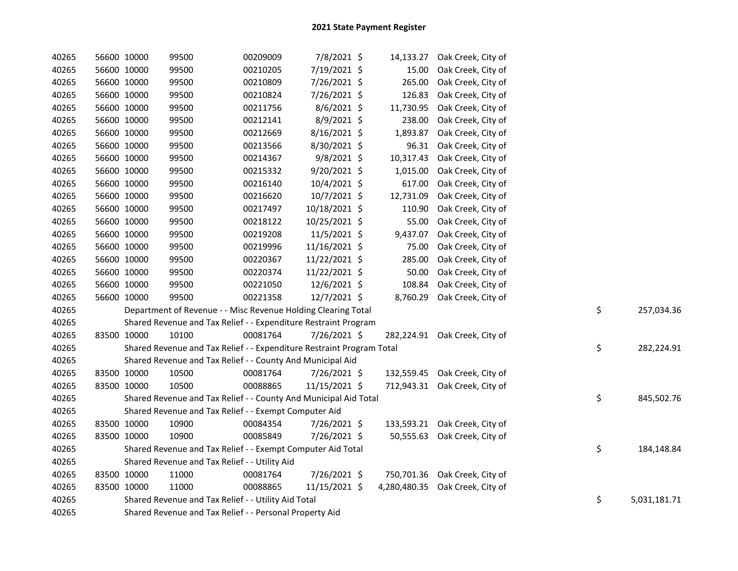| 40265 | 56600 10000 | 99500                                                                 | 00209009 | 7/8/2021 \$    | 14,133.27    | Oak Creek, City of            |    |              |
|-------|-------------|-----------------------------------------------------------------------|----------|----------------|--------------|-------------------------------|----|--------------|
| 40265 | 56600 10000 | 99500                                                                 | 00210205 | 7/19/2021 \$   | 15.00        | Oak Creek, City of            |    |              |
| 40265 | 56600 10000 | 99500                                                                 | 00210809 | 7/26/2021 \$   | 265.00       | Oak Creek, City of            |    |              |
| 40265 | 56600 10000 | 99500                                                                 | 00210824 | 7/26/2021 \$   | 126.83       | Oak Creek, City of            |    |              |
| 40265 | 56600 10000 | 99500                                                                 | 00211756 | $8/6/2021$ \$  | 11,730.95    | Oak Creek, City of            |    |              |
| 40265 | 56600 10000 | 99500                                                                 | 00212141 | $8/9/2021$ \$  | 238.00       | Oak Creek, City of            |    |              |
| 40265 | 56600 10000 | 99500                                                                 | 00212669 | $8/16/2021$ \$ | 1,893.87     | Oak Creek, City of            |    |              |
| 40265 | 56600 10000 | 99500                                                                 | 00213566 | 8/30/2021 \$   | 96.31        | Oak Creek, City of            |    |              |
| 40265 | 56600 10000 | 99500                                                                 | 00214367 | $9/8/2021$ \$  | 10,317.43    | Oak Creek, City of            |    |              |
| 40265 | 56600 10000 | 99500                                                                 | 00215332 | 9/20/2021 \$   | 1,015.00     | Oak Creek, City of            |    |              |
| 40265 | 56600 10000 | 99500                                                                 | 00216140 | 10/4/2021 \$   | 617.00       | Oak Creek, City of            |    |              |
| 40265 | 56600 10000 | 99500                                                                 | 00216620 | $10/7/2021$ \$ | 12,731.09    | Oak Creek, City of            |    |              |
| 40265 | 56600 10000 | 99500                                                                 | 00217497 | 10/18/2021 \$  | 110.90       | Oak Creek, City of            |    |              |
| 40265 | 56600 10000 | 99500                                                                 | 00218122 | 10/25/2021 \$  | 55.00        | Oak Creek, City of            |    |              |
| 40265 | 56600 10000 | 99500                                                                 | 00219208 | 11/5/2021 \$   | 9,437.07     | Oak Creek, City of            |    |              |
| 40265 | 56600 10000 | 99500                                                                 | 00219996 | 11/16/2021 \$  | 75.00        | Oak Creek, City of            |    |              |
| 40265 | 56600 10000 | 99500                                                                 | 00220367 | 11/22/2021 \$  | 285.00       | Oak Creek, City of            |    |              |
| 40265 | 56600 10000 | 99500                                                                 | 00220374 | 11/22/2021 \$  | 50.00        | Oak Creek, City of            |    |              |
| 40265 | 56600 10000 | 99500                                                                 | 00221050 | 12/6/2021 \$   | 108.84       | Oak Creek, City of            |    |              |
| 40265 | 56600 10000 | 99500                                                                 | 00221358 | $12/7/2021$ \$ | 8,760.29     | Oak Creek, City of            |    |              |
| 40265 |             | Department of Revenue - - Misc Revenue Holding Clearing Total         |          |                |              |                               | \$ | 257,034.36   |
| 40265 |             | Shared Revenue and Tax Relief - - Expenditure Restraint Program       |          |                |              |                               |    |              |
| 40265 | 83500 10000 | 10100                                                                 | 00081764 | 7/26/2021 \$   |              | 282,224.91 Oak Creek, City of |    |              |
| 40265 |             | Shared Revenue and Tax Relief - - Expenditure Restraint Program Total |          |                |              |                               | \$ | 282,224.91   |
| 40265 |             | Shared Revenue and Tax Relief - - County And Municipal Aid            |          |                |              |                               |    |              |
| 40265 | 83500 10000 | 10500                                                                 | 00081764 | 7/26/2021 \$   |              | 132,559.45 Oak Creek, City of |    |              |
| 40265 | 83500 10000 | 10500                                                                 | 00088865 | 11/15/2021 \$  |              | 712,943.31 Oak Creek, City of |    |              |
| 40265 |             | Shared Revenue and Tax Relief - - County And Municipal Aid Total      |          |                |              |                               | \$ | 845,502.76   |
| 40265 |             | Shared Revenue and Tax Relief - - Exempt Computer Aid                 |          |                |              |                               |    |              |
| 40265 | 83500 10000 | 10900                                                                 | 00084354 | 7/26/2021 \$   |              | 133,593.21 Oak Creek, City of |    |              |
| 40265 | 83500 10000 | 10900                                                                 | 00085849 | 7/26/2021 \$   |              | 50,555.63 Oak Creek, City of  |    |              |
| 40265 |             | Shared Revenue and Tax Relief - - Exempt Computer Aid Total           |          |                |              |                               | \$ | 184,148.84   |
| 40265 |             | Shared Revenue and Tax Relief - - Utility Aid                         |          |                |              |                               |    |              |
| 40265 | 83500 10000 | 11000                                                                 | 00081764 | 7/26/2021 \$   |              | 750,701.36 Oak Creek, City of |    |              |
| 40265 | 83500 10000 | 11000                                                                 | 00088865 | 11/15/2021 \$  | 4,280,480.35 | Oak Creek, City of            |    |              |
| 40265 |             | Shared Revenue and Tax Relief - - Utility Aid Total                   |          |                |              |                               | \$ | 5,031,181.71 |
| 40265 |             | Shared Revenue and Tax Relief - - Personal Property Aid               |          |                |              |                               |    |              |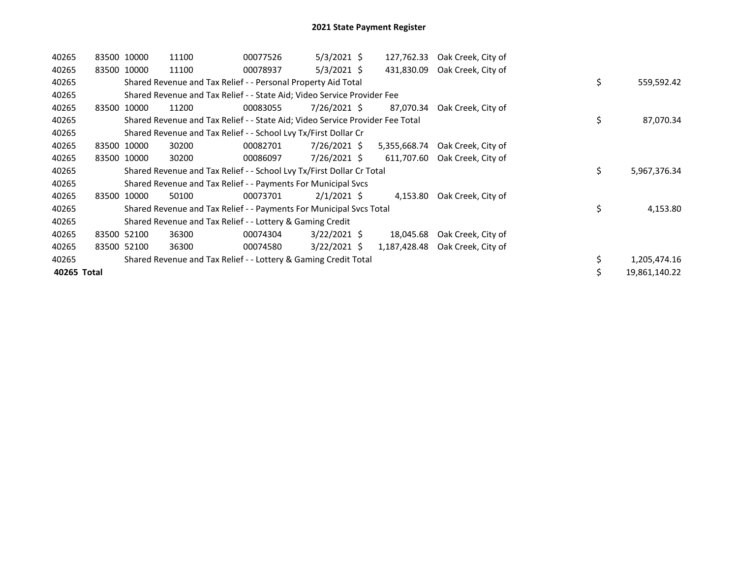| 40265 |       | 83500 10000 | 11100                                                                         | 00077526 | $5/3/2021$ \$  | 127,762.33   | Oak Creek, City of |                    |
|-------|-------|-------------|-------------------------------------------------------------------------------|----------|----------------|--------------|--------------------|--------------------|
| 40265 |       | 83500 10000 | 11100                                                                         | 00078937 | $5/3/2021$ \$  | 431,830.09   | Oak Creek, City of |                    |
| 40265 |       |             | Shared Revenue and Tax Relief - - Personal Property Aid Total                 |          |                |              |                    | \$<br>559,592.42   |
| 40265 |       |             | Shared Revenue and Tax Relief - - State Aid; Video Service Provider Fee       |          |                |              |                    |                    |
| 40265 |       | 83500 10000 | 11200                                                                         | 00083055 | 7/26/2021 \$   | 87,070.34    | Oak Creek, City of |                    |
| 40265 |       |             | Shared Revenue and Tax Relief - - State Aid; Video Service Provider Fee Total |          |                |              |                    | \$<br>87,070.34    |
| 40265 |       |             | Shared Revenue and Tax Relief - - School Lvy Tx/First Dollar Cr               |          |                |              |                    |                    |
| 40265 |       | 83500 10000 | 30200                                                                         | 00082701 | 7/26/2021 \$   | 5,355,668.74 | Oak Creek, City of |                    |
| 40265 |       | 83500 10000 | 30200                                                                         | 00086097 | 7/26/2021 \$   | 611,707.60   | Oak Creek, City of |                    |
| 40265 |       |             | Shared Revenue and Tax Relief - - School Lvy Tx/First Dollar Cr Total         |          |                |              |                    | \$<br>5,967,376.34 |
| 40265 |       |             | Shared Revenue and Tax Relief - - Payments For Municipal Svcs                 |          |                |              |                    |                    |
| 40265 | 83500 | 10000       | 50100                                                                         | 00073701 | $2/1/2021$ \$  | 4,153.80     | Oak Creek, City of |                    |
| 40265 |       |             | Shared Revenue and Tax Relief - - Payments For Municipal Svcs Total           |          |                |              |                    | \$<br>4,153.80     |
| 40265 |       |             | Shared Revenue and Tax Relief - - Lottery & Gaming Credit                     |          |                |              |                    |                    |
| 40265 |       | 83500 52100 | 36300                                                                         | 00074304 | $3/22/2021$ \$ | 18,045.68    | Oak Creek, City of |                    |
|       |       |             |                                                                               |          |                | 1,187,428.48 | Oak Creek, City of |                    |
| 40265 |       | 83500 52100 | 36300                                                                         | 00074580 | $3/22/2021$ \$ |              |                    |                    |
| 40265 |       |             | Shared Revenue and Tax Relief - - Lottery & Gaming Credit Total               |          |                |              |                    | 1,205,474.16       |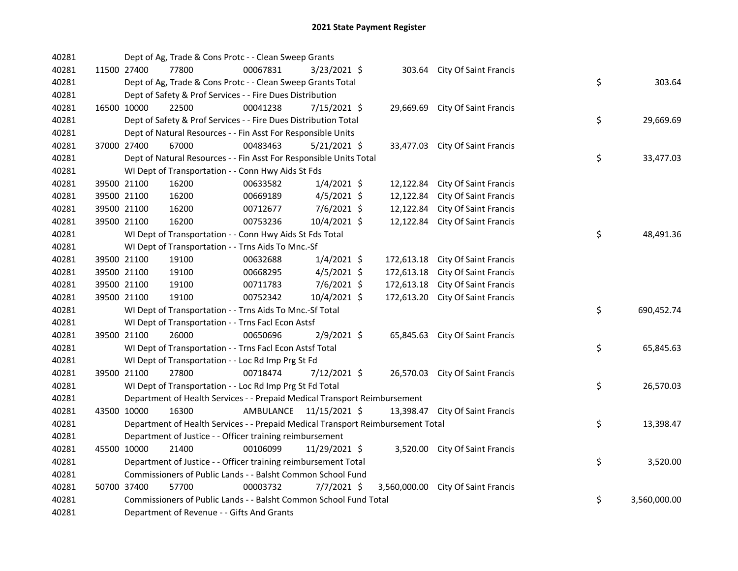| 40281 |             | Dept of Ag, Trade & Cons Protc - - Clean Sweep Grants                           |           |                |            |                                    |    |              |
|-------|-------------|---------------------------------------------------------------------------------|-----------|----------------|------------|------------------------------------|----|--------------|
| 40281 | 11500 27400 | 77800                                                                           | 00067831  | 3/23/2021 \$   |            | 303.64 City Of Saint Francis       |    |              |
| 40281 |             | Dept of Ag, Trade & Cons Protc - - Clean Sweep Grants Total                     |           |                |            |                                    | \$ | 303.64       |
| 40281 |             | Dept of Safety & Prof Services - - Fire Dues Distribution                       |           |                |            |                                    |    |              |
| 40281 | 16500 10000 | 22500                                                                           | 00041238  | 7/15/2021 \$   | 29,669.69  | City Of Saint Francis              |    |              |
| 40281 |             | Dept of Safety & Prof Services - - Fire Dues Distribution Total                 |           |                |            |                                    | \$ | 29,669.69    |
| 40281 |             | Dept of Natural Resources - - Fin Asst For Responsible Units                    |           |                |            |                                    |    |              |
| 40281 | 37000 27400 | 67000                                                                           | 00483463  | $5/21/2021$ \$ |            | 33,477.03 City Of Saint Francis    |    |              |
| 40281 |             | Dept of Natural Resources - - Fin Asst For Responsible Units Total              |           |                |            |                                    | \$ | 33,477.03    |
| 40281 |             | WI Dept of Transportation - - Conn Hwy Aids St Fds                              |           |                |            |                                    |    |              |
| 40281 | 39500 21100 | 16200                                                                           | 00633582  | $1/4/2021$ \$  | 12,122.84  | <b>City Of Saint Francis</b>       |    |              |
| 40281 | 39500 21100 | 16200                                                                           | 00669189  | $4/5/2021$ \$  | 12,122.84  | City Of Saint Francis              |    |              |
| 40281 | 39500 21100 | 16200                                                                           | 00712677  | $7/6/2021$ \$  | 12,122.84  | <b>City Of Saint Francis</b>       |    |              |
| 40281 | 39500 21100 | 16200                                                                           | 00753236  | 10/4/2021 \$   | 12,122.84  | <b>City Of Saint Francis</b>       |    |              |
| 40281 |             | WI Dept of Transportation - - Conn Hwy Aids St Fds Total                        |           |                |            |                                    | \$ | 48,491.36    |
| 40281 |             | WI Dept of Transportation - - Trns Aids To Mnc.-Sf                              |           |                |            |                                    |    |              |
| 40281 | 39500 21100 | 19100                                                                           | 00632688  | $1/4/2021$ \$  | 172,613.18 | <b>City Of Saint Francis</b>       |    |              |
| 40281 | 39500 21100 | 19100                                                                           | 00668295  | $4/5/2021$ \$  | 172,613.18 | City Of Saint Francis              |    |              |
| 40281 | 39500 21100 | 19100                                                                           | 00711783  | 7/6/2021 \$    | 172,613.18 | City Of Saint Francis              |    |              |
| 40281 | 39500 21100 | 19100                                                                           | 00752342  | 10/4/2021 \$   | 172,613.20 | City Of Saint Francis              |    |              |
| 40281 |             | WI Dept of Transportation - - Trns Aids To Mnc.-Sf Total                        |           |                |            |                                    | \$ | 690,452.74   |
| 40281 |             | WI Dept of Transportation - - Trns Facl Econ Astsf                              |           |                |            |                                    |    |              |
| 40281 | 39500 21100 | 26000                                                                           | 00650696  | 2/9/2021 \$    |            | 65,845.63 City Of Saint Francis    |    |              |
| 40281 |             | WI Dept of Transportation - - Trns Facl Econ Astsf Total                        |           |                |            |                                    | \$ | 65,845.63    |
| 40281 |             | WI Dept of Transportation - - Loc Rd Imp Prg St Fd                              |           |                |            |                                    |    |              |
| 40281 | 39500 21100 | 27800                                                                           | 00718474  | 7/12/2021 \$   |            | 26,570.03 City Of Saint Francis    |    |              |
| 40281 |             | WI Dept of Transportation - - Loc Rd Imp Prg St Fd Total                        |           |                |            |                                    | \$ | 26,570.03    |
| 40281 |             | Department of Health Services - - Prepaid Medical Transport Reimbursement       |           |                |            |                                    |    |              |
| 40281 | 43500 10000 | 16300                                                                           | AMBULANCE | 11/15/2021 \$  |            | 13,398.47 City Of Saint Francis    |    |              |
| 40281 |             | Department of Health Services - - Prepaid Medical Transport Reimbursement Total |           |                |            |                                    | \$ | 13,398.47    |
| 40281 |             | Department of Justice - - Officer training reimbursement                        |           |                |            |                                    |    |              |
| 40281 | 45500 10000 | 21400                                                                           | 00106099  | 11/29/2021 \$  |            | 3,520.00 City Of Saint Francis     |    |              |
| 40281 |             | Department of Justice - - Officer training reimbursement Total                  |           |                |            |                                    | \$ | 3,520.00     |
| 40281 |             | Commissioners of Public Lands - - Balsht Common School Fund                     |           |                |            |                                    |    |              |
| 40281 | 50700 37400 | 57700                                                                           | 00003732  | 7/7/2021 \$    |            | 3,560,000.00 City Of Saint Francis |    |              |
| 40281 |             | Commissioners of Public Lands - - Balsht Common School Fund Total               |           |                |            |                                    | \$ | 3,560,000.00 |
| 40281 |             | Department of Revenue - - Gifts And Grants                                      |           |                |            |                                    |    |              |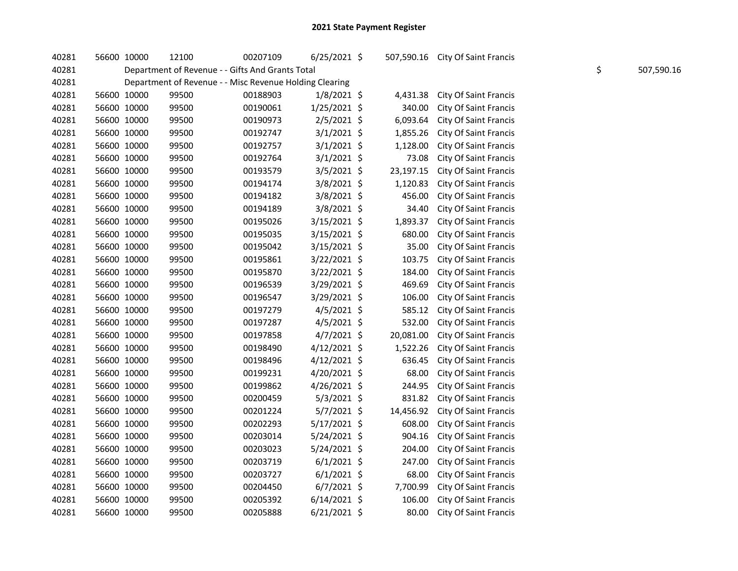| 40281 | 56600 10000 | 12100 | 00207109                                                | $6/25/2021$ \$ |           | 507,590.16 City Of Saint Francis |    |            |
|-------|-------------|-------|---------------------------------------------------------|----------------|-----------|----------------------------------|----|------------|
| 40281 |             |       | Department of Revenue - - Gifts And Grants Total        |                |           |                                  | \$ | 507,590.16 |
| 40281 |             |       | Department of Revenue - - Misc Revenue Holding Clearing |                |           |                                  |    |            |
| 40281 | 56600 10000 | 99500 | 00188903                                                | $1/8/2021$ \$  | 4,431.38  | <b>City Of Saint Francis</b>     |    |            |
| 40281 | 56600 10000 | 99500 | 00190061                                                | $1/25/2021$ \$ | 340.00    | <b>City Of Saint Francis</b>     |    |            |
| 40281 | 56600 10000 | 99500 | 00190973                                                | 2/5/2021 \$    | 6,093.64  | <b>City Of Saint Francis</b>     |    |            |
| 40281 | 56600 10000 | 99500 | 00192747                                                | $3/1/2021$ \$  | 1,855.26  | <b>City Of Saint Francis</b>     |    |            |
| 40281 | 56600 10000 | 99500 | 00192757                                                | $3/1/2021$ \$  | 1,128.00  | <b>City Of Saint Francis</b>     |    |            |
| 40281 | 56600 10000 | 99500 | 00192764                                                | $3/1/2021$ \$  | 73.08     | <b>City Of Saint Francis</b>     |    |            |
| 40281 | 56600 10000 | 99500 | 00193579                                                | 3/5/2021 \$    | 23,197.15 | <b>City Of Saint Francis</b>     |    |            |
| 40281 | 56600 10000 | 99500 | 00194174                                                | 3/8/2021 \$    | 1,120.83  | <b>City Of Saint Francis</b>     |    |            |
| 40281 | 56600 10000 | 99500 | 00194182                                                | 3/8/2021 \$    | 456.00    | <b>City Of Saint Francis</b>     |    |            |
| 40281 | 56600 10000 | 99500 | 00194189                                                | 3/8/2021 \$    | 34.40     | <b>City Of Saint Francis</b>     |    |            |
| 40281 | 56600 10000 | 99500 | 00195026                                                | 3/15/2021 \$   | 1,893.37  | <b>City Of Saint Francis</b>     |    |            |
| 40281 | 56600 10000 | 99500 | 00195035                                                | 3/15/2021 \$   | 680.00    | City Of Saint Francis            |    |            |
| 40281 | 56600 10000 | 99500 | 00195042                                                | 3/15/2021 \$   | 35.00     | City Of Saint Francis            |    |            |
| 40281 | 56600 10000 | 99500 | 00195861                                                | 3/22/2021 \$   | 103.75    | <b>City Of Saint Francis</b>     |    |            |
| 40281 | 56600 10000 | 99500 | 00195870                                                | 3/22/2021 \$   | 184.00    | <b>City Of Saint Francis</b>     |    |            |
| 40281 | 56600 10000 | 99500 | 00196539                                                | 3/29/2021 \$   | 469.69    | <b>City Of Saint Francis</b>     |    |            |
| 40281 | 56600 10000 | 99500 | 00196547                                                | 3/29/2021 \$   | 106.00    | <b>City Of Saint Francis</b>     |    |            |
| 40281 | 56600 10000 | 99500 | 00197279                                                | 4/5/2021 \$    | 585.12    | <b>City Of Saint Francis</b>     |    |            |
| 40281 | 56600 10000 | 99500 | 00197287                                                | 4/5/2021 \$    | 532.00    | <b>City Of Saint Francis</b>     |    |            |
| 40281 | 56600 10000 | 99500 | 00197858                                                | 4/7/2021 \$    | 20,081.00 | <b>City Of Saint Francis</b>     |    |            |
| 40281 | 56600 10000 | 99500 | 00198490                                                | $4/12/2021$ \$ | 1,522.26  | <b>City Of Saint Francis</b>     |    |            |
| 40281 | 56600 10000 | 99500 | 00198496                                                | $4/12/2021$ \$ | 636.45    | City Of Saint Francis            |    |            |
| 40281 | 56600 10000 | 99500 | 00199231                                                | 4/20/2021 \$   | 68.00     | <b>City Of Saint Francis</b>     |    |            |
| 40281 | 56600 10000 | 99500 | 00199862                                                | 4/26/2021 \$   | 244.95    | <b>City Of Saint Francis</b>     |    |            |
| 40281 | 56600 10000 | 99500 | 00200459                                                | $5/3/2021$ \$  | 831.82    | <b>City Of Saint Francis</b>     |    |            |
| 40281 | 56600 10000 | 99500 | 00201224                                                | 5/7/2021 \$    | 14,456.92 | <b>City Of Saint Francis</b>     |    |            |
| 40281 | 56600 10000 | 99500 | 00202293                                                | $5/17/2021$ \$ | 608.00    | <b>City Of Saint Francis</b>     |    |            |
| 40281 | 56600 10000 | 99500 | 00203014                                                | 5/24/2021 \$   | 904.16    | <b>City Of Saint Francis</b>     |    |            |
| 40281 | 56600 10000 | 99500 | 00203023                                                | 5/24/2021 \$   | 204.00    | <b>City Of Saint Francis</b>     |    |            |
| 40281 | 56600 10000 | 99500 | 00203719                                                | $6/1/2021$ \$  | 247.00    | <b>City Of Saint Francis</b>     |    |            |
| 40281 | 56600 10000 | 99500 | 00203727                                                | $6/1/2021$ \$  | 68.00     | <b>City Of Saint Francis</b>     |    |            |
| 40281 | 56600 10000 | 99500 | 00204450                                                | $6/7/2021$ \$  | 7,700.99  | <b>City Of Saint Francis</b>     |    |            |
| 40281 | 56600 10000 | 99500 | 00205392                                                | $6/14/2021$ \$ | 106.00    | <b>City Of Saint Francis</b>     |    |            |
|       |             |       |                                                         |                |           |                                  |    |            |

40281 56600 10000 99500 00205888 6/21/2021 \$ 80.00 City Of Saint Francis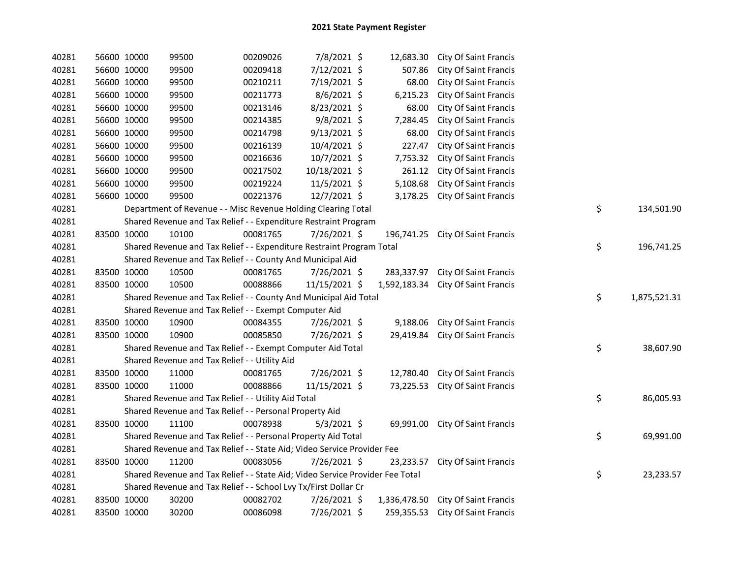| 40281 |             | 56600 10000 | 99500                                                                         | 00209026 | 7/8/2021 \$    |            | 12,683.30 City Of Saint Francis    |                    |
|-------|-------------|-------------|-------------------------------------------------------------------------------|----------|----------------|------------|------------------------------------|--------------------|
| 40281 |             | 56600 10000 | 99500                                                                         | 00209418 | 7/12/2021 \$   | 507.86     | City Of Saint Francis              |                    |
| 40281 |             | 56600 10000 | 99500                                                                         | 00210211 | 7/19/2021 \$   | 68.00      | City Of Saint Francis              |                    |
| 40281 |             | 56600 10000 | 99500                                                                         | 00211773 | 8/6/2021 \$    | 6,215.23   | <b>City Of Saint Francis</b>       |                    |
| 40281 |             | 56600 10000 | 99500                                                                         | 00213146 | 8/23/2021 \$   | 68.00      | City Of Saint Francis              |                    |
| 40281 |             | 56600 10000 | 99500                                                                         | 00214385 | $9/8/2021$ \$  | 7,284.45   | <b>City Of Saint Francis</b>       |                    |
| 40281 |             | 56600 10000 | 99500                                                                         | 00214798 | $9/13/2021$ \$ | 68.00      | <b>City Of Saint Francis</b>       |                    |
| 40281 |             | 56600 10000 | 99500                                                                         | 00216139 | 10/4/2021 \$   | 227.47     | <b>City Of Saint Francis</b>       |                    |
| 40281 |             | 56600 10000 | 99500                                                                         | 00216636 | 10/7/2021 \$   | 7,753.32   | City Of Saint Francis              |                    |
| 40281 |             | 56600 10000 | 99500                                                                         | 00217502 | 10/18/2021 \$  | 261.12     | <b>City Of Saint Francis</b>       |                    |
| 40281 |             | 56600 10000 | 99500                                                                         | 00219224 | 11/5/2021 \$   | 5,108.68   | <b>City Of Saint Francis</b>       |                    |
| 40281 |             | 56600 10000 | 99500                                                                         | 00221376 | 12/7/2021 \$   | 3,178.25   | City Of Saint Francis              |                    |
| 40281 |             |             | Department of Revenue - - Misc Revenue Holding Clearing Total                 |          |                |            |                                    | \$<br>134,501.90   |
| 40281 |             |             | Shared Revenue and Tax Relief - - Expenditure Restraint Program               |          |                |            |                                    |                    |
| 40281 | 83500 10000 |             | 10100                                                                         | 00081765 | 7/26/2021 \$   |            | 196,741.25 City Of Saint Francis   |                    |
| 40281 |             |             | Shared Revenue and Tax Relief - - Expenditure Restraint Program Total         |          |                |            |                                    | \$<br>196,741.25   |
| 40281 |             |             | Shared Revenue and Tax Relief - - County And Municipal Aid                    |          |                |            |                                    |                    |
| 40281 |             | 83500 10000 | 10500                                                                         | 00081765 | 7/26/2021 \$   | 283,337.97 | <b>City Of Saint Francis</b>       |                    |
| 40281 |             | 83500 10000 | 10500                                                                         | 00088866 | 11/15/2021 \$  |            | 1,592,183.34 City Of Saint Francis |                    |
| 40281 |             |             | Shared Revenue and Tax Relief - - County And Municipal Aid Total              |          |                |            |                                    | \$<br>1,875,521.31 |
| 40281 |             |             | Shared Revenue and Tax Relief - - Exempt Computer Aid                         |          |                |            |                                    |                    |
| 40281 |             | 83500 10000 | 10900                                                                         | 00084355 | 7/26/2021 \$   | 9,188.06   | <b>City Of Saint Francis</b>       |                    |
| 40281 |             | 83500 10000 | 10900                                                                         | 00085850 | 7/26/2021 \$   | 29,419.84  | <b>City Of Saint Francis</b>       |                    |
| 40281 |             |             | Shared Revenue and Tax Relief - - Exempt Computer Aid Total                   |          |                |            |                                    | \$<br>38,607.90    |
| 40281 |             |             | Shared Revenue and Tax Relief - - Utility Aid                                 |          |                |            |                                    |                    |
| 40281 |             | 83500 10000 | 11000                                                                         | 00081765 | 7/26/2021 \$   |            | 12,780.40 City Of Saint Francis    |                    |
| 40281 |             | 83500 10000 | 11000                                                                         | 00088866 | 11/15/2021 \$  | 73,225.53  | <b>City Of Saint Francis</b>       |                    |
| 40281 |             |             | Shared Revenue and Tax Relief - - Utility Aid Total                           |          |                |            |                                    | \$<br>86,005.93    |
| 40281 |             |             | Shared Revenue and Tax Relief - - Personal Property Aid                       |          |                |            |                                    |                    |
| 40281 |             | 83500 10000 | 11100                                                                         | 00078938 | $5/3/2021$ \$  |            | 69,991.00 City Of Saint Francis    |                    |
| 40281 |             |             | Shared Revenue and Tax Relief - - Personal Property Aid Total                 |          |                |            |                                    | \$<br>69,991.00    |
| 40281 |             |             | Shared Revenue and Tax Relief - - State Aid; Video Service Provider Fee       |          |                |            |                                    |                    |
| 40281 |             | 83500 10000 | 11200                                                                         | 00083056 | 7/26/2021 \$   |            | 23,233.57 City Of Saint Francis    |                    |
| 40281 |             |             | Shared Revenue and Tax Relief - - State Aid; Video Service Provider Fee Total |          |                |            |                                    | \$<br>23,233.57    |
| 40281 |             |             | Shared Revenue and Tax Relief - - School Lvy Tx/First Dollar Cr               |          |                |            |                                    |                    |
| 40281 |             | 83500 10000 | 30200                                                                         | 00082702 | 7/26/2021 \$   |            | 1,336,478.50 City Of Saint Francis |                    |
| 40281 | 83500 10000 |             | 30200                                                                         | 00086098 | 7/26/2021 \$   |            | 259,355.53 City Of Saint Francis   |                    |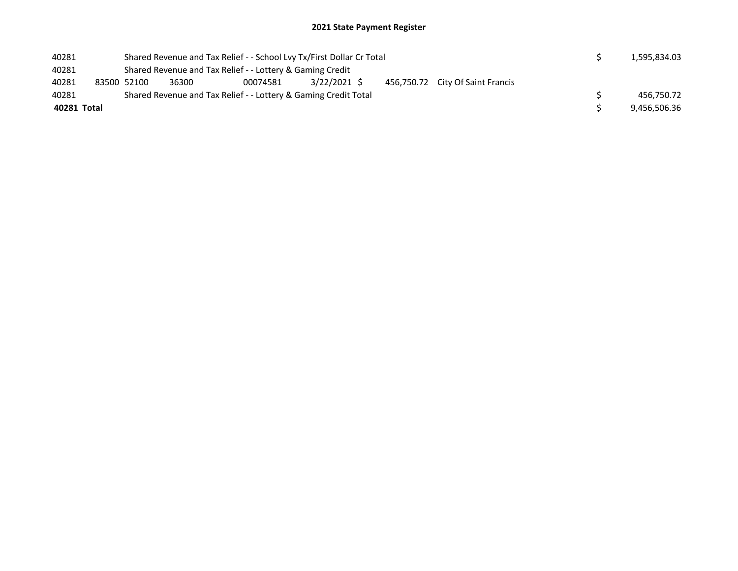## 2021 State Payment Register

| 40281       |             |       | Shared Revenue and Tax Relief - - School Lvy Tx/First Dollar Cr Total |             |  |                                  |  | 1,595,834.03 |
|-------------|-------------|-------|-----------------------------------------------------------------------|-------------|--|----------------------------------|--|--------------|
| 40281       |             |       | Shared Revenue and Tax Relief - - Lottery & Gaming Credit             |             |  |                                  |  |              |
| 40281       | 83500 52100 | 36300 | 00074581                                                              | 3/22/2021 S |  | 456,750.72 City Of Saint Francis |  |              |
| 40281       |             |       | Shared Revenue and Tax Relief - - Lottery & Gaming Credit Total       |             |  |                                  |  | 456,750.72   |
| 40281 Total |             |       |                                                                       |             |  |                                  |  | 9,456,506.36 |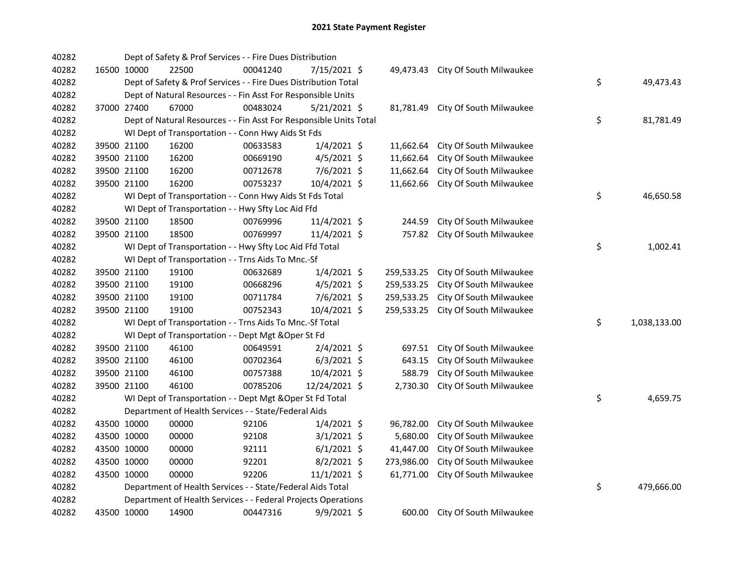| 40282 |             | Dept of Safety & Prof Services - - Fire Dues Distribution          |          |               |            |                         |    |              |
|-------|-------------|--------------------------------------------------------------------|----------|---------------|------------|-------------------------|----|--------------|
| 40282 | 16500 10000 | 22500                                                              | 00041240 | 7/15/2021 \$  | 49,473.43  | City Of South Milwaukee |    |              |
| 40282 |             | Dept of Safety & Prof Services - - Fire Dues Distribution Total    |          |               |            |                         | \$ | 49,473.43    |
| 40282 |             | Dept of Natural Resources - - Fin Asst For Responsible Units       |          |               |            |                         |    |              |
| 40282 | 37000 27400 | 67000                                                              | 00483024 | 5/21/2021 \$  | 81,781.49  | City Of South Milwaukee |    |              |
| 40282 |             | Dept of Natural Resources - - Fin Asst For Responsible Units Total |          |               |            |                         | \$ | 81,781.49    |
| 40282 |             | WI Dept of Transportation - - Conn Hwy Aids St Fds                 |          |               |            |                         |    |              |
| 40282 | 39500 21100 | 16200                                                              | 00633583 | $1/4/2021$ \$ | 11,662.64  | City Of South Milwaukee |    |              |
| 40282 | 39500 21100 | 16200                                                              | 00669190 | $4/5/2021$ \$ | 11,662.64  | City Of South Milwaukee |    |              |
| 40282 | 39500 21100 | 16200                                                              | 00712678 | 7/6/2021 \$   | 11,662.64  | City Of South Milwaukee |    |              |
| 40282 | 39500 21100 | 16200                                                              | 00753237 | 10/4/2021 \$  | 11,662.66  | City Of South Milwaukee |    |              |
| 40282 |             | WI Dept of Transportation - - Conn Hwy Aids St Fds Total           |          |               |            |                         | \$ | 46,650.58    |
| 40282 |             | WI Dept of Transportation - - Hwy Sfty Loc Aid Ffd                 |          |               |            |                         |    |              |
| 40282 | 39500 21100 | 18500                                                              | 00769996 | 11/4/2021 \$  | 244.59     | City Of South Milwaukee |    |              |
| 40282 | 39500 21100 | 18500                                                              | 00769997 | 11/4/2021 \$  | 757.82     | City Of South Milwaukee |    |              |
| 40282 |             | WI Dept of Transportation - - Hwy Sfty Loc Aid Ffd Total           |          |               |            |                         | \$ | 1,002.41     |
| 40282 |             | WI Dept of Transportation - - Trns Aids To Mnc.-Sf                 |          |               |            |                         |    |              |
| 40282 | 39500 21100 | 19100                                                              | 00632689 | $1/4/2021$ \$ | 259,533.25 | City Of South Milwaukee |    |              |
| 40282 | 39500 21100 | 19100                                                              | 00668296 | 4/5/2021 \$   | 259,533.25 | City Of South Milwaukee |    |              |
| 40282 | 39500 21100 | 19100                                                              | 00711784 | 7/6/2021 \$   | 259,533.25 | City Of South Milwaukee |    |              |
| 40282 | 39500 21100 | 19100                                                              | 00752343 | 10/4/2021 \$  | 259,533.25 | City Of South Milwaukee |    |              |
| 40282 |             | WI Dept of Transportation - - Trns Aids To Mnc.-Sf Total           |          |               |            |                         | \$ | 1,038,133.00 |
| 40282 |             | WI Dept of Transportation - - Dept Mgt & Oper St Fd                |          |               |            |                         |    |              |
| 40282 | 39500 21100 | 46100                                                              | 00649591 | 2/4/2021 \$   | 697.51     | City Of South Milwaukee |    |              |
| 40282 | 39500 21100 | 46100                                                              | 00702364 | $6/3/2021$ \$ | 643.15     | City Of South Milwaukee |    |              |
| 40282 | 39500 21100 | 46100                                                              | 00757388 | 10/4/2021 \$  | 588.79     | City Of South Milwaukee |    |              |
| 40282 | 39500 21100 | 46100                                                              | 00785206 | 12/24/2021 \$ | 2,730.30   | City Of South Milwaukee |    |              |
| 40282 |             | WI Dept of Transportation - - Dept Mgt & Oper St Fd Total          |          |               |            |                         | \$ | 4,659.75     |
| 40282 |             | Department of Health Services - - State/Federal Aids               |          |               |            |                         |    |              |
| 40282 | 43500 10000 | 00000                                                              | 92106    | $1/4/2021$ \$ | 96,782.00  | City Of South Milwaukee |    |              |
| 40282 | 43500 10000 | 00000                                                              | 92108    | $3/1/2021$ \$ | 5,680.00   | City Of South Milwaukee |    |              |
| 40282 | 43500 10000 | 00000                                                              | 92111    | $6/1/2021$ \$ | 41,447.00  | City Of South Milwaukee |    |              |
| 40282 | 43500 10000 | 00000                                                              | 92201    | $8/2/2021$ \$ | 273,986.00 | City Of South Milwaukee |    |              |
| 40282 | 43500 10000 | 00000                                                              | 92206    | 11/1/2021 \$  | 61,771.00  | City Of South Milwaukee |    |              |
| 40282 |             | Department of Health Services - - State/Federal Aids Total         |          |               |            |                         | \$ | 479,666.00   |
| 40282 |             | Department of Health Services - - Federal Projects Operations      |          |               |            |                         |    |              |
| 40282 | 43500 10000 | 14900                                                              | 00447316 | 9/9/2021 \$   | 600.00     | City Of South Milwaukee |    |              |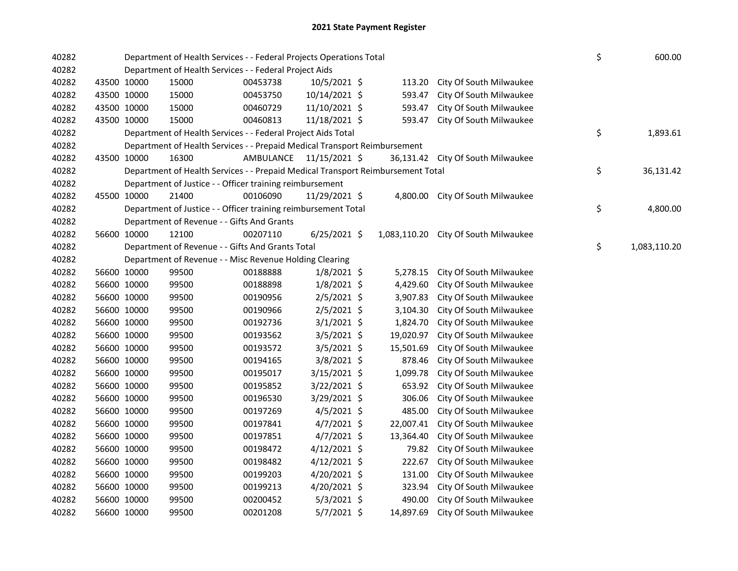| 40282 |             |             | Department of Health Services - - Federal Projects Operations Total             |                         |                |           |                                      | \$ | 600.00       |
|-------|-------------|-------------|---------------------------------------------------------------------------------|-------------------------|----------------|-----------|--------------------------------------|----|--------------|
| 40282 |             |             | Department of Health Services - - Federal Project Aids                          |                         |                |           |                                      |    |              |
| 40282 |             | 43500 10000 | 15000                                                                           | 00453738                | 10/5/2021 \$   | 113.20    | City Of South Milwaukee              |    |              |
| 40282 |             | 43500 10000 | 15000                                                                           | 00453750                | 10/14/2021 \$  | 593.47    | City Of South Milwaukee              |    |              |
| 40282 |             | 43500 10000 | 15000                                                                           | 00460729                | 11/10/2021 \$  | 593.47    | City Of South Milwaukee              |    |              |
| 40282 | 43500 10000 |             | 15000                                                                           | 00460813                | 11/18/2021 \$  | 593.47    | City Of South Milwaukee              |    |              |
| 40282 |             |             | Department of Health Services - - Federal Project Aids Total                    |                         |                |           |                                      | \$ | 1,893.61     |
| 40282 |             |             | Department of Health Services - - Prepaid Medical Transport Reimbursement       |                         |                |           |                                      |    |              |
| 40282 | 43500 10000 |             | 16300                                                                           | AMBULANCE 11/15/2021 \$ |                |           | 36,131.42 City Of South Milwaukee    |    |              |
| 40282 |             |             | Department of Health Services - - Prepaid Medical Transport Reimbursement Total |                         |                |           |                                      | \$ | 36,131.42    |
| 40282 |             |             | Department of Justice - - Officer training reimbursement                        |                         |                |           |                                      |    |              |
| 40282 | 45500 10000 |             | 21400                                                                           | 00106090                | 11/29/2021 \$  |           | 4,800.00 City Of South Milwaukee     |    |              |
| 40282 |             |             | Department of Justice - - Officer training reimbursement Total                  |                         |                |           |                                      | \$ | 4,800.00     |
| 40282 |             |             | Department of Revenue - - Gifts And Grants                                      |                         |                |           |                                      |    |              |
| 40282 |             | 56600 10000 | 12100                                                                           | 00207110                | $6/25/2021$ \$ |           | 1,083,110.20 City Of South Milwaukee |    |              |
| 40282 |             |             | Department of Revenue - - Gifts And Grants Total                                |                         |                |           |                                      | \$ | 1,083,110.20 |
| 40282 |             |             | Department of Revenue - - Misc Revenue Holding Clearing                         |                         |                |           |                                      |    |              |
| 40282 |             | 56600 10000 | 99500                                                                           | 00188888                | $1/8/2021$ \$  | 5,278.15  | City Of South Milwaukee              |    |              |
| 40282 |             | 56600 10000 | 99500                                                                           | 00188898                | $1/8/2021$ \$  | 4,429.60  | City Of South Milwaukee              |    |              |
| 40282 | 56600 10000 |             | 99500                                                                           | 00190956                | $2/5/2021$ \$  | 3,907.83  | City Of South Milwaukee              |    |              |
| 40282 | 56600 10000 |             | 99500                                                                           | 00190966                | $2/5/2021$ \$  | 3,104.30  | City Of South Milwaukee              |    |              |
| 40282 | 56600 10000 |             | 99500                                                                           | 00192736                | $3/1/2021$ \$  | 1,824.70  | City Of South Milwaukee              |    |              |
| 40282 | 56600 10000 |             | 99500                                                                           | 00193562                | 3/5/2021 \$    | 19,020.97 | City Of South Milwaukee              |    |              |
| 40282 | 56600 10000 |             | 99500                                                                           | 00193572                | $3/5/2021$ \$  | 15,501.69 | City Of South Milwaukee              |    |              |
| 40282 | 56600 10000 |             | 99500                                                                           | 00194165                | 3/8/2021 \$    | 878.46    | City Of South Milwaukee              |    |              |
| 40282 | 56600 10000 |             | 99500                                                                           | 00195017                | 3/15/2021 \$   | 1,099.78  | City Of South Milwaukee              |    |              |
| 40282 | 56600 10000 |             | 99500                                                                           | 00195852                | 3/22/2021 \$   | 653.92    | City Of South Milwaukee              |    |              |
| 40282 | 56600 10000 |             | 99500                                                                           | 00196530                | 3/29/2021 \$   | 306.06    | City Of South Milwaukee              |    |              |
| 40282 | 56600 10000 |             | 99500                                                                           | 00197269                | $4/5/2021$ \$  | 485.00    | City Of South Milwaukee              |    |              |
| 40282 | 56600 10000 |             | 99500                                                                           | 00197841                | $4/7/2021$ \$  | 22,007.41 | City Of South Milwaukee              |    |              |
| 40282 | 56600 10000 |             | 99500                                                                           | 00197851                | $4/7/2021$ \$  | 13,364.40 | City Of South Milwaukee              |    |              |
| 40282 | 56600 10000 |             | 99500                                                                           | 00198472                | $4/12/2021$ \$ | 79.82     | City Of South Milwaukee              |    |              |
| 40282 | 56600 10000 |             | 99500                                                                           | 00198482                | $4/12/2021$ \$ | 222.67    | City Of South Milwaukee              |    |              |
| 40282 | 56600 10000 |             | 99500                                                                           | 00199203                | 4/20/2021 \$   | 131.00    | City Of South Milwaukee              |    |              |
| 40282 | 56600 10000 |             | 99500                                                                           | 00199213                | 4/20/2021 \$   | 323.94    | City Of South Milwaukee              |    |              |
| 40282 | 56600 10000 |             | 99500                                                                           | 00200452                | $5/3/2021$ \$  | 490.00    | City Of South Milwaukee              |    |              |
| 40282 | 56600 10000 |             | 99500                                                                           | 00201208                | 5/7/2021 \$    | 14,897.69 | City Of South Milwaukee              |    |              |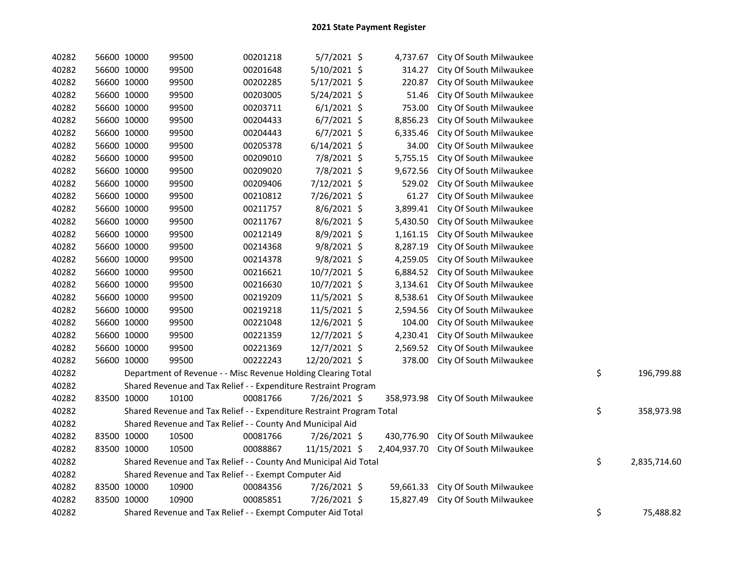| 40282 | 56600 10000 | 99500                                                                 | 00201218 | $5/7/2021$ \$  | 4,737.67     | City Of South Milwaukee |                    |
|-------|-------------|-----------------------------------------------------------------------|----------|----------------|--------------|-------------------------|--------------------|
| 40282 | 56600 10000 | 99500                                                                 | 00201648 | 5/10/2021 \$   | 314.27       | City Of South Milwaukee |                    |
| 40282 | 56600 10000 | 99500                                                                 | 00202285 | $5/17/2021$ \$ | 220.87       | City Of South Milwaukee |                    |
| 40282 | 56600 10000 | 99500                                                                 | 00203005 | 5/24/2021 \$   | 51.46        | City Of South Milwaukee |                    |
| 40282 | 56600 10000 | 99500                                                                 | 00203711 | $6/1/2021$ \$  | 753.00       | City Of South Milwaukee |                    |
| 40282 | 56600 10000 | 99500                                                                 | 00204433 | $6/7/2021$ \$  | 8,856.23     | City Of South Milwaukee |                    |
| 40282 | 56600 10000 | 99500                                                                 | 00204443 | $6/7/2021$ \$  | 6,335.46     | City Of South Milwaukee |                    |
| 40282 | 56600 10000 | 99500                                                                 | 00205378 | $6/14/2021$ \$ | 34.00        | City Of South Milwaukee |                    |
| 40282 | 56600 10000 | 99500                                                                 | 00209010 | 7/8/2021 \$    | 5,755.15     | City Of South Milwaukee |                    |
| 40282 | 56600 10000 | 99500                                                                 | 00209020 | 7/8/2021 \$    | 9,672.56     | City Of South Milwaukee |                    |
| 40282 | 56600 10000 | 99500                                                                 | 00209406 | 7/12/2021 \$   | 529.02       | City Of South Milwaukee |                    |
| 40282 | 56600 10000 | 99500                                                                 | 00210812 | 7/26/2021 \$   | 61.27        | City Of South Milwaukee |                    |
| 40282 | 56600 10000 | 99500                                                                 | 00211757 | 8/6/2021 \$    | 3,899.41     | City Of South Milwaukee |                    |
| 40282 | 56600 10000 | 99500                                                                 | 00211767 | $8/6/2021$ \$  | 5,430.50     | City Of South Milwaukee |                    |
| 40282 | 56600 10000 | 99500                                                                 | 00212149 | 8/9/2021 \$    | 1,161.15     | City Of South Milwaukee |                    |
| 40282 | 56600 10000 | 99500                                                                 | 00214368 | 9/8/2021 \$    | 8,287.19     | City Of South Milwaukee |                    |
| 40282 | 56600 10000 | 99500                                                                 | 00214378 | $9/8/2021$ \$  | 4,259.05     | City Of South Milwaukee |                    |
| 40282 | 56600 10000 | 99500                                                                 | 00216621 | 10/7/2021 \$   | 6,884.52     | City Of South Milwaukee |                    |
| 40282 | 56600 10000 | 99500                                                                 | 00216630 | 10/7/2021 \$   | 3,134.61     | City Of South Milwaukee |                    |
| 40282 | 56600 10000 | 99500                                                                 | 00219209 | 11/5/2021 \$   | 8,538.61     | City Of South Milwaukee |                    |
| 40282 | 56600 10000 | 99500                                                                 | 00219218 | 11/5/2021 \$   | 2,594.56     | City Of South Milwaukee |                    |
| 40282 | 56600 10000 | 99500                                                                 | 00221048 | 12/6/2021 \$   | 104.00       | City Of South Milwaukee |                    |
| 40282 | 56600 10000 | 99500                                                                 | 00221359 | 12/7/2021 \$   | 4,230.41     | City Of South Milwaukee |                    |
| 40282 | 56600 10000 | 99500                                                                 | 00221369 | 12/7/2021 \$   | 2,569.52     | City Of South Milwaukee |                    |
| 40282 | 56600 10000 | 99500                                                                 | 00222243 | 12/20/2021 \$  | 378.00       | City Of South Milwaukee |                    |
| 40282 |             | Department of Revenue - - Misc Revenue Holding Clearing Total         |          |                |              |                         | \$<br>196,799.88   |
| 40282 |             | Shared Revenue and Tax Relief - - Expenditure Restraint Program       |          |                |              |                         |                    |
| 40282 | 83500 10000 | 10100                                                                 | 00081766 | 7/26/2021 \$   | 358,973.98   | City Of South Milwaukee |                    |
| 40282 |             | Shared Revenue and Tax Relief - - Expenditure Restraint Program Total |          |                |              |                         | \$<br>358,973.98   |
| 40282 |             | Shared Revenue and Tax Relief - - County And Municipal Aid            |          |                |              |                         |                    |
| 40282 | 83500 10000 | 10500                                                                 | 00081766 | 7/26/2021 \$   | 430,776.90   | City Of South Milwaukee |                    |
| 40282 | 83500 10000 | 10500                                                                 | 00088867 | 11/15/2021 \$  | 2,404,937.70 | City Of South Milwaukee |                    |
| 40282 |             | Shared Revenue and Tax Relief - - County And Municipal Aid Total      |          |                |              |                         | \$<br>2,835,714.60 |
| 40282 |             | Shared Revenue and Tax Relief - - Exempt Computer Aid                 |          |                |              |                         |                    |
| 40282 | 83500 10000 | 10900                                                                 | 00084356 | 7/26/2021 \$   | 59,661.33    | City Of South Milwaukee |                    |
| 40282 | 83500 10000 | 10900                                                                 | 00085851 | 7/26/2021 \$   | 15,827.49    | City Of South Milwaukee |                    |
| 40282 |             | Shared Revenue and Tax Relief - - Exempt Computer Aid Total           |          |                |              |                         | \$<br>75,488.82    |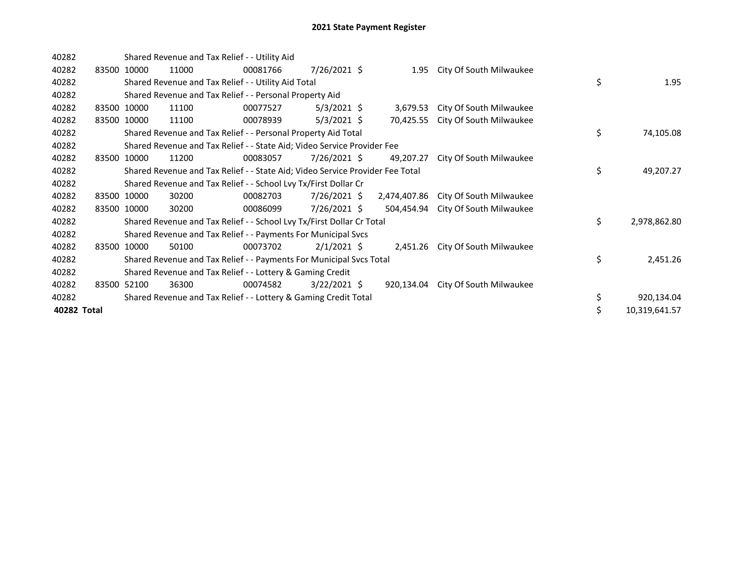| 40282       |       |             |       | Shared Revenue and Tax Relief - - Utility Aid                                 |                |              |                                  |    |               |
|-------------|-------|-------------|-------|-------------------------------------------------------------------------------|----------------|--------------|----------------------------------|----|---------------|
| 40282       |       | 83500 10000 | 11000 | 00081766                                                                      | 7/26/2021 \$   | 1.95         | City Of South Milwaukee          |    |               |
| 40282       |       |             |       | Shared Revenue and Tax Relief - - Utility Aid Total                           |                |              |                                  | \$ | 1.95          |
| 40282       |       |             |       | Shared Revenue and Tax Relief - - Personal Property Aid                       |                |              |                                  |    |               |
| 40282       | 83500 | 10000       | 11100 | 00077527                                                                      | $5/3/2021$ \$  | 3,679.53     | City Of South Milwaukee          |    |               |
| 40282       |       | 83500 10000 | 11100 | 00078939                                                                      | $5/3/2021$ \$  | 70,425.55    | City Of South Milwaukee          |    |               |
| 40282       |       |             |       | Shared Revenue and Tax Relief - - Personal Property Aid Total                 |                |              |                                  | \$ | 74,105.08     |
| 40282       |       |             |       | Shared Revenue and Tax Relief - - State Aid; Video Service Provider Fee       |                |              |                                  |    |               |
| 40282       | 83500 | 10000       | 11200 | 00083057                                                                      | 7/26/2021 \$   | 49,207.27    | City Of South Milwaukee          |    |               |
| 40282       |       |             |       | Shared Revenue and Tax Relief - - State Aid; Video Service Provider Fee Total |                |              |                                  | \$ | 49,207.27     |
| 40282       |       |             |       | Shared Revenue and Tax Relief - - School Lvy Tx/First Dollar Cr               |                |              |                                  |    |               |
| 40282       |       | 83500 10000 | 30200 | 00082703                                                                      | 7/26/2021 \$   | 2,474,407.86 | City Of South Milwaukee          |    |               |
| 40282       | 83500 | 10000       | 30200 | 00086099                                                                      | 7/26/2021 \$   | 504,454.94   | City Of South Milwaukee          |    |               |
| 40282       |       |             |       | Shared Revenue and Tax Relief - - School Lvy Tx/First Dollar Cr Total         |                |              |                                  | \$ | 2,978,862.80  |
| 40282       |       |             |       | Shared Revenue and Tax Relief - - Payments For Municipal Svcs                 |                |              |                                  |    |               |
| 40282       | 83500 | 10000       | 50100 | 00073702                                                                      | $2/1/2021$ \$  |              | 2,451.26 City Of South Milwaukee |    |               |
| 40282       |       |             |       | Shared Revenue and Tax Relief - - Payments For Municipal Svcs Total           |                |              |                                  | \$ | 2,451.26      |
| 40282       |       |             |       | Shared Revenue and Tax Relief - - Lottery & Gaming Credit                     |                |              |                                  |    |               |
| 40282       |       | 83500 52100 | 36300 | 00074582                                                                      | $3/22/2021$ \$ | 920,134.04   | City Of South Milwaukee          |    |               |
| 40282       |       |             |       | Shared Revenue and Tax Relief - - Lottery & Gaming Credit Total               |                |              |                                  | \$ | 920,134.04    |
| 40282 Total |       |             |       |                                                                               |                |              |                                  |    | 10,319,641.57 |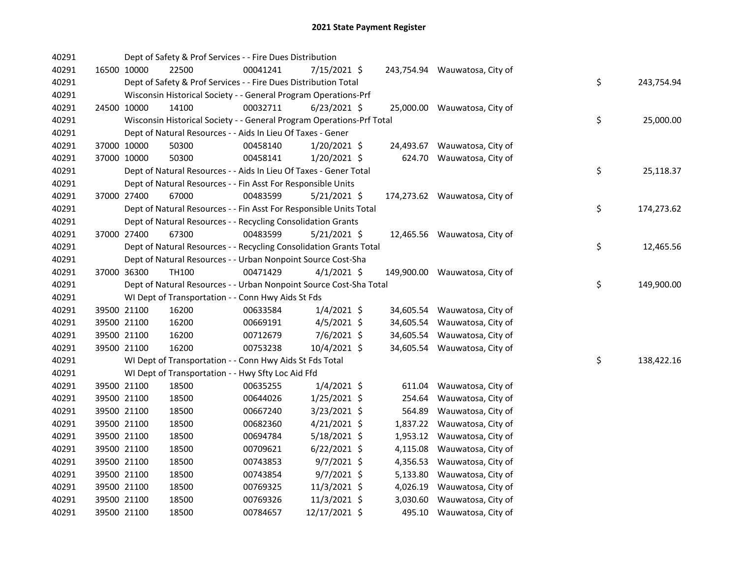| 40291 |             | Dept of Safety & Prof Services - - Fire Dues Distribution             |          |                |                           |                               |    |            |
|-------|-------------|-----------------------------------------------------------------------|----------|----------------|---------------------------|-------------------------------|----|------------|
| 40291 | 16500 10000 | 22500                                                                 | 00041241 | 7/15/2021 \$   |                           | 243,754.94 Wauwatosa, City of |    |            |
| 40291 |             | Dept of Safety & Prof Services - - Fire Dues Distribution Total       |          |                |                           |                               | \$ | 243,754.94 |
| 40291 |             | Wisconsin Historical Society - - General Program Operations-Prf       |          |                |                           |                               |    |            |
| 40291 | 24500 10000 | 14100                                                                 | 00032711 | $6/23/2021$ \$ |                           | 25,000.00 Wauwatosa, City of  |    |            |
| 40291 |             | Wisconsin Historical Society - - General Program Operations-Prf Total |          |                |                           |                               | \$ | 25,000.00  |
| 40291 |             | Dept of Natural Resources - - Aids In Lieu Of Taxes - Gener           |          |                |                           |                               |    |            |
| 40291 | 37000 10000 | 50300                                                                 | 00458140 | $1/20/2021$ \$ |                           | 24,493.67 Wauwatosa, City of  |    |            |
| 40291 | 37000 10000 | 50300                                                                 | 00458141 | 1/20/2021 \$   |                           | 624.70 Wauwatosa, City of     |    |            |
| 40291 |             | Dept of Natural Resources - - Aids In Lieu Of Taxes - Gener Total     |          |                |                           |                               | \$ | 25,118.37  |
| 40291 |             | Dept of Natural Resources - - Fin Asst For Responsible Units          |          |                |                           |                               |    |            |
| 40291 | 37000 27400 | 67000                                                                 | 00483599 | 5/21/2021 \$   |                           | 174,273.62 Wauwatosa, City of |    |            |
| 40291 |             | Dept of Natural Resources - - Fin Asst For Responsible Units Total    |          |                |                           |                               | \$ | 174,273.62 |
| 40291 |             | Dept of Natural Resources - - Recycling Consolidation Grants          |          |                |                           |                               |    |            |
| 40291 | 37000 27400 | 67300                                                                 | 00483599 | $5/21/2021$ \$ |                           | 12,465.56 Wauwatosa, City of  |    |            |
| 40291 |             | Dept of Natural Resources - - Recycling Consolidation Grants Total    |          |                |                           |                               | \$ | 12,465.56  |
| 40291 |             | Dept of Natural Resources - - Urban Nonpoint Source Cost-Sha          |          |                |                           |                               |    |            |
| 40291 | 37000 36300 | TH100                                                                 | 00471429 | $4/1/2021$ \$  |                           | 149,900.00 Wauwatosa, City of |    |            |
| 40291 |             | Dept of Natural Resources - - Urban Nonpoint Source Cost-Sha Total    |          |                |                           |                               | \$ | 149,900.00 |
| 40291 |             | WI Dept of Transportation - - Conn Hwy Aids St Fds                    |          |                |                           |                               |    |            |
| 40291 | 39500 21100 | 16200                                                                 | 00633584 | $1/4/2021$ \$  |                           | 34,605.54 Wauwatosa, City of  |    |            |
| 40291 | 39500 21100 | 16200                                                                 | 00669191 | $4/5/2021$ \$  | 34,605.54                 | Wauwatosa, City of            |    |            |
| 40291 | 39500 21100 | 16200                                                                 | 00712679 | 7/6/2021 \$    | 34,605.54                 | Wauwatosa, City of            |    |            |
| 40291 | 39500 21100 | 16200                                                                 | 00753238 | 10/4/2021 \$   |                           | 34,605.54 Wauwatosa, City of  |    |            |
| 40291 |             | WI Dept of Transportation - - Conn Hwy Aids St Fds Total              |          |                |                           |                               | \$ | 138,422.16 |
| 40291 |             | WI Dept of Transportation - - Hwy Sfty Loc Aid Ffd                    |          |                |                           |                               |    |            |
| 40291 | 39500 21100 | 18500                                                                 | 00635255 | $1/4/2021$ \$  | 611.04                    | Wauwatosa, City of            |    |            |
| 40291 | 39500 21100 | 18500                                                                 | 00644026 | $1/25/2021$ \$ | 254.64                    | Wauwatosa, City of            |    |            |
| 40291 | 39500 21100 | 18500                                                                 | 00667240 | $3/23/2021$ \$ | 564.89                    | Wauwatosa, City of            |    |            |
| 40291 | 39500 21100 | 18500                                                                 | 00682360 | $4/21/2021$ \$ |                           | 1,837.22 Wauwatosa, City of   |    |            |
| 40291 | 39500 21100 | 18500                                                                 | 00694784 | 5/18/2021 \$   |                           | 1,953.12 Wauwatosa, City of   |    |            |
| 40291 | 39500 21100 | 18500                                                                 | 00709621 | $6/22/2021$ \$ |                           | 4,115.08 Wauwatosa, City of   |    |            |
| 40291 | 39500 21100 | 18500                                                                 | 00743853 | $9/7/2021$ \$  | 4,356.53                  | Wauwatosa, City of            |    |            |
| 40291 | 39500 21100 | 18500                                                                 | 00743854 | $9/7/2021$ \$  |                           | 5,133.80 Wauwatosa, City of   |    |            |
| 40291 | 39500 21100 | 18500                                                                 | 00769325 | 11/3/2021 \$   | 4,026.19                  | Wauwatosa, City of            |    |            |
| 40291 | 39500 21100 | 18500                                                                 | 00769326 | 11/3/2021 \$   |                           | 3,030.60 Wauwatosa, City of   |    |            |
|       |             | 18500                                                                 |          |                | 495.10 Wauwatosa, City of |                               |    |            |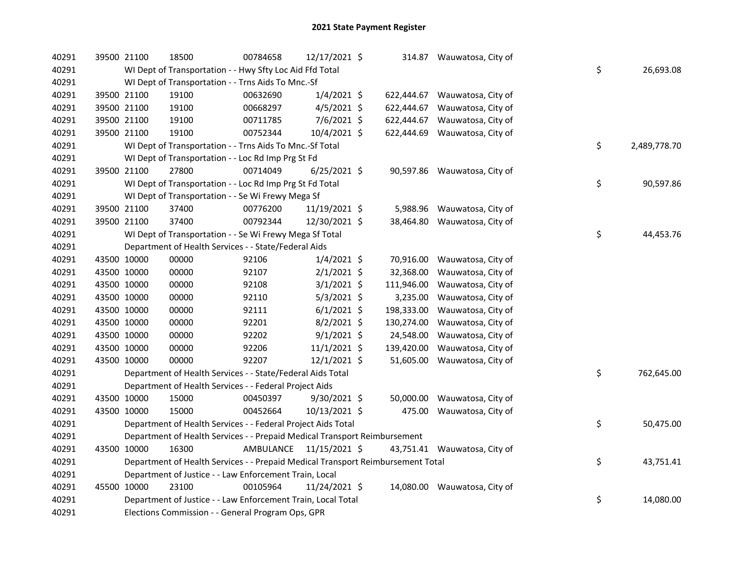| 40291 | 39500 21100 | 18500                                                                           | 00784658  | 12/17/2021 \$  |            | 314.87 Wauwatosa, City of     |                    |
|-------|-------------|---------------------------------------------------------------------------------|-----------|----------------|------------|-------------------------------|--------------------|
| 40291 |             | WI Dept of Transportation - - Hwy Sfty Loc Aid Ffd Total                        |           |                |            |                               | \$<br>26,693.08    |
| 40291 |             | WI Dept of Transportation - - Trns Aids To Mnc.-Sf                              |           |                |            |                               |                    |
| 40291 | 39500 21100 | 19100                                                                           | 00632690  | $1/4/2021$ \$  |            | 622,444.67 Wauwatosa, City of |                    |
| 40291 | 39500 21100 | 19100                                                                           | 00668297  | $4/5/2021$ \$  | 622,444.67 | Wauwatosa, City of            |                    |
| 40291 | 39500 21100 | 19100                                                                           | 00711785  | $7/6/2021$ \$  | 622,444.67 | Wauwatosa, City of            |                    |
| 40291 | 39500 21100 | 19100                                                                           | 00752344  | 10/4/2021 \$   |            | 622,444.69 Wauwatosa, City of |                    |
| 40291 |             | WI Dept of Transportation - - Trns Aids To Mnc.-Sf Total                        |           |                |            |                               | \$<br>2,489,778.70 |
| 40291 |             | WI Dept of Transportation - - Loc Rd Imp Prg St Fd                              |           |                |            |                               |                    |
| 40291 | 39500 21100 | 27800                                                                           | 00714049  | $6/25/2021$ \$ |            | 90,597.86 Wauwatosa, City of  |                    |
| 40291 |             | WI Dept of Transportation - - Loc Rd Imp Prg St Fd Total                        |           |                |            |                               | \$<br>90,597.86    |
| 40291 |             | WI Dept of Transportation - - Se Wi Frewy Mega Sf                               |           |                |            |                               |                    |
| 40291 | 39500 21100 | 37400                                                                           | 00776200  | 11/19/2021 \$  | 5,988.96   | Wauwatosa, City of            |                    |
| 40291 | 39500 21100 | 37400                                                                           | 00792344  | 12/30/2021 \$  | 38,464.80  | Wauwatosa, City of            |                    |
| 40291 |             | WI Dept of Transportation - - Se Wi Frewy Mega Sf Total                         |           |                |            |                               | \$<br>44,453.76    |
| 40291 |             | Department of Health Services - - State/Federal Aids                            |           |                |            |                               |                    |
| 40291 | 43500 10000 | 00000                                                                           | 92106     | $1/4/2021$ \$  | 70,916.00  | Wauwatosa, City of            |                    |
| 40291 | 43500 10000 | 00000                                                                           | 92107     | $2/1/2021$ \$  | 32,368.00  | Wauwatosa, City of            |                    |
| 40291 | 43500 10000 | 00000                                                                           | 92108     | $3/1/2021$ \$  | 111,946.00 | Wauwatosa, City of            |                    |
| 40291 | 43500 10000 | 00000                                                                           | 92110     | $5/3/2021$ \$  | 3,235.00   | Wauwatosa, City of            |                    |
| 40291 | 43500 10000 | 00000                                                                           | 92111     | $6/1/2021$ \$  | 198,333.00 | Wauwatosa, City of            |                    |
| 40291 | 43500 10000 | 00000                                                                           | 92201     | $8/2/2021$ \$  | 130,274.00 | Wauwatosa, City of            |                    |
| 40291 | 43500 10000 | 00000                                                                           | 92202     | $9/1/2021$ \$  | 24,548.00  | Wauwatosa, City of            |                    |
| 40291 | 43500 10000 | 00000                                                                           | 92206     | $11/1/2021$ \$ | 139,420.00 | Wauwatosa, City of            |                    |
| 40291 | 43500 10000 | 00000                                                                           | 92207     | $12/1/2021$ \$ | 51,605.00  | Wauwatosa, City of            |                    |
| 40291 |             | Department of Health Services - - State/Federal Aids Total                      |           |                |            |                               | \$<br>762,645.00   |
| 40291 |             | Department of Health Services - - Federal Project Aids                          |           |                |            |                               |                    |
| 40291 | 43500 10000 | 15000                                                                           | 00450397  | 9/30/2021 \$   |            | 50,000.00 Wauwatosa, City of  |                    |
| 40291 | 43500 10000 | 15000                                                                           | 00452664  | 10/13/2021 \$  | 475.00     | Wauwatosa, City of            |                    |
| 40291 |             | Department of Health Services - - Federal Project Aids Total                    |           |                |            |                               | \$<br>50,475.00    |
| 40291 |             | Department of Health Services - - Prepaid Medical Transport Reimbursement       |           |                |            |                               |                    |
| 40291 | 43500 10000 | 16300                                                                           | AMBULANCE | 11/15/2021 \$  |            | 43,751.41 Wauwatosa, City of  |                    |
| 40291 |             | Department of Health Services - - Prepaid Medical Transport Reimbursement Total |           |                |            |                               | \$<br>43,751.41    |
| 40291 |             | Department of Justice - - Law Enforcement Train, Local                          |           |                |            |                               |                    |
| 40291 | 45500 10000 | 23100                                                                           | 00105964  | 11/24/2021 \$  |            | 14,080.00 Wauwatosa, City of  |                    |
| 40291 |             | Department of Justice - - Law Enforcement Train, Local Total                    |           |                |            |                               | \$<br>14,080.00    |
| 40291 |             | Elections Commission - - General Program Ops, GPR                               |           |                |            |                               |                    |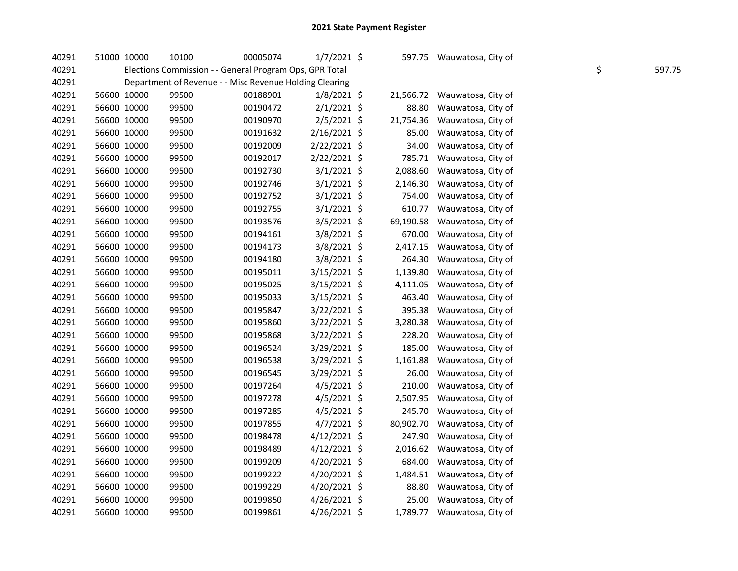| 40291 | 51000 10000 |             | 10100 | 00005074                                                | $1/7/2021$ \$  | 597.75    | Wauwatosa, City of |    |        |
|-------|-------------|-------------|-------|---------------------------------------------------------|----------------|-----------|--------------------|----|--------|
| 40291 |             |             |       | Elections Commission - - General Program Ops, GPR Total |                |           |                    | \$ | 597.75 |
| 40291 |             |             |       | Department of Revenue - - Misc Revenue Holding Clearing |                |           |                    |    |        |
| 40291 |             | 56600 10000 | 99500 | 00188901                                                | $1/8/2021$ \$  | 21,566.72 | Wauwatosa, City of |    |        |
| 40291 |             | 56600 10000 | 99500 | 00190472                                                | $2/1/2021$ \$  | 88.80     | Wauwatosa, City of |    |        |
| 40291 |             | 56600 10000 | 99500 | 00190970                                                | 2/5/2021 \$    | 21,754.36 | Wauwatosa, City of |    |        |
| 40291 |             | 56600 10000 | 99500 | 00191632                                                | 2/16/2021 \$   | 85.00     | Wauwatosa, City of |    |        |
| 40291 |             | 56600 10000 | 99500 | 00192009                                                | 2/22/2021 \$   | 34.00     | Wauwatosa, City of |    |        |
| 40291 |             | 56600 10000 | 99500 | 00192017                                                | 2/22/2021 \$   | 785.71    | Wauwatosa, City of |    |        |
| 40291 |             | 56600 10000 | 99500 | 00192730                                                | $3/1/2021$ \$  | 2,088.60  | Wauwatosa, City of |    |        |
| 40291 |             | 56600 10000 | 99500 | 00192746                                                | $3/1/2021$ \$  | 2,146.30  | Wauwatosa, City of |    |        |
| 40291 | 56600 10000 |             | 99500 | 00192752                                                | $3/1/2021$ \$  | 754.00    | Wauwatosa, City of |    |        |
| 40291 | 56600 10000 |             | 99500 | 00192755                                                | $3/1/2021$ \$  | 610.77    | Wauwatosa, City of |    |        |
| 40291 |             | 56600 10000 | 99500 | 00193576                                                | $3/5/2021$ \$  | 69,190.58 | Wauwatosa, City of |    |        |
| 40291 |             | 56600 10000 | 99500 | 00194161                                                | $3/8/2021$ \$  | 670.00    | Wauwatosa, City of |    |        |
| 40291 |             | 56600 10000 | 99500 | 00194173                                                | $3/8/2021$ \$  | 2,417.15  | Wauwatosa, City of |    |        |
| 40291 |             | 56600 10000 | 99500 | 00194180                                                | 3/8/2021 \$    | 264.30    | Wauwatosa, City of |    |        |
| 40291 |             | 56600 10000 | 99500 | 00195011                                                | $3/15/2021$ \$ | 1,139.80  | Wauwatosa, City of |    |        |
| 40291 |             | 56600 10000 | 99500 | 00195025                                                | 3/15/2021 \$   | 4,111.05  | Wauwatosa, City of |    |        |
| 40291 | 56600 10000 |             | 99500 | 00195033                                                | 3/15/2021 \$   | 463.40    | Wauwatosa, City of |    |        |
| 40291 | 56600 10000 |             | 99500 | 00195847                                                | 3/22/2021 \$   | 395.38    | Wauwatosa, City of |    |        |
| 40291 |             | 56600 10000 | 99500 | 00195860                                                | 3/22/2021 \$   | 3,280.38  | Wauwatosa, City of |    |        |
| 40291 | 56600 10000 |             | 99500 | 00195868                                                | 3/22/2021 \$   | 228.20    | Wauwatosa, City of |    |        |
| 40291 | 56600 10000 |             | 99500 | 00196524                                                | 3/29/2021 \$   | 185.00    | Wauwatosa, City of |    |        |
| 40291 |             | 56600 10000 | 99500 | 00196538                                                | 3/29/2021 \$   | 1,161.88  | Wauwatosa, City of |    |        |
| 40291 |             | 56600 10000 | 99500 | 00196545                                                | 3/29/2021 \$   | 26.00     | Wauwatosa, City of |    |        |
| 40291 | 56600 10000 |             | 99500 | 00197264                                                | $4/5/2021$ \$  | 210.00    | Wauwatosa, City of |    |        |
| 40291 | 56600 10000 |             | 99500 | 00197278                                                | $4/5/2021$ \$  | 2,507.95  | Wauwatosa, City of |    |        |
| 40291 | 56600 10000 |             | 99500 | 00197285                                                | $4/5/2021$ \$  | 245.70    | Wauwatosa, City of |    |        |
| 40291 |             | 56600 10000 | 99500 | 00197855                                                | $4/7/2021$ \$  | 80,902.70 | Wauwatosa, City of |    |        |
| 40291 |             | 56600 10000 | 99500 | 00198478                                                | $4/12/2021$ \$ | 247.90    | Wauwatosa, City of |    |        |
| 40291 |             | 56600 10000 | 99500 | 00198489                                                | $4/12/2021$ \$ | 2,016.62  | Wauwatosa, City of |    |        |
| 40291 | 56600 10000 |             | 99500 | 00199209                                                | $4/20/2021$ \$ | 684.00    | Wauwatosa, City of |    |        |
| 40291 | 56600 10000 |             | 99500 | 00199222                                                | 4/20/2021 \$   | 1,484.51  | Wauwatosa, City of |    |        |
| 40291 | 56600 10000 |             | 99500 | 00199229                                                | 4/20/2021 \$   | 88.80     | Wauwatosa, City of |    |        |
| 40291 |             | 56600 10000 | 99500 | 00199850                                                | 4/26/2021 \$   | 25.00     | Wauwatosa, City of |    |        |
| 40291 |             | 56600 10000 | 99500 | 00199861                                                | 4/26/2021 \$   | 1,789.77  | Wauwatosa, City of |    |        |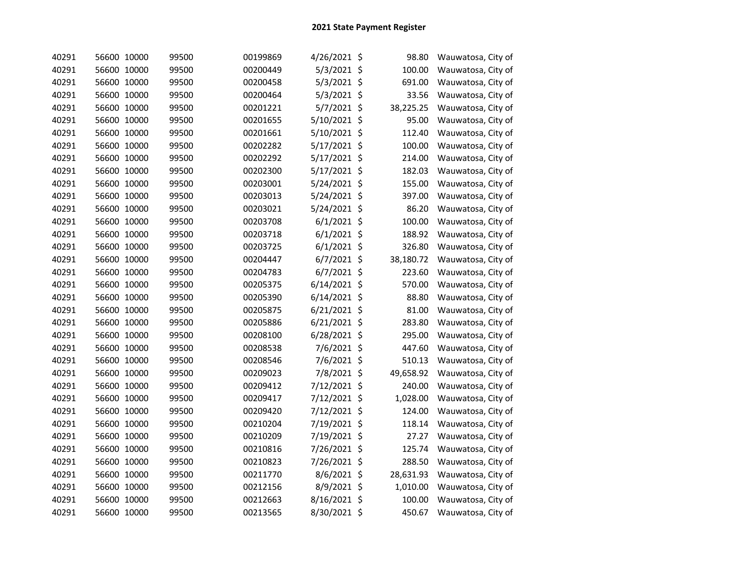| 40291 | 56600 10000 | 99500 | 00199869 | 4/26/2021 \$   | 98.80     | Wauwatosa, City of |
|-------|-------------|-------|----------|----------------|-----------|--------------------|
| 40291 | 56600 10000 | 99500 | 00200449 | 5/3/2021 \$    | 100.00    | Wauwatosa, City of |
| 40291 | 56600 10000 | 99500 | 00200458 | 5/3/2021 \$    | 691.00    | Wauwatosa, City of |
| 40291 | 56600 10000 | 99500 | 00200464 | 5/3/2021 \$    | 33.56     | Wauwatosa, City of |
| 40291 | 56600 10000 | 99500 | 00201221 | 5/7/2021 \$    | 38,225.25 | Wauwatosa, City of |
| 40291 | 56600 10000 | 99500 | 00201655 | 5/10/2021 \$   | 95.00     | Wauwatosa, City of |
| 40291 | 56600 10000 | 99500 | 00201661 | 5/10/2021 \$   | 112.40    | Wauwatosa, City of |
| 40291 | 56600 10000 | 99500 | 00202282 | 5/17/2021 \$   | 100.00    | Wauwatosa, City of |
| 40291 | 56600 10000 | 99500 | 00202292 | 5/17/2021 \$   | 214.00    | Wauwatosa, City of |
| 40291 | 56600 10000 | 99500 | 00202300 | 5/17/2021 \$   | 182.03    | Wauwatosa, City of |
| 40291 | 56600 10000 | 99500 | 00203001 | 5/24/2021 \$   | 155.00    | Wauwatosa, City of |
| 40291 | 56600 10000 | 99500 | 00203013 | 5/24/2021 \$   | 397.00    | Wauwatosa, City of |
| 40291 | 56600 10000 | 99500 | 00203021 | 5/24/2021 \$   | 86.20     | Wauwatosa, City of |
| 40291 | 56600 10000 | 99500 | 00203708 | $6/1/2021$ \$  | 100.00    | Wauwatosa, City of |
| 40291 | 56600 10000 | 99500 | 00203718 | $6/1/2021$ \$  | 188.92    | Wauwatosa, City of |
| 40291 | 56600 10000 | 99500 | 00203725 | $6/1/2021$ \$  | 326.80    | Wauwatosa, City of |
| 40291 | 56600 10000 | 99500 | 00204447 | 6/7/2021 \$    | 38,180.72 | Wauwatosa, City of |
| 40291 | 56600 10000 | 99500 | 00204783 | $6/7/2021$ \$  | 223.60    | Wauwatosa, City of |
| 40291 | 56600 10000 | 99500 | 00205375 | 6/14/2021 \$   | 570.00    | Wauwatosa, City of |
| 40291 | 56600 10000 | 99500 | 00205390 | 6/14/2021 \$   | 88.80     | Wauwatosa, City of |
| 40291 | 56600 10000 | 99500 | 00205875 | $6/21/2021$ \$ | 81.00     | Wauwatosa, City of |
| 40291 | 56600 10000 | 99500 | 00205886 | $6/21/2021$ \$ | 283.80    | Wauwatosa, City of |
| 40291 | 56600 10000 | 99500 | 00208100 | 6/28/2021 \$   | 295.00    | Wauwatosa, City of |
| 40291 | 56600 10000 | 99500 | 00208538 | 7/6/2021 \$    | 447.60    | Wauwatosa, City of |
| 40291 | 56600 10000 | 99500 | 00208546 | 7/6/2021 \$    | 510.13    | Wauwatosa, City of |
| 40291 | 56600 10000 | 99500 | 00209023 | 7/8/2021 \$    | 49,658.92 | Wauwatosa, City of |
| 40291 | 56600 10000 | 99500 | 00209412 | 7/12/2021 \$   | 240.00    | Wauwatosa, City of |
| 40291 | 56600 10000 | 99500 | 00209417 | 7/12/2021 \$   | 1,028.00  | Wauwatosa, City of |
| 40291 | 56600 10000 | 99500 | 00209420 | 7/12/2021 \$   | 124.00    | Wauwatosa, City of |
| 40291 | 56600 10000 | 99500 | 00210204 | 7/19/2021 \$   | 118.14    | Wauwatosa, City of |
| 40291 | 56600 10000 | 99500 | 00210209 | 7/19/2021 \$   | 27.27     | Wauwatosa, City of |
| 40291 | 56600 10000 | 99500 | 00210816 | 7/26/2021 \$   | 125.74    | Wauwatosa, City of |
| 40291 | 56600 10000 | 99500 | 00210823 | 7/26/2021 \$   | 288.50    | Wauwatosa, City of |
| 40291 | 56600 10000 | 99500 | 00211770 | 8/6/2021 \$    | 28,631.93 | Wauwatosa, City of |
| 40291 | 56600 10000 | 99500 | 00212156 | 8/9/2021 \$    | 1,010.00  | Wauwatosa, City of |
| 40291 | 56600 10000 | 99500 | 00212663 | 8/16/2021 \$   | 100.00    | Wauwatosa, City of |
| 40291 | 56600 10000 | 99500 | 00213565 | 8/30/2021 \$   | 450.67    | Wauwatosa, City of |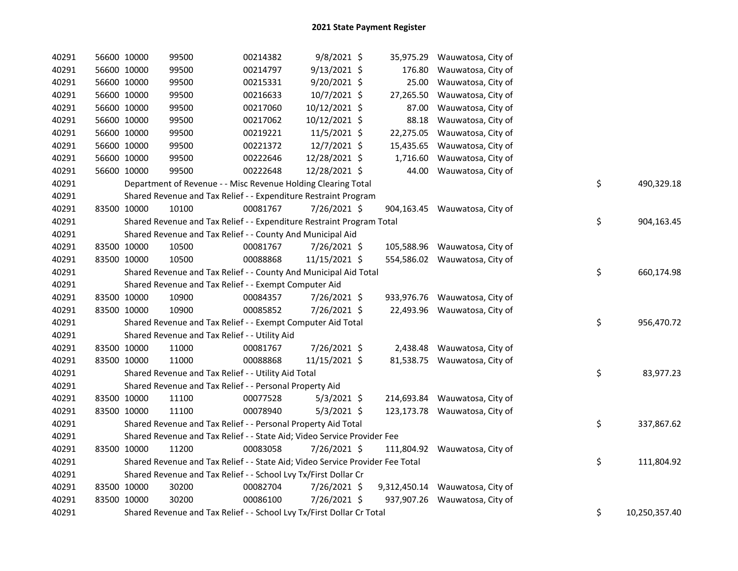| 40291 | 56600 10000 | 99500                                                                         | 00214382 | $9/8/2021$ \$  |           | 35,975.29 Wauwatosa, City of    |    |               |
|-------|-------------|-------------------------------------------------------------------------------|----------|----------------|-----------|---------------------------------|----|---------------|
| 40291 | 56600 10000 | 99500                                                                         | 00214797 | 9/13/2021 \$   | 176.80    | Wauwatosa, City of              |    |               |
| 40291 | 56600 10000 | 99500                                                                         | 00215331 | $9/20/2021$ \$ | 25.00     | Wauwatosa, City of              |    |               |
| 40291 | 56600 10000 | 99500                                                                         | 00216633 | 10/7/2021 \$   | 27,265.50 | Wauwatosa, City of              |    |               |
| 40291 | 56600 10000 | 99500                                                                         | 00217060 | 10/12/2021 \$  | 87.00     | Wauwatosa, City of              |    |               |
| 40291 | 56600 10000 | 99500                                                                         | 00217062 | 10/12/2021 \$  | 88.18     | Wauwatosa, City of              |    |               |
| 40291 | 56600 10000 | 99500                                                                         | 00219221 | 11/5/2021 \$   | 22,275.05 | Wauwatosa, City of              |    |               |
| 40291 | 56600 10000 | 99500                                                                         | 00221372 | $12/7/2021$ \$ | 15,435.65 | Wauwatosa, City of              |    |               |
| 40291 | 56600 10000 | 99500                                                                         | 00222646 | 12/28/2021 \$  | 1,716.60  | Wauwatosa, City of              |    |               |
| 40291 | 56600 10000 | 99500                                                                         | 00222648 | 12/28/2021 \$  | 44.00     | Wauwatosa, City of              |    |               |
| 40291 |             | Department of Revenue - - Misc Revenue Holding Clearing Total                 |          |                |           |                                 | \$ | 490,329.18    |
| 40291 |             | Shared Revenue and Tax Relief - - Expenditure Restraint Program               |          |                |           |                                 |    |               |
| 40291 | 83500 10000 | 10100                                                                         | 00081767 | 7/26/2021 \$   |           | 904,163.45 Wauwatosa, City of   |    |               |
| 40291 |             | Shared Revenue and Tax Relief - - Expenditure Restraint Program Total         |          |                |           |                                 | \$ | 904,163.45    |
| 40291 |             | Shared Revenue and Tax Relief - - County And Municipal Aid                    |          |                |           |                                 |    |               |
| 40291 | 83500 10000 | 10500                                                                         | 00081767 | 7/26/2021 \$   |           | 105,588.96 Wauwatosa, City of   |    |               |
| 40291 | 83500 10000 | 10500                                                                         | 00088868 | 11/15/2021 \$  |           | 554,586.02 Wauwatosa, City of   |    |               |
| 40291 |             | Shared Revenue and Tax Relief - - County And Municipal Aid Total              |          |                |           |                                 | \$ | 660,174.98    |
| 40291 |             | Shared Revenue and Tax Relief - - Exempt Computer Aid                         |          |                |           |                                 |    |               |
| 40291 | 83500 10000 | 10900                                                                         | 00084357 | 7/26/2021 \$   |           | 933,976.76 Wauwatosa, City of   |    |               |
| 40291 | 83500 10000 | 10900                                                                         | 00085852 | 7/26/2021 \$   |           | 22,493.96 Wauwatosa, City of    |    |               |
| 40291 |             | Shared Revenue and Tax Relief - - Exempt Computer Aid Total                   |          |                |           |                                 | \$ | 956,470.72    |
| 40291 |             | Shared Revenue and Tax Relief - - Utility Aid                                 |          |                |           |                                 |    |               |
| 40291 | 83500 10000 | 11000                                                                         | 00081767 | 7/26/2021 \$   |           | 2,438.48 Wauwatosa, City of     |    |               |
| 40291 | 83500 10000 | 11000                                                                         | 00088868 | 11/15/2021 \$  |           | 81,538.75 Wauwatosa, City of    |    |               |
| 40291 |             | Shared Revenue and Tax Relief - - Utility Aid Total                           |          |                |           |                                 | \$ | 83,977.23     |
| 40291 |             | Shared Revenue and Tax Relief - - Personal Property Aid                       |          |                |           |                                 |    |               |
| 40291 | 83500 10000 | 11100                                                                         | 00077528 | $5/3/2021$ \$  |           | 214,693.84 Wauwatosa, City of   |    |               |
| 40291 | 83500 10000 | 11100                                                                         | 00078940 | $5/3/2021$ \$  |           | 123,173.78 Wauwatosa, City of   |    |               |
| 40291 |             | Shared Revenue and Tax Relief - - Personal Property Aid Total                 |          |                |           |                                 | \$ | 337,867.62    |
| 40291 |             | Shared Revenue and Tax Relief - - State Aid; Video Service Provider Fee       |          |                |           |                                 |    |               |
| 40291 | 83500 10000 | 11200                                                                         | 00083058 | $7/26/2021$ \$ |           | 111,804.92 Wauwatosa, City of   |    |               |
| 40291 |             | Shared Revenue and Tax Relief - - State Aid; Video Service Provider Fee Total |          |                |           |                                 | \$ | 111,804.92    |
| 40291 |             | Shared Revenue and Tax Relief - - School Lvy Tx/First Dollar Cr               |          |                |           |                                 |    |               |
| 40291 | 83500 10000 | 30200                                                                         | 00082704 | 7/26/2021 \$   |           | 9,312,450.14 Wauwatosa, City of |    |               |
| 40291 | 83500 10000 | 30200                                                                         | 00086100 | $7/26/2021$ \$ |           | 937,907.26 Wauwatosa, City of   |    |               |
| 40291 |             | Shared Revenue and Tax Relief - - School Lvy Tx/First Dollar Cr Total         |          |                |           |                                 | \$ | 10,250,357.40 |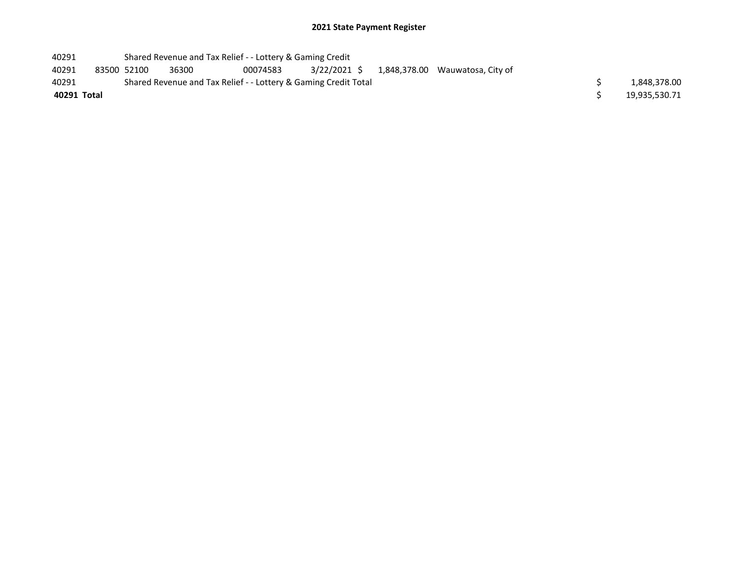## 2021 State Payment Register

| 40291       |                                                                 |             | Shared Revenue and Tax Relief - - Lottery & Gaming Credit |          |  |  |                                              |  |               |
|-------------|-----------------------------------------------------------------|-------------|-----------------------------------------------------------|----------|--|--|----------------------------------------------|--|---------------|
| 40291       |                                                                 | 83500 52100 | 36300                                                     | 00074583 |  |  | 3/22/2021 \$ 1,848,378.00 Wauwatosa, City of |  |               |
| 40291       | Shared Revenue and Tax Relief - - Lottery & Gaming Credit Total |             |                                                           |          |  |  |                                              |  | 1,848,378.00  |
| 40291 Total |                                                                 |             |                                                           |          |  |  |                                              |  | 19,935,530.71 |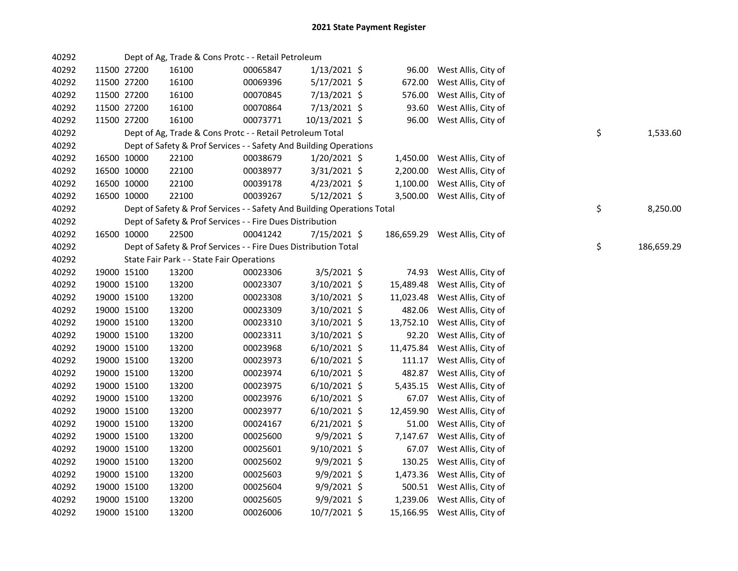| 40292 |             |             | Dept of Ag, Trade & Cons Protc - - Retail Petroleum                     |          |                |           |                                |    |            |
|-------|-------------|-------------|-------------------------------------------------------------------------|----------|----------------|-----------|--------------------------------|----|------------|
| 40292 |             | 11500 27200 | 16100                                                                   | 00065847 | 1/13/2021 \$   | 96.00     | West Allis, City of            |    |            |
| 40292 | 11500 27200 |             | 16100                                                                   | 00069396 | $5/17/2021$ \$ | 672.00    | West Allis, City of            |    |            |
| 40292 | 11500 27200 |             | 16100                                                                   | 00070845 | 7/13/2021 \$   | 576.00    | West Allis, City of            |    |            |
| 40292 | 11500 27200 |             | 16100                                                                   | 00070864 | 7/13/2021 \$   | 93.60     | West Allis, City of            |    |            |
| 40292 | 11500 27200 |             | 16100                                                                   | 00073771 | 10/13/2021 \$  |           | 96.00 West Allis, City of      |    |            |
| 40292 |             |             | Dept of Ag, Trade & Cons Protc - - Retail Petroleum Total               |          |                |           |                                | \$ | 1,533.60   |
| 40292 |             |             | Dept of Safety & Prof Services - - Safety And Building Operations       |          |                |           |                                |    |            |
| 40292 | 16500 10000 |             | 22100                                                                   | 00038679 | $1/20/2021$ \$ |           | 1,450.00 West Allis, City of   |    |            |
| 40292 |             | 16500 10000 | 22100                                                                   | 00038977 | $3/31/2021$ \$ | 2,200.00  | West Allis, City of            |    |            |
| 40292 |             | 16500 10000 | 22100                                                                   | 00039178 | 4/23/2021 \$   |           | 1,100.00 West Allis, City of   |    |            |
| 40292 | 16500 10000 |             | 22100                                                                   | 00039267 | $5/12/2021$ \$ |           | 3,500.00 West Allis, City of   |    |            |
| 40292 |             |             | Dept of Safety & Prof Services - - Safety And Building Operations Total |          |                |           |                                | \$ | 8,250.00   |
| 40292 |             |             | Dept of Safety & Prof Services - - Fire Dues Distribution               |          |                |           |                                |    |            |
| 40292 | 16500 10000 |             | 22500                                                                   | 00041242 | 7/15/2021 \$   |           | 186,659.29 West Allis, City of |    |            |
| 40292 |             |             | Dept of Safety & Prof Services - - Fire Dues Distribution Total         |          |                |           |                                | \$ | 186,659.29 |
| 40292 |             |             | State Fair Park - - State Fair Operations                               |          |                |           |                                |    |            |
| 40292 | 19000 15100 |             | 13200                                                                   | 00023306 | $3/5/2021$ \$  |           | 74.93 West Allis, City of      |    |            |
| 40292 |             | 19000 15100 | 13200                                                                   | 00023307 | 3/10/2021 \$   | 15,489.48 | West Allis, City of            |    |            |
| 40292 | 19000 15100 |             | 13200                                                                   | 00023308 | 3/10/2021 \$   | 11,023.48 | West Allis, City of            |    |            |
| 40292 | 19000 15100 |             | 13200                                                                   | 00023309 | 3/10/2021 \$   | 482.06    | West Allis, City of            |    |            |
| 40292 | 19000 15100 |             | 13200                                                                   | 00023310 | 3/10/2021 \$   | 13,752.10 | West Allis, City of            |    |            |
| 40292 | 19000 15100 |             | 13200                                                                   | 00023311 | $3/10/2021$ \$ | 92.20     | West Allis, City of            |    |            |
| 40292 | 19000 15100 |             | 13200                                                                   | 00023968 | $6/10/2021$ \$ | 11,475.84 | West Allis, City of            |    |            |
| 40292 | 19000 15100 |             | 13200                                                                   | 00023973 | $6/10/2021$ \$ | 111.17    | West Allis, City of            |    |            |
| 40292 | 19000 15100 |             | 13200                                                                   | 00023974 | $6/10/2021$ \$ | 482.87    | West Allis, City of            |    |            |
| 40292 | 19000 15100 |             | 13200                                                                   | 00023975 | $6/10/2021$ \$ | 5,435.15  | West Allis, City of            |    |            |
| 40292 | 19000 15100 |             | 13200                                                                   | 00023976 | $6/10/2021$ \$ | 67.07     | West Allis, City of            |    |            |
| 40292 | 19000 15100 |             | 13200                                                                   | 00023977 | $6/10/2021$ \$ | 12,459.90 | West Allis, City of            |    |            |
| 40292 | 19000 15100 |             | 13200                                                                   | 00024167 | $6/21/2021$ \$ | 51.00     | West Allis, City of            |    |            |
| 40292 | 19000 15100 |             | 13200                                                                   | 00025600 | $9/9/2021$ \$  | 7,147.67  | West Allis, City of            |    |            |
| 40292 | 19000 15100 |             | 13200                                                                   | 00025601 | $9/10/2021$ \$ | 67.07     | West Allis, City of            |    |            |
| 40292 | 19000 15100 |             | 13200                                                                   | 00025602 | 9/9/2021 \$    | 130.25    | West Allis, City of            |    |            |
| 40292 | 19000 15100 |             | 13200                                                                   | 00025603 | 9/9/2021 \$    |           | 1,473.36 West Allis, City of   |    |            |
| 40292 | 19000 15100 |             | 13200                                                                   | 00025604 | $9/9/2021$ \$  |           | 500.51 West Allis, City of     |    |            |
| 40292 | 19000 15100 |             | 13200                                                                   | 00025605 | $9/9/2021$ \$  |           | 1,239.06 West Allis, City of   |    |            |
| 40292 | 19000 15100 |             | 13200                                                                   | 00026006 | 10/7/2021 \$   |           | 15,166.95 West Allis, City of  |    |            |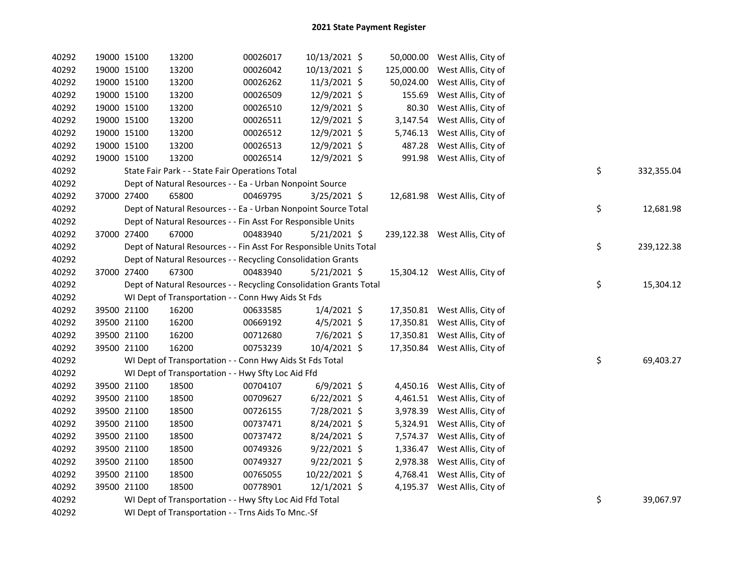| 40292 | 19000 15100 | 13200                                                              | 00026017 | 10/13/2021 \$  |           | 50,000.00 West Allis, City of  |    |            |
|-------|-------------|--------------------------------------------------------------------|----------|----------------|-----------|--------------------------------|----|------------|
| 40292 | 19000 15100 | 13200                                                              | 00026042 | 10/13/2021 \$  |           | 125,000.00 West Allis, City of |    |            |
| 40292 | 19000 15100 | 13200                                                              | 00026262 | 11/3/2021 \$   | 50,024.00 | West Allis, City of            |    |            |
| 40292 | 19000 15100 | 13200                                                              | 00026509 | 12/9/2021 \$   | 155.69    | West Allis, City of            |    |            |
| 40292 | 19000 15100 | 13200                                                              | 00026510 | 12/9/2021 \$   | 80.30     | West Allis, City of            |    |            |
| 40292 | 19000 15100 | 13200                                                              | 00026511 | 12/9/2021 \$   | 3,147.54  | West Allis, City of            |    |            |
| 40292 | 19000 15100 | 13200                                                              | 00026512 | 12/9/2021 \$   | 5,746.13  | West Allis, City of            |    |            |
| 40292 | 19000 15100 | 13200                                                              | 00026513 | 12/9/2021 \$   | 487.28    | West Allis, City of            |    |            |
| 40292 | 19000 15100 | 13200                                                              | 00026514 | 12/9/2021 \$   | 991.98    | West Allis, City of            |    |            |
| 40292 |             | State Fair Park - - State Fair Operations Total                    |          |                |           |                                | \$ | 332,355.04 |
| 40292 |             | Dept of Natural Resources - - Ea - Urban Nonpoint Source           |          |                |           |                                |    |            |
| 40292 | 37000 27400 | 65800                                                              | 00469795 | 3/25/2021 \$   |           | 12,681.98 West Allis, City of  |    |            |
| 40292 |             | Dept of Natural Resources - - Ea - Urban Nonpoint Source Total     |          |                |           |                                | \$ | 12,681.98  |
| 40292 |             | Dept of Natural Resources - - Fin Asst For Responsible Units       |          |                |           |                                |    |            |
| 40292 | 37000 27400 | 67000                                                              | 00483940 | $5/21/2021$ \$ |           | 239,122.38 West Allis, City of |    |            |
| 40292 |             | Dept of Natural Resources - - Fin Asst For Responsible Units Total |          |                |           |                                | \$ | 239,122.38 |
| 40292 |             | Dept of Natural Resources - - Recycling Consolidation Grants       |          |                |           |                                |    |            |
| 40292 | 37000 27400 | 67300                                                              | 00483940 | $5/21/2021$ \$ |           | 15,304.12 West Allis, City of  |    |            |
| 40292 |             | Dept of Natural Resources - - Recycling Consolidation Grants Total |          |                |           |                                | \$ | 15,304.12  |
| 40292 |             | WI Dept of Transportation - - Conn Hwy Aids St Fds                 |          |                |           |                                |    |            |
| 40292 | 39500 21100 | 16200                                                              | 00633585 | $1/4/2021$ \$  |           | 17,350.81 West Allis, City of  |    |            |
| 40292 | 39500 21100 | 16200                                                              | 00669192 | $4/5/2021$ \$  |           | 17,350.81 West Allis, City of  |    |            |
| 40292 | 39500 21100 | 16200                                                              | 00712680 | 7/6/2021 \$    |           | 17,350.81 West Allis, City of  |    |            |
| 40292 | 39500 21100 | 16200                                                              | 00753239 | 10/4/2021 \$   |           | 17,350.84 West Allis, City of  |    |            |
| 40292 |             | WI Dept of Transportation - - Conn Hwy Aids St Fds Total           |          |                |           |                                | \$ | 69,403.27  |
| 40292 |             | WI Dept of Transportation - - Hwy Sfty Loc Aid Ffd                 |          |                |           |                                |    |            |
| 40292 | 39500 21100 | 18500                                                              | 00704107 | $6/9/2021$ \$  |           | 4,450.16 West Allis, City of   |    |            |
| 40292 | 39500 21100 | 18500                                                              | 00709627 | $6/22/2021$ \$ |           | 4,461.51 West Allis, City of   |    |            |
| 40292 | 39500 21100 | 18500                                                              | 00726155 | 7/28/2021 \$   |           | 3,978.39 West Allis, City of   |    |            |
| 40292 | 39500 21100 | 18500                                                              | 00737471 | 8/24/2021 \$   |           | 5,324.91 West Allis, City of   |    |            |
| 40292 | 39500 21100 | 18500                                                              | 00737472 | 8/24/2021 \$   |           | 7,574.37 West Allis, City of   |    |            |
| 40292 | 39500 21100 | 18500                                                              | 00749326 | $9/22/2021$ \$ |           | 1,336.47 West Allis, City of   |    |            |
| 40292 | 39500 21100 | 18500                                                              | 00749327 | $9/22/2021$ \$ |           | 2,978.38 West Allis, City of   |    |            |
| 40292 | 39500 21100 | 18500                                                              | 00765055 | 10/22/2021 \$  |           | 4,768.41 West Allis, City of   |    |            |
| 40292 | 39500 21100 | 18500                                                              | 00778901 | $12/1/2021$ \$ |           | 4,195.37 West Allis, City of   |    |            |
| 40292 |             | WI Dept of Transportation - - Hwy Sfty Loc Aid Ffd Total           |          |                |           |                                | \$ | 39,067.97  |
| 40292 |             | WI Dept of Transportation - - Trns Aids To Mnc.-Sf                 |          |                |           |                                |    |            |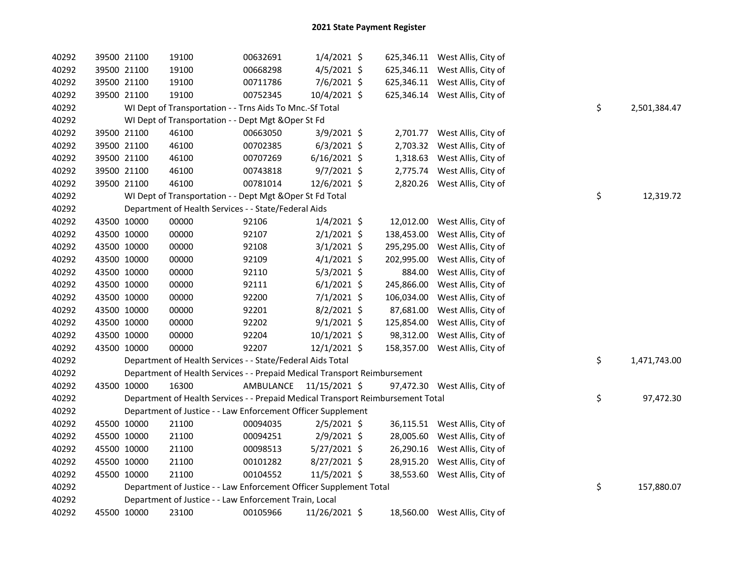| 40292 | 39500 21100 | 19100                                                                           | 00632691  | $1/4/2021$ \$  |            | 625,346.11 West Allis, City of |    |              |
|-------|-------------|---------------------------------------------------------------------------------|-----------|----------------|------------|--------------------------------|----|--------------|
| 40292 | 39500 21100 | 19100                                                                           | 00668298  | 4/5/2021 \$    |            | 625,346.11 West Allis, City of |    |              |
| 40292 | 39500 21100 | 19100                                                                           | 00711786  | 7/6/2021 \$    |            | 625,346.11 West Allis, City of |    |              |
| 40292 | 39500 21100 | 19100                                                                           | 00752345  | 10/4/2021 \$   |            | 625,346.14 West Allis, City of |    |              |
| 40292 |             | WI Dept of Transportation - - Trns Aids To Mnc.-Sf Total                        |           |                |            |                                | \$ | 2,501,384.47 |
| 40292 |             | WI Dept of Transportation - - Dept Mgt & Oper St Fd                             |           |                |            |                                |    |              |
| 40292 | 39500 21100 | 46100                                                                           | 00663050  | 3/9/2021 \$    |            | 2,701.77 West Allis, City of   |    |              |
| 40292 | 39500 21100 | 46100                                                                           | 00702385  | $6/3/2021$ \$  |            | 2,703.32 West Allis, City of   |    |              |
| 40292 | 39500 21100 | 46100                                                                           | 00707269  | $6/16/2021$ \$ | 1,318.63   | West Allis, City of            |    |              |
| 40292 | 39500 21100 | 46100                                                                           | 00743818  | 9/7/2021 \$    | 2,775.74   | West Allis, City of            |    |              |
| 40292 | 39500 21100 | 46100                                                                           | 00781014  | 12/6/2021 \$   |            | 2,820.26 West Allis, City of   |    |              |
| 40292 |             | WI Dept of Transportation - - Dept Mgt & Oper St Fd Total                       |           |                |            |                                | \$ | 12,319.72    |
| 40292 |             | Department of Health Services - - State/Federal Aids                            |           |                |            |                                |    |              |
| 40292 | 43500 10000 | 00000                                                                           | 92106     | $1/4/2021$ \$  |            | 12,012.00 West Allis, City of  |    |              |
| 40292 | 43500 10000 | 00000                                                                           | 92107     | $2/1/2021$ \$  | 138,453.00 | West Allis, City of            |    |              |
| 40292 | 43500 10000 | 00000                                                                           | 92108     | $3/1/2021$ \$  | 295,295.00 | West Allis, City of            |    |              |
| 40292 | 43500 10000 | 00000                                                                           | 92109     | $4/1/2021$ \$  | 202,995.00 | West Allis, City of            |    |              |
| 40292 | 43500 10000 | 00000                                                                           | 92110     | $5/3/2021$ \$  | 884.00     | West Allis, City of            |    |              |
| 40292 | 43500 10000 | 00000                                                                           | 92111     | $6/1/2021$ \$  | 245,866.00 | West Allis, City of            |    |              |
| 40292 | 43500 10000 | 00000                                                                           | 92200     | $7/1/2021$ \$  | 106,034.00 | West Allis, City of            |    |              |
| 40292 | 43500 10000 | 00000                                                                           | 92201     | $8/2/2021$ \$  | 87,681.00  | West Allis, City of            |    |              |
| 40292 | 43500 10000 | 00000                                                                           | 92202     | $9/1/2021$ \$  | 125,854.00 | West Allis, City of            |    |              |
| 40292 | 43500 10000 | 00000                                                                           | 92204     | $10/1/2021$ \$ | 98,312.00  | West Allis, City of            |    |              |
| 40292 | 43500 10000 | 00000                                                                           | 92207     | $12/1/2021$ \$ |            | 158,357.00 West Allis, City of |    |              |
| 40292 |             | Department of Health Services - - State/Federal Aids Total                      |           |                |            |                                | \$ | 1,471,743.00 |
| 40292 |             | Department of Health Services - - Prepaid Medical Transport Reimbursement       |           |                |            |                                |    |              |
| 40292 | 43500 10000 | 16300                                                                           | AMBULANCE | 11/15/2021 \$  |            | 97,472.30 West Allis, City of  |    |              |
| 40292 |             | Department of Health Services - - Prepaid Medical Transport Reimbursement Total |           |                |            |                                | \$ | 97,472.30    |
| 40292 |             | Department of Justice - - Law Enforcement Officer Supplement                    |           |                |            |                                |    |              |
| 40292 | 45500 10000 | 21100                                                                           | 00094035  | $2/5/2021$ \$  |            | 36,115.51 West Allis, City of  |    |              |
| 40292 | 45500 10000 | 21100                                                                           | 00094251  | $2/9/2021$ \$  |            | 28,005.60 West Allis, City of  |    |              |
| 40292 | 45500 10000 | 21100                                                                           | 00098513  | $5/27/2021$ \$ |            | 26,290.16 West Allis, City of  |    |              |
| 40292 | 45500 10000 | 21100                                                                           | 00101282  | $8/27/2021$ \$ |            | 28,915.20 West Allis, City of  |    |              |
| 40292 | 45500 10000 | 21100                                                                           | 00104552  | 11/5/2021 \$   |            | 38,553.60 West Allis, City of  |    |              |
| 40292 |             | Department of Justice - - Law Enforcement Officer Supplement Total              |           |                |            |                                | \$ | 157,880.07   |
| 40292 |             | Department of Justice - - Law Enforcement Train, Local                          |           |                |            |                                |    |              |
| 40292 | 45500 10000 | 23100                                                                           | 00105966  | 11/26/2021 \$  |            | 18,560.00 West Allis, City of  |    |              |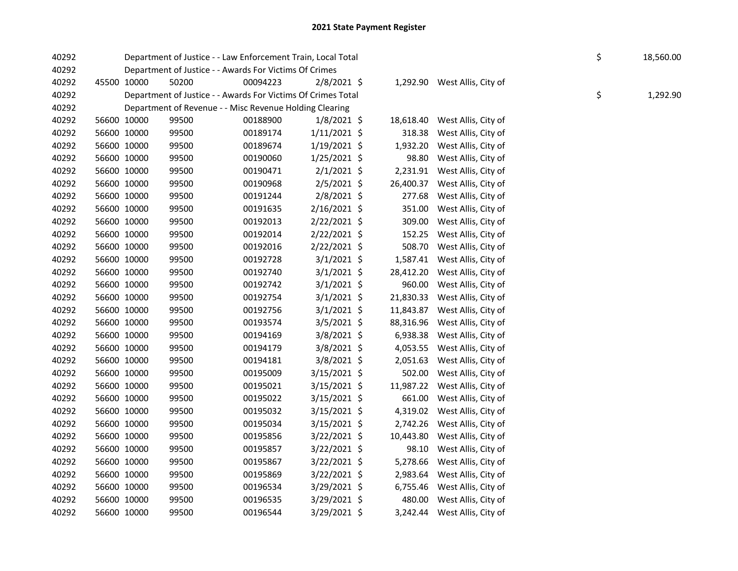| 40292 |             | Department of Justice - - Law Enforcement Train, Local Total |          |                |           |                               | \$ | 18,560.00 |
|-------|-------------|--------------------------------------------------------------|----------|----------------|-----------|-------------------------------|----|-----------|
| 40292 |             | Department of Justice - - Awards For Victims Of Crimes       |          |                |           |                               |    |           |
| 40292 | 45500 10000 | 50200                                                        | 00094223 | $2/8/2021$ \$  |           | 1,292.90 West Allis, City of  |    |           |
| 40292 |             | Department of Justice - - Awards For Victims Of Crimes Total |          |                |           |                               | \$ | 1,292.90  |
| 40292 |             | Department of Revenue - - Misc Revenue Holding Clearing      |          |                |           |                               |    |           |
| 40292 | 56600 10000 | 99500                                                        | 00188900 | $1/8/2021$ \$  | 18,618.40 | West Allis, City of           |    |           |
| 40292 | 56600 10000 | 99500                                                        | 00189174 | $1/11/2021$ \$ | 318.38    | West Allis, City of           |    |           |
| 40292 | 56600 10000 | 99500                                                        | 00189674 | $1/19/2021$ \$ | 1,932.20  | West Allis, City of           |    |           |
| 40292 | 56600 10000 | 99500                                                        | 00190060 | $1/25/2021$ \$ | 98.80     | West Allis, City of           |    |           |
| 40292 | 56600 10000 | 99500                                                        | 00190471 | $2/1/2021$ \$  | 2,231.91  | West Allis, City of           |    |           |
| 40292 | 56600 10000 | 99500                                                        | 00190968 | $2/5/2021$ \$  | 26,400.37 | West Allis, City of           |    |           |
| 40292 | 56600 10000 | 99500                                                        | 00191244 | 2/8/2021 \$    | 277.68    | West Allis, City of           |    |           |
| 40292 | 56600 10000 | 99500                                                        | 00191635 | 2/16/2021 \$   | 351.00    | West Allis, City of           |    |           |
| 40292 | 56600 10000 | 99500                                                        | 00192013 | 2/22/2021 \$   | 309.00    | West Allis, City of           |    |           |
| 40292 | 56600 10000 | 99500                                                        | 00192014 | 2/22/2021 \$   | 152.25    | West Allis, City of           |    |           |
| 40292 | 56600 10000 | 99500                                                        | 00192016 | 2/22/2021 \$   | 508.70    | West Allis, City of           |    |           |
| 40292 | 56600 10000 | 99500                                                        | 00192728 | $3/1/2021$ \$  |           | 1,587.41 West Allis, City of  |    |           |
| 40292 | 56600 10000 | 99500                                                        | 00192740 | $3/1/2021$ \$  |           | 28,412.20 West Allis, City of |    |           |
| 40292 | 56600 10000 | 99500                                                        | 00192742 | $3/1/2021$ \$  |           | 960.00 West Allis, City of    |    |           |
| 40292 | 56600 10000 | 99500                                                        | 00192754 | $3/1/2021$ \$  | 21,830.33 | West Allis, City of           |    |           |
| 40292 | 56600 10000 | 99500                                                        | 00192756 | $3/1/2021$ \$  | 11,843.87 | West Allis, City of           |    |           |
| 40292 | 56600 10000 | 99500                                                        | 00193574 | $3/5/2021$ \$  | 88,316.96 | West Allis, City of           |    |           |
| 40292 | 56600 10000 | 99500                                                        | 00194169 | 3/8/2021 \$    | 6,938.38  | West Allis, City of           |    |           |
| 40292 | 56600 10000 | 99500                                                        | 00194179 | 3/8/2021 \$    | 4,053.55  | West Allis, City of           |    |           |
| 40292 | 56600 10000 | 99500                                                        | 00194181 | $3/8/2021$ \$  | 2,051.63  | West Allis, City of           |    |           |
| 40292 | 56600 10000 | 99500                                                        | 00195009 | 3/15/2021 \$   | 502.00    | West Allis, City of           |    |           |
| 40292 | 56600 10000 | 99500                                                        | 00195021 | $3/15/2021$ \$ | 11,987.22 | West Allis, City of           |    |           |
| 40292 | 56600 10000 | 99500                                                        | 00195022 | $3/15/2021$ \$ | 661.00    | West Allis, City of           |    |           |
| 40292 | 56600 10000 | 99500                                                        | 00195032 | $3/15/2021$ \$ |           | 4,319.02 West Allis, City of  |    |           |
| 40292 | 56600 10000 | 99500                                                        | 00195034 | $3/15/2021$ \$ | 2,742.26  | West Allis, City of           |    |           |
| 40292 | 56600 10000 | 99500                                                        | 00195856 | 3/22/2021 \$   | 10,443.80 | West Allis, City of           |    |           |
| 40292 | 56600 10000 | 99500                                                        | 00195857 | $3/22/2021$ \$ | 98.10     | West Allis, City of           |    |           |
| 40292 | 56600 10000 | 99500                                                        | 00195867 | 3/22/2021 \$   | 5,278.66  | West Allis, City of           |    |           |
| 40292 | 56600 10000 | 99500                                                        | 00195869 | $3/22/2021$ \$ |           | 2,983.64 West Allis, City of  |    |           |
| 40292 | 56600 10000 | 99500                                                        | 00196534 | 3/29/2021 \$   |           | 6,755.46 West Allis, City of  |    |           |
| 40292 | 56600 10000 | 99500                                                        | 00196535 | 3/29/2021 \$   |           | 480.00 West Allis, City of    |    |           |
| 40292 | 56600 10000 | 99500                                                        | 00196544 | 3/29/2021 \$   |           | 3,242.44 West Allis, City of  |    |           |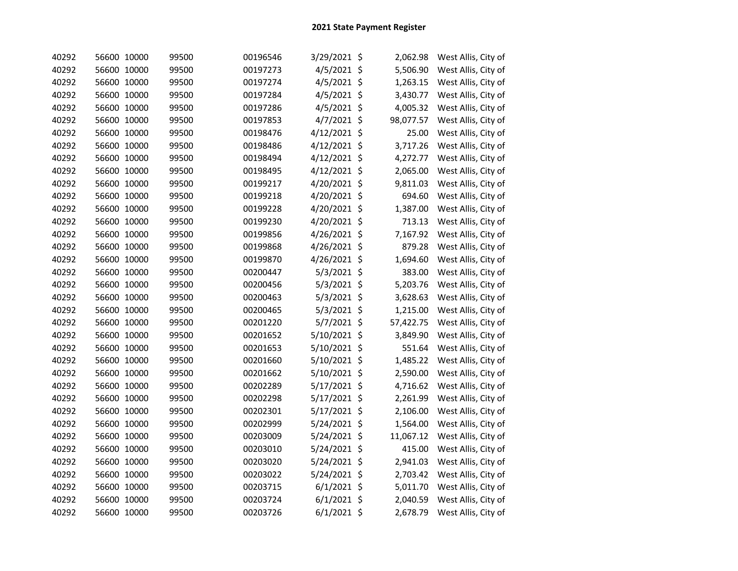| 40292 | 56600 10000 | 99500 | 00196546 | 3/29/2021 \$  | 2,062.98  | West Allis, City of |
|-------|-------------|-------|----------|---------------|-----------|---------------------|
| 40292 | 56600 10000 | 99500 | 00197273 | 4/5/2021 \$   | 5,506.90  | West Allis, City of |
| 40292 | 56600 10000 | 99500 | 00197274 | 4/5/2021 \$   | 1,263.15  | West Allis, City of |
| 40292 | 56600 10000 | 99500 | 00197284 | 4/5/2021 \$   | 3,430.77  | West Allis, City of |
| 40292 | 56600 10000 | 99500 | 00197286 | 4/5/2021 \$   | 4,005.32  | West Allis, City of |
| 40292 | 56600 10000 | 99500 | 00197853 | 4/7/2021 \$   | 98,077.57 | West Allis, City of |
| 40292 | 56600 10000 | 99500 | 00198476 | 4/12/2021 \$  | 25.00     | West Allis, City of |
| 40292 | 56600 10000 | 99500 | 00198486 | 4/12/2021 \$  | 3,717.26  | West Allis, City of |
| 40292 | 56600 10000 | 99500 | 00198494 | 4/12/2021 \$  | 4,272.77  | West Allis, City of |
| 40292 | 56600 10000 | 99500 | 00198495 | 4/12/2021 \$  | 2,065.00  | West Allis, City of |
| 40292 | 56600 10000 | 99500 | 00199217 | 4/20/2021 \$  | 9,811.03  | West Allis, City of |
| 40292 | 56600 10000 | 99500 | 00199218 | 4/20/2021 \$  | 694.60    | West Allis, City of |
| 40292 | 56600 10000 | 99500 | 00199228 | 4/20/2021 \$  | 1,387.00  | West Allis, City of |
| 40292 | 56600 10000 | 99500 | 00199230 | 4/20/2021 \$  | 713.13    | West Allis, City of |
| 40292 | 56600 10000 | 99500 | 00199856 | 4/26/2021 \$  | 7,167.92  | West Allis, City of |
| 40292 | 56600 10000 | 99500 | 00199868 | 4/26/2021 \$  | 879.28    | West Allis, City of |
| 40292 | 56600 10000 | 99500 | 00199870 | 4/26/2021 \$  | 1,694.60  | West Allis, City of |
| 40292 | 56600 10000 | 99500 | 00200447 | 5/3/2021 \$   | 383.00    | West Allis, City of |
| 40292 | 56600 10000 | 99500 | 00200456 | 5/3/2021 \$   | 5,203.76  | West Allis, City of |
| 40292 | 56600 10000 | 99500 | 00200463 | 5/3/2021 \$   | 3,628.63  | West Allis, City of |
| 40292 | 56600 10000 | 99500 | 00200465 | 5/3/2021 \$   | 1,215.00  | West Allis, City of |
| 40292 | 56600 10000 | 99500 | 00201220 | 5/7/2021 \$   | 57,422.75 | West Allis, City of |
| 40292 | 56600 10000 | 99500 | 00201652 | 5/10/2021 \$  | 3,849.90  | West Allis, City of |
| 40292 | 56600 10000 | 99500 | 00201653 | 5/10/2021 \$  | 551.64    | West Allis, City of |
| 40292 | 56600 10000 | 99500 | 00201660 | 5/10/2021 \$  | 1,485.22  | West Allis, City of |
| 40292 | 56600 10000 | 99500 | 00201662 | 5/10/2021 \$  | 2,590.00  | West Allis, City of |
| 40292 | 56600 10000 | 99500 | 00202289 | 5/17/2021 \$  | 4,716.62  | West Allis, City of |
| 40292 | 56600 10000 | 99500 | 00202298 | 5/17/2021 \$  | 2,261.99  | West Allis, City of |
| 40292 | 56600 10000 | 99500 | 00202301 | 5/17/2021 \$  | 2,106.00  | West Allis, City of |
| 40292 | 56600 10000 | 99500 | 00202999 | 5/24/2021 \$  | 1,564.00  | West Allis, City of |
| 40292 | 56600 10000 | 99500 | 00203009 | 5/24/2021 \$  | 11,067.12 | West Allis, City of |
| 40292 | 56600 10000 | 99500 | 00203010 | 5/24/2021 \$  | 415.00    | West Allis, City of |
| 40292 | 56600 10000 | 99500 | 00203020 | 5/24/2021 \$  | 2,941.03  | West Allis, City of |
| 40292 | 56600 10000 | 99500 | 00203022 | 5/24/2021 \$  | 2,703.42  | West Allis, City of |
| 40292 | 56600 10000 | 99500 | 00203715 | $6/1/2021$ \$ | 5,011.70  | West Allis, City of |
| 40292 | 56600 10000 | 99500 | 00203724 | $6/1/2021$ \$ | 2,040.59  | West Allis, City of |
| 40292 | 56600 10000 | 99500 | 00203726 | $6/1/2021$ \$ | 2,678.79  | West Allis, City of |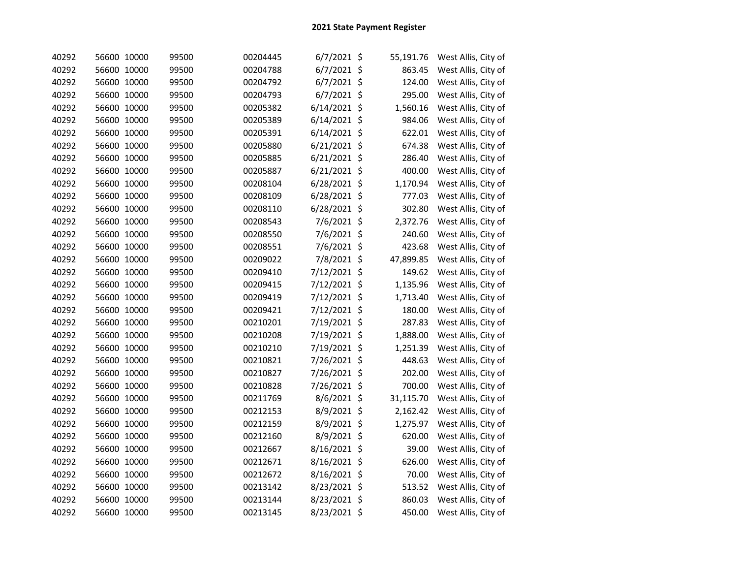| 40292 | 56600 10000 | 99500 | 00204445 | $6/7/2021$ \$  | 55,191.76 | West Allis, City of |
|-------|-------------|-------|----------|----------------|-----------|---------------------|
| 40292 | 56600 10000 | 99500 | 00204788 | 6/7/2021 \$    | 863.45    | West Allis, City of |
| 40292 | 56600 10000 | 99500 | 00204792 | $6/7/2021$ \$  | 124.00    | West Allis, City of |
| 40292 | 56600 10000 | 99500 | 00204793 | $6/7/2021$ \$  | 295.00    | West Allis, City of |
| 40292 | 56600 10000 | 99500 | 00205382 | $6/14/2021$ \$ | 1,560.16  | West Allis, City of |
| 40292 | 56600 10000 | 99500 | 00205389 | $6/14/2021$ \$ | 984.06    | West Allis, City of |
| 40292 | 56600 10000 | 99500 | 00205391 | $6/14/2021$ \$ | 622.01    | West Allis, City of |
| 40292 | 56600 10000 | 99500 | 00205880 | $6/21/2021$ \$ | 674.38    | West Allis, City of |
| 40292 | 56600 10000 | 99500 | 00205885 | $6/21/2021$ \$ | 286.40    | West Allis, City of |
| 40292 | 56600 10000 | 99500 | 00205887 | $6/21/2021$ \$ | 400.00    | West Allis, City of |
| 40292 | 56600 10000 | 99500 | 00208104 | 6/28/2021 \$   | 1,170.94  | West Allis, City of |
| 40292 | 56600 10000 | 99500 | 00208109 | 6/28/2021 \$   | 777.03    | West Allis, City of |
| 40292 | 56600 10000 | 99500 | 00208110 | 6/28/2021 \$   | 302.80    | West Allis, City of |
| 40292 | 56600 10000 | 99500 | 00208543 | 7/6/2021 \$    | 2,372.76  | West Allis, City of |
| 40292 | 56600 10000 | 99500 | 00208550 | 7/6/2021 \$    | 240.60    | West Allis, City of |
| 40292 | 56600 10000 | 99500 | 00208551 | 7/6/2021 \$    | 423.68    | West Allis, City of |
| 40292 | 56600 10000 | 99500 | 00209022 | 7/8/2021 \$    | 47,899.85 | West Allis, City of |
| 40292 | 56600 10000 | 99500 | 00209410 | 7/12/2021 \$   | 149.62    | West Allis, City of |
| 40292 | 56600 10000 | 99500 | 00209415 | 7/12/2021 \$   | 1,135.96  | West Allis, City of |
| 40292 | 56600 10000 | 99500 | 00209419 | 7/12/2021 \$   | 1,713.40  | West Allis, City of |
| 40292 | 56600 10000 | 99500 | 00209421 | 7/12/2021 \$   | 180.00    | West Allis, City of |
| 40292 | 56600 10000 | 99500 | 00210201 | 7/19/2021 \$   | 287.83    | West Allis, City of |
| 40292 | 56600 10000 | 99500 | 00210208 | 7/19/2021 \$   | 1,888.00  | West Allis, City of |
| 40292 | 56600 10000 | 99500 | 00210210 | 7/19/2021 \$   | 1,251.39  | West Allis, City of |
| 40292 | 56600 10000 | 99500 | 00210821 | 7/26/2021 \$   | 448.63    | West Allis, City of |
| 40292 | 56600 10000 | 99500 | 00210827 | 7/26/2021 \$   | 202.00    | West Allis, City of |
| 40292 | 56600 10000 | 99500 | 00210828 | 7/26/2021 \$   | 700.00    | West Allis, City of |
| 40292 | 56600 10000 | 99500 | 00211769 | 8/6/2021 \$    | 31,115.70 | West Allis, City of |
| 40292 | 56600 10000 | 99500 | 00212153 | 8/9/2021 \$    | 2,162.42  | West Allis, City of |
| 40292 | 56600 10000 | 99500 | 00212159 | 8/9/2021 \$    | 1,275.97  | West Allis, City of |
| 40292 | 56600 10000 | 99500 | 00212160 | 8/9/2021 \$    | 620.00    | West Allis, City of |
| 40292 | 56600 10000 | 99500 | 00212667 | 8/16/2021 \$   | 39.00     | West Allis, City of |
| 40292 | 56600 10000 | 99500 | 00212671 | 8/16/2021 \$   | 626.00    | West Allis, City of |
| 40292 | 56600 10000 | 99500 | 00212672 | 8/16/2021 \$   | 70.00     | West Allis, City of |
| 40292 | 56600 10000 | 99500 | 00213142 | 8/23/2021 \$   | 513.52    | West Allis, City of |
| 40292 | 56600 10000 | 99500 | 00213144 | 8/23/2021 \$   | 860.03    | West Allis, City of |
| 40292 | 56600 10000 | 99500 | 00213145 | 8/23/2021 \$   | 450.00    | West Allis, City of |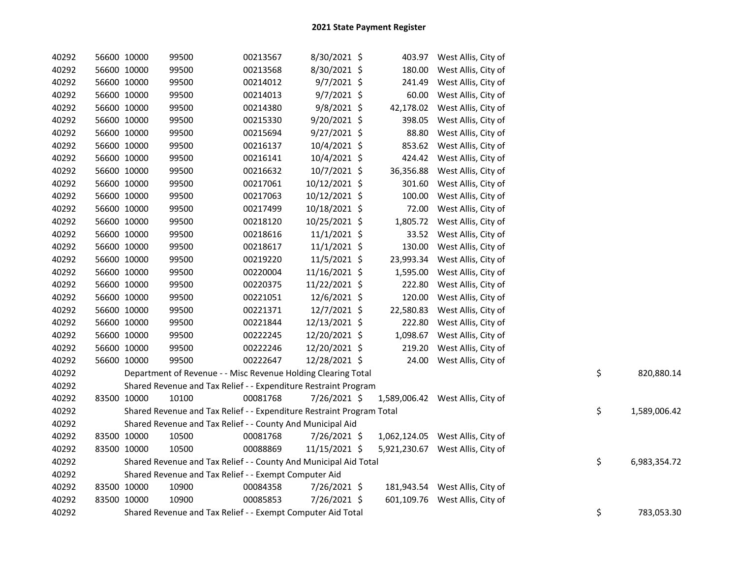| 40292 | 56600 10000 |             | 99500                                                                 | 00213567 | 8/30/2021 \$   |           | 403.97 West Allis, City of       |    |              |
|-------|-------------|-------------|-----------------------------------------------------------------------|----------|----------------|-----------|----------------------------------|----|--------------|
| 40292 | 56600 10000 |             | 99500                                                                 | 00213568 | 8/30/2021 \$   | 180.00    | West Allis, City of              |    |              |
| 40292 | 56600 10000 |             | 99500                                                                 | 00214012 | $9/7/2021$ \$  | 241.49    | West Allis, City of              |    |              |
| 40292 | 56600 10000 |             | 99500                                                                 | 00214013 | $9/7/2021$ \$  | 60.00     | West Allis, City of              |    |              |
| 40292 | 56600 10000 |             | 99500                                                                 | 00214380 | 9/8/2021 \$    | 42,178.02 | West Allis, City of              |    |              |
| 40292 | 56600 10000 |             | 99500                                                                 | 00215330 | 9/20/2021 \$   | 398.05    | West Allis, City of              |    |              |
| 40292 | 56600 10000 |             | 99500                                                                 | 00215694 | $9/27/2021$ \$ | 88.80     | West Allis, City of              |    |              |
| 40292 |             | 56600 10000 | 99500                                                                 | 00216137 | 10/4/2021 \$   | 853.62    | West Allis, City of              |    |              |
| 40292 |             | 56600 10000 | 99500                                                                 | 00216141 | 10/4/2021 \$   | 424.42    | West Allis, City of              |    |              |
| 40292 |             | 56600 10000 | 99500                                                                 | 00216632 | $10/7/2021$ \$ | 36,356.88 | West Allis, City of              |    |              |
| 40292 |             | 56600 10000 | 99500                                                                 | 00217061 | 10/12/2021 \$  | 301.60    | West Allis, City of              |    |              |
| 40292 |             | 56600 10000 | 99500                                                                 | 00217063 | 10/12/2021 \$  | 100.00    | West Allis, City of              |    |              |
| 40292 |             | 56600 10000 | 99500                                                                 | 00217499 | 10/18/2021 \$  | 72.00     | West Allis, City of              |    |              |
| 40292 |             | 56600 10000 | 99500                                                                 | 00218120 | 10/25/2021 \$  | 1,805.72  | West Allis, City of              |    |              |
| 40292 | 56600 10000 |             | 99500                                                                 | 00218616 | $11/1/2021$ \$ | 33.52     | West Allis, City of              |    |              |
| 40292 |             | 56600 10000 | 99500                                                                 | 00218617 | $11/1/2021$ \$ | 130.00    | West Allis, City of              |    |              |
| 40292 |             | 56600 10000 | 99500                                                                 | 00219220 | 11/5/2021 \$   | 23,993.34 | West Allis, City of              |    |              |
| 40292 | 56600 10000 |             | 99500                                                                 | 00220004 | 11/16/2021 \$  | 1,595.00  | West Allis, City of              |    |              |
| 40292 | 56600 10000 |             | 99500                                                                 | 00220375 | 11/22/2021 \$  | 222.80    | West Allis, City of              |    |              |
| 40292 | 56600 10000 |             | 99500                                                                 | 00221051 | 12/6/2021 \$   | 120.00    | West Allis, City of              |    |              |
| 40292 | 56600 10000 |             | 99500                                                                 | 00221371 | 12/7/2021 \$   | 22,580.83 | West Allis, City of              |    |              |
| 40292 | 56600 10000 |             | 99500                                                                 | 00221844 | 12/13/2021 \$  | 222.80    | West Allis, City of              |    |              |
| 40292 | 56600 10000 |             | 99500                                                                 | 00222245 | 12/20/2021 \$  | 1,098.67  | West Allis, City of              |    |              |
| 40292 | 56600 10000 |             | 99500                                                                 | 00222246 | 12/20/2021 \$  | 219.20    | West Allis, City of              |    |              |
| 40292 |             | 56600 10000 | 99500                                                                 | 00222647 | 12/28/2021 \$  | 24.00     | West Allis, City of              |    |              |
| 40292 |             |             | Department of Revenue - - Misc Revenue Holding Clearing Total         |          |                |           |                                  | \$ | 820,880.14   |
| 40292 |             |             | Shared Revenue and Tax Relief - - Expenditure Restraint Program       |          |                |           |                                  |    |              |
| 40292 | 83500 10000 |             | 10100                                                                 | 00081768 | 7/26/2021 \$   |           | 1,589,006.42 West Allis, City of |    |              |
| 40292 |             |             | Shared Revenue and Tax Relief - - Expenditure Restraint Program Total |          |                |           |                                  | \$ | 1,589,006.42 |
| 40292 |             |             | Shared Revenue and Tax Relief - - County And Municipal Aid            |          |                |           |                                  |    |              |
| 40292 | 83500 10000 |             | 10500                                                                 | 00081768 | 7/26/2021 \$   |           | 1,062,124.05 West Allis, City of |    |              |
| 40292 | 83500 10000 |             | 10500                                                                 | 00088869 | 11/15/2021 \$  |           | 5,921,230.67 West Allis, City of |    |              |
| 40292 |             |             | Shared Revenue and Tax Relief - - County And Municipal Aid Total      |          |                |           |                                  | \$ | 6,983,354.72 |
| 40292 |             |             | Shared Revenue and Tax Relief - - Exempt Computer Aid                 |          |                |           |                                  |    |              |
| 40292 | 83500 10000 |             | 10900                                                                 | 00084358 | 7/26/2021 \$   |           | 181,943.54 West Allis, City of   |    |              |
| 40292 | 83500 10000 |             | 10900                                                                 | 00085853 | 7/26/2021 \$   |           | 601,109.76 West Allis, City of   |    |              |
| 40292 |             |             | Shared Revenue and Tax Relief - - Exempt Computer Aid Total           |          |                |           |                                  | \$ | 783,053.30   |